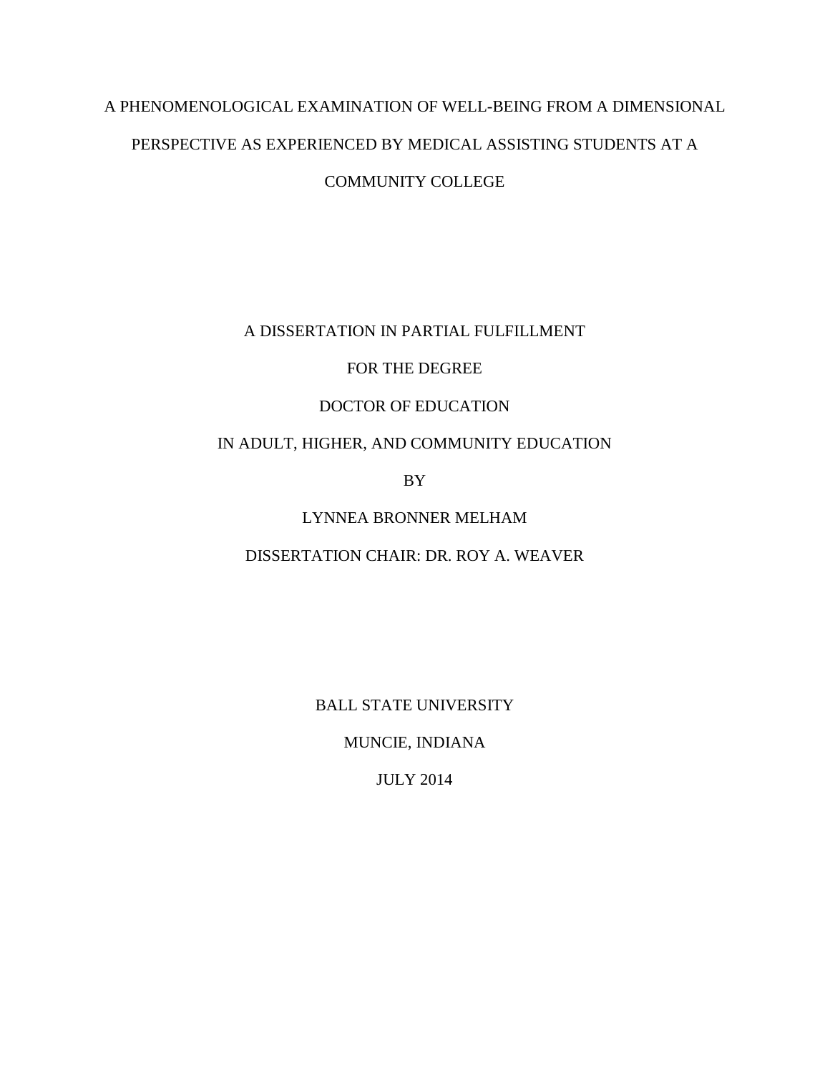# A PHENOMENOLOGICAL EXAMINATION OF WELL-BEING FROM A DIMENSIONAL PERSPECTIVE AS EXPERIENCED BY MEDICAL ASSISTING STUDENTS AT A

## COMMUNITY COLLEGE

### A DISSERTATION IN PARTIAL FULFILLMENT

## FOR THE DEGREE

## DOCTOR OF EDUCATION

## IN ADULT, HIGHER, AND COMMUNITY EDUCATION

BY

## LYNNEA BRONNER MELHAM

## DISSERTATION CHAIR: DR. ROY A. WEAVER

BALL STATE UNIVERSITY

## MUNCIE, INDIANA

JULY 2014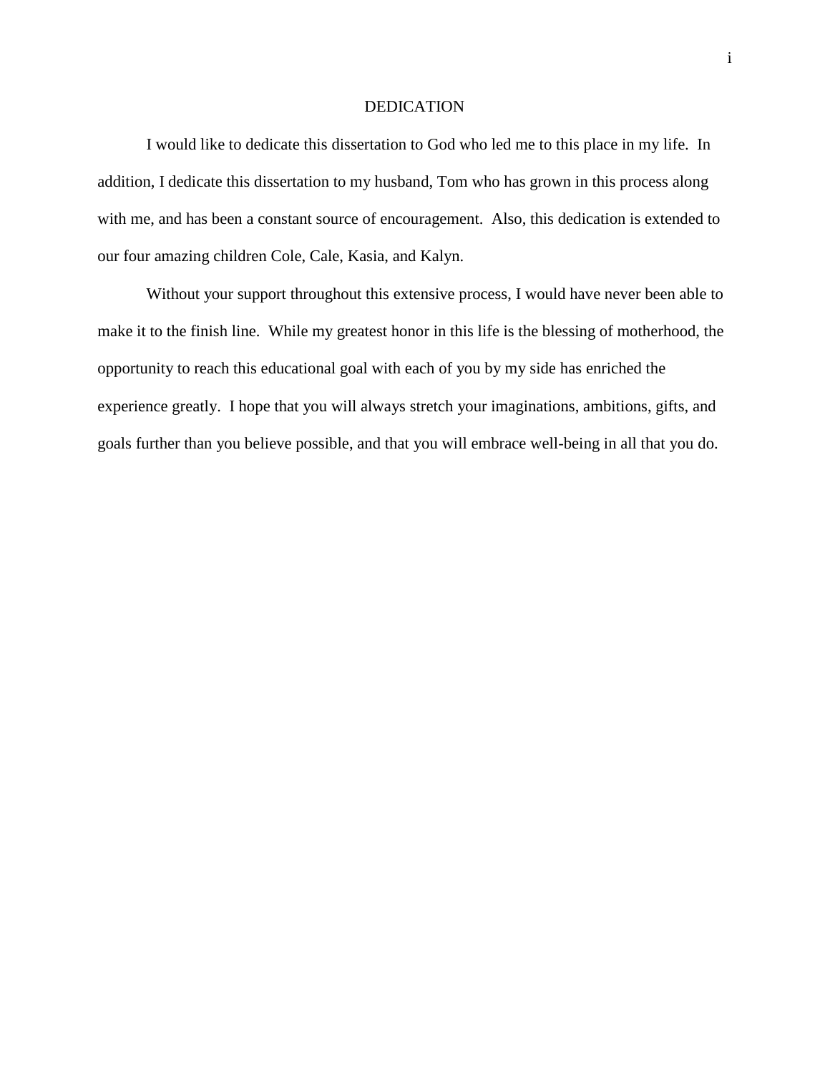#### **DEDICATION**

I would like to dedicate this dissertation to God who led me to this place in my life. In addition, I dedicate this dissertation to my husband, Tom who has grown in this process along with me, and has been a constant source of encouragement. Also, this dedication is extended to our four amazing children Cole, Cale, Kasia, and Kalyn.

Without your support throughout this extensive process, I would have never been able to make it to the finish line. While my greatest honor in this life is the blessing of motherhood, the opportunity to reach this educational goal with each of you by my side has enriched the experience greatly. I hope that you will always stretch your imaginations, ambitions, gifts, and goals further than you believe possible, and that you will embrace well-being in all that you do.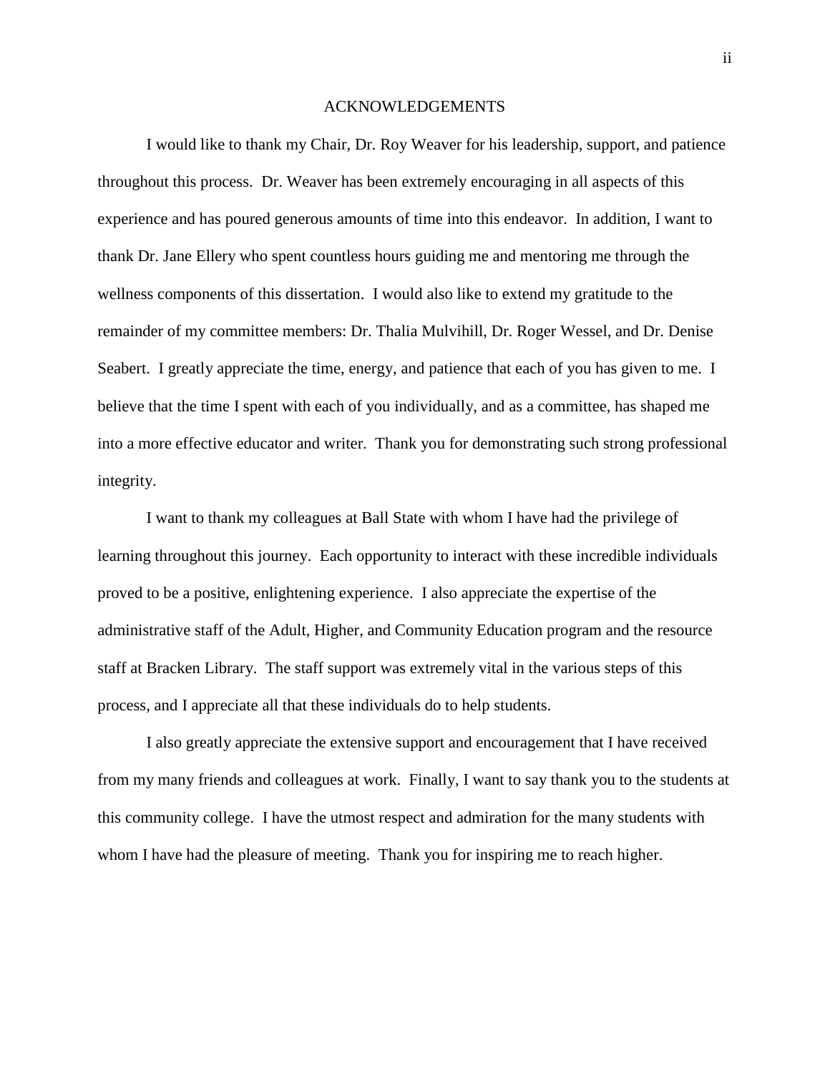#### ACKNOWLEDGEMENTS

<span id="page-2-0"></span>I would like to thank my Chair, Dr. Roy Weaver for his leadership, support, and patience throughout this process. Dr. Weaver has been extremely encouraging in all aspects of this experience and has poured generous amounts of time into this endeavor. In addition, I want to thank Dr. Jane Ellery who spent countless hours guiding me and mentoring me through the wellness components of this dissertation. I would also like to extend my gratitude to the remainder of my committee members: Dr. Thalia Mulvihill, Dr. Roger Wessel, and Dr. Denise Seabert. I greatly appreciate the time, energy, and patience that each of you has given to me. I believe that the time I spent with each of you individually, and as a committee, has shaped me into a more effective educator and writer. Thank you for demonstrating such strong professional integrity.

I want to thank my colleagues at Ball State with whom I have had the privilege of learning throughout this journey. Each opportunity to interact with these incredible individuals proved to be a positive, enlightening experience. I also appreciate the expertise of the administrative staff of the Adult, Higher, and Community Education program and the resource staff at Bracken Library. The staff support was extremely vital in the various steps of this process, and I appreciate all that these individuals do to help students.

I also greatly appreciate the extensive support and encouragement that I have received from my many friends and colleagues at work. Finally, I want to say thank you to the students at this community college. I have the utmost respect and admiration for the many students with whom I have had the pleasure of meeting. Thank you for inspiring me to reach higher.

ii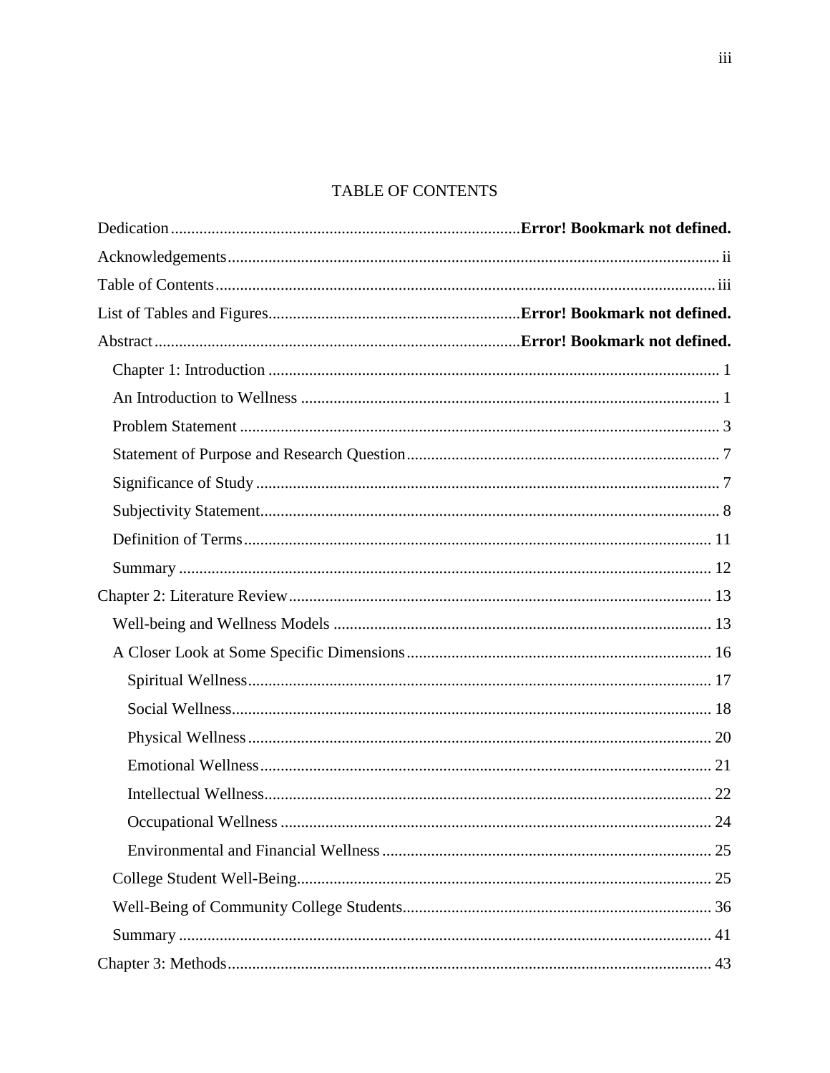## TABLE OF CONTENTS

<span id="page-3-0"></span>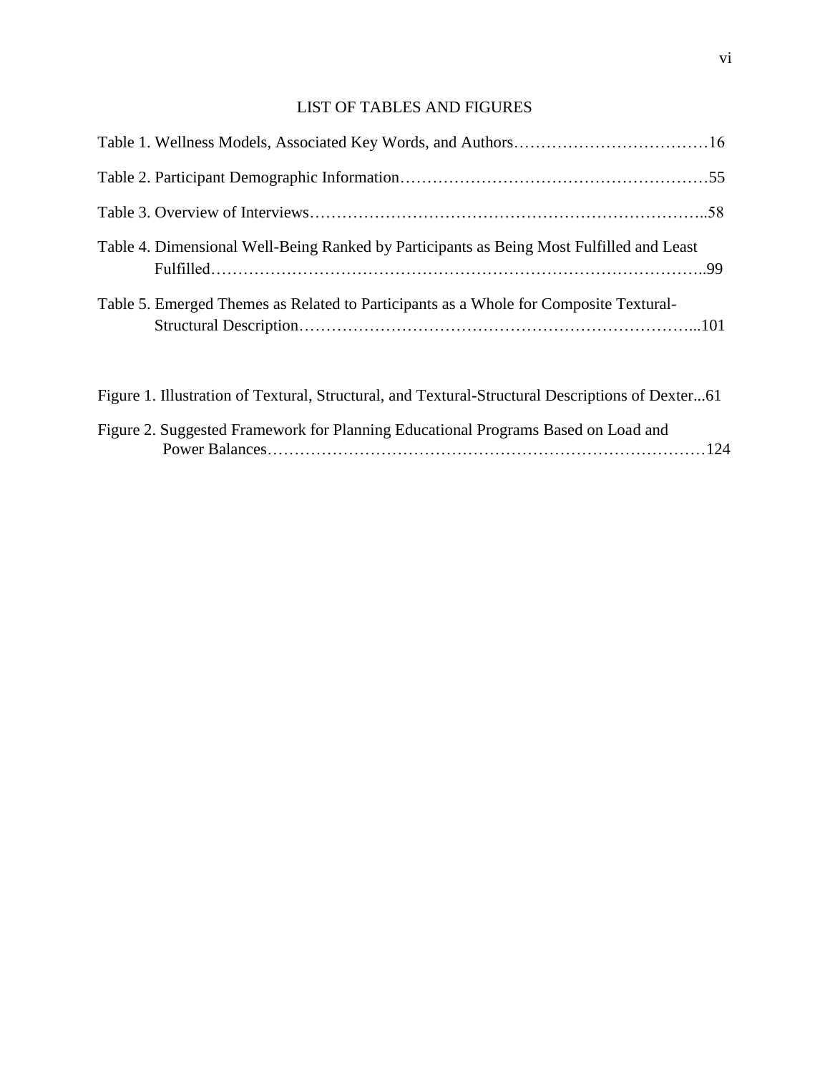## LIST OF TABLES AND FIGURES

| Table 4. Dimensional Well-Being Ranked by Participants as Being Most Fulfilled and Least         |
|--------------------------------------------------------------------------------------------------|
| Table 5. Emerged Themes as Related to Participants as a Whole for Composite Textural-            |
| Figure 1. Illustration of Textural, Structural, and Textural-Structural Descriptions of Dexter61 |
| Equip 2. Cugarated Example for Planning Educational Dragonance Deced on Load and                 |

| Figure 2. Suggested Framework for Planning Educational Programs Based on Load and |  |
|-----------------------------------------------------------------------------------|--|
|                                                                                   |  |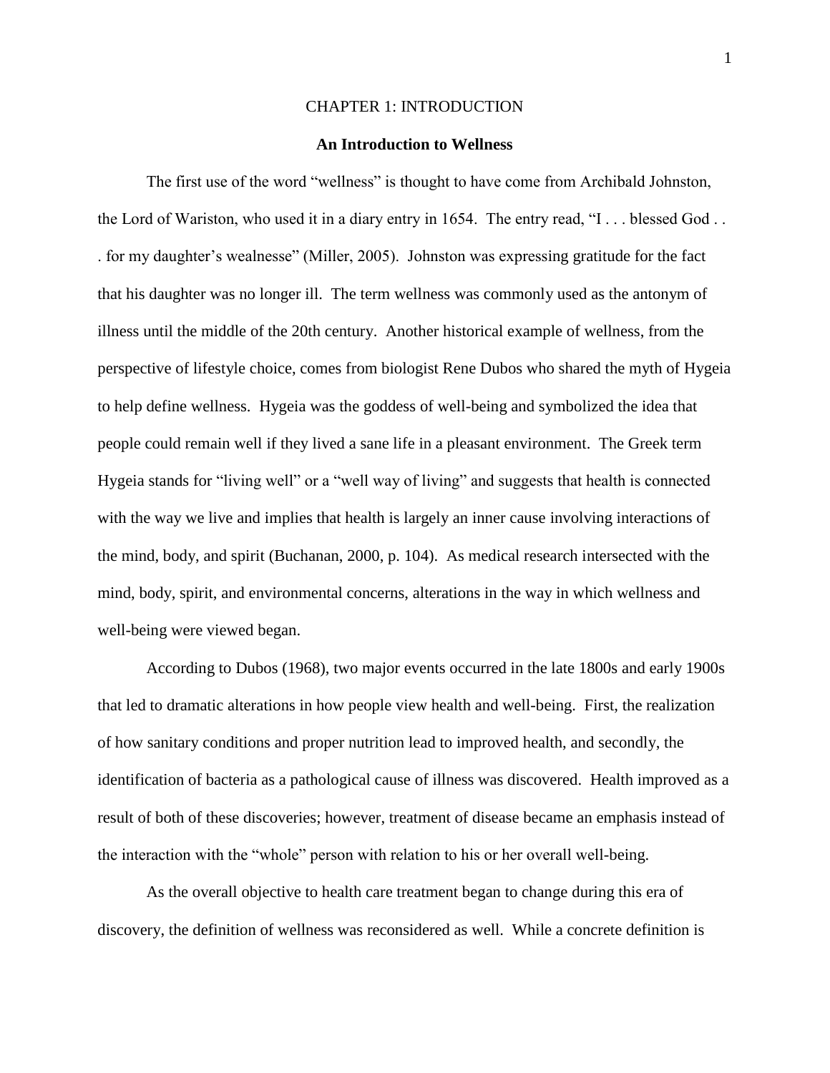#### CHAPTER 1: INTRODUCTION

#### **An Introduction to Wellness**

<span id="page-7-1"></span><span id="page-7-0"></span>The first use of the word "wellness" is thought to have come from Archibald Johnston, the Lord of Wariston, who used it in a diary entry in 1654. The entry read, "I . . . blessed God . . . for my daughter's wealnesse" (Miller, 2005). Johnston was expressing gratitude for the fact that his daughter was no longer ill. The term wellness was commonly used as the antonym of illness until the middle of the 20th century. Another historical example of wellness, from the perspective of lifestyle choice, comes from biologist Rene Dubos who shared the myth of Hygeia to help define wellness. Hygeia was the goddess of well-being and symbolized the idea that people could remain well if they lived a sane life in a pleasant environment. The Greek term Hygeia stands for "living well" or a "well way of living" and suggests that health is connected with the way we live and implies that health is largely an inner cause involving interactions of the mind, body, and spirit (Buchanan, 2000, p. 104). As medical research intersected with the mind, body, spirit, and environmental concerns, alterations in the way in which wellness and well-being were viewed began.

According to Dubos (1968), two major events occurred in the late 1800s and early 1900s that led to dramatic alterations in how people view health and well-being. First, the realization of how sanitary conditions and proper nutrition lead to improved health, and secondly, the identification of bacteria as a pathological cause of illness was discovered. Health improved as a result of both of these discoveries; however, treatment of disease became an emphasis instead of the interaction with the "whole" person with relation to his or her overall well-being.

As the overall objective to health care treatment began to change during this era of discovery, the definition of wellness was reconsidered as well. While a concrete definition is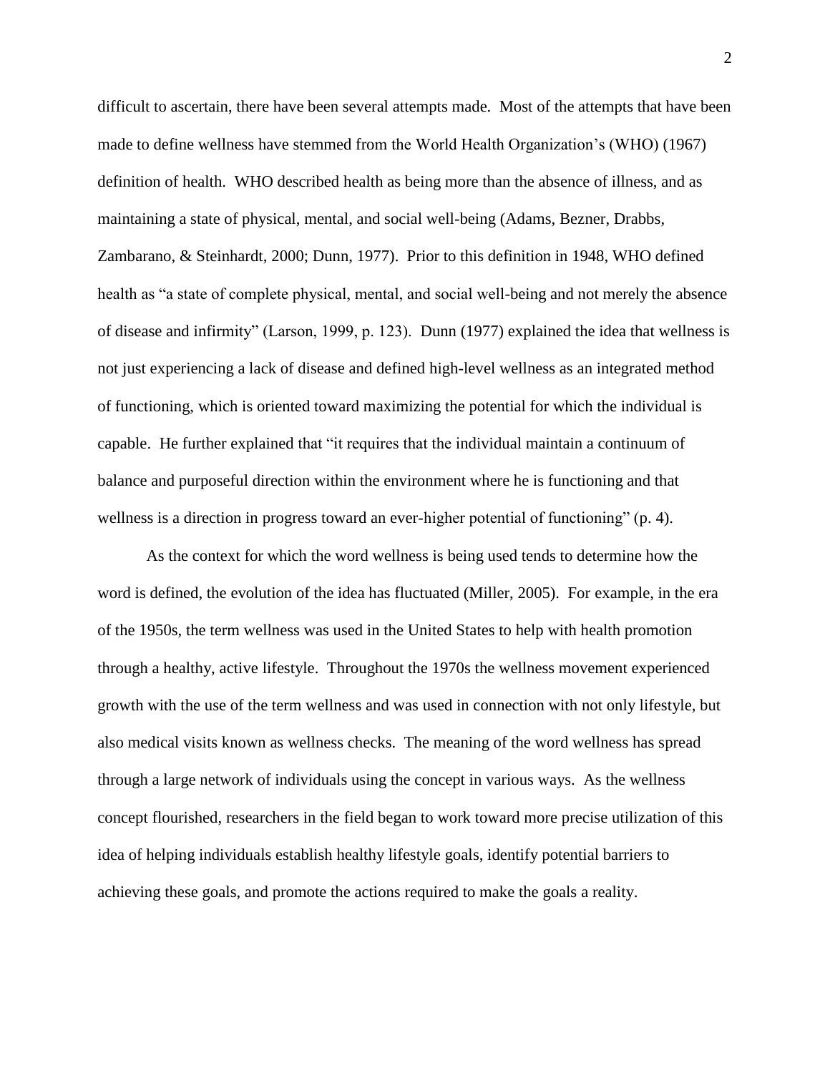difficult to ascertain, there have been several attempts made. Most of the attempts that have been made to define wellness have stemmed from the World Health Organization's (WHO) (1967) definition of health. WHO described health as being more than the absence of illness, and as maintaining a state of physical, mental, and social well-being (Adams, Bezner, Drabbs, Zambarano, & Steinhardt, 2000; Dunn, 1977). Prior to this definition in 1948, WHO defined health as "a state of complete physical, mental, and social well-being and not merely the absence of disease and infirmity" (Larson, 1999, p. 123). Dunn (1977) explained the idea that wellness is not just experiencing a lack of disease and defined high-level wellness as an integrated method of functioning, which is oriented toward maximizing the potential for which the individual is capable. He further explained that "it requires that the individual maintain a continuum of balance and purposeful direction within the environment where he is functioning and that wellness is a direction in progress toward an ever-higher potential of functioning" (p. 4).

As the context for which the word wellness is being used tends to determine how the word is defined, the evolution of the idea has fluctuated (Miller, 2005). For example, in the era of the 1950s, the term wellness was used in the United States to help with health promotion through a healthy, active lifestyle. Throughout the 1970s the wellness movement experienced growth with the use of the term wellness and was used in connection with not only lifestyle, but also medical visits known as wellness checks. The meaning of the word wellness has spread through a large network of individuals using the concept in various ways. As the wellness concept flourished, researchers in the field began to work toward more precise utilization of this idea of helping individuals establish healthy lifestyle goals, identify potential barriers to achieving these goals, and promote the actions required to make the goals a reality.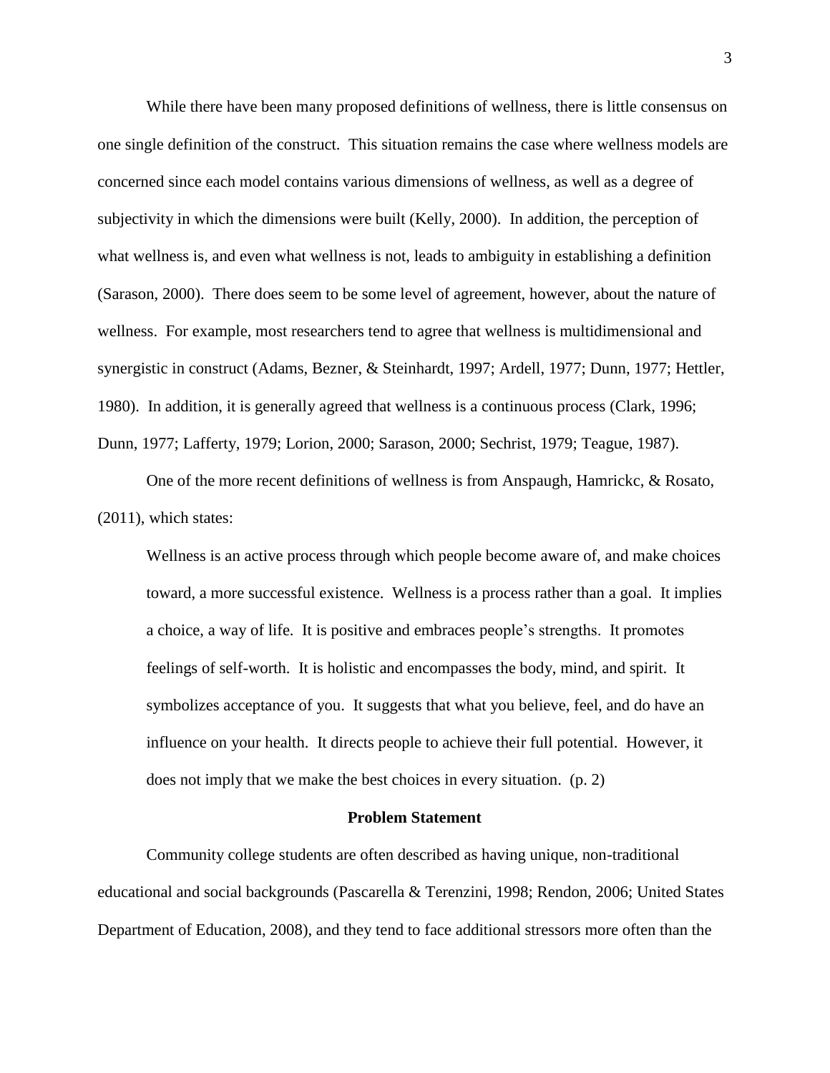While there have been many proposed definitions of wellness, there is little consensus on one single definition of the construct. This situation remains the case where wellness models are concerned since each model contains various dimensions of wellness, as well as a degree of subjectivity in which the dimensions were built (Kelly, 2000). In addition, the perception of what wellness is, and even what wellness is not, leads to ambiguity in establishing a definition (Sarason, 2000). There does seem to be some level of agreement, however, about the nature of wellness. For example, most researchers tend to agree that wellness is multidimensional and synergistic in construct (Adams, Bezner, & Steinhardt, 1997; Ardell, 1977; Dunn, 1977; Hettler, 1980). In addition, it is generally agreed that wellness is a continuous process (Clark, 1996; Dunn, 1977; Lafferty, 1979; Lorion, 2000; Sarason, 2000; Sechrist, 1979; Teague, 1987).

One of the more recent definitions of wellness is from Anspaugh, Hamrickc, & Rosato, (2011), which states:

Wellness is an active process through which people become aware of, and make choices toward, a more successful existence. Wellness is a process rather than a goal. It implies a choice, a way of life. It is positive and embraces people's strengths. It promotes feelings of self-worth. It is holistic and encompasses the body, mind, and spirit. It symbolizes acceptance of you. It suggests that what you believe, feel, and do have an influence on your health. It directs people to achieve their full potential. However, it does not imply that we make the best choices in every situation. (p. 2)

#### **Problem Statement**

<span id="page-9-0"></span>Community college students are often described as having unique, non-traditional educational and social backgrounds (Pascarella & Terenzini, 1998; Rendon, 2006; United States Department of Education, 2008), and they tend to face additional stressors more often than the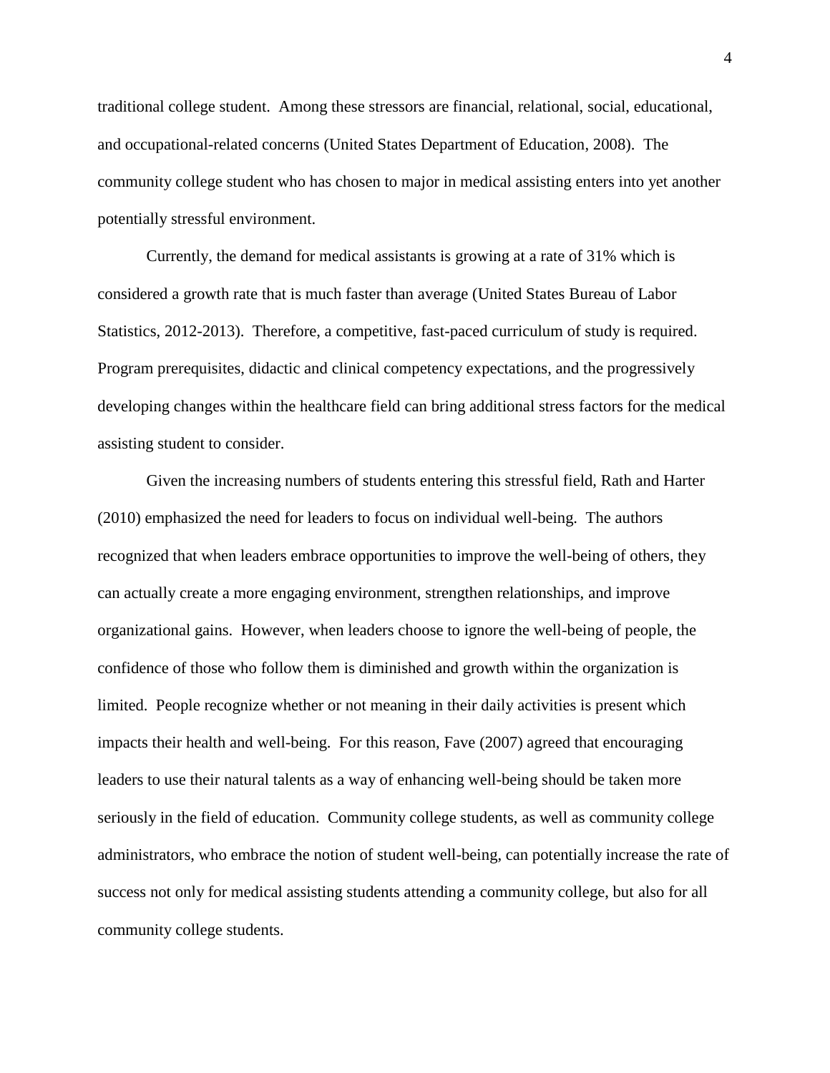traditional college student. Among these stressors are financial, relational, social, educational, and occupational-related concerns (United States Department of Education, 2008). The community college student who has chosen to major in medical assisting enters into yet another potentially stressful environment.

Currently, the demand for medical assistants is growing at a rate of 31% which is considered a growth rate that is much faster than average (United States Bureau of Labor Statistics, 2012-2013). Therefore, a competitive, fast-paced curriculum of study is required. Program prerequisites, didactic and clinical competency expectations, and the progressively developing changes within the healthcare field can bring additional stress factors for the medical assisting student to consider.

Given the increasing numbers of students entering this stressful field, Rath and Harter (2010) emphasized the need for leaders to focus on individual well-being. The authors recognized that when leaders embrace opportunities to improve the well-being of others, they can actually create a more engaging environment, strengthen relationships, and improve organizational gains. However, when leaders choose to ignore the well-being of people, the confidence of those who follow them is diminished and growth within the organization is limited. People recognize whether or not meaning in their daily activities is present which impacts their health and well-being. For this reason, Fave (2007) agreed that encouraging leaders to use their natural talents as a way of enhancing well-being should be taken more seriously in the field of education. Community college students, as well as community college administrators, who embrace the notion of student well-being, can potentially increase the rate of success not only for medical assisting students attending a community college, but also for all community college students.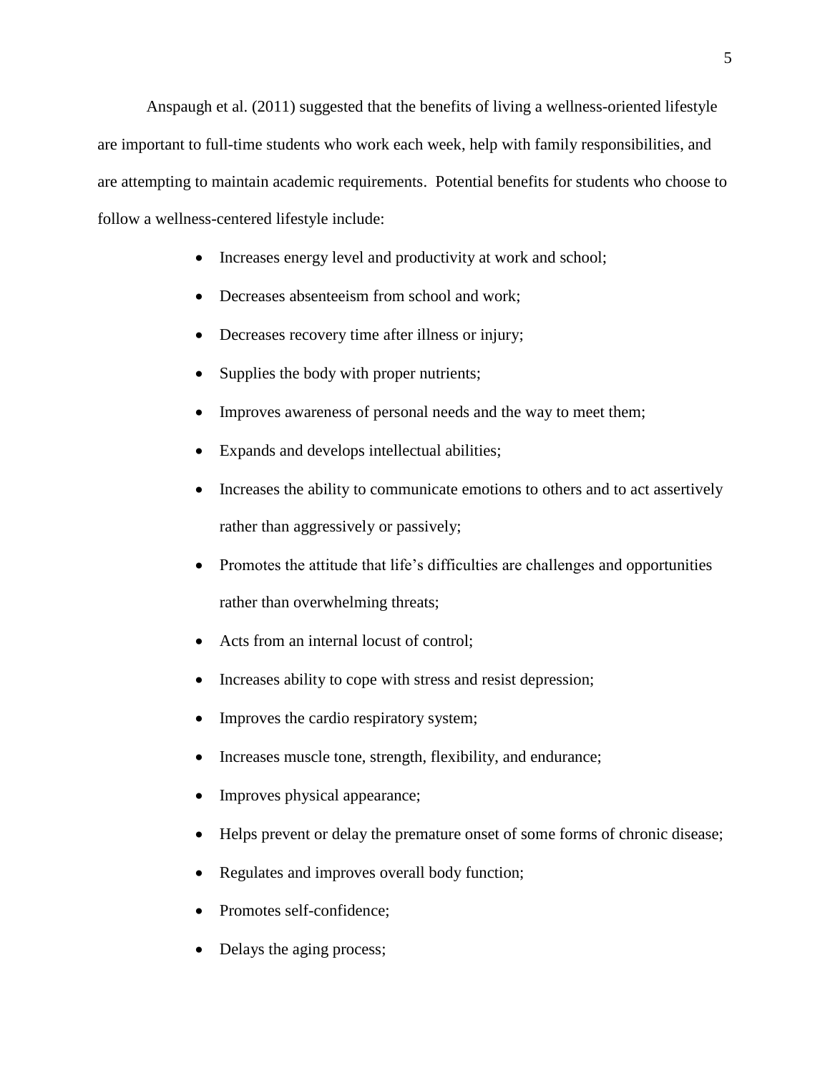Anspaugh et al. (2011) suggested that the benefits of living a wellness-oriented lifestyle are important to full-time students who work each week, help with family responsibilities, and are attempting to maintain academic requirements. Potential benefits for students who choose to follow a wellness-centered lifestyle include:

- Increases energy level and productivity at work and school;
- Decreases absenteeism from school and work;
- Decreases recovery time after illness or injury;
- Supplies the body with proper nutrients;
- Improves awareness of personal needs and the way to meet them;
- Expands and develops intellectual abilities;
- Increases the ability to communicate emotions to others and to act assertively rather than aggressively or passively;
- Promotes the attitude that life's difficulties are challenges and opportunities rather than overwhelming threats;
- Acts from an internal locust of control;
- Increases ability to cope with stress and resist depression;
- Improves the cardio respiratory system;
- Increases muscle tone, strength, flexibility, and endurance;
- Improves physical appearance;
- Helps prevent or delay the premature onset of some forms of chronic disease;
- Regulates and improves overall body function;
- Promotes self-confidence;
- Delays the aging process;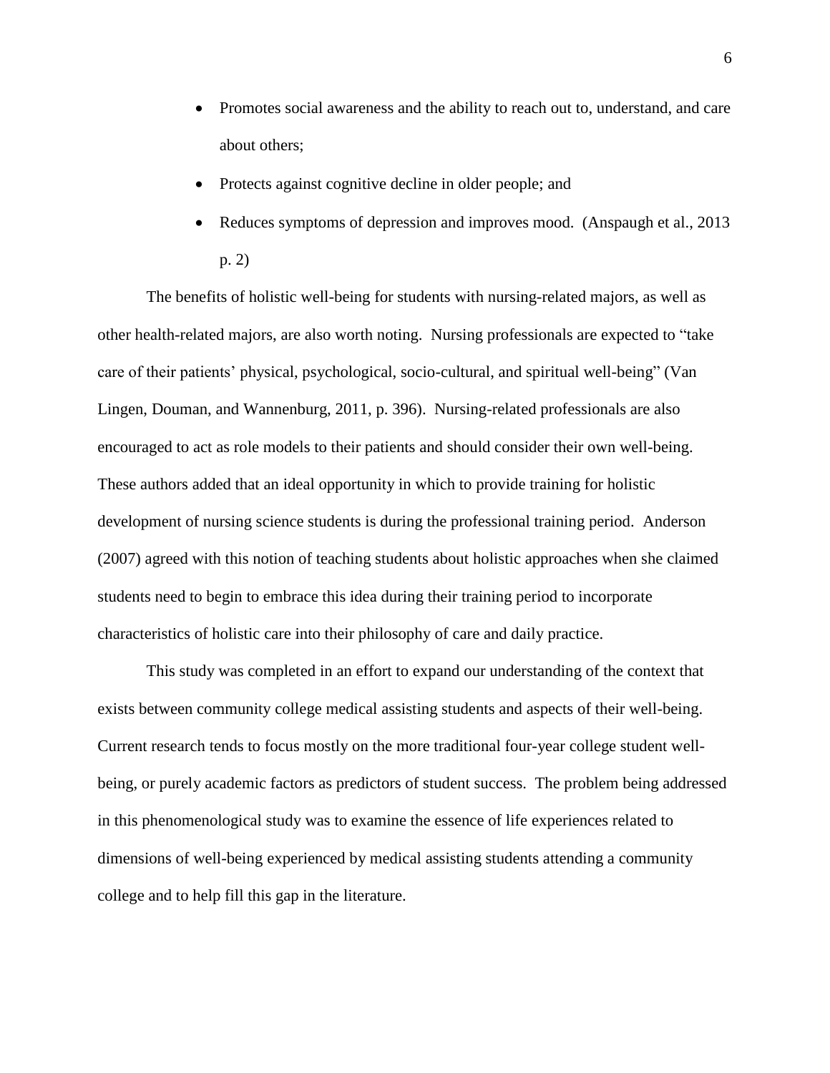- Promotes social awareness and the ability to reach out to, understand, and care about others;
- Protects against cognitive decline in older people; and
- Reduces symptoms of depression and improves mood. (Anspaugh et al., 2013 p. 2)

The benefits of holistic well-being for students with nursing-related majors, as well as other health-related majors, are also worth noting. Nursing professionals are expected to "take care of their patients' physical, psychological, socio-cultural, and spiritual well-being" (Van Lingen, Douman, and Wannenburg, 2011, p. 396). Nursing-related professionals are also encouraged to act as role models to their patients and should consider their own well-being. These authors added that an ideal opportunity in which to provide training for holistic development of nursing science students is during the professional training period. Anderson (2007) agreed with this notion of teaching students about holistic approaches when she claimed students need to begin to embrace this idea during their training period to incorporate characteristics of holistic care into their philosophy of care and daily practice.

This study was completed in an effort to expand our understanding of the context that exists between community college medical assisting students and aspects of their well-being. Current research tends to focus mostly on the more traditional four-year college student wellbeing, or purely academic factors as predictors of student success. The problem being addressed in this phenomenological study was to examine the essence of life experiences related to dimensions of well-being experienced by medical assisting students attending a community college and to help fill this gap in the literature.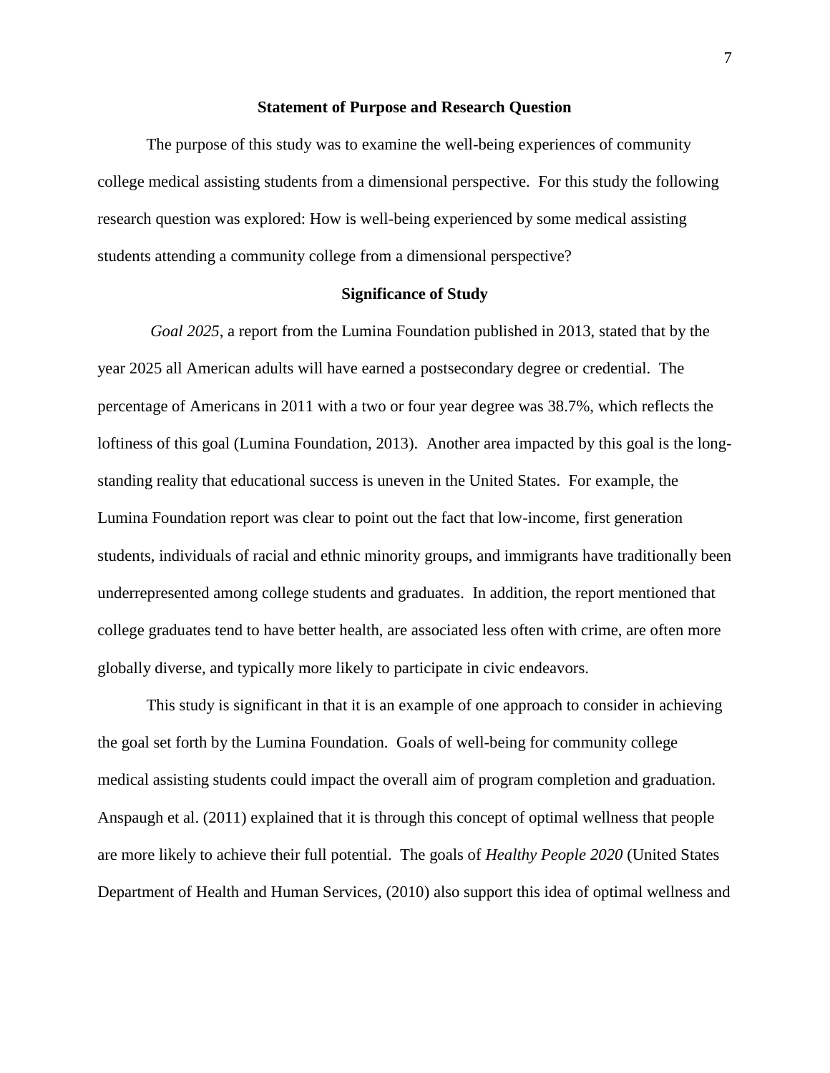#### **Statement of Purpose and Research Question**

<span id="page-13-0"></span>The purpose of this study was to examine the well-being experiences of community college medical assisting students from a dimensional perspective. For this study the following research question was explored: How is well-being experienced by some medical assisting students attending a community college from a dimensional perspective?

#### **Significance of Study**

<span id="page-13-1"></span>*Goal 2025*, a report from the Lumina Foundation published in 2013, stated that by the year 2025 all American adults will have earned a postsecondary degree or credential. The percentage of Americans in 2011 with a two or four year degree was 38.7%, which reflects the loftiness of this goal (Lumina Foundation, 2013). Another area impacted by this goal is the longstanding reality that educational success is uneven in the United States. For example, the Lumina Foundation report was clear to point out the fact that low-income, first generation students, individuals of racial and ethnic minority groups, and immigrants have traditionally been underrepresented among college students and graduates. In addition, the report mentioned that college graduates tend to have better health, are associated less often with crime, are often more globally diverse, and typically more likely to participate in civic endeavors.

This study is significant in that it is an example of one approach to consider in achieving the goal set forth by the Lumina Foundation. Goals of well-being for community college medical assisting students could impact the overall aim of program completion and graduation. Anspaugh et al. (2011) explained that it is through this concept of optimal wellness that people are more likely to achieve their full potential. The goals of *Healthy People 2020* (United States Department of Health and Human Services, (2010) also support this idea of optimal wellness and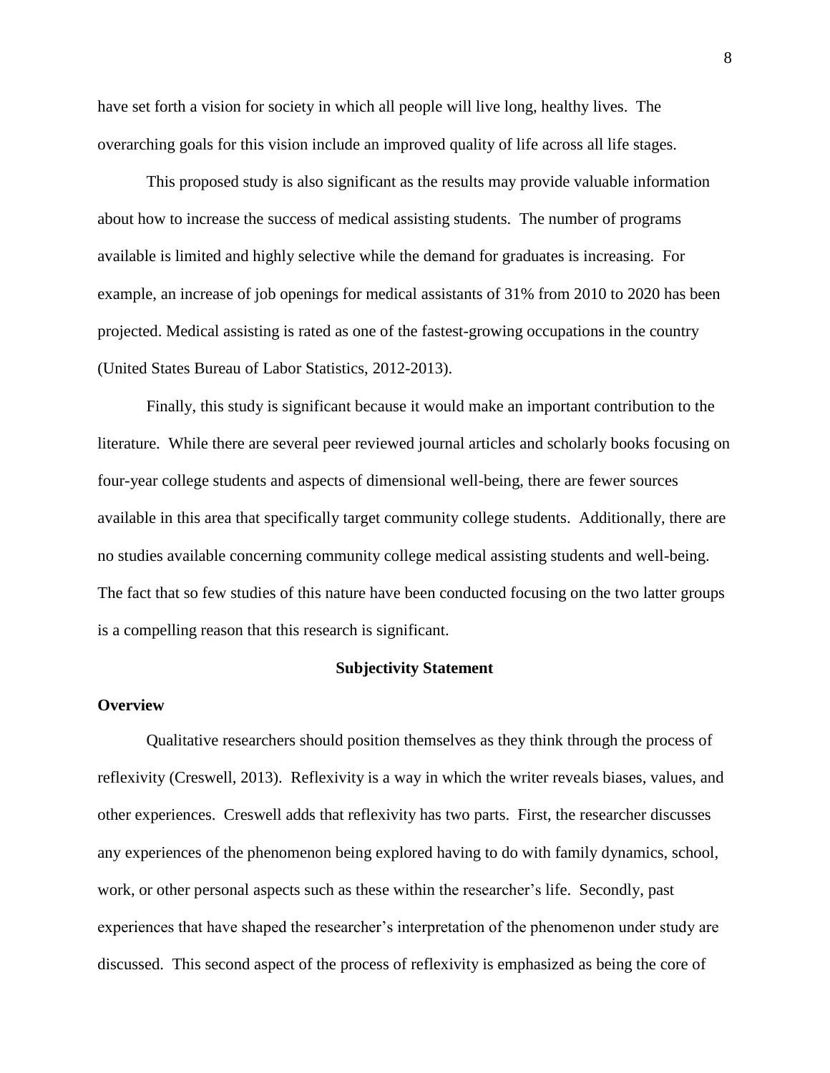have set forth a vision for society in which all people will live long, healthy lives. The overarching goals for this vision include an improved quality of life across all life stages.

This proposed study is also significant as the results may provide valuable information about how to increase the success of medical assisting students. The number of programs available is limited and highly selective while the demand for graduates is increasing. For example, an increase of job openings for medical assistants of 31% from 2010 to 2020 has been projected. Medical assisting is rated as one of the fastest-growing occupations in the country (United States Bureau of Labor Statistics, 2012-2013).

Finally, this study is significant because it would make an important contribution to the literature. While there are several peer reviewed journal articles and scholarly books focusing on four-year college students and aspects of dimensional well-being, there are fewer sources available in this area that specifically target community college students. Additionally, there are no studies available concerning community college medical assisting students and well-being. The fact that so few studies of this nature have been conducted focusing on the two latter groups is a compelling reason that this research is significant.

#### **Subjectivity Statement**

#### <span id="page-14-0"></span>**Overview**

Qualitative researchers should position themselves as they think through the process of reflexivity (Creswell, 2013). Reflexivity is a way in which the writer reveals biases, values, and other experiences. Creswell adds that reflexivity has two parts. First, the researcher discusses any experiences of the phenomenon being explored having to do with family dynamics, school, work, or other personal aspects such as these within the researcher's life. Secondly, past experiences that have shaped the researcher's interpretation of the phenomenon under study are discussed. This second aspect of the process of reflexivity is emphasized as being the core of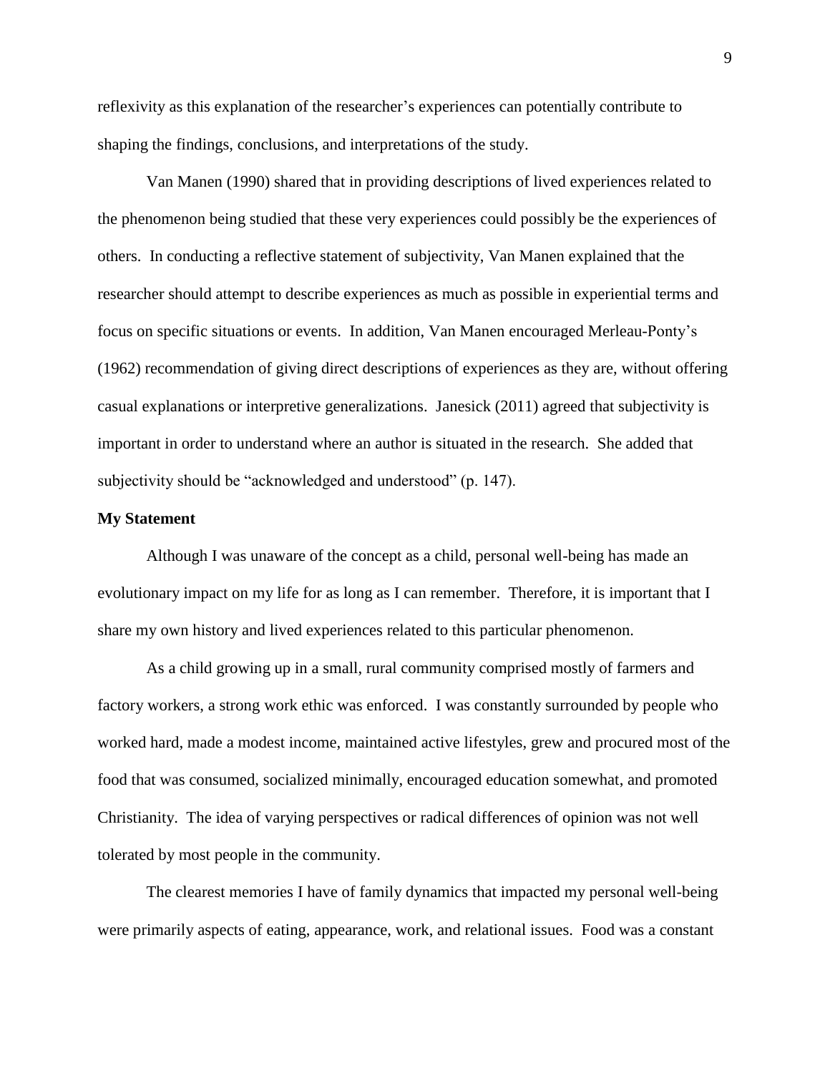reflexivity as this explanation of the researcher's experiences can potentially contribute to shaping the findings, conclusions, and interpretations of the study.

Van Manen (1990) shared that in providing descriptions of lived experiences related to the phenomenon being studied that these very experiences could possibly be the experiences of others. In conducting a reflective statement of subjectivity, Van Manen explained that the researcher should attempt to describe experiences as much as possible in experiential terms and focus on specific situations or events. In addition, Van Manen encouraged Merleau-Ponty's (1962) recommendation of giving direct descriptions of experiences as they are, without offering casual explanations or interpretive generalizations. Janesick (2011) agreed that subjectivity is important in order to understand where an author is situated in the research. She added that subjectivity should be "acknowledged and understood" (p. 147).

#### **My Statement**

Although I was unaware of the concept as a child, personal well-being has made an evolutionary impact on my life for as long as I can remember. Therefore, it is important that I share my own history and lived experiences related to this particular phenomenon.

As a child growing up in a small, rural community comprised mostly of farmers and factory workers, a strong work ethic was enforced. I was constantly surrounded by people who worked hard, made a modest income, maintained active lifestyles, grew and procured most of the food that was consumed, socialized minimally, encouraged education somewhat, and promoted Christianity. The idea of varying perspectives or radical differences of opinion was not well tolerated by most people in the community.

The clearest memories I have of family dynamics that impacted my personal well-being were primarily aspects of eating, appearance, work, and relational issues. Food was a constant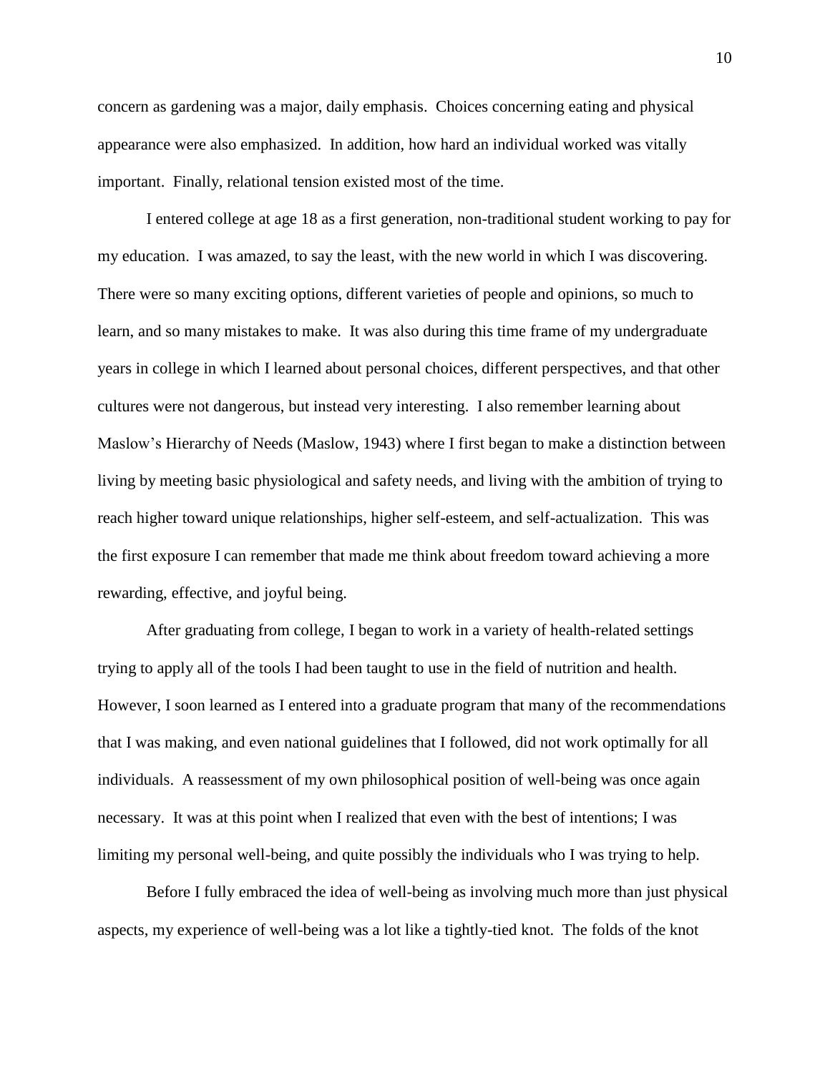concern as gardening was a major, daily emphasis. Choices concerning eating and physical appearance were also emphasized. In addition, how hard an individual worked was vitally important. Finally, relational tension existed most of the time.

I entered college at age 18 as a first generation, non-traditional student working to pay for my education. I was amazed, to say the least, with the new world in which I was discovering. There were so many exciting options, different varieties of people and opinions, so much to learn, and so many mistakes to make. It was also during this time frame of my undergraduate years in college in which I learned about personal choices, different perspectives, and that other cultures were not dangerous, but instead very interesting. I also remember learning about Maslow's Hierarchy of Needs (Maslow, 1943) where I first began to make a distinction between living by meeting basic physiological and safety needs, and living with the ambition of trying to reach higher toward unique relationships, higher self-esteem, and self-actualization. This was the first exposure I can remember that made me think about freedom toward achieving a more rewarding, effective, and joyful being.

After graduating from college, I began to work in a variety of health-related settings trying to apply all of the tools I had been taught to use in the field of nutrition and health. However, I soon learned as I entered into a graduate program that many of the recommendations that I was making, and even national guidelines that I followed, did not work optimally for all individuals. A reassessment of my own philosophical position of well-being was once again necessary. It was at this point when I realized that even with the best of intentions; I was limiting my personal well-being, and quite possibly the individuals who I was trying to help.

Before I fully embraced the idea of well-being as involving much more than just physical aspects, my experience of well-being was a lot like a tightly-tied knot. The folds of the knot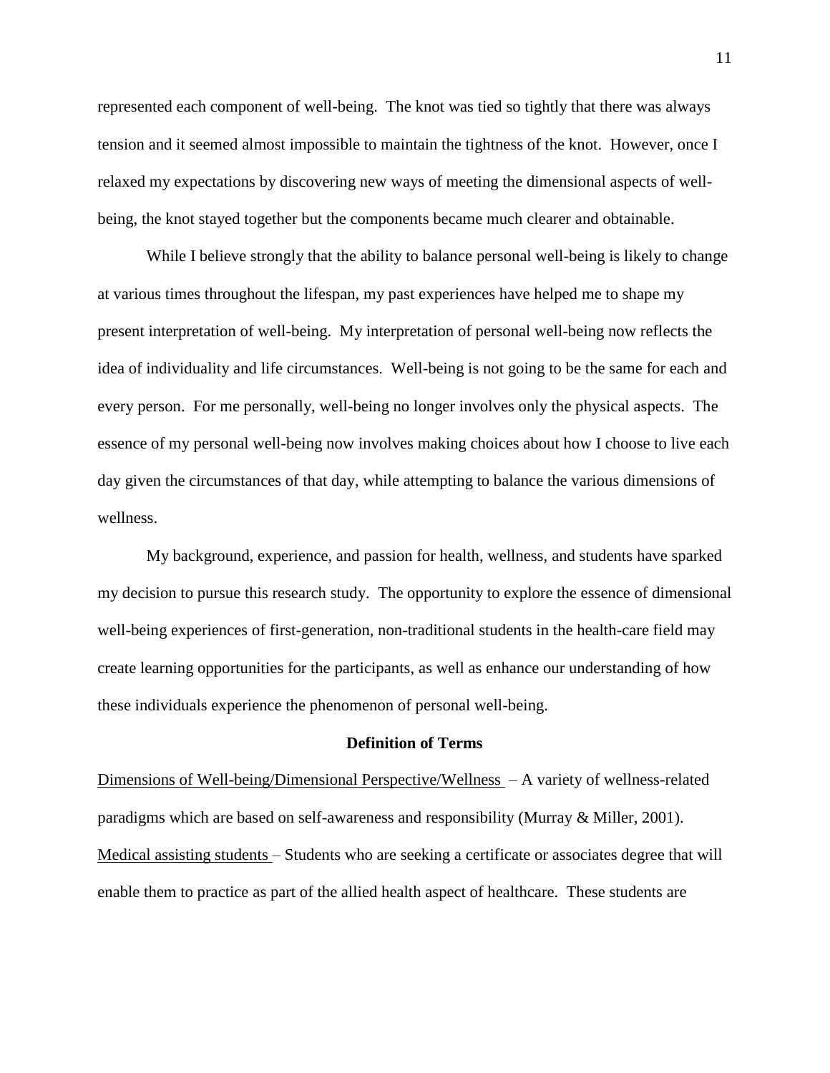represented each component of well-being. The knot was tied so tightly that there was always tension and it seemed almost impossible to maintain the tightness of the knot. However, once I relaxed my expectations by discovering new ways of meeting the dimensional aspects of wellbeing, the knot stayed together but the components became much clearer and obtainable.

While I believe strongly that the ability to balance personal well-being is likely to change at various times throughout the lifespan, my past experiences have helped me to shape my present interpretation of well-being. My interpretation of personal well-being now reflects the idea of individuality and life circumstances. Well-being is not going to be the same for each and every person. For me personally, well-being no longer involves only the physical aspects. The essence of my personal well-being now involves making choices about how I choose to live each day given the circumstances of that day, while attempting to balance the various dimensions of wellness.

My background, experience, and passion for health, wellness, and students have sparked my decision to pursue this research study. The opportunity to explore the essence of dimensional well-being experiences of first-generation, non-traditional students in the health-care field may create learning opportunities for the participants, as well as enhance our understanding of how these individuals experience the phenomenon of personal well-being.

#### **Definition of Terms**

<span id="page-17-0"></span>Dimensions of Well-being/Dimensional Perspective/Wellness – A variety of wellness-related paradigms which are based on self-awareness and responsibility (Murray & Miller, 2001). Medical assisting students – Students who are seeking a certificate or associates degree that will enable them to practice as part of the allied health aspect of healthcare. These students are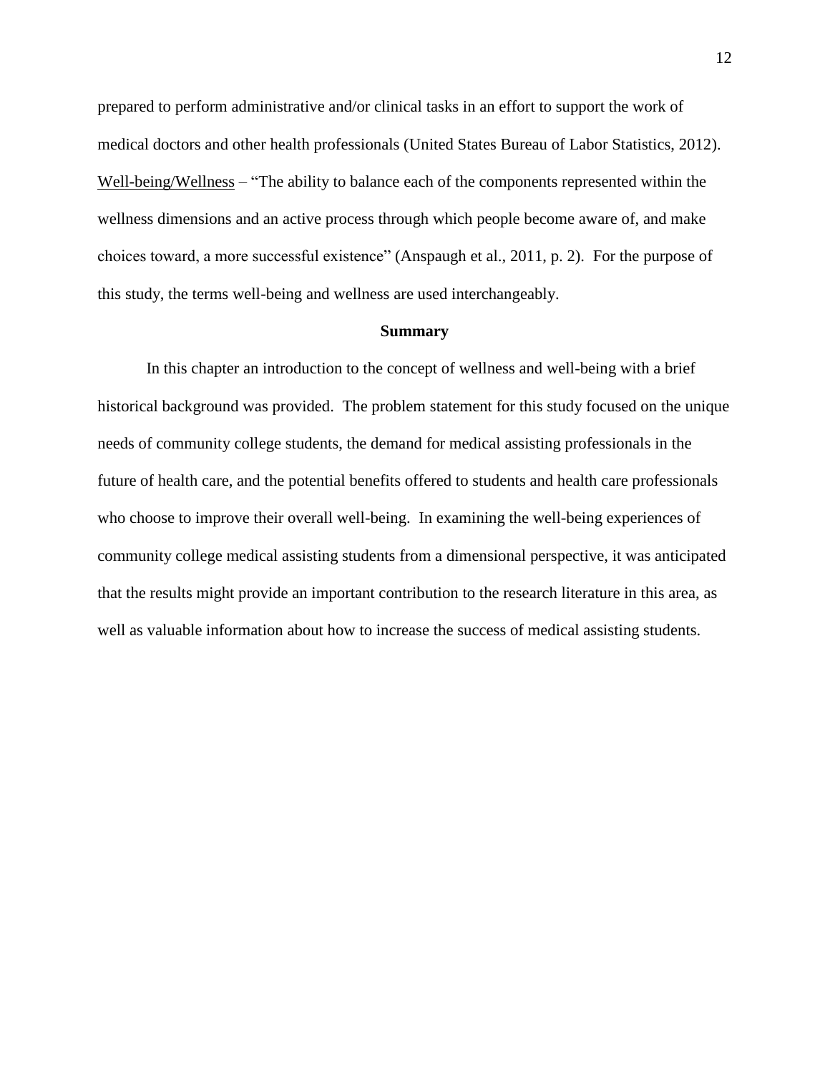prepared to perform administrative and/or clinical tasks in an effort to support the work of medical doctors and other health professionals (United States Bureau of Labor Statistics, 2012). Well-being/Wellness – "The ability to balance each of the components represented within the wellness dimensions and an active process through which people become aware of, and make choices toward, a more successful existence" (Anspaugh et al., 2011, p. 2). For the purpose of this study, the terms well-being and wellness are used interchangeably.

#### **Summary**

<span id="page-18-0"></span>In this chapter an introduction to the concept of wellness and well-being with a brief historical background was provided. The problem statement for this study focused on the unique needs of community college students, the demand for medical assisting professionals in the future of health care, and the potential benefits offered to students and health care professionals who choose to improve their overall well-being. In examining the well-being experiences of community college medical assisting students from a dimensional perspective, it was anticipated that the results might provide an important contribution to the research literature in this area, as well as valuable information about how to increase the success of medical assisting students.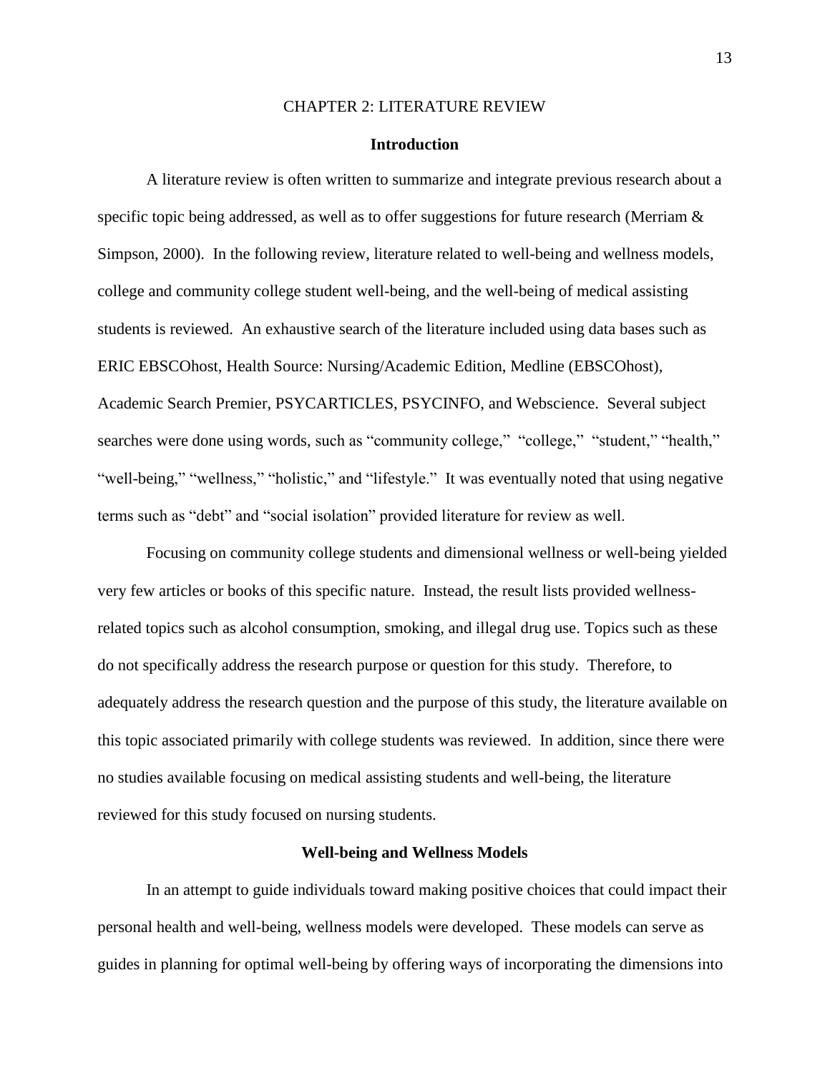#### CHAPTER 2: LITERATURE REVIEW

#### **Introduction**

<span id="page-19-0"></span>A literature review is often written to summarize and integrate previous research about a specific topic being addressed, as well as to offer suggestions for future research (Merriam & Simpson, 2000). In the following review, literature related to well-being and wellness models, college and community college student well-being, and the well-being of medical assisting students is reviewed. An exhaustive search of the literature included using data bases such as ERIC EBSCOhost, Health Source: Nursing/Academic Edition, Medline (EBSCOhost), Academic Search Premier, PSYCARTICLES, PSYCINFO, and Webscience. Several subject searches were done using words, such as "community college," "college," "student," "health," "well-being," "wellness," "holistic," and "lifestyle." It was eventually noted that using negative terms such as "debt" and "social isolation" provided literature for review as well.

Focusing on community college students and dimensional wellness or well-being yielded very few articles or books of this specific nature. Instead, the result lists provided wellnessrelated topics such as alcohol consumption, smoking, and illegal drug use. Topics such as these do not specifically address the research purpose or question for this study. Therefore, to adequately address the research question and the purpose of this study, the literature available on this topic associated primarily with college students was reviewed. In addition, since there were no studies available focusing on medical assisting students and well-being, the literature reviewed for this study focused on nursing students.

#### **Well-being and Wellness Models**

<span id="page-19-1"></span>In an attempt to guide individuals toward making positive choices that could impact their personal health and well-being, wellness models were developed. These models can serve as guides in planning for optimal well-being by offering ways of incorporating the dimensions into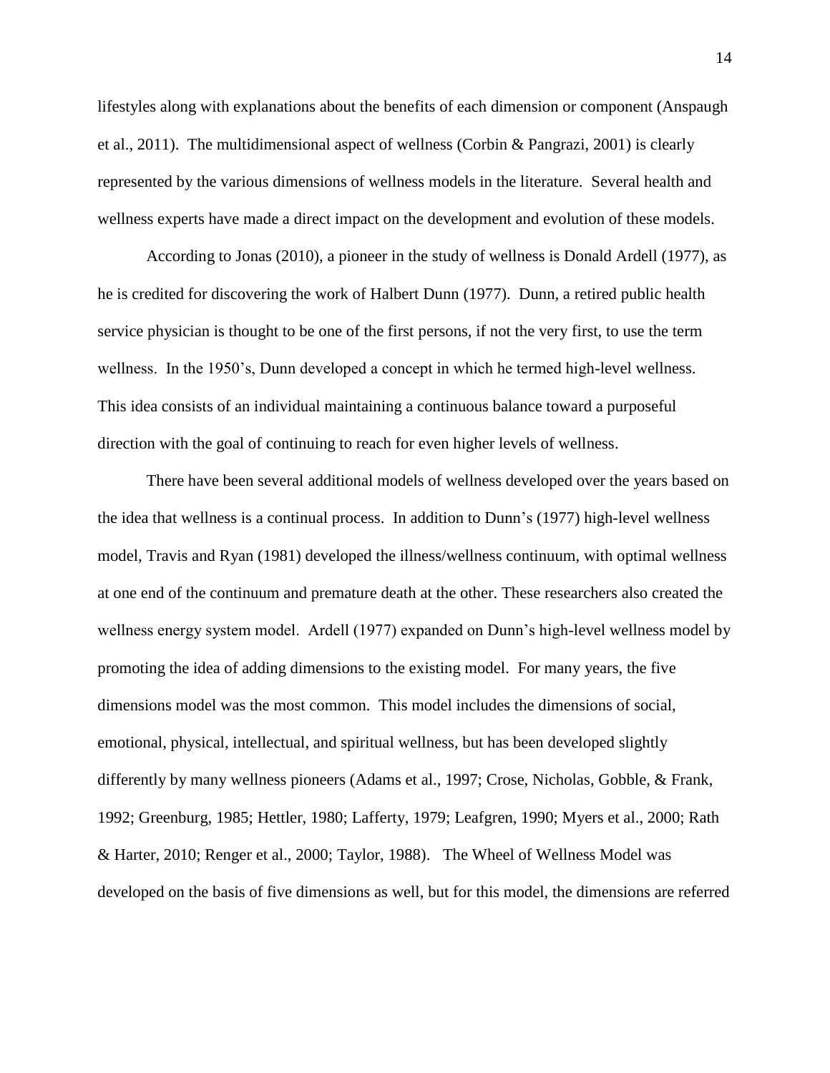lifestyles along with explanations about the benefits of each dimension or component (Anspaugh et al., 2011). The multidimensional aspect of wellness (Corbin & Pangrazi, 2001) is clearly represented by the various dimensions of wellness models in the literature. Several health and wellness experts have made a direct impact on the development and evolution of these models.

According to Jonas (2010), a pioneer in the study of wellness is Donald Ardell (1977), as he is credited for discovering the work of Halbert Dunn (1977). Dunn, a retired public health service physician is thought to be one of the first persons, if not the very first, to use the term wellness. In the 1950's, Dunn developed a concept in which he termed high-level wellness. This idea consists of an individual maintaining a continuous balance toward a purposeful direction with the goal of continuing to reach for even higher levels of wellness.

There have been several additional models of wellness developed over the years based on the idea that wellness is a continual process. In addition to Dunn's (1977) high-level wellness model, Travis and Ryan (1981) developed the illness/wellness continuum, with optimal wellness at one end of the continuum and premature death at the other. These researchers also created the wellness energy system model. Ardell (1977) expanded on Dunn's high-level wellness model by promoting the idea of adding dimensions to the existing model. For many years, the five dimensions model was the most common. This model includes the dimensions of social, emotional, physical, intellectual, and spiritual wellness, but has been developed slightly differently by many wellness pioneers (Adams et al., 1997; Crose, Nicholas, Gobble, & Frank, 1992; Greenburg, 1985; Hettler, 1980; Lafferty, 1979; Leafgren, 1990; Myers et al., 2000; Rath & Harter, 2010; Renger et al., 2000; Taylor, 1988).The Wheel of Wellness Model was developed on the basis of five dimensions as well, but for this model, the dimensions are referred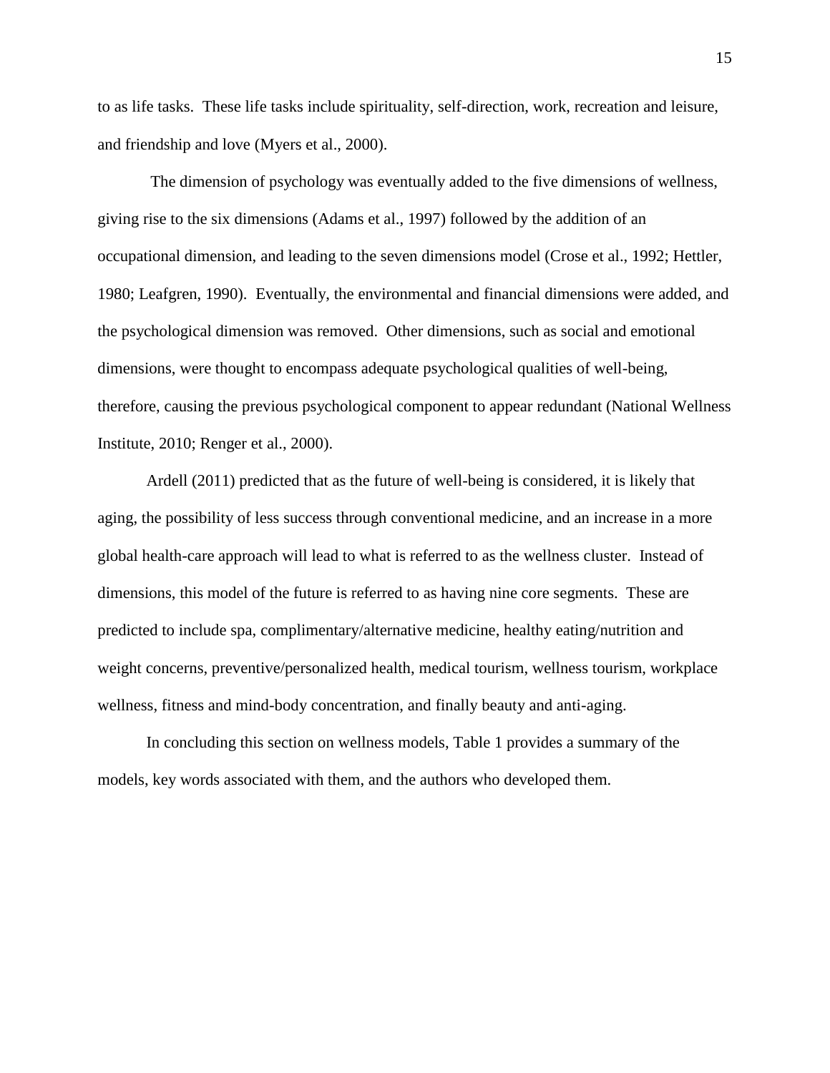to as life tasks. These life tasks include spirituality, self-direction, work, recreation and leisure, and friendship and love (Myers et al., 2000).

The dimension of psychology was eventually added to the five dimensions of wellness, giving rise to the six dimensions (Adams et al., 1997) followed by the addition of an occupational dimension, and leading to the seven dimensions model (Crose et al., 1992; Hettler, 1980; Leafgren, 1990). Eventually, the environmental and financial dimensions were added, and the psychological dimension was removed. Other dimensions, such as social and emotional dimensions, were thought to encompass adequate psychological qualities of well-being, therefore, causing the previous psychological component to appear redundant (National Wellness Institute, 2010; Renger et al., 2000).

Ardell (2011) predicted that as the future of well-being is considered, it is likely that aging, the possibility of less success through conventional medicine, and an increase in a more global health-care approach will lead to what is referred to as the wellness cluster. Instead of dimensions, this model of the future is referred to as having nine core segments. These are predicted to include spa, complimentary/alternative medicine, healthy eating/nutrition and weight concerns, preventive/personalized health, medical tourism, wellness tourism, workplace wellness, fitness and mind-body concentration, and finally beauty and anti-aging.

In concluding this section on wellness models, Table 1 provides a summary of the models, key words associated with them, and the authors who developed them.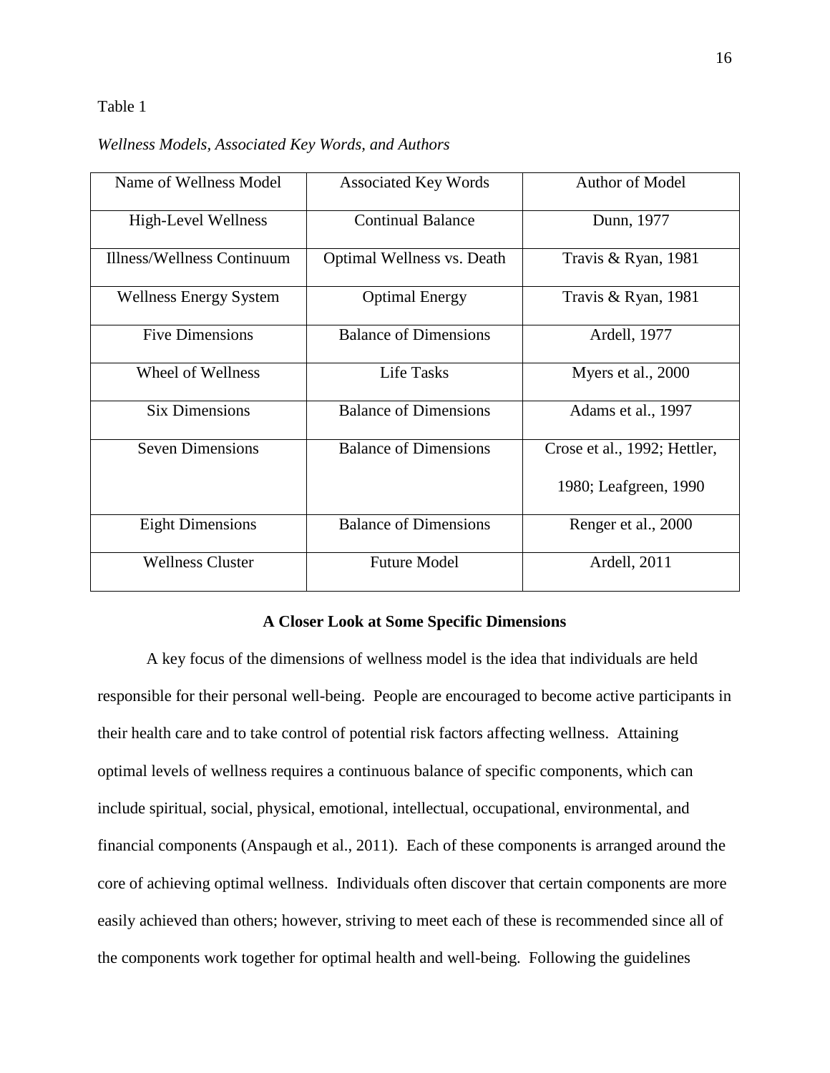#### Table 1

#### *Wellness Models, Associated Key Words, and Authors*

| Name of Wellness Model        | <b>Associated Key Words</b>  | <b>Author of Model</b>       |
|-------------------------------|------------------------------|------------------------------|
| High-Level Wellness           | <b>Continual Balance</b>     | Dunn, 1977                   |
| Illness/Wellness Continuum    | Optimal Wellness vs. Death   | Travis & Ryan, 1981          |
| <b>Wellness Energy System</b> | <b>Optimal Energy</b>        | Travis & Ryan, 1981          |
| <b>Five Dimensions</b>        | <b>Balance of Dimensions</b> | Ardell, 1977                 |
| Wheel of Wellness             | <b>Life Tasks</b>            | Myers et al., 2000           |
| <b>Six Dimensions</b>         | <b>Balance of Dimensions</b> | Adams et al., 1997           |
| <b>Seven Dimensions</b>       | <b>Balance of Dimensions</b> | Crose et al., 1992; Hettler, |
|                               |                              | 1980; Leafgreen, 1990        |
| <b>Eight Dimensions</b>       | <b>Balance of Dimensions</b> | Renger et al., 2000          |
| <b>Wellness Cluster</b>       | <b>Future Model</b>          | Ardell, 2011                 |

#### **A Closer Look at Some Specific Dimensions**

<span id="page-22-0"></span>A key focus of the dimensions of wellness model is the idea that individuals are held responsible for their personal well-being. People are encouraged to become active participants in their health care and to take control of potential risk factors affecting wellness. Attaining optimal levels of wellness requires a continuous balance of specific components, which can include spiritual, social, physical, emotional, intellectual, occupational, environmental, and financial components (Anspaugh et al., 2011). Each of these components is arranged around the core of achieving optimal wellness. Individuals often discover that certain components are more easily achieved than others; however, striving to meet each of these is recommended since all of the components work together for optimal health and well-being. Following the guidelines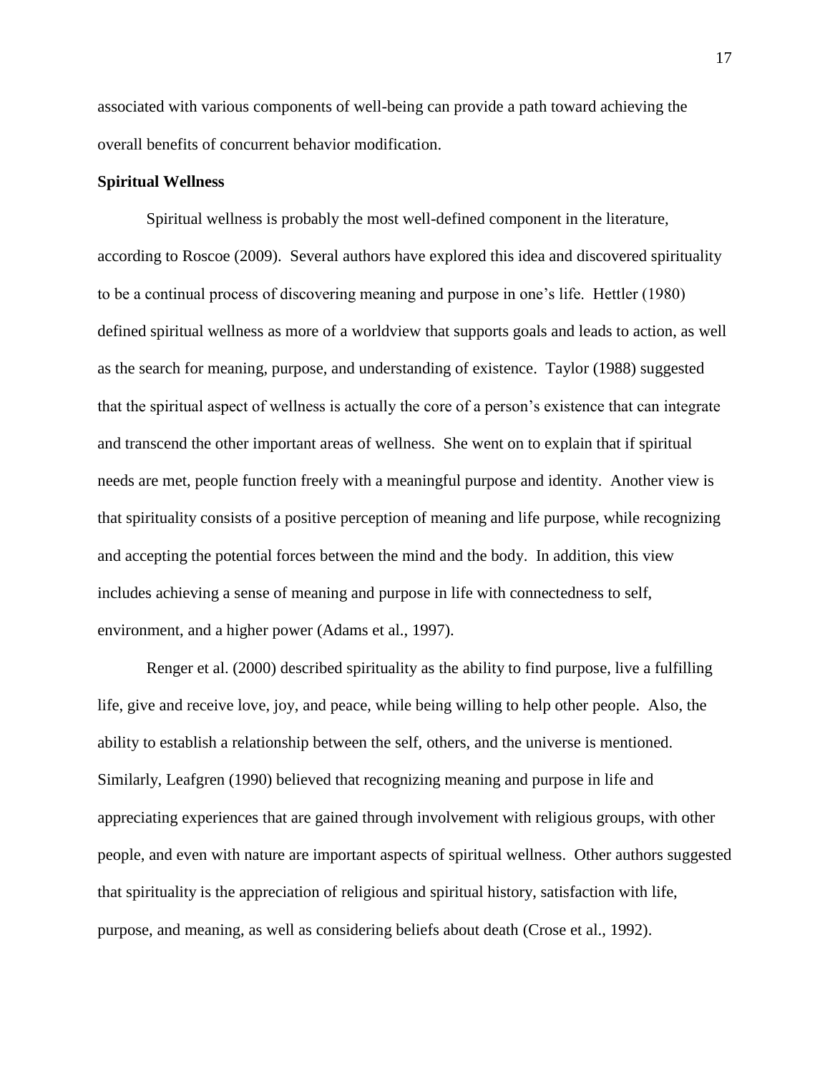associated with various components of well-being can provide a path toward achieving the overall benefits of concurrent behavior modification.

#### <span id="page-23-0"></span>**Spiritual Wellness**

Spiritual wellness is probably the most well-defined component in the literature, according to Roscoe (2009). Several authors have explored this idea and discovered spirituality to be a continual process of discovering meaning and purpose in one's life. Hettler (1980) defined spiritual wellness as more of a worldview that supports goals and leads to action, as well as the search for meaning, purpose, and understanding of existence. Taylor (1988) suggested that the spiritual aspect of wellness is actually the core of a person's existence that can integrate and transcend the other important areas of wellness. She went on to explain that if spiritual needs are met, people function freely with a meaningful purpose and identity. Another view is that spirituality consists of a positive perception of meaning and life purpose, while recognizing and accepting the potential forces between the mind and the body. In addition, this view includes achieving a sense of meaning and purpose in life with connectedness to self, environment, and a higher power (Adams et al., 1997).

Renger et al. (2000) described spirituality as the ability to find purpose, live a fulfilling life, give and receive love, joy, and peace, while being willing to help other people. Also, the ability to establish a relationship between the self, others, and the universe is mentioned. Similarly, Leafgren (1990) believed that recognizing meaning and purpose in life and appreciating experiences that are gained through involvement with religious groups, with other people, and even with nature are important aspects of spiritual wellness. Other authors suggested that spirituality is the appreciation of religious and spiritual history, satisfaction with life, purpose, and meaning, as well as considering beliefs about death (Crose et al., 1992).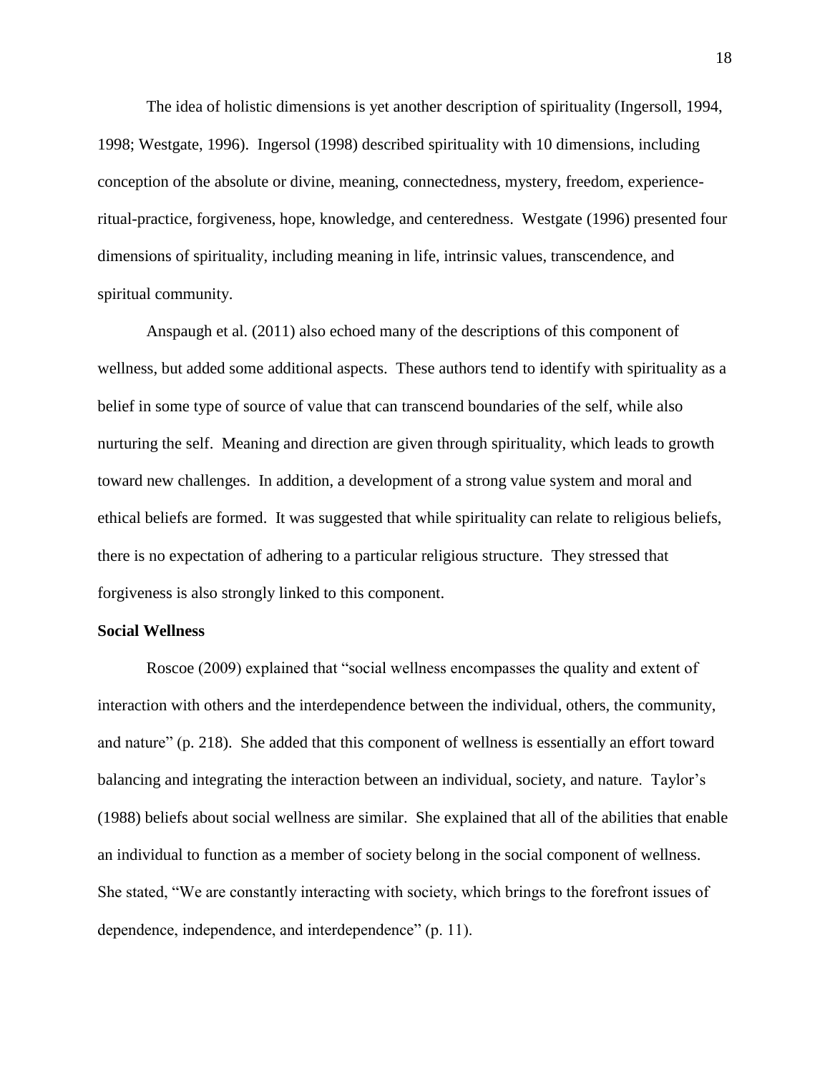The idea of holistic dimensions is yet another description of spirituality (Ingersoll, 1994, 1998; Westgate, 1996). Ingersol (1998) described spirituality with 10 dimensions, including conception of the absolute or divine, meaning, connectedness, mystery, freedom, experienceritual-practice, forgiveness, hope, knowledge, and centeredness. Westgate (1996) presented four dimensions of spirituality, including meaning in life, intrinsic values, transcendence, and spiritual community.

Anspaugh et al. (2011) also echoed many of the descriptions of this component of wellness, but added some additional aspects. These authors tend to identify with spirituality as a belief in some type of source of value that can transcend boundaries of the self, while also nurturing the self. Meaning and direction are given through spirituality, which leads to growth toward new challenges. In addition, a development of a strong value system and moral and ethical beliefs are formed. It was suggested that while spirituality can relate to religious beliefs, there is no expectation of adhering to a particular religious structure. They stressed that forgiveness is also strongly linked to this component.

#### <span id="page-24-0"></span>**Social Wellness**

Roscoe (2009) explained that "social wellness encompasses the quality and extent of interaction with others and the interdependence between the individual, others, the community, and nature" (p. 218). She added that this component of wellness is essentially an effort toward balancing and integrating the interaction between an individual, society, and nature. Taylor's (1988) beliefs about social wellness are similar. She explained that all of the abilities that enable an individual to function as a member of society belong in the social component of wellness. She stated, "We are constantly interacting with society, which brings to the forefront issues of dependence, independence, and interdependence" (p. 11).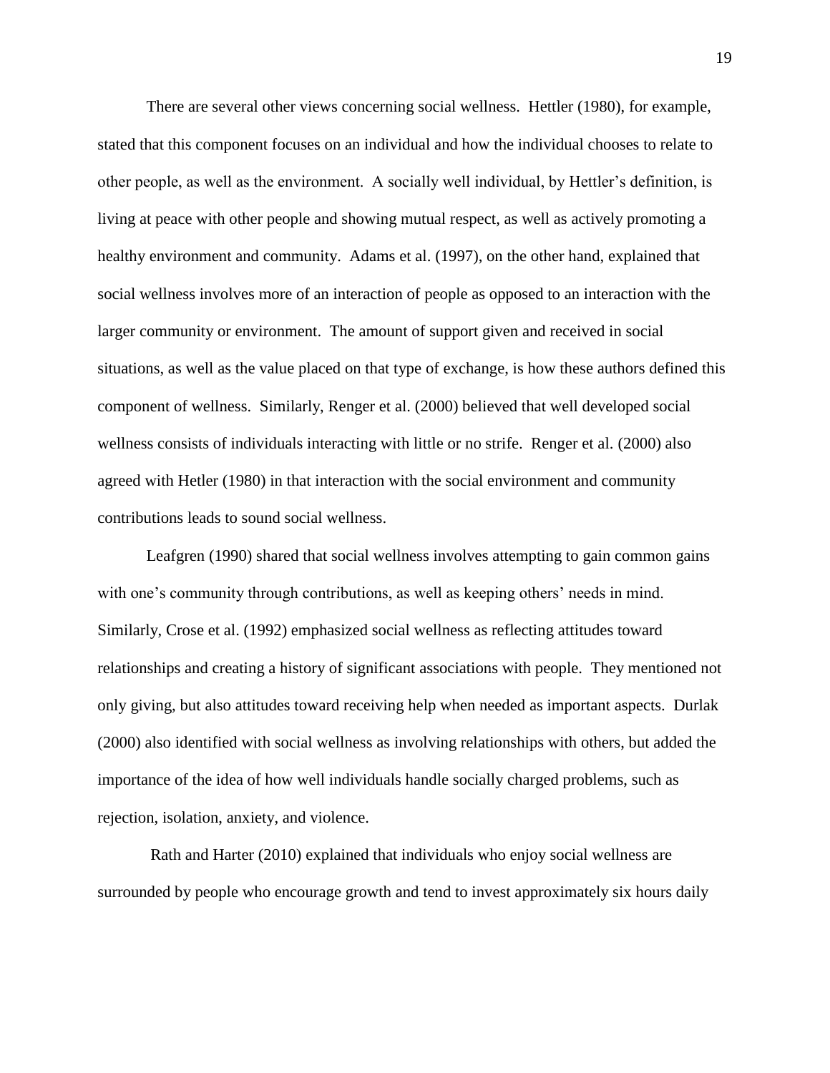There are several other views concerning social wellness. Hettler (1980), for example, stated that this component focuses on an individual and how the individual chooses to relate to other people, as well as the environment. A socially well individual, by Hettler's definition, is living at peace with other people and showing mutual respect, as well as actively promoting a healthy environment and community. Adams et al. (1997), on the other hand, explained that social wellness involves more of an interaction of people as opposed to an interaction with the larger community or environment. The amount of support given and received in social situations, as well as the value placed on that type of exchange, is how these authors defined this component of wellness. Similarly, Renger et al. (2000) believed that well developed social wellness consists of individuals interacting with little or no strife. Renger et al. (2000) also agreed with Hetler (1980) in that interaction with the social environment and community contributions leads to sound social wellness.

Leafgren (1990) shared that social wellness involves attempting to gain common gains with one's community through contributions, as well as keeping others' needs in mind. Similarly, Crose et al. (1992) emphasized social wellness as reflecting attitudes toward relationships and creating a history of significant associations with people. They mentioned not only giving, but also attitudes toward receiving help when needed as important aspects. Durlak (2000) also identified with social wellness as involving relationships with others, but added the importance of the idea of how well individuals handle socially charged problems, such as rejection, isolation, anxiety, and violence.

Rath and Harter (2010) explained that individuals who enjoy social wellness are surrounded by people who encourage growth and tend to invest approximately six hours daily

19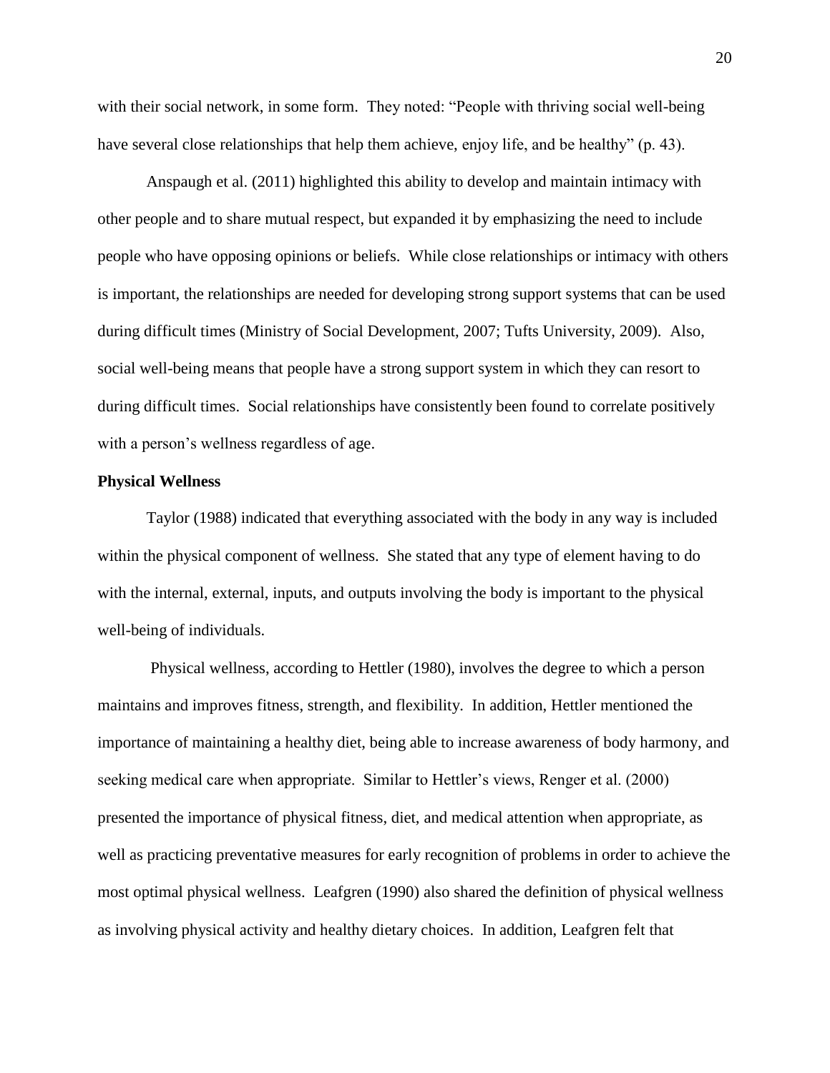with their social network, in some form. They noted: "People with thriving social well-being have several close relationships that help them achieve, enjoy life, and be healthy" (p. 43).

Anspaugh et al. (2011) highlighted this ability to develop and maintain intimacy with other people and to share mutual respect, but expanded it by emphasizing the need to include people who have opposing opinions or beliefs. While close relationships or intimacy with others is important, the relationships are needed for developing strong support systems that can be used during difficult times (Ministry of Social Development, 2007; Tufts University, 2009). Also, social well-being means that people have a strong support system in which they can resort to during difficult times. Social relationships have consistently been found to correlate positively with a person's wellness regardless of age.

#### <span id="page-26-0"></span>**Physical Wellness**

Taylor (1988) indicated that everything associated with the body in any way is included within the physical component of wellness. She stated that any type of element having to do with the internal, external, inputs, and outputs involving the body is important to the physical well-being of individuals.

Physical wellness, according to Hettler (1980), involves the degree to which a person maintains and improves fitness, strength, and flexibility. In addition, Hettler mentioned the importance of maintaining a healthy diet, being able to increase awareness of body harmony, and seeking medical care when appropriate. Similar to Hettler's views, Renger et al. (2000) presented the importance of physical fitness, diet, and medical attention when appropriate, as well as practicing preventative measures for early recognition of problems in order to achieve the most optimal physical wellness. Leafgren (1990) also shared the definition of physical wellness as involving physical activity and healthy dietary choices. In addition, Leafgren felt that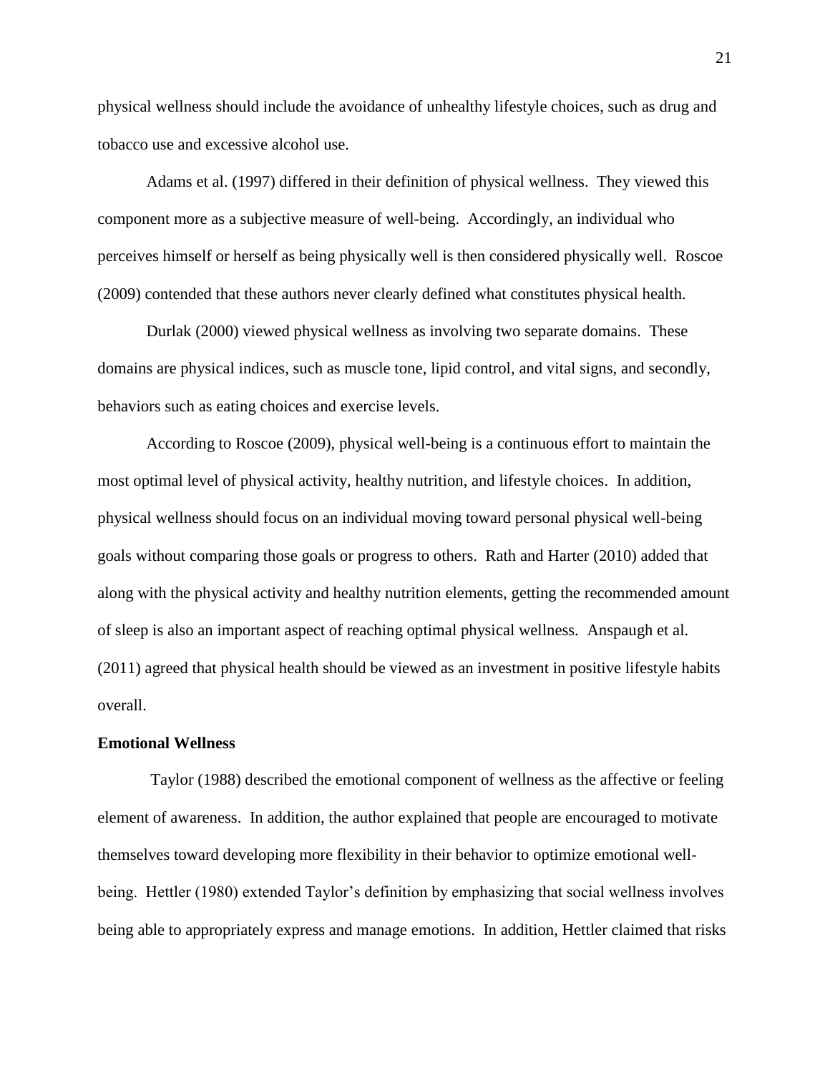physical wellness should include the avoidance of unhealthy lifestyle choices, such as drug and tobacco use and excessive alcohol use.

Adams et al. (1997) differed in their definition of physical wellness. They viewed this component more as a subjective measure of well-being. Accordingly, an individual who perceives himself or herself as being physically well is then considered physically well. Roscoe (2009) contended that these authors never clearly defined what constitutes physical health.

Durlak (2000) viewed physical wellness as involving two separate domains. These domains are physical indices, such as muscle tone, lipid control, and vital signs, and secondly, behaviors such as eating choices and exercise levels.

According to Roscoe (2009), physical well-being is a continuous effort to maintain the most optimal level of physical activity, healthy nutrition, and lifestyle choices. In addition, physical wellness should focus on an individual moving toward personal physical well-being goals without comparing those goals or progress to others. Rath and Harter (2010) added that along with the physical activity and healthy nutrition elements, getting the recommended amount of sleep is also an important aspect of reaching optimal physical wellness. Anspaugh et al. (2011) agreed that physical health should be viewed as an investment in positive lifestyle habits overall.

#### <span id="page-27-0"></span>**Emotional Wellness**

Taylor (1988) described the emotional component of wellness as the affective or feeling element of awareness. In addition, the author explained that people are encouraged to motivate themselves toward developing more flexibility in their behavior to optimize emotional wellbeing. Hettler (1980) extended Taylor's definition by emphasizing that social wellness involves being able to appropriately express and manage emotions. In addition, Hettler claimed that risks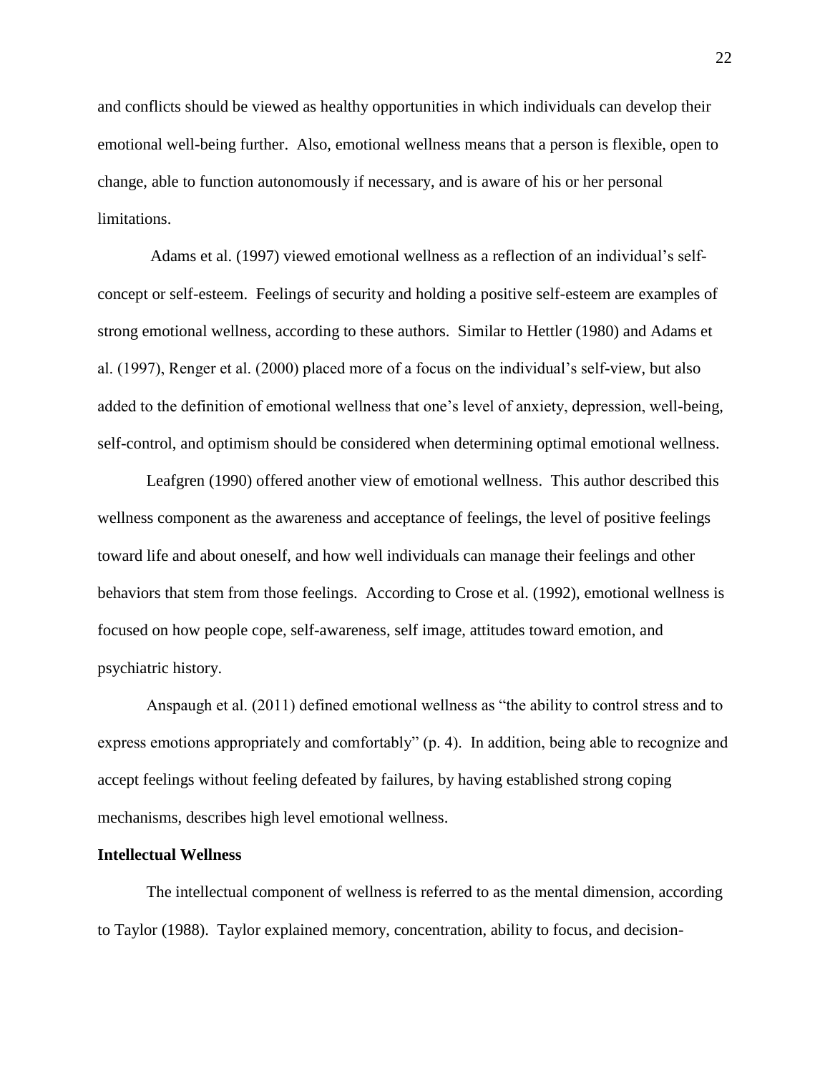and conflicts should be viewed as healthy opportunities in which individuals can develop their emotional well-being further. Also, emotional wellness means that a person is flexible, open to change, able to function autonomously if necessary, and is aware of his or her personal limitations.

Adams et al. (1997) viewed emotional wellness as a reflection of an individual's selfconcept or self-esteem. Feelings of security and holding a positive self-esteem are examples of strong emotional wellness, according to these authors. Similar to Hettler (1980) and Adams et al. (1997), Renger et al. (2000) placed more of a focus on the individual's self-view, but also added to the definition of emotional wellness that one's level of anxiety, depression, well-being, self-control, and optimism should be considered when determining optimal emotional wellness.

Leafgren (1990) offered another view of emotional wellness. This author described this wellness component as the awareness and acceptance of feelings, the level of positive feelings toward life and about oneself, and how well individuals can manage their feelings and other behaviors that stem from those feelings. According to Crose et al. (1992), emotional wellness is focused on how people cope, self-awareness, self image, attitudes toward emotion, and psychiatric history.

Anspaugh et al. (2011) defined emotional wellness as "the ability to control stress and to express emotions appropriately and comfortably" (p. 4). In addition, being able to recognize and accept feelings without feeling defeated by failures, by having established strong coping mechanisms, describes high level emotional wellness.

#### <span id="page-28-0"></span>**Intellectual Wellness**

The intellectual component of wellness is referred to as the mental dimension, according to Taylor (1988). Taylor explained memory, concentration, ability to focus, and decision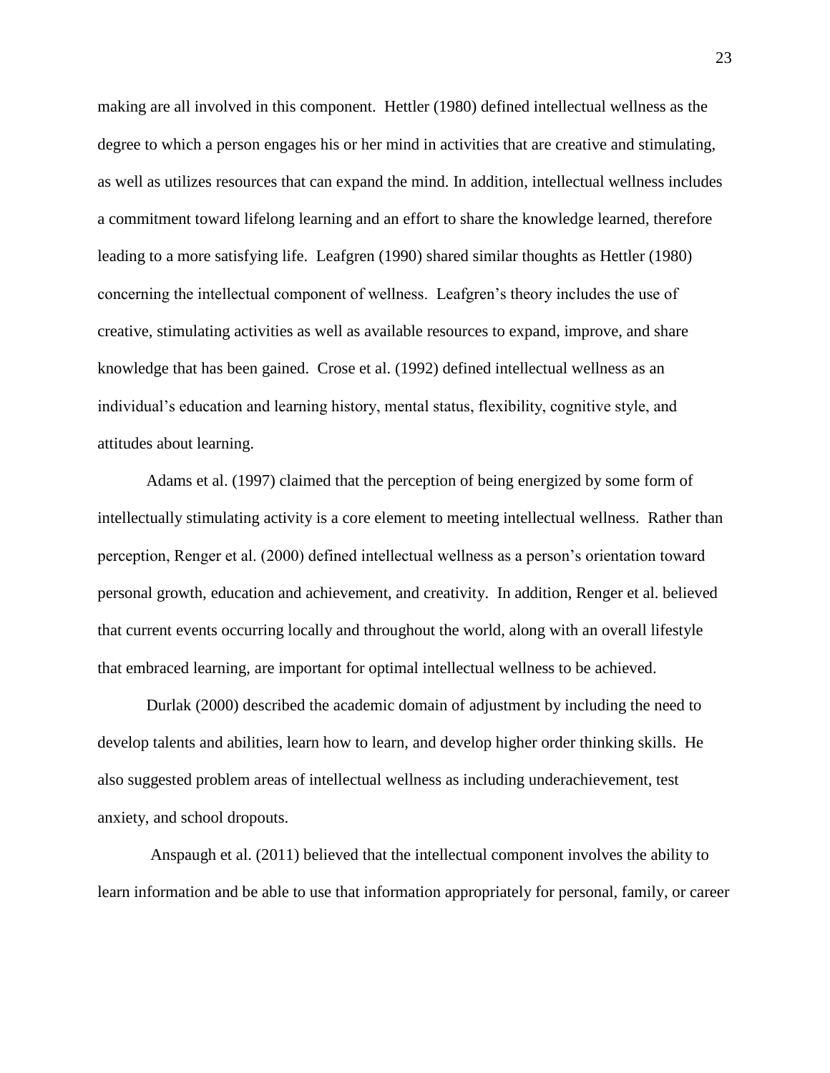making are all involved in this component. Hettler (1980) defined intellectual wellness as the degree to which a person engages his or her mind in activities that are creative and stimulating, as well as utilizes resources that can expand the mind. In addition, intellectual wellness includes a commitment toward lifelong learning and an effort to share the knowledge learned, therefore leading to a more satisfying life. Leafgren (1990) shared similar thoughts as Hettler (1980) concerning the intellectual component of wellness. Leafgren's theory includes the use of creative, stimulating activities as well as available resources to expand, improve, and share knowledge that has been gained. Crose et al. (1992) defined intellectual wellness as an individual's education and learning history, mental status, flexibility, cognitive style, and attitudes about learning.

Adams et al. (1997) claimed that the perception of being energized by some form of intellectually stimulating activity is a core element to meeting intellectual wellness. Rather than perception, Renger et al. (2000) defined intellectual wellness as a person's orientation toward personal growth, education and achievement, and creativity. In addition, Renger et al. believed that current events occurring locally and throughout the world, along with an overall lifestyle that embraced learning, are important for optimal intellectual wellness to be achieved.

Durlak (2000) described the academic domain of adjustment by including the need to develop talents and abilities, learn how to learn, and develop higher order thinking skills. He also suggested problem areas of intellectual wellness as including underachievement, test anxiety, and school dropouts.

Anspaugh et al. (2011) believed that the intellectual component involves the ability to learn information and be able to use that information appropriately for personal, family, or career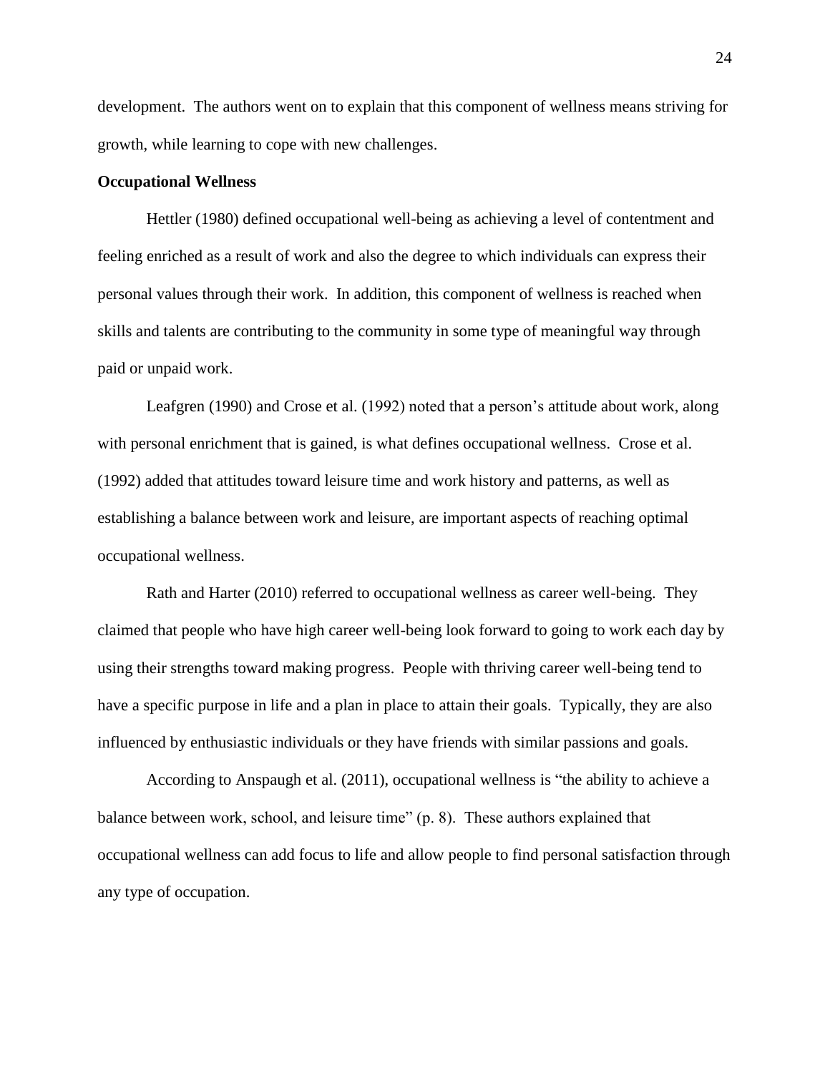development. The authors went on to explain that this component of wellness means striving for growth, while learning to cope with new challenges.

#### <span id="page-30-0"></span>**Occupational Wellness**

Hettler (1980) defined occupational well-being as achieving a level of contentment and feeling enriched as a result of work and also the degree to which individuals can express their personal values through their work. In addition, this component of wellness is reached when skills and talents are contributing to the community in some type of meaningful way through paid or unpaid work.

Leafgren (1990) and Crose et al. (1992) noted that a person's attitude about work, along with personal enrichment that is gained, is what defines occupational wellness. Crose et al. (1992) added that attitudes toward leisure time and work history and patterns, as well as establishing a balance between work and leisure, are important aspects of reaching optimal occupational wellness.

Rath and Harter (2010) referred to occupational wellness as career well-being. They claimed that people who have high career well-being look forward to going to work each day by using their strengths toward making progress. People with thriving career well-being tend to have a specific purpose in life and a plan in place to attain their goals. Typically, they are also influenced by enthusiastic individuals or they have friends with similar passions and goals.

According to Anspaugh et al. (2011), occupational wellness is "the ability to achieve a balance between work, school, and leisure time" (p. 8). These authors explained that occupational wellness can add focus to life and allow people to find personal satisfaction through any type of occupation.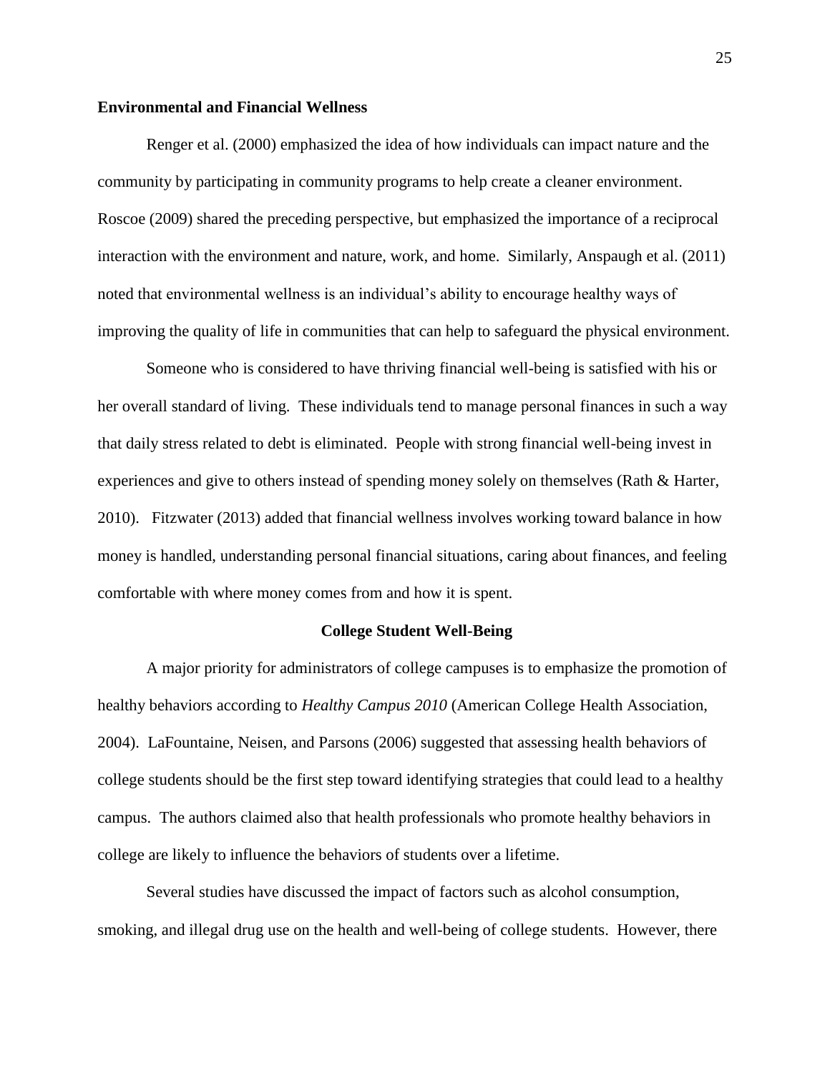#### <span id="page-31-0"></span>**Environmental and Financial Wellness**

Renger et al. (2000) emphasized the idea of how individuals can impact nature and the community by participating in community programs to help create a cleaner environment. Roscoe (2009) shared the preceding perspective, but emphasized the importance of a reciprocal interaction with the environment and nature, work, and home. Similarly, Anspaugh et al. (2011) noted that environmental wellness is an individual's ability to encourage healthy ways of improving the quality of life in communities that can help to safeguard the physical environment.

Someone who is considered to have thriving financial well-being is satisfied with his or her overall standard of living. These individuals tend to manage personal finances in such a way that daily stress related to debt is eliminated. People with strong financial well-being invest in experiences and give to others instead of spending money solely on themselves (Rath & Harter, 2010). Fitzwater (2013) added that financial wellness involves working toward balance in how money is handled, understanding personal financial situations, caring about finances, and feeling comfortable with where money comes from and how it is spent.

#### <span id="page-31-1"></span>**College Student Well-Being**

A major priority for administrators of college campuses is to emphasize the promotion of healthy behaviors according to *Healthy Campus 2010* (American College Health Association, 2004). LaFountaine, Neisen, and Parsons (2006) suggested that assessing health behaviors of college students should be the first step toward identifying strategies that could lead to a healthy campus. The authors claimed also that health professionals who promote healthy behaviors in college are likely to influence the behaviors of students over a lifetime.

Several studies have discussed the impact of factors such as alcohol consumption, smoking, and illegal drug use on the health and well-being of college students. However, there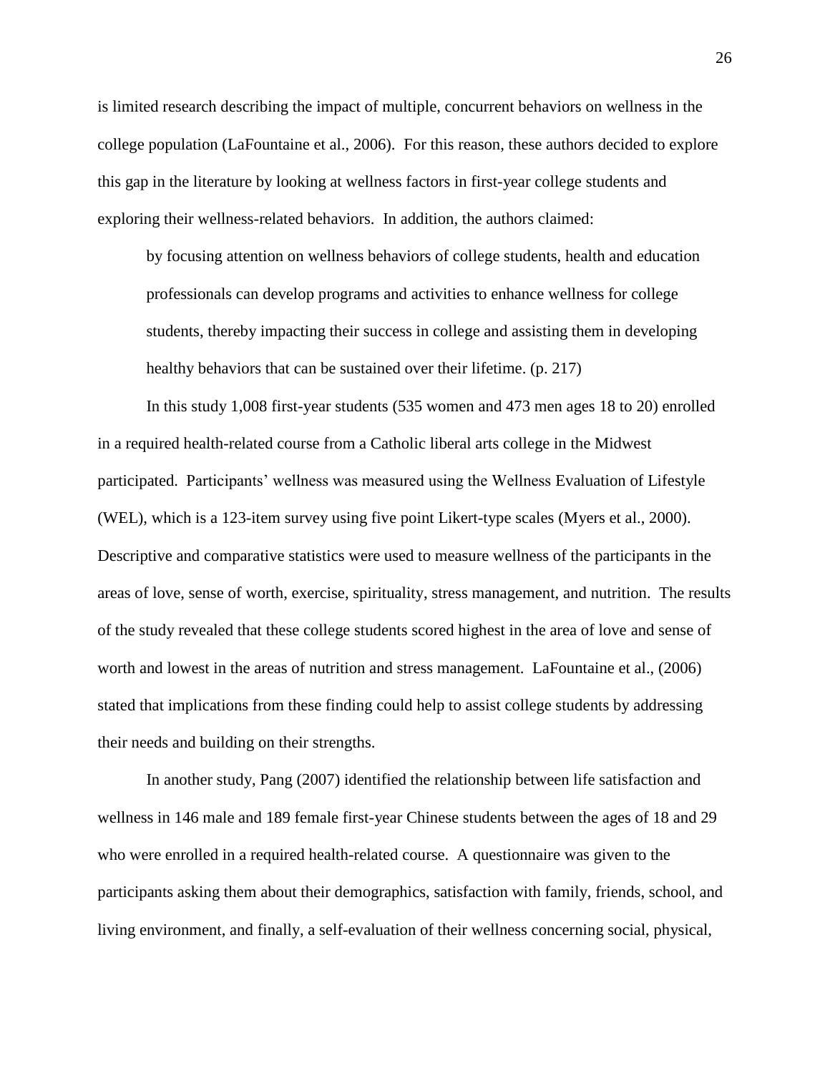is limited research describing the impact of multiple, concurrent behaviors on wellness in the college population (LaFountaine et al., 2006). For this reason, these authors decided to explore this gap in the literature by looking at wellness factors in first-year college students and exploring their wellness-related behaviors. In addition, the authors claimed:

by focusing attention on wellness behaviors of college students, health and education professionals can develop programs and activities to enhance wellness for college students, thereby impacting their success in college and assisting them in developing healthy behaviors that can be sustained over their lifetime. (p. 217)

In this study 1,008 first-year students (535 women and 473 men ages 18 to 20) enrolled in a required health-related course from a Catholic liberal arts college in the Midwest participated. Participants' wellness was measured using the Wellness Evaluation of Lifestyle (WEL), which is a 123-item survey using five point Likert-type scales (Myers et al., 2000). Descriptive and comparative statistics were used to measure wellness of the participants in the areas of love, sense of worth, exercise, spirituality, stress management, and nutrition. The results of the study revealed that these college students scored highest in the area of love and sense of worth and lowest in the areas of nutrition and stress management. LaFountaine et al., (2006) stated that implications from these finding could help to assist college students by addressing their needs and building on their strengths.

In another study, Pang (2007) identified the relationship between life satisfaction and wellness in 146 male and 189 female first-year Chinese students between the ages of 18 and 29 who were enrolled in a required health-related course. A questionnaire was given to the participants asking them about their demographics, satisfaction with family, friends, school, and living environment, and finally, a self-evaluation of their wellness concerning social, physical,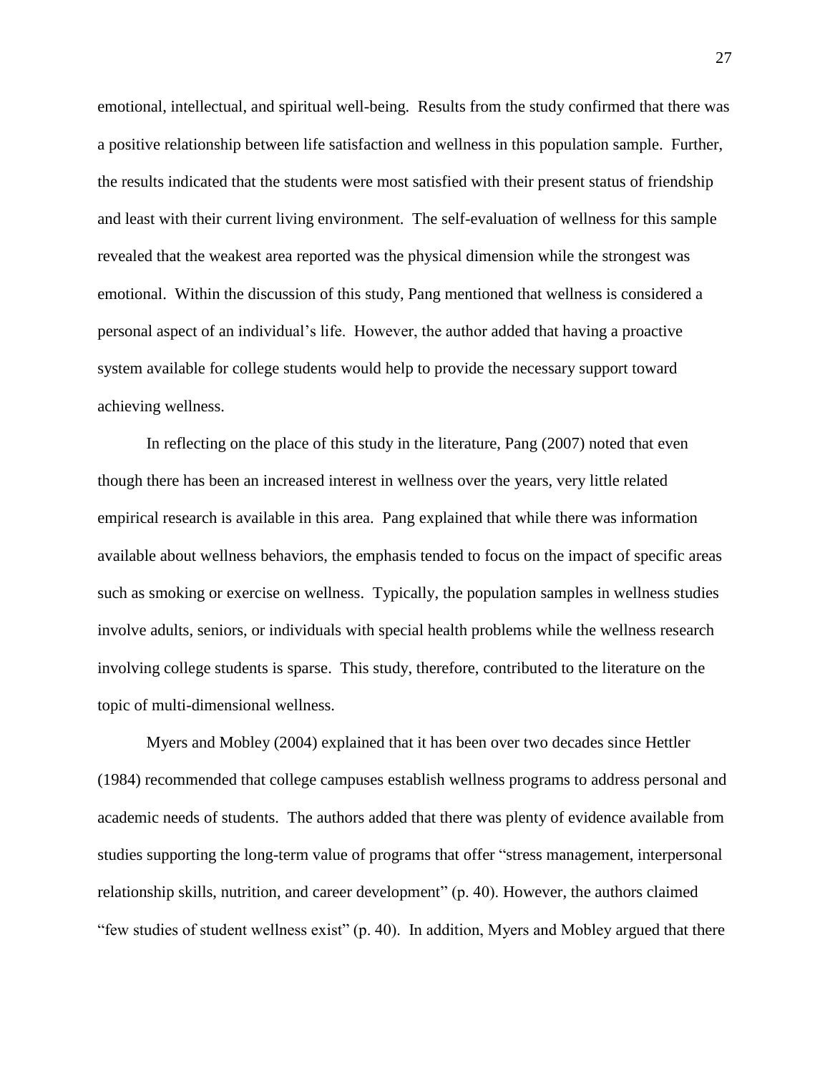emotional, intellectual, and spiritual well-being. Results from the study confirmed that there was a positive relationship between life satisfaction and wellness in this population sample. Further, the results indicated that the students were most satisfied with their present status of friendship and least with their current living environment. The self-evaluation of wellness for this sample revealed that the weakest area reported was the physical dimension while the strongest was emotional. Within the discussion of this study, Pang mentioned that wellness is considered a personal aspect of an individual's life. However, the author added that having a proactive system available for college students would help to provide the necessary support toward achieving wellness.

In reflecting on the place of this study in the literature, Pang (2007) noted that even though there has been an increased interest in wellness over the years, very little related empirical research is available in this area. Pang explained that while there was information available about wellness behaviors, the emphasis tended to focus on the impact of specific areas such as smoking or exercise on wellness. Typically, the population samples in wellness studies involve adults, seniors, or individuals with special health problems while the wellness research involving college students is sparse. This study, therefore, contributed to the literature on the topic of multi-dimensional wellness.

Myers and Mobley (2004) explained that it has been over two decades since Hettler (1984) recommended that college campuses establish wellness programs to address personal and academic needs of students. The authors added that there was plenty of evidence available from studies supporting the long-term value of programs that offer "stress management, interpersonal relationship skills, nutrition, and career development" (p. 40). However, the authors claimed "few studies of student wellness exist" (p. 40). In addition, Myers and Mobley argued that there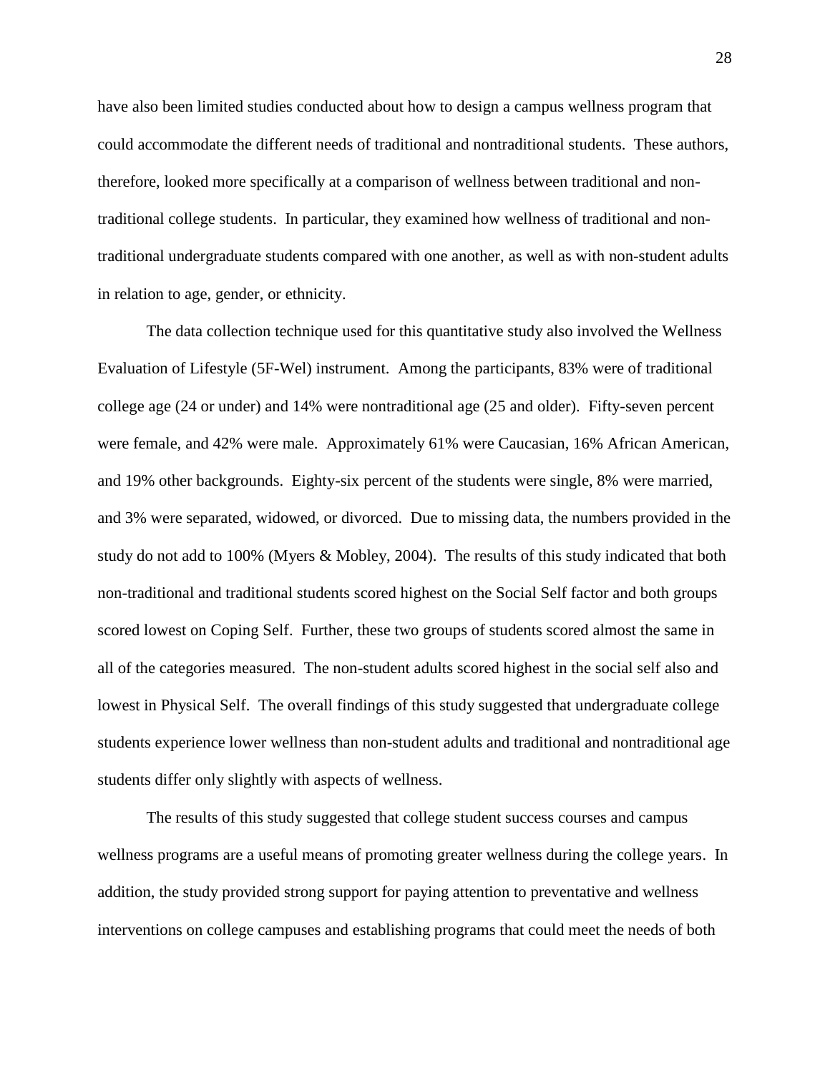have also been limited studies conducted about how to design a campus wellness program that could accommodate the different needs of traditional and nontraditional students. These authors, therefore, looked more specifically at a comparison of wellness between traditional and nontraditional college students. In particular, they examined how wellness of traditional and nontraditional undergraduate students compared with one another, as well as with non-student adults in relation to age, gender, or ethnicity.

The data collection technique used for this quantitative study also involved the Wellness Evaluation of Lifestyle (5F-Wel) instrument. Among the participants, 83% were of traditional college age (24 or under) and 14% were nontraditional age (25 and older). Fifty-seven percent were female, and 42% were male. Approximately 61% were Caucasian, 16% African American, and 19% other backgrounds. Eighty-six percent of the students were single, 8% were married, and 3% were separated, widowed, or divorced. Due to missing data, the numbers provided in the study do not add to 100% (Myers & Mobley, 2004). The results of this study indicated that both non-traditional and traditional students scored highest on the Social Self factor and both groups scored lowest on Coping Self. Further, these two groups of students scored almost the same in all of the categories measured. The non-student adults scored highest in the social self also and lowest in Physical Self. The overall findings of this study suggested that undergraduate college students experience lower wellness than non-student adults and traditional and nontraditional age students differ only slightly with aspects of wellness.

The results of this study suggested that college student success courses and campus wellness programs are a useful means of promoting greater wellness during the college years. In addition, the study provided strong support for paying attention to preventative and wellness interventions on college campuses and establishing programs that could meet the needs of both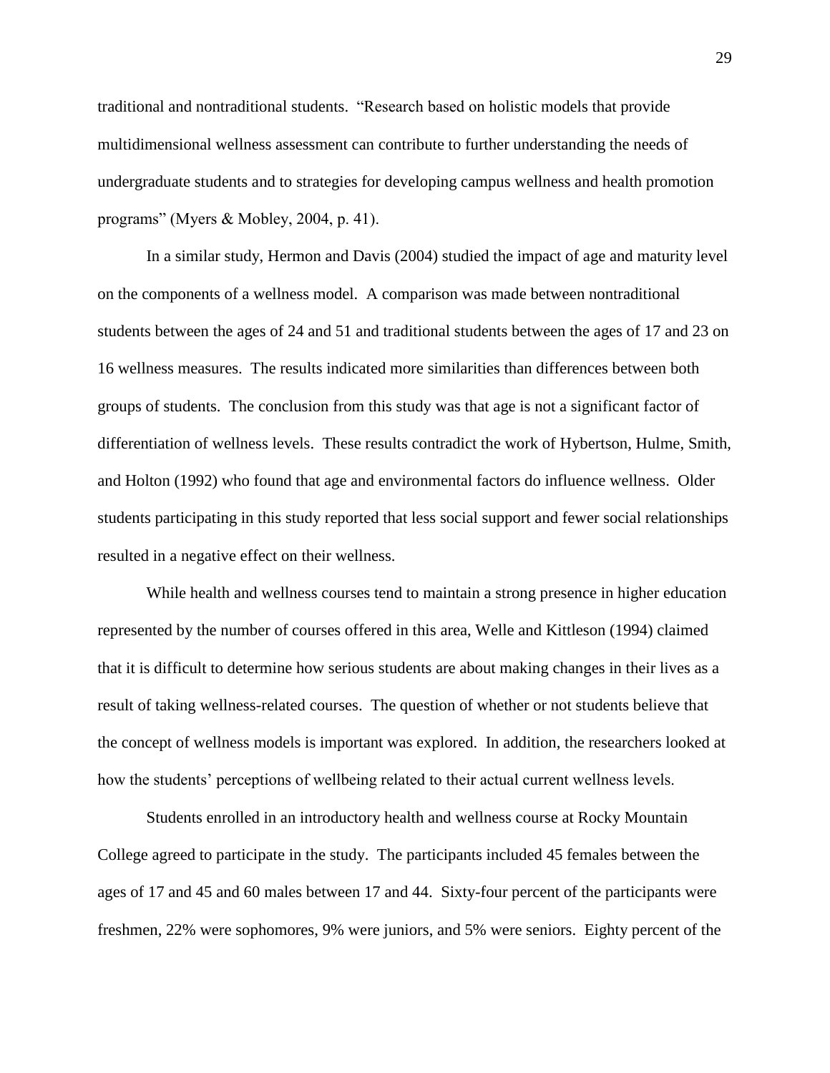traditional and nontraditional students. "Research based on holistic models that provide multidimensional wellness assessment can contribute to further understanding the needs of undergraduate students and to strategies for developing campus wellness and health promotion programs" (Myers & Mobley, 2004, p. 41).

In a similar study, Hermon and Davis (2004) studied the impact of age and maturity level on the components of a wellness model. A comparison was made between nontraditional students between the ages of 24 and 51 and traditional students between the ages of 17 and 23 on 16 wellness measures. The results indicated more similarities than differences between both groups of students. The conclusion from this study was that age is not a significant factor of differentiation of wellness levels. These results contradict the work of Hybertson, Hulme, Smith, and Holton (1992) who found that age and environmental factors do influence wellness. Older students participating in this study reported that less social support and fewer social relationships resulted in a negative effect on their wellness.

While health and wellness courses tend to maintain a strong presence in higher education represented by the number of courses offered in this area, Welle and Kittleson (1994) claimed that it is difficult to determine how serious students are about making changes in their lives as a result of taking wellness-related courses. The question of whether or not students believe that the concept of wellness models is important was explored. In addition, the researchers looked at how the students' perceptions of wellbeing related to their actual current wellness levels.

Students enrolled in an introductory health and wellness course at Rocky Mountain College agreed to participate in the study. The participants included 45 females between the ages of 17 and 45 and 60 males between 17 and 44. Sixty-four percent of the participants were freshmen, 22% were sophomores, 9% were juniors, and 5% were seniors. Eighty percent of the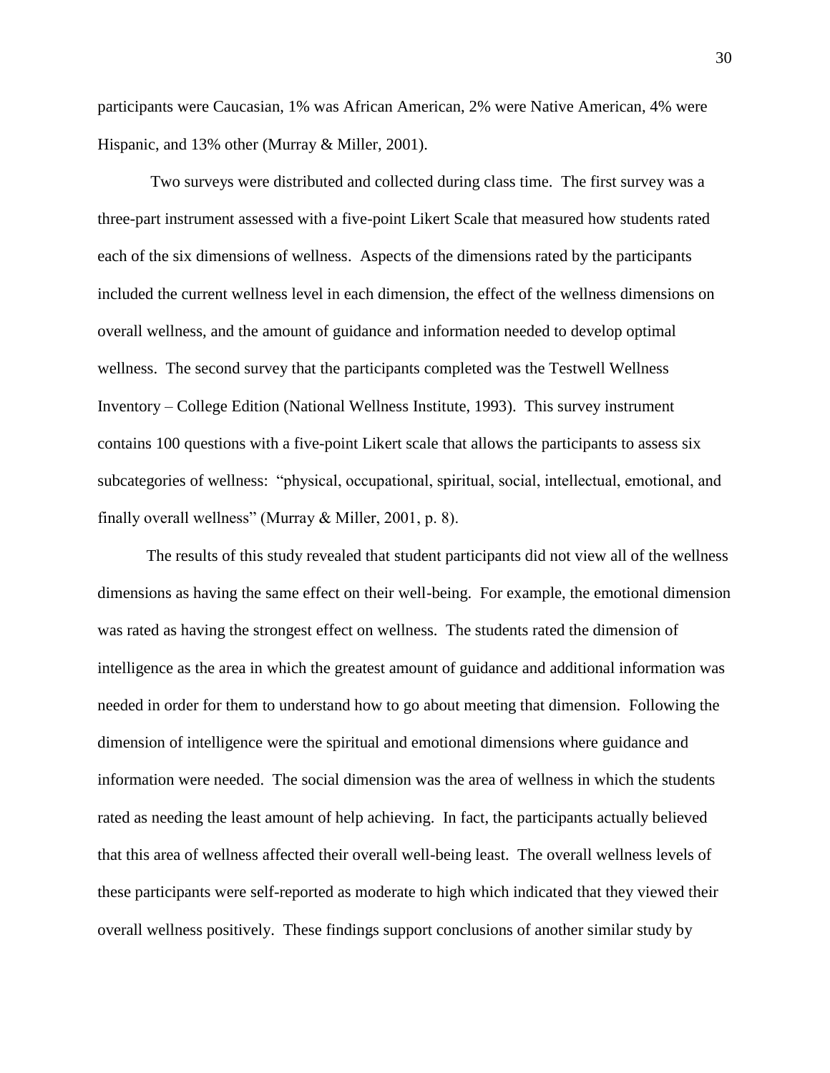participants were Caucasian, 1% was African American, 2% were Native American, 4% were Hispanic, and 13% other (Murray & Miller, 2001).

Two surveys were distributed and collected during class time. The first survey was a three-part instrument assessed with a five-point Likert Scale that measured how students rated each of the six dimensions of wellness. Aspects of the dimensions rated by the participants included the current wellness level in each dimension, the effect of the wellness dimensions on overall wellness, and the amount of guidance and information needed to develop optimal wellness. The second survey that the participants completed was the Testwell Wellness Inventory – College Edition (National Wellness Institute, 1993). This survey instrument contains 100 questions with a five-point Likert scale that allows the participants to assess six subcategories of wellness: "physical, occupational, spiritual, social, intellectual, emotional, and finally overall wellness" (Murray & Miller, 2001, p. 8).

The results of this study revealed that student participants did not view all of the wellness dimensions as having the same effect on their well-being. For example, the emotional dimension was rated as having the strongest effect on wellness. The students rated the dimension of intelligence as the area in which the greatest amount of guidance and additional information was needed in order for them to understand how to go about meeting that dimension. Following the dimension of intelligence were the spiritual and emotional dimensions where guidance and information were needed. The social dimension was the area of wellness in which the students rated as needing the least amount of help achieving. In fact, the participants actually believed that this area of wellness affected their overall well-being least. The overall wellness levels of these participants were self-reported as moderate to high which indicated that they viewed their overall wellness positively. These findings support conclusions of another similar study by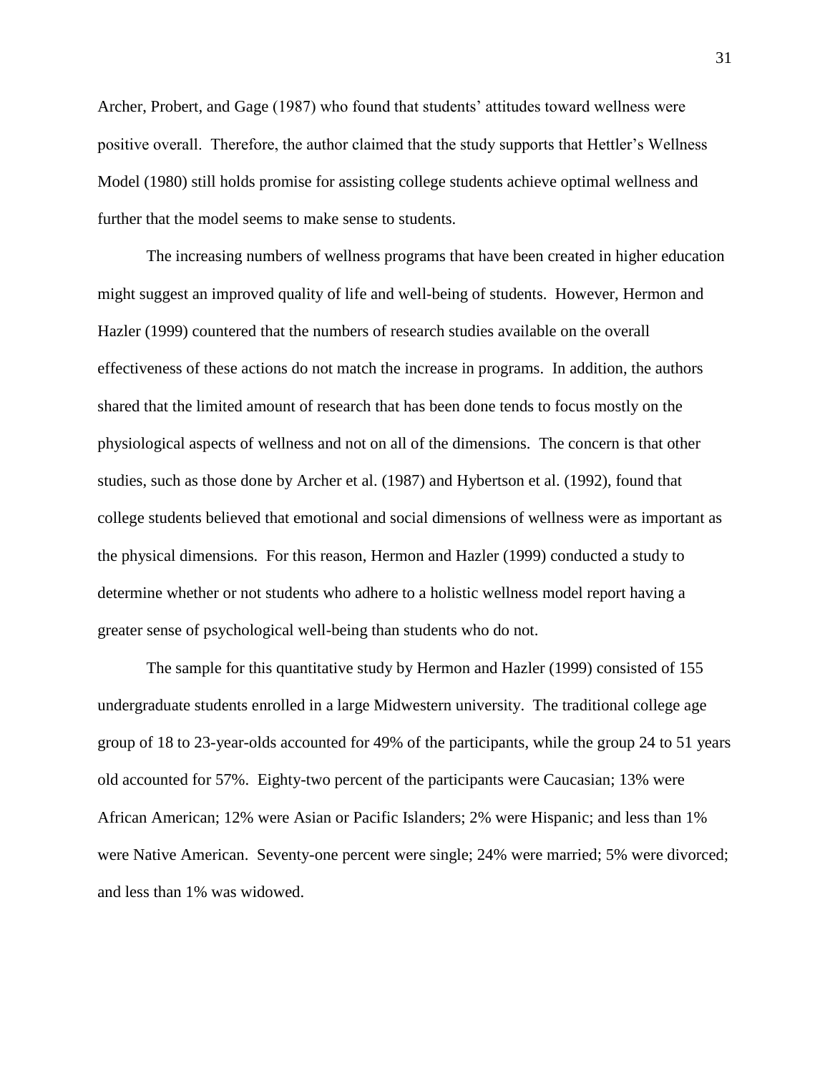Archer, Probert, and Gage (1987) who found that students' attitudes toward wellness were positive overall. Therefore, the author claimed that the study supports that Hettler's Wellness Model (1980) still holds promise for assisting college students achieve optimal wellness and further that the model seems to make sense to students.

The increasing numbers of wellness programs that have been created in higher education might suggest an improved quality of life and well-being of students. However, Hermon and Hazler (1999) countered that the numbers of research studies available on the overall effectiveness of these actions do not match the increase in programs. In addition, the authors shared that the limited amount of research that has been done tends to focus mostly on the physiological aspects of wellness and not on all of the dimensions. The concern is that other studies, such as those done by Archer et al. (1987) and Hybertson et al. (1992), found that college students believed that emotional and social dimensions of wellness were as important as the physical dimensions. For this reason, Hermon and Hazler (1999) conducted a study to determine whether or not students who adhere to a holistic wellness model report having a greater sense of psychological well-being than students who do not.

The sample for this quantitative study by Hermon and Hazler (1999) consisted of 155 undergraduate students enrolled in a large Midwestern university. The traditional college age group of 18 to 23-year-olds accounted for 49% of the participants, while the group 24 to 51 years old accounted for 57%. Eighty-two percent of the participants were Caucasian; 13% were African American; 12% were Asian or Pacific Islanders; 2% were Hispanic; and less than 1% were Native American. Seventy-one percent were single; 24% were married; 5% were divorced; and less than 1% was widowed.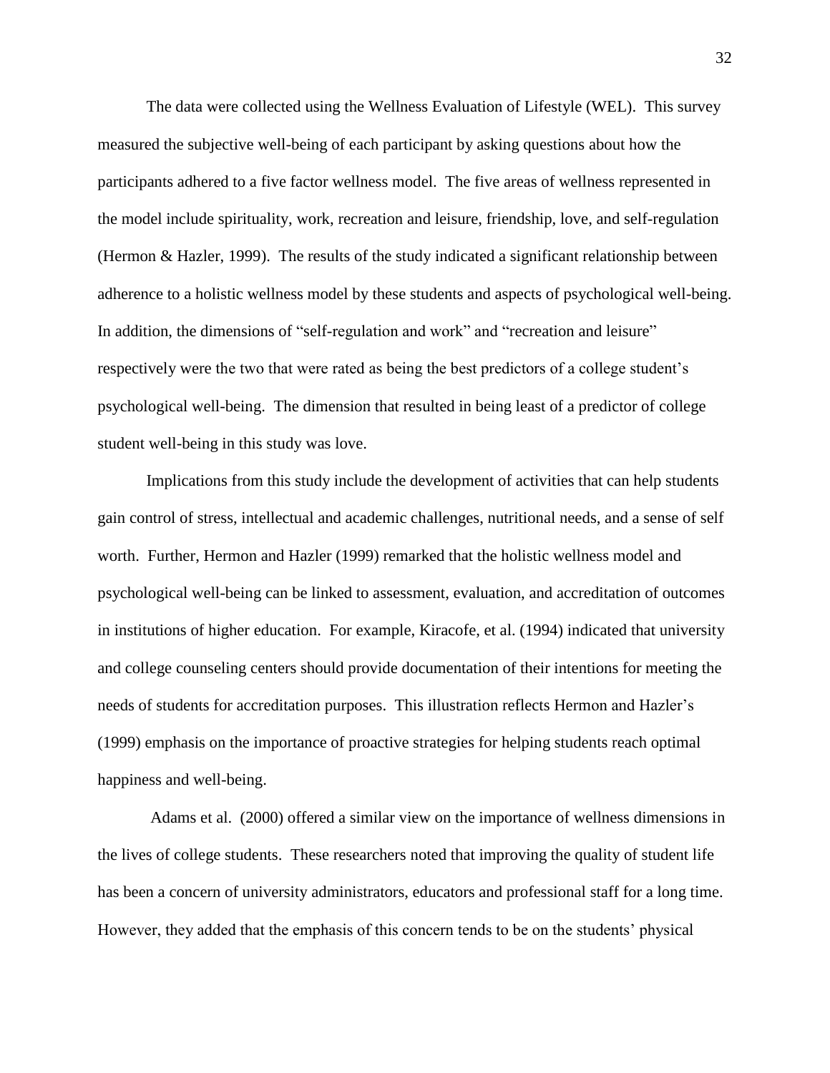The data were collected using the Wellness Evaluation of Lifestyle (WEL). This survey measured the subjective well-being of each participant by asking questions about how the participants adhered to a five factor wellness model. The five areas of wellness represented in the model include spirituality, work, recreation and leisure, friendship, love, and self-regulation (Hermon & Hazler, 1999). The results of the study indicated a significant relationship between adherence to a holistic wellness model by these students and aspects of psychological well-being. In addition, the dimensions of "self-regulation and work" and "recreation and leisure" respectively were the two that were rated as being the best predictors of a college student's psychological well-being. The dimension that resulted in being least of a predictor of college student well-being in this study was love.

Implications from this study include the development of activities that can help students gain control of stress, intellectual and academic challenges, nutritional needs, and a sense of self worth. Further, Hermon and Hazler (1999) remarked that the holistic wellness model and psychological well-being can be linked to assessment, evaluation, and accreditation of outcomes in institutions of higher education. For example, Kiracofe, et al. (1994) indicated that university and college counseling centers should provide documentation of their intentions for meeting the needs of students for accreditation purposes. This illustration reflects Hermon and Hazler's (1999) emphasis on the importance of proactive strategies for helping students reach optimal happiness and well-being.

Adams et al. (2000) offered a similar view on the importance of wellness dimensions in the lives of college students. These researchers noted that improving the quality of student life has been a concern of university administrators, educators and professional staff for a long time. However, they added that the emphasis of this concern tends to be on the students' physical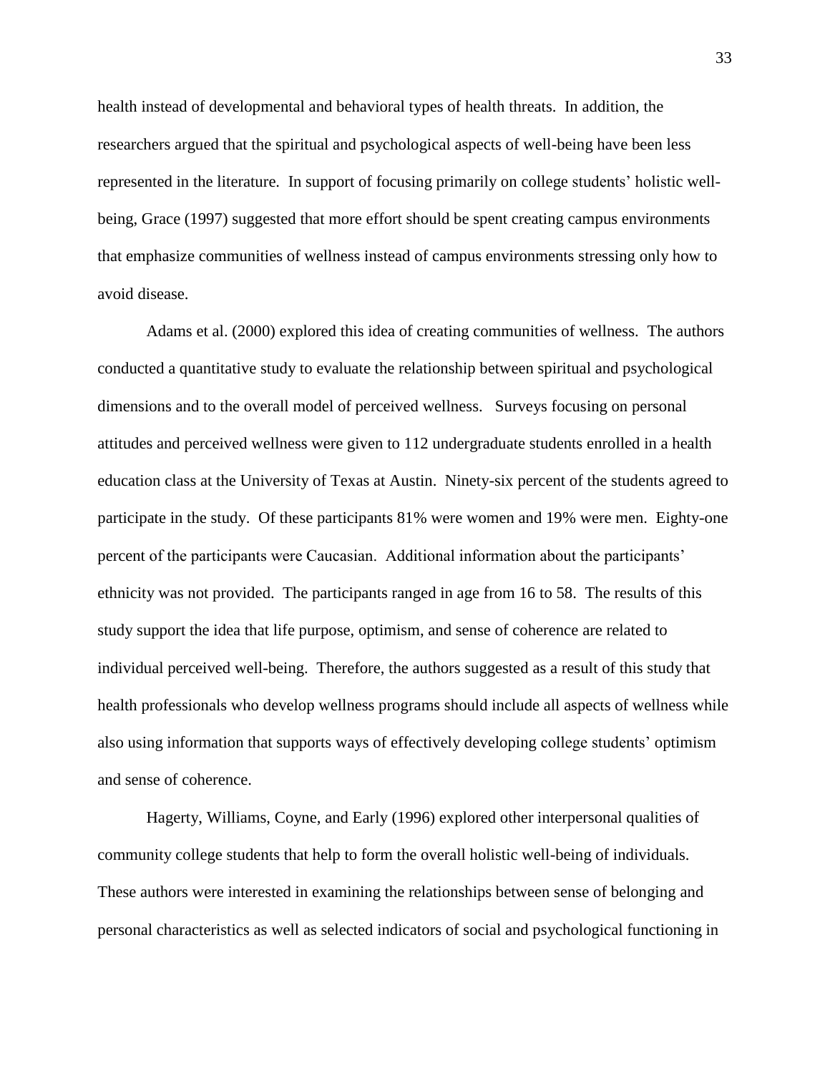health instead of developmental and behavioral types of health threats. In addition, the researchers argued that the spiritual and psychological aspects of well-being have been less represented in the literature. In support of focusing primarily on college students' holistic wellbeing, Grace (1997) suggested that more effort should be spent creating campus environments that emphasize communities of wellness instead of campus environments stressing only how to avoid disease.

Adams et al. (2000) explored this idea of creating communities of wellness. The authors conducted a quantitative study to evaluate the relationship between spiritual and psychological dimensions and to the overall model of perceived wellness. Surveys focusing on personal attitudes and perceived wellness were given to 112 undergraduate students enrolled in a health education class at the University of Texas at Austin. Ninety-six percent of the students agreed to participate in the study. Of these participants 81% were women and 19% were men. Eighty-one percent of the participants were Caucasian. Additional information about the participants' ethnicity was not provided. The participants ranged in age from 16 to 58. The results of this study support the idea that life purpose, optimism, and sense of coherence are related to individual perceived well-being. Therefore, the authors suggested as a result of this study that health professionals who develop wellness programs should include all aspects of wellness while also using information that supports ways of effectively developing college students' optimism and sense of coherence.

Hagerty, Williams, Coyne, and Early (1996) explored other interpersonal qualities of community college students that help to form the overall holistic well-being of individuals. These authors were interested in examining the relationships between sense of belonging and personal characteristics as well as selected indicators of social and psychological functioning in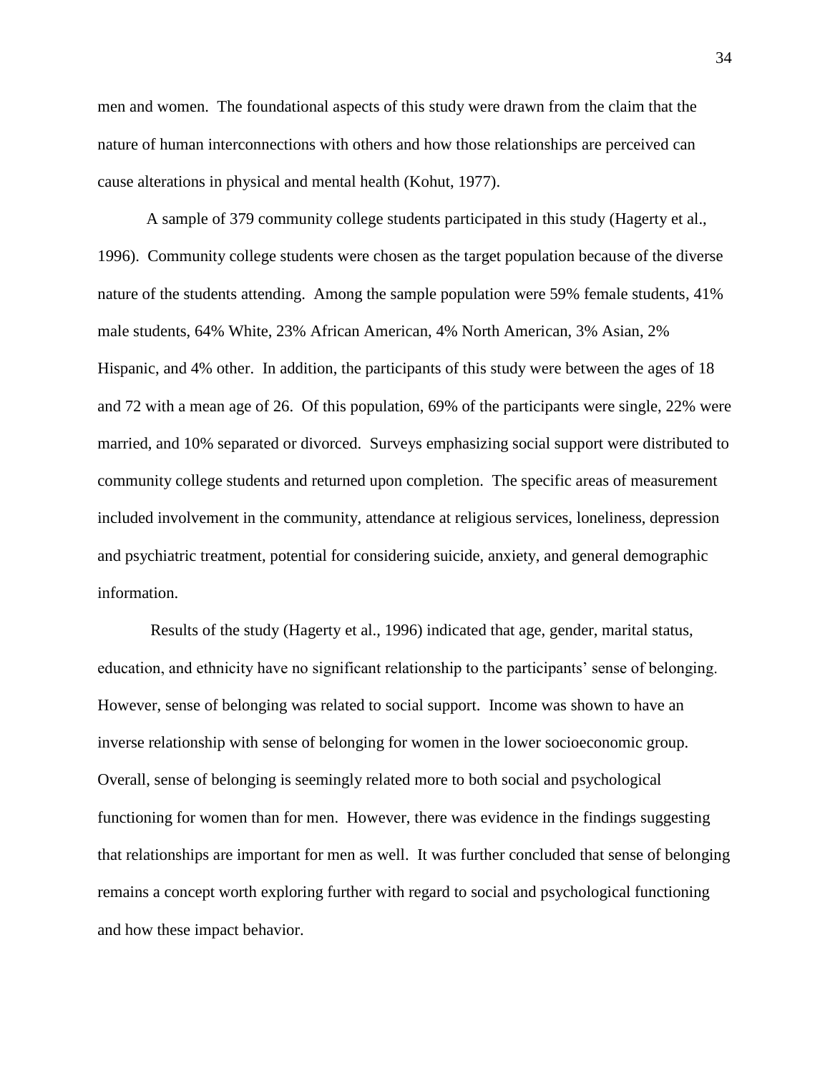men and women. The foundational aspects of this study were drawn from the claim that the nature of human interconnections with others and how those relationships are perceived can cause alterations in physical and mental health (Kohut, 1977).

A sample of 379 community college students participated in this study (Hagerty et al., 1996). Community college students were chosen as the target population because of the diverse nature of the students attending. Among the sample population were 59% female students, 41% male students, 64% White, 23% African American, 4% North American, 3% Asian, 2% Hispanic, and 4% other. In addition, the participants of this study were between the ages of 18 and 72 with a mean age of 26. Of this population, 69% of the participants were single, 22% were married, and 10% separated or divorced. Surveys emphasizing social support were distributed to community college students and returned upon completion. The specific areas of measurement included involvement in the community, attendance at religious services, loneliness, depression and psychiatric treatment, potential for considering suicide, anxiety, and general demographic information.

Results of the study (Hagerty et al., 1996) indicated that age, gender, marital status, education, and ethnicity have no significant relationship to the participants' sense of belonging. However, sense of belonging was related to social support. Income was shown to have an inverse relationship with sense of belonging for women in the lower socioeconomic group. Overall, sense of belonging is seemingly related more to both social and psychological functioning for women than for men. However, there was evidence in the findings suggesting that relationships are important for men as well. It was further concluded that sense of belonging remains a concept worth exploring further with regard to social and psychological functioning and how these impact behavior.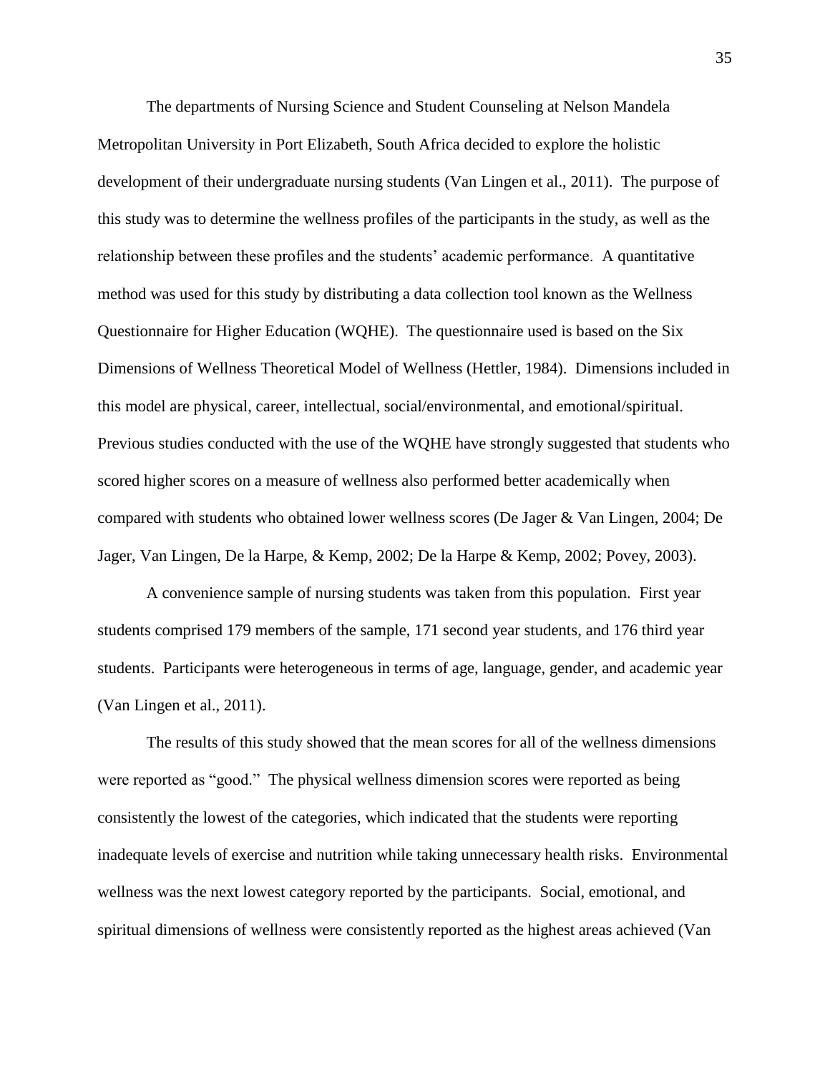The departments of Nursing Science and Student Counseling at Nelson Mandela Metropolitan University in Port Elizabeth, South Africa decided to explore the holistic development of their undergraduate nursing students (Van Lingen et al., 2011). The purpose of this study was to determine the wellness profiles of the participants in the study, as well as the relationship between these profiles and the students' academic performance. A quantitative method was used for this study by distributing a data collection tool known as the Wellness Questionnaire for Higher Education (WQHE). The questionnaire used is based on the Six Dimensions of Wellness Theoretical Model of Wellness (Hettler, 1984). Dimensions included in this model are physical, career, intellectual, social/environmental, and emotional/spiritual. Previous studies conducted with the use of the WQHE have strongly suggested that students who scored higher scores on a measure of wellness also performed better academically when compared with students who obtained lower wellness scores (De Jager & Van Lingen, 2004; De Jager, Van Lingen, De la Harpe, & Kemp, 2002; De la Harpe & Kemp, 2002; Povey, 2003).

A convenience sample of nursing students was taken from this population. First year students comprised 179 members of the sample, 171 second year students, and 176 third year students. Participants were heterogeneous in terms of age, language, gender, and academic year (Van Lingen et al., 2011).

The results of this study showed that the mean scores for all of the wellness dimensions were reported as "good." The physical wellness dimension scores were reported as being consistently the lowest of the categories, which indicated that the students were reporting inadequate levels of exercise and nutrition while taking unnecessary health risks. Environmental wellness was the next lowest category reported by the participants. Social, emotional, and spiritual dimensions of wellness were consistently reported as the highest areas achieved (Van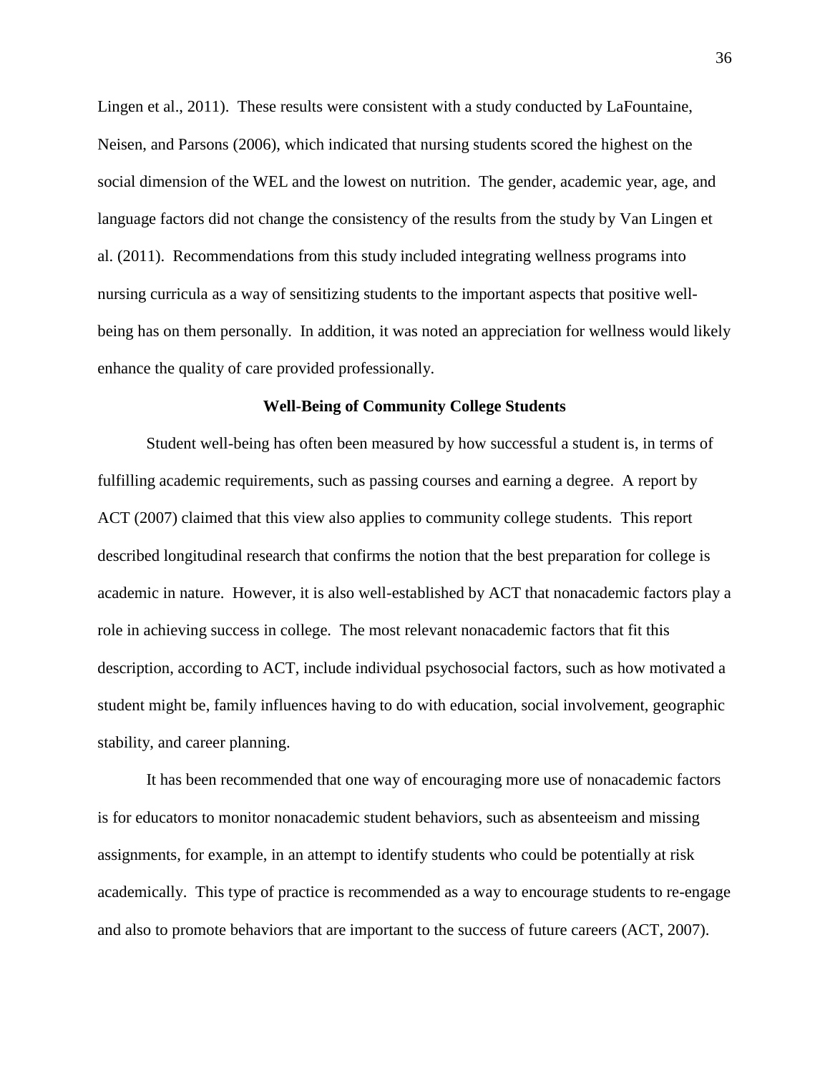Lingen et al., 2011). These results were consistent with a study conducted by LaFountaine, Neisen, and Parsons (2006), which indicated that nursing students scored the highest on the social dimension of the WEL and the lowest on nutrition. The gender, academic year, age, and language factors did not change the consistency of the results from the study by Van Lingen et al. (2011). Recommendations from this study included integrating wellness programs into nursing curricula as a way of sensitizing students to the important aspects that positive wellbeing has on them personally. In addition, it was noted an appreciation for wellness would likely enhance the quality of care provided professionally.

### **Well-Being of Community College Students**

Student well-being has often been measured by how successful a student is, in terms of fulfilling academic requirements, such as passing courses and earning a degree. A report by ACT (2007) claimed that this view also applies to community college students. This report described longitudinal research that confirms the notion that the best preparation for college is academic in nature. However, it is also well-established by ACT that nonacademic factors play a role in achieving success in college. The most relevant nonacademic factors that fit this description, according to ACT, include individual psychosocial factors, such as how motivated a student might be, family influences having to do with education, social involvement, geographic stability, and career planning.

It has been recommended that one way of encouraging more use of nonacademic factors is for educators to monitor nonacademic student behaviors, such as absenteeism and missing assignments, for example, in an attempt to identify students who could be potentially at risk academically. This type of practice is recommended as a way to encourage students to re-engage and also to promote behaviors that are important to the success of future careers (ACT, 2007).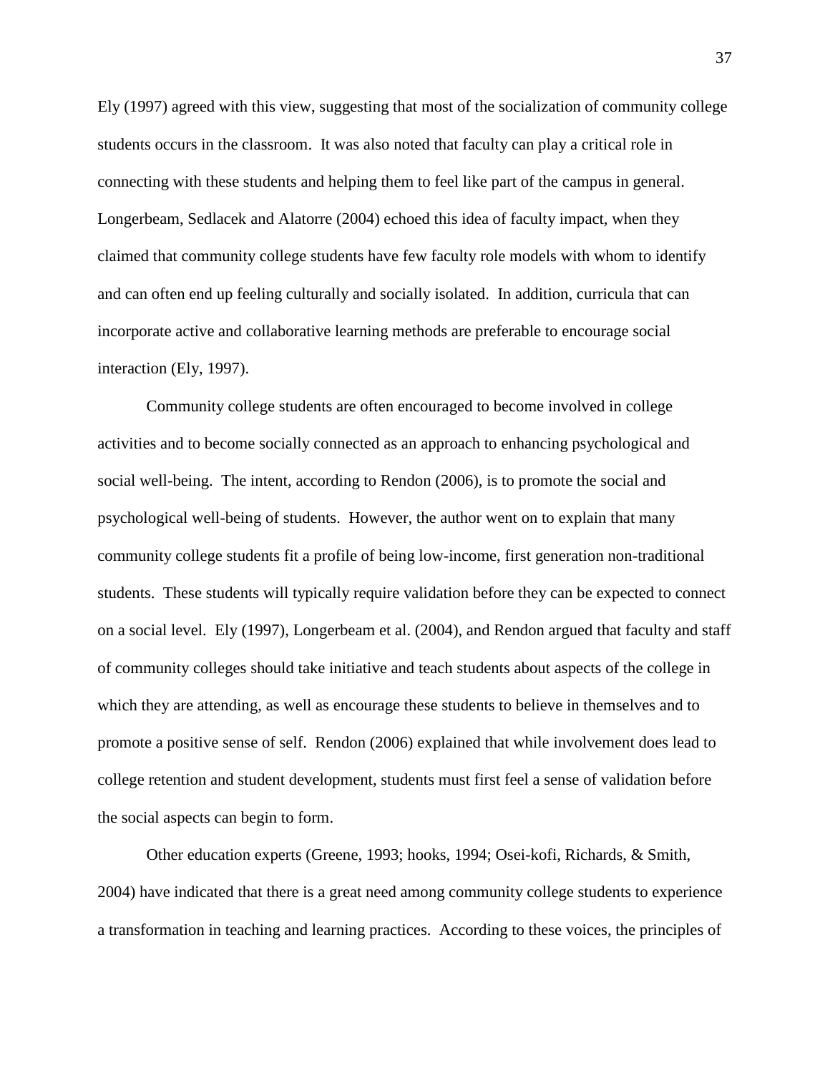Ely (1997) agreed with this view, suggesting that most of the socialization of community college students occurs in the classroom. It was also noted that faculty can play a critical role in connecting with these students and helping them to feel like part of the campus in general. Longerbeam, Sedlacek and Alatorre (2004) echoed this idea of faculty impact, when they claimed that community college students have few faculty role models with whom to identify and can often end up feeling culturally and socially isolated. In addition, curricula that can incorporate active and collaborative learning methods are preferable to encourage social interaction (Ely, 1997).

Community college students are often encouraged to become involved in college activities and to become socially connected as an approach to enhancing psychological and social well-being. The intent, according to Rendon (2006), is to promote the social and psychological well-being of students. However, the author went on to explain that many community college students fit a profile of being low-income, first generation non-traditional students. These students will typically require validation before they can be expected to connect on a social level. Ely (1997), Longerbeam et al. (2004), and Rendon argued that faculty and staff of community colleges should take initiative and teach students about aspects of the college in which they are attending, as well as encourage these students to believe in themselves and to promote a positive sense of self. Rendon (2006) explained that while involvement does lead to college retention and student development, students must first feel a sense of validation before the social aspects can begin to form.

Other education experts (Greene, 1993; hooks, 1994; Osei-kofi, Richards, & Smith, 2004) have indicated that there is a great need among community college students to experience a transformation in teaching and learning practices. According to these voices, the principles of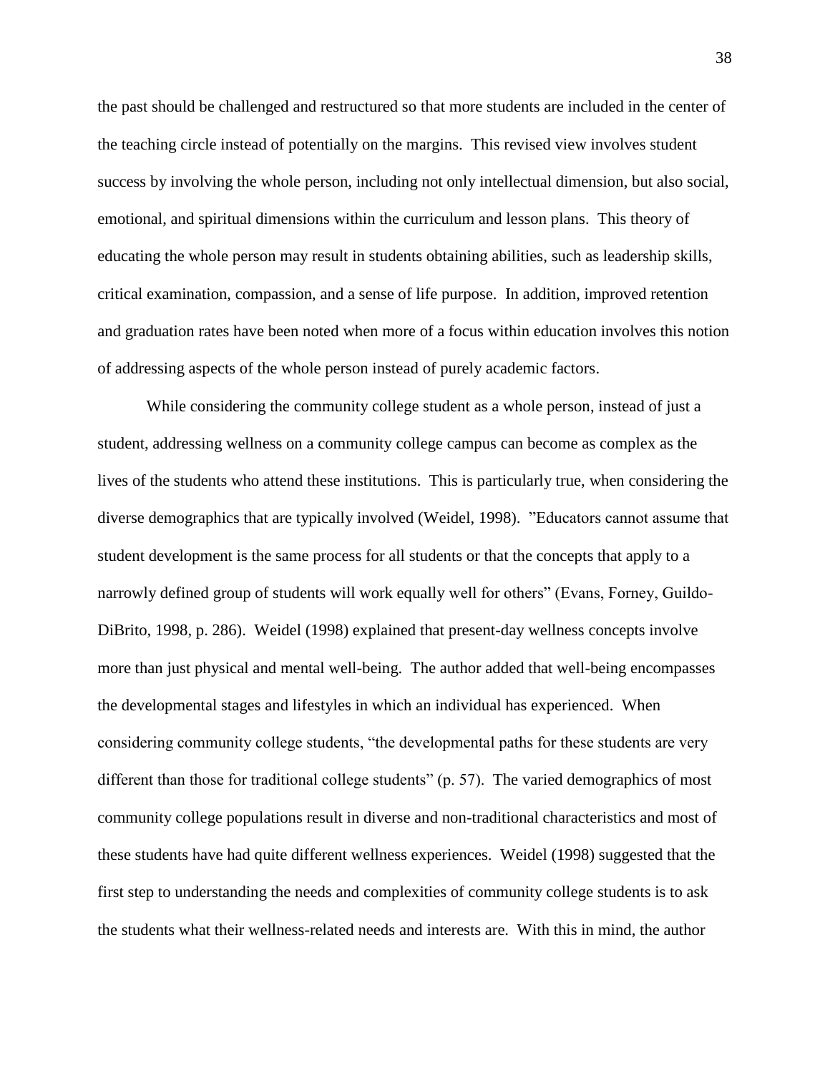the past should be challenged and restructured so that more students are included in the center of the teaching circle instead of potentially on the margins. This revised view involves student success by involving the whole person, including not only intellectual dimension, but also social, emotional, and spiritual dimensions within the curriculum and lesson plans. This theory of educating the whole person may result in students obtaining abilities, such as leadership skills, critical examination, compassion, and a sense of life purpose. In addition, improved retention and graduation rates have been noted when more of a focus within education involves this notion of addressing aspects of the whole person instead of purely academic factors.

While considering the community college student as a whole person, instead of just a student, addressing wellness on a community college campus can become as complex as the lives of the students who attend these institutions. This is particularly true, when considering the diverse demographics that are typically involved (Weidel, 1998). "Educators cannot assume that student development is the same process for all students or that the concepts that apply to a narrowly defined group of students will work equally well for others" (Evans, Forney, Guildo-DiBrito, 1998, p. 286). Weidel (1998) explained that present-day wellness concepts involve more than just physical and mental well-being. The author added that well-being encompasses the developmental stages and lifestyles in which an individual has experienced. When considering community college students, "the developmental paths for these students are very different than those for traditional college students" (p. 57). The varied demographics of most community college populations result in diverse and non-traditional characteristics and most of these students have had quite different wellness experiences. Weidel (1998) suggested that the first step to understanding the needs and complexities of community college students is to ask the students what their wellness-related needs and interests are. With this in mind, the author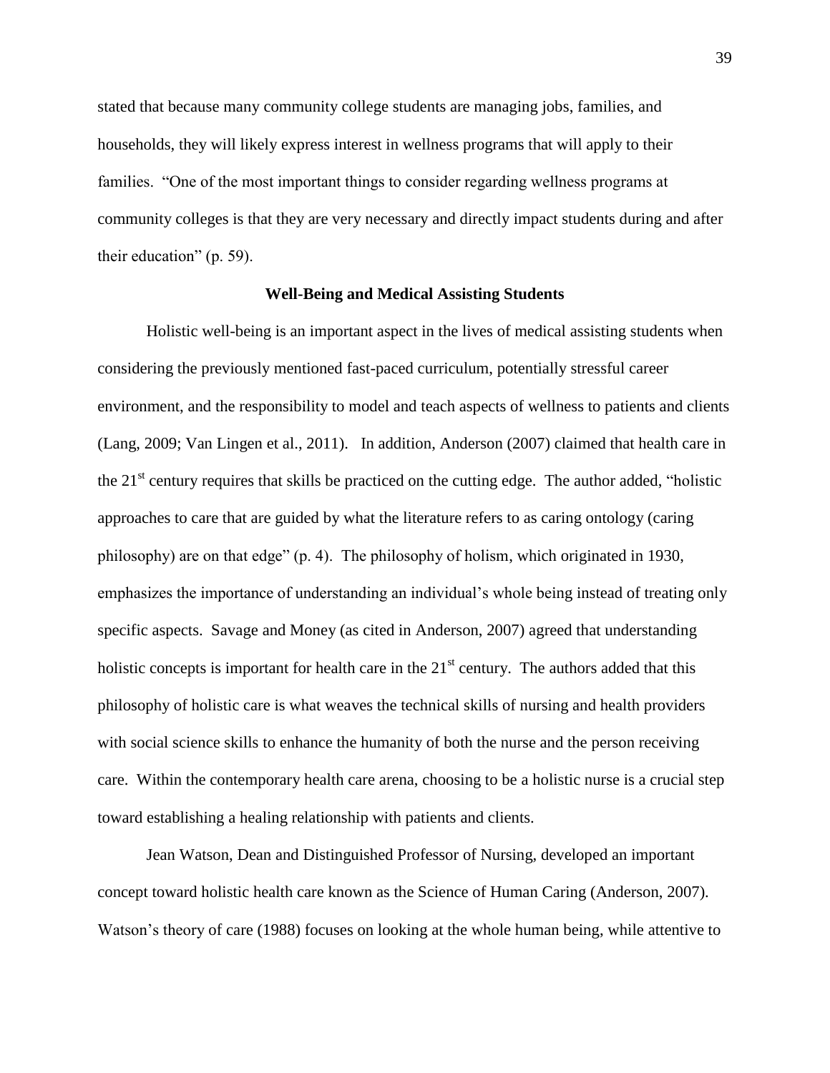stated that because many community college students are managing jobs, families, and households, they will likely express interest in wellness programs that will apply to their families. "One of the most important things to consider regarding wellness programs at community colleges is that they are very necessary and directly impact students during and after their education" (p. 59).

# **Well-Being and Medical Assisting Students**

Holistic well-being is an important aspect in the lives of medical assisting students when considering the previously mentioned fast-paced curriculum, potentially stressful career environment, and the responsibility to model and teach aspects of wellness to patients and clients (Lang, 2009; Van Lingen et al., 2011). In addition, Anderson (2007) claimed that health care in the  $21<sup>st</sup>$  century requires that skills be practiced on the cutting edge. The author added, "holistic approaches to care that are guided by what the literature refers to as caring ontology (caring philosophy) are on that edge" (p. 4). The philosophy of holism, which originated in 1930, emphasizes the importance of understanding an individual's whole being instead of treating only specific aspects. Savage and Money (as cited in Anderson, 2007) agreed that understanding holistic concepts is important for health care in the  $21<sup>st</sup>$  century. The authors added that this philosophy of holistic care is what weaves the technical skills of nursing and health providers with social science skills to enhance the humanity of both the nurse and the person receiving care. Within the contemporary health care arena, choosing to be a holistic nurse is a crucial step toward establishing a healing relationship with patients and clients.

Jean Watson, Dean and Distinguished Professor of Nursing, developed an important concept toward holistic health care known as the Science of Human Caring (Anderson, 2007). Watson's theory of care (1988) focuses on looking at the whole human being, while attentive to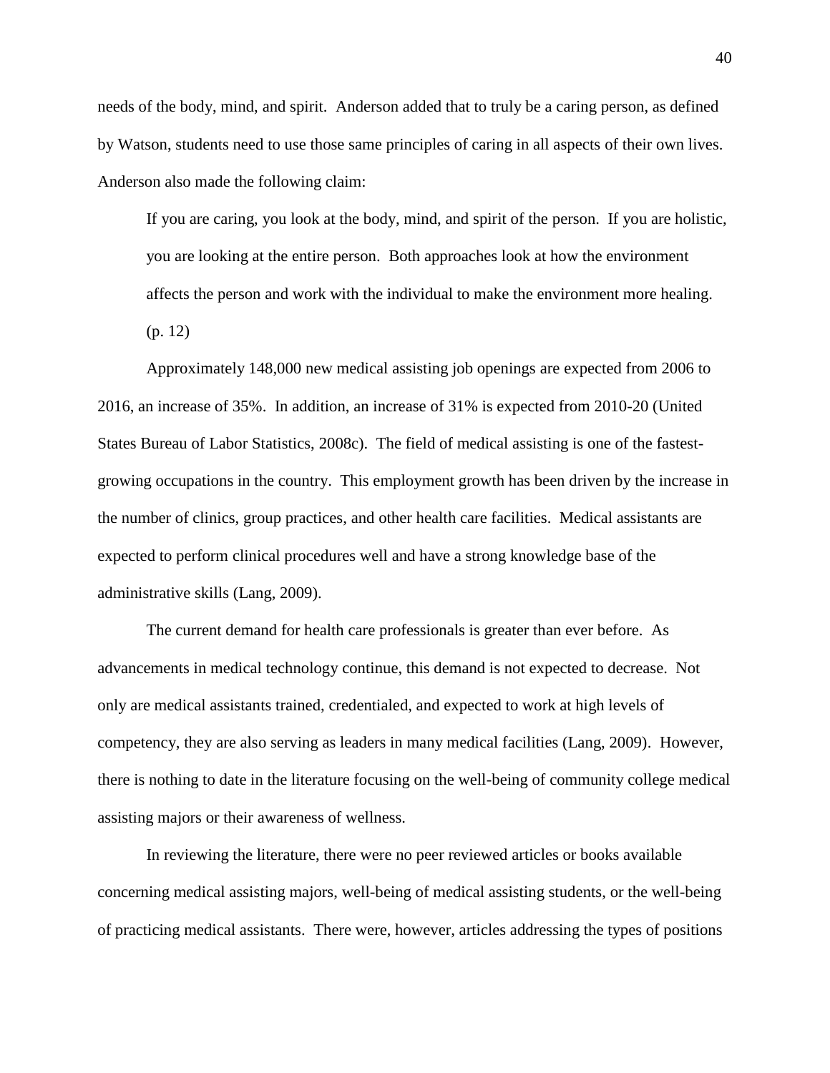needs of the body, mind, and spirit. Anderson added that to truly be a caring person, as defined by Watson, students need to use those same principles of caring in all aspects of their own lives. Anderson also made the following claim:

If you are caring, you look at the body, mind, and spirit of the person. If you are holistic, you are looking at the entire person. Both approaches look at how the environment affects the person and work with the individual to make the environment more healing. (p. 12)

Approximately 148,000 new medical assisting job openings are expected from 2006 to 2016, an increase of 35%. In addition, an increase of 31% is expected from 2010-20 (United States Bureau of Labor Statistics, 2008c). The field of medical assisting is one of the fastestgrowing occupations in the country. This employment growth has been driven by the increase in the number of clinics, group practices, and other health care facilities. Medical assistants are expected to perform clinical procedures well and have a strong knowledge base of the administrative skills (Lang, 2009).

The current demand for health care professionals is greater than ever before. As advancements in medical technology continue, this demand is not expected to decrease. Not only are medical assistants trained, credentialed, and expected to work at high levels of competency, they are also serving as leaders in many medical facilities (Lang, 2009). However, there is nothing to date in the literature focusing on the well-being of community college medical assisting majors or their awareness of wellness.

In reviewing the literature, there were no peer reviewed articles or books available concerning medical assisting majors, well-being of medical assisting students, or the well-being of practicing medical assistants. There were, however, articles addressing the types of positions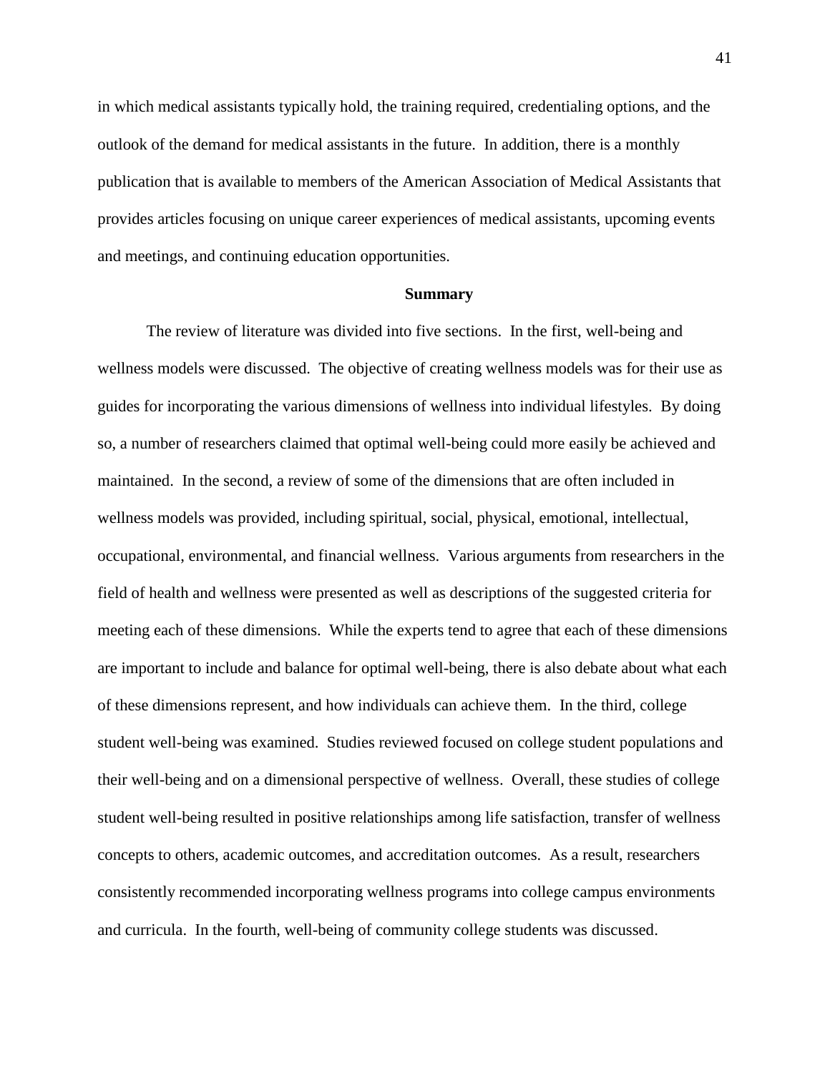in which medical assistants typically hold, the training required, credentialing options, and the outlook of the demand for medical assistants in the future. In addition, there is a monthly publication that is available to members of the American Association of Medical Assistants that provides articles focusing on unique career experiences of medical assistants, upcoming events and meetings, and continuing education opportunities.

# **Summary**

The review of literature was divided into five sections. In the first, well-being and wellness models were discussed. The objective of creating wellness models was for their use as guides for incorporating the various dimensions of wellness into individual lifestyles. By doing so, a number of researchers claimed that optimal well-being could more easily be achieved and maintained. In the second, a review of some of the dimensions that are often included in wellness models was provided, including spiritual, social, physical, emotional, intellectual, occupational, environmental, and financial wellness. Various arguments from researchers in the field of health and wellness were presented as well as descriptions of the suggested criteria for meeting each of these dimensions. While the experts tend to agree that each of these dimensions are important to include and balance for optimal well-being, there is also debate about what each of these dimensions represent, and how individuals can achieve them. In the third, college student well-being was examined. Studies reviewed focused on college student populations and their well-being and on a dimensional perspective of wellness. Overall, these studies of college student well-being resulted in positive relationships among life satisfaction, transfer of wellness concepts to others, academic outcomes, and accreditation outcomes. As a result, researchers consistently recommended incorporating wellness programs into college campus environments and curricula. In the fourth, well-being of community college students was discussed.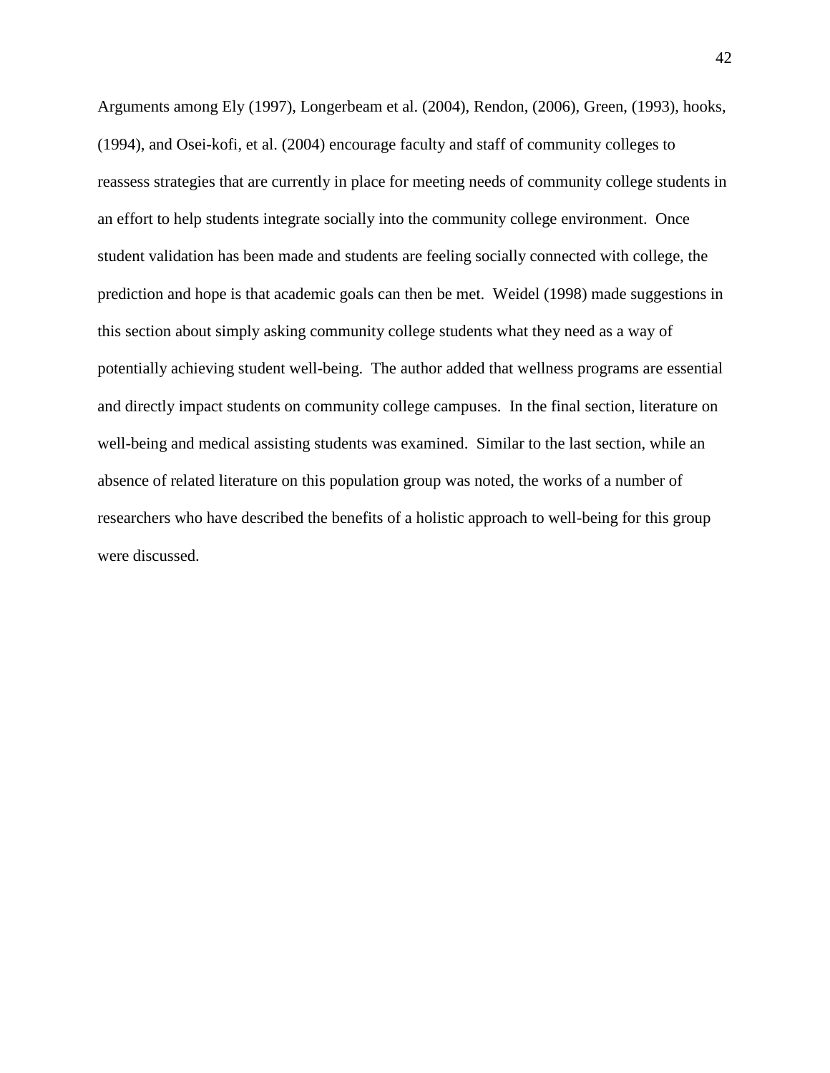Arguments among Ely (1997), Longerbeam et al. (2004), Rendon, (2006), Green, (1993), hooks, (1994), and Osei-kofi, et al. (2004) encourage faculty and staff of community colleges to reassess strategies that are currently in place for meeting needs of community college students in an effort to help students integrate socially into the community college environment. Once student validation has been made and students are feeling socially connected with college, the prediction and hope is that academic goals can then be met. Weidel (1998) made suggestions in this section about simply asking community college students what they need as a way of potentially achieving student well-being. The author added that wellness programs are essential and directly impact students on community college campuses. In the final section, literature on well-being and medical assisting students was examined. Similar to the last section, while an absence of related literature on this population group was noted, the works of a number of researchers who have described the benefits of a holistic approach to well-being for this group were discussed.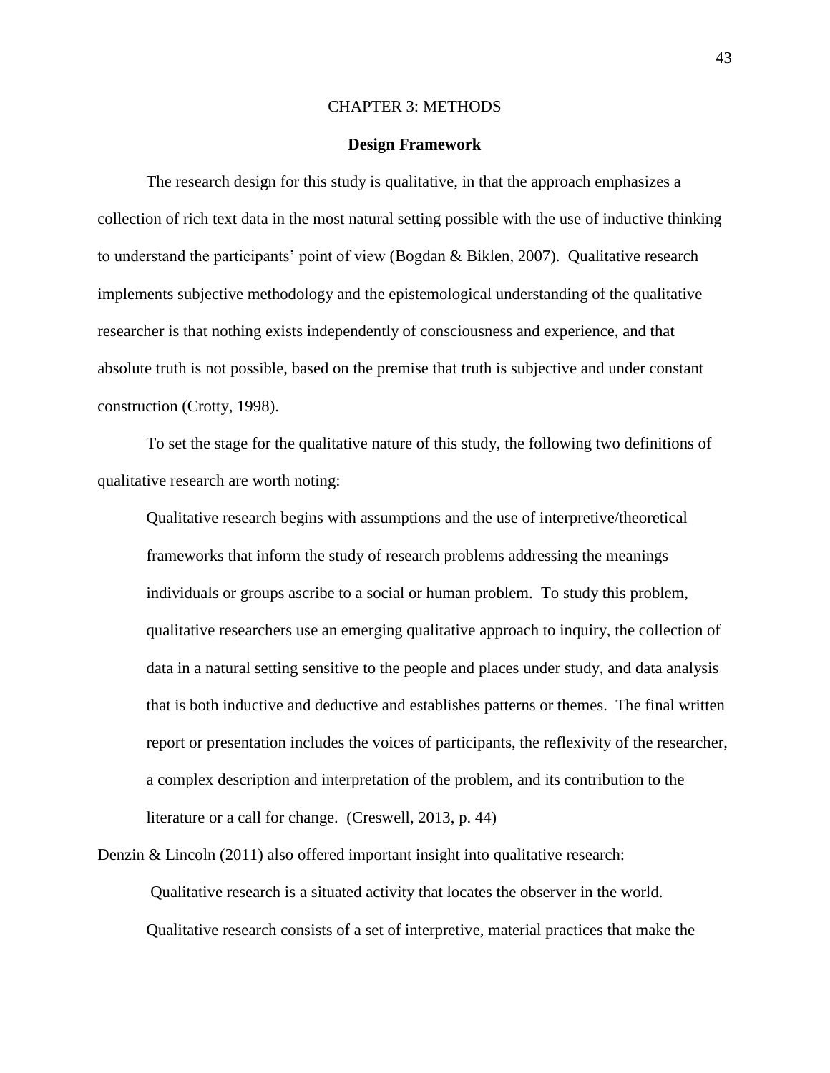### CHAPTER 3: METHODS

# **Design Framework**

The research design for this study is qualitative, in that the approach emphasizes a collection of rich text data in the most natural setting possible with the use of inductive thinking to understand the participants' point of view (Bogdan & Biklen, 2007). Qualitative research implements subjective methodology and the epistemological understanding of the qualitative researcher is that nothing exists independently of consciousness and experience, and that absolute truth is not possible, based on the premise that truth is subjective and under constant construction (Crotty, 1998).

To set the stage for the qualitative nature of this study, the following two definitions of qualitative research are worth noting:

Qualitative research begins with assumptions and the use of interpretive/theoretical frameworks that inform the study of research problems addressing the meanings individuals or groups ascribe to a social or human problem. To study this problem, qualitative researchers use an emerging qualitative approach to inquiry, the collection of data in a natural setting sensitive to the people and places under study, and data analysis that is both inductive and deductive and establishes patterns or themes. The final written report or presentation includes the voices of participants, the reflexivity of the researcher, a complex description and interpretation of the problem, and its contribution to the literature or a call for change. (Creswell, 2013, p. 44)

Denzin & Lincoln (2011) also offered important insight into qualitative research: Qualitative research is a situated activity that locates the observer in the world. Qualitative research consists of a set of interpretive, material practices that make the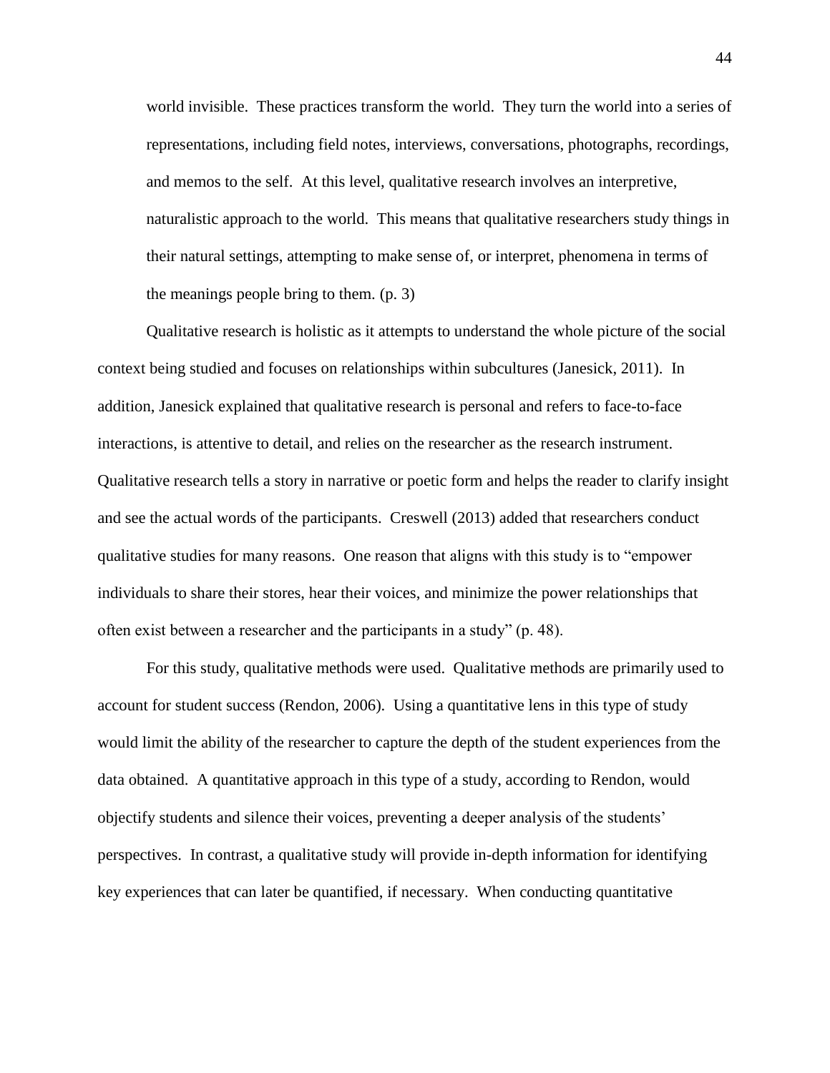world invisible. These practices transform the world. They turn the world into a series of representations, including field notes, interviews, conversations, photographs, recordings, and memos to the self. At this level, qualitative research involves an interpretive, naturalistic approach to the world. This means that qualitative researchers study things in their natural settings, attempting to make sense of, or interpret, phenomena in terms of the meanings people bring to them. (p. 3)

Qualitative research is holistic as it attempts to understand the whole picture of the social context being studied and focuses on relationships within subcultures (Janesick, 2011). In addition, Janesick explained that qualitative research is personal and refers to face-to-face interactions, is attentive to detail, and relies on the researcher as the research instrument. Qualitative research tells a story in narrative or poetic form and helps the reader to clarify insight and see the actual words of the participants. Creswell (2013) added that researchers conduct qualitative studies for many reasons. One reason that aligns with this study is to "empower individuals to share their stores, hear their voices, and minimize the power relationships that often exist between a researcher and the participants in a study" (p. 48).

For this study, qualitative methods were used. Qualitative methods are primarily used to account for student success (Rendon, 2006). Using a quantitative lens in this type of study would limit the ability of the researcher to capture the depth of the student experiences from the data obtained. A quantitative approach in this type of a study, according to Rendon, would objectify students and silence their voices, preventing a deeper analysis of the students' perspectives. In contrast, a qualitative study will provide in-depth information for identifying key experiences that can later be quantified, if necessary. When conducting quantitative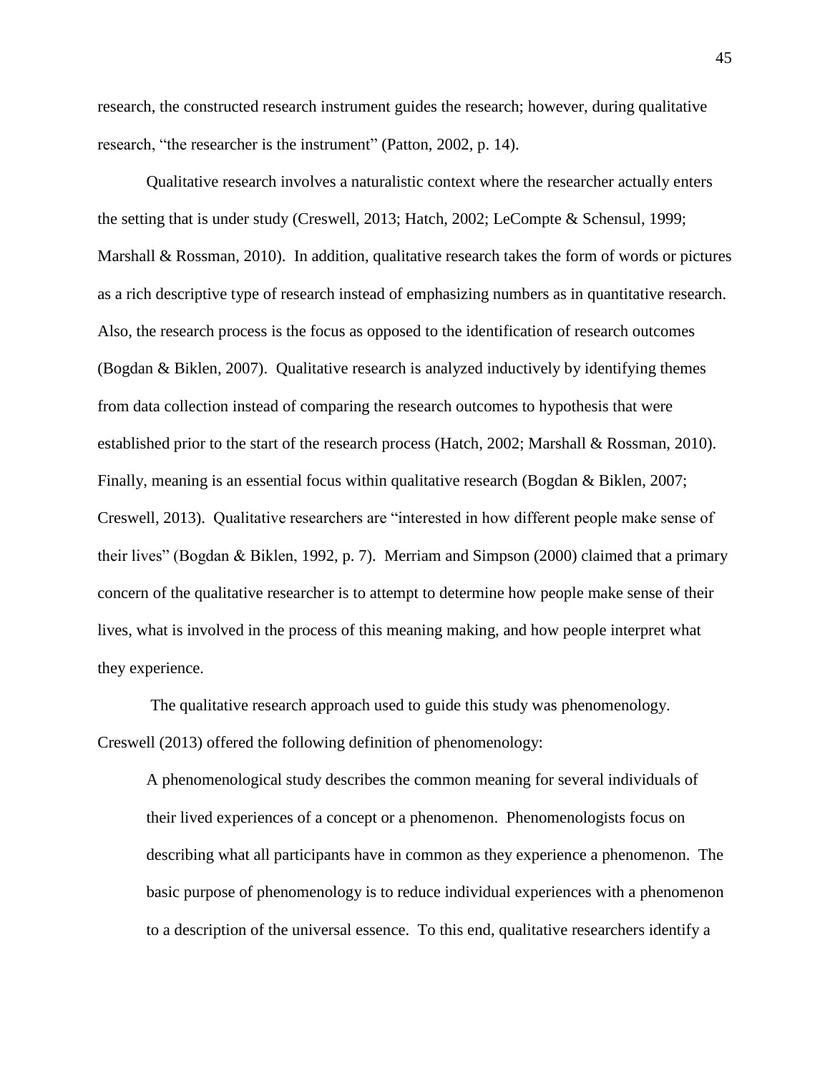research, the constructed research instrument guides the research; however, during qualitative research, "the researcher is the instrument" (Patton, 2002, p. 14).

Qualitative research involves a naturalistic context where the researcher actually enters the setting that is under study (Creswell, 2013; Hatch, 2002; LeCompte & Schensul, 1999; Marshall & Rossman, 2010). In addition, qualitative research takes the form of words or pictures as a rich descriptive type of research instead of emphasizing numbers as in quantitative research. Also, the research process is the focus as opposed to the identification of research outcomes (Bogdan & Biklen, 2007). Qualitative research is analyzed inductively by identifying themes from data collection instead of comparing the research outcomes to hypothesis that were established prior to the start of the research process (Hatch, 2002; Marshall & Rossman, 2010). Finally, meaning is an essential focus within qualitative research (Bogdan & Biklen, 2007; Creswell, 2013). Qualitative researchers are "interested in how different people make sense of their lives" (Bogdan & Biklen, 1992, p. 7). Merriam and Simpson (2000) claimed that a primary concern of the qualitative researcher is to attempt to determine how people make sense of their lives, what is involved in the process of this meaning making, and how people interpret what they experience.

The qualitative research approach used to guide this study was phenomenology. Creswell (2013) offered the following definition of phenomenology:

A phenomenological study describes the common meaning for several individuals of their lived experiences of a concept or a phenomenon. Phenomenologists focus on describing what all participants have in common as they experience a phenomenon. The basic purpose of phenomenology is to reduce individual experiences with a phenomenon to a description of the universal essence. To this end, qualitative researchers identify a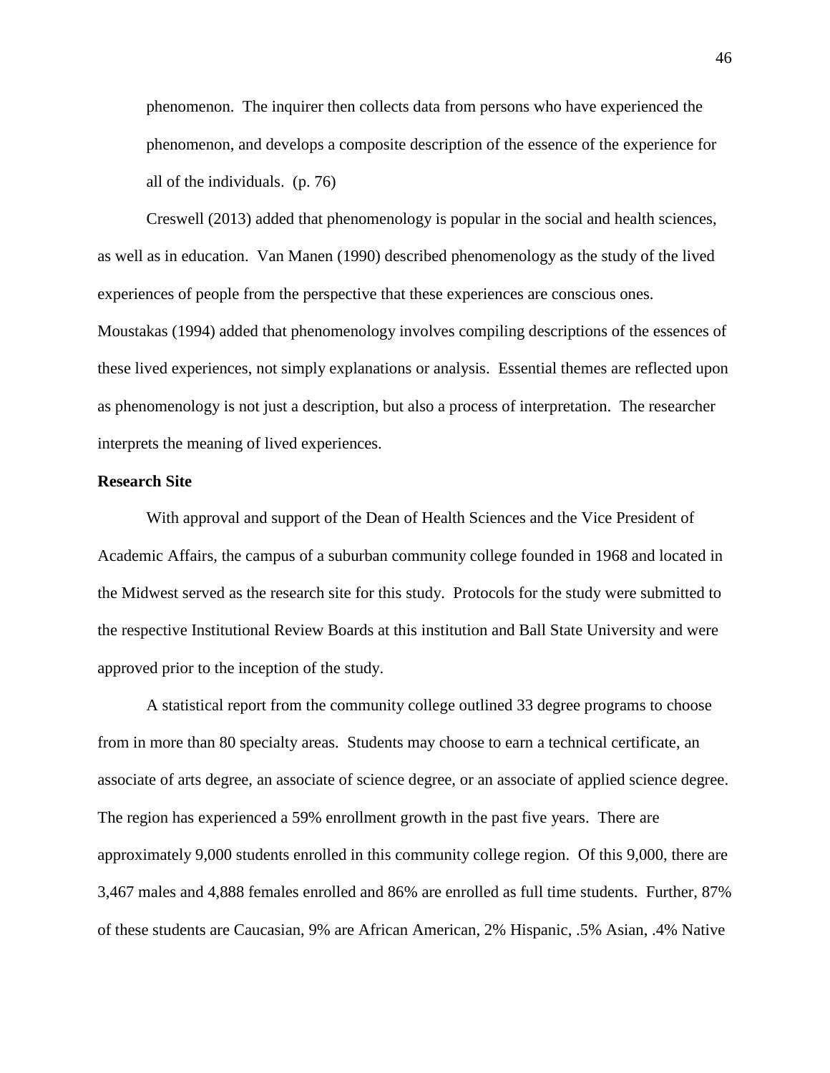phenomenon. The inquirer then collects data from persons who have experienced the phenomenon, and develops a composite description of the essence of the experience for all of the individuals. (p. 76)

Creswell (2013) added that phenomenology is popular in the social and health sciences, as well as in education. Van Manen (1990) described phenomenology as the study of the lived experiences of people from the perspective that these experiences are conscious ones. Moustakas (1994) added that phenomenology involves compiling descriptions of the essences of these lived experiences, not simply explanations or analysis. Essential themes are reflected upon as phenomenology is not just a description, but also a process of interpretation. The researcher interprets the meaning of lived experiences.

# **Research Site**

With approval and support of the Dean of Health Sciences and the Vice President of Academic Affairs, the campus of a suburban community college founded in 1968 and located in the Midwest served as the research site for this study. Protocols for the study were submitted to the respective Institutional Review Boards at this institution and Ball State University and were approved prior to the inception of the study.

A statistical report from the community college outlined 33 degree programs to choose from in more than 80 specialty areas. Students may choose to earn a technical certificate, an associate of arts degree, an associate of science degree, or an associate of applied science degree. The region has experienced a 59% enrollment growth in the past five years. There are approximately 9,000 students enrolled in this community college region. Of this 9,000, there are 3,467 males and 4,888 females enrolled and 86% are enrolled as full time students. Further, 87% of these students are Caucasian, 9% are African American, 2% Hispanic, .5% Asian, .4% Native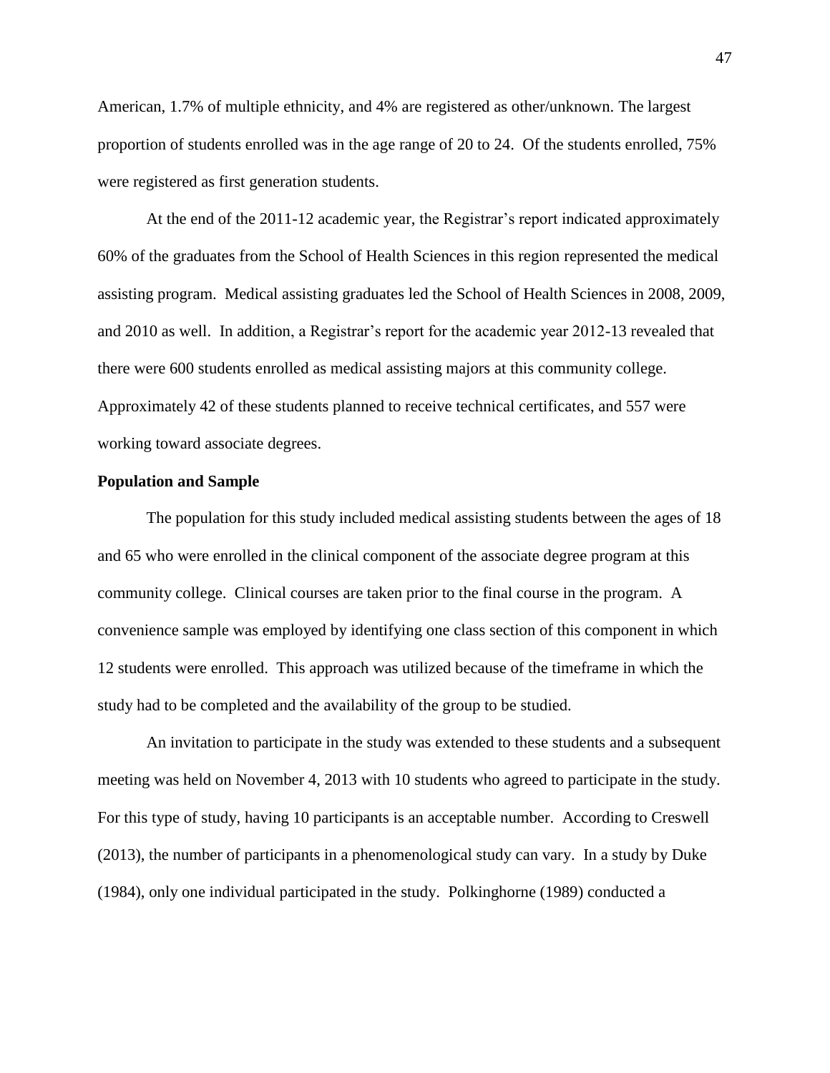American, 1.7% of multiple ethnicity, and 4% are registered as other/unknown. The largest proportion of students enrolled was in the age range of 20 to 24. Of the students enrolled, 75% were registered as first generation students.

At the end of the 2011-12 academic year, the Registrar's report indicated approximately 60% of the graduates from the School of Health Sciences in this region represented the medical assisting program. Medical assisting graduates led the School of Health Sciences in 2008, 2009, and 2010 as well. In addition, a Registrar's report for the academic year 2012-13 revealed that there were 600 students enrolled as medical assisting majors at this community college. Approximately 42 of these students planned to receive technical certificates, and 557 were working toward associate degrees.

# **Population and Sample**

The population for this study included medical assisting students between the ages of 18 and 65 who were enrolled in the clinical component of the associate degree program at this community college. Clinical courses are taken prior to the final course in the program. A convenience sample was employed by identifying one class section of this component in which 12 students were enrolled. This approach was utilized because of the timeframe in which the study had to be completed and the availability of the group to be studied.

An invitation to participate in the study was extended to these students and a subsequent meeting was held on November 4, 2013 with 10 students who agreed to participate in the study. For this type of study, having 10 participants is an acceptable number. According to Creswell (2013), the number of participants in a phenomenological study can vary. In a study by Duke (1984), only one individual participated in the study. Polkinghorne (1989) conducted a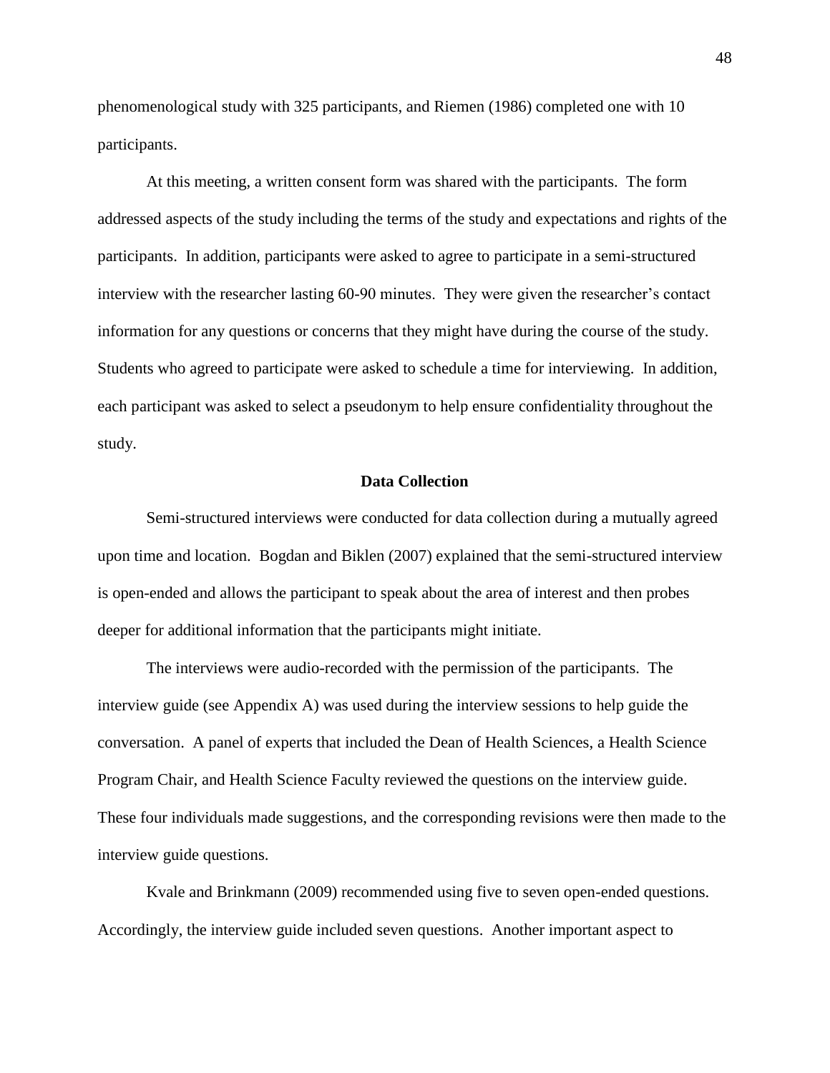phenomenological study with 325 participants, and Riemen (1986) completed one with 10 participants.

At this meeting, a written consent form was shared with the participants. The form addressed aspects of the study including the terms of the study and expectations and rights of the participants. In addition, participants were asked to agree to participate in a semi-structured interview with the researcher lasting 60-90 minutes. They were given the researcher's contact information for any questions or concerns that they might have during the course of the study. Students who agreed to participate were asked to schedule a time for interviewing. In addition, each participant was asked to select a pseudonym to help ensure confidentiality throughout the study.

# **Data Collection**

Semi-structured interviews were conducted for data collection during a mutually agreed upon time and location. Bogdan and Biklen (2007) explained that the semi-structured interview is open-ended and allows the participant to speak about the area of interest and then probes deeper for additional information that the participants might initiate.

The interviews were audio-recorded with the permission of the participants. The interview guide (see Appendix A) was used during the interview sessions to help guide the conversation. A panel of experts that included the Dean of Health Sciences, a Health Science Program Chair, and Health Science Faculty reviewed the questions on the interview guide. These four individuals made suggestions, and the corresponding revisions were then made to the interview guide questions.

Kvale and Brinkmann (2009) recommended using five to seven open-ended questions. Accordingly, the interview guide included seven questions. Another important aspect to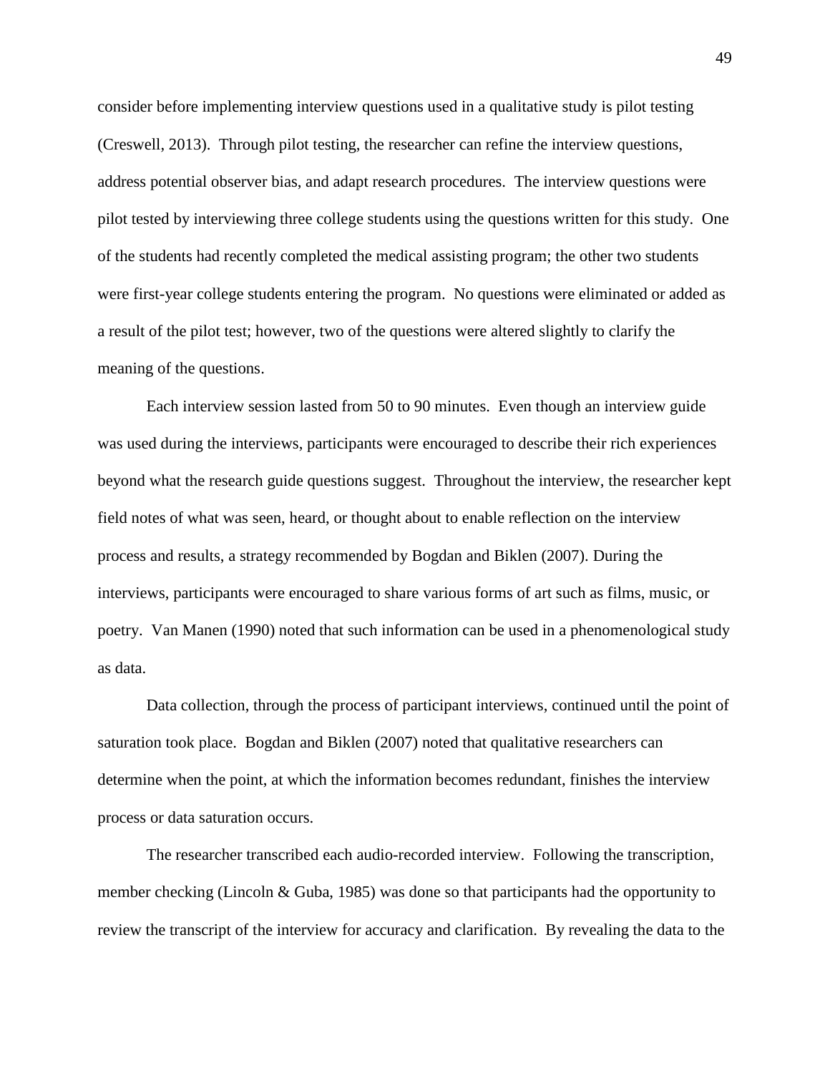consider before implementing interview questions used in a qualitative study is pilot testing (Creswell, 2013). Through pilot testing, the researcher can refine the interview questions, address potential observer bias, and adapt research procedures. The interview questions were pilot tested by interviewing three college students using the questions written for this study. One of the students had recently completed the medical assisting program; the other two students were first-year college students entering the program. No questions were eliminated or added as a result of the pilot test; however, two of the questions were altered slightly to clarify the meaning of the questions.

Each interview session lasted from 50 to 90 minutes. Even though an interview guide was used during the interviews, participants were encouraged to describe their rich experiences beyond what the research guide questions suggest. Throughout the interview, the researcher kept field notes of what was seen, heard, or thought about to enable reflection on the interview process and results, a strategy recommended by Bogdan and Biklen (2007). During the interviews, participants were encouraged to share various forms of art such as films, music, or poetry. Van Manen (1990) noted that such information can be used in a phenomenological study as data.

Data collection, through the process of participant interviews, continued until the point of saturation took place. Bogdan and Biklen (2007) noted that qualitative researchers can determine when the point, at which the information becomes redundant, finishes the interview process or data saturation occurs.

The researcher transcribed each audio-recorded interview. Following the transcription, member checking (Lincoln & Guba, 1985) was done so that participants had the opportunity to review the transcript of the interview for accuracy and clarification. By revealing the data to the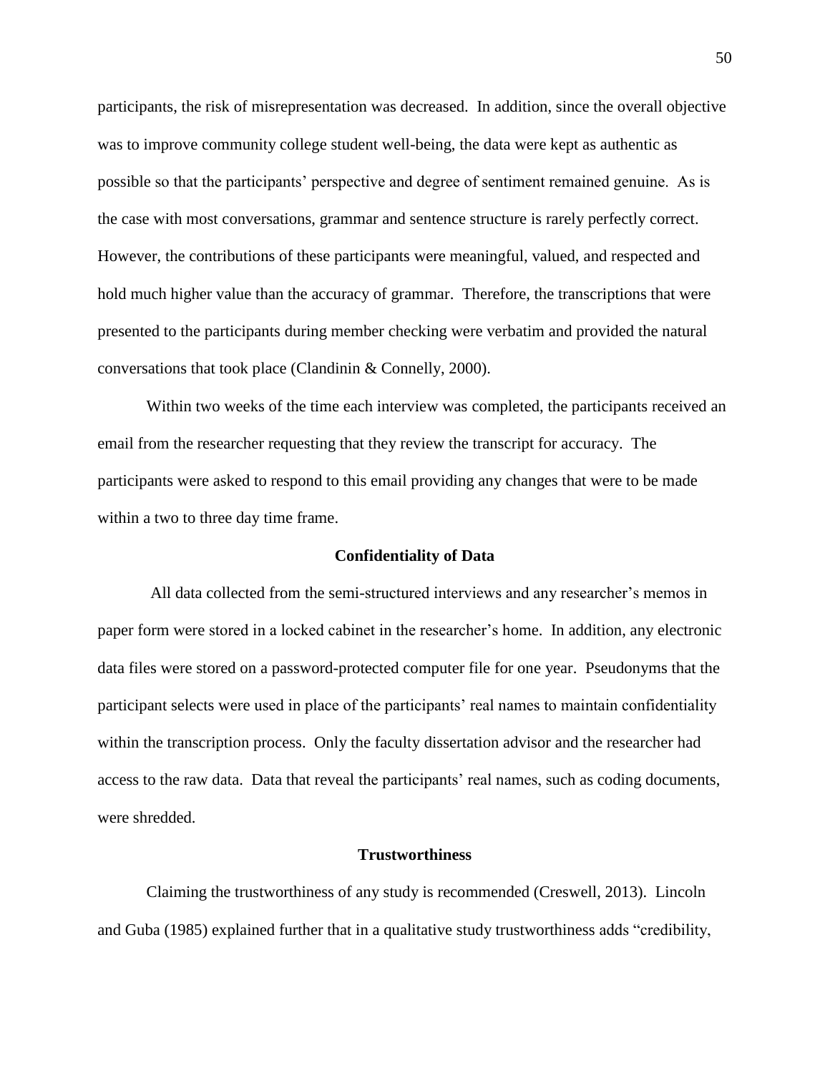participants, the risk of misrepresentation was decreased. In addition, since the overall objective was to improve community college student well-being, the data were kept as authentic as possible so that the participants' perspective and degree of sentiment remained genuine. As is the case with most conversations, grammar and sentence structure is rarely perfectly correct. However, the contributions of these participants were meaningful, valued, and respected and hold much higher value than the accuracy of grammar. Therefore, the transcriptions that were presented to the participants during member checking were verbatim and provided the natural conversations that took place (Clandinin & Connelly, 2000).

Within two weeks of the time each interview was completed, the participants received an email from the researcher requesting that they review the transcript for accuracy. The participants were asked to respond to this email providing any changes that were to be made within a two to three day time frame.

### **Confidentiality of Data**

All data collected from the semi-structured interviews and any researcher's memos in paper form were stored in a locked cabinet in the researcher's home. In addition, any electronic data files were stored on a password-protected computer file for one year. Pseudonyms that the participant selects were used in place of the participants' real names to maintain confidentiality within the transcription process. Only the faculty dissertation advisor and the researcher had access to the raw data. Data that reveal the participants' real names, such as coding documents, were shredded.

### **Trustworthiness**

Claiming the trustworthiness of any study is recommended (Creswell, 2013). Lincoln and Guba (1985) explained further that in a qualitative study trustworthiness adds "credibility,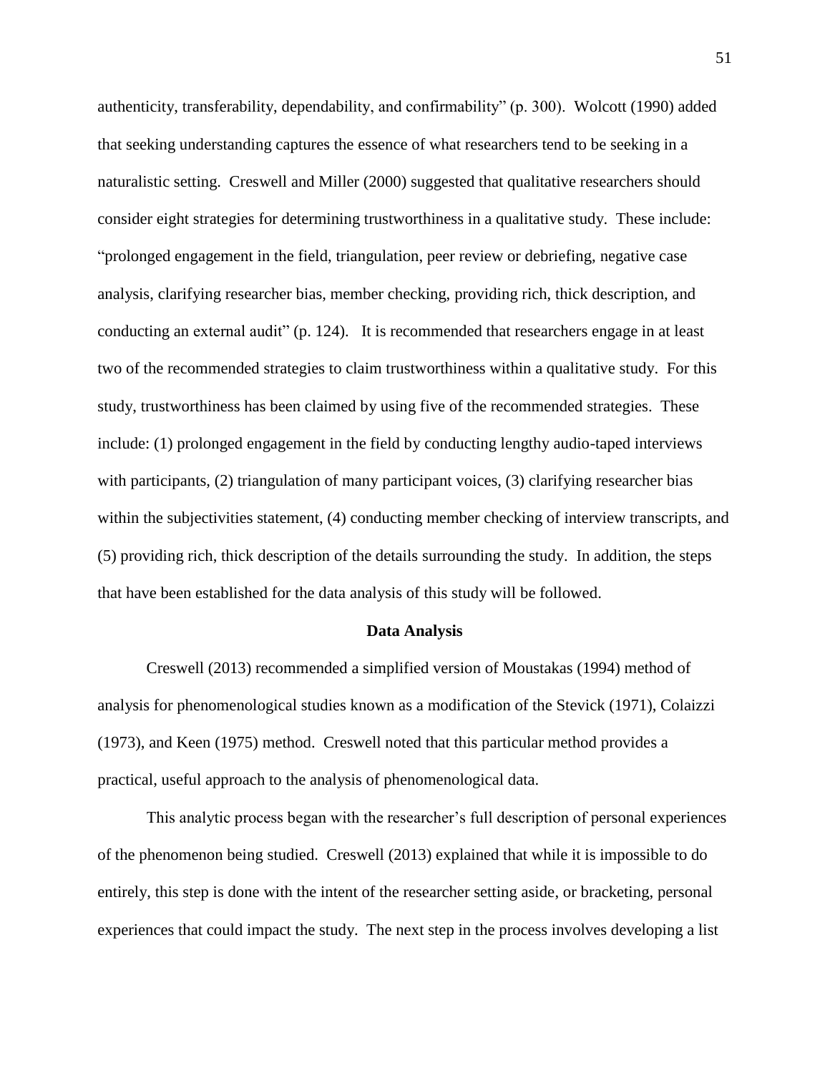authenticity, transferability, dependability, and confirmability" (p. 300). Wolcott (1990) added that seeking understanding captures the essence of what researchers tend to be seeking in a naturalistic setting. Creswell and Miller (2000) suggested that qualitative researchers should consider eight strategies for determining trustworthiness in a qualitative study. These include: "prolonged engagement in the field, triangulation, peer review or debriefing, negative case analysis, clarifying researcher bias, member checking, providing rich, thick description, and conducting an external audit" (p. 124). It is recommended that researchers engage in at least two of the recommended strategies to claim trustworthiness within a qualitative study. For this study, trustworthiness has been claimed by using five of the recommended strategies. These include: (1) prolonged engagement in the field by conducting lengthy audio-taped interviews with participants, (2) triangulation of many participant voices, (3) clarifying researcher bias within the subjectivities statement, (4) conducting member checking of interview transcripts, and (5) providing rich, thick description of the details surrounding the study. In addition, the steps that have been established for the data analysis of this study will be followed.

#### **Data Analysis**

Creswell (2013) recommended a simplified version of Moustakas (1994) method of analysis for phenomenological studies known as a modification of the Stevick (1971), Colaizzi (1973), and Keen (1975) method. Creswell noted that this particular method provides a practical, useful approach to the analysis of phenomenological data.

This analytic process began with the researcher's full description of personal experiences of the phenomenon being studied. Creswell (2013) explained that while it is impossible to do entirely, this step is done with the intent of the researcher setting aside, or bracketing, personal experiences that could impact the study. The next step in the process involves developing a list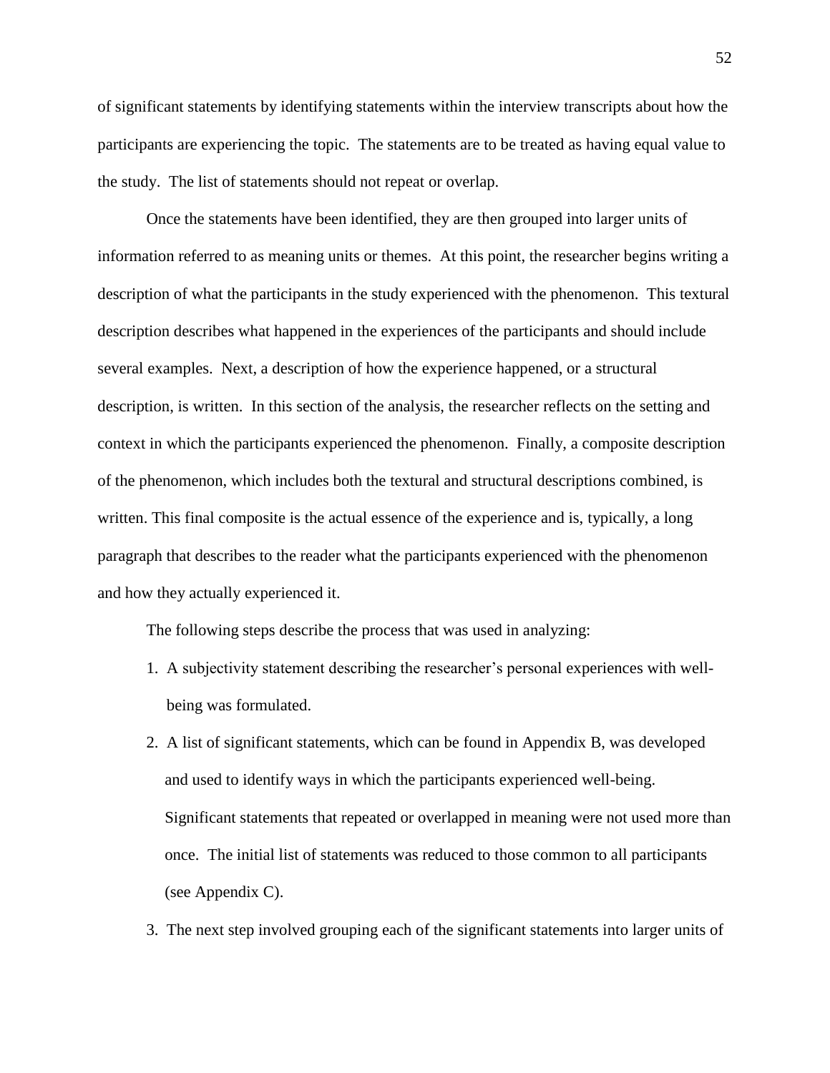of significant statements by identifying statements within the interview transcripts about how the participants are experiencing the topic. The statements are to be treated as having equal value to the study. The list of statements should not repeat or overlap.

Once the statements have been identified, they are then grouped into larger units of information referred to as meaning units or themes. At this point, the researcher begins writing a description of what the participants in the study experienced with the phenomenon. This textural description describes what happened in the experiences of the participants and should include several examples. Next, a description of how the experience happened, or a structural description, is written. In this section of the analysis, the researcher reflects on the setting and context in which the participants experienced the phenomenon. Finally, a composite description of the phenomenon, which includes both the textural and structural descriptions combined, is written. This final composite is the actual essence of the experience and is, typically, a long paragraph that describes to the reader what the participants experienced with the phenomenon and how they actually experienced it.

The following steps describe the process that was used in analyzing:

- 1. A subjectivity statement describing the researcher's personal experiences with well being was formulated.
- 2. A list of significant statements, which can be found in Appendix B, was developed and used to identify ways in which the participants experienced well-being. Significant statements that repeated or overlapped in meaning were not used more than once. The initial list of statements was reduced to those common to all participants (see Appendix C).
- 3. The next step involved grouping each of the significant statements into larger units of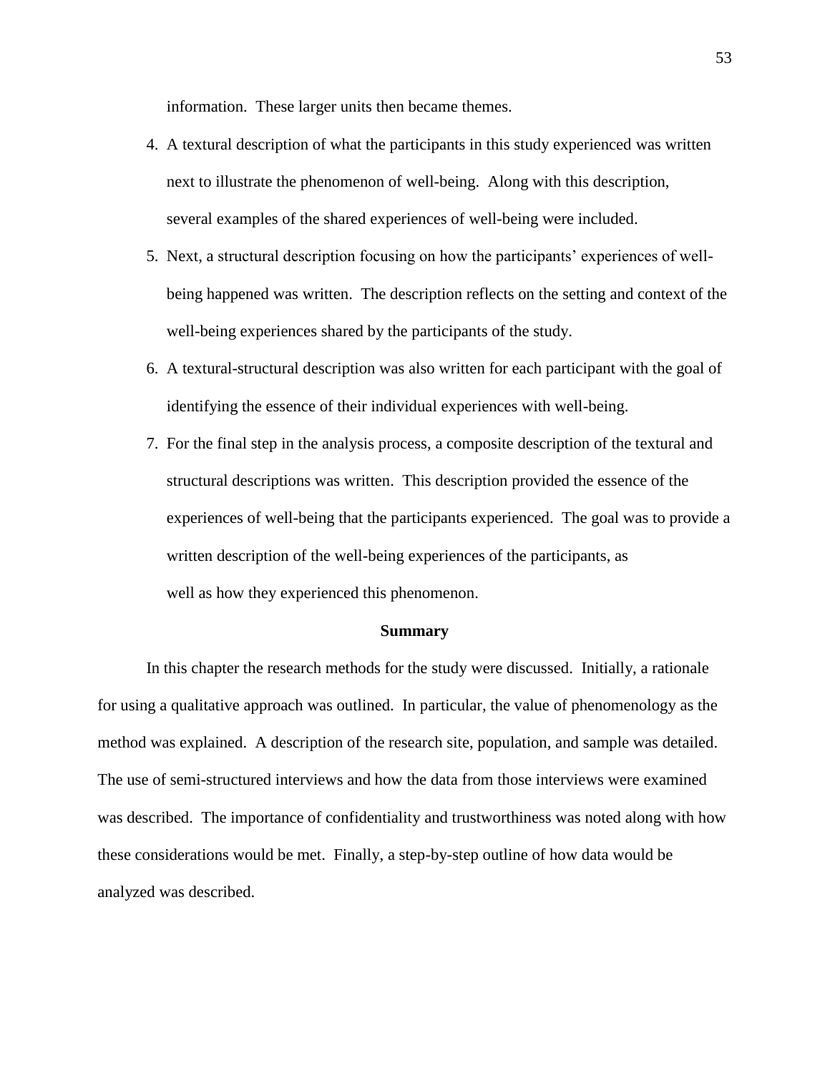information. These larger units then became themes.

- 4. A textural description of what the participants in this study experienced was written next to illustrate the phenomenon of well-being. Along with this description, several examples of the shared experiences of well-being were included.
- 5. Next, a structural description focusing on how the participants' experiences of well being happened was written. The description reflects on the setting and context of the well-being experiences shared by the participants of the study.
- 6. A textural-structural description was also written for each participant with the goal of identifying the essence of their individual experiences with well-being.
- 7. For the final step in the analysis process, a composite description of the textural and structural descriptions was written. This description provided the essence of the experiences of well-being that the participants experienced. The goal was to provide a written description of the well-being experiences of the participants, as well as how they experienced this phenomenon.

#### **Summary**

In this chapter the research methods for the study were discussed. Initially, a rationale for using a qualitative approach was outlined. In particular, the value of phenomenology as the method was explained. A description of the research site, population, and sample was detailed. The use of semi-structured interviews and how the data from those interviews were examined was described. The importance of confidentiality and trustworthiness was noted along with how these considerations would be met. Finally, a step-by-step outline of how data would be analyzed was described.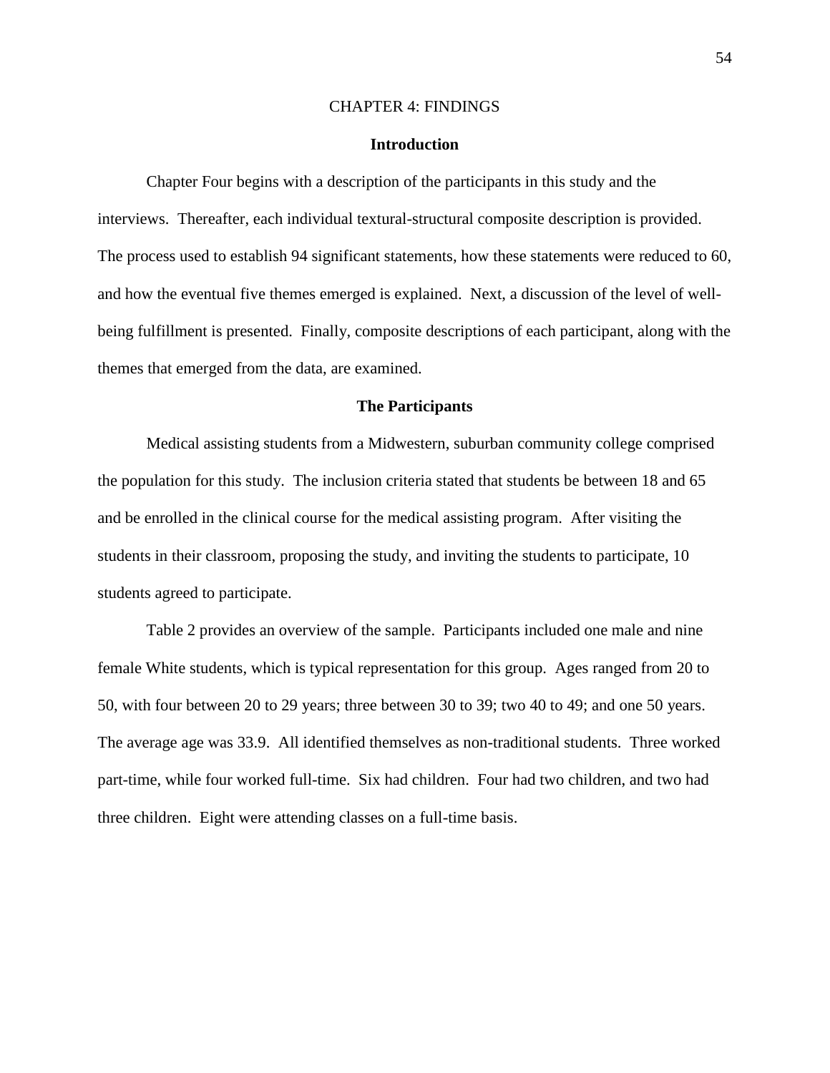### CHAPTER 4: FINDINGS

# **Introduction**

Chapter Four begins with a description of the participants in this study and the interviews. Thereafter, each individual textural-structural composite description is provided. The process used to establish 94 significant statements, how these statements were reduced to 60, and how the eventual five themes emerged is explained. Next, a discussion of the level of wellbeing fulfillment is presented. Finally, composite descriptions of each participant, along with the themes that emerged from the data, are examined.

# **The Participants**

Medical assisting students from a Midwestern, suburban community college comprised the population for this study. The inclusion criteria stated that students be between 18 and 65 and be enrolled in the clinical course for the medical assisting program. After visiting the students in their classroom, proposing the study, and inviting the students to participate, 10 students agreed to participate.

Table 2 provides an overview of the sample. Participants included one male and nine female White students, which is typical representation for this group. Ages ranged from 20 to 50, with four between 20 to 29 years; three between 30 to 39; two 40 to 49; and one 50 years. The average age was 33.9. All identified themselves as non-traditional students. Three worked part-time, while four worked full-time. Six had children. Four had two children, and two had three children. Eight were attending classes on a full-time basis.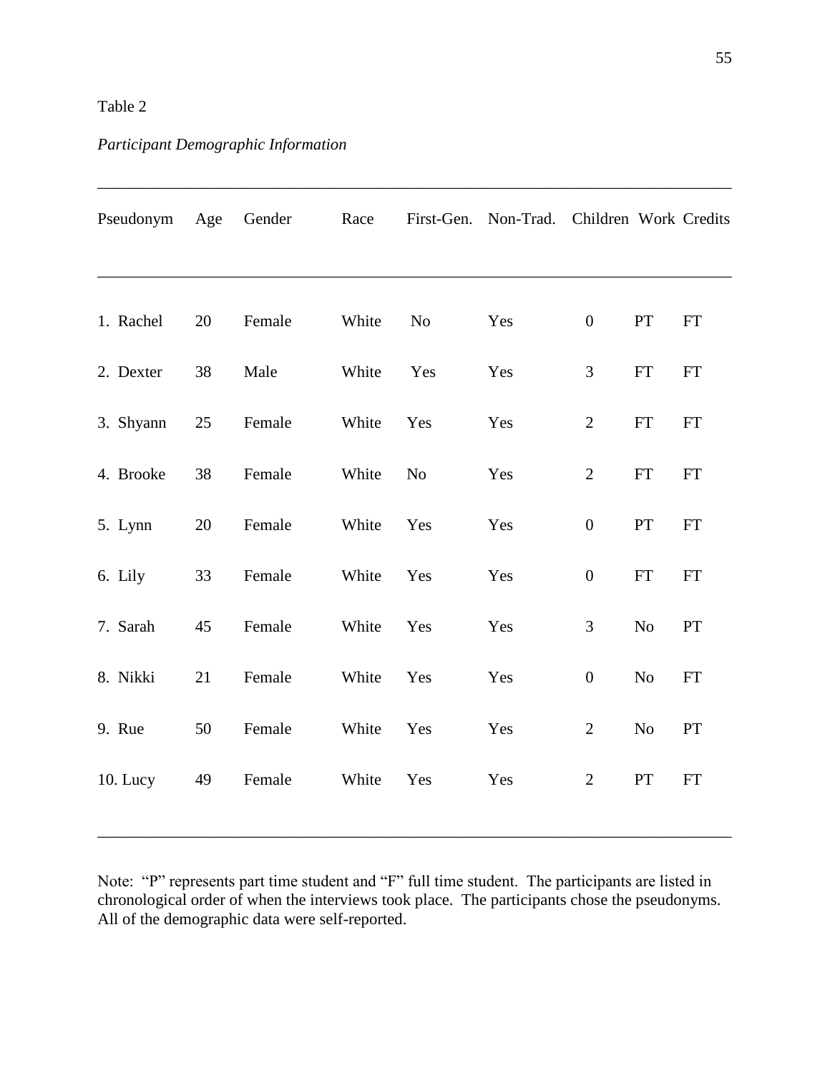# Table 2

# *Participant Demographic Information*

| Pseudonym  | Age | Gender | Race  |                | First-Gen. Non-Trad. | Children Work Credits |                            |            |
|------------|-----|--------|-------|----------------|----------------------|-----------------------|----------------------------|------------|
|            |     |        |       |                |                      |                       |                            |            |
| 1. Rachel  | 20  | Female | White | N <sub>o</sub> | Yes                  | $\boldsymbol{0}$      | PT                         | FT         |
| 2. Dexter  | 38  | Male   | White | Yes            | Yes                  | 3                     | $\mathop{\rm FT}\nolimits$ | FT         |
| 3. Shyann  | 25  | Female | White | Yes            | Yes                  | $\overline{2}$        | $\mathop{\rm FT}\nolimits$ | FT         |
| 4. Brooke  | 38  | Female | White | No             | Yes                  | $\overline{2}$        | $\mathop{\rm FT}\nolimits$ | FT         |
| 5. Lynn    | 20  | Female | White | Yes            | Yes                  | $\boldsymbol{0}$      | $\mathcal{P}\mathcal{T}$   | ${\rm FT}$ |
| 6. Lily    | 33  | Female | White | Yes            | Yes                  | $\boldsymbol{0}$      | FT                         | ${\rm FT}$ |
| 7. Sarah   | 45  | Female | White | Yes            | Yes                  | 3                     | N <sub>o</sub>             | PT         |
| 8. Nikki   | 21  | Female | White | Yes            | Yes                  | $\boldsymbol{0}$      | No                         | FT         |
| 9. Rue     | 50  | Female | White | Yes            | Yes                  | $\overline{2}$        | N <sub>o</sub>             | PT         |
| $10.$ Lucy | 49  | Female | White | Yes            | Yes                  | $\overline{2}$        | PT                         | FT         |
|            |     |        |       |                |                      |                       |                            |            |

Note: "P" represents part time student and "F" full time student. The participants are listed in chronological order of when the interviews took place. The participants chose the pseudonyms. All of the demographic data were self-reported.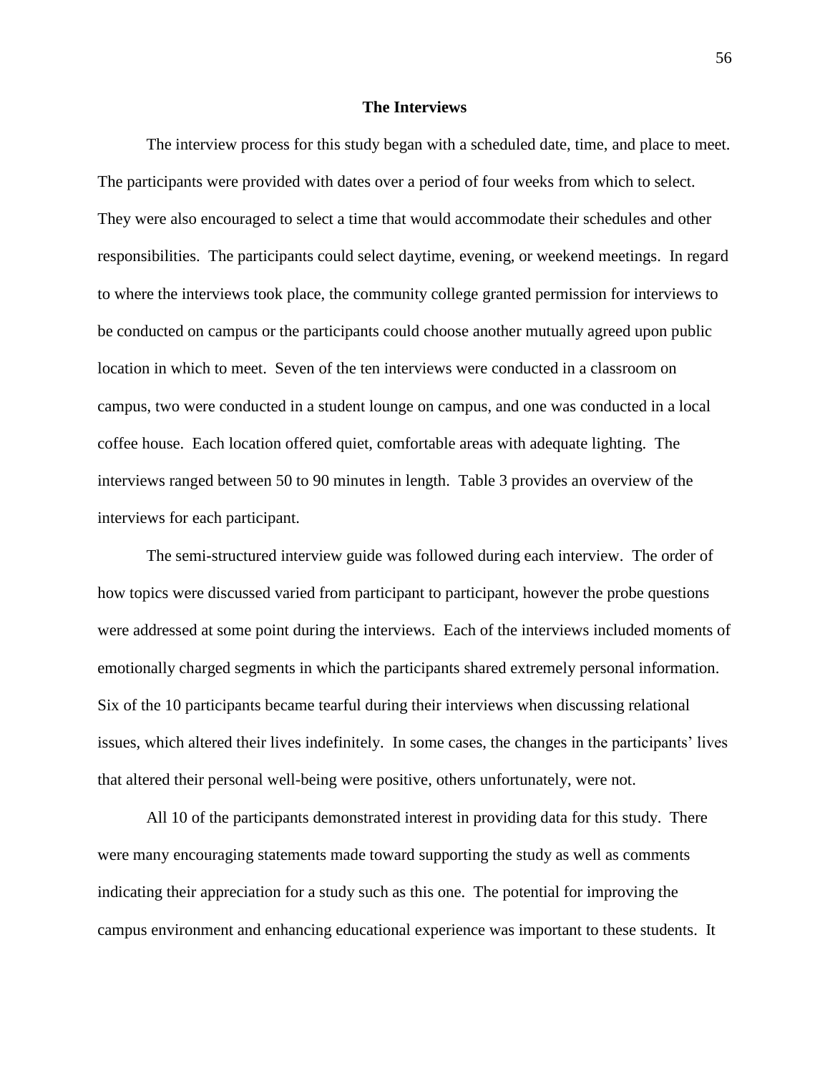# **The Interviews**

The interview process for this study began with a scheduled date, time, and place to meet. The participants were provided with dates over a period of four weeks from which to select. They were also encouraged to select a time that would accommodate their schedules and other responsibilities. The participants could select daytime, evening, or weekend meetings. In regard to where the interviews took place, the community college granted permission for interviews to be conducted on campus or the participants could choose another mutually agreed upon public location in which to meet. Seven of the ten interviews were conducted in a classroom on campus, two were conducted in a student lounge on campus, and one was conducted in a local coffee house. Each location offered quiet, comfortable areas with adequate lighting. The interviews ranged between 50 to 90 minutes in length. Table 3 provides an overview of the interviews for each participant.

The semi-structured interview guide was followed during each interview. The order of how topics were discussed varied from participant to participant, however the probe questions were addressed at some point during the interviews. Each of the interviews included moments of emotionally charged segments in which the participants shared extremely personal information. Six of the 10 participants became tearful during their interviews when discussing relational issues, which altered their lives indefinitely. In some cases, the changes in the participants' lives that altered their personal well-being were positive, others unfortunately, were not.

All 10 of the participants demonstrated interest in providing data for this study. There were many encouraging statements made toward supporting the study as well as comments indicating their appreciation for a study such as this one. The potential for improving the campus environment and enhancing educational experience was important to these students. It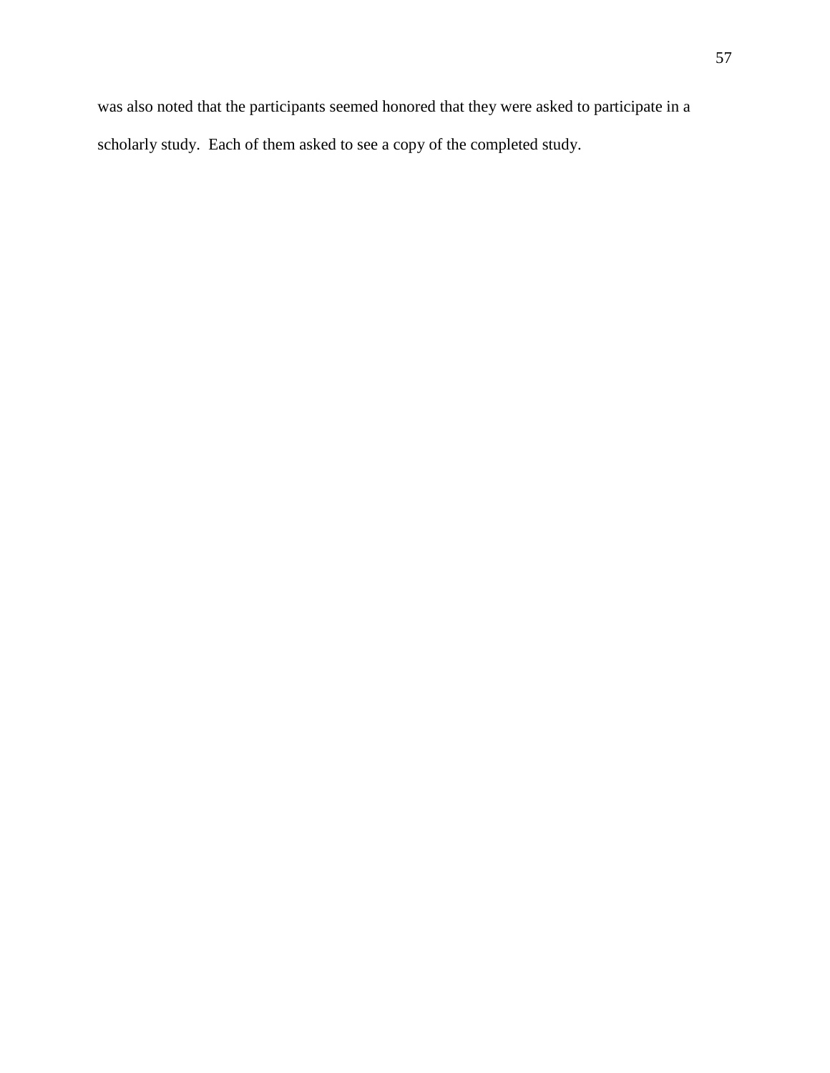was also noted that the participants seemed honored that they were asked to participate in a scholarly study. Each of them asked to see a copy of the completed study.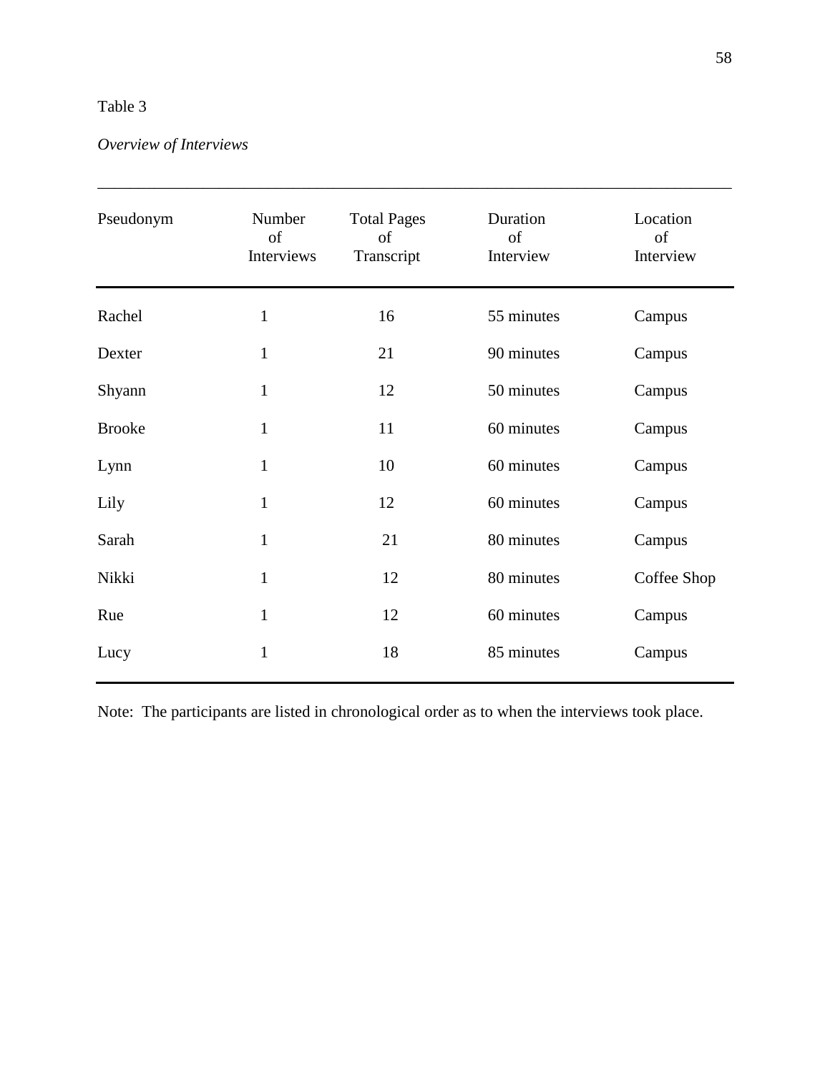# Table 3

| Pseudonym     | Number<br>of<br>Interviews | <b>Total Pages</b><br>of<br>Transcript | Duration<br>of<br>Interview | Location<br>of<br>Interview |
|---------------|----------------------------|----------------------------------------|-----------------------------|-----------------------------|
| Rachel        | $\mathbf{1}$               | 16                                     | 55 minutes                  | Campus                      |
| Dexter        | $\mathbf{1}$               | 21                                     | 90 minutes                  | Campus                      |
| Shyann        | $\mathbf{1}$               | 12                                     | 50 minutes                  | Campus                      |
| <b>Brooke</b> | $\mathbf{1}$               | 11                                     | 60 minutes                  | Campus                      |
| Lynn          | $\mathbf{1}$               | 10                                     | 60 minutes                  | Campus                      |
| Lily          | $\mathbf{1}$               | 12                                     | 60 minutes                  | Campus                      |
| Sarah         | 1                          | 21                                     | 80 minutes                  | Campus                      |
| Nikki         | $\mathbf{1}$               | 12                                     | 80 minutes                  | Coffee Shop                 |
| Rue           | $\mathbf{1}$               | 12                                     | 60 minutes                  | Campus                      |
| Lucy          | $\mathbf{1}$               | 18                                     | 85 minutes                  | Campus                      |

\_\_\_\_\_\_\_\_\_\_\_\_\_\_\_\_\_\_\_\_\_\_\_\_\_\_\_\_\_\_\_\_\_\_\_\_\_\_\_\_\_\_\_\_\_\_\_\_\_\_\_\_\_\_\_\_\_\_\_\_\_\_\_\_\_\_\_\_\_\_\_\_\_\_\_\_\_\_

Note: The participants are listed in chronological order as to when the interviews took place.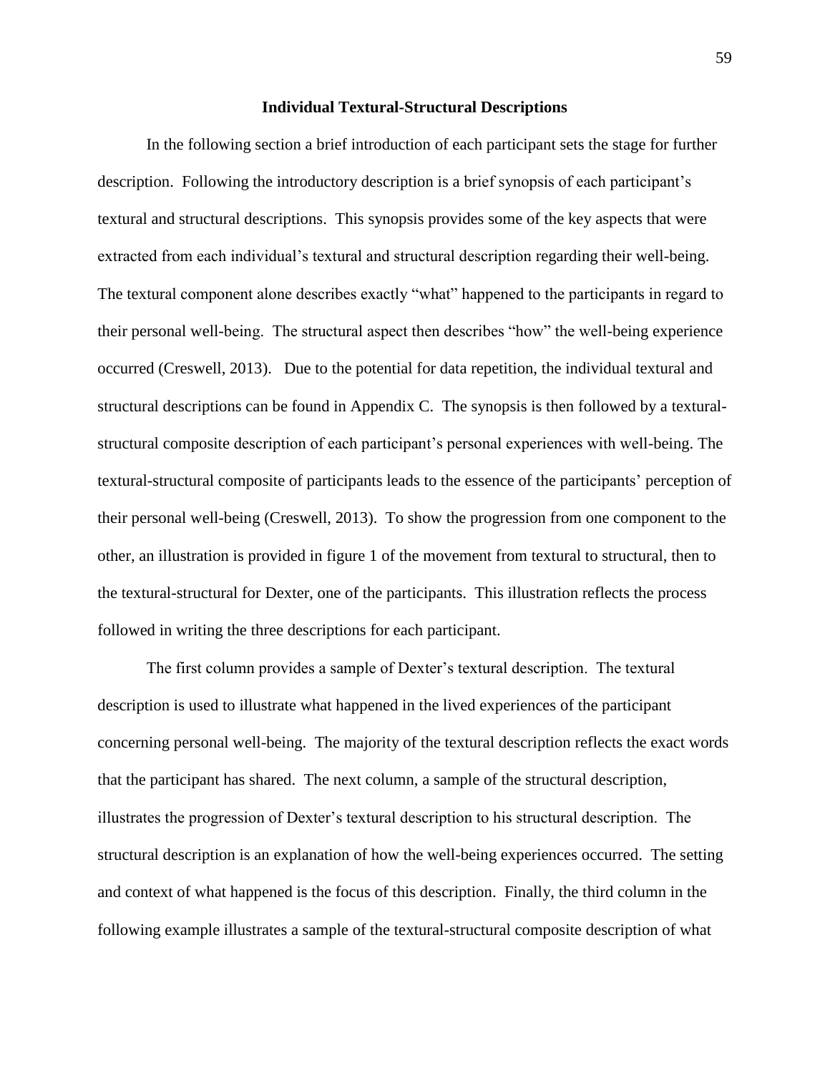# **Individual Textural-Structural Descriptions**

In the following section a brief introduction of each participant sets the stage for further description. Following the introductory description is a brief synopsis of each participant's textural and structural descriptions. This synopsis provides some of the key aspects that were extracted from each individual's textural and structural description regarding their well-being. The textural component alone describes exactly "what" happened to the participants in regard to their personal well-being. The structural aspect then describes "how" the well-being experience occurred (Creswell, 2013). Due to the potential for data repetition, the individual textural and structural descriptions can be found in Appendix C. The synopsis is then followed by a texturalstructural composite description of each participant's personal experiences with well-being. The textural-structural composite of participants leads to the essence of the participants' perception of their personal well-being (Creswell, 2013). To show the progression from one component to the other, an illustration is provided in figure 1 of the movement from textural to structural, then to the textural-structural for Dexter, one of the participants. This illustration reflects the process followed in writing the three descriptions for each participant.

The first column provides a sample of Dexter's textural description. The textural description is used to illustrate what happened in the lived experiences of the participant concerning personal well-being. The majority of the textural description reflects the exact words that the participant has shared. The next column, a sample of the structural description, illustrates the progression of Dexter's textural description to his structural description. The structural description is an explanation of how the well-being experiences occurred. The setting and context of what happened is the focus of this description. Finally, the third column in the following example illustrates a sample of the textural-structural composite description of what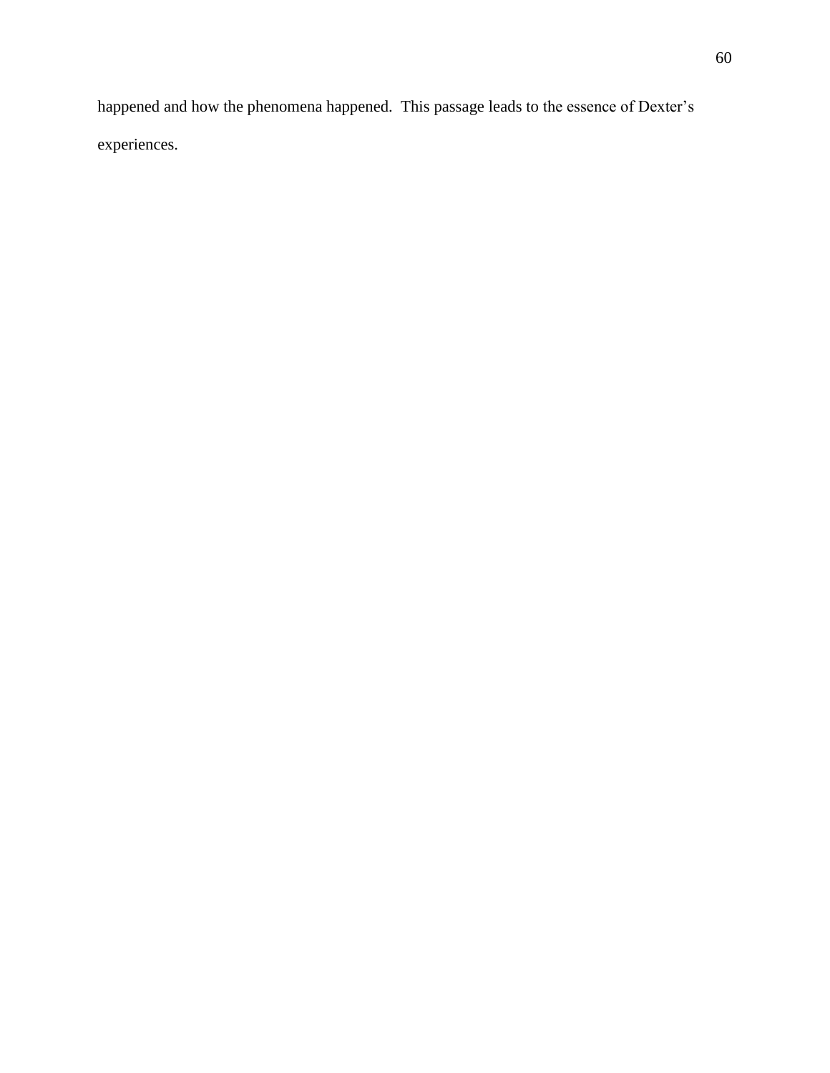happened and how the phenomena happened. This passage leads to the essence of Dexter's experiences.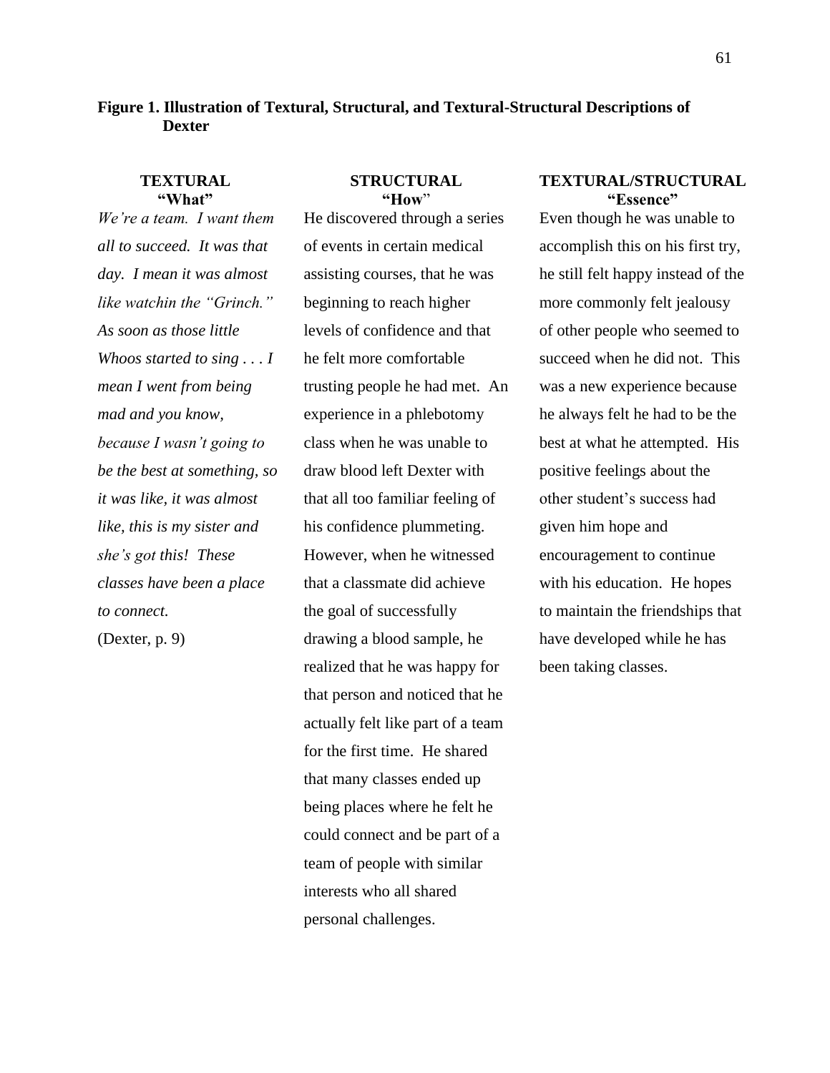# **Figure 1. Illustration of Textural, Structural, and Textural-Structural Descriptions of Dexter**

# **TEXTURAL "What"**

*We're a team. I want them all to succeed. It was that day. I mean it was almost like watchin the "Grinch." As soon as those little Whoos started to sing . . . I mean I went from being mad and you know, because I wasn't going to be the best at something, so it was like, it was almost like, this is my sister and she's got this! These classes have been a place to connect.*

(Dexter, p. 9)

# **STRUCTURAL "How**"

He discovered through a series of events in certain medical assisting courses, that he was beginning to reach higher levels of confidence and that he felt more comfortable trusting people he had met. An experience in a phlebotomy class when he was unable to draw blood left Dexter with that all too familiar feeling of his confidence plummeting. However, when he witnessed that a classmate did achieve the goal of successfully drawing a blood sample, he realized that he was happy for that person and noticed that he actually felt like part of a team for the first time. He shared that many classes ended up being places where he felt he could connect and be part of a team of people with similar interests who all shared personal challenges.

# **TEXTURAL/STRUCTURAL "Essence"**

Even though he was unable to accomplish this on his first try, he still felt happy instead of the more commonly felt jealousy of other people who seemed to succeed when he did not. This was a new experience because he always felt he had to be the best at what he attempted. His positive feelings about the other student's success had given him hope and encouragement to continue with his education. He hopes to maintain the friendships that have developed while he has been taking classes.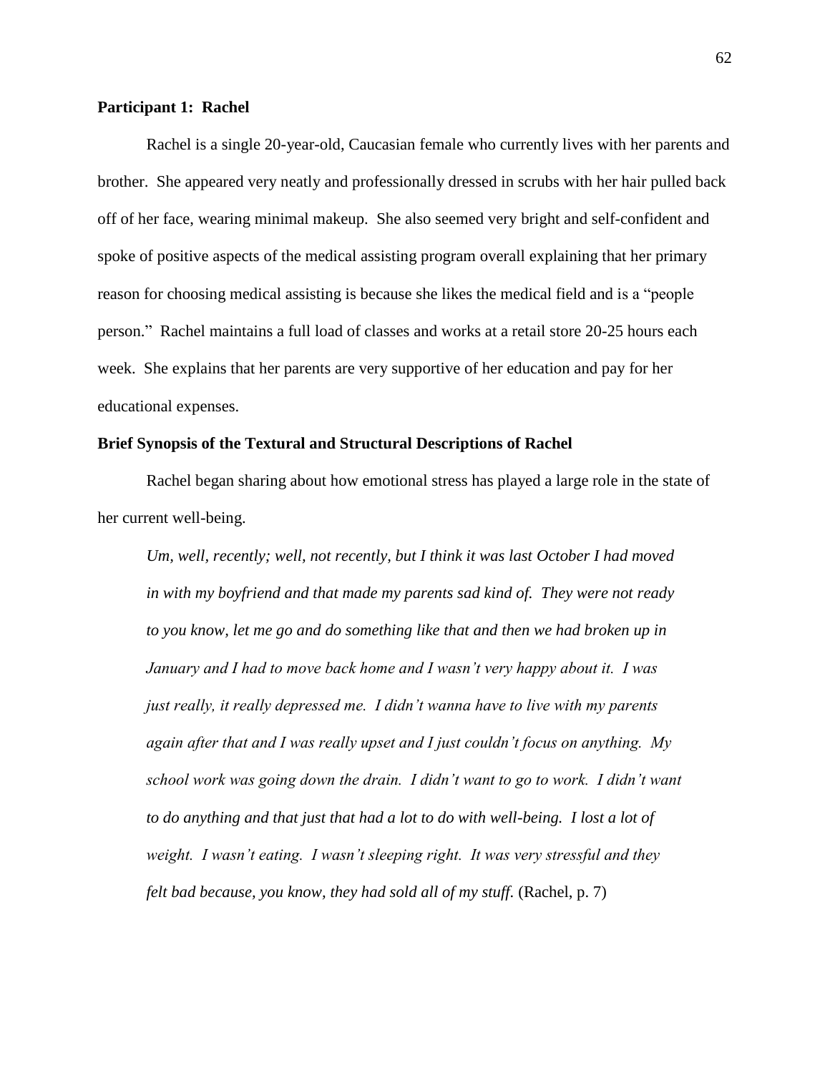# **Participant 1: Rachel**

Rachel is a single 20-year-old, Caucasian female who currently lives with her parents and brother. She appeared very neatly and professionally dressed in scrubs with her hair pulled back off of her face, wearing minimal makeup. She also seemed very bright and self-confident and spoke of positive aspects of the medical assisting program overall explaining that her primary reason for choosing medical assisting is because she likes the medical field and is a "people person." Rachel maintains a full load of classes and works at a retail store 20-25 hours each week. She explains that her parents are very supportive of her education and pay for her educational expenses.

# **Brief Synopsis of the Textural and Structural Descriptions of Rachel**

Rachel began sharing about how emotional stress has played a large role in the state of her current well-being.

*Um, well, recently; well, not recently, but I think it was last October I had moved in with my boyfriend and that made my parents sad kind of. They were not ready to you know, let me go and do something like that and then we had broken up in January and I had to move back home and I wasn't very happy about it. I was just really, it really depressed me. I didn't wanna have to live with my parents again after that and I was really upset and I just couldn't focus on anything. My school work was going down the drain. I didn't want to go to work. I didn't want to do anything and that just that had a lot to do with well-being. I lost a lot of weight. I wasn't eating. I wasn't sleeping right. It was very stressful and they felt bad because, you know, they had sold all of my stuff.* (Rachel, p. 7)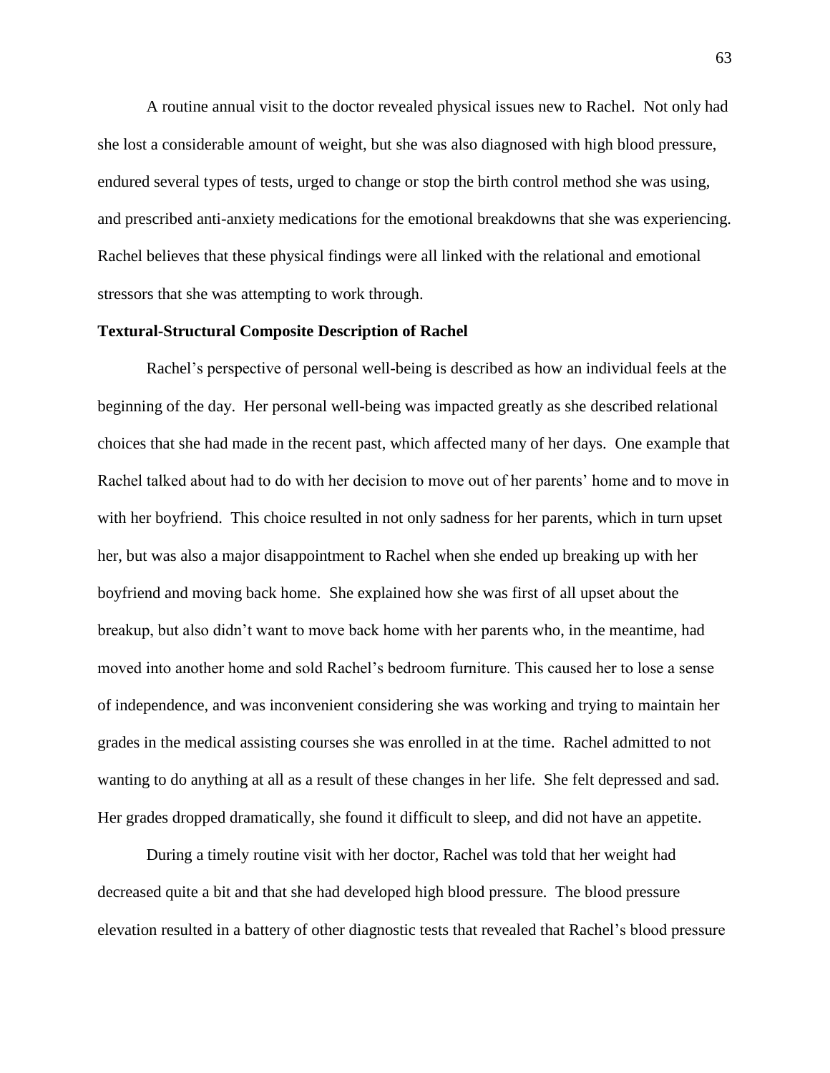A routine annual visit to the doctor revealed physical issues new to Rachel. Not only had she lost a considerable amount of weight, but she was also diagnosed with high blood pressure, endured several types of tests, urged to change or stop the birth control method she was using, and prescribed anti-anxiety medications for the emotional breakdowns that she was experiencing. Rachel believes that these physical findings were all linked with the relational and emotional stressors that she was attempting to work through.

# **Textural-Structural Composite Description of Rachel**

Rachel's perspective of personal well-being is described as how an individual feels at the beginning of the day. Her personal well-being was impacted greatly as she described relational choices that she had made in the recent past, which affected many of her days. One example that Rachel talked about had to do with her decision to move out of her parents' home and to move in with her boyfriend. This choice resulted in not only sadness for her parents, which in turn upset her, but was also a major disappointment to Rachel when she ended up breaking up with her boyfriend and moving back home. She explained how she was first of all upset about the breakup, but also didn't want to move back home with her parents who, in the meantime, had moved into another home and sold Rachel's bedroom furniture. This caused her to lose a sense of independence, and was inconvenient considering she was working and trying to maintain her grades in the medical assisting courses she was enrolled in at the time. Rachel admitted to not wanting to do anything at all as a result of these changes in her life. She felt depressed and sad. Her grades dropped dramatically, she found it difficult to sleep, and did not have an appetite.

During a timely routine visit with her doctor, Rachel was told that her weight had decreased quite a bit and that she had developed high blood pressure. The blood pressure elevation resulted in a battery of other diagnostic tests that revealed that Rachel's blood pressure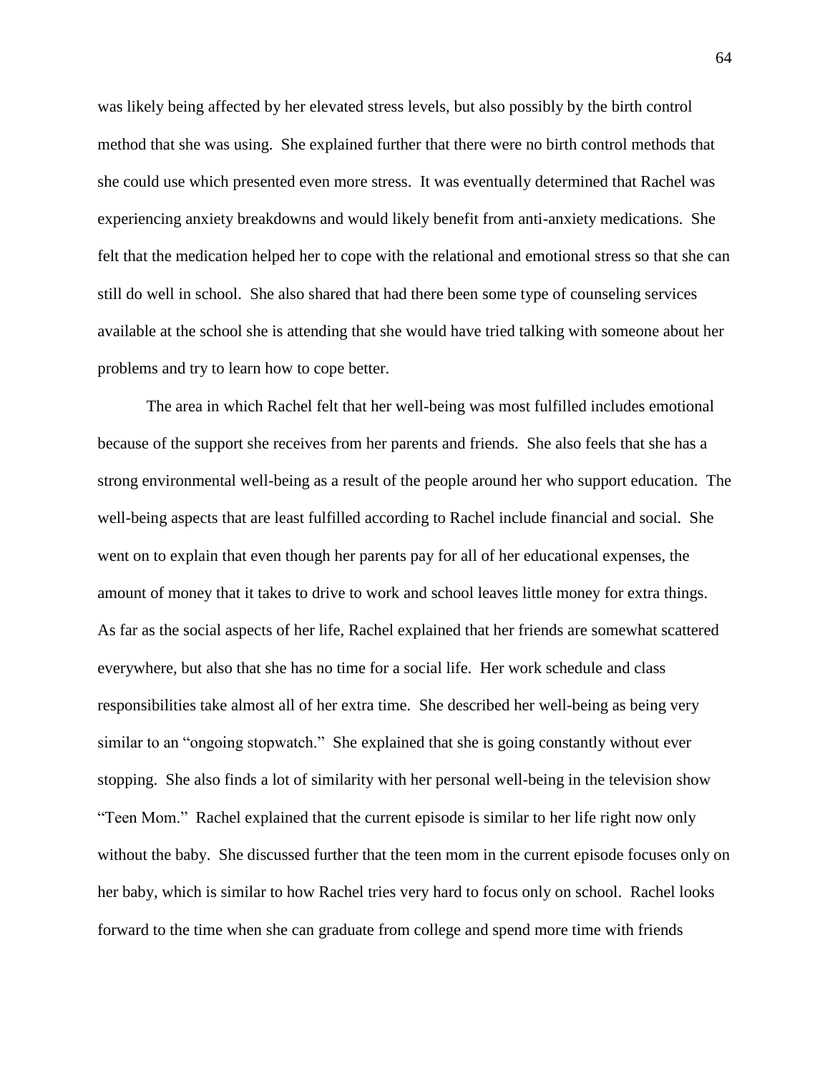was likely being affected by her elevated stress levels, but also possibly by the birth control method that she was using. She explained further that there were no birth control methods that she could use which presented even more stress. It was eventually determined that Rachel was experiencing anxiety breakdowns and would likely benefit from anti-anxiety medications. She felt that the medication helped her to cope with the relational and emotional stress so that she can still do well in school. She also shared that had there been some type of counseling services available at the school she is attending that she would have tried talking with someone about her problems and try to learn how to cope better.

The area in which Rachel felt that her well-being was most fulfilled includes emotional because of the support she receives from her parents and friends. She also feels that she has a strong environmental well-being as a result of the people around her who support education. The well-being aspects that are least fulfilled according to Rachel include financial and social. She went on to explain that even though her parents pay for all of her educational expenses, the amount of money that it takes to drive to work and school leaves little money for extra things. As far as the social aspects of her life, Rachel explained that her friends are somewhat scattered everywhere, but also that she has no time for a social life. Her work schedule and class responsibilities take almost all of her extra time. She described her well-being as being very similar to an "ongoing stopwatch." She explained that she is going constantly without ever stopping. She also finds a lot of similarity with her personal well-being in the television show "Teen Mom." Rachel explained that the current episode is similar to her life right now only without the baby. She discussed further that the teen mom in the current episode focuses only on her baby, which is similar to how Rachel tries very hard to focus only on school. Rachel looks forward to the time when she can graduate from college and spend more time with friends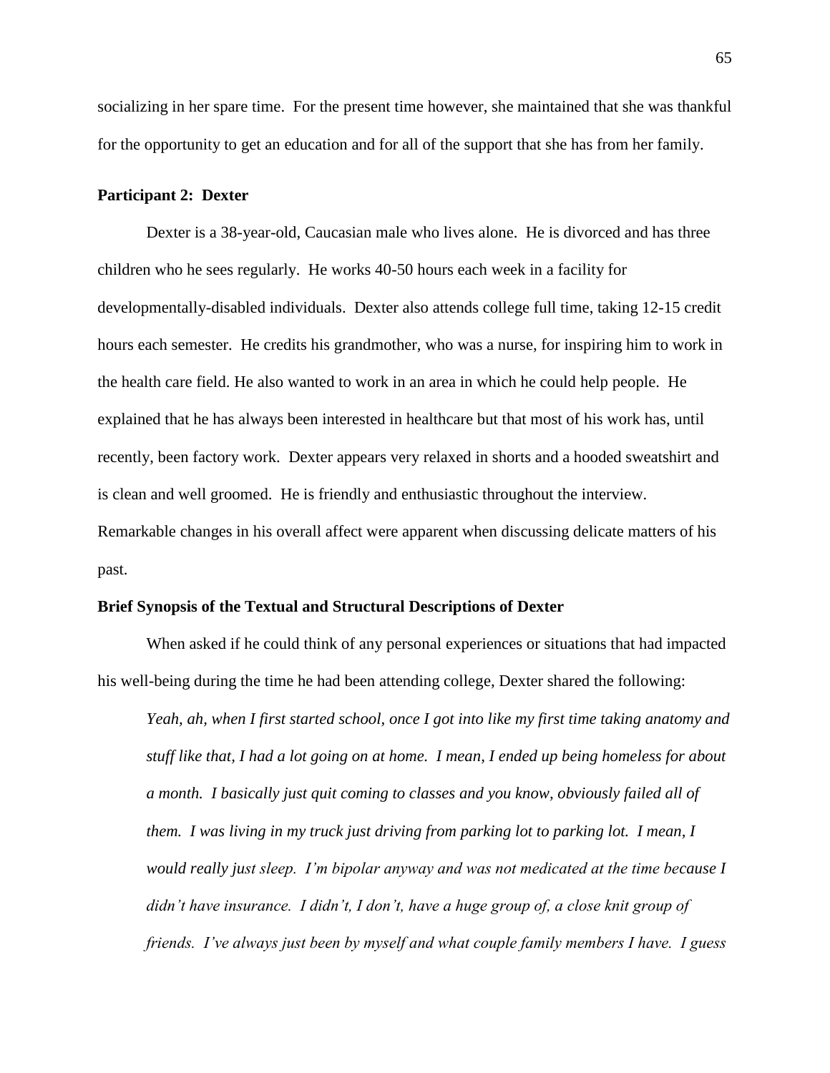socializing in her spare time. For the present time however, she maintained that she was thankful for the opportunity to get an education and for all of the support that she has from her family.

### **Participant 2: Dexter**

Dexter is a 38-year-old, Caucasian male who lives alone. He is divorced and has three children who he sees regularly. He works 40-50 hours each week in a facility for developmentally-disabled individuals. Dexter also attends college full time, taking 12-15 credit hours each semester. He credits his grandmother, who was a nurse, for inspiring him to work in the health care field. He also wanted to work in an area in which he could help people. He explained that he has always been interested in healthcare but that most of his work has, until recently, been factory work. Dexter appears very relaxed in shorts and a hooded sweatshirt and is clean and well groomed. He is friendly and enthusiastic throughout the interview. Remarkable changes in his overall affect were apparent when discussing delicate matters of his past.

# **Brief Synopsis of the Textual and Structural Descriptions of Dexter**

When asked if he could think of any personal experiences or situations that had impacted his well-being during the time he had been attending college, Dexter shared the following:

*Yeah, ah, when I first started school, once I got into like my first time taking anatomy and stuff like that, I had a lot going on at home. I mean, I ended up being homeless for about a month. I basically just quit coming to classes and you know, obviously failed all of them. I was living in my truck just driving from parking lot to parking lot. I mean, I would really just sleep. I'm bipolar anyway and was not medicated at the time because I didn't have insurance. I didn't, I don't, have a huge group of, a close knit group of friends. I've always just been by myself and what couple family members I have. I guess*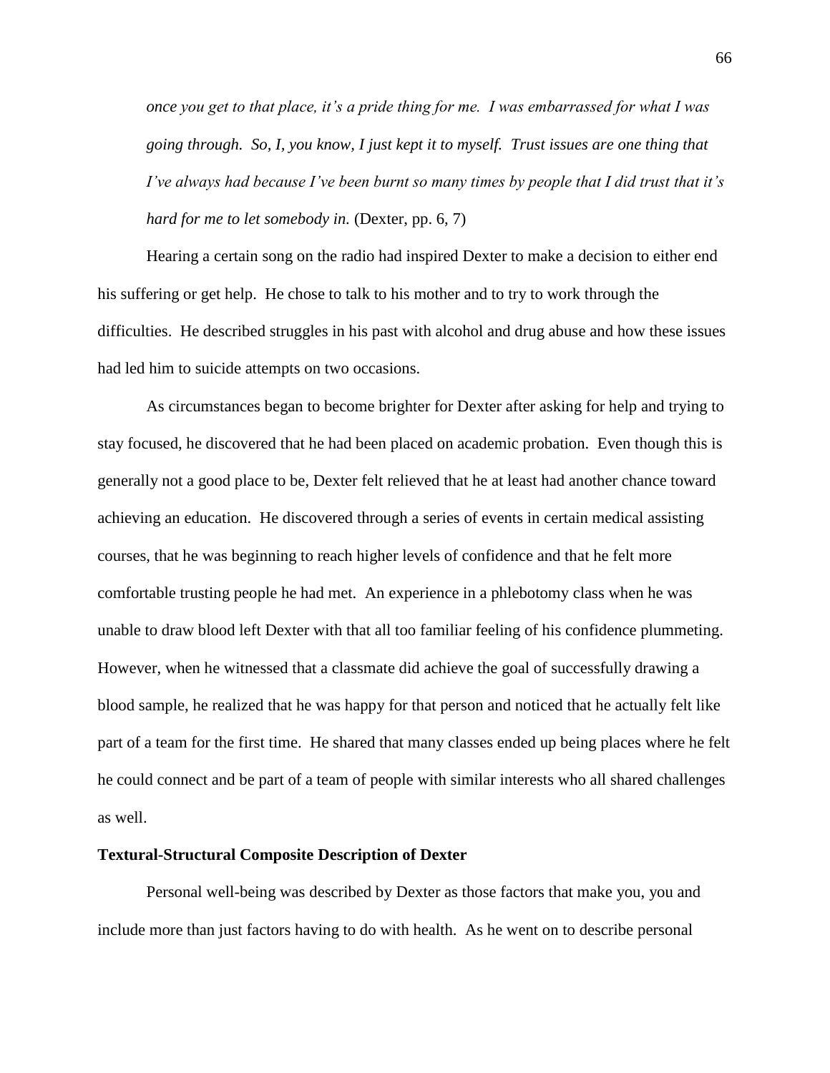*once you get to that place, it's a pride thing for me. I was embarrassed for what I was going through. So, I, you know, I just kept it to myself. Trust issues are one thing that I've always had because I've been burnt so many times by people that I did trust that it's hard for me to let somebody in.* (Dexter, pp. 6, 7)

Hearing a certain song on the radio had inspired Dexter to make a decision to either end his suffering or get help. He chose to talk to his mother and to try to work through the difficulties. He described struggles in his past with alcohol and drug abuse and how these issues had led him to suicide attempts on two occasions.

As circumstances began to become brighter for Dexter after asking for help and trying to stay focused, he discovered that he had been placed on academic probation. Even though this is generally not a good place to be, Dexter felt relieved that he at least had another chance toward achieving an education. He discovered through a series of events in certain medical assisting courses, that he was beginning to reach higher levels of confidence and that he felt more comfortable trusting people he had met. An experience in a phlebotomy class when he was unable to draw blood left Dexter with that all too familiar feeling of his confidence plummeting. However, when he witnessed that a classmate did achieve the goal of successfully drawing a blood sample, he realized that he was happy for that person and noticed that he actually felt like part of a team for the first time. He shared that many classes ended up being places where he felt he could connect and be part of a team of people with similar interests who all shared challenges as well.

### **Textural-Structural Composite Description of Dexter**

Personal well-being was described by Dexter as those factors that make you, you and include more than just factors having to do with health. As he went on to describe personal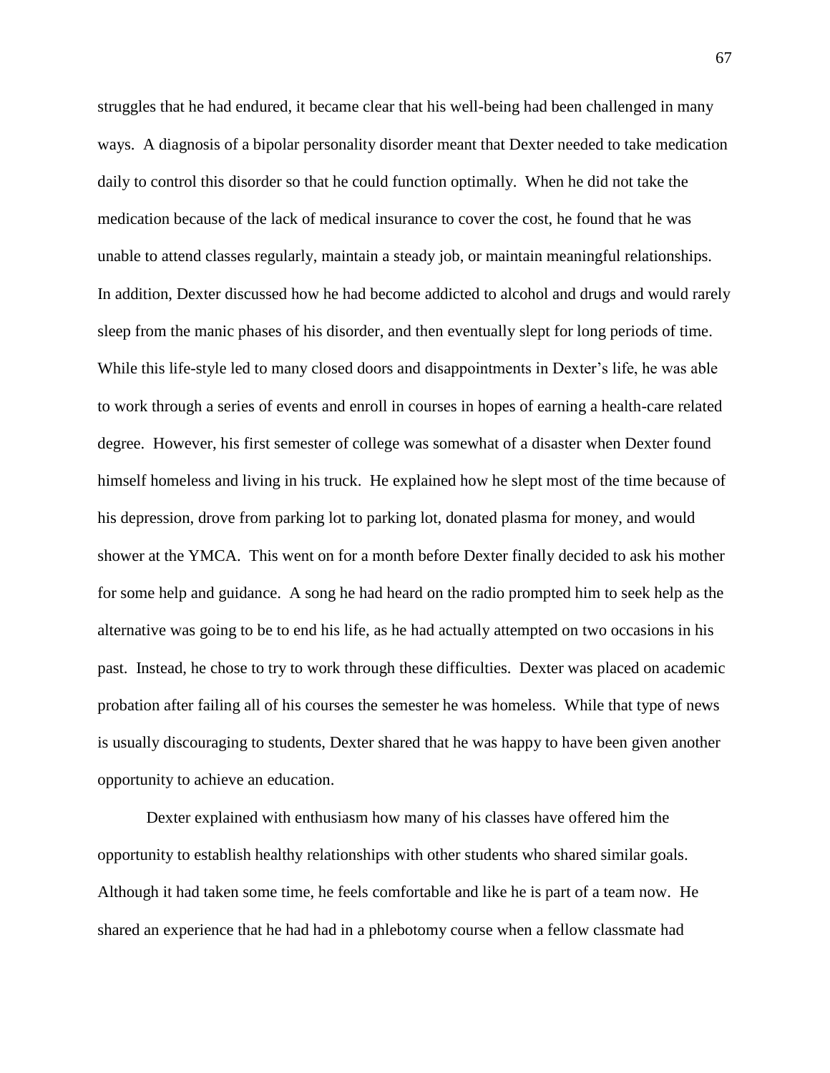struggles that he had endured, it became clear that his well-being had been challenged in many ways. A diagnosis of a bipolar personality disorder meant that Dexter needed to take medication daily to control this disorder so that he could function optimally. When he did not take the medication because of the lack of medical insurance to cover the cost, he found that he was unable to attend classes regularly, maintain a steady job, or maintain meaningful relationships. In addition, Dexter discussed how he had become addicted to alcohol and drugs and would rarely sleep from the manic phases of his disorder, and then eventually slept for long periods of time. While this life-style led to many closed doors and disappointments in Dexter's life, he was able to work through a series of events and enroll in courses in hopes of earning a health-care related degree. However, his first semester of college was somewhat of a disaster when Dexter found himself homeless and living in his truck. He explained how he slept most of the time because of his depression, drove from parking lot to parking lot, donated plasma for money, and would shower at the YMCA. This went on for a month before Dexter finally decided to ask his mother for some help and guidance. A song he had heard on the radio prompted him to seek help as the alternative was going to be to end his life, as he had actually attempted on two occasions in his past. Instead, he chose to try to work through these difficulties. Dexter was placed on academic probation after failing all of his courses the semester he was homeless. While that type of news is usually discouraging to students, Dexter shared that he was happy to have been given another opportunity to achieve an education.

Dexter explained with enthusiasm how many of his classes have offered him the opportunity to establish healthy relationships with other students who shared similar goals. Although it had taken some time, he feels comfortable and like he is part of a team now. He shared an experience that he had had in a phlebotomy course when a fellow classmate had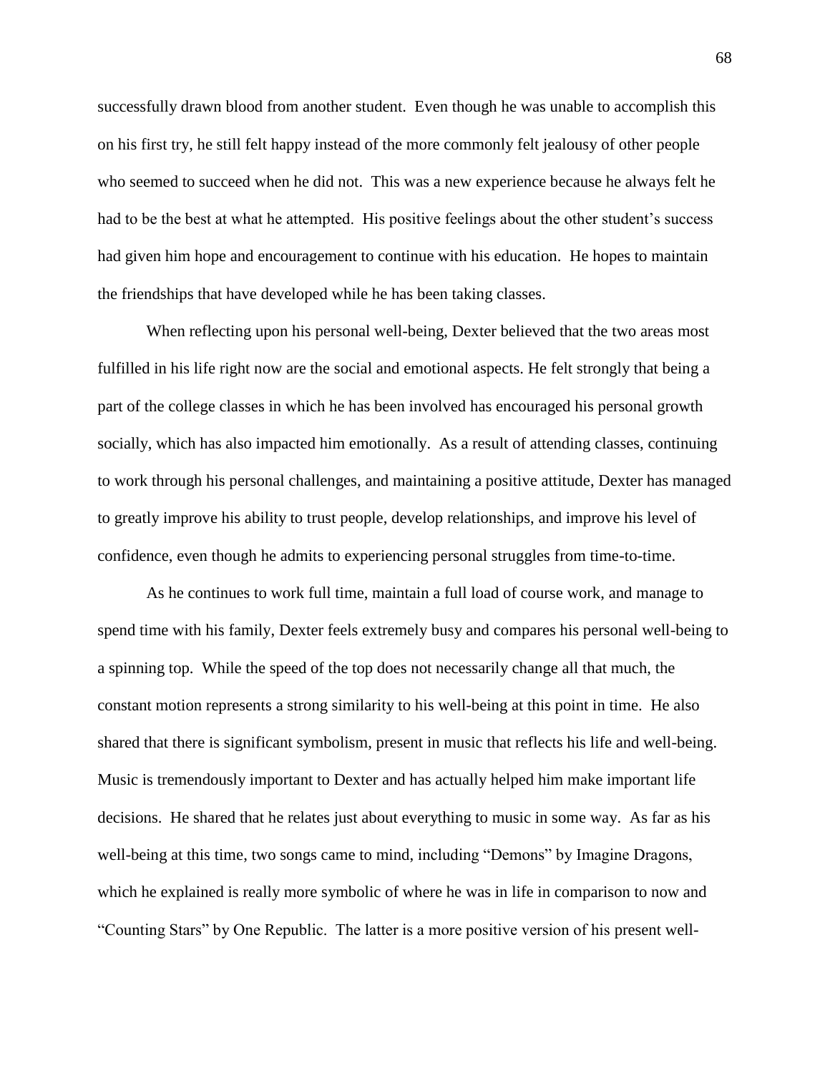successfully drawn blood from another student. Even though he was unable to accomplish this on his first try, he still felt happy instead of the more commonly felt jealousy of other people who seemed to succeed when he did not. This was a new experience because he always felt he had to be the best at what he attempted. His positive feelings about the other student's success had given him hope and encouragement to continue with his education. He hopes to maintain the friendships that have developed while he has been taking classes.

When reflecting upon his personal well-being, Dexter believed that the two areas most fulfilled in his life right now are the social and emotional aspects. He felt strongly that being a part of the college classes in which he has been involved has encouraged his personal growth socially, which has also impacted him emotionally. As a result of attending classes, continuing to work through his personal challenges, and maintaining a positive attitude, Dexter has managed to greatly improve his ability to trust people, develop relationships, and improve his level of confidence, even though he admits to experiencing personal struggles from time-to-time.

As he continues to work full time, maintain a full load of course work, and manage to spend time with his family, Dexter feels extremely busy and compares his personal well-being to a spinning top. While the speed of the top does not necessarily change all that much, the constant motion represents a strong similarity to his well-being at this point in time. He also shared that there is significant symbolism, present in music that reflects his life and well-being. Music is tremendously important to Dexter and has actually helped him make important life decisions. He shared that he relates just about everything to music in some way. As far as his well-being at this time, two songs came to mind, including "Demons" by Imagine Dragons, which he explained is really more symbolic of where he was in life in comparison to now and "Counting Stars" by One Republic. The latter is a more positive version of his present well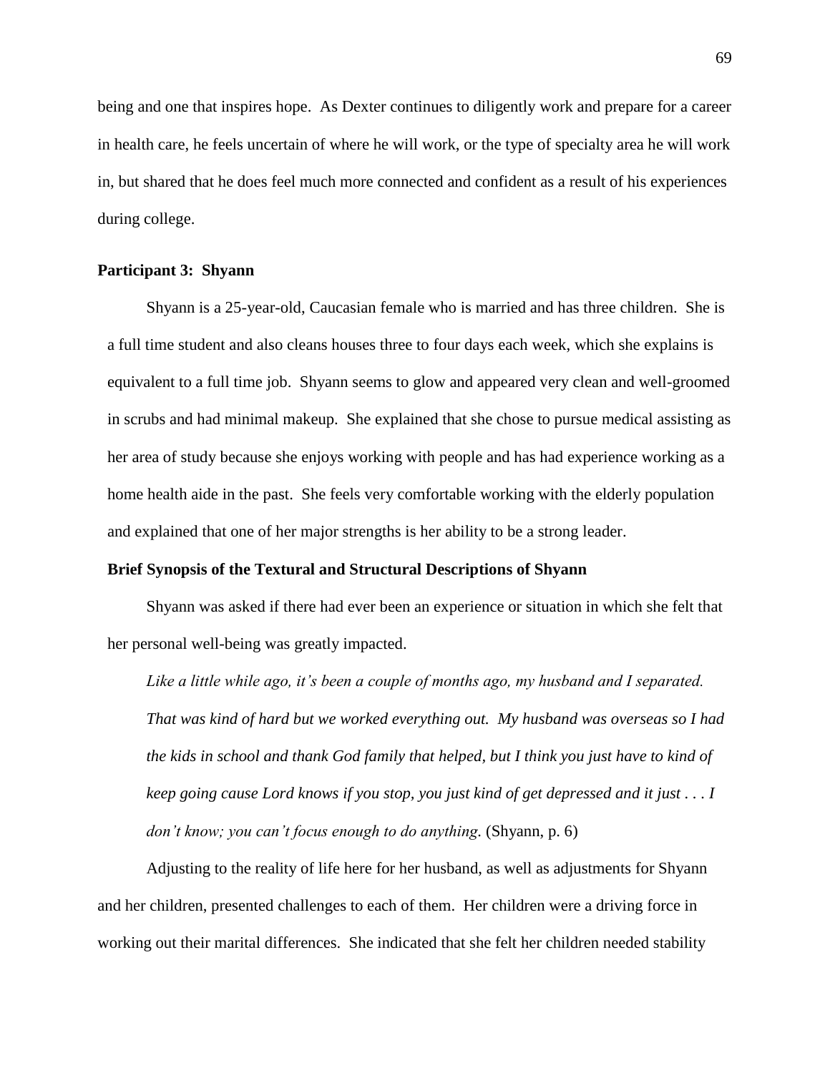being and one that inspires hope. As Dexter continues to diligently work and prepare for a career in health care, he feels uncertain of where he will work, or the type of specialty area he will work in, but shared that he does feel much more connected and confident as a result of his experiences during college.

### **Participant 3: Shyann**

Shyann is a 25-year-old, Caucasian female who is married and has three children. She is a full time student and also cleans houses three to four days each week, which she explains is equivalent to a full time job. Shyann seems to glow and appeared very clean and well-groomed in scrubs and had minimal makeup. She explained that she chose to pursue medical assisting as her area of study because she enjoys working with people and has had experience working as a home health aide in the past. She feels very comfortable working with the elderly population and explained that one of her major strengths is her ability to be a strong leader.

# **Brief Synopsis of the Textural and Structural Descriptions of Shyann**

Shyann was asked if there had ever been an experience or situation in which she felt that her personal well-being was greatly impacted.

*Like a little while ago, it's been a couple of months ago, my husband and I separated. That was kind of hard but we worked everything out. My husband was overseas so I had the kids in school and thank God family that helped, but I think you just have to kind of keep going cause Lord knows if you stop, you just kind of get depressed and it just . . . I don't know; you can't focus enough to do anything.* (Shyann, p. 6)

Adjusting to the reality of life here for her husband, as well as adjustments for Shyann and her children, presented challenges to each of them. Her children were a driving force in working out their marital differences. She indicated that she felt her children needed stability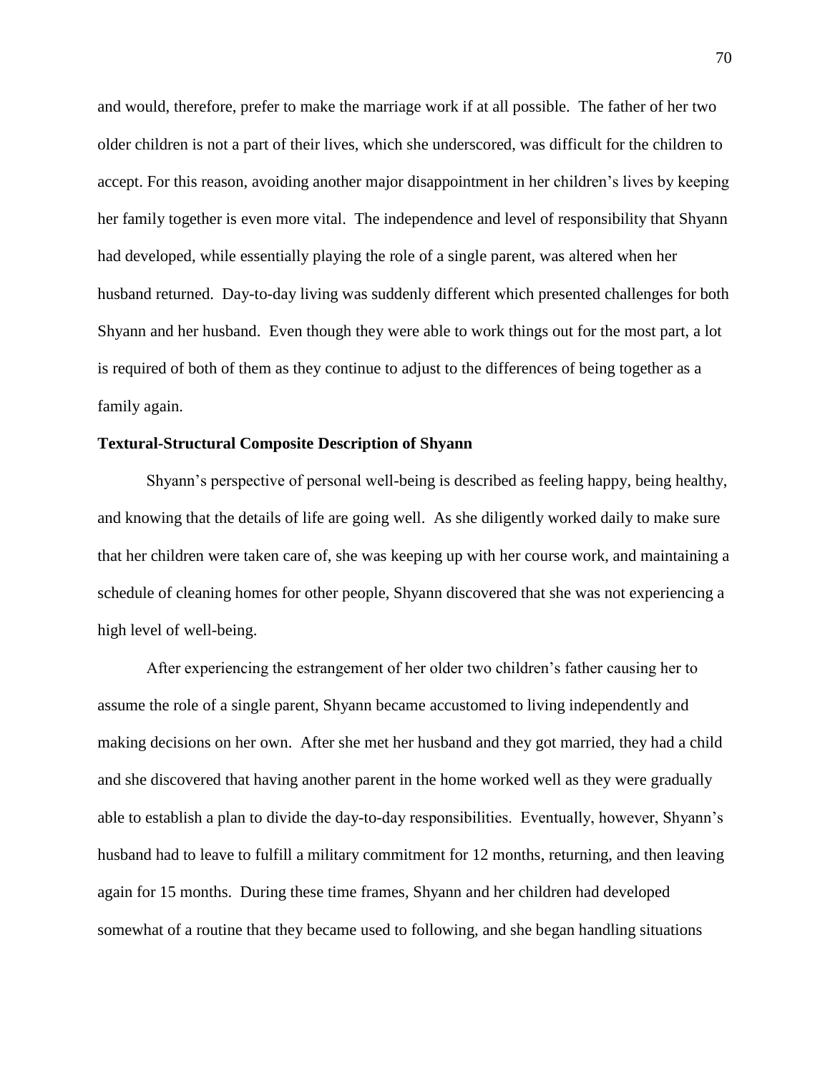and would, therefore, prefer to make the marriage work if at all possible. The father of her two older children is not a part of their lives, which she underscored, was difficult for the children to accept. For this reason, avoiding another major disappointment in her children's lives by keeping her family together is even more vital. The independence and level of responsibility that Shyann had developed, while essentially playing the role of a single parent, was altered when her husband returned. Day-to-day living was suddenly different which presented challenges for both Shyann and her husband. Even though they were able to work things out for the most part, a lot is required of both of them as they continue to adjust to the differences of being together as a family again.

# **Textural-Structural Composite Description of Shyann**

Shyann's perspective of personal well-being is described as feeling happy, being healthy, and knowing that the details of life are going well. As she diligently worked daily to make sure that her children were taken care of, she was keeping up with her course work, and maintaining a schedule of cleaning homes for other people, Shyann discovered that she was not experiencing a high level of well-being.

After experiencing the estrangement of her older two children's father causing her to assume the role of a single parent, Shyann became accustomed to living independently and making decisions on her own. After she met her husband and they got married, they had a child and she discovered that having another parent in the home worked well as they were gradually able to establish a plan to divide the day-to-day responsibilities. Eventually, however, Shyann's husband had to leave to fulfill a military commitment for 12 months, returning, and then leaving again for 15 months. During these time frames, Shyann and her children had developed somewhat of a routine that they became used to following, and she began handling situations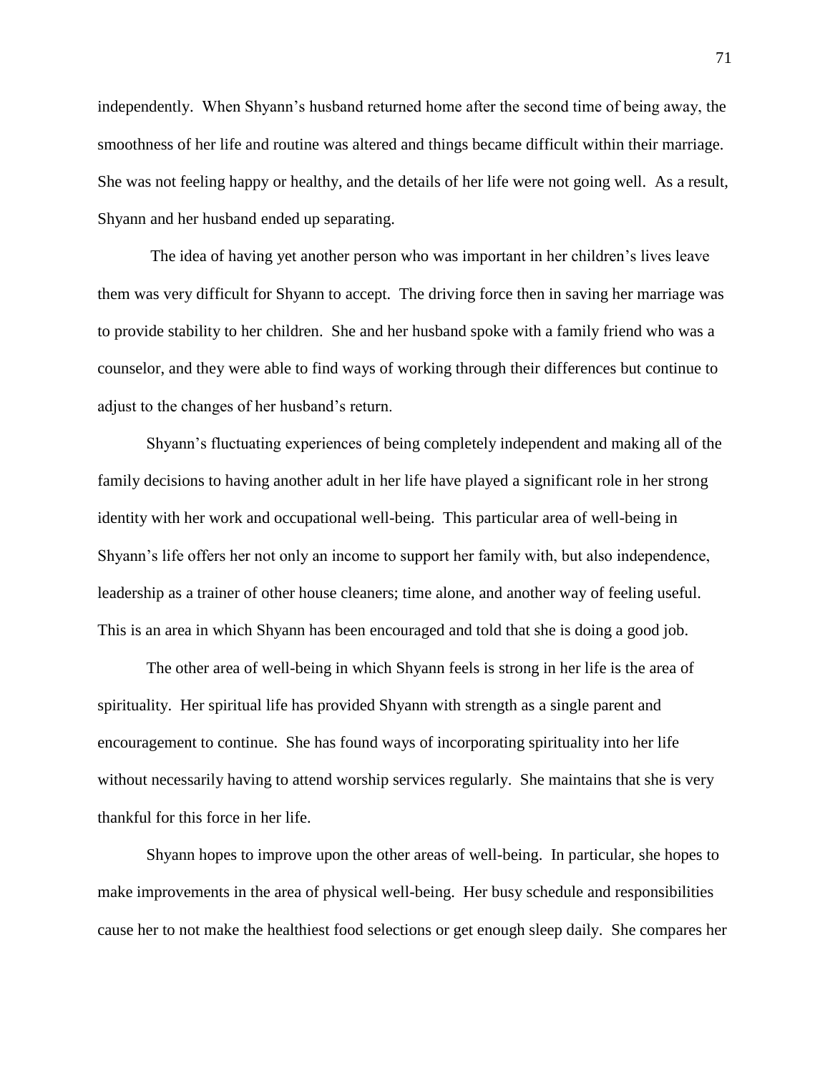independently. When Shyann's husband returned home after the second time of being away, the smoothness of her life and routine was altered and things became difficult within their marriage. She was not feeling happy or healthy, and the details of her life were not going well. As a result, Shyann and her husband ended up separating.

The idea of having yet another person who was important in her children's lives leave them was very difficult for Shyann to accept. The driving force then in saving her marriage was to provide stability to her children. She and her husband spoke with a family friend who was a counselor, and they were able to find ways of working through their differences but continue to adjust to the changes of her husband's return.

Shyann's fluctuating experiences of being completely independent and making all of the family decisions to having another adult in her life have played a significant role in her strong identity with her work and occupational well-being. This particular area of well-being in Shyann's life offers her not only an income to support her family with, but also independence, leadership as a trainer of other house cleaners; time alone, and another way of feeling useful. This is an area in which Shyann has been encouraged and told that she is doing a good job.

The other area of well-being in which Shyann feels is strong in her life is the area of spirituality. Her spiritual life has provided Shyann with strength as a single parent and encouragement to continue. She has found ways of incorporating spirituality into her life without necessarily having to attend worship services regularly. She maintains that she is very thankful for this force in her life.

Shyann hopes to improve upon the other areas of well-being. In particular, she hopes to make improvements in the area of physical well-being. Her busy schedule and responsibilities cause her to not make the healthiest food selections or get enough sleep daily. She compares her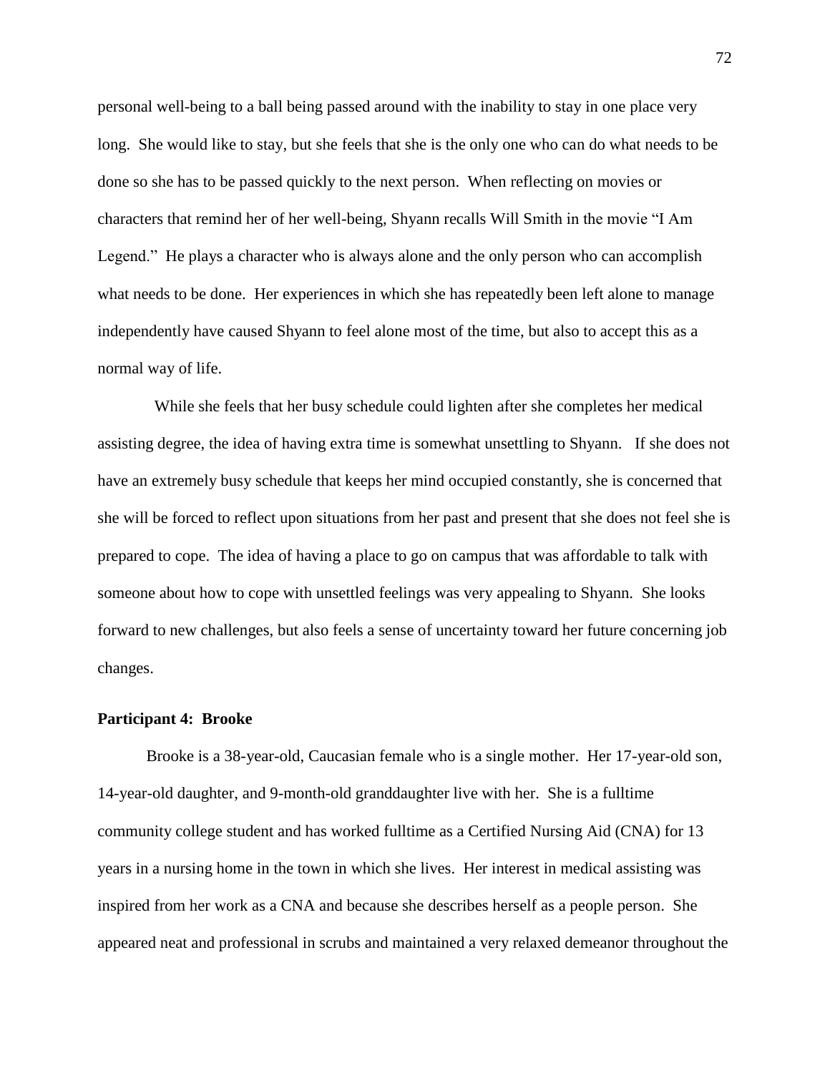personal well-being to a ball being passed around with the inability to stay in one place very long. She would like to stay, but she feels that she is the only one who can do what needs to be done so she has to be passed quickly to the next person. When reflecting on movies or characters that remind her of her well-being, Shyann recalls Will Smith in the movie "I Am Legend." He plays a character who is always alone and the only person who can accomplish what needs to be done. Her experiences in which she has repeatedly been left alone to manage independently have caused Shyann to feel alone most of the time, but also to accept this as a normal way of life.

 While she feels that her busy schedule could lighten after she completes her medical assisting degree, the idea of having extra time is somewhat unsettling to Shyann. If she does not have an extremely busy schedule that keeps her mind occupied constantly, she is concerned that she will be forced to reflect upon situations from her past and present that she does not feel she is prepared to cope. The idea of having a place to go on campus that was affordable to talk with someone about how to cope with unsettled feelings was very appealing to Shyann. She looks forward to new challenges, but also feels a sense of uncertainty toward her future concerning job changes.

# **Participant 4: Brooke**

Brooke is a 38-year-old, Caucasian female who is a single mother. Her 17-year-old son, 14-year-old daughter, and 9-month-old granddaughter live with her. She is a fulltime community college student and has worked fulltime as a Certified Nursing Aid (CNA) for 13 years in a nursing home in the town in which she lives. Her interest in medical assisting was inspired from her work as a CNA and because she describes herself as a people person. She appeared neat and professional in scrubs and maintained a very relaxed demeanor throughout the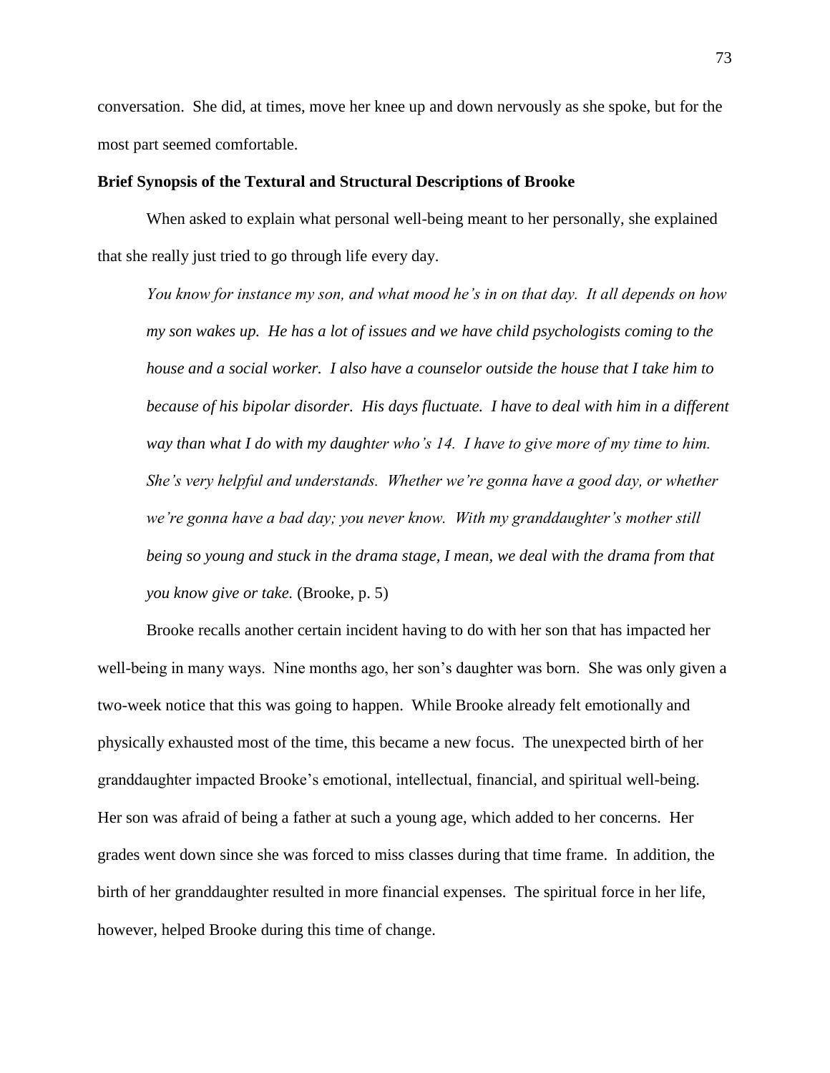conversation. She did, at times, move her knee up and down nervously as she spoke, but for the most part seemed comfortable.

### **Brief Synopsis of the Textural and Structural Descriptions of Brooke**

When asked to explain what personal well-being meant to her personally, she explained that she really just tried to go through life every day.

*You know for instance my son, and what mood he's in on that day. It all depends on how my son wakes up. He has a lot of issues and we have child psychologists coming to the house and a social worker. I also have a counselor outside the house that I take him to because of his bipolar disorder. His days fluctuate. I have to deal with him in a different way than what I do with my daughter who's 14. I have to give more of my time to him. She's very helpful and understands. Whether we're gonna have a good day, or whether we're gonna have a bad day; you never know. With my granddaughter's mother still being so young and stuck in the drama stage, I mean, we deal with the drama from that you know give or take.* (Brooke, p. 5)

Brooke recalls another certain incident having to do with her son that has impacted her well-being in many ways. Nine months ago, her son's daughter was born. She was only given a two-week notice that this was going to happen. While Brooke already felt emotionally and physically exhausted most of the time, this became a new focus. The unexpected birth of her granddaughter impacted Brooke's emotional, intellectual, financial, and spiritual well-being. Her son was afraid of being a father at such a young age, which added to her concerns. Her grades went down since she was forced to miss classes during that time frame. In addition, the birth of her granddaughter resulted in more financial expenses. The spiritual force in her life, however, helped Brooke during this time of change.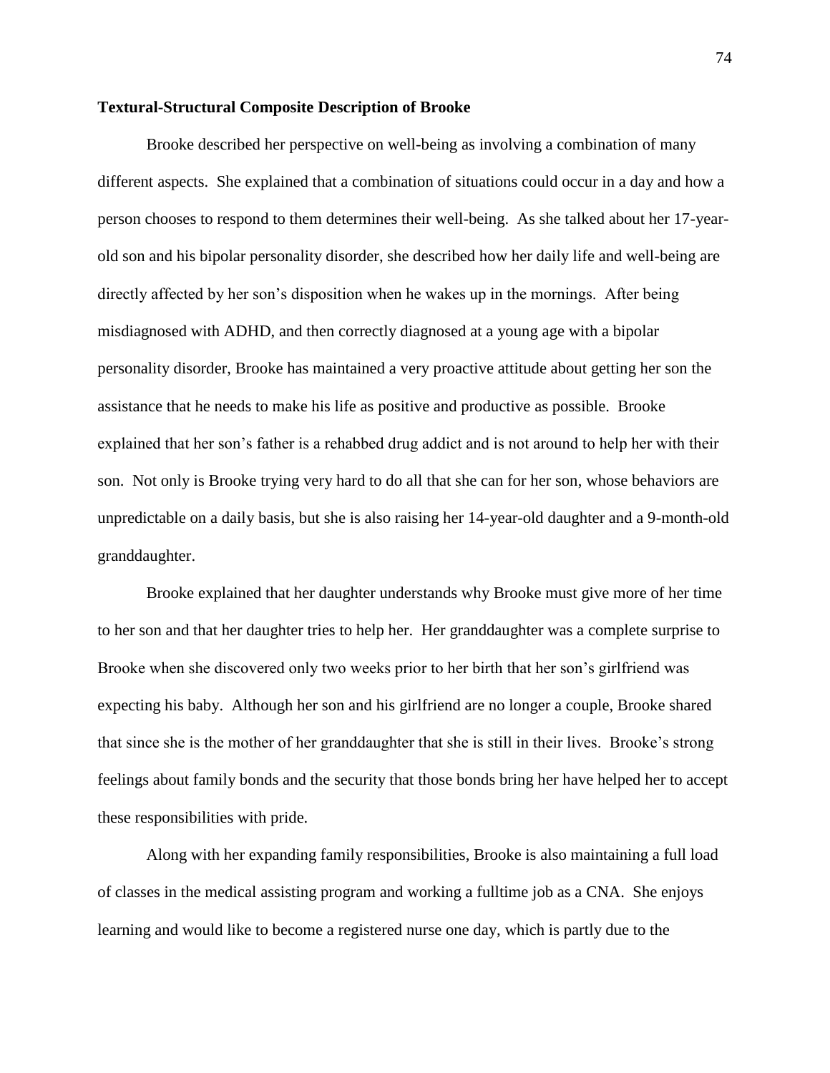# **Textural-Structural Composite Description of Brooke**

Brooke described her perspective on well-being as involving a combination of many different aspects. She explained that a combination of situations could occur in a day and how a person chooses to respond to them determines their well-being. As she talked about her 17-yearold son and his bipolar personality disorder, she described how her daily life and well-being are directly affected by her son's disposition when he wakes up in the mornings. After being misdiagnosed with ADHD, and then correctly diagnosed at a young age with a bipolar personality disorder, Brooke has maintained a very proactive attitude about getting her son the assistance that he needs to make his life as positive and productive as possible. Brooke explained that her son's father is a rehabbed drug addict and is not around to help her with their son. Not only is Brooke trying very hard to do all that she can for her son, whose behaviors are unpredictable on a daily basis, but she is also raising her 14-year-old daughter and a 9-month-old granddaughter.

Brooke explained that her daughter understands why Brooke must give more of her time to her son and that her daughter tries to help her. Her granddaughter was a complete surprise to Brooke when she discovered only two weeks prior to her birth that her son's girlfriend was expecting his baby. Although her son and his girlfriend are no longer a couple, Brooke shared that since she is the mother of her granddaughter that she is still in their lives. Brooke's strong feelings about family bonds and the security that those bonds bring her have helped her to accept these responsibilities with pride.

Along with her expanding family responsibilities, Brooke is also maintaining a full load of classes in the medical assisting program and working a fulltime job as a CNA. She enjoys learning and would like to become a registered nurse one day, which is partly due to the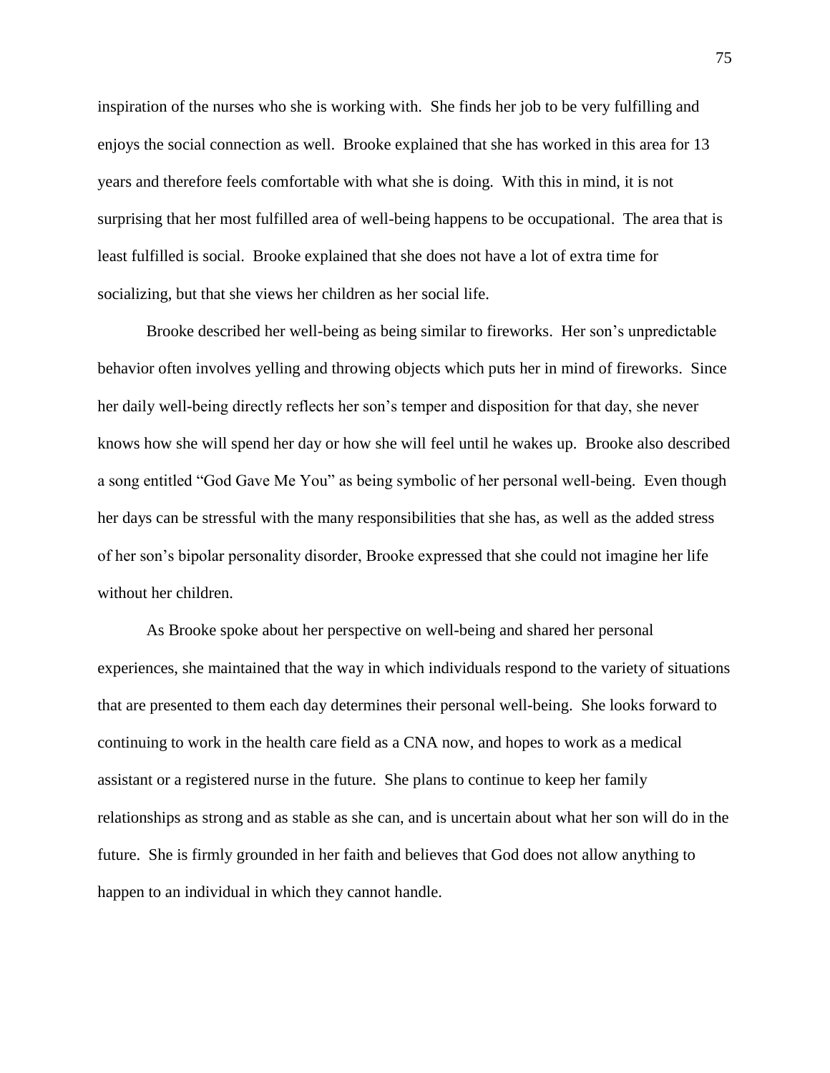inspiration of the nurses who she is working with. She finds her job to be very fulfilling and enjoys the social connection as well. Brooke explained that she has worked in this area for 13 years and therefore feels comfortable with what she is doing. With this in mind, it is not surprising that her most fulfilled area of well-being happens to be occupational. The area that is least fulfilled is social. Brooke explained that she does not have a lot of extra time for socializing, but that she views her children as her social life.

Brooke described her well-being as being similar to fireworks. Her son's unpredictable behavior often involves yelling and throwing objects which puts her in mind of fireworks. Since her daily well-being directly reflects her son's temper and disposition for that day, she never knows how she will spend her day or how she will feel until he wakes up. Brooke also described a song entitled "God Gave Me You" as being symbolic of her personal well-being. Even though her days can be stressful with the many responsibilities that she has, as well as the added stress of her son's bipolar personality disorder, Brooke expressed that she could not imagine her life without her children.

As Brooke spoke about her perspective on well-being and shared her personal experiences, she maintained that the way in which individuals respond to the variety of situations that are presented to them each day determines their personal well-being. She looks forward to continuing to work in the health care field as a CNA now, and hopes to work as a medical assistant or a registered nurse in the future. She plans to continue to keep her family relationships as strong and as stable as she can, and is uncertain about what her son will do in the future. She is firmly grounded in her faith and believes that God does not allow anything to happen to an individual in which they cannot handle.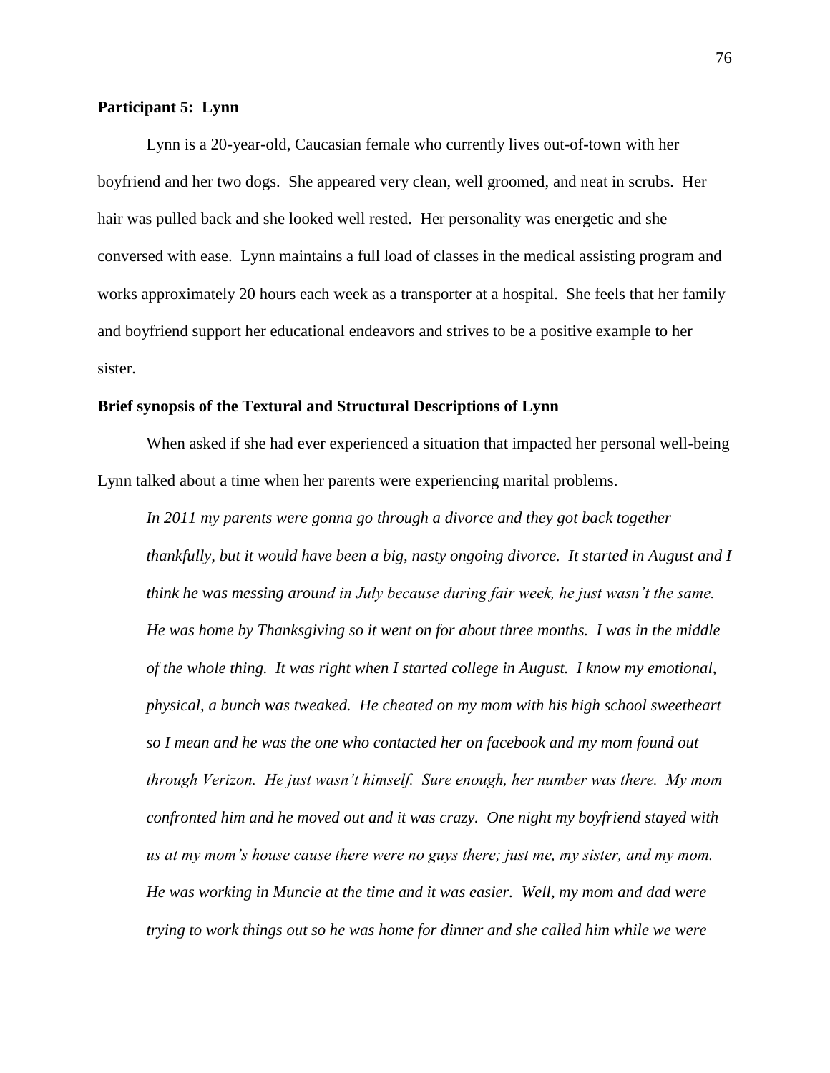# **Participant 5: Lynn**

Lynn is a 20-year-old, Caucasian female who currently lives out-of-town with her boyfriend and her two dogs. She appeared very clean, well groomed, and neat in scrubs. Her hair was pulled back and she looked well rested. Her personality was energetic and she conversed with ease. Lynn maintains a full load of classes in the medical assisting program and works approximately 20 hours each week as a transporter at a hospital. She feels that her family and boyfriend support her educational endeavors and strives to be a positive example to her sister.

### **Brief synopsis of the Textural and Structural Descriptions of Lynn**

When asked if she had ever experienced a situation that impacted her personal well-being Lynn talked about a time when her parents were experiencing marital problems.

In 2011 my parents were gonna go through a divorce and they got back together *thankfully, but it would have been a big, nasty ongoing divorce. It started in August and I think he was messing around in July because during fair week, he just wasn't the same. He was home by Thanksgiving so it went on for about three months. I was in the middle of the whole thing. It was right when I started college in August. I know my emotional, physical, a bunch was tweaked. He cheated on my mom with his high school sweetheart so I mean and he was the one who contacted her on facebook and my mom found out through Verizon. He just wasn't himself. Sure enough, her number was there. My mom confronted him and he moved out and it was crazy. One night my boyfriend stayed with us at my mom's house cause there were no guys there; just me, my sister, and my mom. He was working in Muncie at the time and it was easier. Well, my mom and dad were trying to work things out so he was home for dinner and she called him while we were*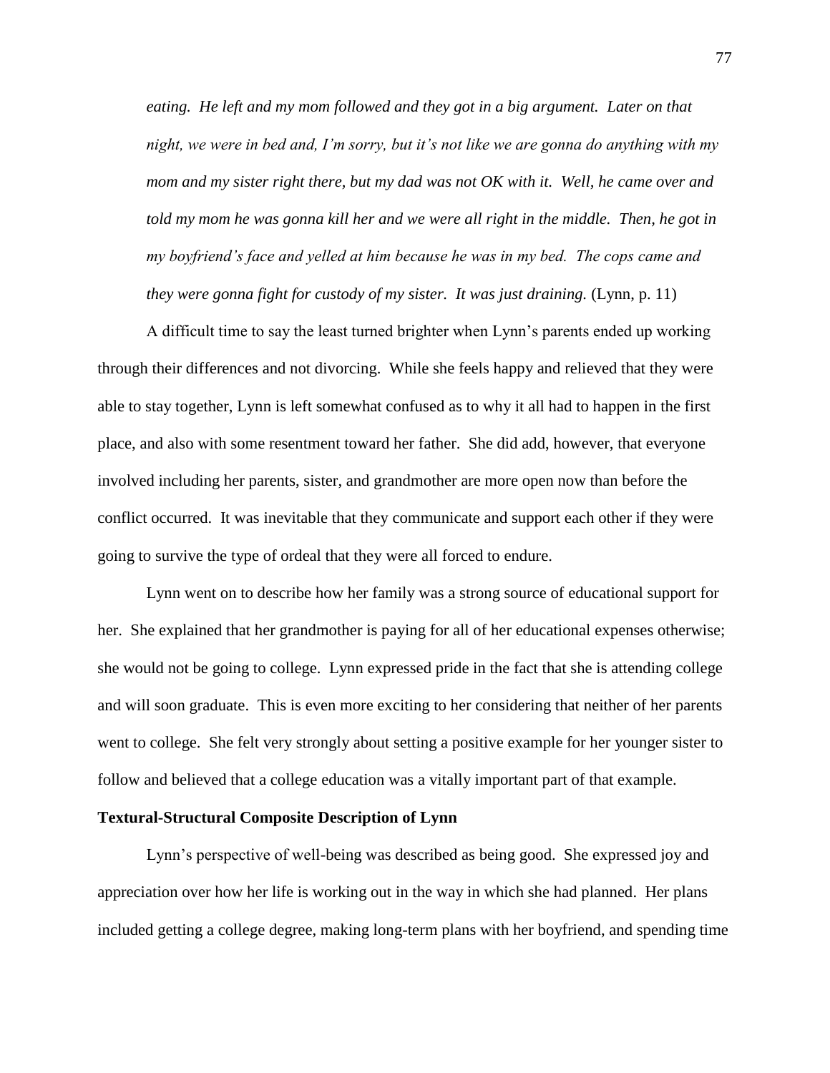eating. He left and my mom followed and they got in a big argument. Later on that *night, we were in bed and, I'm sorry, but it's not like we are gonna do anything with my mom and my sister right there, but my dad was not OK with it. Well, he came over and told my mom he was gonna kill her and we were all right in the middle. Then, he got in my boyfriend's face and yelled at him because he was in my bed. The cops came and they were gonna fight for custody of my sister. It was just draining.* (Lynn, p. 11)

A difficult time to say the least turned brighter when Lynn's parents ended up working through their differences and not divorcing. While she feels happy and relieved that they were able to stay together, Lynn is left somewhat confused as to why it all had to happen in the first place, and also with some resentment toward her father. She did add, however, that everyone involved including her parents, sister, and grandmother are more open now than before the conflict occurred. It was inevitable that they communicate and support each other if they were going to survive the type of ordeal that they were all forced to endure.

Lynn went on to describe how her family was a strong source of educational support for her. She explained that her grandmother is paying for all of her educational expenses otherwise; she would not be going to college. Lynn expressed pride in the fact that she is attending college and will soon graduate. This is even more exciting to her considering that neither of her parents went to college. She felt very strongly about setting a positive example for her younger sister to follow and believed that a college education was a vitally important part of that example.

# **Textural-Structural Composite Description of Lynn**

Lynn's perspective of well-being was described as being good. She expressed joy and appreciation over how her life is working out in the way in which she had planned. Her plans included getting a college degree, making long-term plans with her boyfriend, and spending time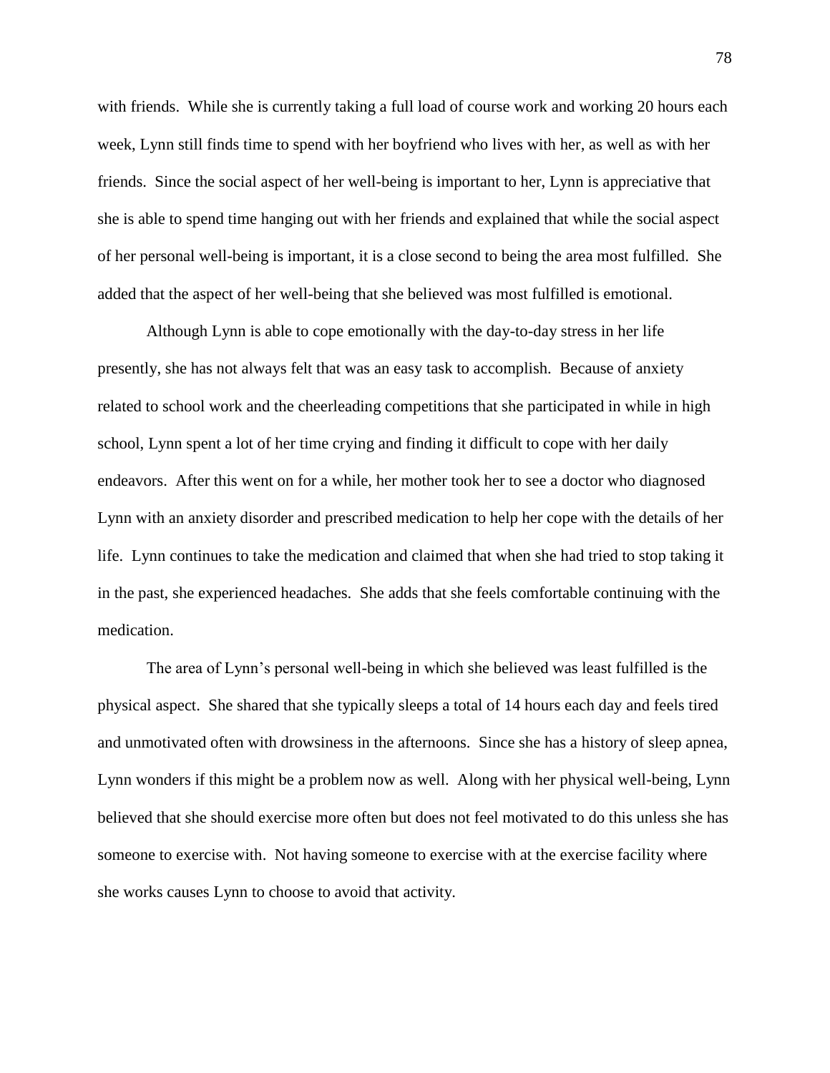with friends. While she is currently taking a full load of course work and working 20 hours each week, Lynn still finds time to spend with her boyfriend who lives with her, as well as with her friends. Since the social aspect of her well-being is important to her, Lynn is appreciative that she is able to spend time hanging out with her friends and explained that while the social aspect of her personal well-being is important, it is a close second to being the area most fulfilled. She added that the aspect of her well-being that she believed was most fulfilled is emotional.

Although Lynn is able to cope emotionally with the day-to-day stress in her life presently, she has not always felt that was an easy task to accomplish. Because of anxiety related to school work and the cheerleading competitions that she participated in while in high school, Lynn spent a lot of her time crying and finding it difficult to cope with her daily endeavors. After this went on for a while, her mother took her to see a doctor who diagnosed Lynn with an anxiety disorder and prescribed medication to help her cope with the details of her life. Lynn continues to take the medication and claimed that when she had tried to stop taking it in the past, she experienced headaches. She adds that she feels comfortable continuing with the medication.

The area of Lynn's personal well-being in which she believed was least fulfilled is the physical aspect. She shared that she typically sleeps a total of 14 hours each day and feels tired and unmotivated often with drowsiness in the afternoons. Since she has a history of sleep apnea, Lynn wonders if this might be a problem now as well. Along with her physical well-being, Lynn believed that she should exercise more often but does not feel motivated to do this unless she has someone to exercise with. Not having someone to exercise with at the exercise facility where she works causes Lynn to choose to avoid that activity.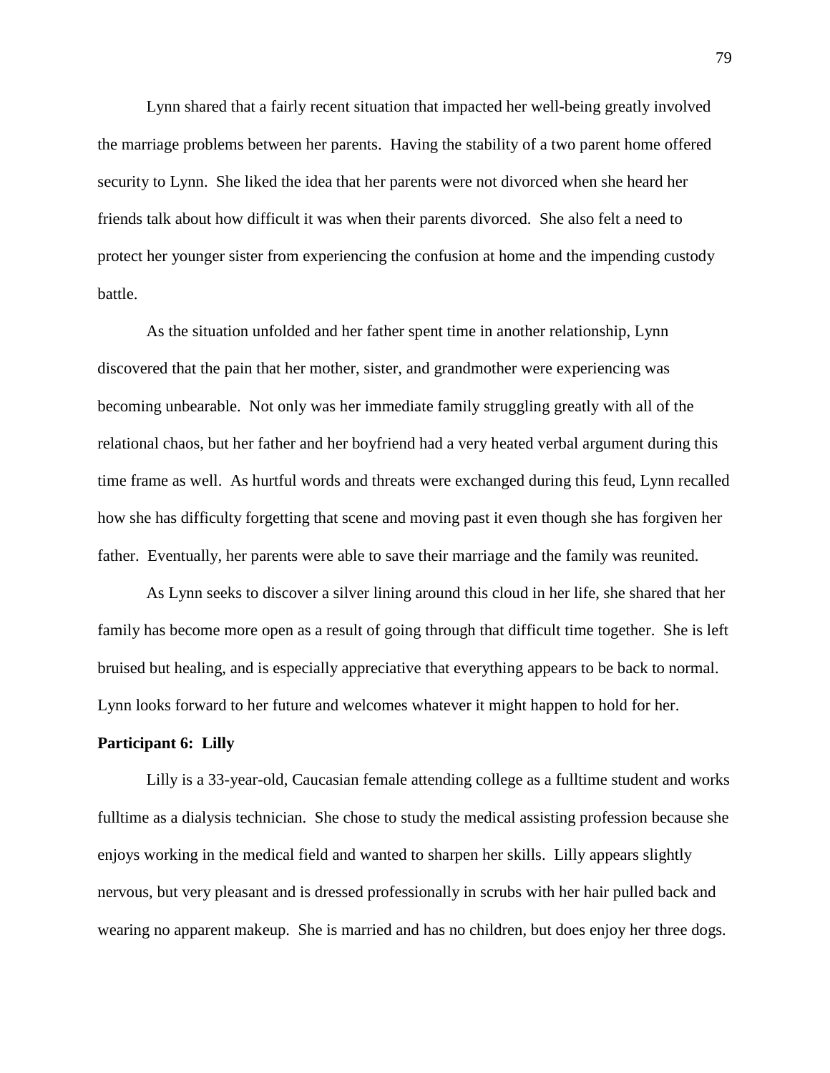Lynn shared that a fairly recent situation that impacted her well-being greatly involved the marriage problems between her parents. Having the stability of a two parent home offered security to Lynn. She liked the idea that her parents were not divorced when she heard her friends talk about how difficult it was when their parents divorced. She also felt a need to protect her younger sister from experiencing the confusion at home and the impending custody battle.

As the situation unfolded and her father spent time in another relationship, Lynn discovered that the pain that her mother, sister, and grandmother were experiencing was becoming unbearable. Not only was her immediate family struggling greatly with all of the relational chaos, but her father and her boyfriend had a very heated verbal argument during this time frame as well. As hurtful words and threats were exchanged during this feud, Lynn recalled how she has difficulty forgetting that scene and moving past it even though she has forgiven her father. Eventually, her parents were able to save their marriage and the family was reunited.

As Lynn seeks to discover a silver lining around this cloud in her life, she shared that her family has become more open as a result of going through that difficult time together. She is left bruised but healing, and is especially appreciative that everything appears to be back to normal. Lynn looks forward to her future and welcomes whatever it might happen to hold for her.

### **Participant 6: Lilly**

Lilly is a 33-year-old, Caucasian female attending college as a fulltime student and works fulltime as a dialysis technician. She chose to study the medical assisting profession because she enjoys working in the medical field and wanted to sharpen her skills. Lilly appears slightly nervous, but very pleasant and is dressed professionally in scrubs with her hair pulled back and wearing no apparent makeup. She is married and has no children, but does enjoy her three dogs.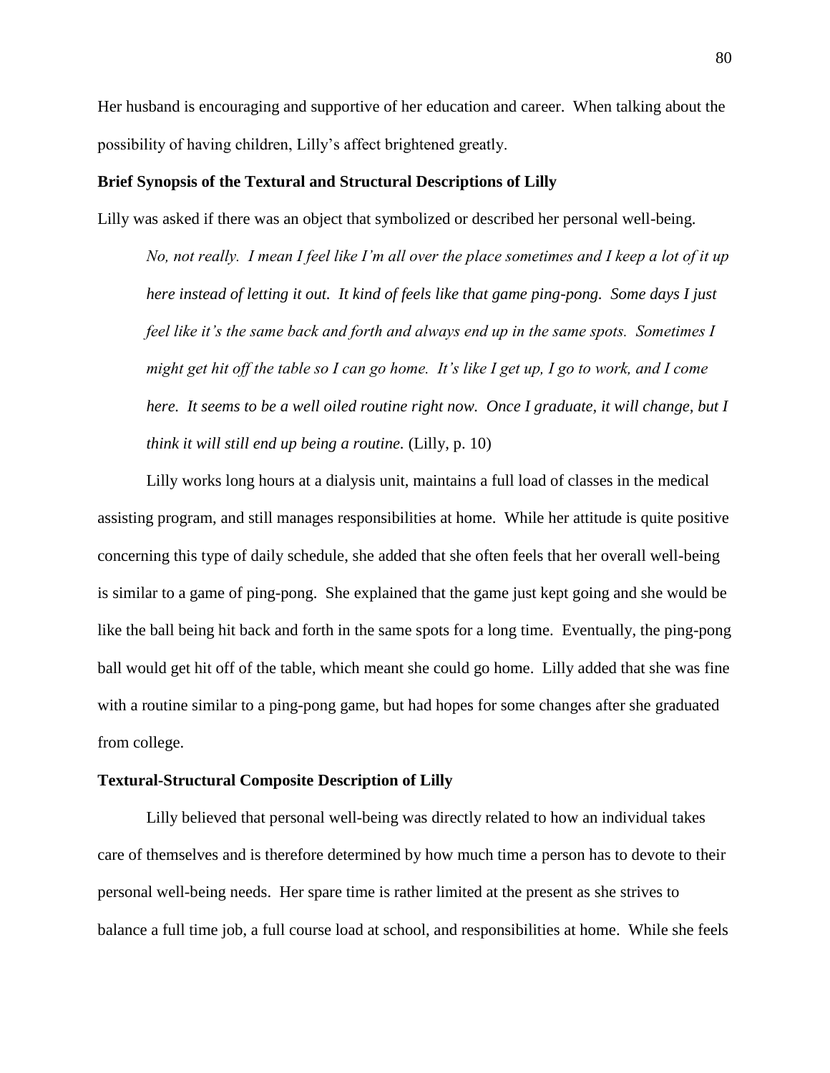Her husband is encouraging and supportive of her education and career. When talking about the possibility of having children, Lilly's affect brightened greatly.

### **Brief Synopsis of the Textural and Structural Descriptions of Lilly**

Lilly was asked if there was an object that symbolized or described her personal well-being.

*No, not really. I mean I feel like I'm all over the place sometimes and I keep a lot of it up here instead of letting it out. It kind of feels like that game ping-pong. Some days I just feel like it's the same back and forth and always end up in the same spots. Sometimes I might get hit off the table so I can go home. It's like I get up, I go to work, and I come here. It seems to be a well oiled routine right now. Once I graduate, it will change, but I think it will still end up being a routine.* (Lilly, p. 10)

Lilly works long hours at a dialysis unit, maintains a full load of classes in the medical assisting program, and still manages responsibilities at home. While her attitude is quite positive concerning this type of daily schedule, she added that she often feels that her overall well-being is similar to a game of ping-pong. She explained that the game just kept going and she would be like the ball being hit back and forth in the same spots for a long time. Eventually, the ping-pong ball would get hit off of the table, which meant she could go home. Lilly added that she was fine with a routine similar to a ping-pong game, but had hopes for some changes after she graduated from college.

## **Textural-Structural Composite Description of Lilly**

Lilly believed that personal well-being was directly related to how an individual takes care of themselves and is therefore determined by how much time a person has to devote to their personal well-being needs. Her spare time is rather limited at the present as she strives to balance a full time job, a full course load at school, and responsibilities at home. While she feels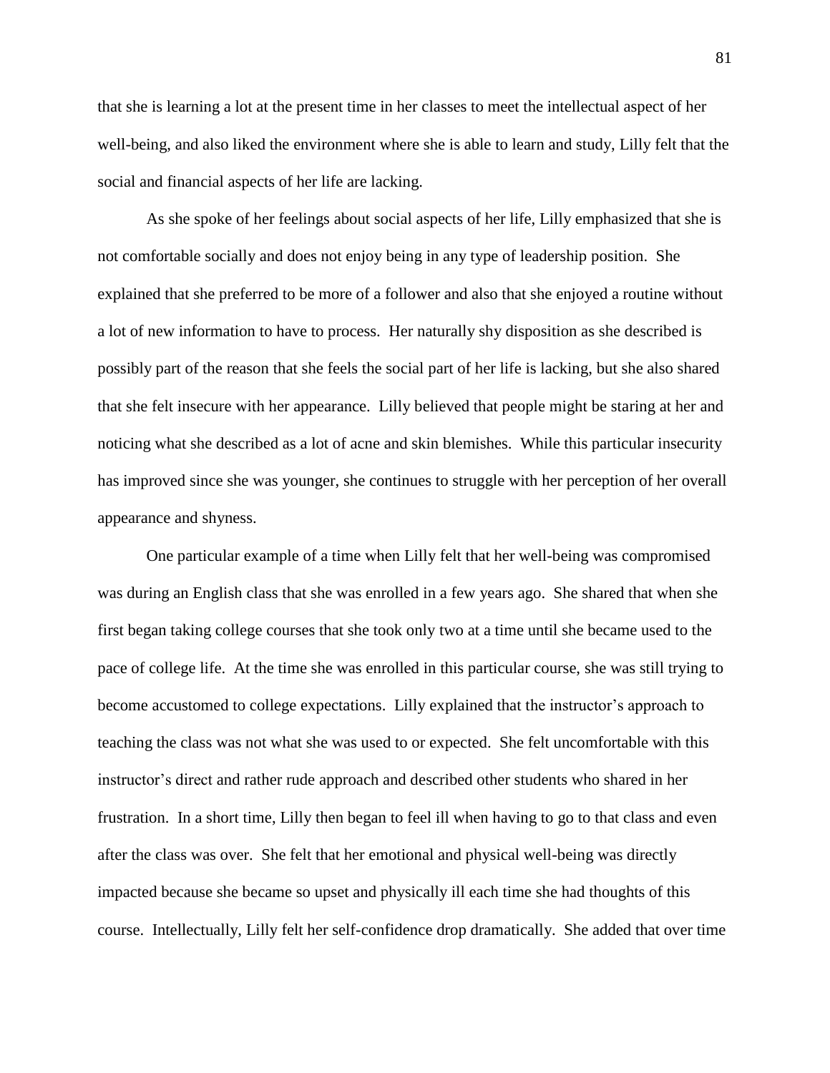that she is learning a lot at the present time in her classes to meet the intellectual aspect of her well-being, and also liked the environment where she is able to learn and study, Lilly felt that the social and financial aspects of her life are lacking.

As she spoke of her feelings about social aspects of her life, Lilly emphasized that she is not comfortable socially and does not enjoy being in any type of leadership position. She explained that she preferred to be more of a follower and also that she enjoyed a routine without a lot of new information to have to process. Her naturally shy disposition as she described is possibly part of the reason that she feels the social part of her life is lacking, but she also shared that she felt insecure with her appearance. Lilly believed that people might be staring at her and noticing what she described as a lot of acne and skin blemishes. While this particular insecurity has improved since she was younger, she continues to struggle with her perception of her overall appearance and shyness.

One particular example of a time when Lilly felt that her well-being was compromised was during an English class that she was enrolled in a few years ago. She shared that when she first began taking college courses that she took only two at a time until she became used to the pace of college life. At the time she was enrolled in this particular course, she was still trying to become accustomed to college expectations. Lilly explained that the instructor's approach to teaching the class was not what she was used to or expected. She felt uncomfortable with this instructor's direct and rather rude approach and described other students who shared in her frustration. In a short time, Lilly then began to feel ill when having to go to that class and even after the class was over. She felt that her emotional and physical well-being was directly impacted because she became so upset and physically ill each time she had thoughts of this course. Intellectually, Lilly felt her self-confidence drop dramatically. She added that over time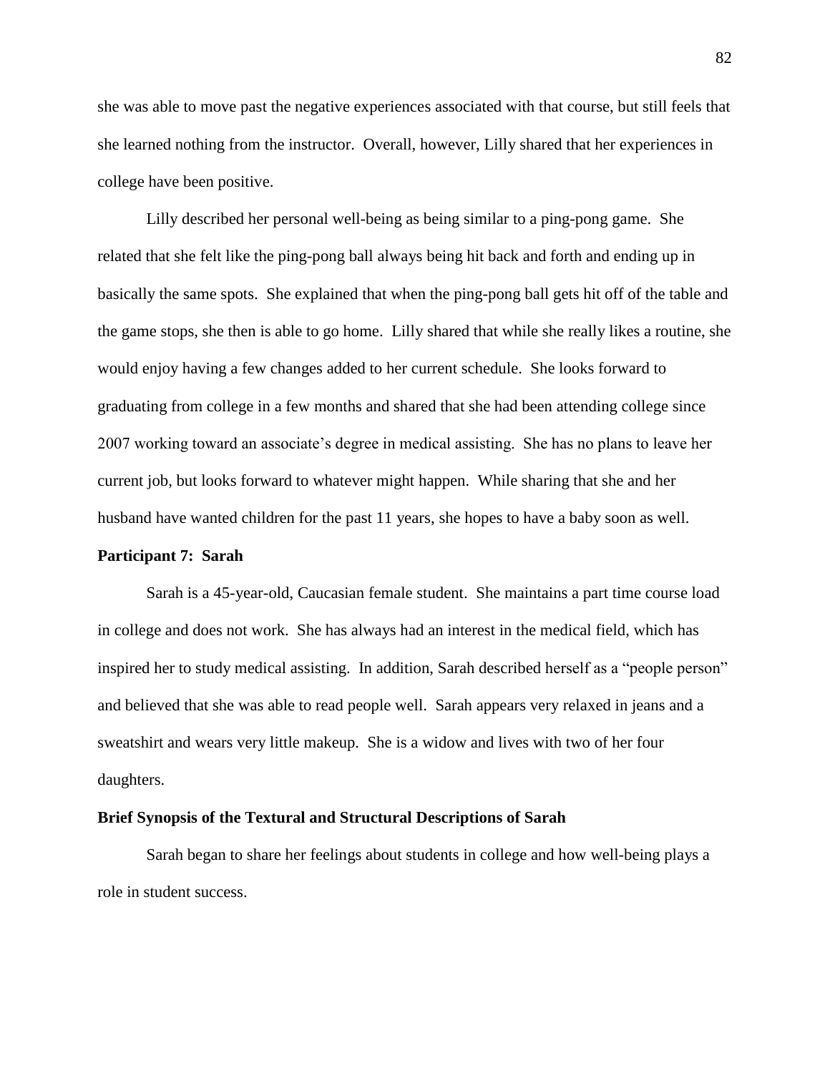she was able to move past the negative experiences associated with that course, but still feels that she learned nothing from the instructor. Overall, however, Lilly shared that her experiences in college have been positive.

Lilly described her personal well-being as being similar to a ping-pong game. She related that she felt like the ping-pong ball always being hit back and forth and ending up in basically the same spots. She explained that when the ping-pong ball gets hit off of the table and the game stops, she then is able to go home. Lilly shared that while she really likes a routine, she would enjoy having a few changes added to her current schedule. She looks forward to graduating from college in a few months and shared that she had been attending college since 2007 working toward an associate's degree in medical assisting. She has no plans to leave her current job, but looks forward to whatever might happen. While sharing that she and her husband have wanted children for the past 11 years, she hopes to have a baby soon as well.

#### **Participant 7: Sarah**

Sarah is a 45-year-old, Caucasian female student. She maintains a part time course load in college and does not work. She has always had an interest in the medical field, which has inspired her to study medical assisting. In addition, Sarah described herself as a "people person" and believed that she was able to read people well. Sarah appears very relaxed in jeans and a sweatshirt and wears very little makeup. She is a widow and lives with two of her four daughters.

#### **Brief Synopsis of the Textural and Structural Descriptions of Sarah**

Sarah began to share her feelings about students in college and how well-being plays a role in student success.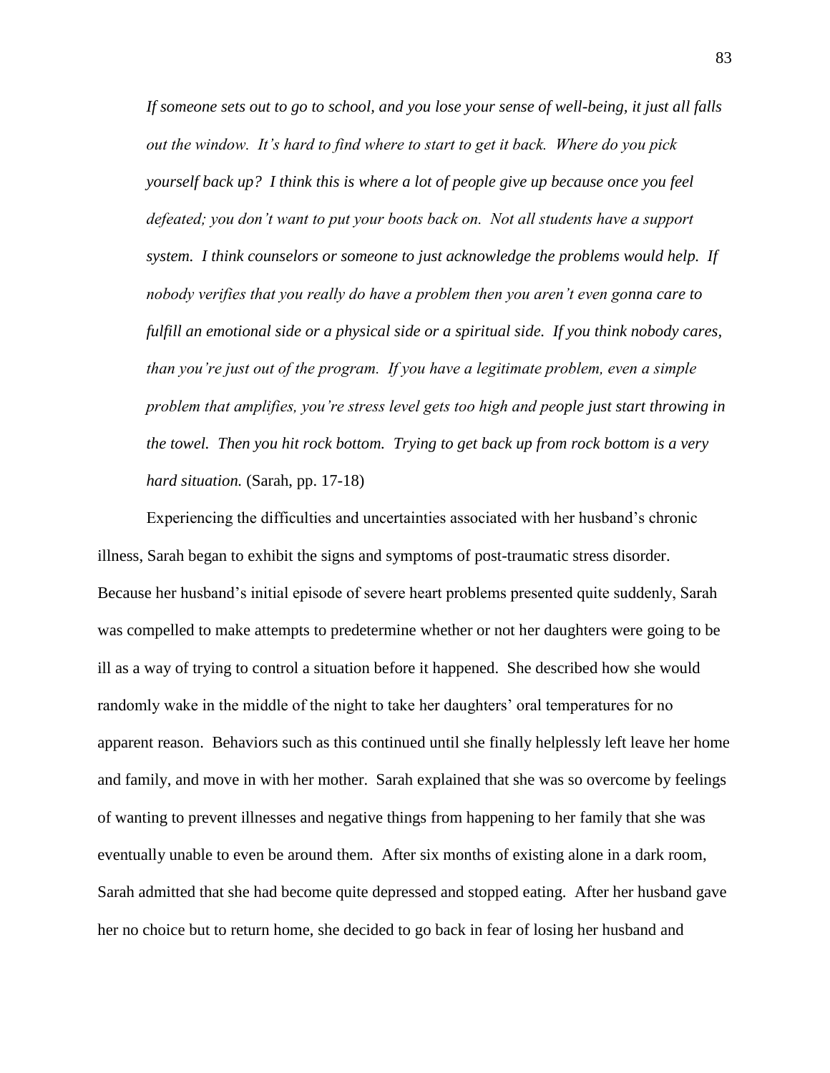*If someone sets out to go to school, and you lose your sense of well-being, it just all falls out the window. It's hard to find where to start to get it back. Where do you pick yourself back up? I think this is where a lot of people give up because once you feel defeated; you don't want to put your boots back on. Not all students have a support system. I think counselors or someone to just acknowledge the problems would help. If nobody verifies that you really do have a problem then you aren't even gonna care to fulfill an emotional side or a physical side or a spiritual side. If you think nobody cares, than you're just out of the program. If you have a legitimate problem, even a simple problem that amplifies, you're stress level gets too high and people just start throwing in the towel. Then you hit rock bottom. Trying to get back up from rock bottom is a very hard situation.* (Sarah, pp. 17-18)

Experiencing the difficulties and uncertainties associated with her husband's chronic illness, Sarah began to exhibit the signs and symptoms of post-traumatic stress disorder. Because her husband's initial episode of severe heart problems presented quite suddenly, Sarah was compelled to make attempts to predetermine whether or not her daughters were going to be ill as a way of trying to control a situation before it happened. She described how she would randomly wake in the middle of the night to take her daughters' oral temperatures for no apparent reason. Behaviors such as this continued until she finally helplessly left leave her home and family, and move in with her mother. Sarah explained that she was so overcome by feelings of wanting to prevent illnesses and negative things from happening to her family that she was eventually unable to even be around them. After six months of existing alone in a dark room, Sarah admitted that she had become quite depressed and stopped eating. After her husband gave her no choice but to return home, she decided to go back in fear of losing her husband and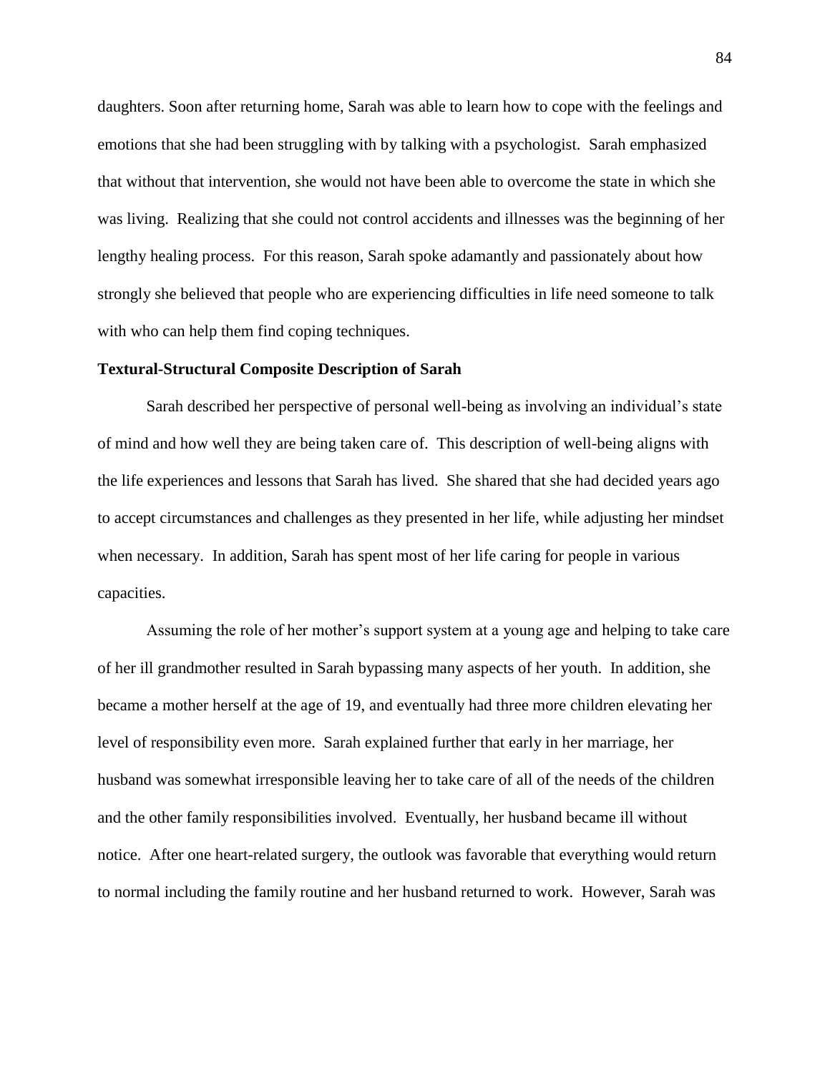daughters. Soon after returning home, Sarah was able to learn how to cope with the feelings and emotions that she had been struggling with by talking with a psychologist. Sarah emphasized that without that intervention, she would not have been able to overcome the state in which she was living. Realizing that she could not control accidents and illnesses was the beginning of her lengthy healing process. For this reason, Sarah spoke adamantly and passionately about how strongly she believed that people who are experiencing difficulties in life need someone to talk with who can help them find coping techniques.

# **Textural-Structural Composite Description of Sarah**

Sarah described her perspective of personal well-being as involving an individual's state of mind and how well they are being taken care of. This description of well-being aligns with the life experiences and lessons that Sarah has lived. She shared that she had decided years ago to accept circumstances and challenges as they presented in her life, while adjusting her mindset when necessary. In addition, Sarah has spent most of her life caring for people in various capacities.

Assuming the role of her mother's support system at a young age and helping to take care of her ill grandmother resulted in Sarah bypassing many aspects of her youth. In addition, she became a mother herself at the age of 19, and eventually had three more children elevating her level of responsibility even more. Sarah explained further that early in her marriage, her husband was somewhat irresponsible leaving her to take care of all of the needs of the children and the other family responsibilities involved. Eventually, her husband became ill without notice. After one heart-related surgery, the outlook was favorable that everything would return to normal including the family routine and her husband returned to work. However, Sarah was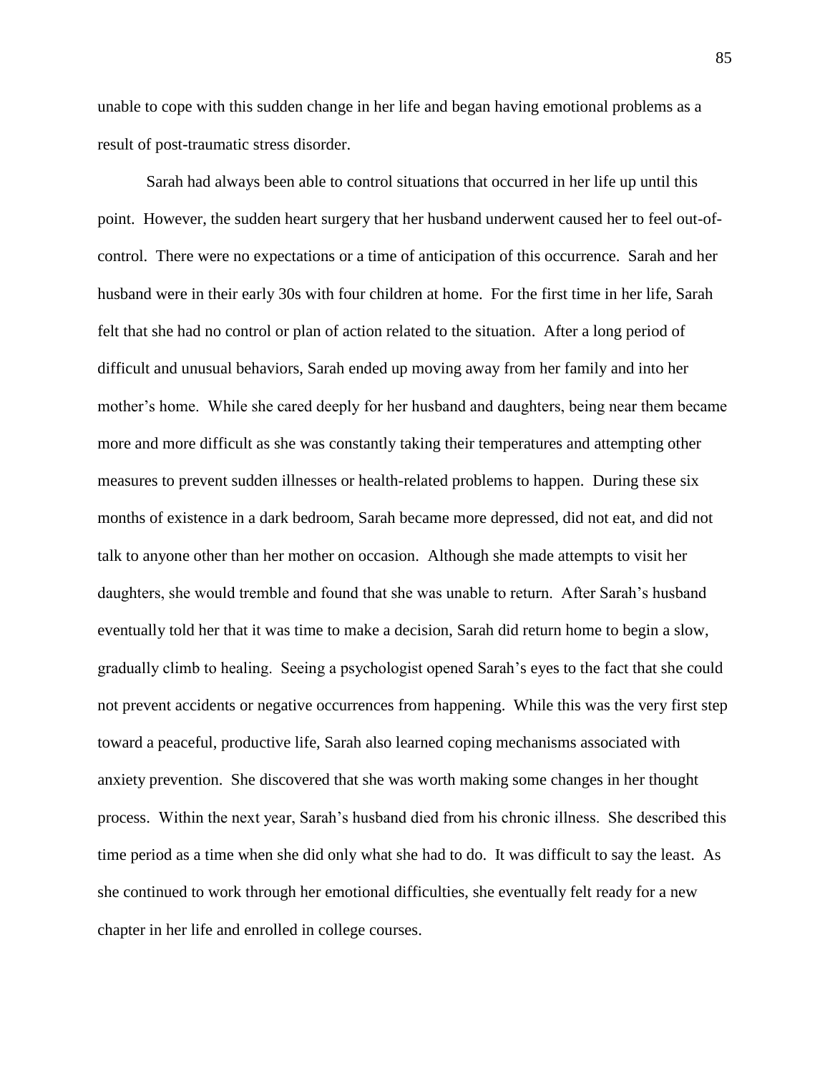unable to cope with this sudden change in her life and began having emotional problems as a result of post-traumatic stress disorder.

Sarah had always been able to control situations that occurred in her life up until this point. However, the sudden heart surgery that her husband underwent caused her to feel out-ofcontrol. There were no expectations or a time of anticipation of this occurrence. Sarah and her husband were in their early 30s with four children at home. For the first time in her life, Sarah felt that she had no control or plan of action related to the situation. After a long period of difficult and unusual behaviors, Sarah ended up moving away from her family and into her mother's home. While she cared deeply for her husband and daughters, being near them became more and more difficult as she was constantly taking their temperatures and attempting other measures to prevent sudden illnesses or health-related problems to happen. During these six months of existence in a dark bedroom, Sarah became more depressed, did not eat, and did not talk to anyone other than her mother on occasion. Although she made attempts to visit her daughters, she would tremble and found that she was unable to return. After Sarah's husband eventually told her that it was time to make a decision, Sarah did return home to begin a slow, gradually climb to healing. Seeing a psychologist opened Sarah's eyes to the fact that she could not prevent accidents or negative occurrences from happening. While this was the very first step toward a peaceful, productive life, Sarah also learned coping mechanisms associated with anxiety prevention. She discovered that she was worth making some changes in her thought process. Within the next year, Sarah's husband died from his chronic illness. She described this time period as a time when she did only what she had to do. It was difficult to say the least. As she continued to work through her emotional difficulties, she eventually felt ready for a new chapter in her life and enrolled in college courses.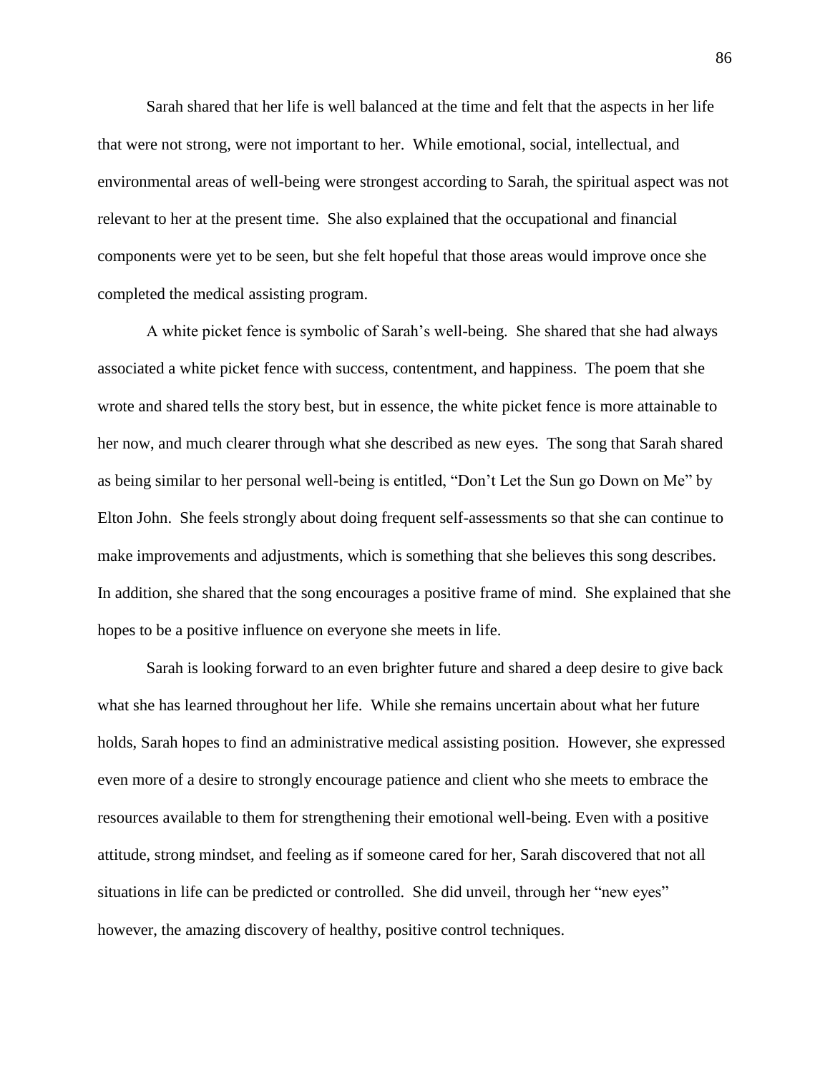Sarah shared that her life is well balanced at the time and felt that the aspects in her life that were not strong, were not important to her. While emotional, social, intellectual, and environmental areas of well-being were strongest according to Sarah, the spiritual aspect was not relevant to her at the present time. She also explained that the occupational and financial components were yet to be seen, but she felt hopeful that those areas would improve once she completed the medical assisting program.

A white picket fence is symbolic of Sarah's well-being. She shared that she had always associated a white picket fence with success, contentment, and happiness. The poem that she wrote and shared tells the story best, but in essence, the white picket fence is more attainable to her now, and much clearer through what she described as new eyes. The song that Sarah shared as being similar to her personal well-being is entitled, "Don't Let the Sun go Down on Me" by Elton John. She feels strongly about doing frequent self-assessments so that she can continue to make improvements and adjustments, which is something that she believes this song describes. In addition, she shared that the song encourages a positive frame of mind. She explained that she hopes to be a positive influence on everyone she meets in life.

Sarah is looking forward to an even brighter future and shared a deep desire to give back what she has learned throughout her life. While she remains uncertain about what her future holds, Sarah hopes to find an administrative medical assisting position. However, she expressed even more of a desire to strongly encourage patience and client who she meets to embrace the resources available to them for strengthening their emotional well-being. Even with a positive attitude, strong mindset, and feeling as if someone cared for her, Sarah discovered that not all situations in life can be predicted or controlled. She did unveil, through her "new eyes" however, the amazing discovery of healthy, positive control techniques.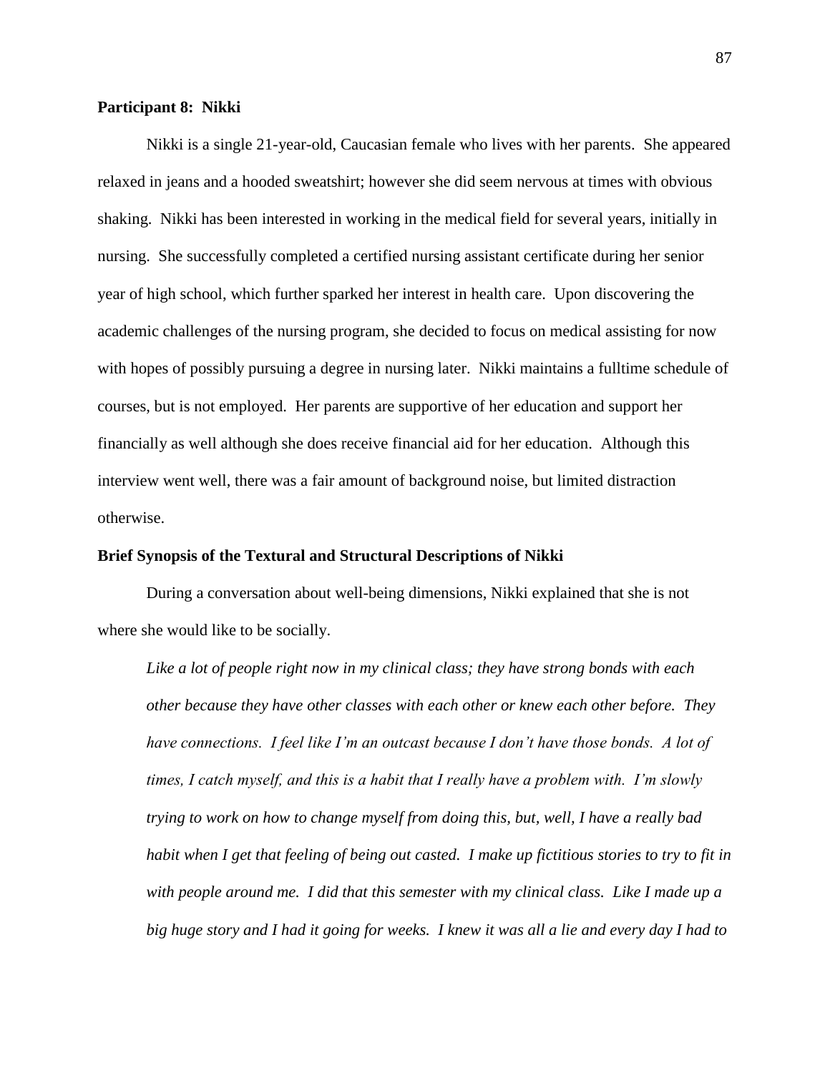# **Participant 8: Nikki**

Nikki is a single 21-year-old, Caucasian female who lives with her parents. She appeared relaxed in jeans and a hooded sweatshirt; however she did seem nervous at times with obvious shaking. Nikki has been interested in working in the medical field for several years, initially in nursing. She successfully completed a certified nursing assistant certificate during her senior year of high school, which further sparked her interest in health care. Upon discovering the academic challenges of the nursing program, she decided to focus on medical assisting for now with hopes of possibly pursuing a degree in nursing later. Nikki maintains a fulltime schedule of courses, but is not employed. Her parents are supportive of her education and support her financially as well although she does receive financial aid for her education. Although this interview went well, there was a fair amount of background noise, but limited distraction otherwise.

# **Brief Synopsis of the Textural and Structural Descriptions of Nikki**

During a conversation about well-being dimensions, Nikki explained that she is not where she would like to be socially.

*Like a lot of people right now in my clinical class; they have strong bonds with each other because they have other classes with each other or knew each other before. They have connections. I feel like I'm an outcast because I don't have those bonds. A lot of times, I catch myself, and this is a habit that I really have a problem with. I'm slowly trying to work on how to change myself from doing this, but, well, I have a really bad habit when I get that feeling of being out casted. I make up fictitious stories to try to fit in with people around me. I did that this semester with my clinical class. Like I made up a big huge story and I had it going for weeks. I knew it was all a lie and every day I had to*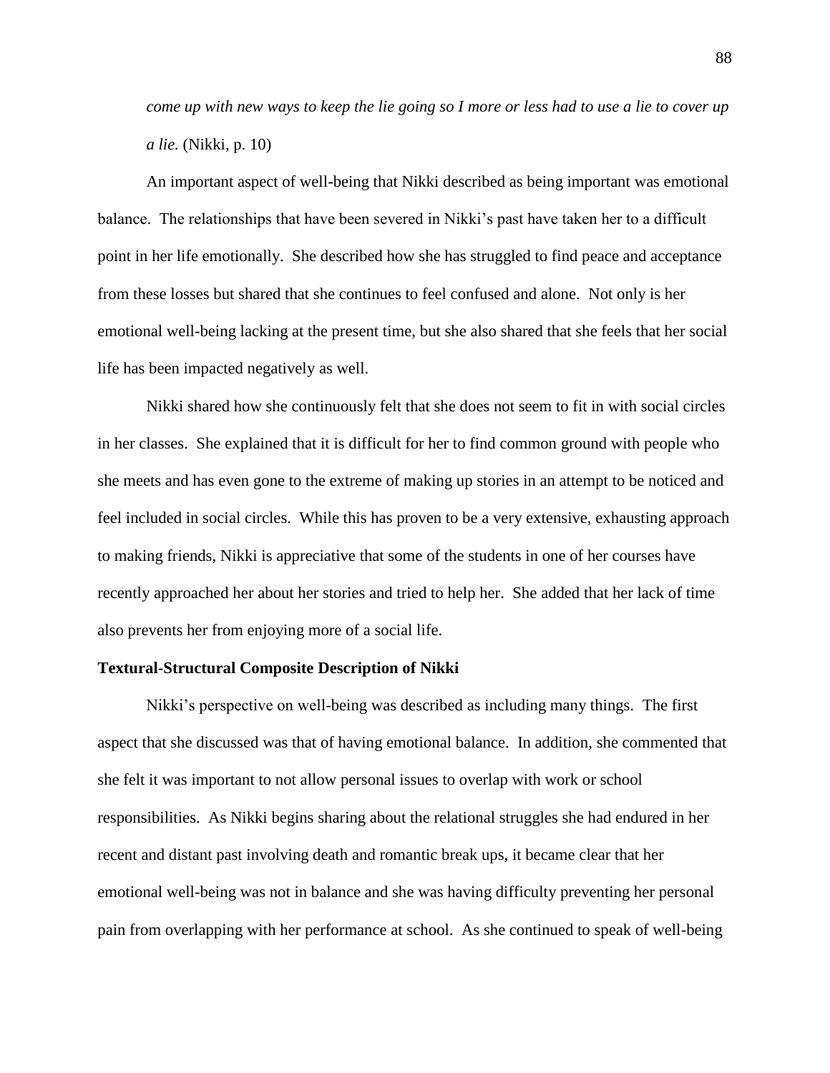*come up with new ways to keep the lie going so I more or less had to use a lie to cover up a lie.* (Nikki, p. 10)

An important aspect of well-being that Nikki described as being important was emotional balance. The relationships that have been severed in Nikki's past have taken her to a difficult point in her life emotionally. She described how she has struggled to find peace and acceptance from these losses but shared that she continues to feel confused and alone. Not only is her emotional well-being lacking at the present time, but she also shared that she feels that her social life has been impacted negatively as well.

Nikki shared how she continuously felt that she does not seem to fit in with social circles in her classes. She explained that it is difficult for her to find common ground with people who she meets and has even gone to the extreme of making up stories in an attempt to be noticed and feel included in social circles. While this has proven to be a very extensive, exhausting approach to making friends, Nikki is appreciative that some of the students in one of her courses have recently approached her about her stories and tried to help her. She added that her lack of time also prevents her from enjoying more of a social life.

# **Textural-Structural Composite Description of Nikki**

Nikki's perspective on well-being was described as including many things. The first aspect that she discussed was that of having emotional balance. In addition, she commented that she felt it was important to not allow personal issues to overlap with work or school responsibilities. As Nikki begins sharing about the relational struggles she had endured in her recent and distant past involving death and romantic break ups, it became clear that her emotional well-being was not in balance and she was having difficulty preventing her personal pain from overlapping with her performance at school. As she continued to speak of well-being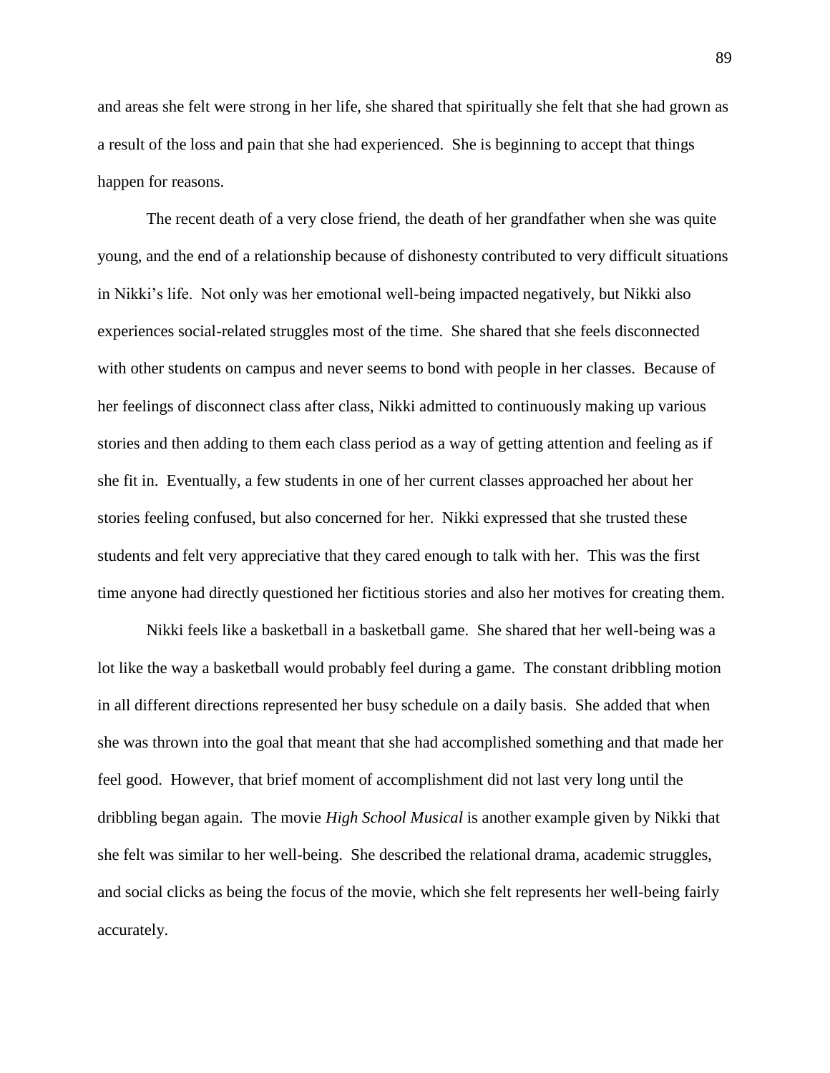and areas she felt were strong in her life, she shared that spiritually she felt that she had grown as a result of the loss and pain that she had experienced. She is beginning to accept that things happen for reasons.

The recent death of a very close friend, the death of her grandfather when she was quite young, and the end of a relationship because of dishonesty contributed to very difficult situations in Nikki's life. Not only was her emotional well-being impacted negatively, but Nikki also experiences social-related struggles most of the time. She shared that she feels disconnected with other students on campus and never seems to bond with people in her classes. Because of her feelings of disconnect class after class, Nikki admitted to continuously making up various stories and then adding to them each class period as a way of getting attention and feeling as if she fit in. Eventually, a few students in one of her current classes approached her about her stories feeling confused, but also concerned for her. Nikki expressed that she trusted these students and felt very appreciative that they cared enough to talk with her. This was the first time anyone had directly questioned her fictitious stories and also her motives for creating them.

Nikki feels like a basketball in a basketball game. She shared that her well-being was a lot like the way a basketball would probably feel during a game. The constant dribbling motion in all different directions represented her busy schedule on a daily basis. She added that when she was thrown into the goal that meant that she had accomplished something and that made her feel good. However, that brief moment of accomplishment did not last very long until the dribbling began again. The movie *High School Musical* is another example given by Nikki that she felt was similar to her well-being. She described the relational drama, academic struggles, and social clicks as being the focus of the movie, which she felt represents her well-being fairly accurately.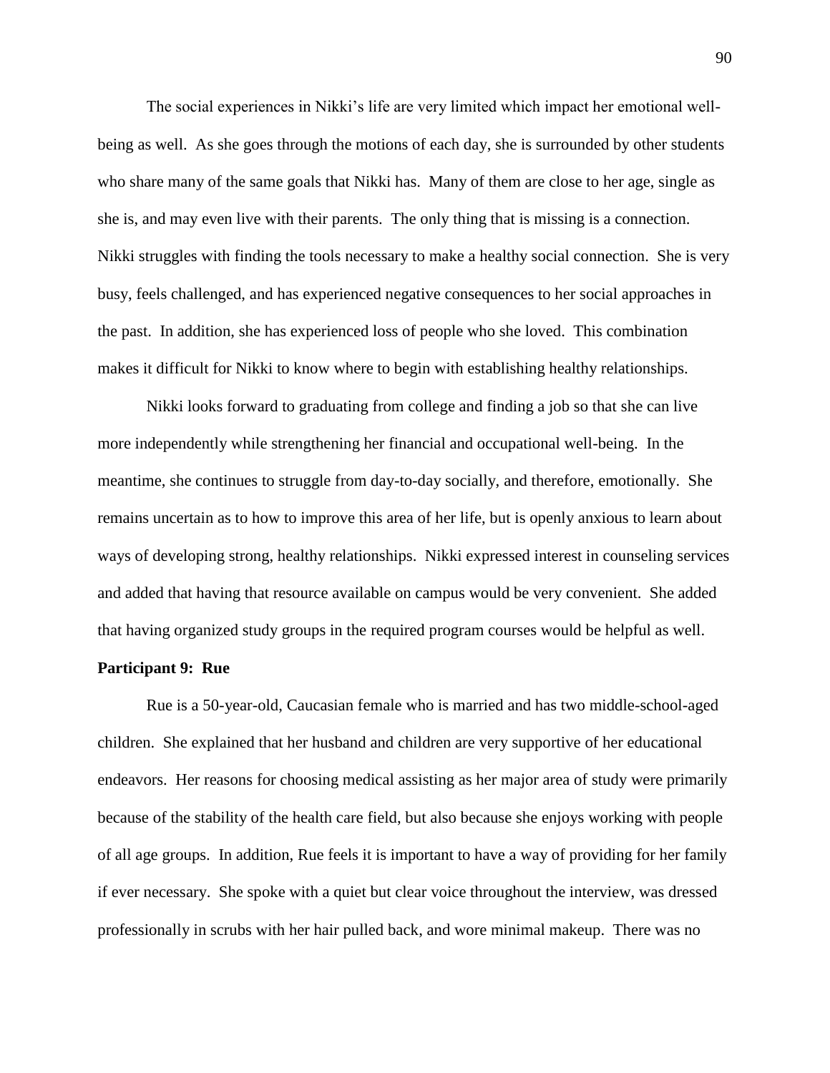The social experiences in Nikki's life are very limited which impact her emotional wellbeing as well. As she goes through the motions of each day, she is surrounded by other students who share many of the same goals that Nikki has. Many of them are close to her age, single as she is, and may even live with their parents. The only thing that is missing is a connection. Nikki struggles with finding the tools necessary to make a healthy social connection. She is very busy, feels challenged, and has experienced negative consequences to her social approaches in the past. In addition, she has experienced loss of people who she loved. This combination makes it difficult for Nikki to know where to begin with establishing healthy relationships.

Nikki looks forward to graduating from college and finding a job so that she can live more independently while strengthening her financial and occupational well-being. In the meantime, she continues to struggle from day-to-day socially, and therefore, emotionally. She remains uncertain as to how to improve this area of her life, but is openly anxious to learn about ways of developing strong, healthy relationships. Nikki expressed interest in counseling services and added that having that resource available on campus would be very convenient. She added that having organized study groups in the required program courses would be helpful as well.

### **Participant 9: Rue**

Rue is a 50-year-old, Caucasian female who is married and has two middle-school-aged children. She explained that her husband and children are very supportive of her educational endeavors. Her reasons for choosing medical assisting as her major area of study were primarily because of the stability of the health care field, but also because she enjoys working with people of all age groups. In addition, Rue feels it is important to have a way of providing for her family if ever necessary. She spoke with a quiet but clear voice throughout the interview, was dressed professionally in scrubs with her hair pulled back, and wore minimal makeup. There was no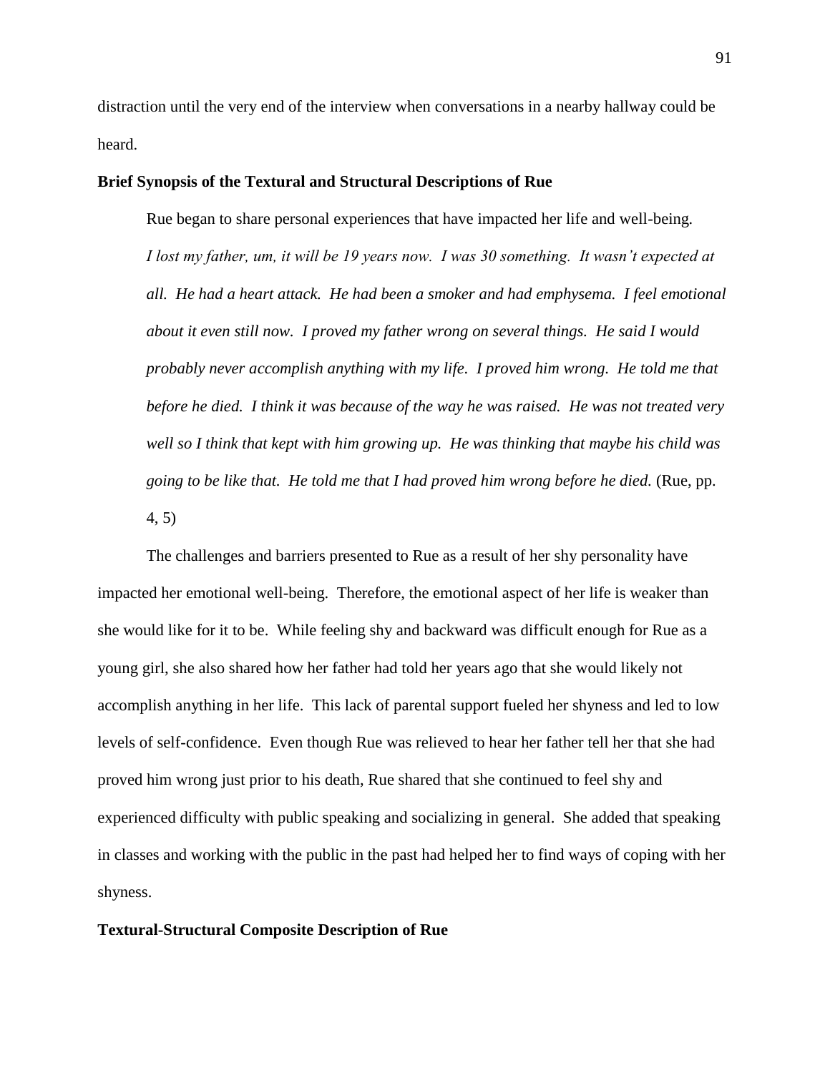distraction until the very end of the interview when conversations in a nearby hallway could be heard.

# **Brief Synopsis of the Textural and Structural Descriptions of Rue**

Rue began to share personal experiences that have impacted her life and well-being*. I lost my father, um, it will be 19 years now. I was 30 something. It wasn't expected at all. He had a heart attack. He had been a smoker and had emphysema. I feel emotional about it even still now. I proved my father wrong on several things. He said I would probably never accomplish anything with my life. I proved him wrong. He told me that before he died. I think it was because of the way he was raised. He was not treated very well so I think that kept with him growing up. He was thinking that maybe his child was going to be like that. He told me that I had proved him wrong before he died.* (Rue, pp. 4, 5)

The challenges and barriers presented to Rue as a result of her shy personality have impacted her emotional well-being. Therefore, the emotional aspect of her life is weaker than she would like for it to be. While feeling shy and backward was difficult enough for Rue as a young girl, she also shared how her father had told her years ago that she would likely not accomplish anything in her life. This lack of parental support fueled her shyness and led to low levels of self-confidence. Even though Rue was relieved to hear her father tell her that she had proved him wrong just prior to his death, Rue shared that she continued to feel shy and experienced difficulty with public speaking and socializing in general. She added that speaking in classes and working with the public in the past had helped her to find ways of coping with her shyness.

#### **Textural-Structural Composite Description of Rue**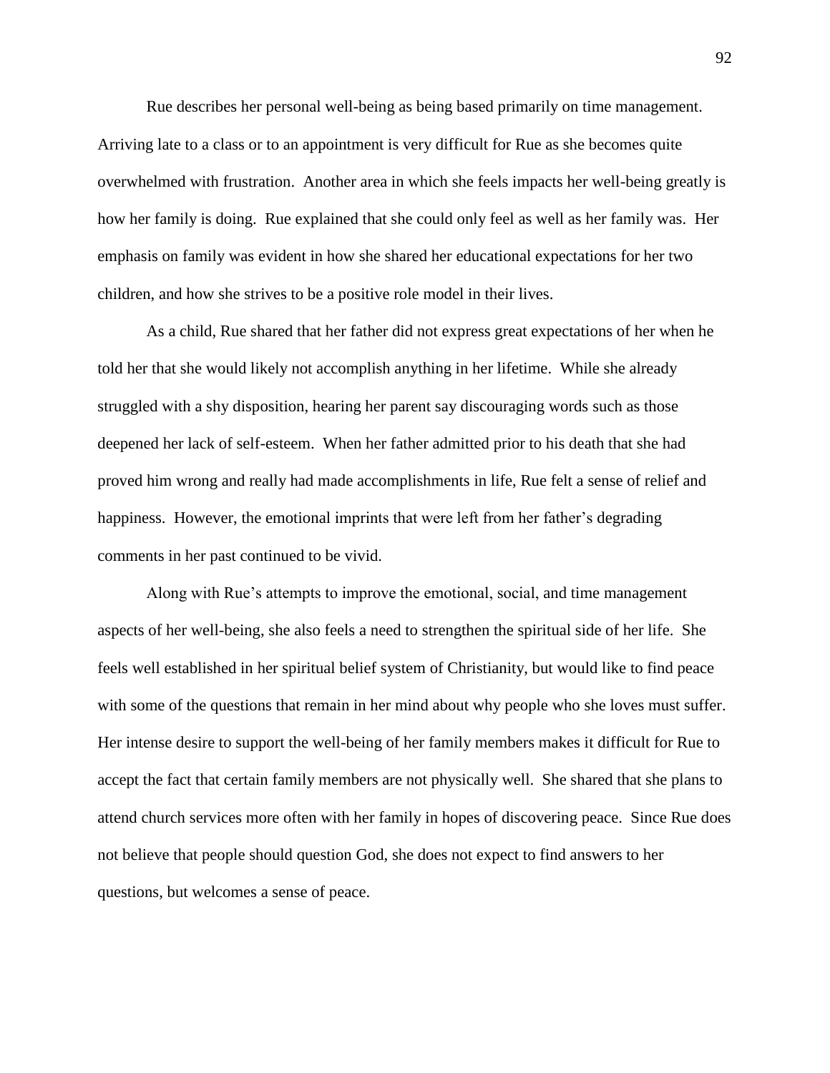Rue describes her personal well-being as being based primarily on time management. Arriving late to a class or to an appointment is very difficult for Rue as she becomes quite overwhelmed with frustration. Another area in which she feels impacts her well-being greatly is how her family is doing. Rue explained that she could only feel as well as her family was. Her emphasis on family was evident in how she shared her educational expectations for her two children, and how she strives to be a positive role model in their lives.

As a child, Rue shared that her father did not express great expectations of her when he told her that she would likely not accomplish anything in her lifetime. While she already struggled with a shy disposition, hearing her parent say discouraging words such as those deepened her lack of self-esteem. When her father admitted prior to his death that she had proved him wrong and really had made accomplishments in life, Rue felt a sense of relief and happiness. However, the emotional imprints that were left from her father's degrading comments in her past continued to be vivid.

Along with Rue's attempts to improve the emotional, social, and time management aspects of her well-being, she also feels a need to strengthen the spiritual side of her life. She feels well established in her spiritual belief system of Christianity, but would like to find peace with some of the questions that remain in her mind about why people who she loves must suffer. Her intense desire to support the well-being of her family members makes it difficult for Rue to accept the fact that certain family members are not physically well. She shared that she plans to attend church services more often with her family in hopes of discovering peace. Since Rue does not believe that people should question God, she does not expect to find answers to her questions, but welcomes a sense of peace.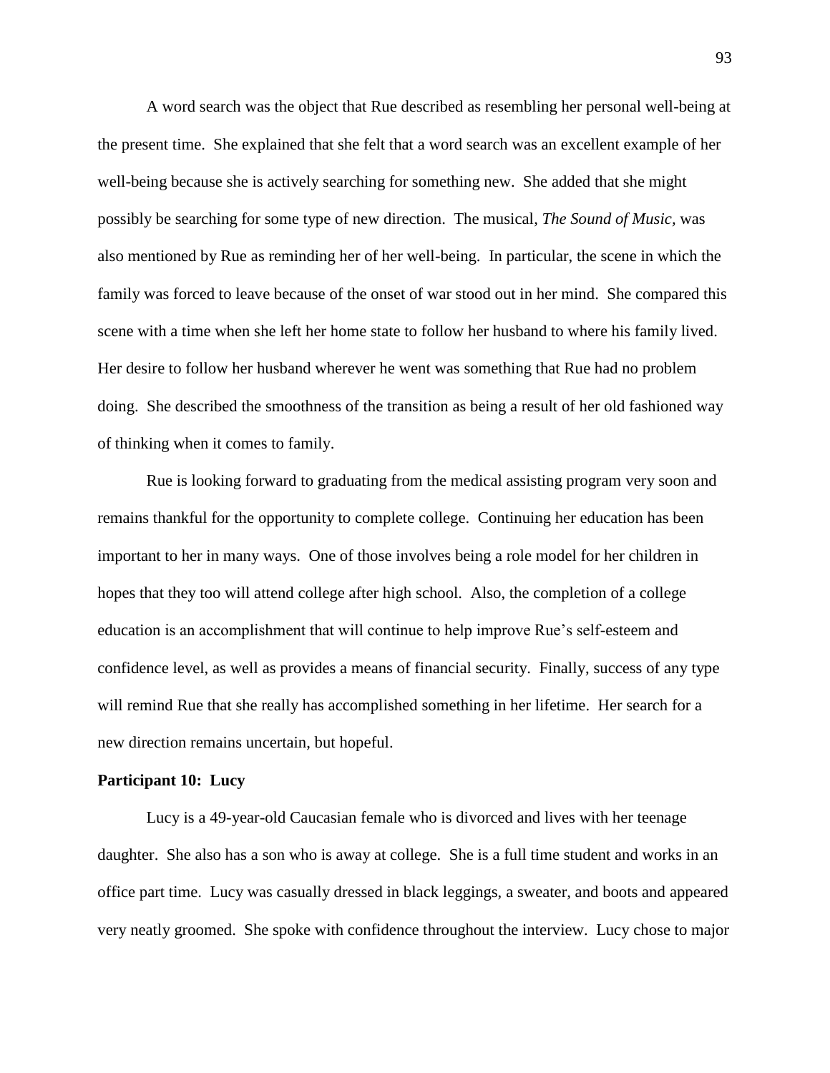A word search was the object that Rue described as resembling her personal well-being at the present time. She explained that she felt that a word search was an excellent example of her well-being because she is actively searching for something new. She added that she might possibly be searching for some type of new direction. The musical, *The Sound of Music,* was also mentioned by Rue as reminding her of her well-being. In particular, the scene in which the family was forced to leave because of the onset of war stood out in her mind. She compared this scene with a time when she left her home state to follow her husband to where his family lived. Her desire to follow her husband wherever he went was something that Rue had no problem doing. She described the smoothness of the transition as being a result of her old fashioned way of thinking when it comes to family.

Rue is looking forward to graduating from the medical assisting program very soon and remains thankful for the opportunity to complete college. Continuing her education has been important to her in many ways. One of those involves being a role model for her children in hopes that they too will attend college after high school. Also, the completion of a college education is an accomplishment that will continue to help improve Rue's self-esteem and confidence level, as well as provides a means of financial security. Finally, success of any type will remind Rue that she really has accomplished something in her lifetime. Her search for a new direction remains uncertain, but hopeful.

#### **Participant 10: Lucy**

Lucy is a 49-year-old Caucasian female who is divorced and lives with her teenage daughter. She also has a son who is away at college. She is a full time student and works in an office part time. Lucy was casually dressed in black leggings, a sweater, and boots and appeared very neatly groomed. She spoke with confidence throughout the interview. Lucy chose to major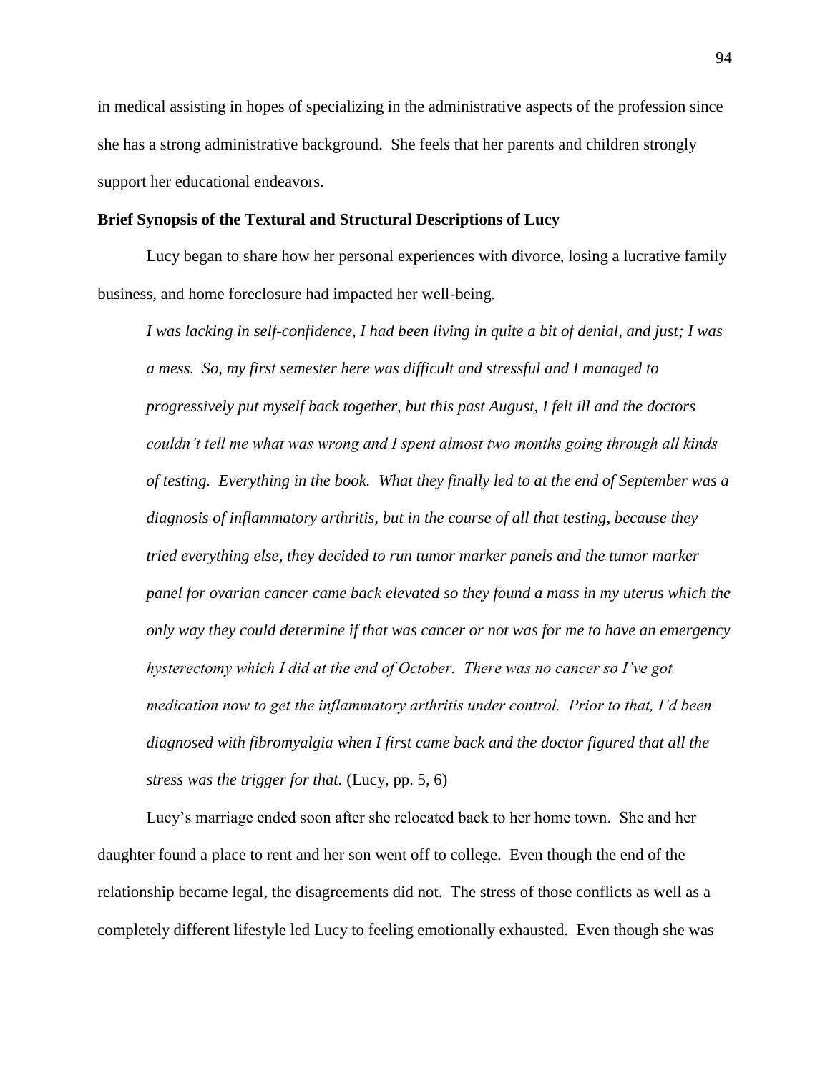in medical assisting in hopes of specializing in the administrative aspects of the profession since she has a strong administrative background. She feels that her parents and children strongly support her educational endeavors.

# **Brief Synopsis of the Textural and Structural Descriptions of Lucy**

Lucy began to share how her personal experiences with divorce, losing a lucrative family business, and home foreclosure had impacted her well-being.

*I was lacking in self-confidence, I had been living in quite a bit of denial, and just; I was a mess. So, my first semester here was difficult and stressful and I managed to progressively put myself back together, but this past August, I felt ill and the doctors couldn't tell me what was wrong and I spent almost two months going through all kinds of testing. Everything in the book. What they finally led to at the end of September was a diagnosis of inflammatory arthritis, but in the course of all that testing, because they tried everything else, they decided to run tumor marker panels and the tumor marker panel for ovarian cancer came back elevated so they found a mass in my uterus which the only way they could determine if that was cancer or not was for me to have an emergency hysterectomy which I did at the end of October. There was no cancer so I've got medication now to get the inflammatory arthritis under control. Prior to that, I'd been diagnosed with fibromyalgia when I first came back and the doctor figured that all the stress was the trigger for that.* (Lucy, pp. 5, 6)

Lucy's marriage ended soon after she relocated back to her home town. She and her daughter found a place to rent and her son went off to college. Even though the end of the relationship became legal, the disagreements did not. The stress of those conflicts as well as a completely different lifestyle led Lucy to feeling emotionally exhausted. Even though she was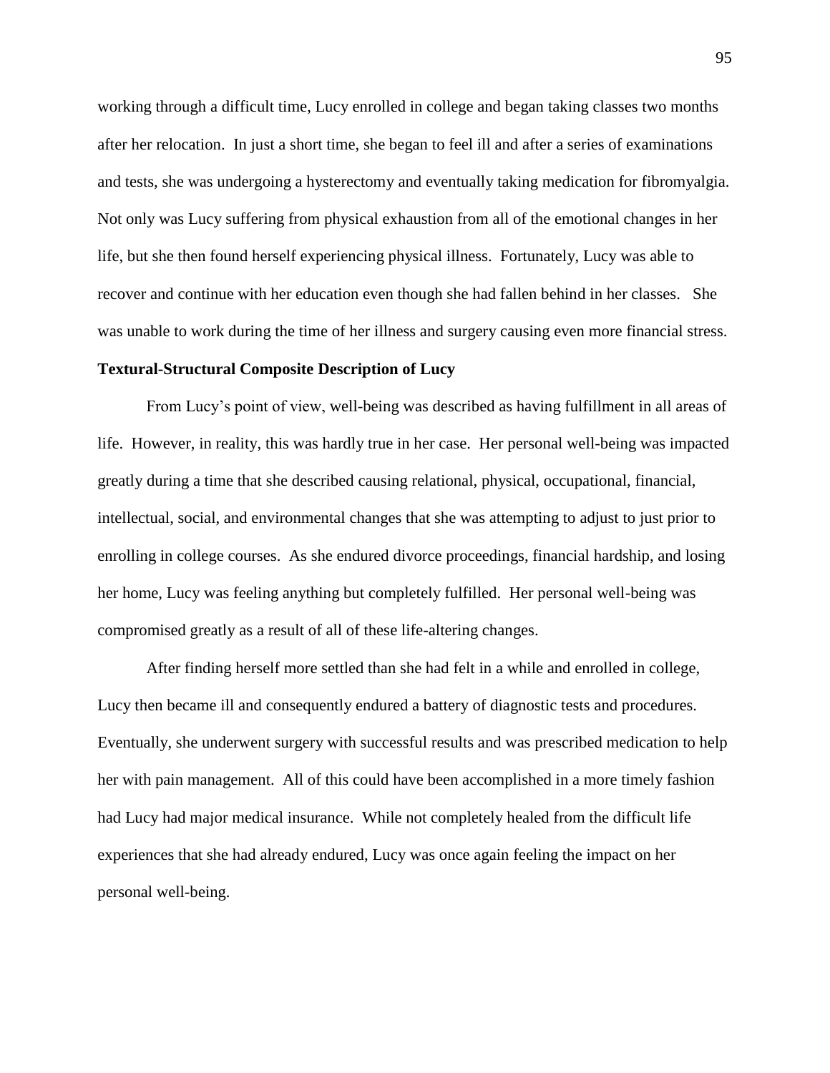working through a difficult time, Lucy enrolled in college and began taking classes two months after her relocation. In just a short time, she began to feel ill and after a series of examinations and tests, she was undergoing a hysterectomy and eventually taking medication for fibromyalgia. Not only was Lucy suffering from physical exhaustion from all of the emotional changes in her life, but she then found herself experiencing physical illness. Fortunately, Lucy was able to recover and continue with her education even though she had fallen behind in her classes. She was unable to work during the time of her illness and surgery causing even more financial stress.

#### **Textural-Structural Composite Description of Lucy**

From Lucy's point of view, well-being was described as having fulfillment in all areas of life. However, in reality, this was hardly true in her case. Her personal well-being was impacted greatly during a time that she described causing relational, physical, occupational, financial, intellectual, social, and environmental changes that she was attempting to adjust to just prior to enrolling in college courses. As she endured divorce proceedings, financial hardship, and losing her home, Lucy was feeling anything but completely fulfilled. Her personal well-being was compromised greatly as a result of all of these life-altering changes.

After finding herself more settled than she had felt in a while and enrolled in college, Lucy then became ill and consequently endured a battery of diagnostic tests and procedures. Eventually, she underwent surgery with successful results and was prescribed medication to help her with pain management. All of this could have been accomplished in a more timely fashion had Lucy had major medical insurance. While not completely healed from the difficult life experiences that she had already endured, Lucy was once again feeling the impact on her personal well-being.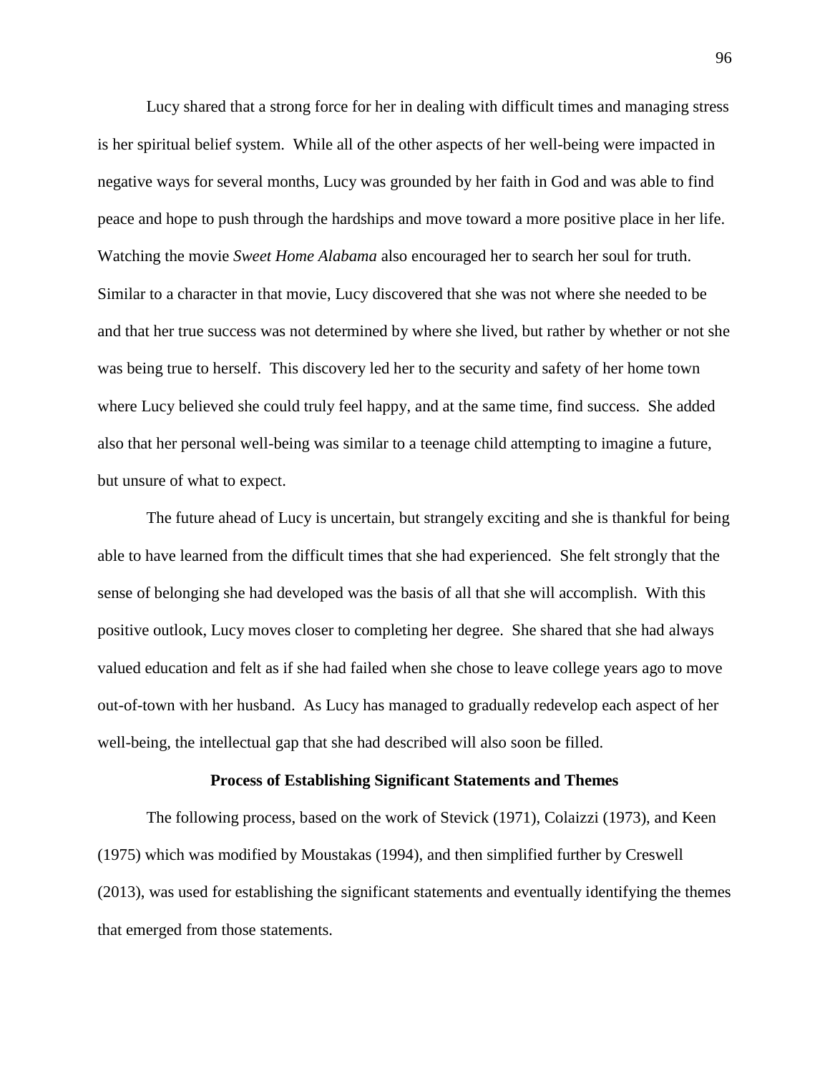Lucy shared that a strong force for her in dealing with difficult times and managing stress is her spiritual belief system. While all of the other aspects of her well-being were impacted in negative ways for several months, Lucy was grounded by her faith in God and was able to find peace and hope to push through the hardships and move toward a more positive place in her life. Watching the movie *Sweet Home Alabama* also encouraged her to search her soul for truth. Similar to a character in that movie, Lucy discovered that she was not where she needed to be and that her true success was not determined by where she lived, but rather by whether or not she was being true to herself. This discovery led her to the security and safety of her home town where Lucy believed she could truly feel happy, and at the same time, find success. She added also that her personal well-being was similar to a teenage child attempting to imagine a future, but unsure of what to expect.

The future ahead of Lucy is uncertain, but strangely exciting and she is thankful for being able to have learned from the difficult times that she had experienced. She felt strongly that the sense of belonging she had developed was the basis of all that she will accomplish. With this positive outlook, Lucy moves closer to completing her degree. She shared that she had always valued education and felt as if she had failed when she chose to leave college years ago to move out-of-town with her husband. As Lucy has managed to gradually redevelop each aspect of her well-being, the intellectual gap that she had described will also soon be filled.

#### **Process of Establishing Significant Statements and Themes**

The following process, based on the work of Stevick (1971), Colaizzi (1973), and Keen (1975) which was modified by Moustakas (1994), and then simplified further by Creswell (2013), was used for establishing the significant statements and eventually identifying the themes that emerged from those statements.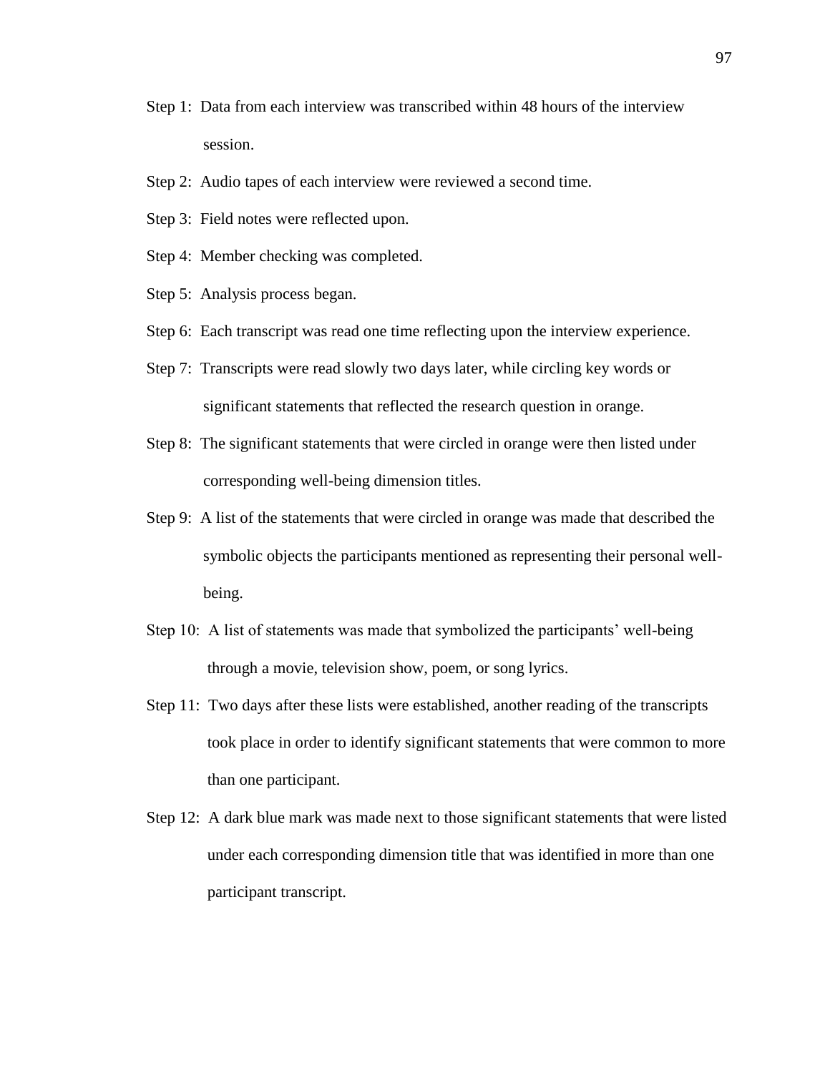- Step 1: Data from each interview was transcribed within 48 hours of the interview session.
- Step 2: Audio tapes of each interview were reviewed a second time.
- Step 3: Field notes were reflected upon.
- Step 4: Member checking was completed.
- Step 5: Analysis process began.
- Step 6: Each transcript was read one time reflecting upon the interview experience.
- Step 7: Transcripts were read slowly two days later, while circling key words or significant statements that reflected the research question in orange.
- Step 8: The significant statements that were circled in orange were then listed under corresponding well-being dimension titles.
- Step 9: A list of the statements that were circled in orange was made that described the symbolic objects the participants mentioned as representing their personal well being.
- Step 10: A list of statements was made that symbolized the participants' well-being through a movie, television show, poem, or song lyrics.
- Step 11: Two days after these lists were established, another reading of the transcripts took place in order to identify significant statements that were common to more than one participant.
- Step 12: A dark blue mark was made next to those significant statements that were listed under each corresponding dimension title that was identified in more than one participant transcript.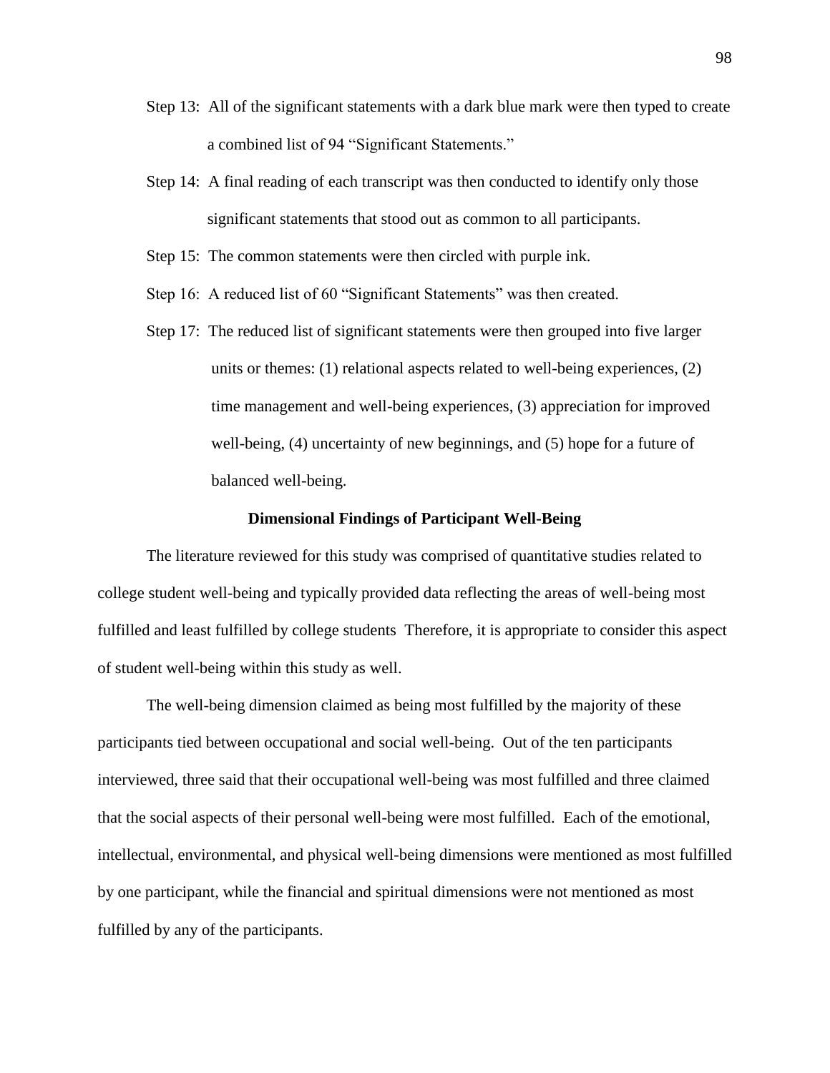- Step 13: All of the significant statements with a dark blue mark were then typed to create a combined list of 94 "Significant Statements."
- Step 14: A final reading of each transcript was then conducted to identify only those significant statements that stood out as common to all participants.
- Step 15: The common statements were then circled with purple ink.
- Step 16: A reduced list of 60 "Significant Statements" was then created.
- Step 17: The reduced list of significant statements were then grouped into five larger units or themes: (1) relational aspects related to well-being experiences, (2) time management and well-being experiences, (3) appreciation for improved well-being, (4) uncertainty of new beginnings, and (5) hope for a future of balanced well-being.

#### **Dimensional Findings of Participant Well-Being**

The literature reviewed for this study was comprised of quantitative studies related to college student well-being and typically provided data reflecting the areas of well-being most fulfilled and least fulfilled by college students Therefore, it is appropriate to consider this aspect of student well-being within this study as well.

The well-being dimension claimed as being most fulfilled by the majority of these participants tied between occupational and social well-being. Out of the ten participants interviewed, three said that their occupational well-being was most fulfilled and three claimed that the social aspects of their personal well-being were most fulfilled. Each of the emotional, intellectual, environmental, and physical well-being dimensions were mentioned as most fulfilled by one participant, while the financial and spiritual dimensions were not mentioned as most fulfilled by any of the participants.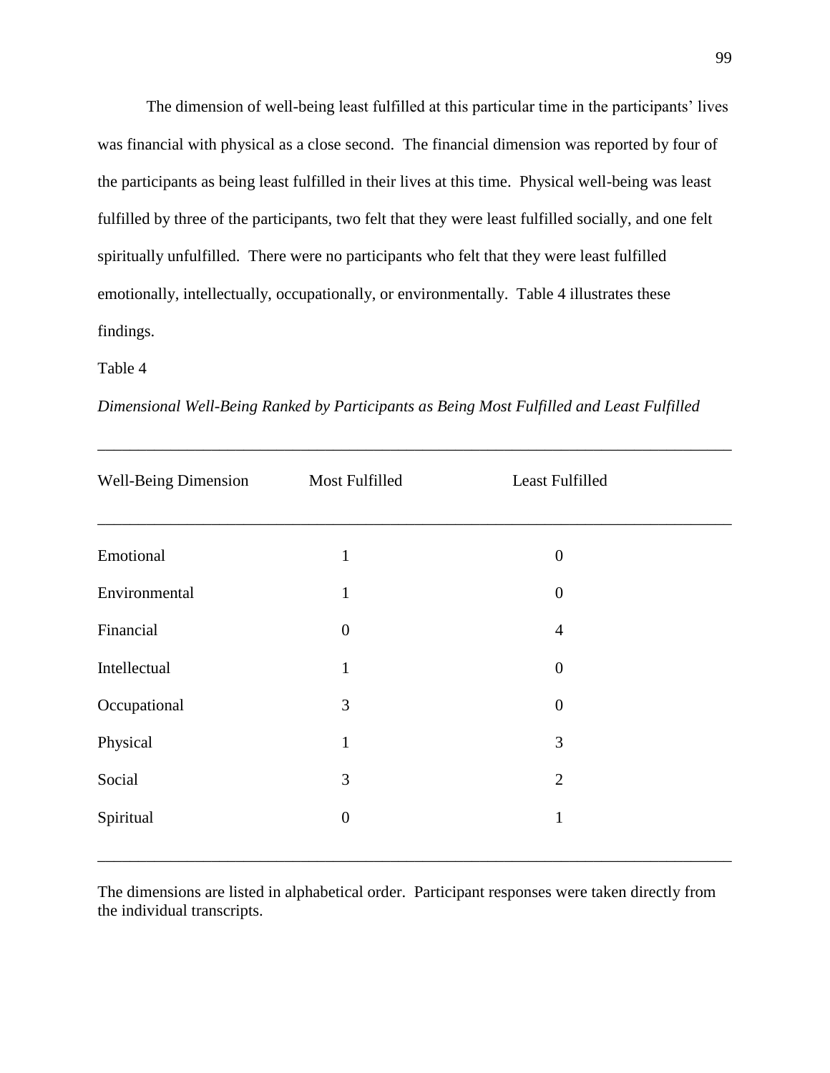The dimension of well-being least fulfilled at this particular time in the participants' lives was financial with physical as a close second. The financial dimension was reported by four of the participants as being least fulfilled in their lives at this time. Physical well-being was least fulfilled by three of the participants, two felt that they were least fulfilled socially, and one felt spiritually unfulfilled. There were no participants who felt that they were least fulfilled emotionally, intellectually, occupationally, or environmentally. Table 4 illustrates these findings.

# Table 4

| <b>Well-Being Dimension</b> | Most Fulfilled   | Least Fulfilled  |  |
|-----------------------------|------------------|------------------|--|
| Emotional                   | $\mathbf{1}$     | $\boldsymbol{0}$ |  |
| Environmental               | $\mathbf{1}$     | $\boldsymbol{0}$ |  |
| Financial                   | $\boldsymbol{0}$ | $\overline{4}$   |  |
| Intellectual                | $\mathbf{1}$     | $\boldsymbol{0}$ |  |
| Occupational                | 3                | $\boldsymbol{0}$ |  |
| Physical                    | $\mathbf{1}$     | 3                |  |
| Social                      | 3                | $\overline{2}$   |  |
| Spiritual                   | $\overline{0}$   | $\mathbf{1}$     |  |
|                             |                  |                  |  |

*Dimensional Well-Being Ranked by Participants as Being Most Fulfilled and Least Fulfilled*

The dimensions are listed in alphabetical order. Participant responses were taken directly from the individual transcripts.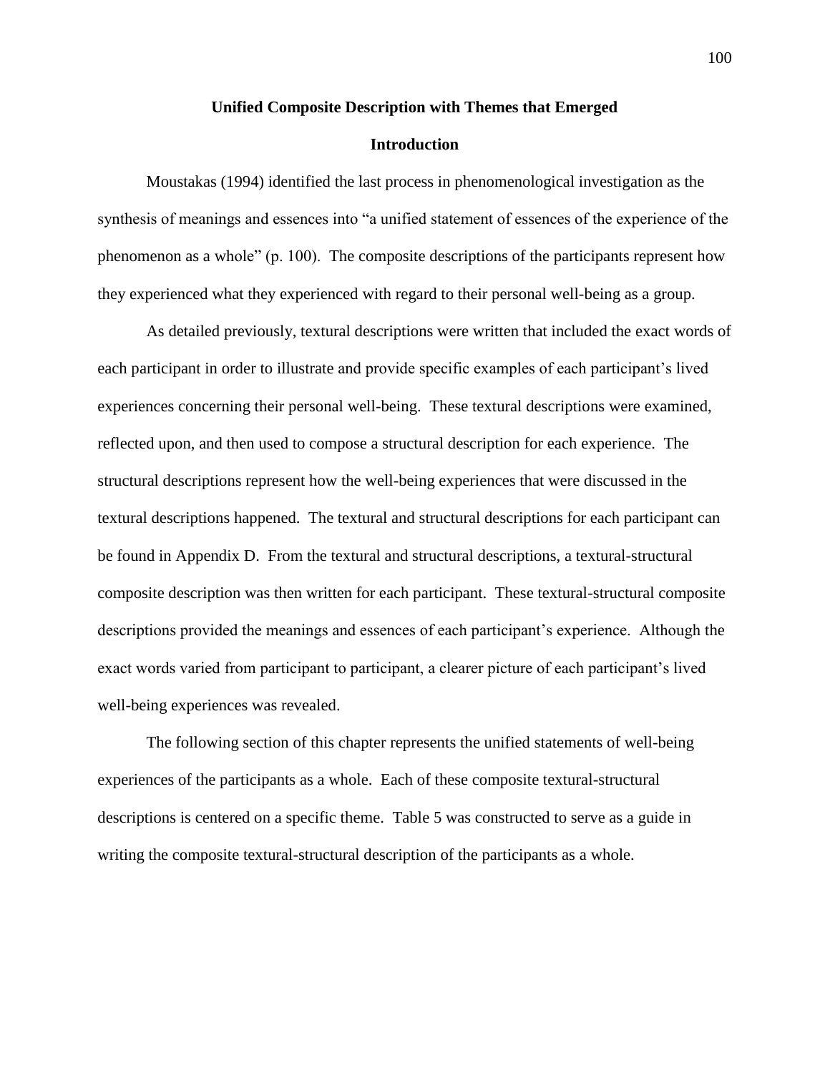### **Unified Composite Description with Themes that Emerged**

### **Introduction**

Moustakas (1994) identified the last process in phenomenological investigation as the synthesis of meanings and essences into "a unified statement of essences of the experience of the phenomenon as a whole" (p. 100). The composite descriptions of the participants represent how they experienced what they experienced with regard to their personal well-being as a group.

As detailed previously, textural descriptions were written that included the exact words of each participant in order to illustrate and provide specific examples of each participant's lived experiences concerning their personal well-being. These textural descriptions were examined, reflected upon, and then used to compose a structural description for each experience. The structural descriptions represent how the well-being experiences that were discussed in the textural descriptions happened. The textural and structural descriptions for each participant can be found in Appendix D. From the textural and structural descriptions, a textural-structural composite description was then written for each participant. These textural-structural composite descriptions provided the meanings and essences of each participant's experience. Although the exact words varied from participant to participant, a clearer picture of each participant's lived well-being experiences was revealed.

The following section of this chapter represents the unified statements of well-being experiences of the participants as a whole. Each of these composite textural-structural descriptions is centered on a specific theme. Table 5 was constructed to serve as a guide in writing the composite textural-structural description of the participants as a whole.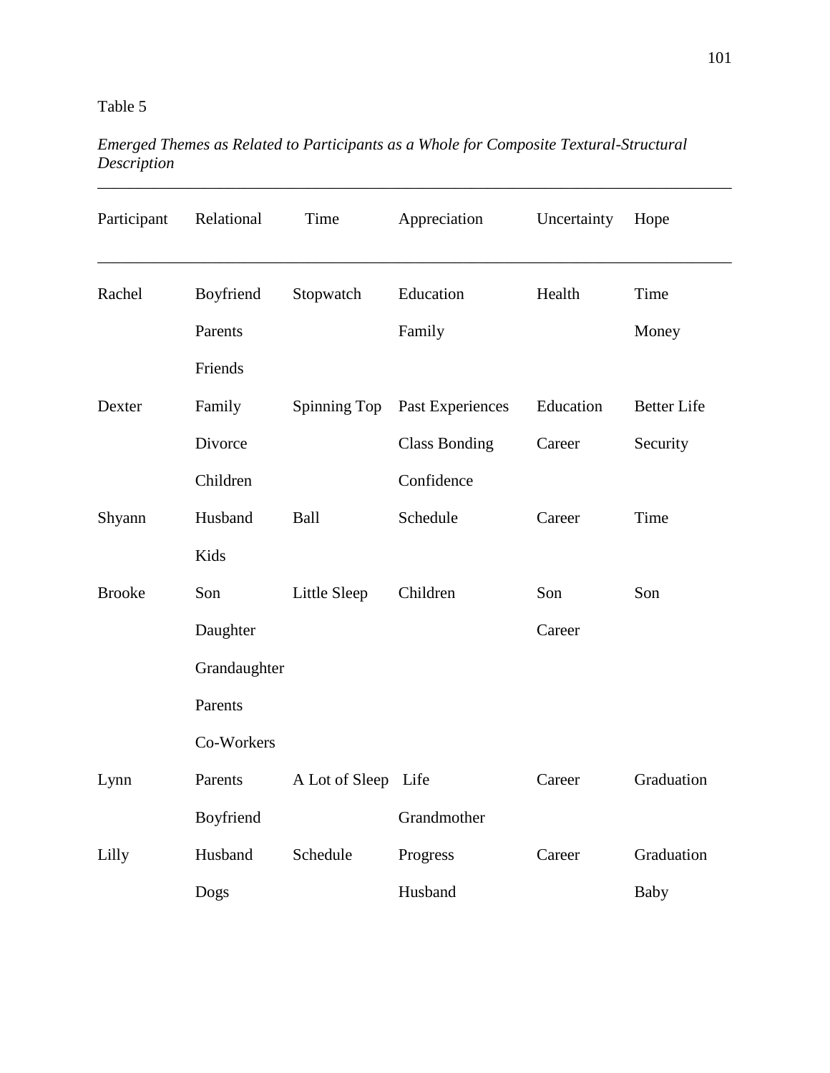# Table 5

*Emerged Themes as Related to Participants as a Whole for Composite Textural-Structural Description*

\_\_\_\_\_\_\_\_\_\_\_\_\_\_\_\_\_\_\_\_\_\_\_\_\_\_\_\_\_\_\_\_\_\_\_\_\_\_\_\_\_\_\_\_\_\_\_\_\_\_\_\_\_\_\_\_\_\_\_\_\_\_\_\_\_\_\_\_\_\_\_\_\_\_\_\_\_\_

| Participant   | Relational   | Time                | Appreciation         | Uncertainty | Hope               |  |
|---------------|--------------|---------------------|----------------------|-------------|--------------------|--|
| Rachel        | Boyfriend    | Stopwatch           | Education            | Health      | Time               |  |
|               | Parents      |                     | Family               |             | Money              |  |
|               | Friends      |                     |                      |             |                    |  |
| Dexter        | Family       | Spinning Top        | Past Experiences     | Education   | <b>Better Life</b> |  |
|               | Divorce      |                     | <b>Class Bonding</b> | Career      | Security           |  |
|               | Children     |                     | Confidence           |             |                    |  |
| Shyann        | Husband      | Ball                | Schedule             | Career      | Time               |  |
|               | Kids         |                     |                      |             |                    |  |
| <b>Brooke</b> | Son          | Little Sleep        | Children             | Son         | Son                |  |
|               | Daughter     |                     |                      | Career      |                    |  |
|               | Grandaughter |                     |                      |             |                    |  |
|               | Parents      |                     |                      |             |                    |  |
|               | Co-Workers   |                     |                      |             |                    |  |
| Lynn          | Parents      | A Lot of Sleep Life |                      | Career      | Graduation         |  |
|               | Boyfriend    |                     | Grandmother          |             |                    |  |
| Lilly         | Husband      | Schedule            | Progress             | Career      | Graduation         |  |
|               | Dogs         |                     | Husband              |             | <b>Baby</b>        |  |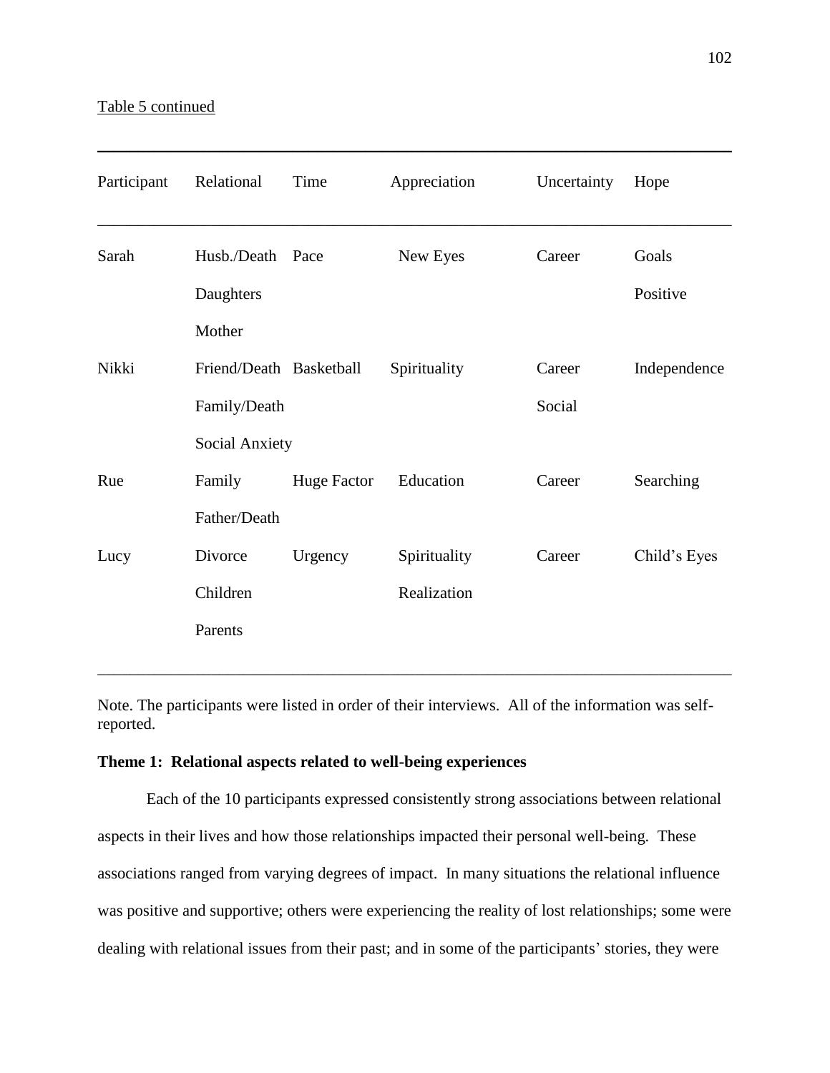# Table 5 continued

| Participant | Relational              | Time               | Appreciation | Uncertainty | Hope         |
|-------------|-------------------------|--------------------|--------------|-------------|--------------|
| Sarah       | Husb./Death             | Pace               | New Eyes     | Career      | Goals        |
|             | Daughters               |                    |              |             | Positive     |
|             | Mother                  |                    |              |             |              |
| Nikki       | Friend/Death Basketball |                    | Spirituality | Career      | Independence |
|             | Family/Death            |                    |              | Social      |              |
|             | Social Anxiety          |                    |              |             |              |
| Rue         | Family                  | <b>Huge Factor</b> | Education    | Career      | Searching    |
|             | Father/Death            |                    |              |             |              |
| Lucy        | Divorce                 | Urgency            | Spirituality | Career      | Child's Eyes |
|             | Children                |                    | Realization  |             |              |
|             | Parents                 |                    |              |             |              |
|             |                         |                    |              |             |              |

Note. The participants were listed in order of their interviews. All of the information was selfreported.

### **Theme 1: Relational aspects related to well-being experiences**

Each of the 10 participants expressed consistently strong associations between relational aspects in their lives and how those relationships impacted their personal well-being. These associations ranged from varying degrees of impact. In many situations the relational influence was positive and supportive; others were experiencing the reality of lost relationships; some were dealing with relational issues from their past; and in some of the participants' stories, they were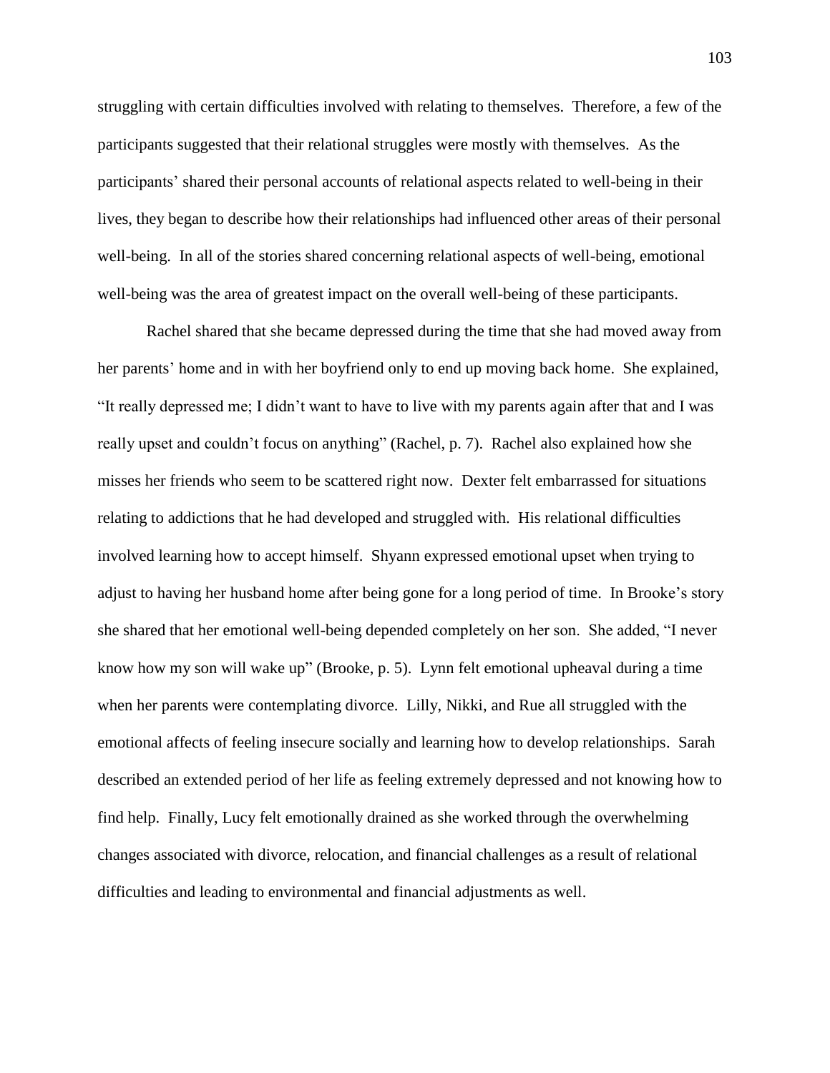struggling with certain difficulties involved with relating to themselves. Therefore, a few of the participants suggested that their relational struggles were mostly with themselves. As the participants' shared their personal accounts of relational aspects related to well-being in their lives, they began to describe how their relationships had influenced other areas of their personal well-being. In all of the stories shared concerning relational aspects of well-being, emotional well-being was the area of greatest impact on the overall well-being of these participants.

Rachel shared that she became depressed during the time that she had moved away from her parents' home and in with her boyfriend only to end up moving back home. She explained, "It really depressed me; I didn't want to have to live with my parents again after that and I was really upset and couldn't focus on anything" (Rachel, p. 7). Rachel also explained how she misses her friends who seem to be scattered right now. Dexter felt embarrassed for situations relating to addictions that he had developed and struggled with. His relational difficulties involved learning how to accept himself. Shyann expressed emotional upset when trying to adjust to having her husband home after being gone for a long period of time. In Brooke's story she shared that her emotional well-being depended completely on her son. She added, "I never know how my son will wake up" (Brooke, p. 5). Lynn felt emotional upheaval during a time when her parents were contemplating divorce. Lilly, Nikki, and Rue all struggled with the emotional affects of feeling insecure socially and learning how to develop relationships. Sarah described an extended period of her life as feeling extremely depressed and not knowing how to find help. Finally, Lucy felt emotionally drained as she worked through the overwhelming changes associated with divorce, relocation, and financial challenges as a result of relational difficulties and leading to environmental and financial adjustments as well.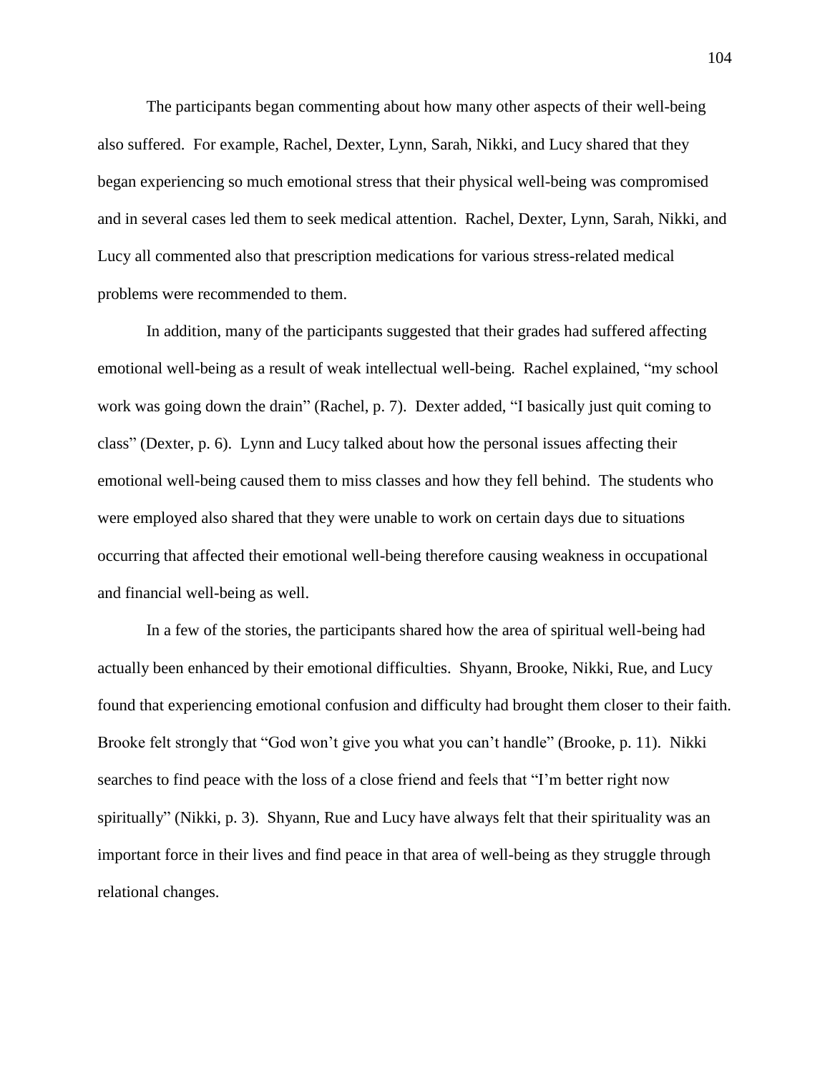The participants began commenting about how many other aspects of their well-being also suffered. For example, Rachel, Dexter, Lynn, Sarah, Nikki, and Lucy shared that they began experiencing so much emotional stress that their physical well-being was compromised and in several cases led them to seek medical attention. Rachel, Dexter, Lynn, Sarah, Nikki, and Lucy all commented also that prescription medications for various stress-related medical problems were recommended to them.

In addition, many of the participants suggested that their grades had suffered affecting emotional well-being as a result of weak intellectual well-being. Rachel explained, "my school work was going down the drain" (Rachel, p. 7). Dexter added, "I basically just quit coming to class" (Dexter, p. 6). Lynn and Lucy talked about how the personal issues affecting their emotional well-being caused them to miss classes and how they fell behind. The students who were employed also shared that they were unable to work on certain days due to situations occurring that affected their emotional well-being therefore causing weakness in occupational and financial well-being as well.

In a few of the stories, the participants shared how the area of spiritual well-being had actually been enhanced by their emotional difficulties. Shyann, Brooke, Nikki, Rue, and Lucy found that experiencing emotional confusion and difficulty had brought them closer to their faith. Brooke felt strongly that "God won't give you what you can't handle" (Brooke, p. 11). Nikki searches to find peace with the loss of a close friend and feels that "I'm better right now spiritually" (Nikki, p. 3). Shyann, Rue and Lucy have always felt that their spirituality was an important force in their lives and find peace in that area of well-being as they struggle through relational changes.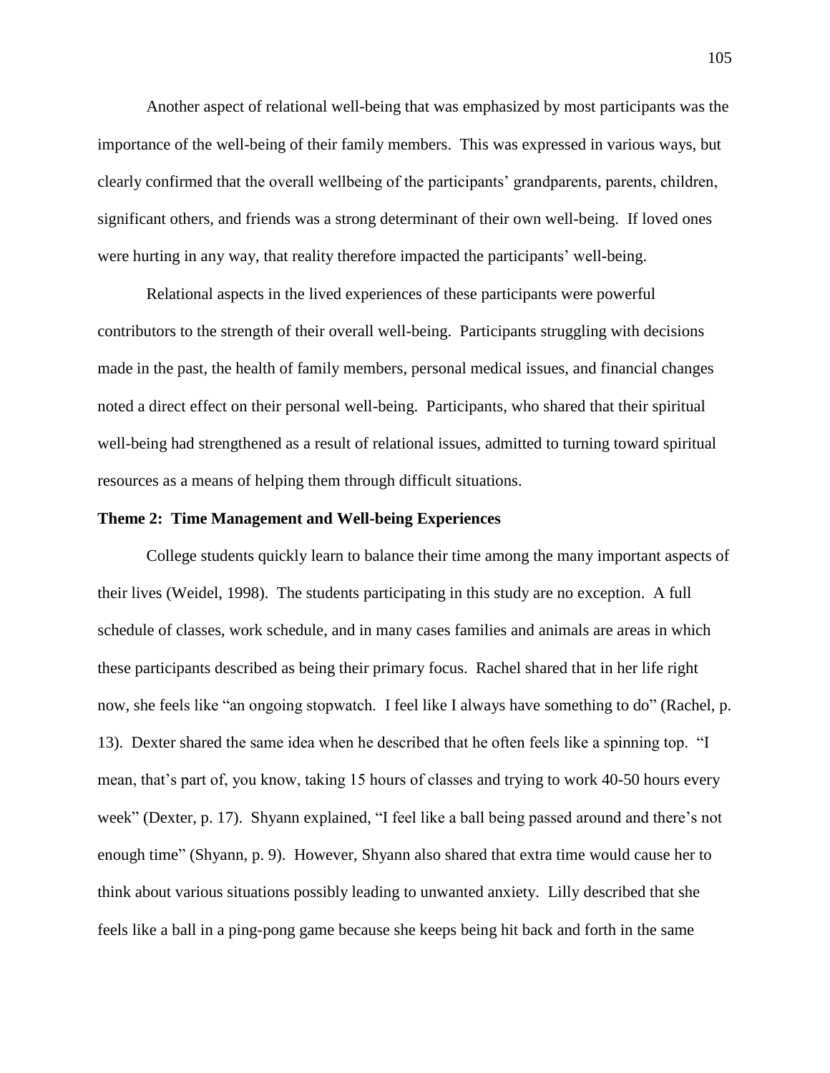Another aspect of relational well-being that was emphasized by most participants was the importance of the well-being of their family members. This was expressed in various ways, but clearly confirmed that the overall wellbeing of the participants' grandparents, parents, children, significant others, and friends was a strong determinant of their own well-being. If loved ones were hurting in any way, that reality therefore impacted the participants' well-being.

Relational aspects in the lived experiences of these participants were powerful contributors to the strength of their overall well-being. Participants struggling with decisions made in the past, the health of family members, personal medical issues, and financial changes noted a direct effect on their personal well-being. Participants, who shared that their spiritual well-being had strengthened as a result of relational issues, admitted to turning toward spiritual resources as a means of helping them through difficult situations.

### **Theme 2: Time Management and Well-being Experiences**

College students quickly learn to balance their time among the many important aspects of their lives (Weidel, 1998). The students participating in this study are no exception. A full schedule of classes, work schedule, and in many cases families and animals are areas in which these participants described as being their primary focus. Rachel shared that in her life right now, she feels like "an ongoing stopwatch. I feel like I always have something to do" (Rachel, p. 13). Dexter shared the same idea when he described that he often feels like a spinning top. "I mean, that's part of, you know, taking 15 hours of classes and trying to work 40-50 hours every week" (Dexter, p. 17). Shyann explained, "I feel like a ball being passed around and there's not enough time" (Shyann, p. 9). However, Shyann also shared that extra time would cause her to think about various situations possibly leading to unwanted anxiety. Lilly described that she feels like a ball in a ping-pong game because she keeps being hit back and forth in the same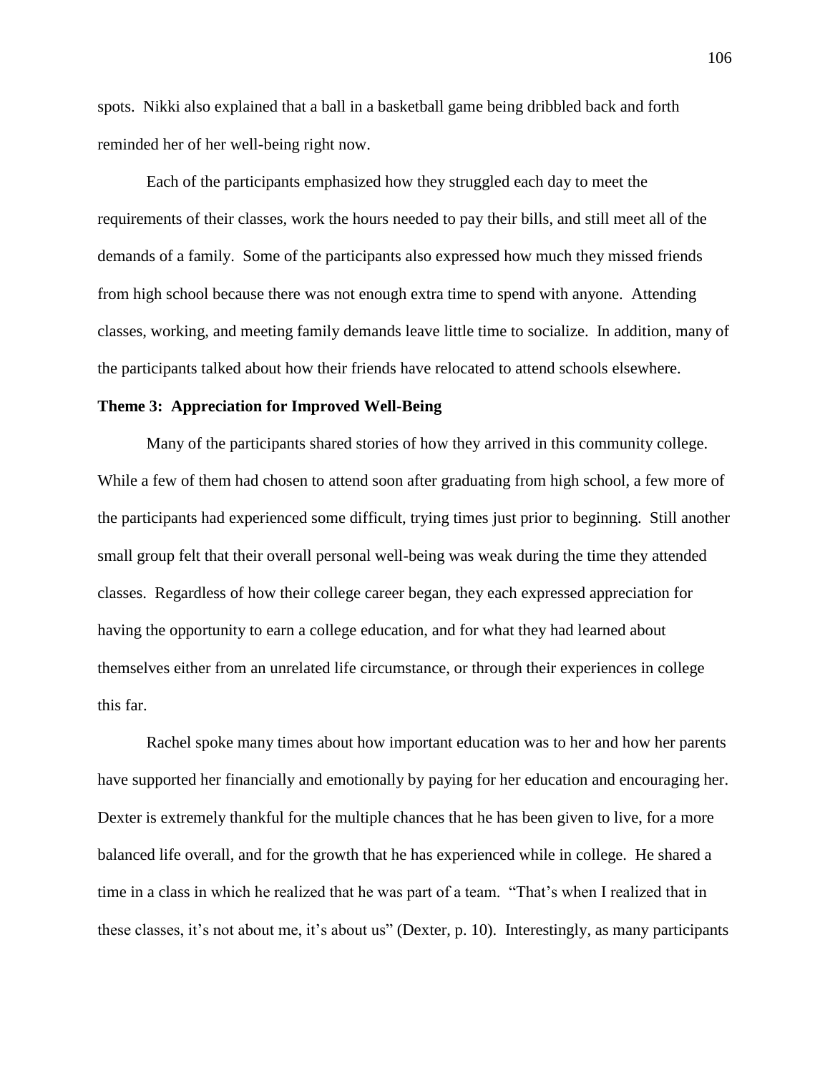spots. Nikki also explained that a ball in a basketball game being dribbled back and forth reminded her of her well-being right now.

Each of the participants emphasized how they struggled each day to meet the requirements of their classes, work the hours needed to pay their bills, and still meet all of the demands of a family. Some of the participants also expressed how much they missed friends from high school because there was not enough extra time to spend with anyone. Attending classes, working, and meeting family demands leave little time to socialize. In addition, many of the participants talked about how their friends have relocated to attend schools elsewhere.

### **Theme 3: Appreciation for Improved Well-Being**

Many of the participants shared stories of how they arrived in this community college. While a few of them had chosen to attend soon after graduating from high school, a few more of the participants had experienced some difficult, trying times just prior to beginning. Still another small group felt that their overall personal well-being was weak during the time they attended classes. Regardless of how their college career began, they each expressed appreciation for having the opportunity to earn a college education, and for what they had learned about themselves either from an unrelated life circumstance, or through their experiences in college this far.

Rachel spoke many times about how important education was to her and how her parents have supported her financially and emotionally by paying for her education and encouraging her. Dexter is extremely thankful for the multiple chances that he has been given to live, for a more balanced life overall, and for the growth that he has experienced while in college. He shared a time in a class in which he realized that he was part of a team. "That's when I realized that in these classes, it's not about me, it's about us" (Dexter, p. 10). Interestingly, as many participants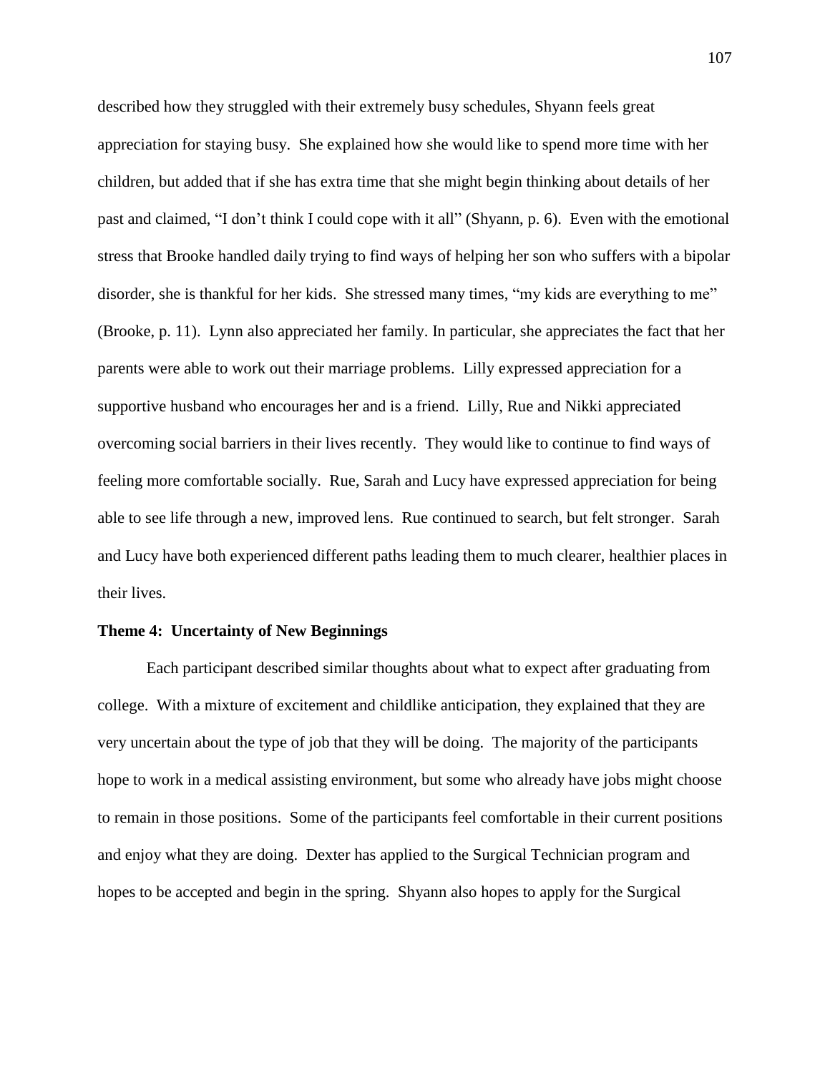described how they struggled with their extremely busy schedules, Shyann feels great appreciation for staying busy. She explained how she would like to spend more time with her children, but added that if she has extra time that she might begin thinking about details of her past and claimed, "I don't think I could cope with it all" (Shyann, p. 6). Even with the emotional stress that Brooke handled daily trying to find ways of helping her son who suffers with a bipolar disorder, she is thankful for her kids. She stressed many times, "my kids are everything to me" (Brooke, p. 11). Lynn also appreciated her family. In particular, she appreciates the fact that her parents were able to work out their marriage problems. Lilly expressed appreciation for a supportive husband who encourages her and is a friend. Lilly, Rue and Nikki appreciated overcoming social barriers in their lives recently. They would like to continue to find ways of feeling more comfortable socially. Rue, Sarah and Lucy have expressed appreciation for being able to see life through a new, improved lens. Rue continued to search, but felt stronger. Sarah and Lucy have both experienced different paths leading them to much clearer, healthier places in their lives.

#### **Theme 4: Uncertainty of New Beginnings**

Each participant described similar thoughts about what to expect after graduating from college. With a mixture of excitement and childlike anticipation, they explained that they are very uncertain about the type of job that they will be doing. The majority of the participants hope to work in a medical assisting environment, but some who already have jobs might choose to remain in those positions. Some of the participants feel comfortable in their current positions and enjoy what they are doing. Dexter has applied to the Surgical Technician program and hopes to be accepted and begin in the spring. Shyann also hopes to apply for the Surgical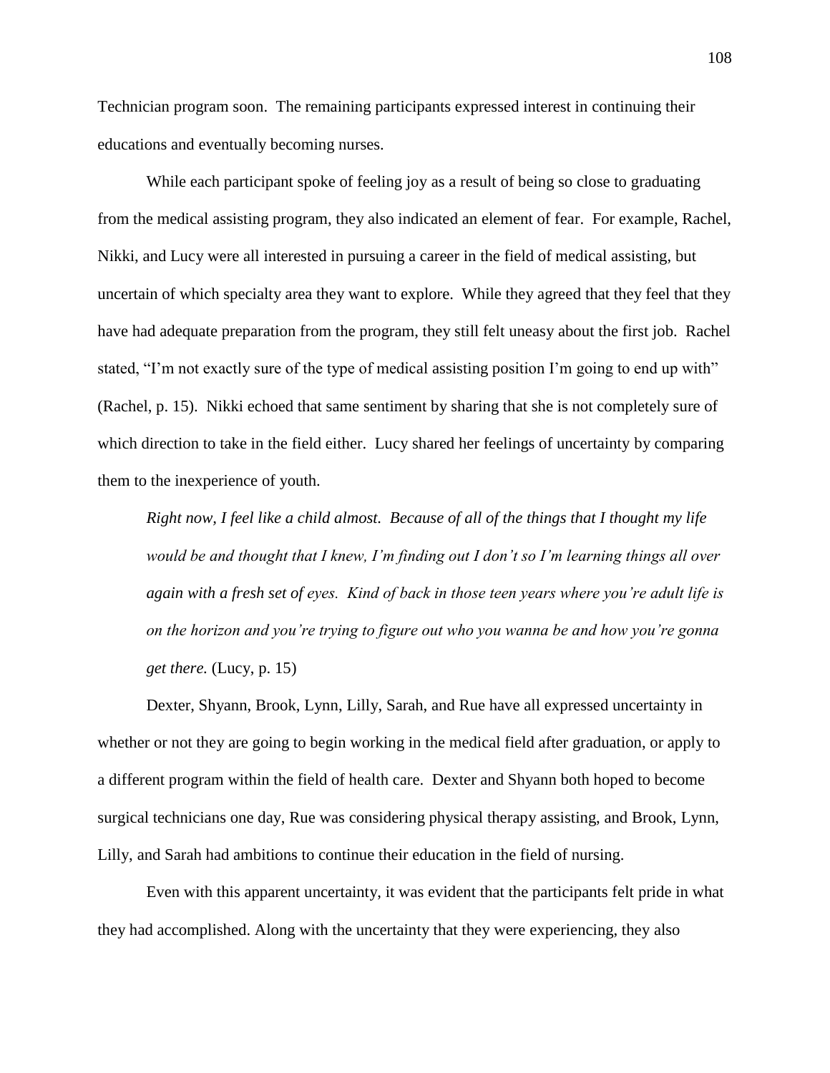Technician program soon. The remaining participants expressed interest in continuing their educations and eventually becoming nurses.

While each participant spoke of feeling joy as a result of being so close to graduating from the medical assisting program, they also indicated an element of fear. For example, Rachel, Nikki, and Lucy were all interested in pursuing a career in the field of medical assisting, but uncertain of which specialty area they want to explore. While they agreed that they feel that they have had adequate preparation from the program, they still felt uneasy about the first job. Rachel stated, "I'm not exactly sure of the type of medical assisting position I'm going to end up with" (Rachel, p. 15). Nikki echoed that same sentiment by sharing that she is not completely sure of which direction to take in the field either. Lucy shared her feelings of uncertainty by comparing them to the inexperience of youth.

*Right now, I feel like a child almost. Because of all of the things that I thought my life would be and thought that I knew, I'm finding out I don't so I'm learning things all over again with a fresh set of eyes. Kind of back in those teen years where you're adult life is on the horizon and you're trying to figure out who you wanna be and how you're gonna get there.* (Lucy, p. 15)

Dexter, Shyann, Brook, Lynn, Lilly, Sarah, and Rue have all expressed uncertainty in whether or not they are going to begin working in the medical field after graduation, or apply to a different program within the field of health care. Dexter and Shyann both hoped to become surgical technicians one day, Rue was considering physical therapy assisting, and Brook, Lynn, Lilly, and Sarah had ambitions to continue their education in the field of nursing.

Even with this apparent uncertainty, it was evident that the participants felt pride in what they had accomplished. Along with the uncertainty that they were experiencing, they also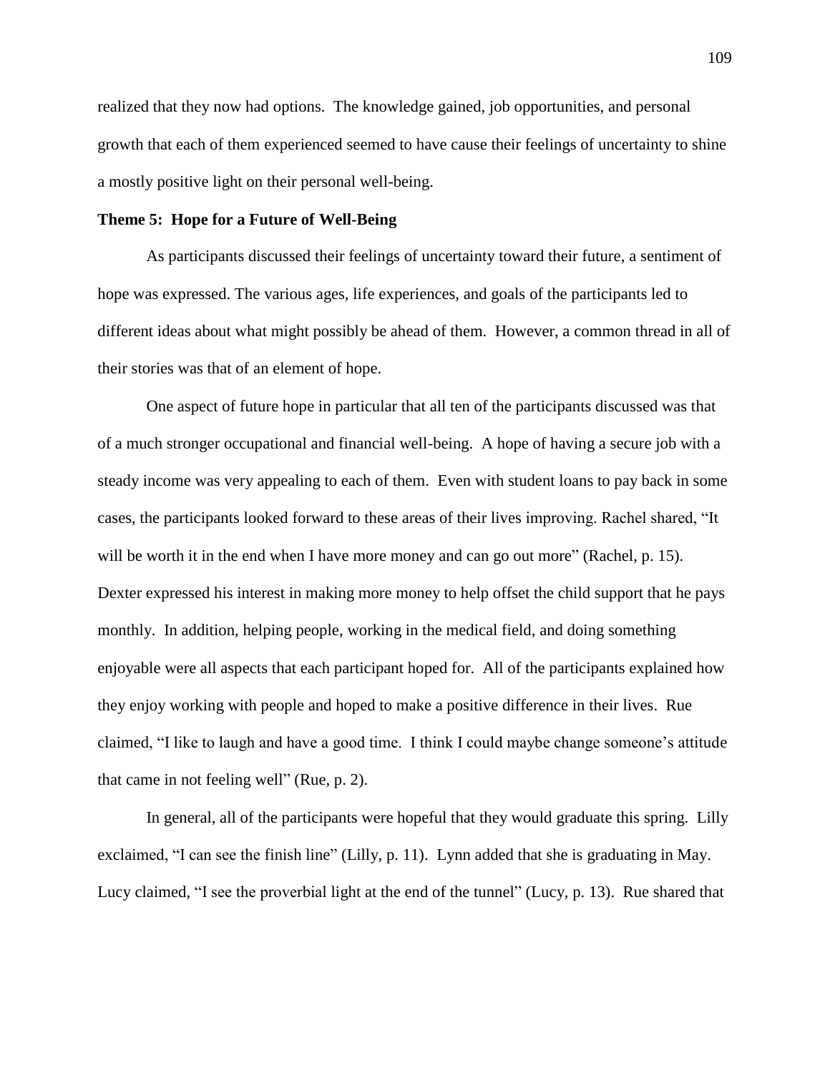realized that they now had options. The knowledge gained, job opportunities, and personal growth that each of them experienced seemed to have cause their feelings of uncertainty to shine a mostly positive light on their personal well-being.

# **Theme 5: Hope for a Future of Well-Being**

As participants discussed their feelings of uncertainty toward their future, a sentiment of hope was expressed. The various ages, life experiences, and goals of the participants led to different ideas about what might possibly be ahead of them. However, a common thread in all of their stories was that of an element of hope.

One aspect of future hope in particular that all ten of the participants discussed was that of a much stronger occupational and financial well-being. A hope of having a secure job with a steady income was very appealing to each of them. Even with student loans to pay back in some cases, the participants looked forward to these areas of their lives improving. Rachel shared, "It will be worth it in the end when I have more money and can go out more" (Rachel, p. 15). Dexter expressed his interest in making more money to help offset the child support that he pays monthly. In addition, helping people, working in the medical field, and doing something enjoyable were all aspects that each participant hoped for. All of the participants explained how they enjoy working with people and hoped to make a positive difference in their lives. Rue claimed, "I like to laugh and have a good time. I think I could maybe change someone's attitude that came in not feeling well" (Rue, p. 2).

In general, all of the participants were hopeful that they would graduate this spring. Lilly exclaimed, "I can see the finish line" (Lilly, p. 11). Lynn added that she is graduating in May. Lucy claimed, "I see the proverbial light at the end of the tunnel" (Lucy, p. 13). Rue shared that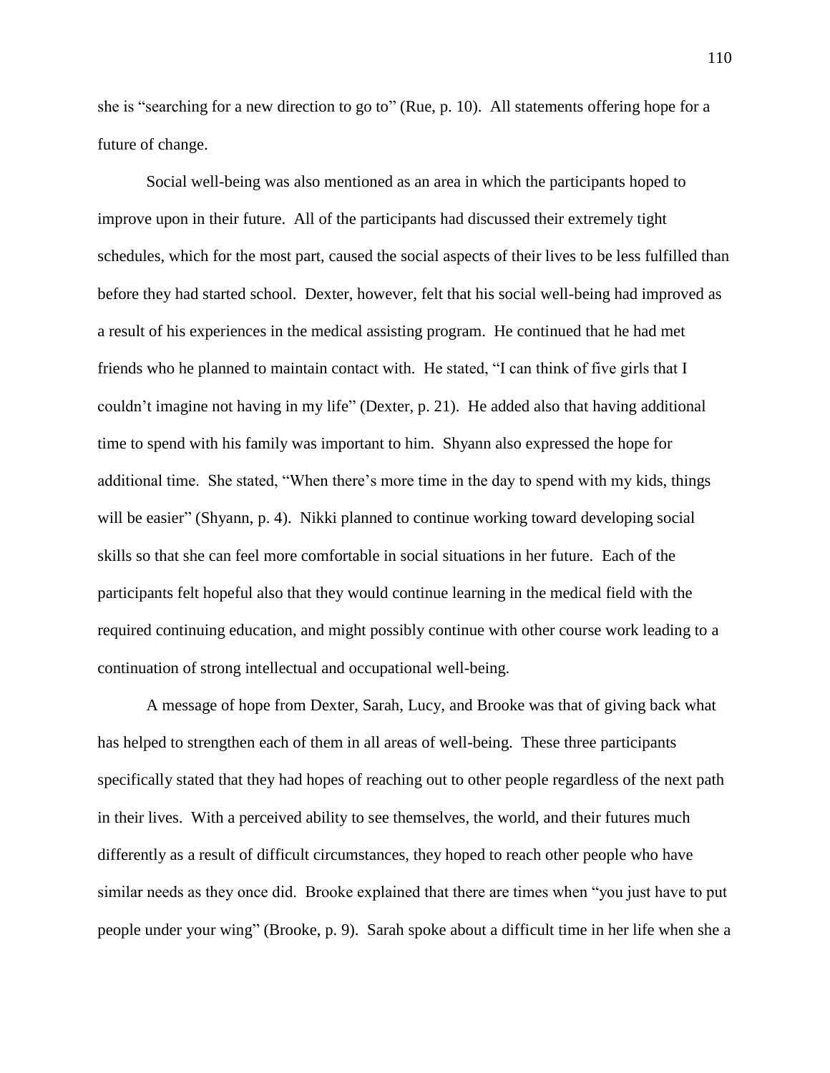she is "searching for a new direction to go to" (Rue, p. 10). All statements offering hope for a future of change.

Social well-being was also mentioned as an area in which the participants hoped to improve upon in their future. All of the participants had discussed their extremely tight schedules, which for the most part, caused the social aspects of their lives to be less fulfilled than before they had started school. Dexter, however, felt that his social well-being had improved as a result of his experiences in the medical assisting program. He continued that he had met friends who he planned to maintain contact with. He stated, "I can think of five girls that I couldn't imagine not having in my life" (Dexter, p. 21). He added also that having additional time to spend with his family was important to him. Shyann also expressed the hope for additional time. She stated, "When there's more time in the day to spend with my kids, things will be easier" (Shyann, p. 4). Nikki planned to continue working toward developing social skills so that she can feel more comfortable in social situations in her future. Each of the participants felt hopeful also that they would continue learning in the medical field with the required continuing education, and might possibly continue with other course work leading to a continuation of strong intellectual and occupational well-being.

A message of hope from Dexter, Sarah, Lucy, and Brooke was that of giving back what has helped to strengthen each of them in all areas of well-being. These three participants specifically stated that they had hopes of reaching out to other people regardless of the next path in their lives. With a perceived ability to see themselves, the world, and their futures much differently as a result of difficult circumstances, they hoped to reach other people who have similar needs as they once did. Brooke explained that there are times when "you just have to put people under your wing" (Brooke, p. 9). Sarah spoke about a difficult time in her life when she a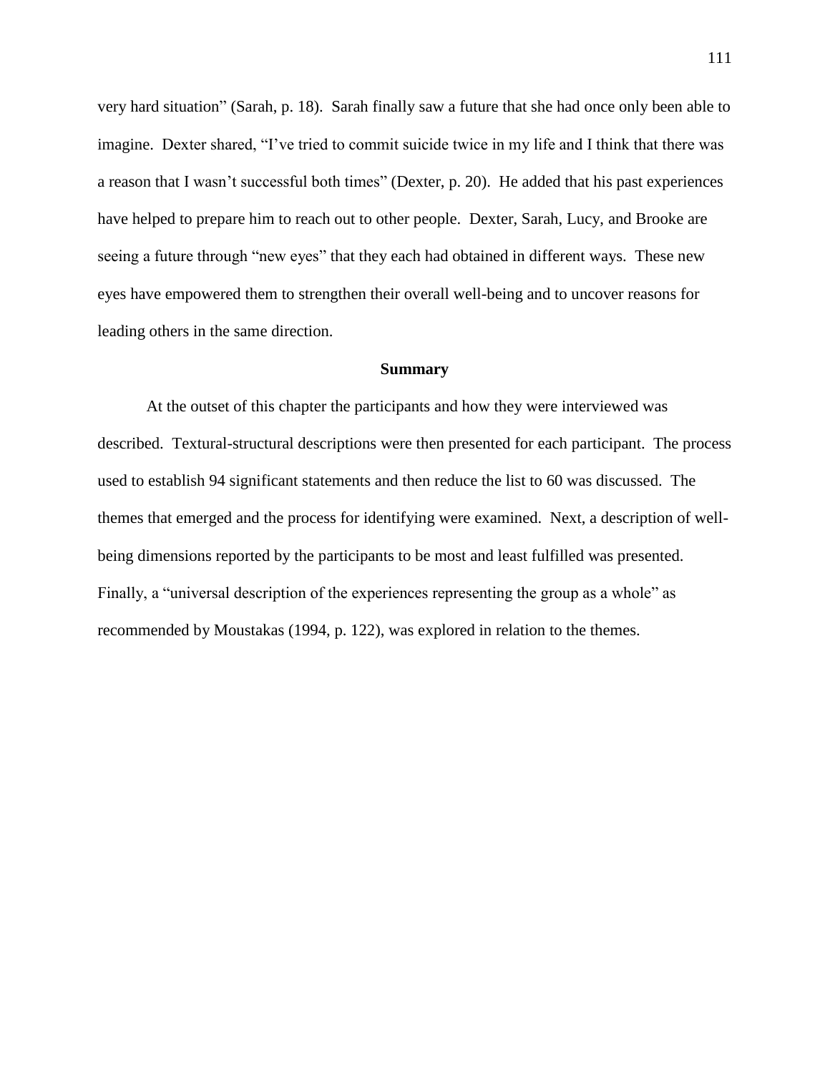very hard situation" (Sarah, p. 18). Sarah finally saw a future that she had once only been able to imagine. Dexter shared, "I've tried to commit suicide twice in my life and I think that there was a reason that I wasn't successful both times" (Dexter, p. 20). He added that his past experiences have helped to prepare him to reach out to other people. Dexter, Sarah, Lucy, and Brooke are seeing a future through "new eyes" that they each had obtained in different ways. These new eyes have empowered them to strengthen their overall well-being and to uncover reasons for leading others in the same direction.

### **Summary**

At the outset of this chapter the participants and how they were interviewed was described. Textural-structural descriptions were then presented for each participant. The process used to establish 94 significant statements and then reduce the list to 60 was discussed. The themes that emerged and the process for identifying were examined. Next, a description of wellbeing dimensions reported by the participants to be most and least fulfilled was presented. Finally, a "universal description of the experiences representing the group as a whole" as recommended by Moustakas (1994, p. 122), was explored in relation to the themes.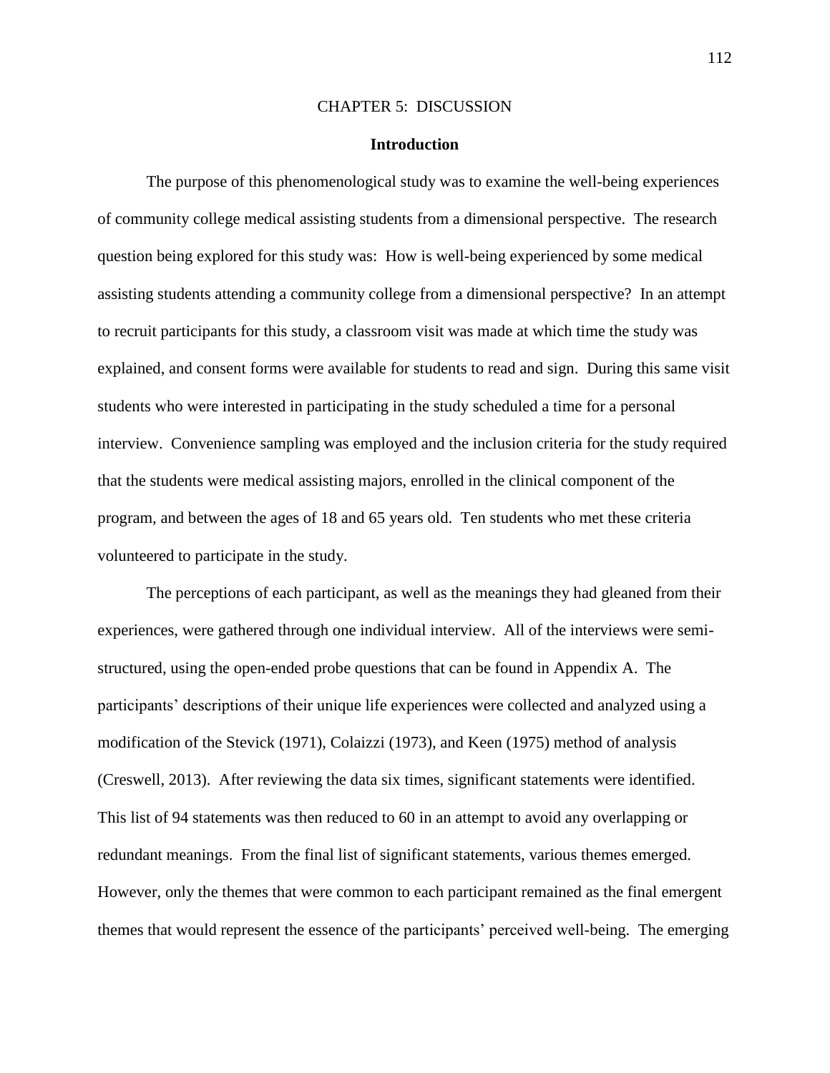#### CHAPTER 5: DISCUSSION

#### **Introduction**

The purpose of this phenomenological study was to examine the well-being experiences of community college medical assisting students from a dimensional perspective. The research question being explored for this study was: How is well-being experienced by some medical assisting students attending a community college from a dimensional perspective? In an attempt to recruit participants for this study, a classroom visit was made at which time the study was explained, and consent forms were available for students to read and sign. During this same visit students who were interested in participating in the study scheduled a time for a personal interview. Convenience sampling was employed and the inclusion criteria for the study required that the students were medical assisting majors, enrolled in the clinical component of the program, and between the ages of 18 and 65 years old. Ten students who met these criteria volunteered to participate in the study.

The perceptions of each participant, as well as the meanings they had gleaned from their experiences, were gathered through one individual interview. All of the interviews were semistructured, using the open-ended probe questions that can be found in Appendix A. The participants' descriptions of their unique life experiences were collected and analyzed using a modification of the Stevick (1971), Colaizzi (1973), and Keen (1975) method of analysis (Creswell, 2013). After reviewing the data six times, significant statements were identified. This list of 94 statements was then reduced to 60 in an attempt to avoid any overlapping or redundant meanings. From the final list of significant statements, various themes emerged. However, only the themes that were common to each participant remained as the final emergent themes that would represent the essence of the participants' perceived well-being. The emerging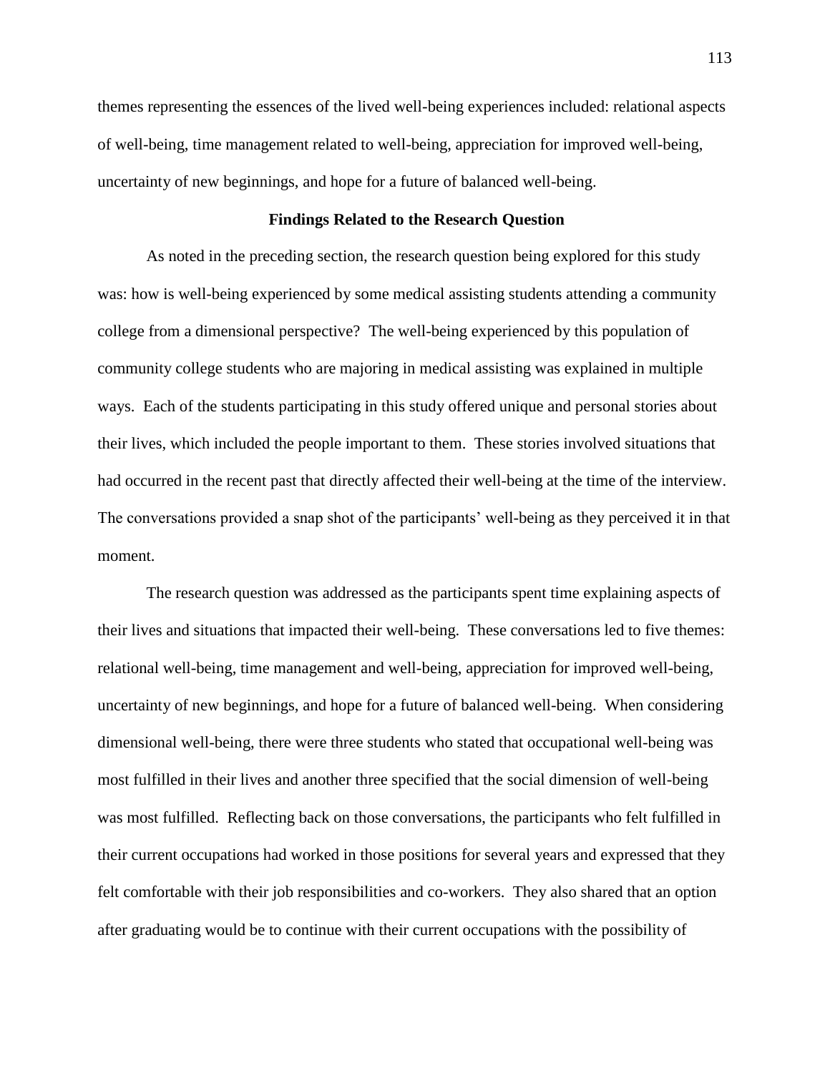themes representing the essences of the lived well-being experiences included: relational aspects of well-being, time management related to well-being, appreciation for improved well-being, uncertainty of new beginnings, and hope for a future of balanced well-being.

# **Findings Related to the Research Question**

As noted in the preceding section, the research question being explored for this study was: how is well-being experienced by some medical assisting students attending a community college from a dimensional perspective? The well-being experienced by this population of community college students who are majoring in medical assisting was explained in multiple ways. Each of the students participating in this study offered unique and personal stories about their lives, which included the people important to them. These stories involved situations that had occurred in the recent past that directly affected their well-being at the time of the interview. The conversations provided a snap shot of the participants' well-being as they perceived it in that moment.

The research question was addressed as the participants spent time explaining aspects of their lives and situations that impacted their well-being. These conversations led to five themes: relational well-being, time management and well-being, appreciation for improved well-being, uncertainty of new beginnings, and hope for a future of balanced well-being. When considering dimensional well-being, there were three students who stated that occupational well-being was most fulfilled in their lives and another three specified that the social dimension of well-being was most fulfilled. Reflecting back on those conversations, the participants who felt fulfilled in their current occupations had worked in those positions for several years and expressed that they felt comfortable with their job responsibilities and co-workers. They also shared that an option after graduating would be to continue with their current occupations with the possibility of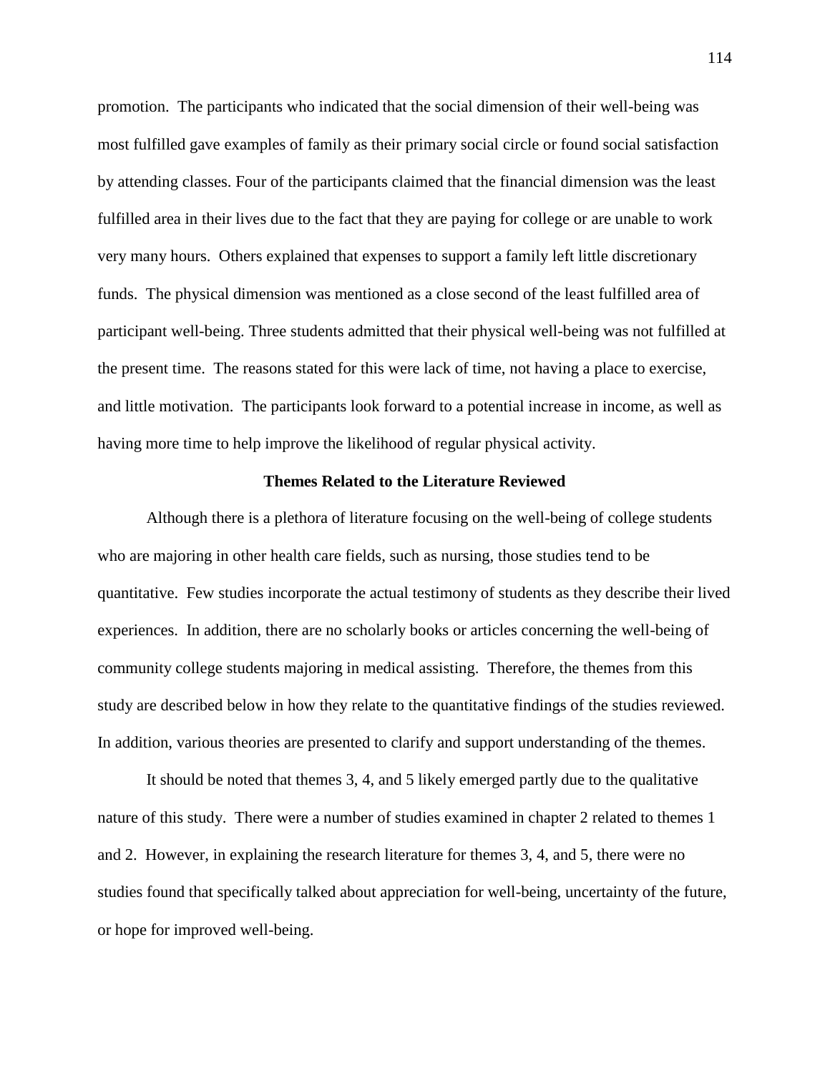promotion. The participants who indicated that the social dimension of their well-being was most fulfilled gave examples of family as their primary social circle or found social satisfaction by attending classes. Four of the participants claimed that the financial dimension was the least fulfilled area in their lives due to the fact that they are paying for college or are unable to work very many hours. Others explained that expenses to support a family left little discretionary funds. The physical dimension was mentioned as a close second of the least fulfilled area of participant well-being. Three students admitted that their physical well-being was not fulfilled at the present time. The reasons stated for this were lack of time, not having a place to exercise, and little motivation. The participants look forward to a potential increase in income, as well as having more time to help improve the likelihood of regular physical activity.

### **Themes Related to the Literature Reviewed**

Although there is a plethora of literature focusing on the well-being of college students who are majoring in other health care fields, such as nursing, those studies tend to be quantitative. Few studies incorporate the actual testimony of students as they describe their lived experiences. In addition, there are no scholarly books or articles concerning the well-being of community college students majoring in medical assisting. Therefore, the themes from this study are described below in how they relate to the quantitative findings of the studies reviewed. In addition, various theories are presented to clarify and support understanding of the themes.

It should be noted that themes 3, 4, and 5 likely emerged partly due to the qualitative nature of this study. There were a number of studies examined in chapter 2 related to themes 1 and 2. However, in explaining the research literature for themes 3, 4, and 5, there were no studies found that specifically talked about appreciation for well-being, uncertainty of the future, or hope for improved well-being.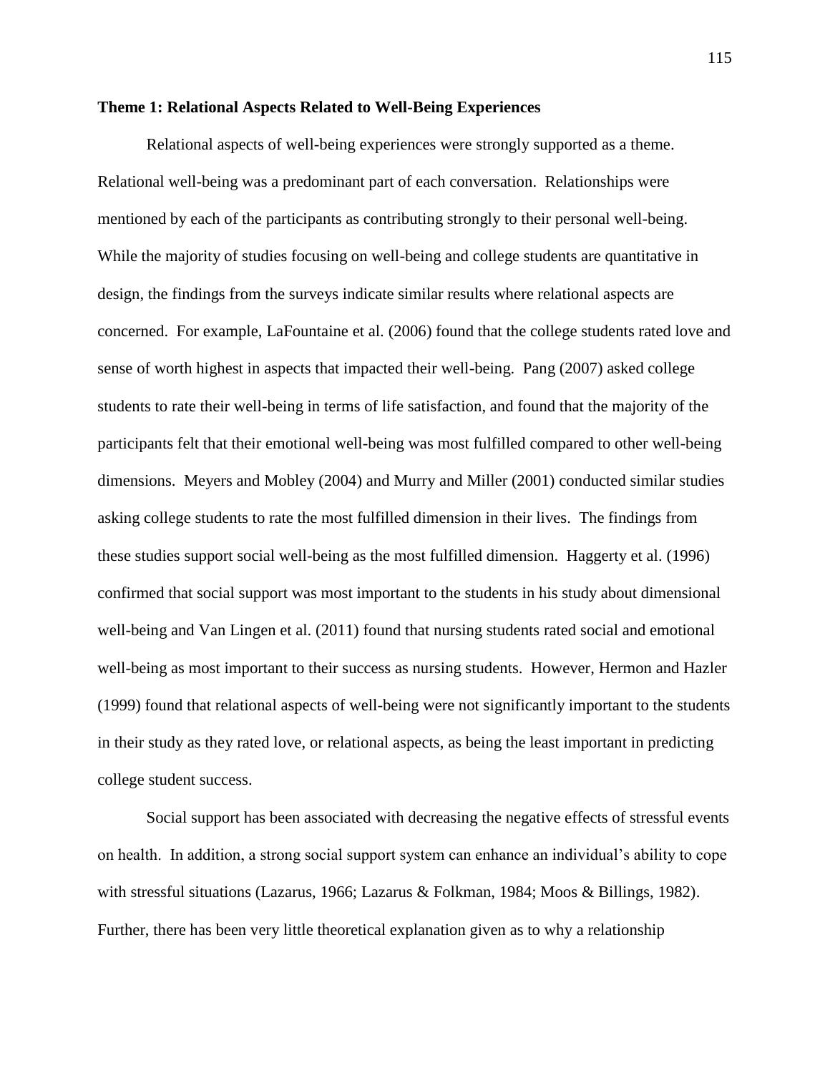### **Theme 1: Relational Aspects Related to Well-Being Experiences**

Relational aspects of well-being experiences were strongly supported as a theme. Relational well-being was a predominant part of each conversation. Relationships were mentioned by each of the participants as contributing strongly to their personal well-being. While the majority of studies focusing on well-being and college students are quantitative in design, the findings from the surveys indicate similar results where relational aspects are concerned. For example, LaFountaine et al. (2006) found that the college students rated love and sense of worth highest in aspects that impacted their well-being. Pang (2007) asked college students to rate their well-being in terms of life satisfaction, and found that the majority of the participants felt that their emotional well-being was most fulfilled compared to other well-being dimensions. Meyers and Mobley (2004) and Murry and Miller (2001) conducted similar studies asking college students to rate the most fulfilled dimension in their lives. The findings from these studies support social well-being as the most fulfilled dimension. Haggerty et al. (1996) confirmed that social support was most important to the students in his study about dimensional well-being and Van Lingen et al. (2011) found that nursing students rated social and emotional well-being as most important to their success as nursing students. However, Hermon and Hazler (1999) found that relational aspects of well-being were not significantly important to the students in their study as they rated love, or relational aspects, as being the least important in predicting college student success.

Social support has been associated with decreasing the negative effects of stressful events on health. In addition, a strong social support system can enhance an individual's ability to cope with stressful situations (Lazarus, 1966; Lazarus & Folkman, 1984; Moos & Billings, 1982). Further, there has been very little theoretical explanation given as to why a relationship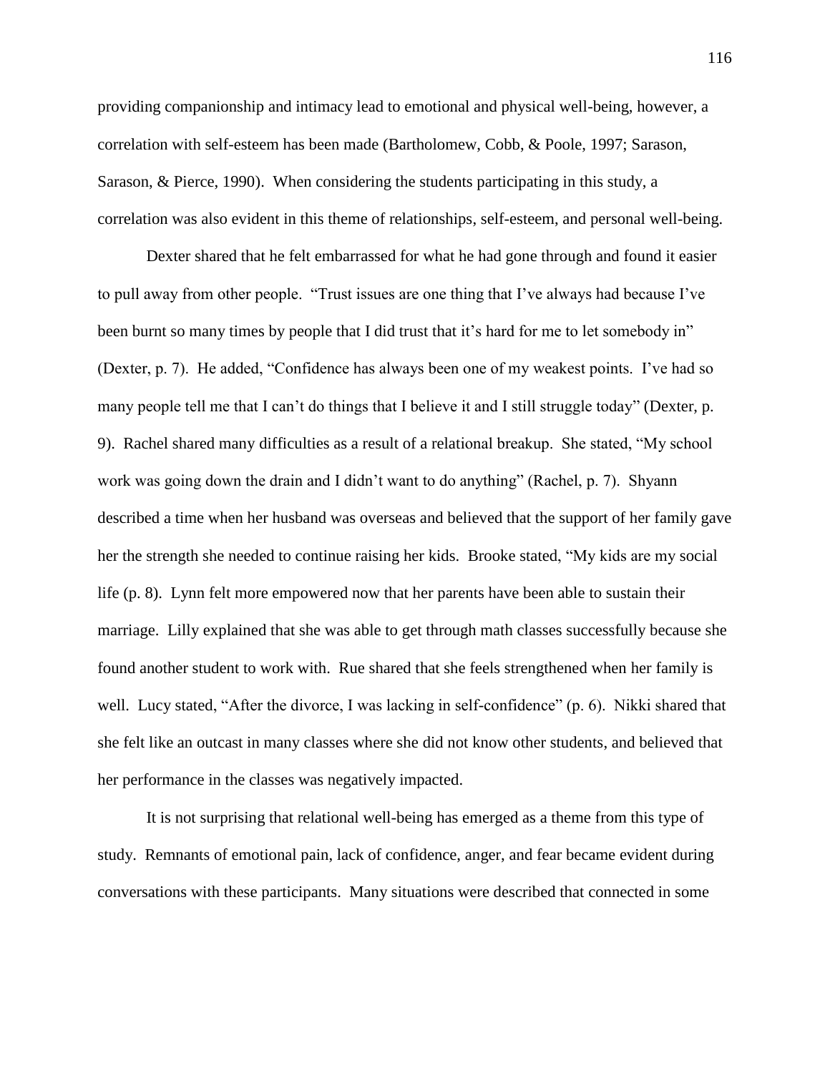providing companionship and intimacy lead to emotional and physical well-being, however, a correlation with self-esteem has been made (Bartholomew, Cobb, & Poole, 1997; Sarason, Sarason, & Pierce, 1990). When considering the students participating in this study, a correlation was also evident in this theme of relationships, self-esteem, and personal well-being.

Dexter shared that he felt embarrassed for what he had gone through and found it easier to pull away from other people. "Trust issues are one thing that I've always had because I've been burnt so many times by people that I did trust that it's hard for me to let somebody in" (Dexter, p. 7). He added, "Confidence has always been one of my weakest points. I've had so many people tell me that I can't do things that I believe it and I still struggle today" (Dexter, p. 9). Rachel shared many difficulties as a result of a relational breakup. She stated, "My school work was going down the drain and I didn't want to do anything" (Rachel, p. 7). Shyann described a time when her husband was overseas and believed that the support of her family gave her the strength she needed to continue raising her kids. Brooke stated, "My kids are my social life (p. 8). Lynn felt more empowered now that her parents have been able to sustain their marriage. Lilly explained that she was able to get through math classes successfully because she found another student to work with. Rue shared that she feels strengthened when her family is well. Lucy stated, "After the divorce, I was lacking in self-confidence" (p. 6). Nikki shared that she felt like an outcast in many classes where she did not know other students, and believed that her performance in the classes was negatively impacted.

It is not surprising that relational well-being has emerged as a theme from this type of study. Remnants of emotional pain, lack of confidence, anger, and fear became evident during conversations with these participants. Many situations were described that connected in some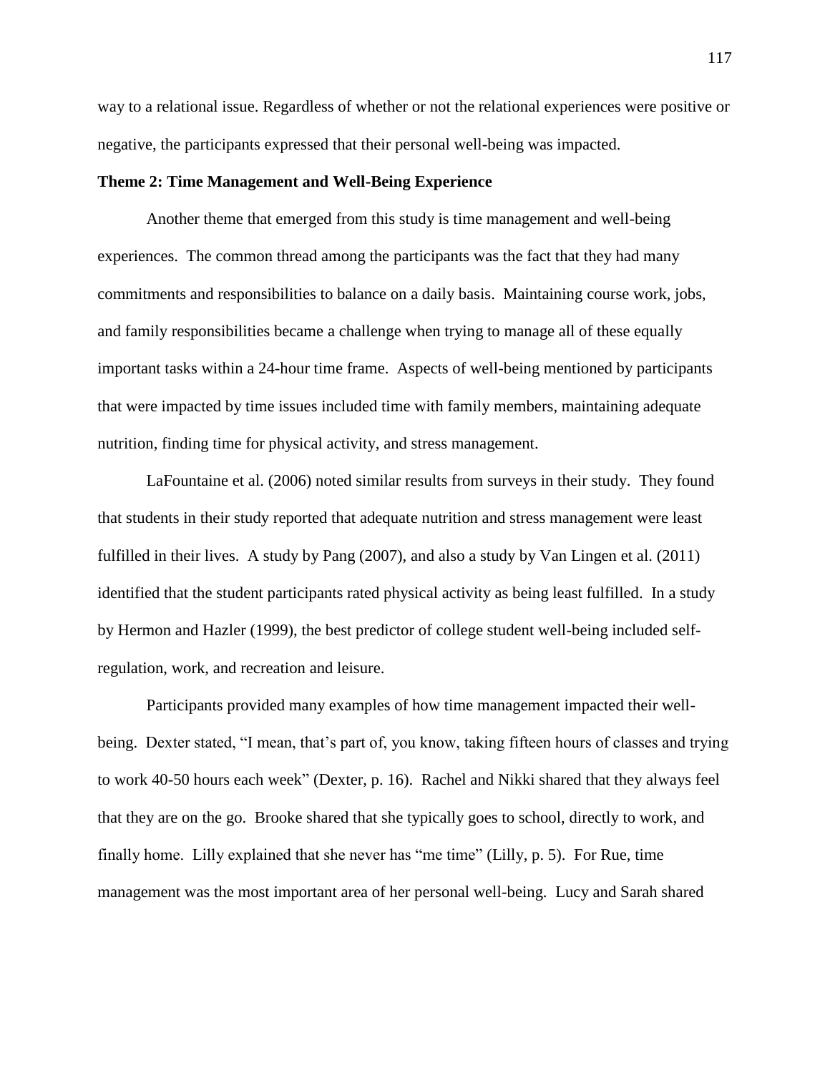way to a relational issue. Regardless of whether or not the relational experiences were positive or negative, the participants expressed that their personal well-being was impacted.

### **Theme 2: Time Management and Well-Being Experience**

Another theme that emerged from this study is time management and well-being experiences. The common thread among the participants was the fact that they had many commitments and responsibilities to balance on a daily basis. Maintaining course work, jobs, and family responsibilities became a challenge when trying to manage all of these equally important tasks within a 24-hour time frame. Aspects of well-being mentioned by participants that were impacted by time issues included time with family members, maintaining adequate nutrition, finding time for physical activity, and stress management.

LaFountaine et al. (2006) noted similar results from surveys in their study. They found that students in their study reported that adequate nutrition and stress management were least fulfilled in their lives. A study by Pang (2007), and also a study by Van Lingen et al. (2011) identified that the student participants rated physical activity as being least fulfilled. In a study by Hermon and Hazler (1999), the best predictor of college student well-being included selfregulation, work, and recreation and leisure.

Participants provided many examples of how time management impacted their wellbeing. Dexter stated, "I mean, that's part of, you know, taking fifteen hours of classes and trying to work 40-50 hours each week" (Dexter, p. 16). Rachel and Nikki shared that they always feel that they are on the go. Brooke shared that she typically goes to school, directly to work, and finally home. Lilly explained that she never has "me time" (Lilly, p. 5). For Rue, time management was the most important area of her personal well-being. Lucy and Sarah shared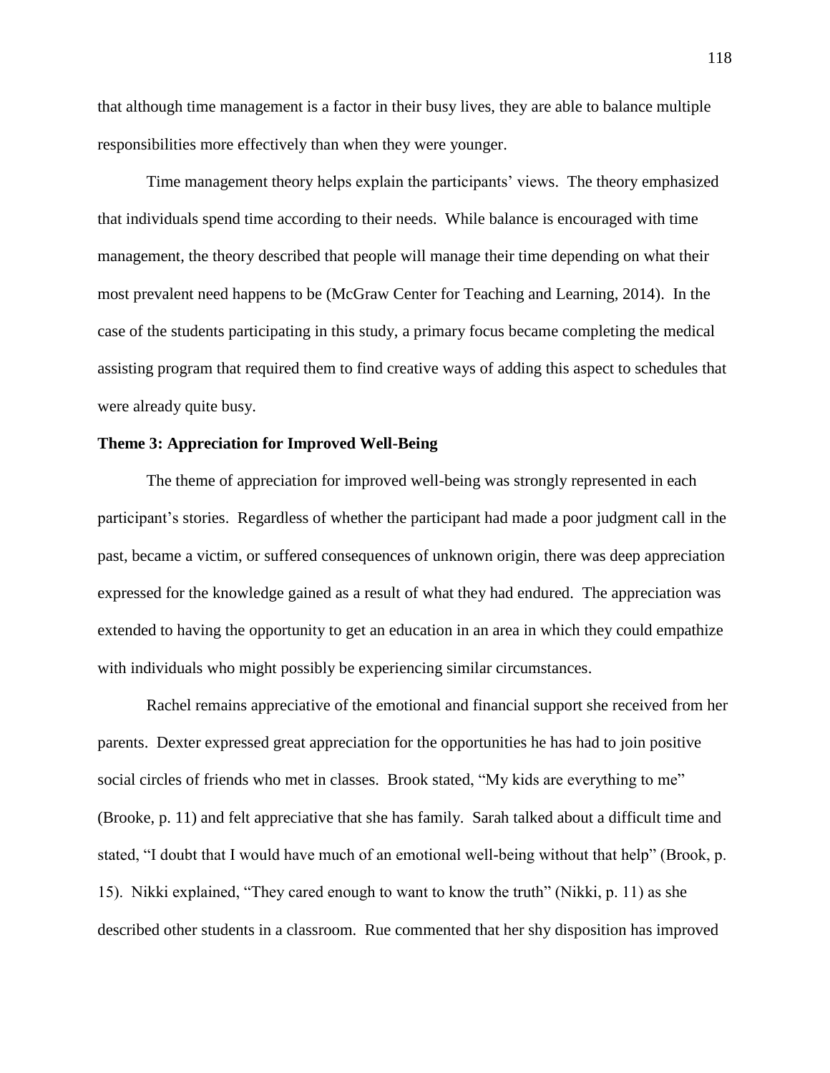that although time management is a factor in their busy lives, they are able to balance multiple responsibilities more effectively than when they were younger.

Time management theory helps explain the participants' views. The theory emphasized that individuals spend time according to their needs. While balance is encouraged with time management, the theory described that people will manage their time depending on what their most prevalent need happens to be (McGraw Center for Teaching and Learning, 2014). In the case of the students participating in this study, a primary focus became completing the medical assisting program that required them to find creative ways of adding this aspect to schedules that were already quite busy.

# **Theme 3: Appreciation for Improved Well-Being**

The theme of appreciation for improved well-being was strongly represented in each participant's stories. Regardless of whether the participant had made a poor judgment call in the past, became a victim, or suffered consequences of unknown origin, there was deep appreciation expressed for the knowledge gained as a result of what they had endured. The appreciation was extended to having the opportunity to get an education in an area in which they could empathize with individuals who might possibly be experiencing similar circumstances.

Rachel remains appreciative of the emotional and financial support she received from her parents. Dexter expressed great appreciation for the opportunities he has had to join positive social circles of friends who met in classes. Brook stated, "My kids are everything to me" (Brooke, p. 11) and felt appreciative that she has family. Sarah talked about a difficult time and stated, "I doubt that I would have much of an emotional well-being without that help" (Brook, p. 15). Nikki explained, "They cared enough to want to know the truth" (Nikki, p. 11) as she described other students in a classroom. Rue commented that her shy disposition has improved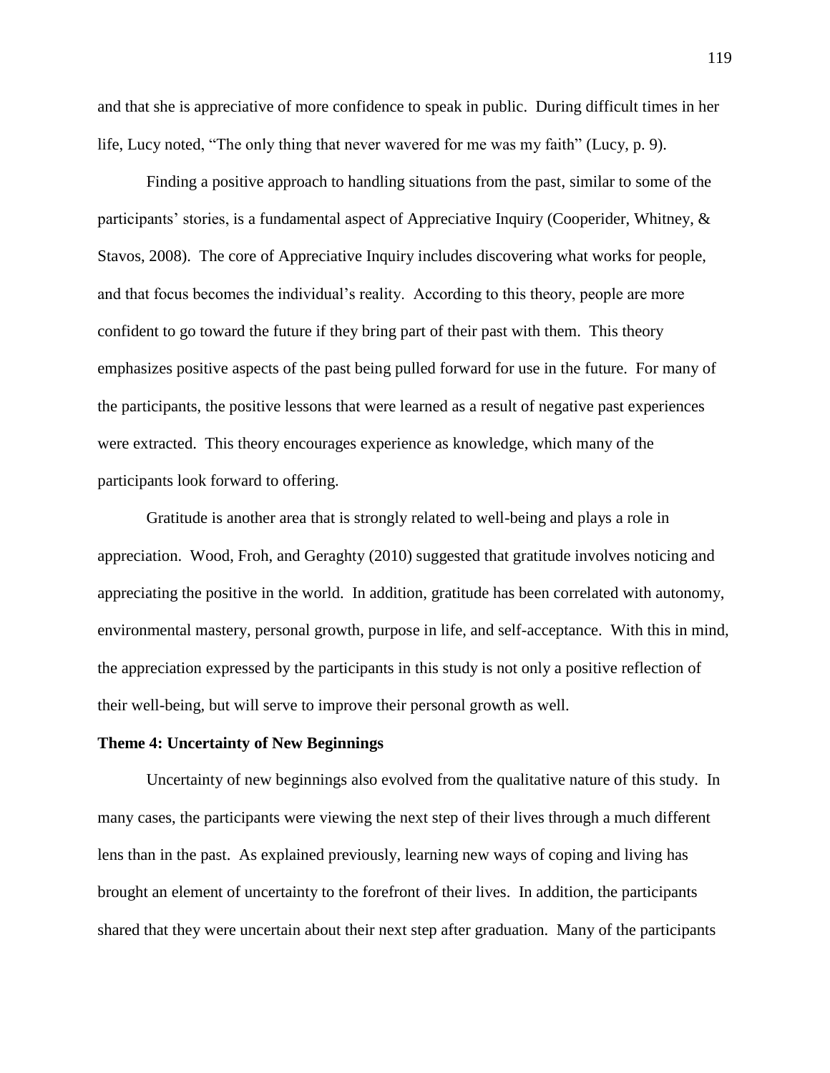and that she is appreciative of more confidence to speak in public. During difficult times in her life, Lucy noted, "The only thing that never wavered for me was my faith" (Lucy, p. 9).

Finding a positive approach to handling situations from the past, similar to some of the participants' stories, is a fundamental aspect of Appreciative Inquiry (Cooperider, Whitney, & Stavos, 2008). The core of Appreciative Inquiry includes discovering what works for people, and that focus becomes the individual's reality. According to this theory, people are more confident to go toward the future if they bring part of their past with them. This theory emphasizes positive aspects of the past being pulled forward for use in the future. For many of the participants, the positive lessons that were learned as a result of negative past experiences were extracted. This theory encourages experience as knowledge, which many of the participants look forward to offering.

Gratitude is another area that is strongly related to well-being and plays a role in appreciation. Wood, Froh, and Geraghty (2010) suggested that gratitude involves noticing and appreciating the positive in the world. In addition, gratitude has been correlated with autonomy, environmental mastery, personal growth, purpose in life, and self-acceptance. With this in mind, the appreciation expressed by the participants in this study is not only a positive reflection of their well-being, but will serve to improve their personal growth as well.

### **Theme 4: Uncertainty of New Beginnings**

Uncertainty of new beginnings also evolved from the qualitative nature of this study. In many cases, the participants were viewing the next step of their lives through a much different lens than in the past. As explained previously, learning new ways of coping and living has brought an element of uncertainty to the forefront of their lives. In addition, the participants shared that they were uncertain about their next step after graduation. Many of the participants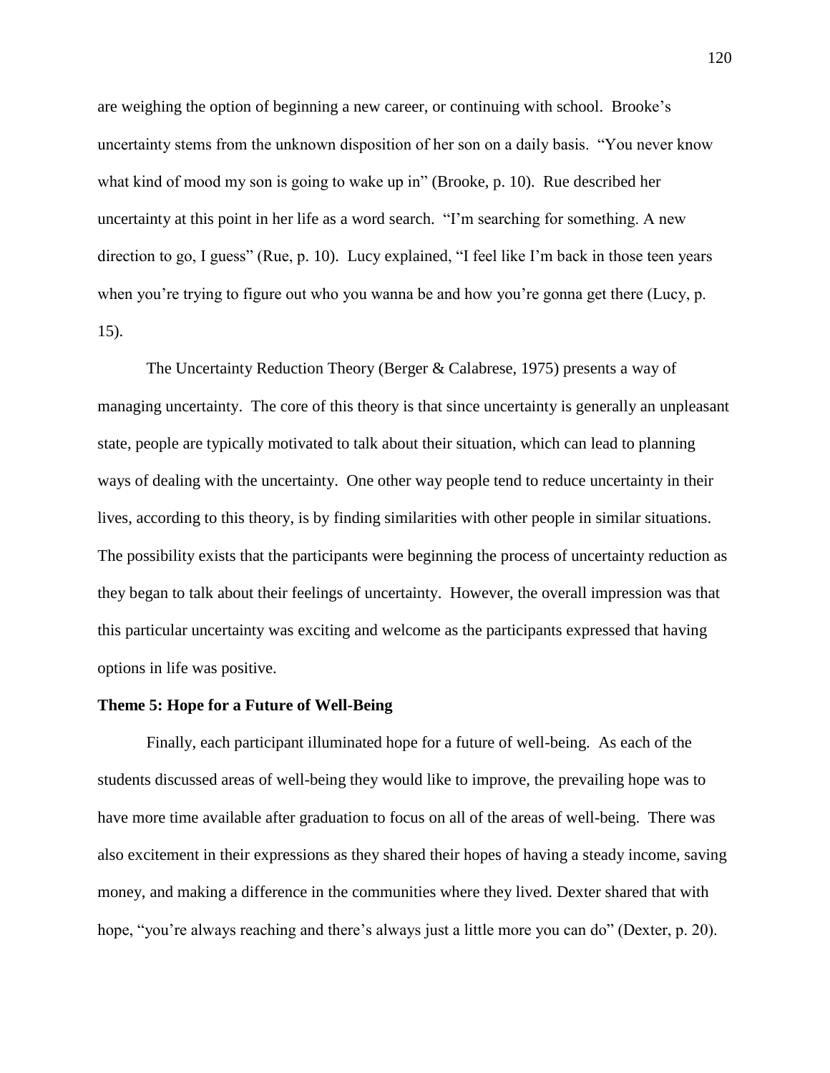are weighing the option of beginning a new career, or continuing with school. Brooke's uncertainty stems from the unknown disposition of her son on a daily basis. "You never know what kind of mood my son is going to wake up in" (Brooke, p. 10). Rue described her uncertainty at this point in her life as a word search. "I'm searching for something. A new direction to go, I guess" (Rue, p. 10). Lucy explained, "I feel like I'm back in those teen years when you're trying to figure out who you wanna be and how you're gonna get there (Lucy, p. 15).

The Uncertainty Reduction Theory (Berger & Calabrese, 1975) presents a way of managing uncertainty. The core of this theory is that since uncertainty is generally an unpleasant state, people are typically motivated to talk about their situation, which can lead to planning ways of dealing with the uncertainty. One other way people tend to reduce uncertainty in their lives, according to this theory, is by finding similarities with other people in similar situations. The possibility exists that the participants were beginning the process of uncertainty reduction as they began to talk about their feelings of uncertainty. However, the overall impression was that this particular uncertainty was exciting and welcome as the participants expressed that having options in life was positive.

#### **Theme 5: Hope for a Future of Well-Being**

Finally, each participant illuminated hope for a future of well-being. As each of the students discussed areas of well-being they would like to improve, the prevailing hope was to have more time available after graduation to focus on all of the areas of well-being. There was also excitement in their expressions as they shared their hopes of having a steady income, saving money, and making a difference in the communities where they lived. Dexter shared that with hope, "you're always reaching and there's always just a little more you can do" (Dexter, p. 20).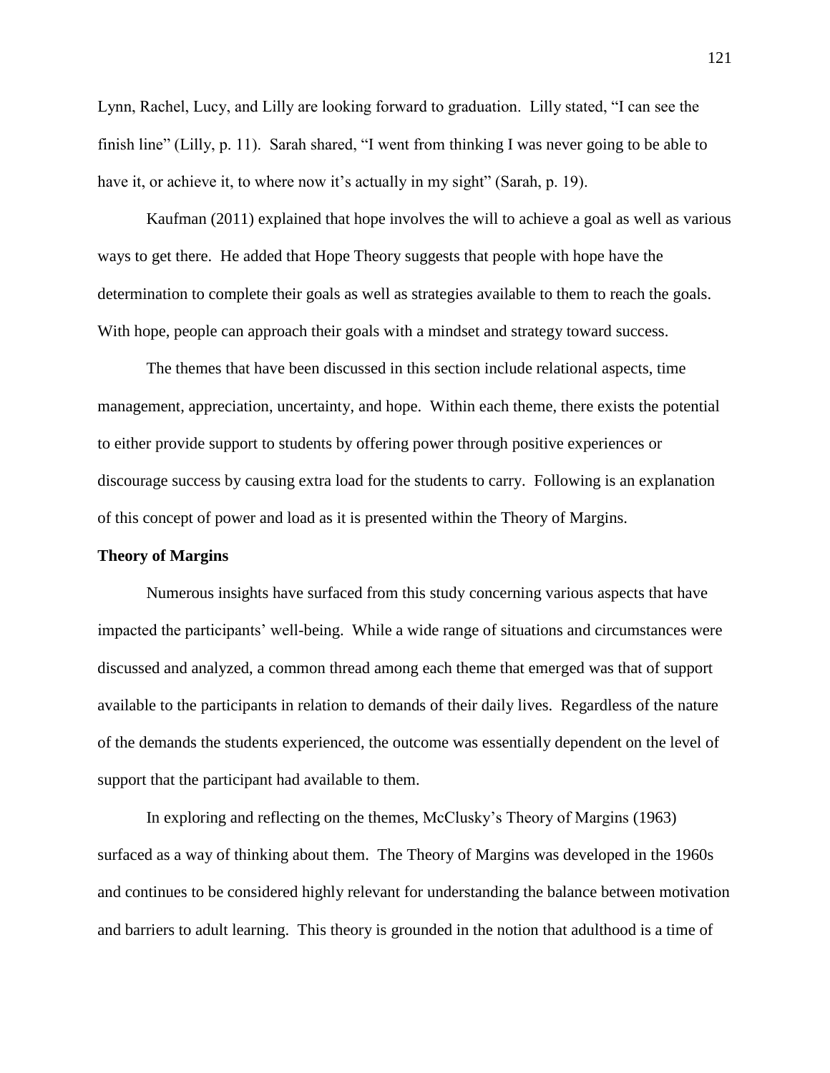Lynn, Rachel, Lucy, and Lilly are looking forward to graduation. Lilly stated, "I can see the finish line" (Lilly, p. 11). Sarah shared, "I went from thinking I was never going to be able to have it, or achieve it, to where now it's actually in my sight" (Sarah, p. 19).

Kaufman (2011) explained that hope involves the will to achieve a goal as well as various ways to get there. He added that Hope Theory suggests that people with hope have the determination to complete their goals as well as strategies available to them to reach the goals. With hope, people can approach their goals with a mindset and strategy toward success.

The themes that have been discussed in this section include relational aspects, time management, appreciation, uncertainty, and hope. Within each theme, there exists the potential to either provide support to students by offering power through positive experiences or discourage success by causing extra load for the students to carry. Following is an explanation of this concept of power and load as it is presented within the Theory of Margins.

# **Theory of Margins**

Numerous insights have surfaced from this study concerning various aspects that have impacted the participants' well-being. While a wide range of situations and circumstances were discussed and analyzed, a common thread among each theme that emerged was that of support available to the participants in relation to demands of their daily lives. Regardless of the nature of the demands the students experienced, the outcome was essentially dependent on the level of support that the participant had available to them.

In exploring and reflecting on the themes, McClusky's Theory of Margins (1963) surfaced as a way of thinking about them. The Theory of Margins was developed in the 1960s and continues to be considered highly relevant for understanding the balance between motivation and barriers to adult learning. This theory is grounded in the notion that adulthood is a time of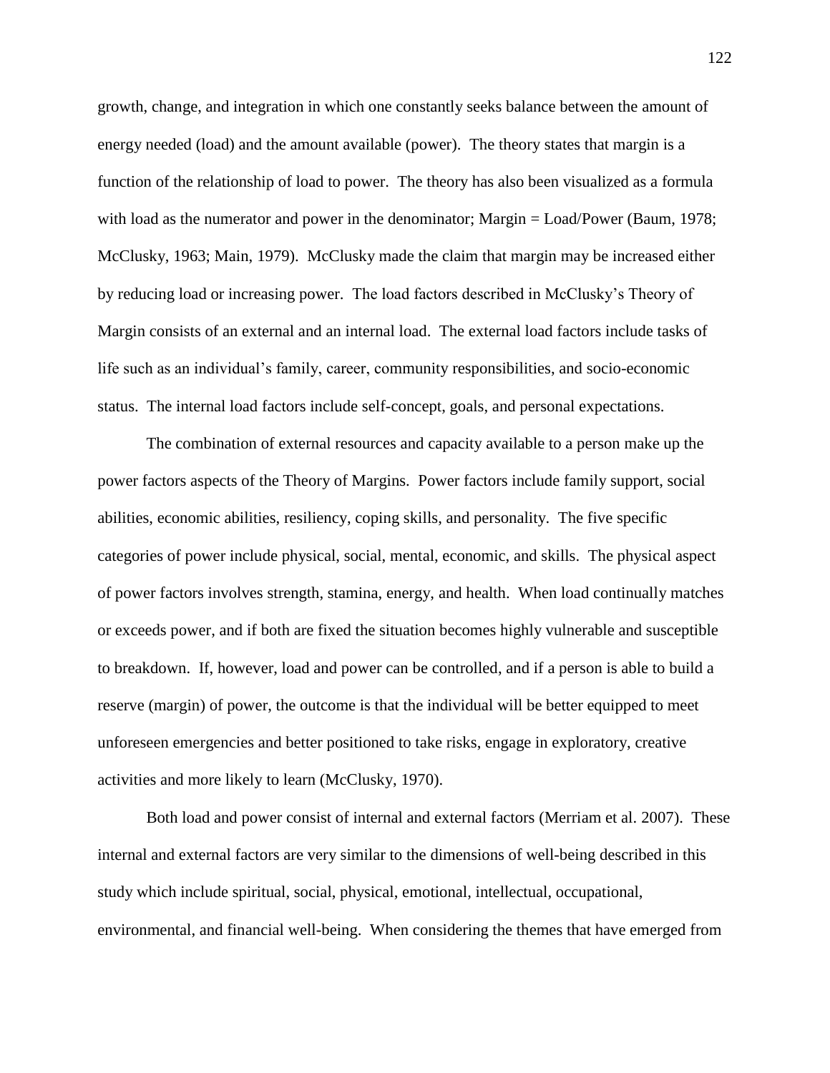growth, change, and integration in which one constantly seeks balance between the amount of energy needed (load) and the amount available (power). The theory states that margin is a function of the relationship of load to power. The theory has also been visualized as a formula with load as the numerator and power in the denominator; Margin = Load/Power (Baum, 1978; McClusky, 1963; Main, 1979). McClusky made the claim that margin may be increased either by reducing load or increasing power. The load factors described in McClusky's Theory of Margin consists of an external and an internal load. The external load factors include tasks of life such as an individual's family, career, community responsibilities, and socio-economic status. The internal load factors include self-concept, goals, and personal expectations.

The combination of external resources and capacity available to a person make up the power factors aspects of the Theory of Margins. Power factors include family support, social abilities, economic abilities, resiliency, coping skills, and personality. The five specific categories of power include physical, social, mental, economic, and skills. The physical aspect of power factors involves strength, stamina, energy, and health. When load continually matches or exceeds power, and if both are fixed the situation becomes highly vulnerable and susceptible to breakdown. If, however, load and power can be controlled, and if a person is able to build a reserve (margin) of power, the outcome is that the individual will be better equipped to meet unforeseen emergencies and better positioned to take risks, engage in exploratory, creative activities and more likely to learn (McClusky, 1970).

Both load and power consist of internal and external factors (Merriam et al. 2007). These internal and external factors are very similar to the dimensions of well-being described in this study which include spiritual, social, physical, emotional, intellectual, occupational, environmental, and financial well-being. When considering the themes that have emerged from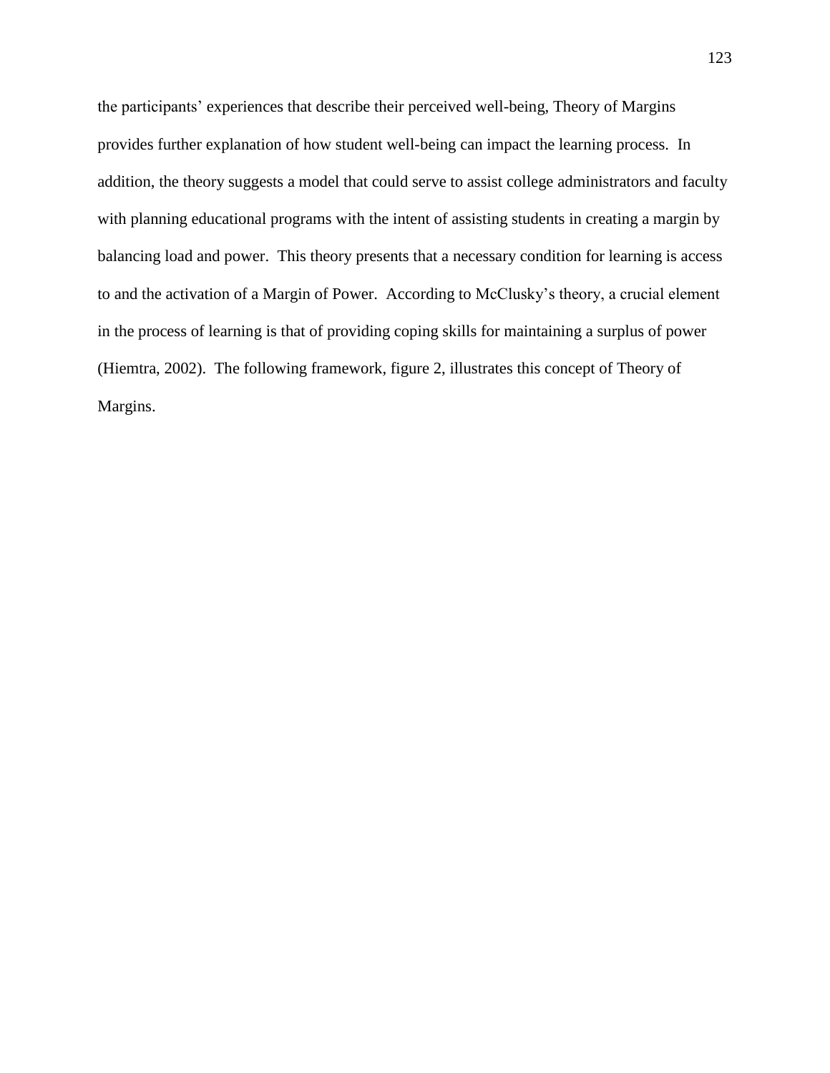the participants' experiences that describe their perceived well-being, Theory of Margins provides further explanation of how student well-being can impact the learning process. In addition, the theory suggests a model that could serve to assist college administrators and faculty with planning educational programs with the intent of assisting students in creating a margin by balancing load and power. This theory presents that a necessary condition for learning is access to and the activation of a Margin of Power. According to McClusky's theory, a crucial element in the process of learning is that of providing coping skills for maintaining a surplus of power (Hiemtra, 2002). The following framework, figure 2, illustrates this concept of Theory of Margins.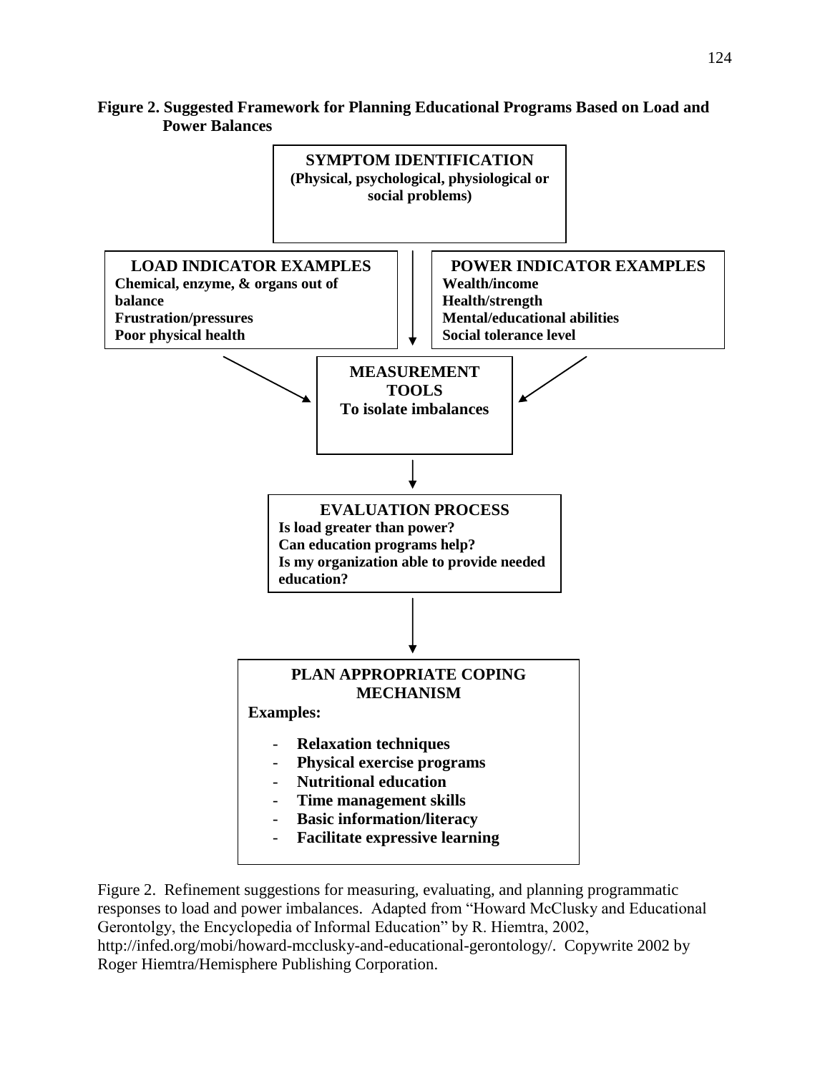# **Figure 2. Suggested Framework for Planning Educational Programs Based on Load and Power Balances**



Figure 2. Refinement suggestions for measuring, evaluating, and planning programmatic responses to load and power imbalances. Adapted from "Howard McClusky and Educational Gerontolgy, the Encyclopedia of Informal Education" by R. Hiemtra, 2002, http://infed.org/mobi/howard-mcclusky-and-educational-gerontology/. Copywrite 2002 by Roger Hiemtra/Hemisphere Publishing Corporation.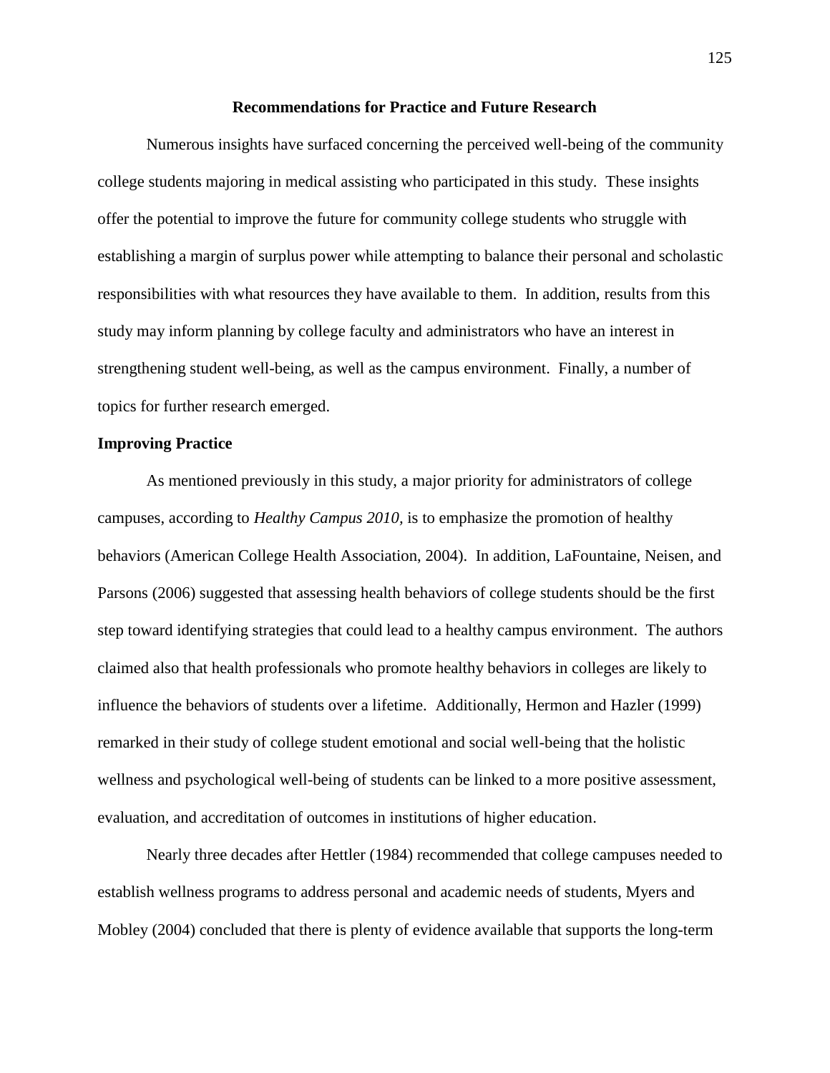#### **Recommendations for Practice and Future Research**

Numerous insights have surfaced concerning the perceived well-being of the community college students majoring in medical assisting who participated in this study. These insights offer the potential to improve the future for community college students who struggle with establishing a margin of surplus power while attempting to balance their personal and scholastic responsibilities with what resources they have available to them. In addition, results from this study may inform planning by college faculty and administrators who have an interest in strengthening student well-being, as well as the campus environment. Finally, a number of topics for further research emerged.

# **Improving Practice**

As mentioned previously in this study, a major priority for administrators of college campuses, according to *Healthy Campus 2010,* is to emphasize the promotion of healthy behaviors (American College Health Association, 2004). In addition, LaFountaine, Neisen, and Parsons (2006) suggested that assessing health behaviors of college students should be the first step toward identifying strategies that could lead to a healthy campus environment. The authors claimed also that health professionals who promote healthy behaviors in colleges are likely to influence the behaviors of students over a lifetime. Additionally, Hermon and Hazler (1999) remarked in their study of college student emotional and social well-being that the holistic wellness and psychological well-being of students can be linked to a more positive assessment, evaluation, and accreditation of outcomes in institutions of higher education.

Nearly three decades after Hettler (1984) recommended that college campuses needed to establish wellness programs to address personal and academic needs of students, Myers and Mobley (2004) concluded that there is plenty of evidence available that supports the long-term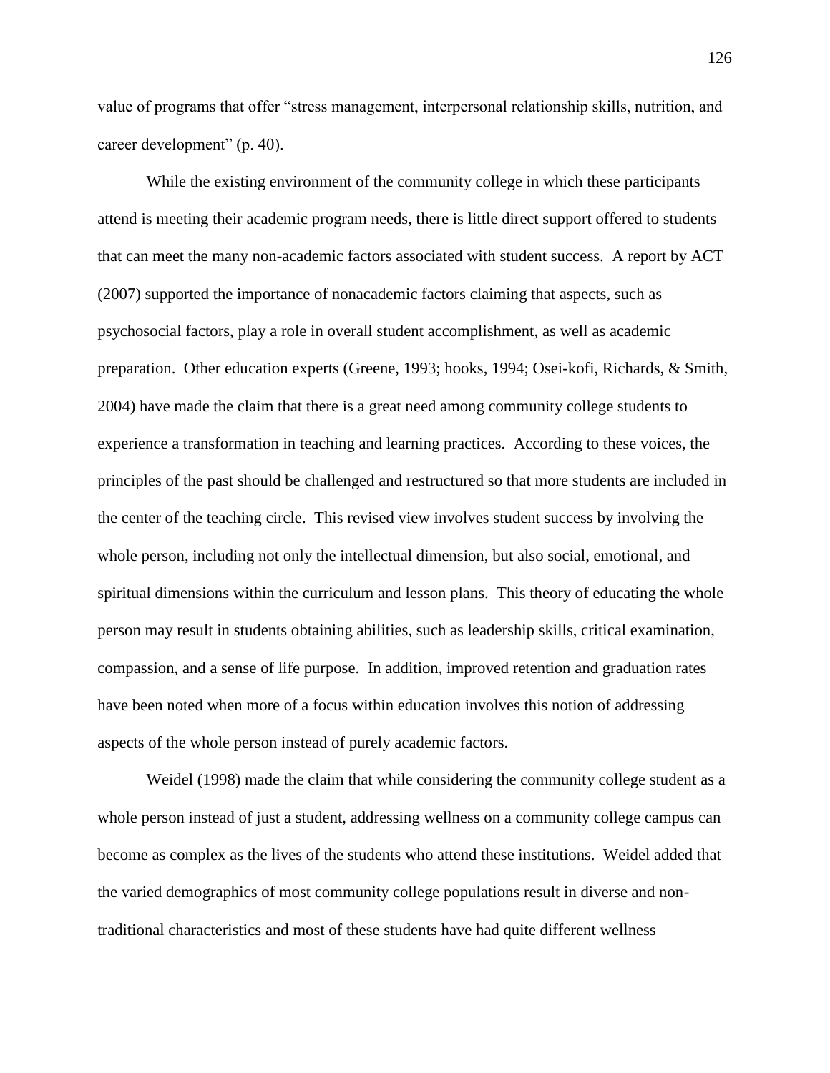value of programs that offer "stress management, interpersonal relationship skills, nutrition, and career development" (p. 40).

While the existing environment of the community college in which these participants attend is meeting their academic program needs, there is little direct support offered to students that can meet the many non-academic factors associated with student success. A report by ACT (2007) supported the importance of nonacademic factors claiming that aspects, such as psychosocial factors, play a role in overall student accomplishment, as well as academic preparation. Other education experts (Greene, 1993; hooks, 1994; Osei-kofi, Richards, & Smith, 2004) have made the claim that there is a great need among community college students to experience a transformation in teaching and learning practices. According to these voices, the principles of the past should be challenged and restructured so that more students are included in the center of the teaching circle. This revised view involves student success by involving the whole person, including not only the intellectual dimension, but also social, emotional, and spiritual dimensions within the curriculum and lesson plans. This theory of educating the whole person may result in students obtaining abilities, such as leadership skills, critical examination, compassion, and a sense of life purpose. In addition, improved retention and graduation rates have been noted when more of a focus within education involves this notion of addressing aspects of the whole person instead of purely academic factors.

Weidel (1998) made the claim that while considering the community college student as a whole person instead of just a student, addressing wellness on a community college campus can become as complex as the lives of the students who attend these institutions. Weidel added that the varied demographics of most community college populations result in diverse and nontraditional characteristics and most of these students have had quite different wellness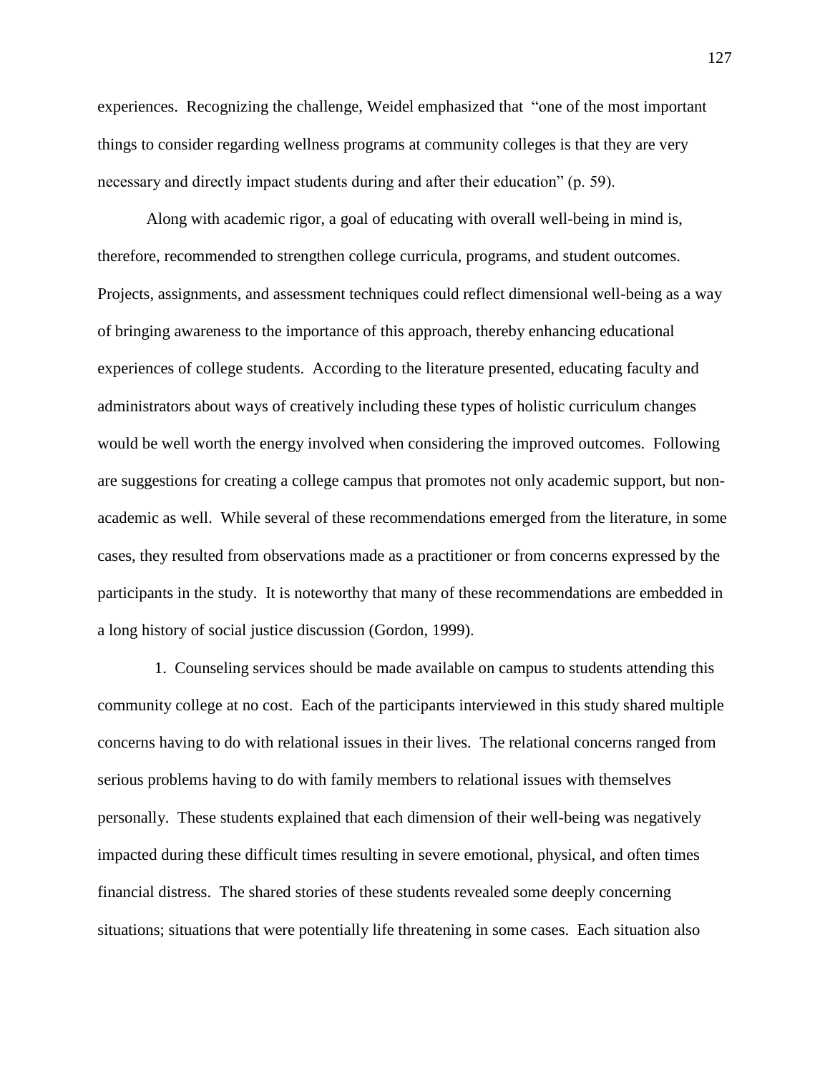experiences. Recognizing the challenge, Weidel emphasized that "one of the most important things to consider regarding wellness programs at community colleges is that they are very necessary and directly impact students during and after their education" (p. 59).

Along with academic rigor, a goal of educating with overall well-being in mind is, therefore, recommended to strengthen college curricula, programs, and student outcomes. Projects, assignments, and assessment techniques could reflect dimensional well-being as a way of bringing awareness to the importance of this approach, thereby enhancing educational experiences of college students. According to the literature presented, educating faculty and administrators about ways of creatively including these types of holistic curriculum changes would be well worth the energy involved when considering the improved outcomes. Following are suggestions for creating a college campus that promotes not only academic support, but nonacademic as well. While several of these recommendations emerged from the literature, in some cases, they resulted from observations made as a practitioner or from concerns expressed by the participants in the study. It is noteworthy that many of these recommendations are embedded in a long history of social justice discussion (Gordon, 1999).

 1. Counseling services should be made available on campus to students attending this community college at no cost. Each of the participants interviewed in this study shared multiple concerns having to do with relational issues in their lives. The relational concerns ranged from serious problems having to do with family members to relational issues with themselves personally. These students explained that each dimension of their well-being was negatively impacted during these difficult times resulting in severe emotional, physical, and often times financial distress. The shared stories of these students revealed some deeply concerning situations; situations that were potentially life threatening in some cases. Each situation also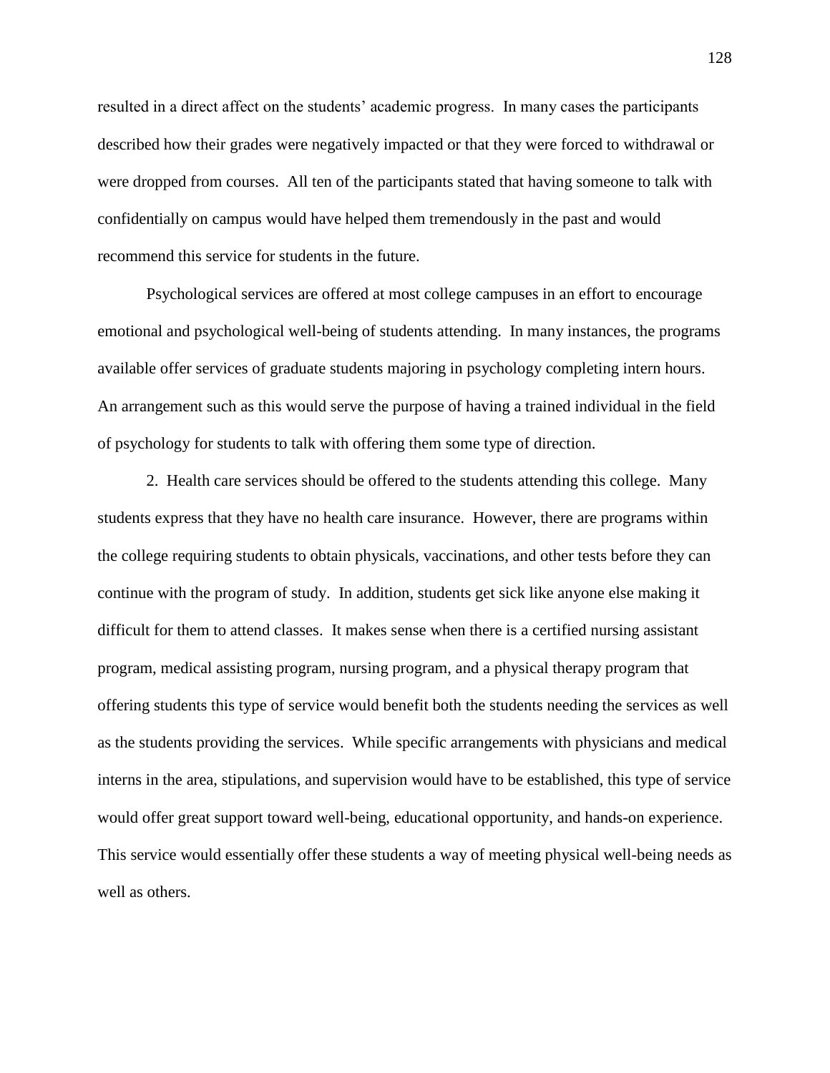resulted in a direct affect on the students' academic progress. In many cases the participants described how their grades were negatively impacted or that they were forced to withdrawal or were dropped from courses. All ten of the participants stated that having someone to talk with confidentially on campus would have helped them tremendously in the past and would recommend this service for students in the future.

Psychological services are offered at most college campuses in an effort to encourage emotional and psychological well-being of students attending. In many instances, the programs available offer services of graduate students majoring in psychology completing intern hours. An arrangement such as this would serve the purpose of having a trained individual in the field of psychology for students to talk with offering them some type of direction.

2. Health care services should be offered to the students attending this college. Many students express that they have no health care insurance. However, there are programs within the college requiring students to obtain physicals, vaccinations, and other tests before they can continue with the program of study. In addition, students get sick like anyone else making it difficult for them to attend classes. It makes sense when there is a certified nursing assistant program, medical assisting program, nursing program, and a physical therapy program that offering students this type of service would benefit both the students needing the services as well as the students providing the services. While specific arrangements with physicians and medical interns in the area, stipulations, and supervision would have to be established, this type of service would offer great support toward well-being, educational opportunity, and hands-on experience. This service would essentially offer these students a way of meeting physical well-being needs as well as others.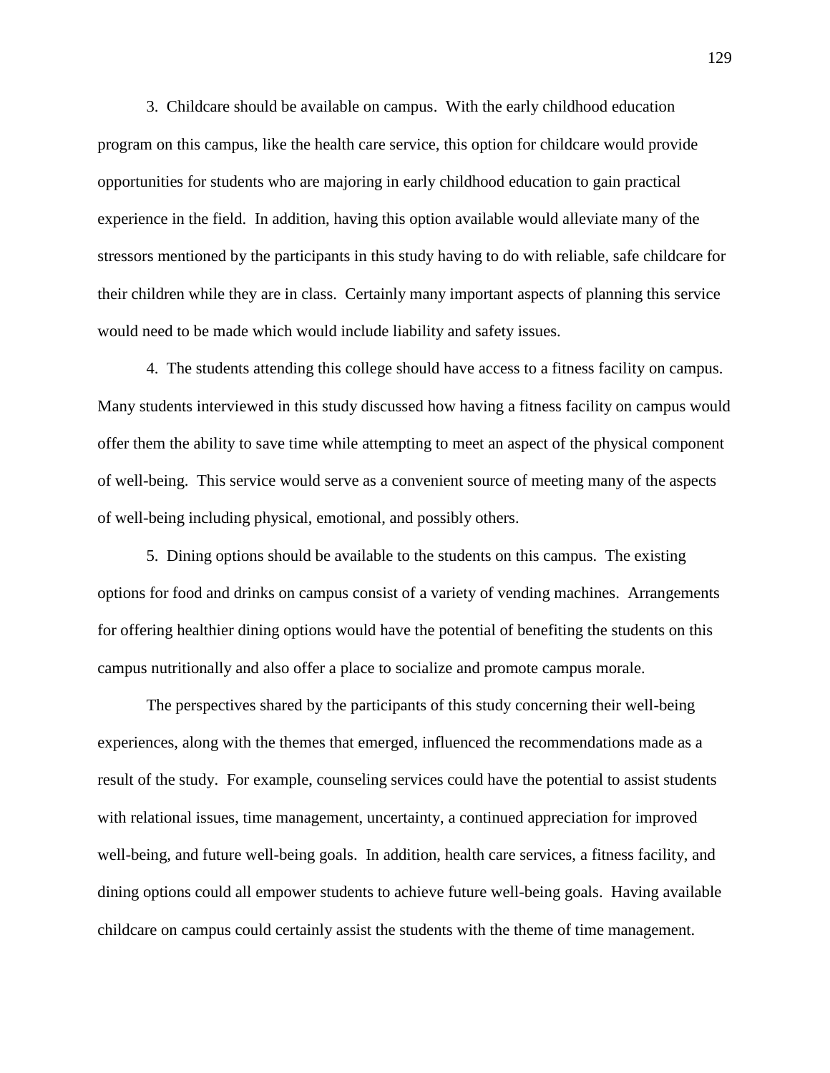3. Childcare should be available on campus. With the early childhood education program on this campus, like the health care service, this option for childcare would provide opportunities for students who are majoring in early childhood education to gain practical experience in the field. In addition, having this option available would alleviate many of the stressors mentioned by the participants in this study having to do with reliable, safe childcare for their children while they are in class. Certainly many important aspects of planning this service would need to be made which would include liability and safety issues.

4. The students attending this college should have access to a fitness facility on campus. Many students interviewed in this study discussed how having a fitness facility on campus would offer them the ability to save time while attempting to meet an aspect of the physical component of well-being. This service would serve as a convenient source of meeting many of the aspects of well-being including physical, emotional, and possibly others.

5. Dining options should be available to the students on this campus. The existing options for food and drinks on campus consist of a variety of vending machines. Arrangements for offering healthier dining options would have the potential of benefiting the students on this campus nutritionally and also offer a place to socialize and promote campus morale.

The perspectives shared by the participants of this study concerning their well-being experiences, along with the themes that emerged, influenced the recommendations made as a result of the study. For example, counseling services could have the potential to assist students with relational issues, time management, uncertainty, a continued appreciation for improved well-being, and future well-being goals. In addition, health care services, a fitness facility, and dining options could all empower students to achieve future well-being goals. Having available childcare on campus could certainly assist the students with the theme of time management.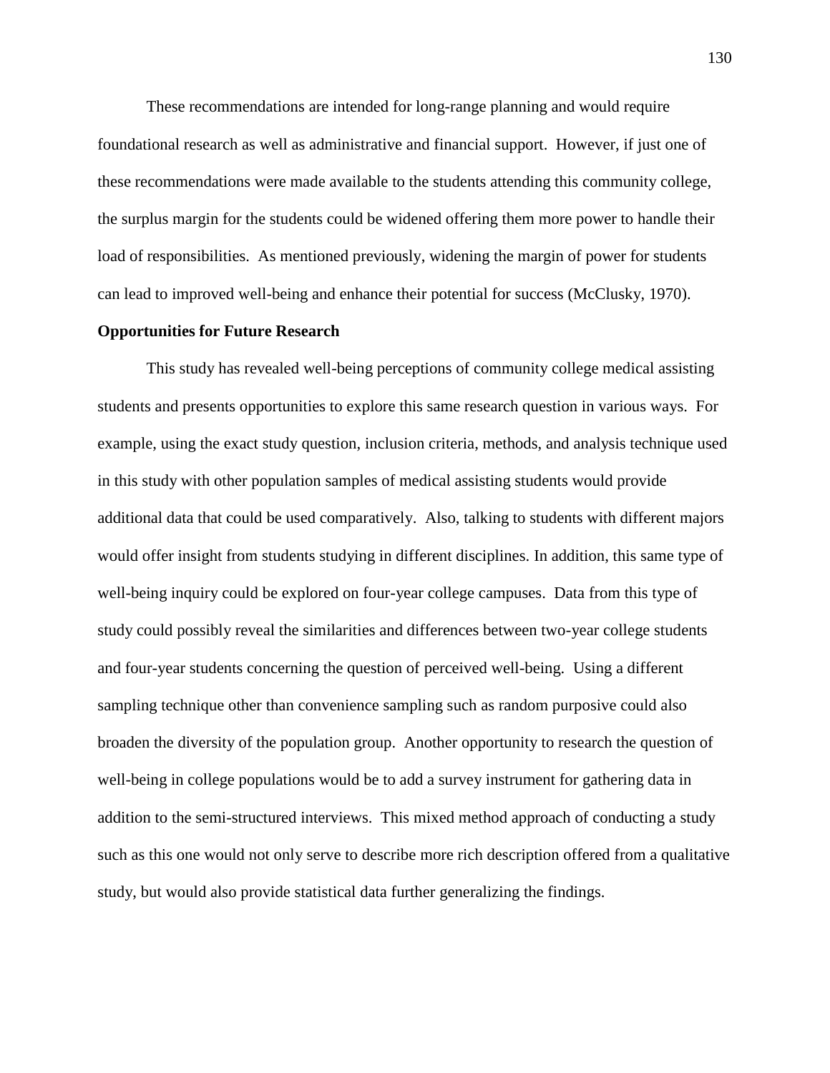These recommendations are intended for long-range planning and would require foundational research as well as administrative and financial support. However, if just one of these recommendations were made available to the students attending this community college, the surplus margin for the students could be widened offering them more power to handle their load of responsibilities. As mentioned previously, widening the margin of power for students can lead to improved well-being and enhance their potential for success (McClusky, 1970).

# **Opportunities for Future Research**

This study has revealed well-being perceptions of community college medical assisting students and presents opportunities to explore this same research question in various ways. For example, using the exact study question, inclusion criteria, methods, and analysis technique used in this study with other population samples of medical assisting students would provide additional data that could be used comparatively. Also, talking to students with different majors would offer insight from students studying in different disciplines. In addition, this same type of well-being inquiry could be explored on four-year college campuses. Data from this type of study could possibly reveal the similarities and differences between two-year college students and four-year students concerning the question of perceived well-being. Using a different sampling technique other than convenience sampling such as random purposive could also broaden the diversity of the population group. Another opportunity to research the question of well-being in college populations would be to add a survey instrument for gathering data in addition to the semi-structured interviews. This mixed method approach of conducting a study such as this one would not only serve to describe more rich description offered from a qualitative study, but would also provide statistical data further generalizing the findings.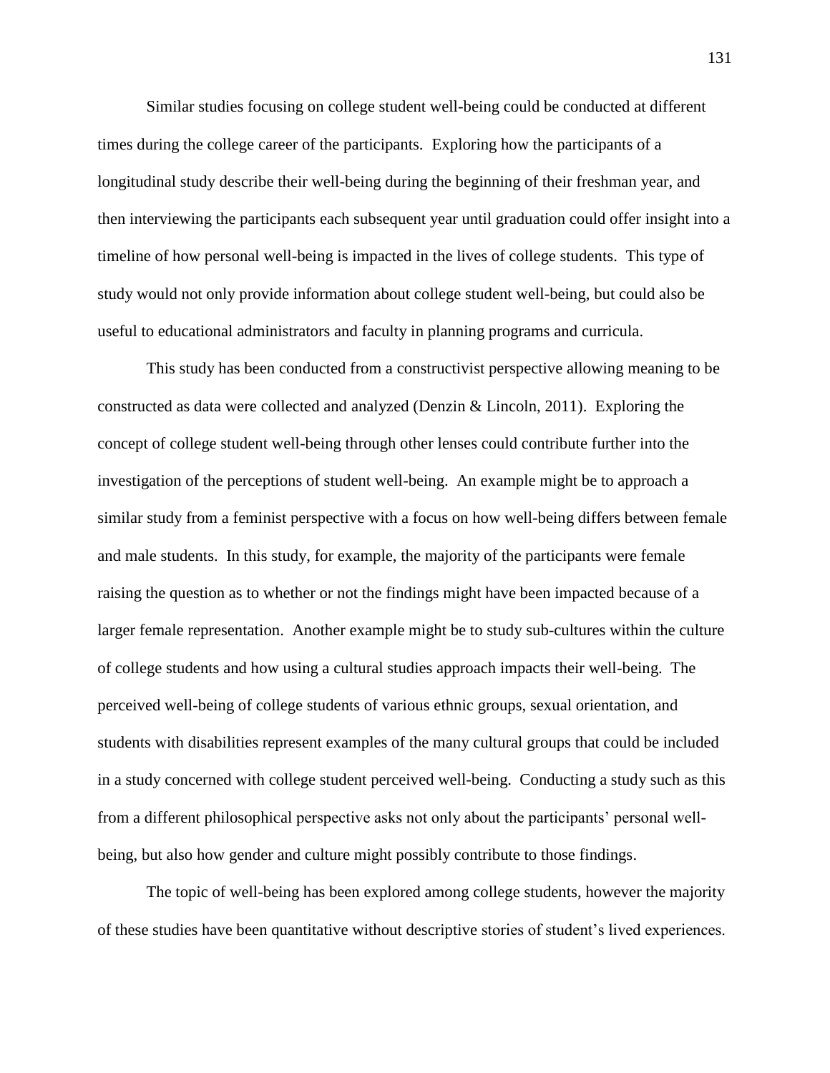Similar studies focusing on college student well-being could be conducted at different times during the college career of the participants. Exploring how the participants of a longitudinal study describe their well-being during the beginning of their freshman year, and then interviewing the participants each subsequent year until graduation could offer insight into a timeline of how personal well-being is impacted in the lives of college students. This type of study would not only provide information about college student well-being, but could also be useful to educational administrators and faculty in planning programs and curricula.

This study has been conducted from a constructivist perspective allowing meaning to be constructed as data were collected and analyzed (Denzin & Lincoln, 2011). Exploring the concept of college student well-being through other lenses could contribute further into the investigation of the perceptions of student well-being. An example might be to approach a similar study from a feminist perspective with a focus on how well-being differs between female and male students. In this study, for example, the majority of the participants were female raising the question as to whether or not the findings might have been impacted because of a larger female representation. Another example might be to study sub-cultures within the culture of college students and how using a cultural studies approach impacts their well-being. The perceived well-being of college students of various ethnic groups, sexual orientation, and students with disabilities represent examples of the many cultural groups that could be included in a study concerned with college student perceived well-being. Conducting a study such as this from a different philosophical perspective asks not only about the participants' personal wellbeing, but also how gender and culture might possibly contribute to those findings.

The topic of well-being has been explored among college students, however the majority of these studies have been quantitative without descriptive stories of student's lived experiences.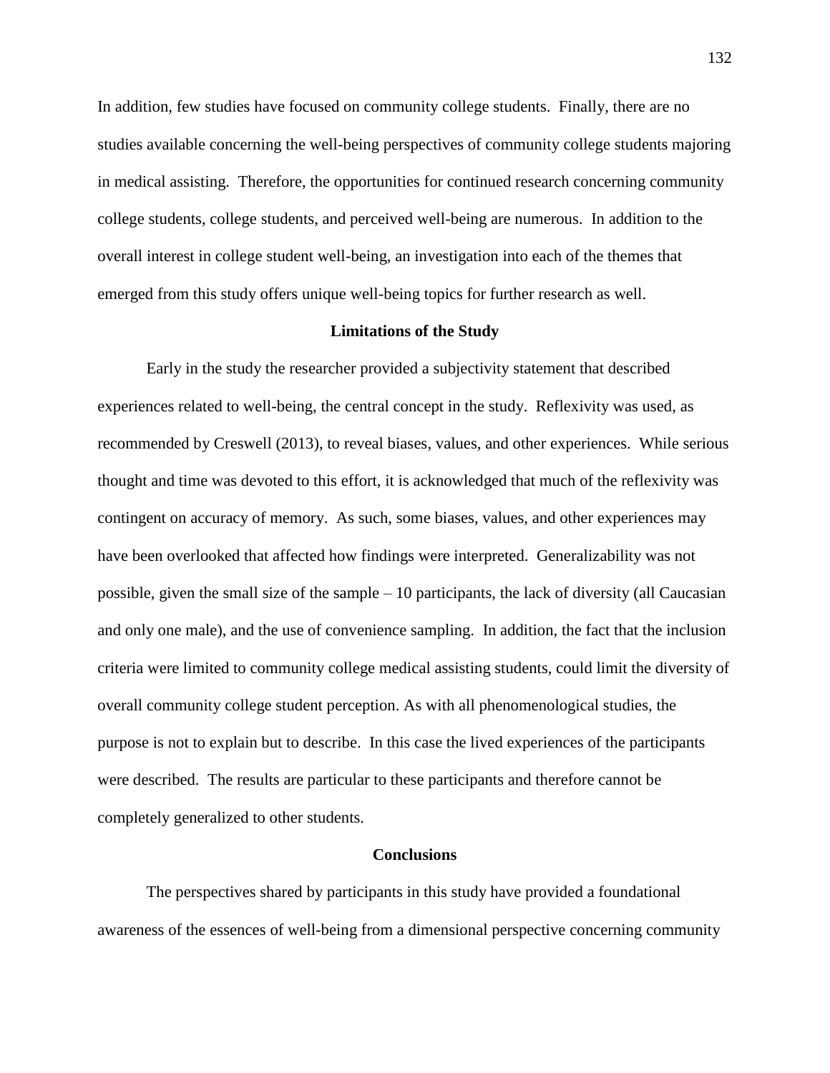In addition, few studies have focused on community college students. Finally, there are no studies available concerning the well-being perspectives of community college students majoring in medical assisting. Therefore, the opportunities for continued research concerning community college students, college students, and perceived well-being are numerous. In addition to the overall interest in college student well-being, an investigation into each of the themes that emerged from this study offers unique well-being topics for further research as well.

#### **Limitations of the Study**

Early in the study the researcher provided a subjectivity statement that described experiences related to well-being, the central concept in the study. Reflexivity was used, as recommended by Creswell (2013), to reveal biases, values, and other experiences. While serious thought and time was devoted to this effort, it is acknowledged that much of the reflexivity was contingent on accuracy of memory. As such, some biases, values, and other experiences may have been overlooked that affected how findings were interpreted. Generalizability was not possible, given the small size of the sample – 10 participants, the lack of diversity (all Caucasian and only one male), and the use of convenience sampling. In addition, the fact that the inclusion criteria were limited to community college medical assisting students, could limit the diversity of overall community college student perception. As with all phenomenological studies, the purpose is not to explain but to describe. In this case the lived experiences of the participants were described. The results are particular to these participants and therefore cannot be completely generalized to other students.

# **Conclusions**

The perspectives shared by participants in this study have provided a foundational awareness of the essences of well-being from a dimensional perspective concerning community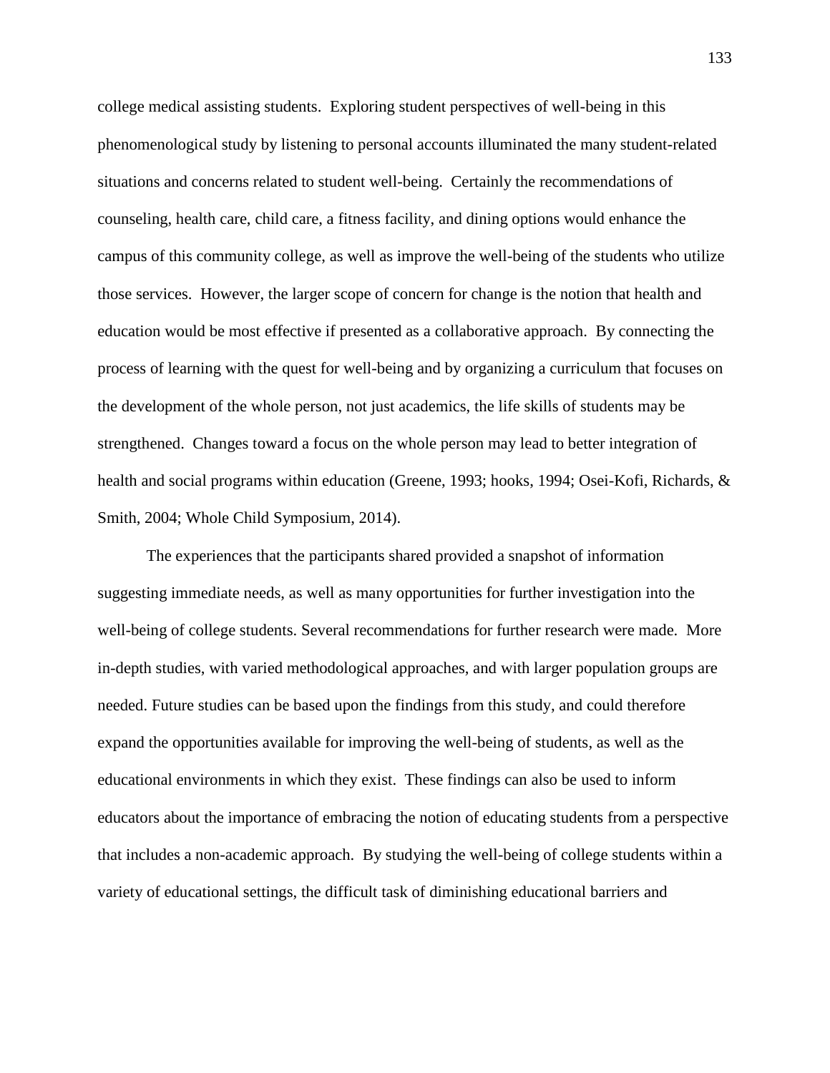college medical assisting students. Exploring student perspectives of well-being in this phenomenological study by listening to personal accounts illuminated the many student-related situations and concerns related to student well-being. Certainly the recommendations of counseling, health care, child care, a fitness facility, and dining options would enhance the campus of this community college, as well as improve the well-being of the students who utilize those services. However, the larger scope of concern for change is the notion that health and education would be most effective if presented as a collaborative approach. By connecting the process of learning with the quest for well-being and by organizing a curriculum that focuses on the development of the whole person, not just academics, the life skills of students may be strengthened. Changes toward a focus on the whole person may lead to better integration of health and social programs within education (Greene, 1993; hooks, 1994; Osei-Kofi, Richards, & Smith, 2004; Whole Child Symposium, 2014).

The experiences that the participants shared provided a snapshot of information suggesting immediate needs, as well as many opportunities for further investigation into the well-being of college students. Several recommendations for further research were made. More in-depth studies, with varied methodological approaches, and with larger population groups are needed. Future studies can be based upon the findings from this study, and could therefore expand the opportunities available for improving the well-being of students, as well as the educational environments in which they exist. These findings can also be used to inform educators about the importance of embracing the notion of educating students from a perspective that includes a non-academic approach. By studying the well-being of college students within a variety of educational settings, the difficult task of diminishing educational barriers and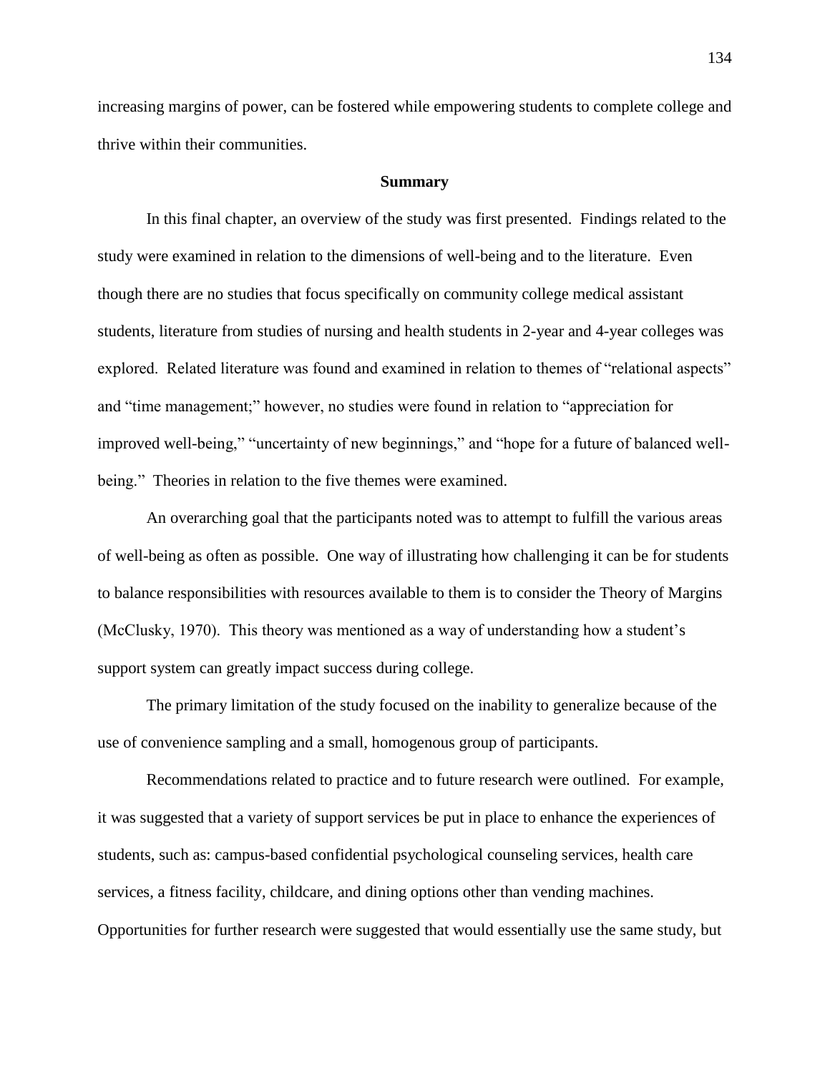increasing margins of power, can be fostered while empowering students to complete college and thrive within their communities.

#### **Summary**

In this final chapter, an overview of the study was first presented. Findings related to the study were examined in relation to the dimensions of well-being and to the literature. Even though there are no studies that focus specifically on community college medical assistant students, literature from studies of nursing and health students in 2-year and 4-year colleges was explored. Related literature was found and examined in relation to themes of "relational aspects" and "time management;" however, no studies were found in relation to "appreciation for improved well-being," "uncertainty of new beginnings," and "hope for a future of balanced wellbeing." Theories in relation to the five themes were examined.

An overarching goal that the participants noted was to attempt to fulfill the various areas of well-being as often as possible. One way of illustrating how challenging it can be for students to balance responsibilities with resources available to them is to consider the Theory of Margins (McClusky, 1970). This theory was mentioned as a way of understanding how a student's support system can greatly impact success during college.

The primary limitation of the study focused on the inability to generalize because of the use of convenience sampling and a small, homogenous group of participants.

Recommendations related to practice and to future research were outlined. For example, it was suggested that a variety of support services be put in place to enhance the experiences of students, such as: campus-based confidential psychological counseling services, health care services, a fitness facility, childcare, and dining options other than vending machines. Opportunities for further research were suggested that would essentially use the same study, but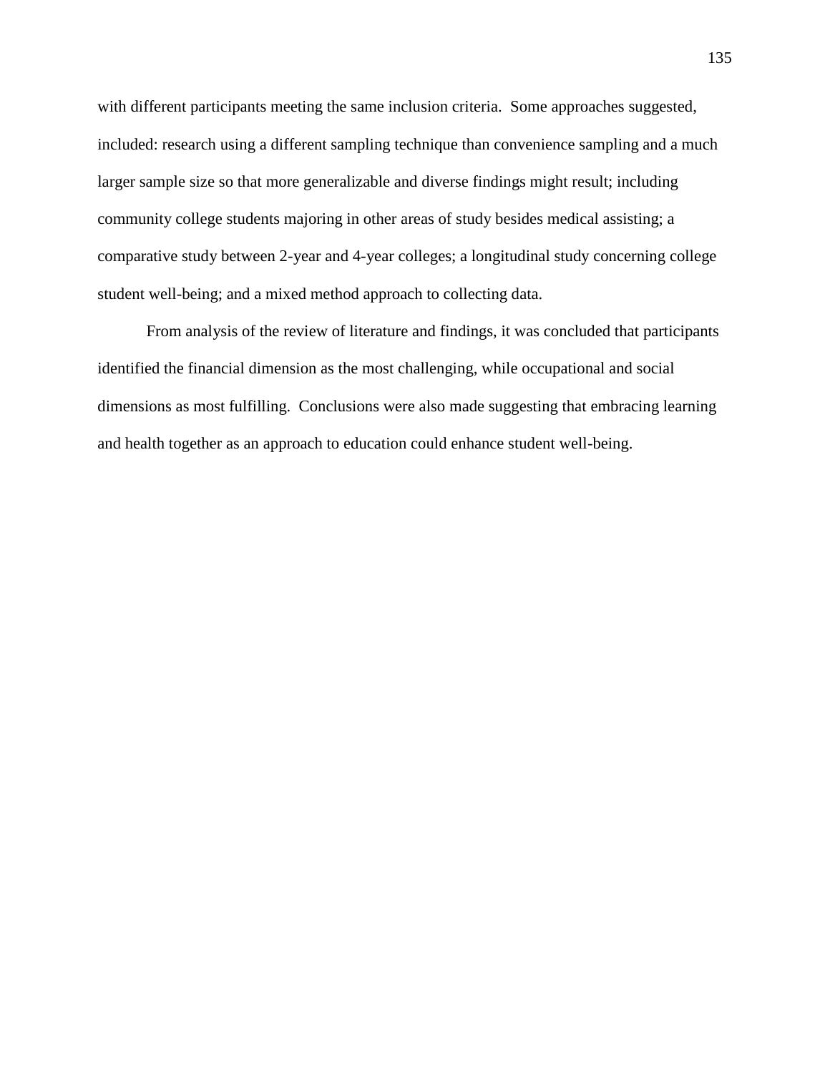with different participants meeting the same inclusion criteria. Some approaches suggested, included: research using a different sampling technique than convenience sampling and a much larger sample size so that more generalizable and diverse findings might result; including community college students majoring in other areas of study besides medical assisting; a comparative study between 2-year and 4-year colleges; a longitudinal study concerning college student well-being; and a mixed method approach to collecting data.

From analysis of the review of literature and findings, it was concluded that participants identified the financial dimension as the most challenging, while occupational and social dimensions as most fulfilling. Conclusions were also made suggesting that embracing learning and health together as an approach to education could enhance student well-being.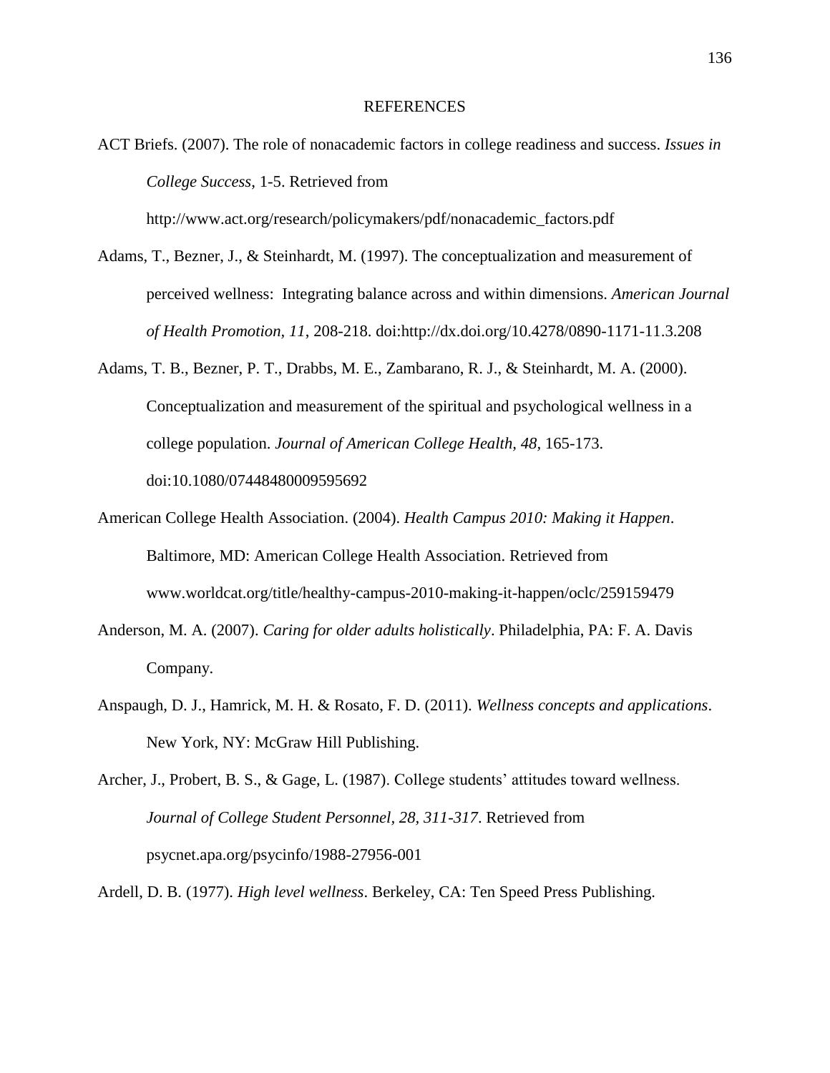### REFERENCES

ACT Briefs. (2007). The role of nonacademic factors in college readiness and success. *Issues in College Success*, 1-5. Retrieved from

http://www.act.org/research/policymakers/pdf/nonacademic\_factors.pdf

- Adams, T., Bezner, J., & Steinhardt, M. (1997). The conceptualization and measurement of perceived wellness: Integrating balance across and within dimensions. *American Journal of Health Promotion, 11*, 208-218. doi:http://dx.doi.org/10.4278/0890-1171-11.3.208
- Adams, T. B., Bezner, P. T., Drabbs, M. E., Zambarano, R. J., & Steinhardt, M. A. (2000). Conceptualization and measurement of the spiritual and psychological wellness in a college population. *Journal of American College Health, 48,* 165-173. doi:10.1080/07448480009595692
- American College Health Association. (2004). *Health Campus 2010: Making it Happen*. Baltimore, MD: American College Health Association. Retrieved from www.worldcat.org/title/healthy-campus-2010-making-it-happen/oclc/259159479
- Anderson, M. A. (2007). *Caring for older adults holistically*. Philadelphia, PA: F. A. Davis Company.
- Anspaugh, D. J., Hamrick, M. H. & Rosato, F. D. (2011). *Wellness concepts and applications*. New York, NY: McGraw Hill Publishing.

Archer, J., Probert, B. S., & Gage, L. (1987). College students' attitudes toward wellness. *Journal of College Student Personnel, 28, 311-317*. Retrieved from psycnet.apa.org/psycinfo/1988-27956-001

Ardell, D. B. (1977). *High level wellness*. Berkeley, CA: Ten Speed Press Publishing.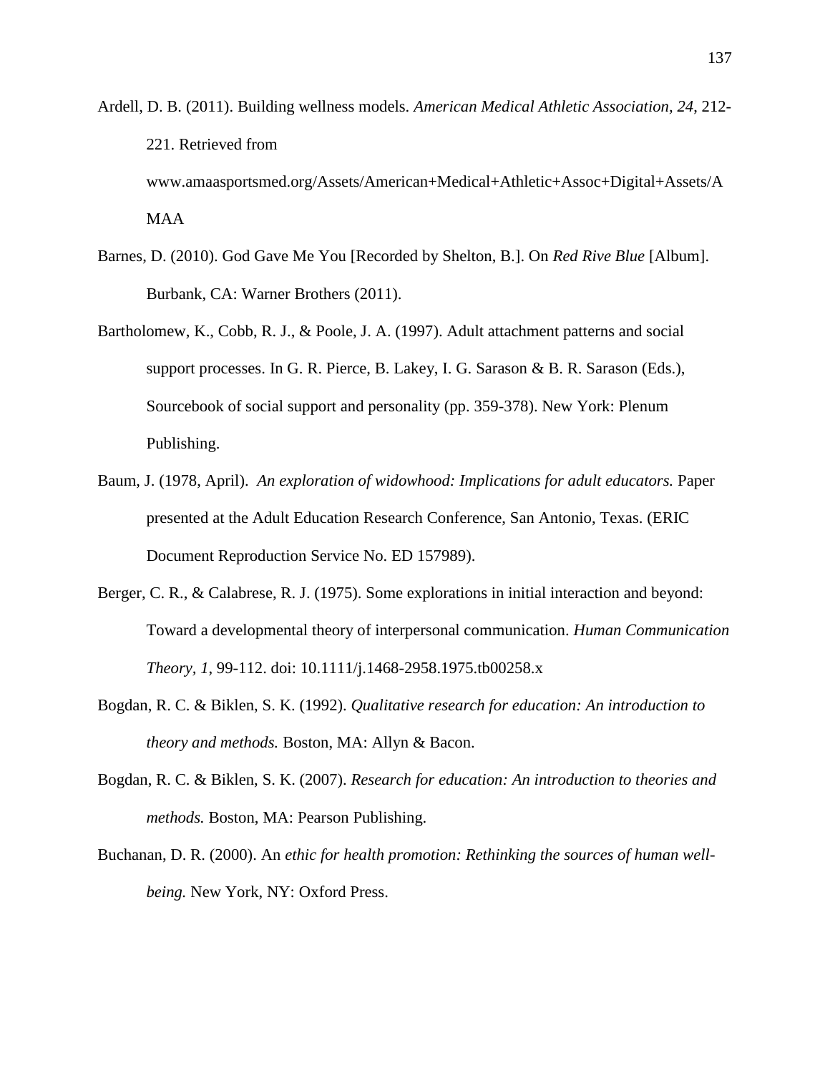- Ardell, D. B. (2011). Building wellness models. *American Medical Athletic Association, 24*, 212- 221. Retrieved from www.amaasportsmed.org/Assets/American+Medical+Athletic+Assoc+Digital+Assets/A MAA
- Barnes, D. (2010). God Gave Me You [Recorded by Shelton, B.]. On *Red Rive Blue* [Album]. Burbank, CA: Warner Brothers (2011).
- Bartholomew, K., Cobb, R. J., & Poole, J. A. (1997). Adult attachment patterns and social support processes. In G. R. Pierce, B. Lakey, I. G. Sarason & B. R. Sarason (Eds.), Sourcebook of social support and personality (pp. 359-378). New York: Plenum Publishing.
- Baum, J. (1978, April). *An exploration of widowhood: Implications for adult educators.* Paper presented at the Adult Education Research Conference, San Antonio, Texas. (ERIC Document Reproduction Service No. ED 157989).
- Berger, C. R., & Calabrese, R. J. (1975). Some explorations in initial interaction and beyond: Toward a developmental theory of interpersonal communication. *Human Communication Theory, 1*, 99-112. doi: 10.1111/j.1468-2958.1975.tb00258.x
- Bogdan, R. C. & Biklen, S. K. (1992). *Qualitative research for education: An introduction to theory and methods.* Boston, MA: Allyn & Bacon.
- Bogdan, R. C. & Biklen, S. K. (2007). *Research for education: An introduction to theories and methods.* Boston, MA: Pearson Publishing.
- Buchanan, D. R. (2000). An *ethic for health promotion: Rethinking the sources of human wellbeing.* New York, NY: Oxford Press.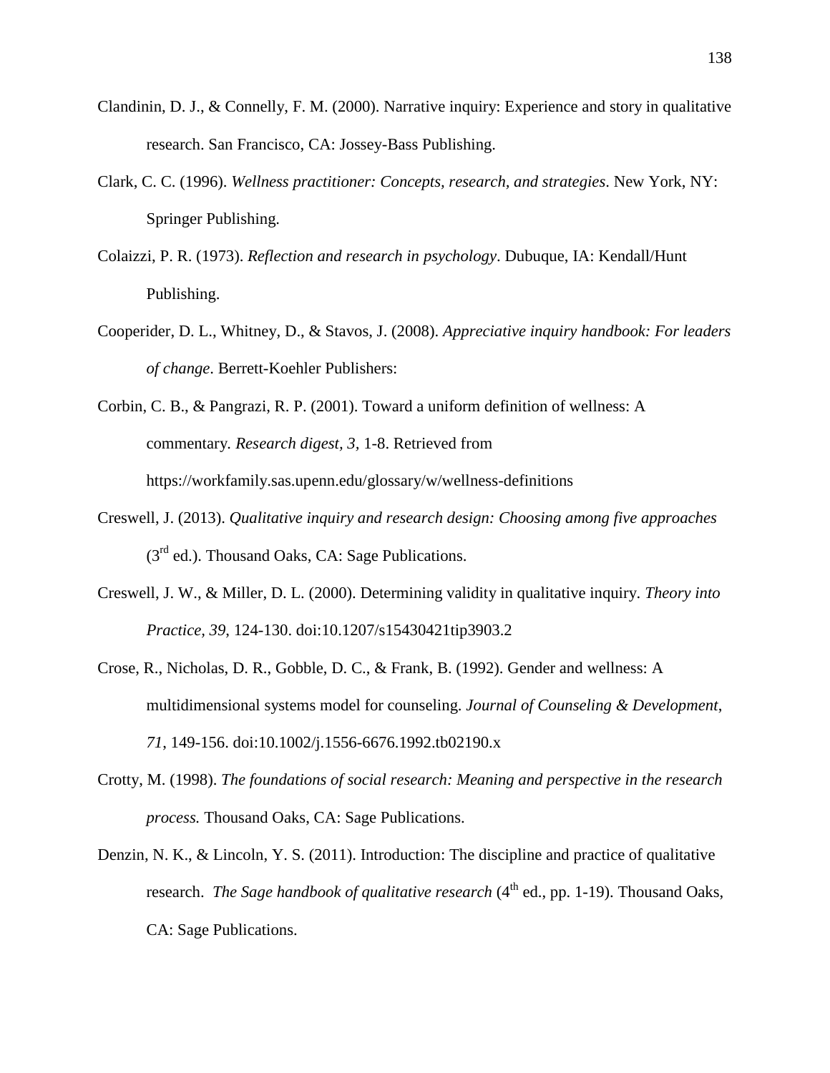- Clandinin, D. J., & Connelly, F. M. (2000). Narrative inquiry: Experience and story in qualitative research. San Francisco, CA: Jossey-Bass Publishing.
- Clark, C. C. (1996). *Wellness practitioner: Concepts, research, and strategies*. New York, NY: Springer Publishing.
- Colaizzi, P. R. (1973). *Reflection and research in psychology*. Dubuque, IA: Kendall/Hunt Publishing.
- Cooperider, D. L., Whitney, D., & Stavos, J. (2008). *Appreciative inquiry handbook: For leaders of change*. Berrett-Koehler Publishers:

Corbin, C. B., & Pangrazi, R. P. (2001). Toward a uniform definition of wellness: A commentary*. Research digest, 3,* 1-8. Retrieved from https://workfamily.sas.upenn.edu/glossary/w/wellness-definitions

- Creswell, J. (2013). *Qualitative inquiry and research design: Choosing among five approaches* (3rd ed.). Thousand Oaks, CA: Sage Publications.
- Creswell, J. W., & Miller, D. L. (2000). Determining validity in qualitative inquiry. *Theory into Practice, 39*, 124-130. doi:10.1207/s15430421tip3903.2
- Crose, R., Nicholas, D. R., Gobble, D. C., & Frank, B. (1992). Gender and wellness: A multidimensional systems model for counseling. *Journal of Counseling & Development*, *71*, 149-156. doi:10.1002/j.1556-6676.1992.tb02190.x
- Crotty, M. (1998). *The foundations of social research: Meaning and perspective in the research process.* Thousand Oaks, CA: Sage Publications.
- Denzin, N. K., & Lincoln, Y. S. (2011). Introduction: The discipline and practice of qualitative research. *The Sage handbook of qualitative research*  $(4<sup>th</sup>$  ed., pp. 1-19). Thousand Oaks, CA: Sage Publications.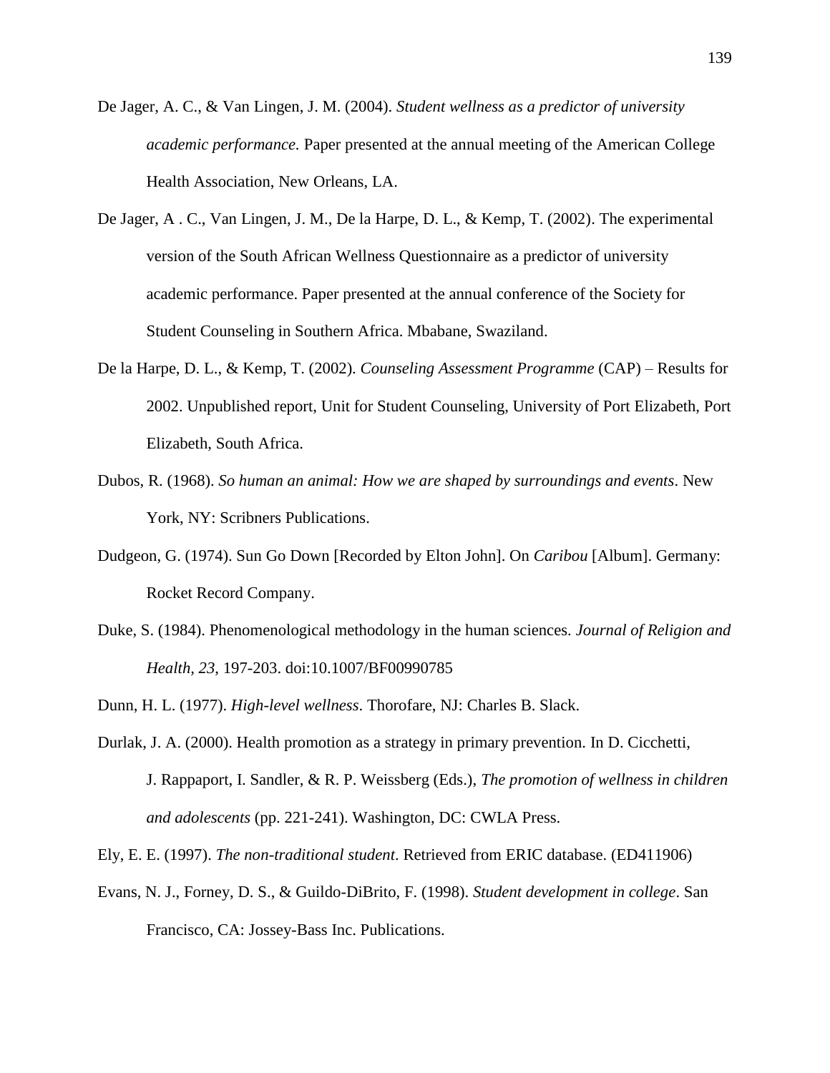- De Jager, A. C., & Van Lingen, J. M. (2004). *Student wellness as a predictor of university academic performance.* Paper presented at the annual meeting of the American College Health Association, New Orleans, LA.
- De Jager, A . C., Van Lingen, J. M., De la Harpe, D. L., & Kemp, T. (2002). The experimental version of the South African Wellness Questionnaire as a predictor of university academic performance. Paper presented at the annual conference of the Society for Student Counseling in Southern Africa. Mbabane, Swaziland.
- De la Harpe, D. L., & Kemp, T. (2002). *Counseling Assessment Programme* (CAP) Results for 2002. Unpublished report, Unit for Student Counseling, University of Port Elizabeth, Port Elizabeth, South Africa.
- Dubos, R. (1968). *So human an animal: How we are shaped by surroundings and events*. New York, NY: Scribners Publications.
- Dudgeon, G. (1974). Sun Go Down [Recorded by Elton John]. On *Caribou* [Album]. Germany: Rocket Record Company.
- Duke, S. (1984). Phenomenological methodology in the human sciences. *Journal of Religion and Health, 23*, 197-203. doi:10.1007/BF00990785
- Dunn, H. L. (1977). *High-level wellness*. Thorofare, NJ: Charles B. Slack.
- Durlak, J. A. (2000). Health promotion as a strategy in primary prevention. In D. Cicchetti, J. Rappaport, I. Sandler, & R. P. Weissberg (Eds.), *The promotion of wellness in children and adolescents* (pp. 221-241). Washington, DC: CWLA Press.
- Ely, E. E. (1997). *The non-traditional student*. Retrieved from ERIC database. (ED411906)
- Evans, N. J., Forney, D. S., & Guildo-DiBrito, F. (1998). *Student development in college*. San Francisco, CA: Jossey-Bass Inc. Publications.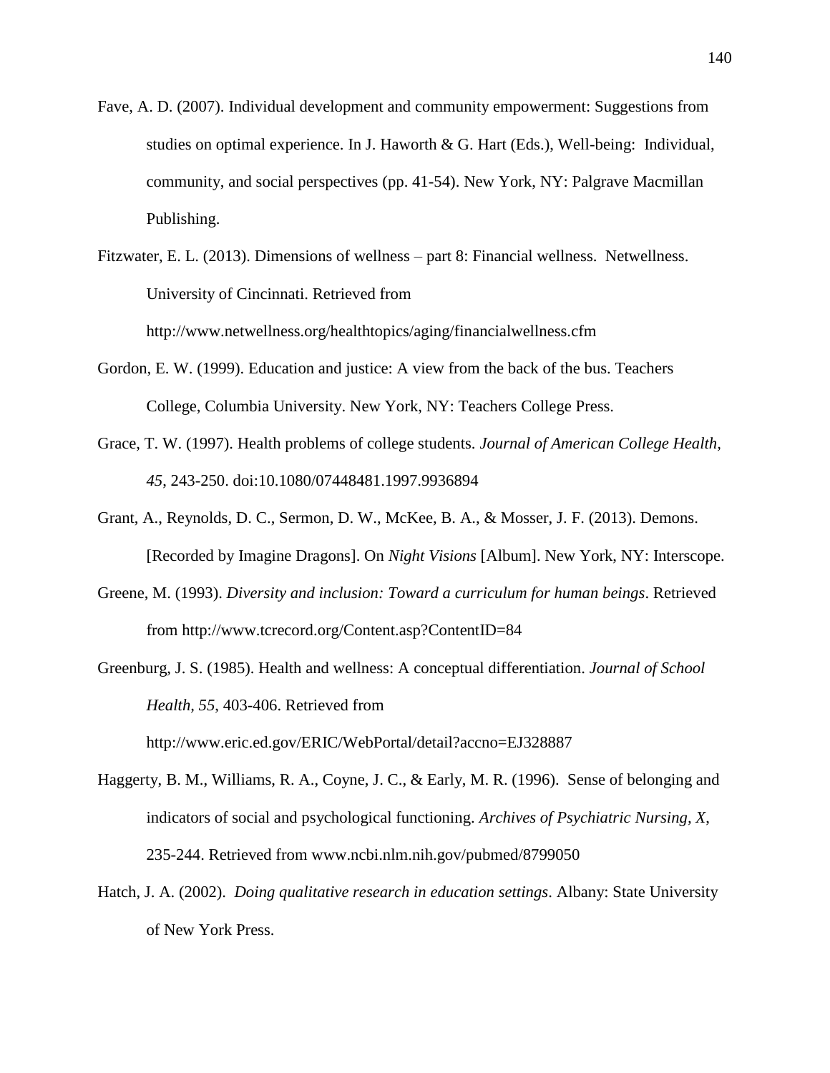- Fave, A. D. (2007). Individual development and community empowerment: Suggestions from studies on optimal experience. In J. Haworth & G. Hart (Eds.), Well-being: Individual, community, and social perspectives (pp. 41-54). New York, NY: Palgrave Macmillan Publishing.
- Fitzwater, E. L. (2013). Dimensions of wellness part 8: Financial wellness. Netwellness. University of Cincinnati. Retrieved from http://www.netwellness.org/healthtopics/aging/financialwellness.cfm
- Gordon, E. W. (1999). Education and justice: A view from the back of the bus. Teachers College, Columbia University. New York, NY: Teachers College Press.
- Grace, T. W. (1997). Health problems of college students. *Journal of American College Health, 45*, 243-250. doi:10.1080/07448481.1997.9936894
- Grant, A., Reynolds, D. C., Sermon, D. W., McKee, B. A., & Mosser, J. F. (2013). Demons. [Recorded by Imagine Dragons]. On *Night Visions* [Album]. New York, NY: Interscope.
- Greene, M. (1993). *Diversity and inclusion: Toward a curriculum for human beings*. Retrieved from http://www.tcrecord.org/Content.asp?ContentID=84
- Greenburg, J. S. (1985). Health and wellness: A conceptual differentiation. *Journal of School Health, 55*, 403-406. Retrieved from http://www.eric.ed.gov/ERIC/WebPortal/detail?accno=EJ328887
- Haggerty, B. M., Williams, R. A., Coyne, J. C., & Early, M. R. (1996). Sense of belonging and indicators of social and psychological functioning. *Archives of Psychiatric Nursing, X*, 235-244. Retrieved from www.ncbi.nlm.nih.gov/pubmed/8799050
- Hatch, J. A. (2002). *Doing qualitative research in education settings*. Albany: State University of New York Press.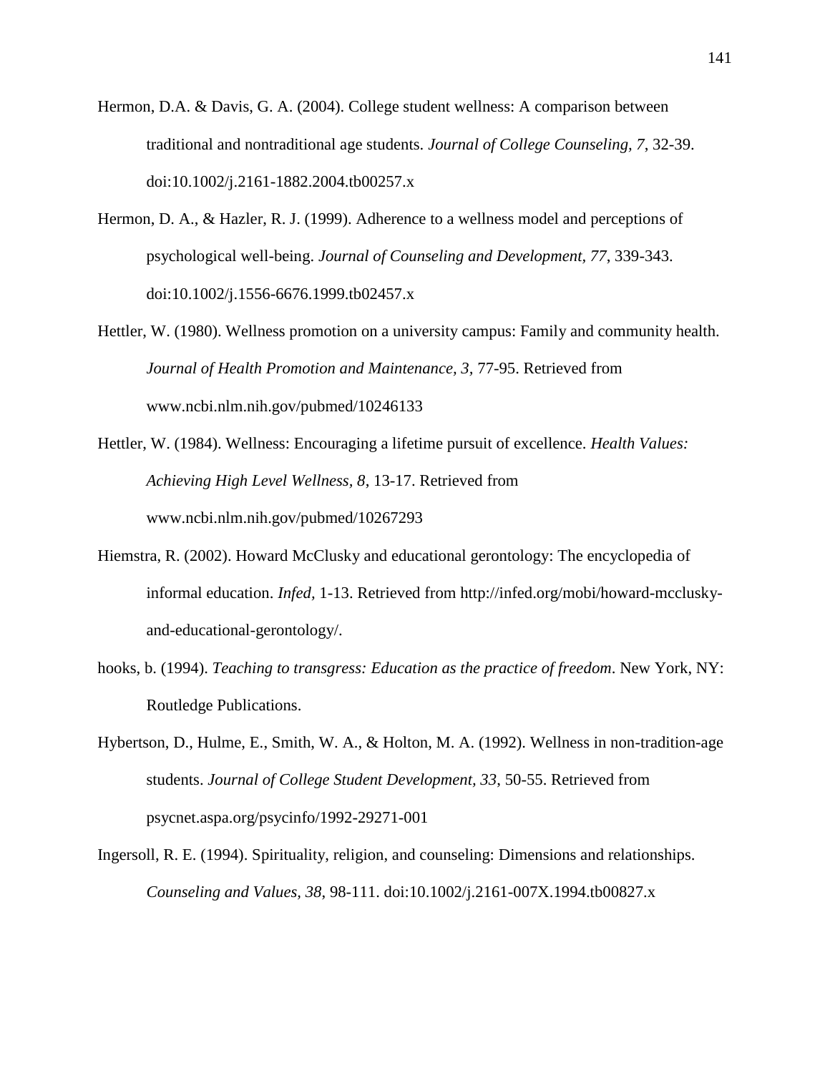- Hermon, D.A. & Davis, G. A. (2004). College student wellness: A comparison between traditional and nontraditional age students. *Journal of College Counseling, 7*, 32-39. doi:10.1002/j.2161-1882.2004.tb00257.x
- Hermon, D. A., & Hazler, R. J. (1999). Adherence to a wellness model and perceptions of psychological well-being. *Journal of Counseling and Development, 77*, 339-343. doi:10.1002/j.1556-6676.1999.tb02457.x
- Hettler, W. (1980). Wellness promotion on a university campus: Family and community health. *Journal of Health Promotion and Maintenance, 3,* 77-95. Retrieved from www.ncbi.nlm.nih.gov/pubmed/10246133
- Hettler, W. (1984). Wellness: Encouraging a lifetime pursuit of excellence. *Health Values: Achieving High Level Wellness, 8*, 13-17. Retrieved from www.ncbi.nlm.nih.gov/pubmed/10267293
- Hiemstra, R. (2002). Howard McClusky and educational gerontology: The encyclopedia of informal education. *Infed,* 1-13. Retrieved from http://infed.org/mobi/howard-mccluskyand-educational-gerontology/.
- hooks, b. (1994). *Teaching to transgress: Education as the practice of freedom*. New York, NY: Routledge Publications.
- Hybertson, D., Hulme, E., Smith, W. A., & Holton, M. A. (1992). Wellness in non-tradition-age students. *Journal of College Student Development, 33*, 50-55. Retrieved from psycnet.aspa.org/psycinfo/1992-29271-001
- Ingersoll, R. E. (1994). Spirituality, religion, and counseling: Dimensions and relationships. *Counseling and Values, 38*, 98-111. doi:10.1002/j.2161-007X.1994.tb00827.x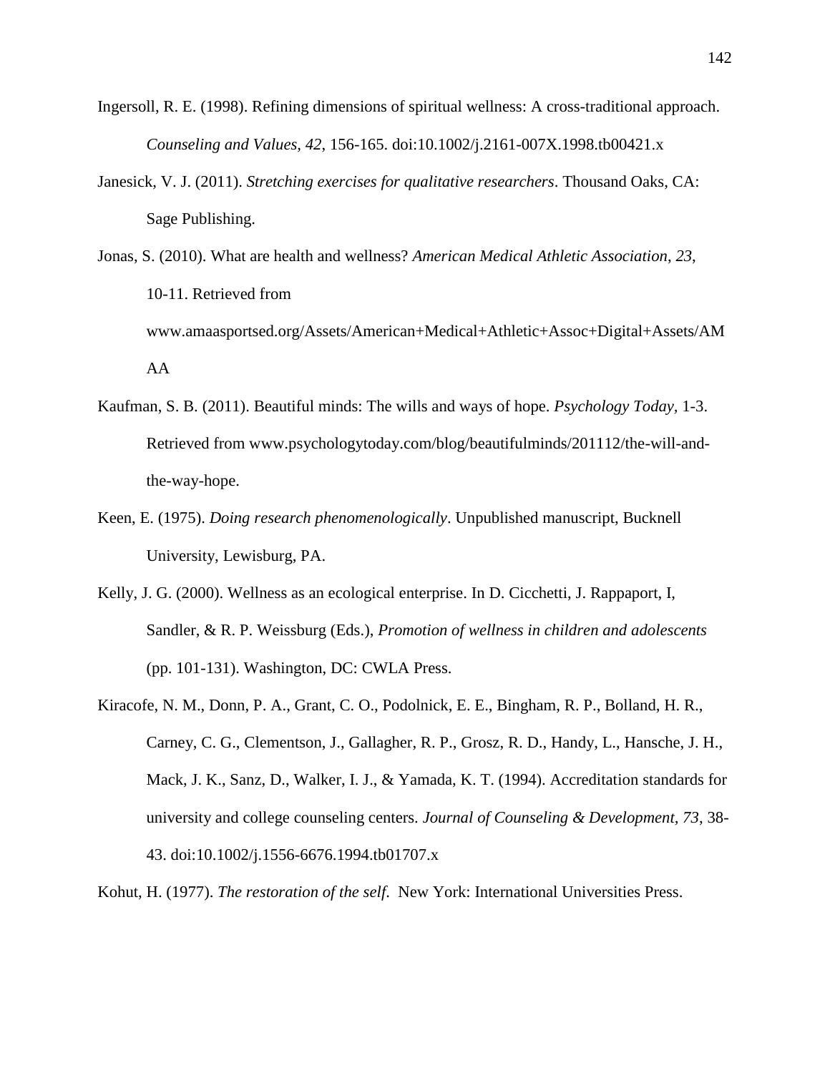- Ingersoll, R. E. (1998). Refining dimensions of spiritual wellness: A cross-traditional approach. *Counseling and Values, 42*, 156-165. doi:10.1002/j.2161-007X.1998.tb00421.x
- Janesick, V. J. (2011). *Stretching exercises for qualitative researchers*. Thousand Oaks, CA: Sage Publishing.
- Jonas, S. (2010). What are health and wellness? *American Medical Athletic Association*, *23*, 10-11. Retrieved from www.amaasportsed.org/Assets/American+Medical+Athletic+Assoc+Digital+Assets/AM AA
- Kaufman, S. B. (2011). Beautiful minds: The wills and ways of hope. *Psychology Today,* 1-3. Retrieved from www.psychologytoday.com/blog/beautifulminds/201112/the-will-andthe-way-hope.
- Keen, E. (1975). *Doing research phenomenologically*. Unpublished manuscript, Bucknell University, Lewisburg, PA.
- Kelly, J. G. (2000). Wellness as an ecological enterprise. In D. Cicchetti, J. Rappaport, I, Sandler, & R. P. Weissburg (Eds.), *Promotion of wellness in children and adolescents* (pp. 101-131). Washington, DC: CWLA Press.
- Kiracofe, N. M., Donn, P. A., Grant, C. O., Podolnick, E. E., Bingham, R. P., Bolland, H. R., Carney, C. G., Clementson, J., Gallagher, R. P., Grosz, R. D., Handy, L., Hansche, J. H., Mack, J. K., Sanz, D., Walker, I. J., & Yamada, K. T. (1994). Accreditation standards for university and college counseling centers. *Journal of Counseling & Development, 73*, 38- 43. doi:10.1002/j.1556-6676.1994.tb01707.x
- Kohut, H. (1977). *The restoration of the self*. New York: International Universities Press.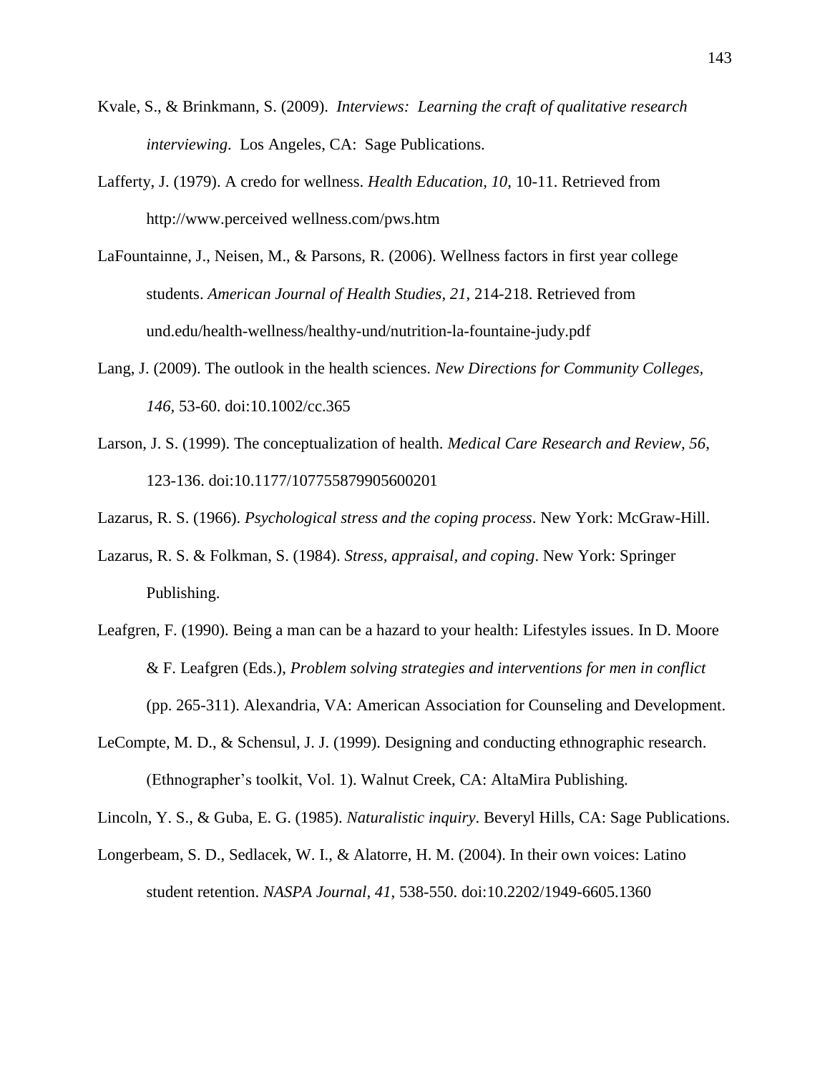- Kvale, S., & Brinkmann, S. (2009). *Interviews: Learning the craft of qualitative research interviewing*. Los Angeles, CA: Sage Publications.
- Lafferty, J. (1979). A credo for wellness. *Health Education, 10*, 10-11. Retrieved from http://www.perceived wellness.com/pws.htm
- LaFountainne, J., Neisen, M., & Parsons, R. (2006). Wellness factors in first year college students. *American Journal of Health Studies, 21*, 214-218. Retrieved from und.edu/health-wellness/healthy-und/nutrition-la-fountaine-judy.pdf
- Lang, J. (2009). The outlook in the health sciences. *New Directions for Community Colleges, 146,* 53-60. doi:10.1002/cc.365
- Larson, J. S. (1999). The conceptualization of health. *Medical Care Research and Review, 56*, 123-136. doi:10.1177/107755879905600201

Lazarus, R. S. (1966). *Psychological stress and the coping process*. New York: McGraw-Hill.

- Lazarus, R. S. & Folkman, S. (1984). *Stress, appraisal, and coping*. New York: Springer Publishing.
- Leafgren, F. (1990). Being a man can be a hazard to your health: Lifestyles issues. In D. Moore & F. Leafgren (Eds.), *Problem solving strategies and interventions for men in conflict* (pp. 265-311). Alexandria, VA: American Association for Counseling and Development.
- LeCompte, M. D., & Schensul, J. J. (1999). Designing and conducting ethnographic research. (Ethnographer's toolkit, Vol. 1). Walnut Creek, CA: AltaMira Publishing.

Lincoln, Y. S., & Guba, E. G. (1985). *Naturalistic inquiry*. Beveryl Hills, CA: Sage Publications.

Longerbeam, S. D., Sedlacek, W. I., & Alatorre, H. M. (2004). In their own voices: Latino student retention. *NASPA Journal, 41*, 538-550. doi:10.2202/1949-6605.1360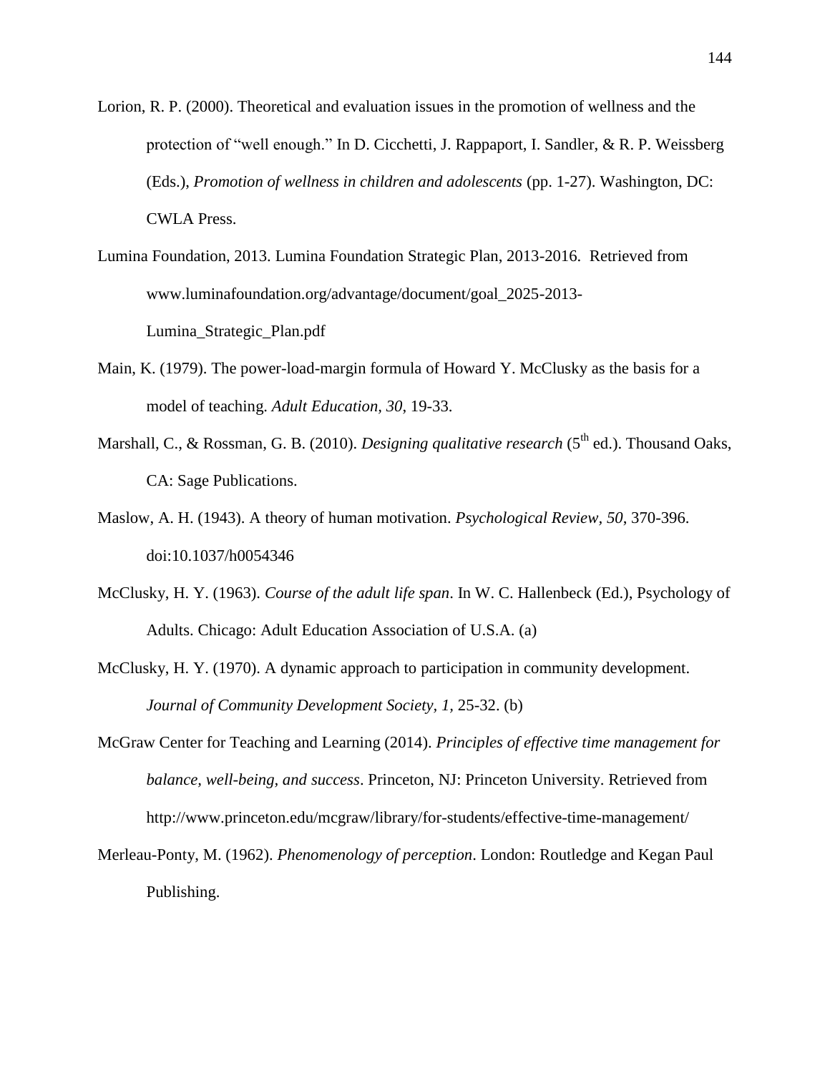- Lorion, R. P. (2000). Theoretical and evaluation issues in the promotion of wellness and the protection of "well enough." In D. Cicchetti, J. Rappaport, I. Sandler, & R. P. Weissberg (Eds.), *Promotion of wellness in children and adolescents* (pp. 1-27). Washington, DC: CWLA Press.
- Lumina Foundation, 2013. Lumina Foundation Strategic Plan, 2013-2016. Retrieved from www.luminafoundation.org/advantage/document/goal\_2025-2013- Lumina\_Strategic\_Plan.pdf
- Main, K. (1979). The power-load-margin formula of Howard Y. McClusky as the basis for a model of teaching. *Adult Education, 30*, 19-33.
- Marshall, C., & Rossman, G. B. (2010). *Designing qualitative research* (5<sup>th</sup> ed.). Thousand Oaks, CA: Sage Publications.
- Maslow, A. H. (1943). A theory of human motivation. *Psychological Review, 50*, 370-396. doi:10.1037/h0054346
- McClusky, H. Y. (1963). *Course of the adult life span*. In W. C. Hallenbeck (Ed.), Psychology of Adults. Chicago: Adult Education Association of U.S.A. (a)
- McClusky, H. Y. (1970). A dynamic approach to participation in community development. *Journal of Community Development Society, 1,* 25-32. (b)
- McGraw Center for Teaching and Learning (2014). *Principles of effective time management for balance, well-being, and success*. Princeton, NJ: Princeton University. Retrieved from http://www.princeton.edu/mcgraw/library/for-students/effective-time-management/
- Merleau-Ponty, M. (1962). *Phenomenology of perception*. London: Routledge and Kegan Paul Publishing.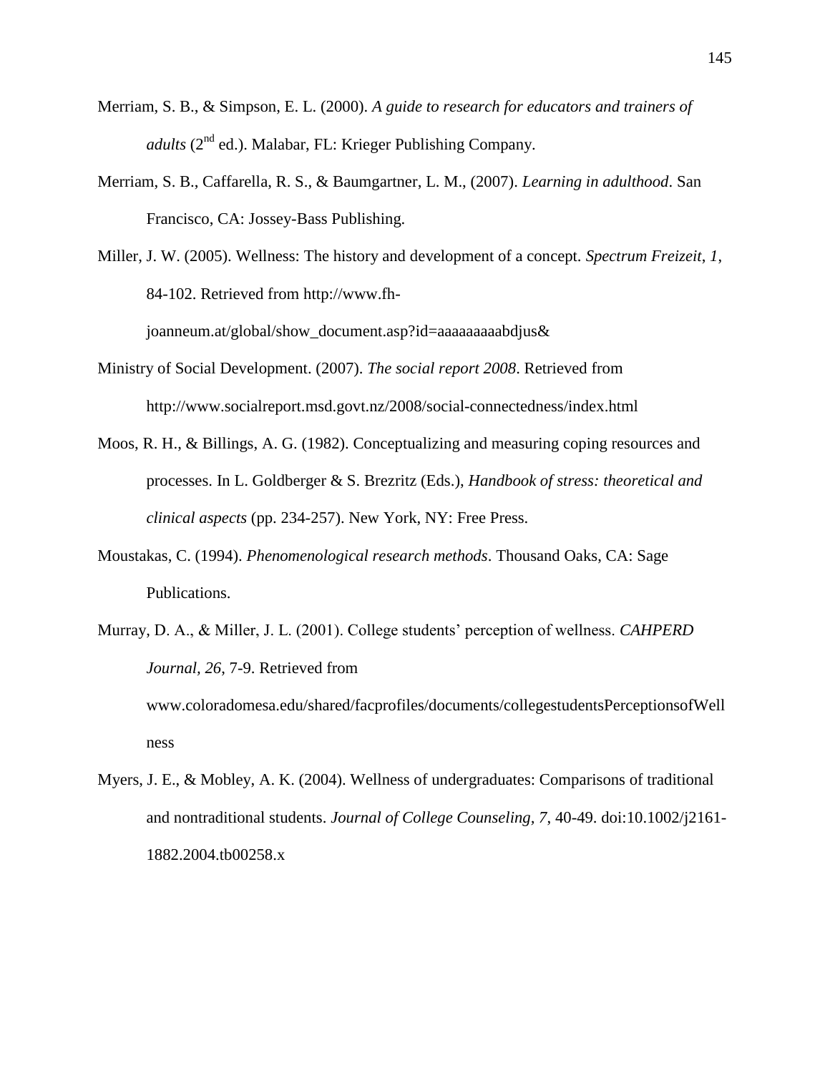- Merriam, S. B., & Simpson, E. L. (2000). *A guide to research for educators and trainers of adults* (2<sup>nd</sup> ed.). Malabar, FL: Krieger Publishing Company.
- Merriam, S. B., Caffarella, R. S., & Baumgartner, L. M., (2007). *Learning in adulthood*. San Francisco, CA: Jossey-Bass Publishing.

Miller, J. W. (2005). Wellness: The history and development of a concept. *Spectrum Freizeit*, *1*, 84-102. Retrieved from http://www.fhjoanneum.at/global/show\_document.asp?id=aaaaaaaaabdjus&

Ministry of Social Development. (2007). *The social report 2008*. Retrieved from http://www.socialreport.msd.govt.nz/2008/social-connectedness/index.html

- Moos, R. H., & Billings, A. G. (1982). Conceptualizing and measuring coping resources and processes. In L. Goldberger & S. Brezritz (Eds.), *Handbook of stress: theoretical and clinical aspects* (pp. 234-257). New York, NY: Free Press.
- Moustakas, C. (1994). *Phenomenological research methods*. Thousand Oaks, CA: Sage Publications.
- Murray, D. A., & Miller, J. L. (2001). College students' perception of wellness. *CAHPERD Journal, 26*, 7-9. Retrieved from www.coloradomesa.edu/shared/facprofiles/documents/collegestudentsPerceptionsofWell ness
- Myers, J. E., & Mobley, A. K. (2004). Wellness of undergraduates: Comparisons of traditional and nontraditional students. *Journal of College Counseling, 7*, 40-49. doi:10.1002/j2161- 1882.2004.tb00258.x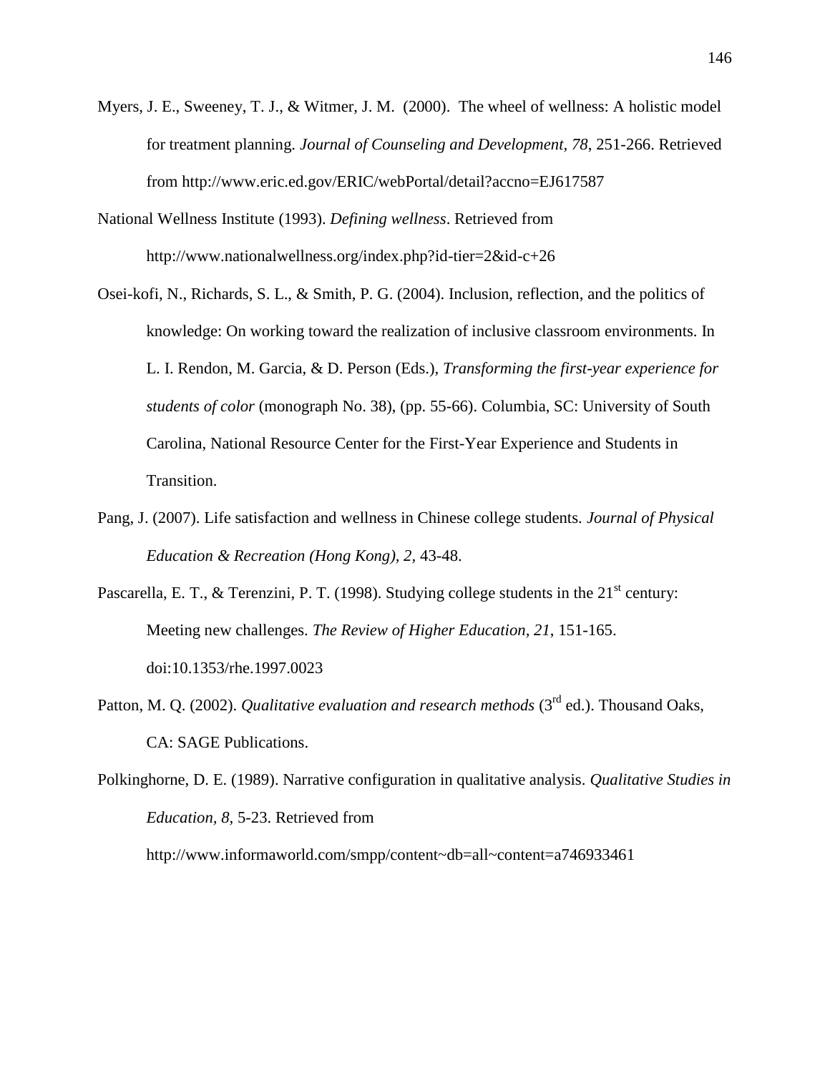- Myers, J. E., Sweeney, T. J., & Witmer, J. M. (2000). The wheel of wellness: A holistic model for treatment planning. *Journal of Counseling and Development, 78*, 251-266. Retrieved from http://www.eric.ed.gov/ERIC/webPortal/detail?accno=EJ617587
- National Wellness Institute (1993). *Defining wellness*. Retrieved from http://www.nationalwellness.org/index.php?id-tier=2&id-c+26
- Osei-kofi, N., Richards, S. L., & Smith, P. G. (2004). Inclusion, reflection, and the politics of knowledge: On working toward the realization of inclusive classroom environments. In L. I. Rendon, M. Garcia, & D. Person (Eds.), *Transforming the first-year experience for students of color* (monograph No. 38), (pp. 55-66). Columbia, SC: University of South Carolina, National Resource Center for the First-Year Experience and Students in Transition.
- Pang, J. (2007). Life satisfaction and wellness in Chinese college students. *Journal of Physical Education & Recreation (Hong Kong), 2,* 43-48.
- Pascarella, E. T., & Terenzini, P. T. (1998). Studying college students in the  $21<sup>st</sup>$  century: Meeting new challenges. *The Review of Higher Education, 21*, 151-165. doi:10.1353/rhe.1997.0023
- Patton, M. O. (2002). *Qualitative evaluation and research methods* (3<sup>rd</sup> ed.). Thousand Oaks, CA: SAGE Publications.
- Polkinghorne, D. E. (1989). Narrative configuration in qualitative analysis. *Qualitative Studies in Education, 8,* 5-23. Retrieved from

http://www.informaworld.com/smpp/content~db=all~content=a746933461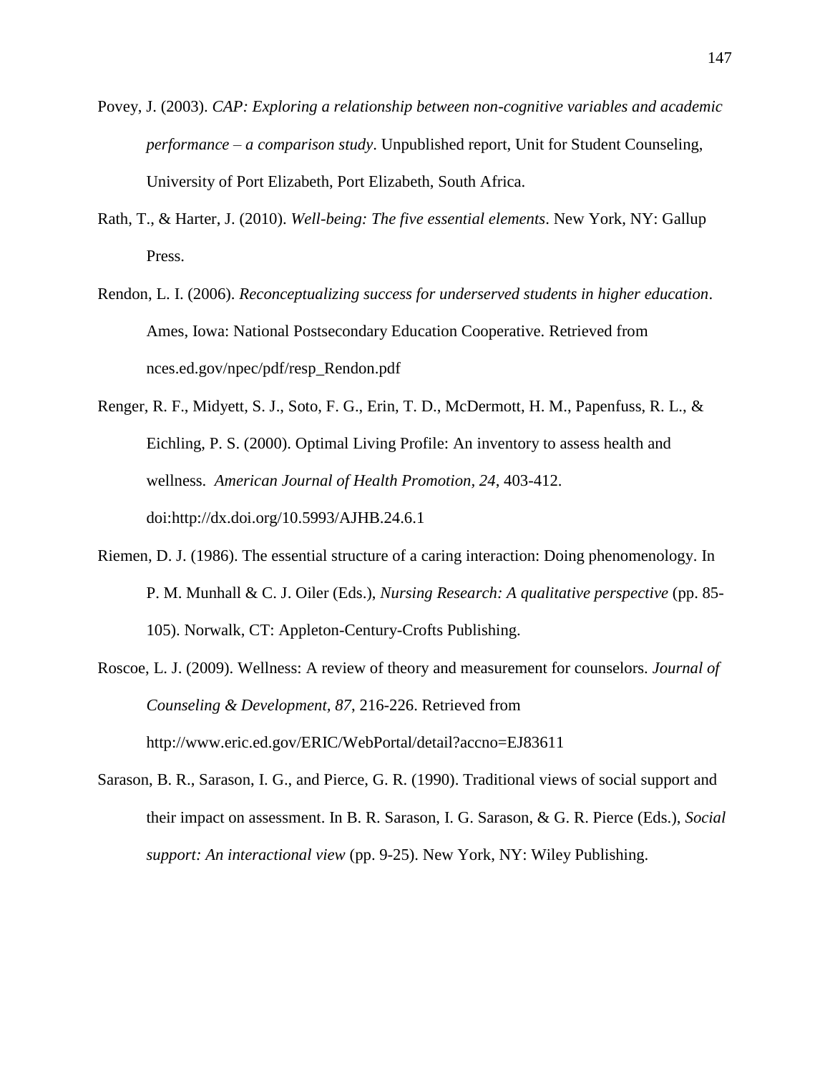Povey, J. (2003). *CAP: Exploring a relationship between non-cognitive variables and academic performance – a comparison study*. Unpublished report, Unit for Student Counseling, University of Port Elizabeth, Port Elizabeth, South Africa.

- Rath, T., & Harter, J. (2010). *Well-being: The five essential elements*. New York, NY: Gallup Press.
- Rendon, L. I. (2006). *Reconceptualizing success for underserved students in higher education*. Ames, Iowa: National Postsecondary Education Cooperative. Retrieved from nces.ed.gov/npec/pdf/resp\_Rendon.pdf
- Renger, R. F., Midyett, S. J., Soto, F. G., Erin, T. D., McDermott, H. M., Papenfuss, R. L., & Eichling, P. S. (2000). Optimal Living Profile: An inventory to assess health and wellness. *American Journal of Health Promotion, 24*, 403-412. doi:http://dx.doi.org/10.5993/AJHB.24.6.1
- Riemen, D. J. (1986). The essential structure of a caring interaction: Doing phenomenology. In P. M. Munhall & C. J. Oiler (Eds.), *Nursing Research: A qualitative perspective* (pp. 85- 105). Norwalk, CT: Appleton-Century-Crofts Publishing.
- Roscoe, L. J. (2009). Wellness: A review of theory and measurement for counselors. *Journal of Counseling & Development, 87*, 216-226. Retrieved from http://www.eric.ed.gov/ERIC/WebPortal/detail?accno=EJ83611
- Sarason, B. R., Sarason, I. G., and Pierce, G. R. (1990). Traditional views of social support and their impact on assessment. In B. R. Sarason, I. G. Sarason, & G. R. Pierce (Eds.), *Social support: An interactional view* (pp. 9-25). New York, NY: Wiley Publishing.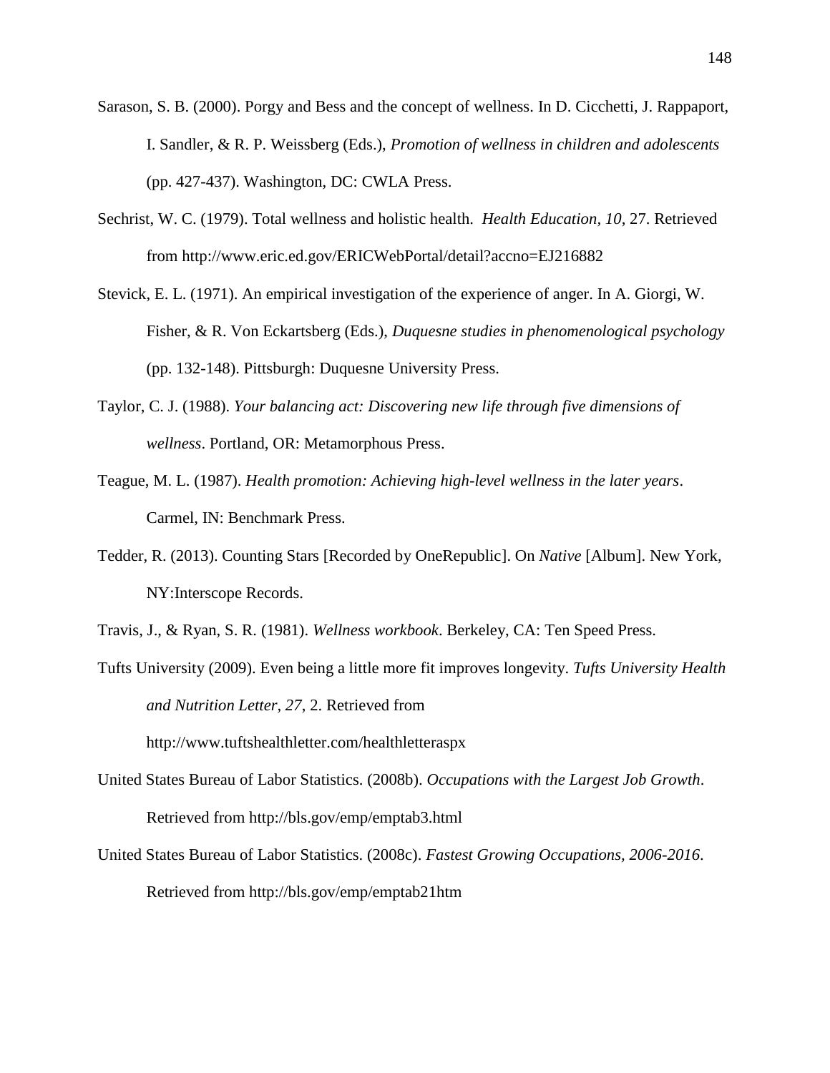- Sarason, S. B. (2000). Porgy and Bess and the concept of wellness. In D. Cicchetti, J. Rappaport, I. Sandler, & R. P. Weissberg (Eds.), *Promotion of wellness in children and adolescents* (pp. 427-437). Washington, DC: CWLA Press.
- Sechrist, W. C. (1979). Total wellness and holistic health. *Health Education, 10*, 27. Retrieved from http://www.eric.ed.gov/ERICWebPortal/detail?accno=EJ216882
- Stevick, E. L. (1971). An empirical investigation of the experience of anger. In A. Giorgi, W. Fisher, & R. Von Eckartsberg (Eds.), *Duquesne studies in phenomenological psychology* (pp. 132-148). Pittsburgh: Duquesne University Press.
- Taylor, C. J. (1988). *Your balancing act: Discovering new life through five dimensions of wellness*. Portland, OR: Metamorphous Press.
- Teague, M. L. (1987). *Health promotion: Achieving high-level wellness in the later years*. Carmel, IN: Benchmark Press.
- Tedder, R. (2013). Counting Stars [Recorded by OneRepublic]. On *Native* [Album]. New York, NY:Interscope Records.
- Travis, J., & Ryan, S. R. (1981). *Wellness workbook*. Berkeley, CA: Ten Speed Press.
- Tufts University (2009). Even being a little more fit improves longevity. *Tufts University Health and Nutrition Letter, 27*, 2. Retrieved from

http://www.tuftshealthletter.com/healthletteraspx

- United States Bureau of Labor Statistics. (2008b). *Occupations with the Largest Job Growth*. Retrieved from http://bls.gov/emp/emptab3.html
- United States Bureau of Labor Statistics. (2008c). *Fastest Growing Occupations, 2006-2016*. Retrieved from http://bls.gov/emp/emptab21htm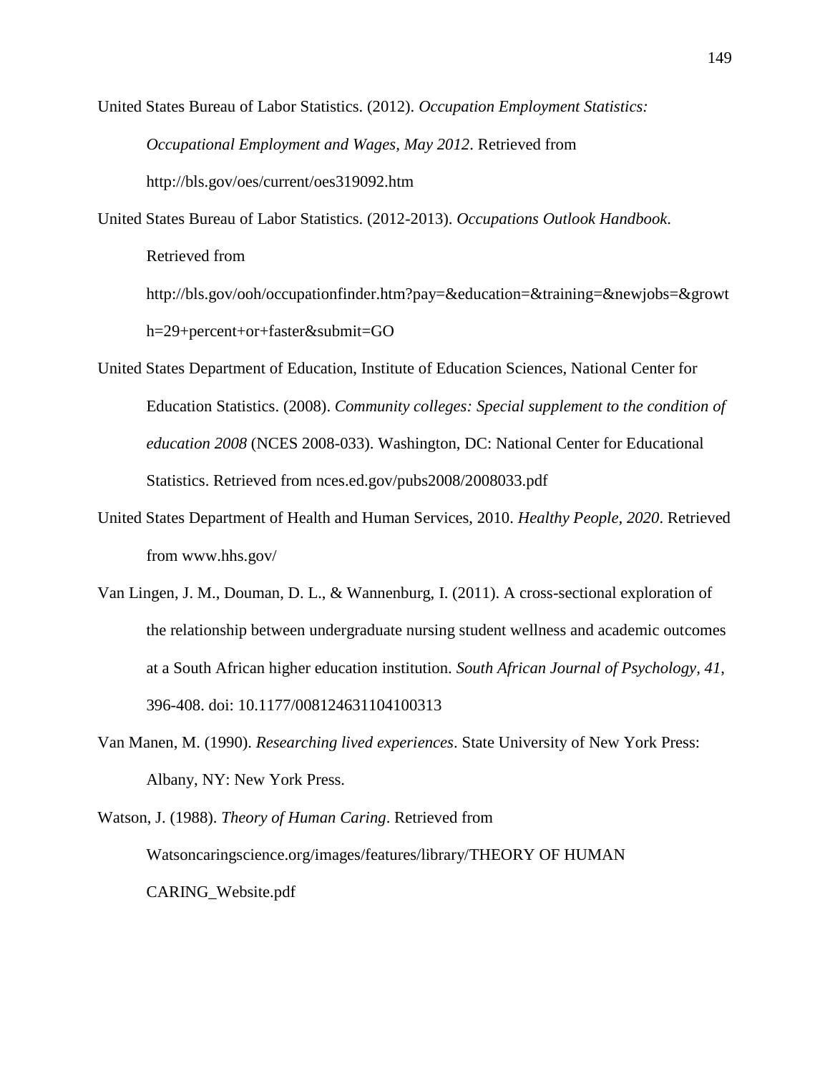United States Bureau of Labor Statistics. (2012). *Occupation Employment Statistics: Occupational Employment and Wages, May 2012*. Retrieved from http://bls.gov/oes/current/oes319092.htm

United States Bureau of Labor Statistics. (2012-2013). *Occupations Outlook Handbook*. Retrieved from http://bls.gov/ooh/occupationfinder.htm?pay=&education=&training=&newjobs=&growt h=29+percent+or+faster&submit=GO

- United States Department of Education, Institute of Education Sciences, National Center for Education Statistics. (2008). *Community colleges: Special supplement to the condition of education 2008* (NCES 2008-033). Washington, DC: National Center for Educational Statistics. Retrieved from nces.ed.gov/pubs2008/2008033.pdf
- United States Department of Health and Human Services, 2010. *Healthy People, 2020*. Retrieved from www.hhs.gov/
- Van Lingen, J. M., Douman, D. L., & Wannenburg, I. (2011). A cross-sectional exploration of the relationship between undergraduate nursing student wellness and academic outcomes at a South African higher education institution. *South African Journal of Psychology, 41*, 396-408. doi: 10.1177/008124631104100313
- Van Manen, M. (1990). *Researching lived experiences*. State University of New York Press: Albany, NY: New York Press.
- Watson, J. (1988). *Theory of Human Caring*. Retrieved from Watsoncaringscience.org/images/features/library/THEORY OF HUMAN CARING\_Website.pdf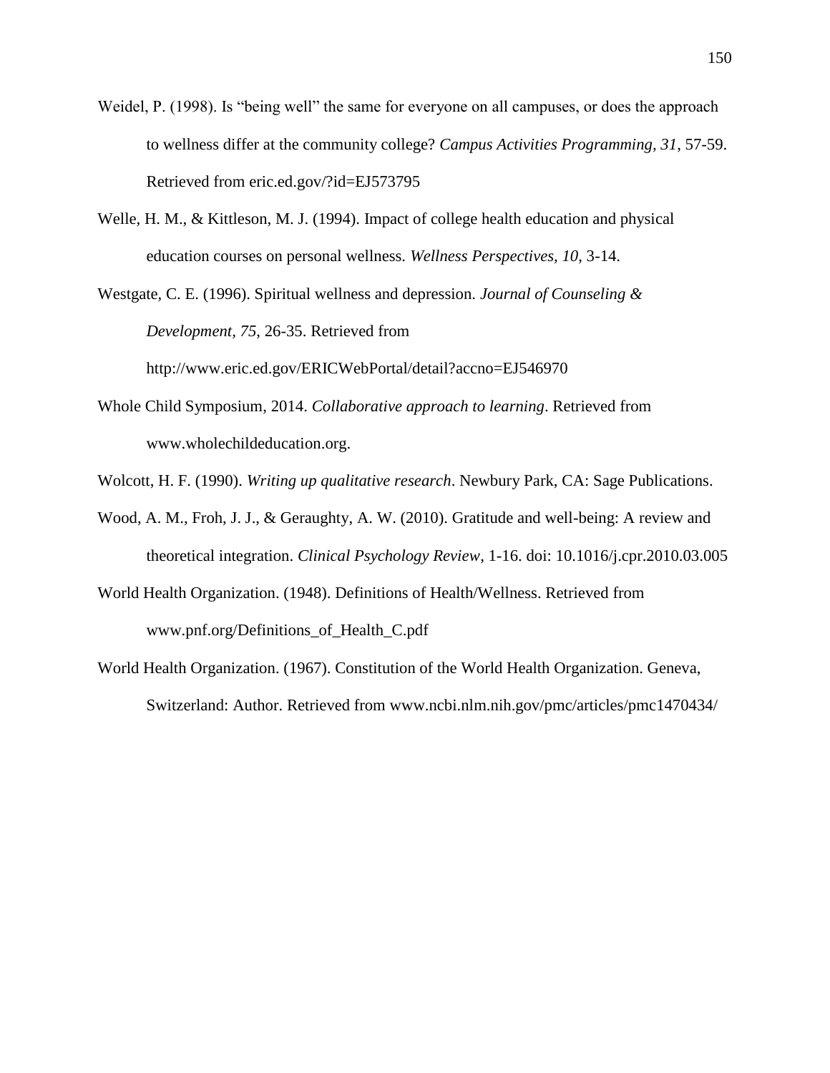- Weidel, P. (1998). Is "being well" the same for everyone on all campuses, or does the approach to wellness differ at the community college? *Campus Activities Programming, 31*, 57-59. Retrieved from eric.ed.gov/?id=EJ573795
- Welle, H. M., & Kittleson, M. J. (1994). Impact of college health education and physical education courses on personal wellness. *Wellness Perspectives, 10*, 3-14.

Westgate, C. E. (1996). Spiritual wellness and depression. *Journal of Counseling & Development, 75*, 26-35. Retrieved from http://www.eric.ed.gov/ERICWebPortal/detail?accno=EJ546970

- Whole Child Symposium, 2014. *Collaborative approach to learning*. Retrieved from www.wholechildeducation.org.
- Wolcott, H. F. (1990). *Writing up qualitative research*. Newbury Park, CA: Sage Publications.
- Wood, A. M., Froh, J. J., & Geraughty, A. W. (2010). Gratitude and well-being: A review and theoretical integration. *Clinical Psychology Review*, 1-16. doi: 10.1016/j.cpr.2010.03.005
- World Health Organization. (1948). Definitions of Health/Wellness. Retrieved from www.pnf.org/Definitions\_of\_Health\_C.pdf
- World Health Organization. (1967). Constitution of the World Health Organization. Geneva, Switzerland: Author. Retrieved from www.ncbi.nlm.nih.gov/pmc/articles/pmc1470434/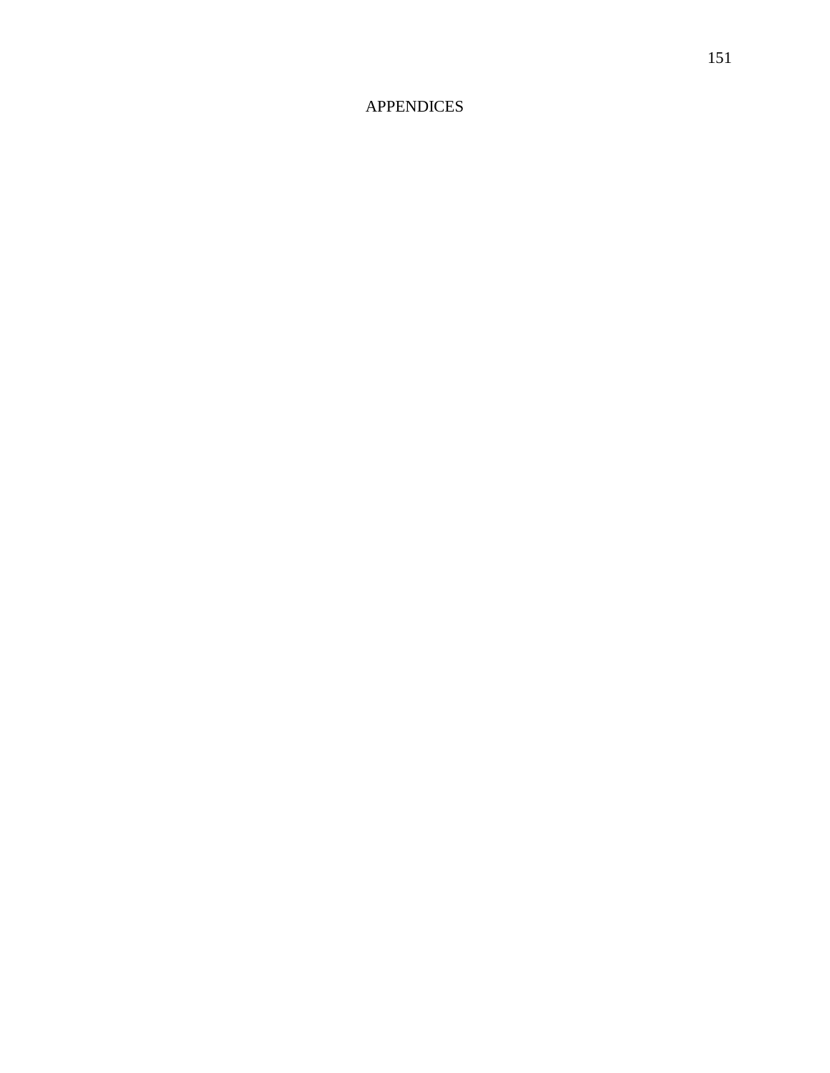# APPENDICES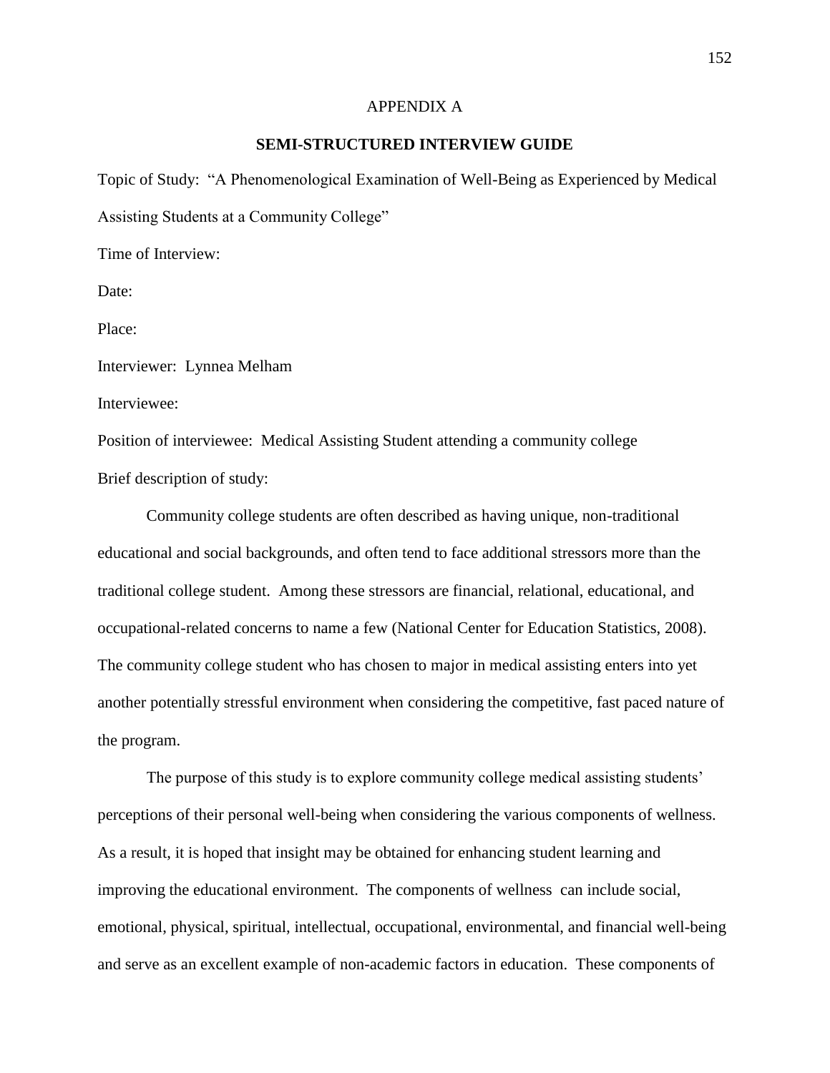# APPENDIX A

### **SEMI-STRUCTURED INTERVIEW GUIDE**

Topic of Study: "A Phenomenological Examination of Well-Being as Experienced by Medical Assisting Students at a Community College"

Time of Interview:

Date:

Place:

Interviewer: Lynnea Melham

Interviewee:

Position of interviewee: Medical Assisting Student attending a community college Brief description of study:

Community college students are often described as having unique, non-traditional educational and social backgrounds, and often tend to face additional stressors more than the traditional college student. Among these stressors are financial, relational, educational, and occupational-related concerns to name a few (National Center for Education Statistics, 2008). The community college student who has chosen to major in medical assisting enters into yet another potentially stressful environment when considering the competitive, fast paced nature of the program.

The purpose of this study is to explore community college medical assisting students' perceptions of their personal well-being when considering the various components of wellness. As a result, it is hoped that insight may be obtained for enhancing student learning and improving the educational environment. The components of wellness can include social, emotional, physical, spiritual, intellectual, occupational, environmental, and financial well-being and serve as an excellent example of non-academic factors in education. These components of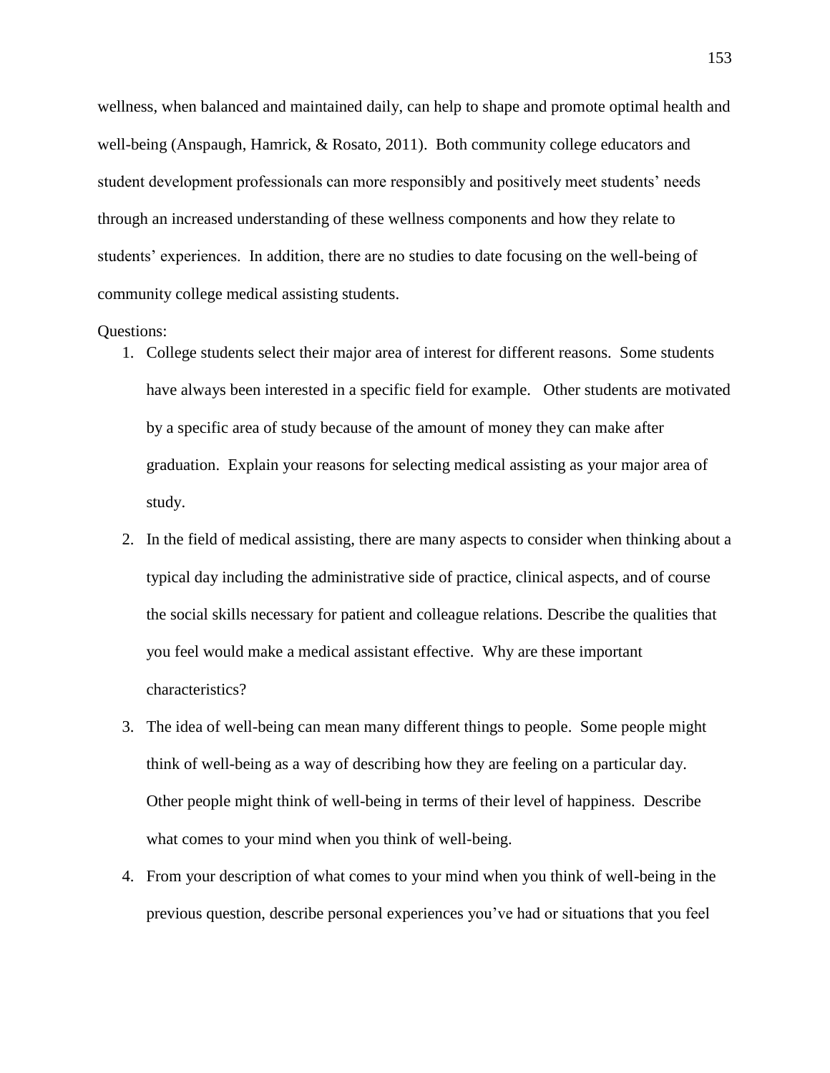wellness, when balanced and maintained daily, can help to shape and promote optimal health and well-being (Anspaugh, Hamrick, & Rosato, 2011). Both community college educators and student development professionals can more responsibly and positively meet students' needs through an increased understanding of these wellness components and how they relate to students' experiences. In addition, there are no studies to date focusing on the well-being of community college medical assisting students.

#### Questions:

- 1. College students select their major area of interest for different reasons. Some students have always been interested in a specific field for example. Other students are motivated by a specific area of study because of the amount of money they can make after graduation. Explain your reasons for selecting medical assisting as your major area of study.
- 2. In the field of medical assisting, there are many aspects to consider when thinking about a typical day including the administrative side of practice, clinical aspects, and of course the social skills necessary for patient and colleague relations. Describe the qualities that you feel would make a medical assistant effective. Why are these important characteristics?
- 3. The idea of well-being can mean many different things to people. Some people might think of well-being as a way of describing how they are feeling on a particular day. Other people might think of well-being in terms of their level of happiness. Describe what comes to your mind when you think of well-being.
- 4. From your description of what comes to your mind when you think of well-being in the previous question, describe personal experiences you've had or situations that you feel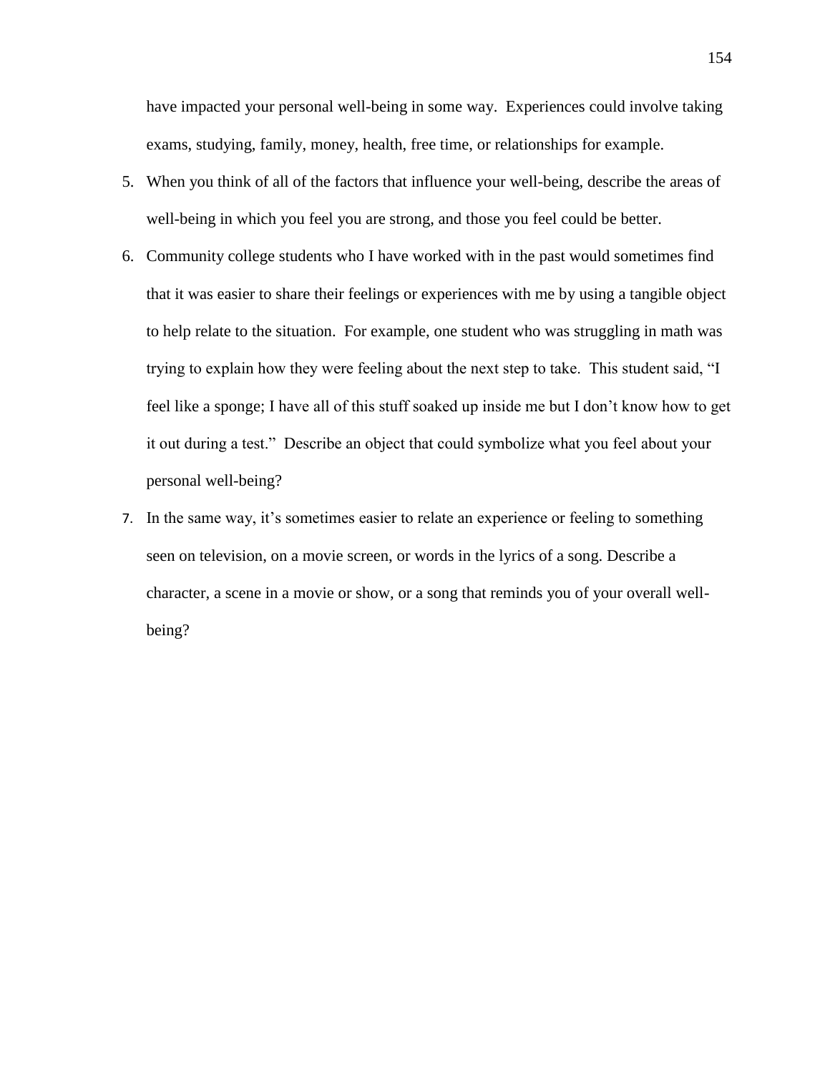have impacted your personal well-being in some way. Experiences could involve taking exams, studying, family, money, health, free time, or relationships for example.

- 5. When you think of all of the factors that influence your well-being, describe the areas of well-being in which you feel you are strong, and those you feel could be better.
- 6. Community college students who I have worked with in the past would sometimes find that it was easier to share their feelings or experiences with me by using a tangible object to help relate to the situation. For example, one student who was struggling in math was trying to explain how they were feeling about the next step to take. This student said, "I feel like a sponge; I have all of this stuff soaked up inside me but I don't know how to get it out during a test." Describe an object that could symbolize what you feel about your personal well-being?
- 7. In the same way, it's sometimes easier to relate an experience or feeling to something seen on television, on a movie screen, or words in the lyrics of a song. Describe a character, a scene in a movie or show, or a song that reminds you of your overall wellbeing?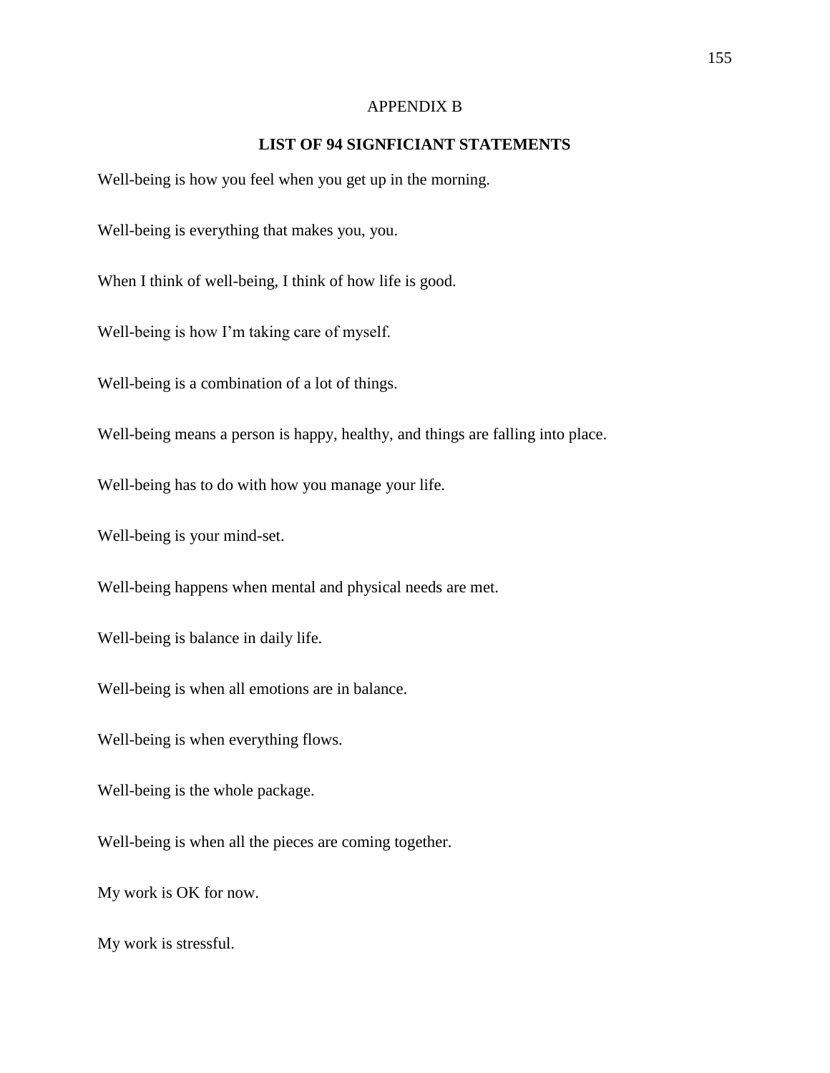## APPENDIX B

# **LIST OF 94 SIGNFICIANT STATEMENTS**

Well-being is how you feel when you get up in the morning.

Well-being is everything that makes you, you.

When I think of well-being, I think of how life is good.

Well-being is how I'm taking care of myself.

Well-being is a combination of a lot of things.

Well-being means a person is happy, healthy, and things are falling into place.

Well-being has to do with how you manage your life.

Well-being is your mind-set.

Well-being happens when mental and physical needs are met.

Well-being is balance in daily life.

Well-being is when all emotions are in balance.

Well-being is when everything flows.

Well-being is the whole package.

Well-being is when all the pieces are coming together.

My work is OK for now.

My work is stressful.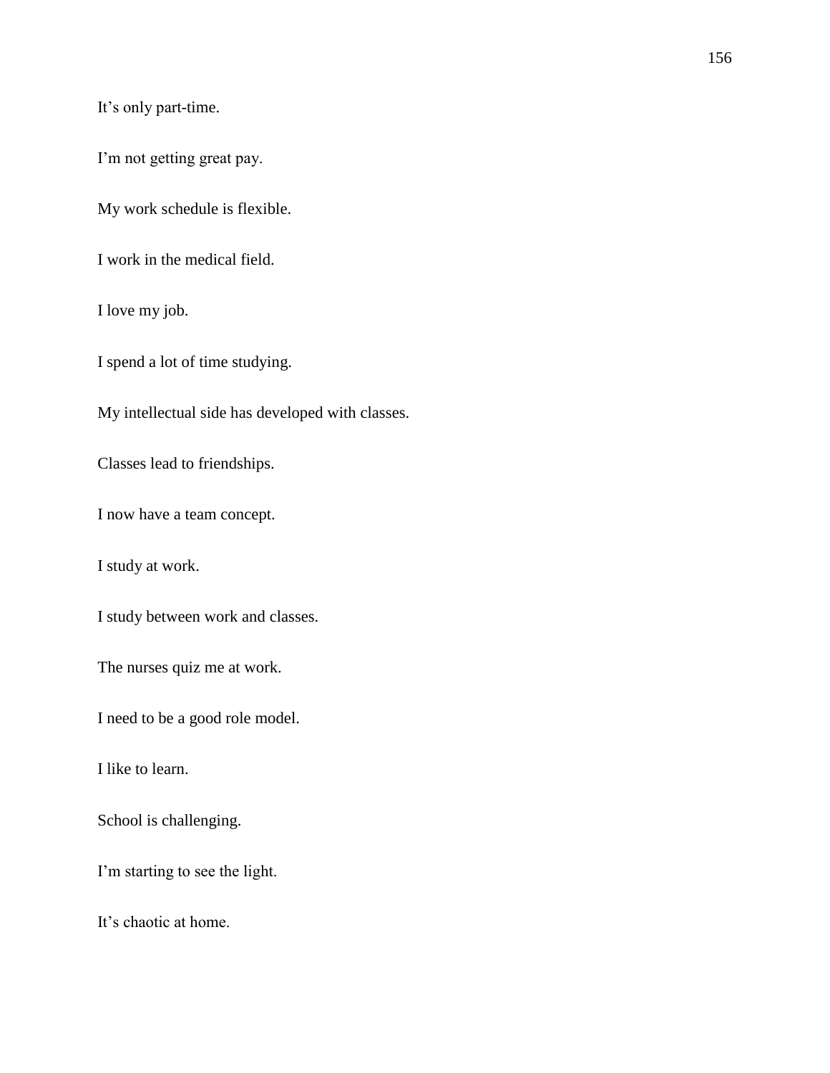It's only part-time.

I'm not getting great pay.

My work schedule is flexible.

I work in the medical field.

I love my job.

I spend a lot of time studying.

My intellectual side has developed with classes.

Classes lead to friendships.

I now have a team concept.

I study at work.

I study between work and classes.

The nurses quiz me at work.

I need to be a good role model.

I like to learn.

School is challenging.

I'm starting to see the light.

It's chaotic at home.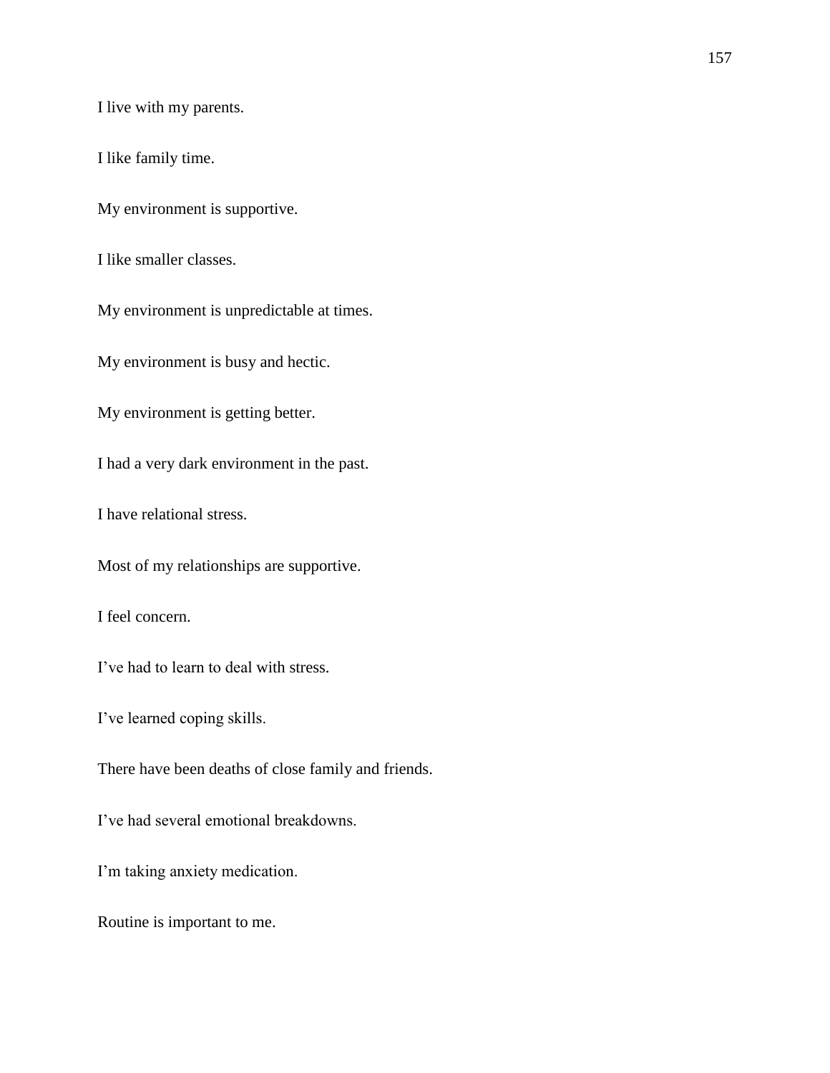I live with my parents.

I like family time.

My environment is supportive.

I like smaller classes.

My environment is unpredictable at times.

My environment is busy and hectic.

My environment is getting better.

I had a very dark environment in the past.

I have relational stress.

Most of my relationships are supportive.

I feel concern.

I've had to learn to deal with stress.

I've learned coping skills.

There have been deaths of close family and friends.

I've had several emotional breakdowns.

I'm taking anxiety medication.

Routine is important to me.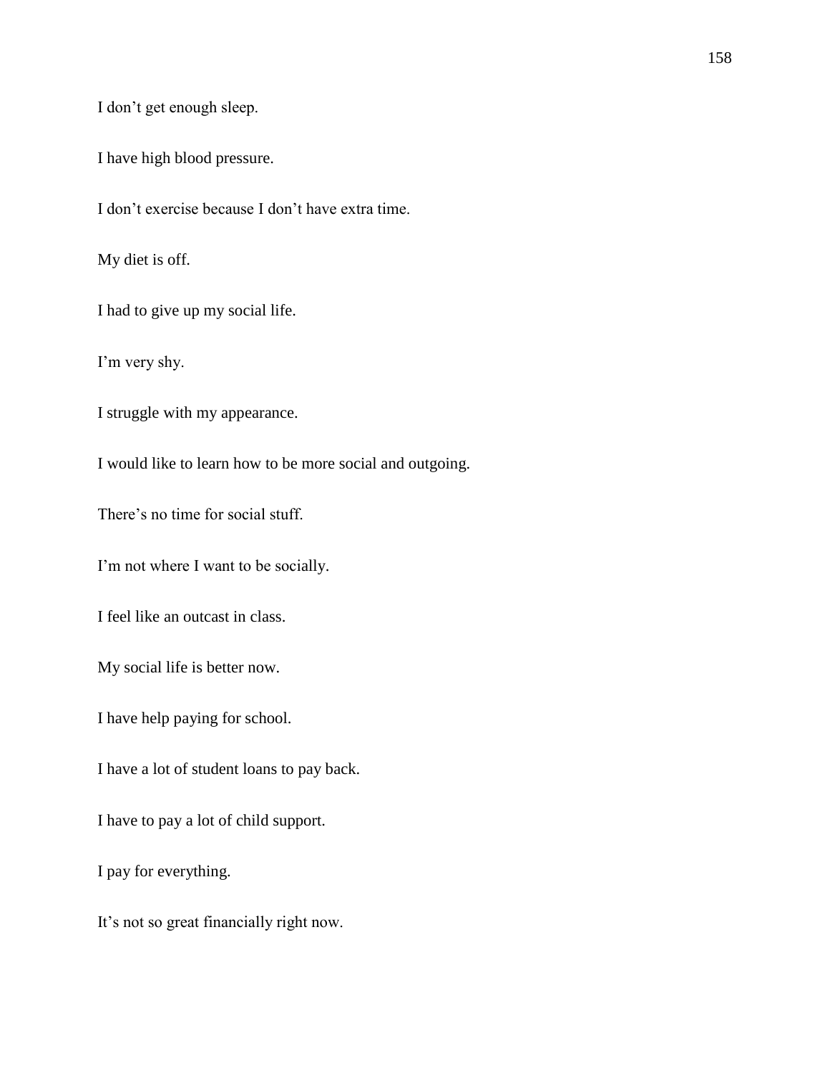I don't get enough sleep.

I have high blood pressure.

I don't exercise because I don't have extra time.

My diet is off.

I had to give up my social life.

I'm very shy.

I struggle with my appearance.

I would like to learn how to be more social and outgoing.

There's no time for social stuff.

I'm not where I want to be socially.

I feel like an outcast in class.

My social life is better now.

I have help paying for school.

I have a lot of student loans to pay back.

I have to pay a lot of child support.

I pay for everything.

It's not so great financially right now.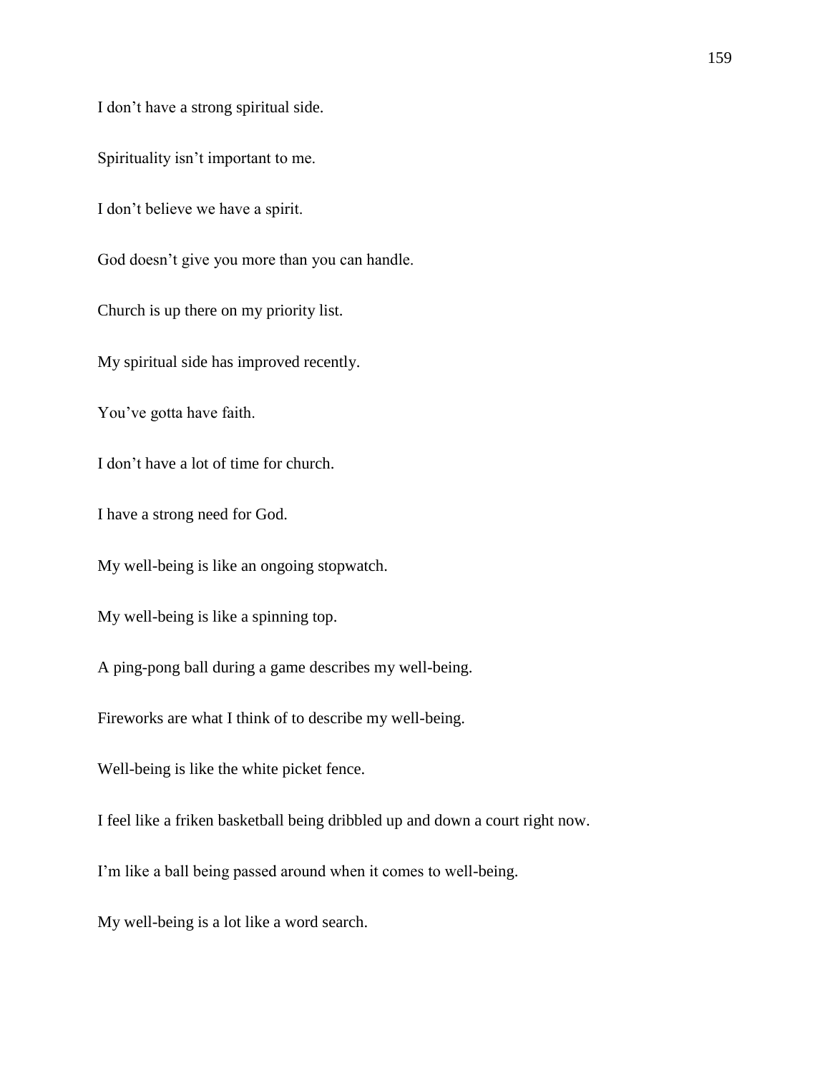I don't have a strong spiritual side.

Spirituality isn't important to me.

I don't believe we have a spirit.

God doesn't give you more than you can handle.

Church is up there on my priority list.

My spiritual side has improved recently.

You've gotta have faith.

I don't have a lot of time for church.

I have a strong need for God.

My well-being is like an ongoing stopwatch.

My well-being is like a spinning top.

A ping-pong ball during a game describes my well-being.

Fireworks are what I think of to describe my well-being.

Well-being is like the white picket fence.

I feel like a friken basketball being dribbled up and down a court right now.

I'm like a ball being passed around when it comes to well-being.

My well-being is a lot like a word search.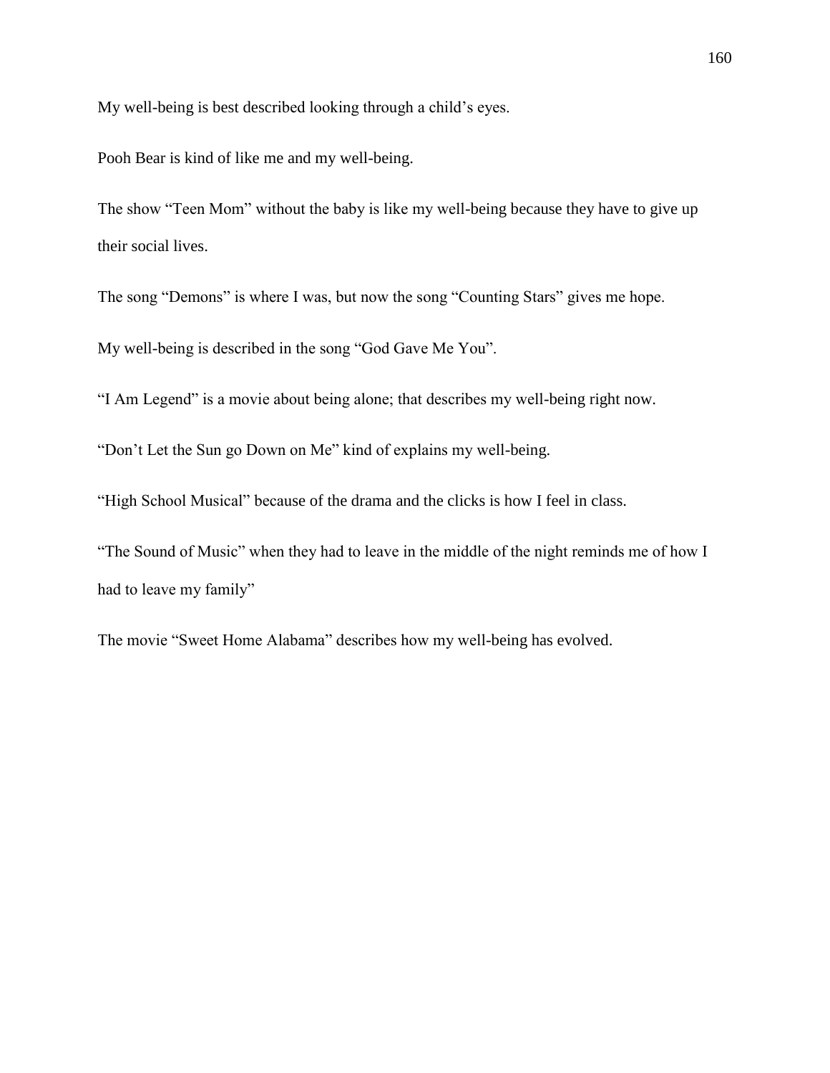My well-being is best described looking through a child's eyes.

Pooh Bear is kind of like me and my well-being.

The show "Teen Mom" without the baby is like my well-being because they have to give up their social lives.

The song "Demons" is where I was, but now the song "Counting Stars" gives me hope.

My well-being is described in the song "God Gave Me You".

"I Am Legend" is a movie about being alone; that describes my well-being right now.

"Don't Let the Sun go Down on Me" kind of explains my well-being.

"High School Musical" because of the drama and the clicks is how I feel in class.

"The Sound of Music" when they had to leave in the middle of the night reminds me of how I had to leave my family"

The movie "Sweet Home Alabama" describes how my well-being has evolved.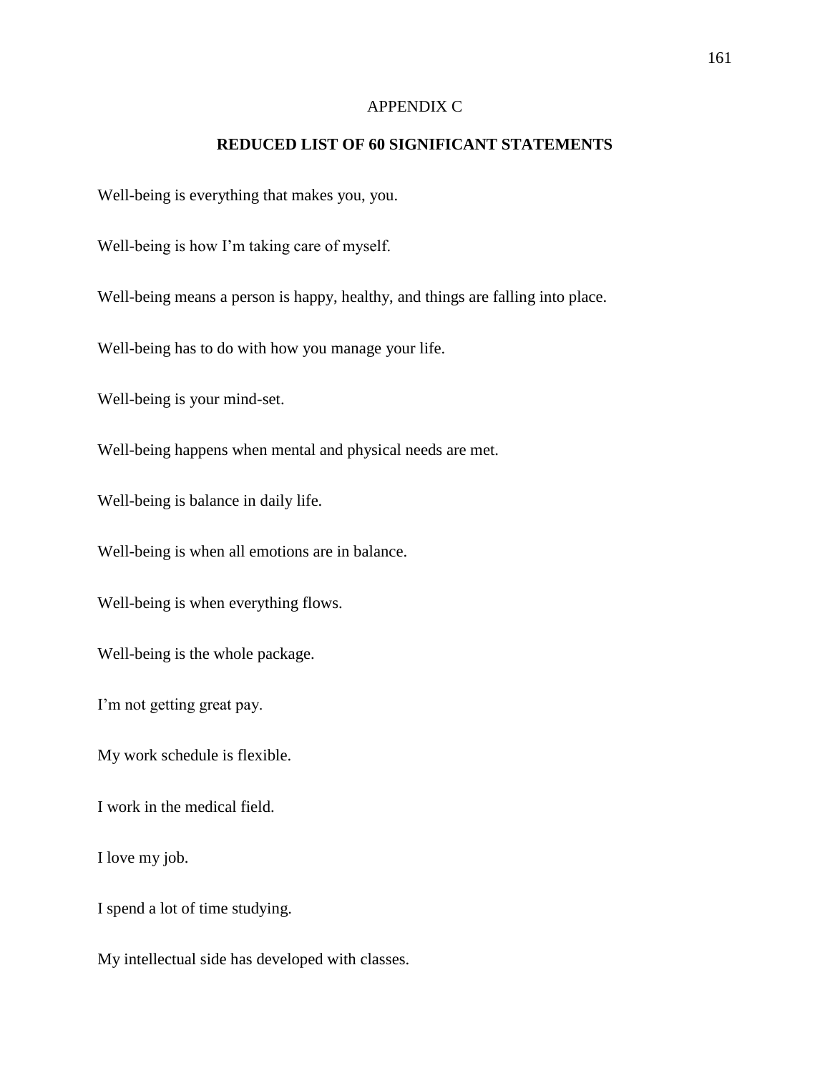# APPENDIX C

# **REDUCED LIST OF 60 SIGNIFICANT STATEMENTS**

Well-being is everything that makes you, you.

Well-being is how I'm taking care of myself.

Well-being means a person is happy, healthy, and things are falling into place.

Well-being has to do with how you manage your life.

Well-being is your mind-set.

Well-being happens when mental and physical needs are met.

Well-being is balance in daily life.

Well-being is when all emotions are in balance.

Well-being is when everything flows.

Well-being is the whole package.

I'm not getting great pay.

My work schedule is flexible.

I work in the medical field.

I love my job.

I spend a lot of time studying.

My intellectual side has developed with classes.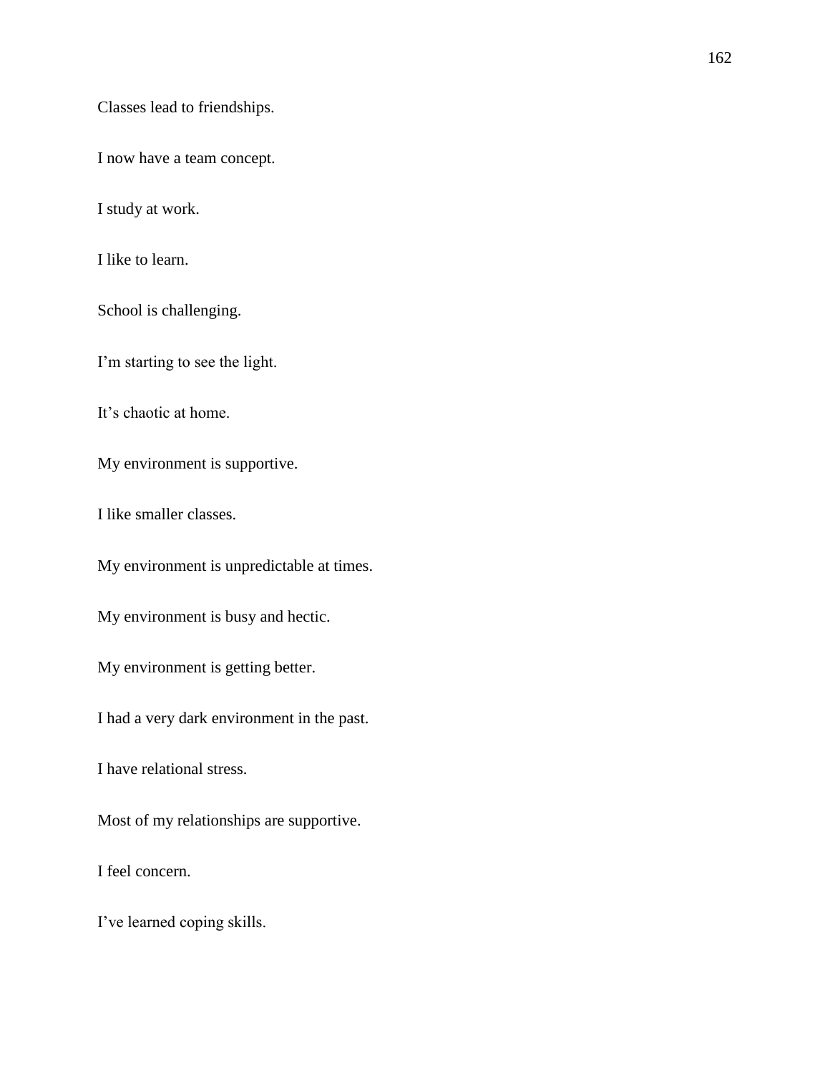Classes lead to friendships.

I now have a team concept.

I study at work.

I like to learn.

School is challenging.

I'm starting to see the light.

It's chaotic at home.

My environment is supportive.

I like smaller classes.

My environment is unpredictable at times.

My environment is busy and hectic.

My environment is getting better.

I had a very dark environment in the past.

I have relational stress.

Most of my relationships are supportive.

I feel concern.

I've learned coping skills.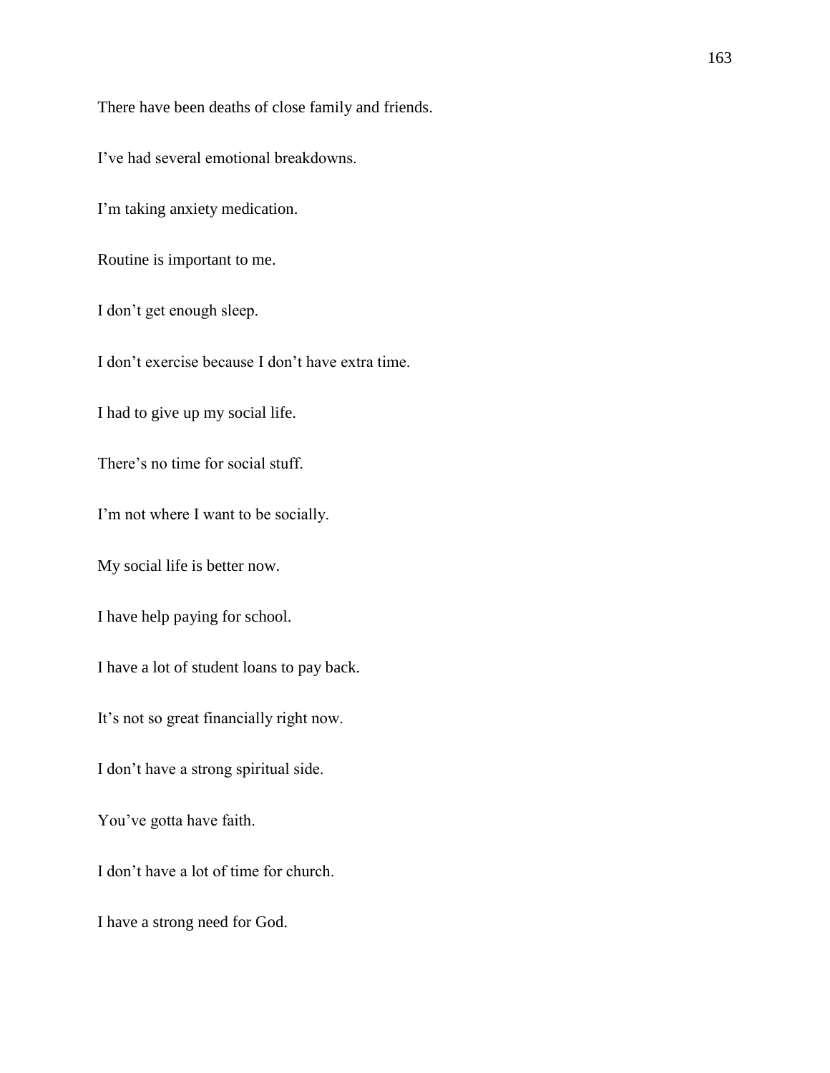There have been deaths of close family and friends.

I've had several emotional breakdowns.

I'm taking anxiety medication.

Routine is important to me.

I don't get enough sleep.

I don't exercise because I don't have extra time.

I had to give up my social life.

There's no time for social stuff.

I'm not where I want to be socially.

My social life is better now.

I have help paying for school.

I have a lot of student loans to pay back.

It's not so great financially right now.

I don't have a strong spiritual side.

You've gotta have faith.

I don't have a lot of time for church.

I have a strong need for God.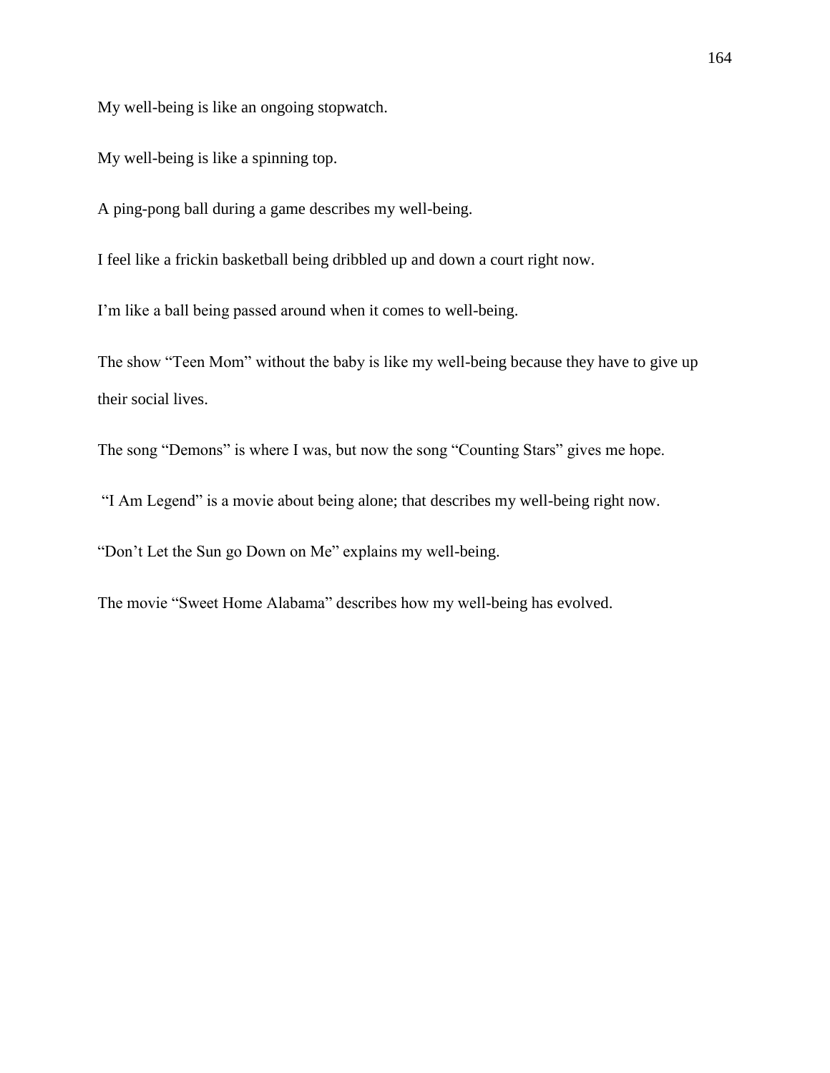My well-being is like an ongoing stopwatch.

My well-being is like a spinning top.

A ping-pong ball during a game describes my well-being.

I feel like a frickin basketball being dribbled up and down a court right now.

I'm like a ball being passed around when it comes to well-being.

The show "Teen Mom" without the baby is like my well-being because they have to give up their social lives.

The song "Demons" is where I was, but now the song "Counting Stars" gives me hope.

"I Am Legend" is a movie about being alone; that describes my well-being right now.

"Don't Let the Sun go Down on Me" explains my well-being.

The movie "Sweet Home Alabama" describes how my well-being has evolved.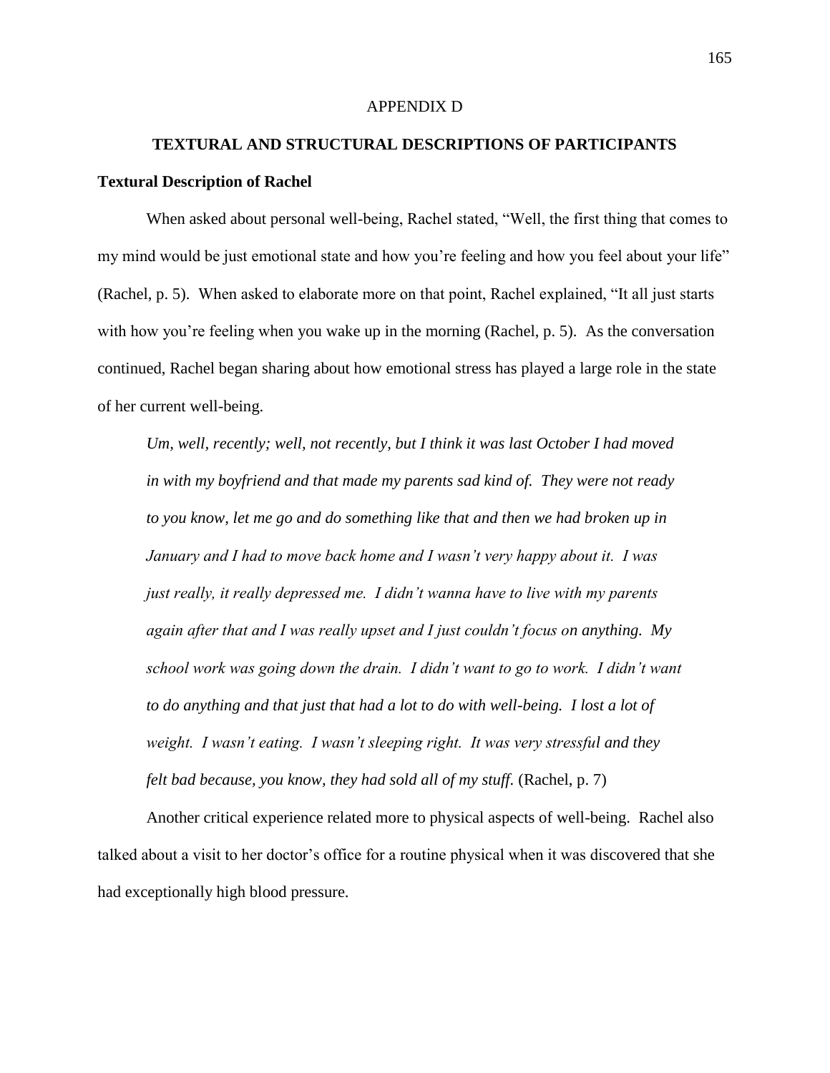#### APPENDIX D

# **TEXTURAL AND STRUCTURAL DESCRIPTIONS OF PARTICIPANTS Textural Description of Rachel**

When asked about personal well-being, Rachel stated, "Well, the first thing that comes to my mind would be just emotional state and how you're feeling and how you feel about your life" (Rachel, p. 5). When asked to elaborate more on that point, Rachel explained, "It all just starts with how you're feeling when you wake up in the morning (Rachel, p. 5). As the conversation continued, Rachel began sharing about how emotional stress has played a large role in the state of her current well-being.

*Um, well, recently; well, not recently, but I think it was last October I had moved in with my boyfriend and that made my parents sad kind of. They were not ready to you know, let me go and do something like that and then we had broken up in January and I had to move back home and I wasn't very happy about it. I was just really, it really depressed me. I didn't wanna have to live with my parents again after that and I was really upset and I just couldn't focus on anything. My school work was going down the drain. I didn't want to go to work. I didn't want to do anything and that just that had a lot to do with well-being. I lost a lot of weight. I wasn't eating. I wasn't sleeping right. It was very stressful and they felt bad because, you know, they had sold all of my stuff.* (Rachel, p. 7)

Another critical experience related more to physical aspects of well-being. Rachel also talked about a visit to her doctor's office for a routine physical when it was discovered that she had exceptionally high blood pressure.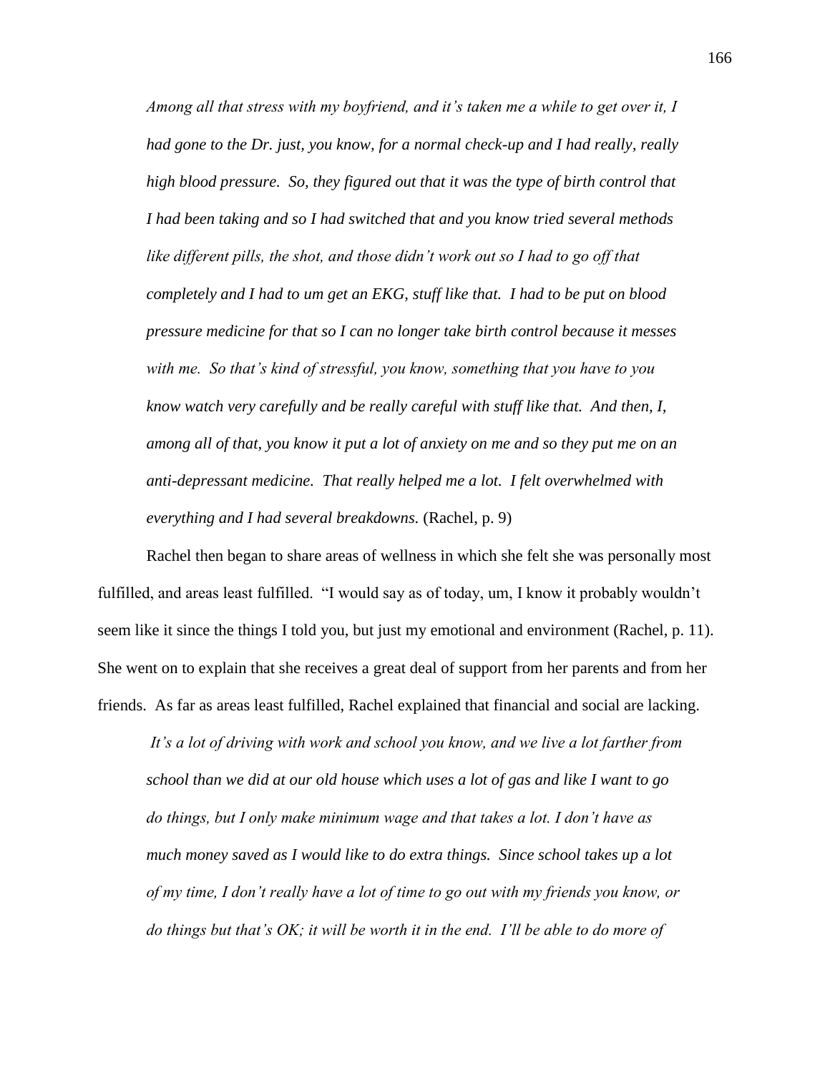*Among all that stress with my boyfriend, and it's taken me a while to get over it, I had gone to the Dr. just, you know, for a normal check-up and I had really, really high blood pressure. So, they figured out that it was the type of birth control that I had been taking and so I had switched that and you know tried several methods* like different pills, the shot, and those didn't work out so I had to go off that *completely and I had to um get an EKG, stuff like that. I had to be put on blood pressure medicine for that so I can no longer take birth control because it messes with me. So that's kind of stressful, you know, something that you have to you know watch very carefully and be really careful with stuff like that. And then, I, among all of that, you know it put a lot of anxiety on me and so they put me on an anti-depressant medicine. That really helped me a lot. I felt overwhelmed with everything and I had several breakdowns.* (Rachel, p. 9)

Rachel then began to share areas of wellness in which she felt she was personally most fulfilled, and areas least fulfilled. "I would say as of today, um, I know it probably wouldn't seem like it since the things I told you, but just my emotional and environment (Rachel, p. 11). She went on to explain that she receives a great deal of support from her parents and from her friends. As far as areas least fulfilled, Rachel explained that financial and social are lacking.

*It's a lot of driving with work and school you know, and we live a lot farther from school than we did at our old house which uses a lot of gas and like I want to go do things, but I only make minimum wage and that takes a lot. I don't have as much money saved as I would like to do extra things. Since school takes up a lot of my time, I don't really have a lot of time to go out with my friends you know, or do things but that's OK; it will be worth it in the end. I'll be able to do more of*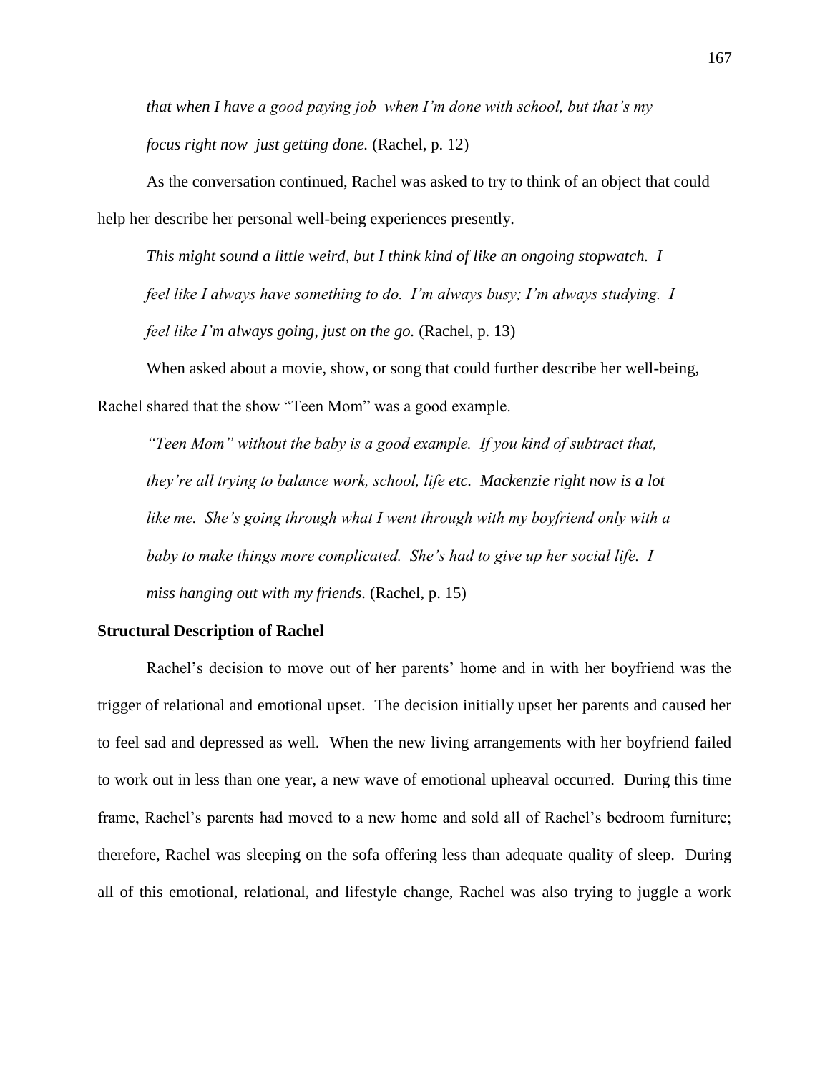*that when I have a good paying job when I'm done with school, but that's my focus right now just getting done.* (Rachel, p. 12)

As the conversation continued, Rachel was asked to try to think of an object that could help her describe her personal well-being experiences presently.

*This might sound a little weird, but I think kind of like an ongoing stopwatch. I feel like I always have something to do. I'm always busy; I'm always studying. I feel like I'm always going, just on the go.* (Rachel, p. 13)

When asked about a movie, show, or song that could further describe her well-being, Rachel shared that the show "Teen Mom" was a good example.

*"Teen Mom" without the baby is a good example. If you kind of subtract that, they're all trying to balance work, school, life etc. Mackenzie right now is a lot like me. She's going through what I went through with my boyfriend only with a baby to make things more complicated. She's had to give up her social life. I miss hanging out with my friends.* (Rachel, p. 15)

#### **Structural Description of Rachel**

Rachel's decision to move out of her parents' home and in with her boyfriend was the trigger of relational and emotional upset. The decision initially upset her parents and caused her to feel sad and depressed as well. When the new living arrangements with her boyfriend failed to work out in less than one year, a new wave of emotional upheaval occurred. During this time frame, Rachel's parents had moved to a new home and sold all of Rachel's bedroom furniture; therefore, Rachel was sleeping on the sofa offering less than adequate quality of sleep. During all of this emotional, relational, and lifestyle change, Rachel was also trying to juggle a work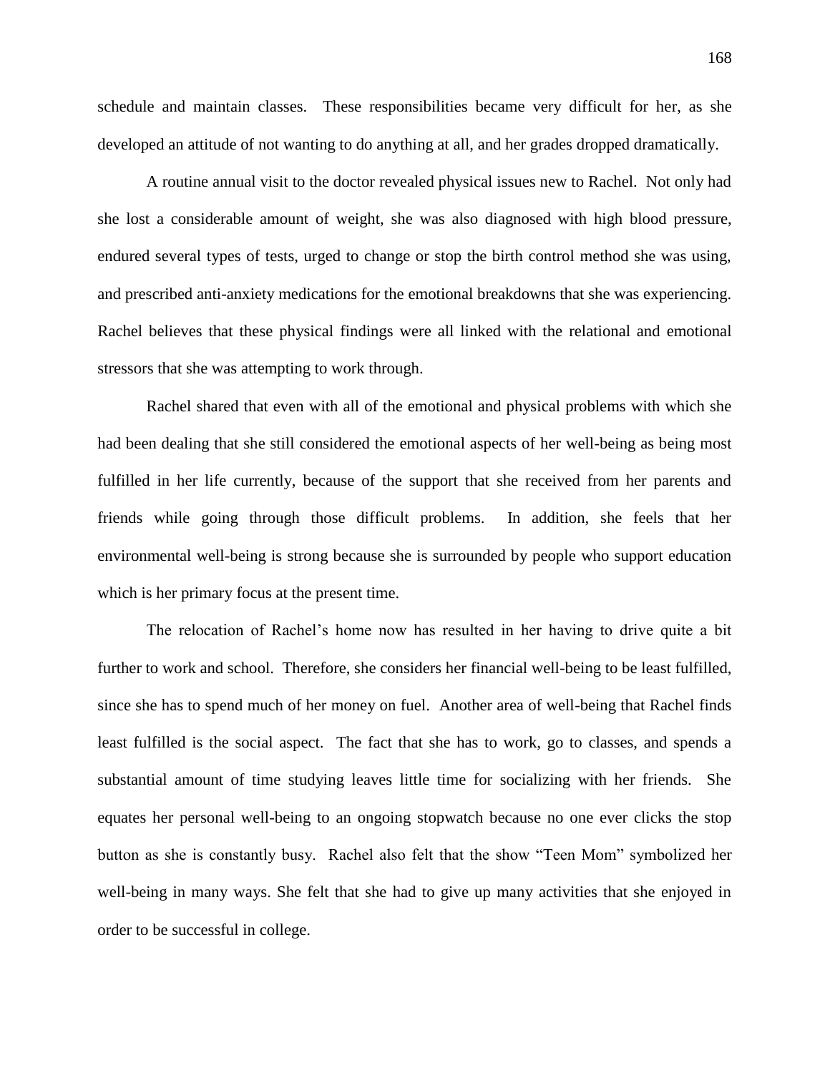schedule and maintain classes. These responsibilities became very difficult for her, as she developed an attitude of not wanting to do anything at all, and her grades dropped dramatically.

A routine annual visit to the doctor revealed physical issues new to Rachel. Not only had she lost a considerable amount of weight, she was also diagnosed with high blood pressure, endured several types of tests, urged to change or stop the birth control method she was using, and prescribed anti-anxiety medications for the emotional breakdowns that she was experiencing. Rachel believes that these physical findings were all linked with the relational and emotional stressors that she was attempting to work through.

Rachel shared that even with all of the emotional and physical problems with which she had been dealing that she still considered the emotional aspects of her well-being as being most fulfilled in her life currently, because of the support that she received from her parents and friends while going through those difficult problems. In addition, she feels that her environmental well-being is strong because she is surrounded by people who support education which is her primary focus at the present time.

The relocation of Rachel's home now has resulted in her having to drive quite a bit further to work and school. Therefore, she considers her financial well-being to be least fulfilled, since she has to spend much of her money on fuel. Another area of well-being that Rachel finds least fulfilled is the social aspect. The fact that she has to work, go to classes, and spends a substantial amount of time studying leaves little time for socializing with her friends. She equates her personal well-being to an ongoing stopwatch because no one ever clicks the stop button as she is constantly busy. Rachel also felt that the show "Teen Mom" symbolized her well-being in many ways. She felt that she had to give up many activities that she enjoyed in order to be successful in college.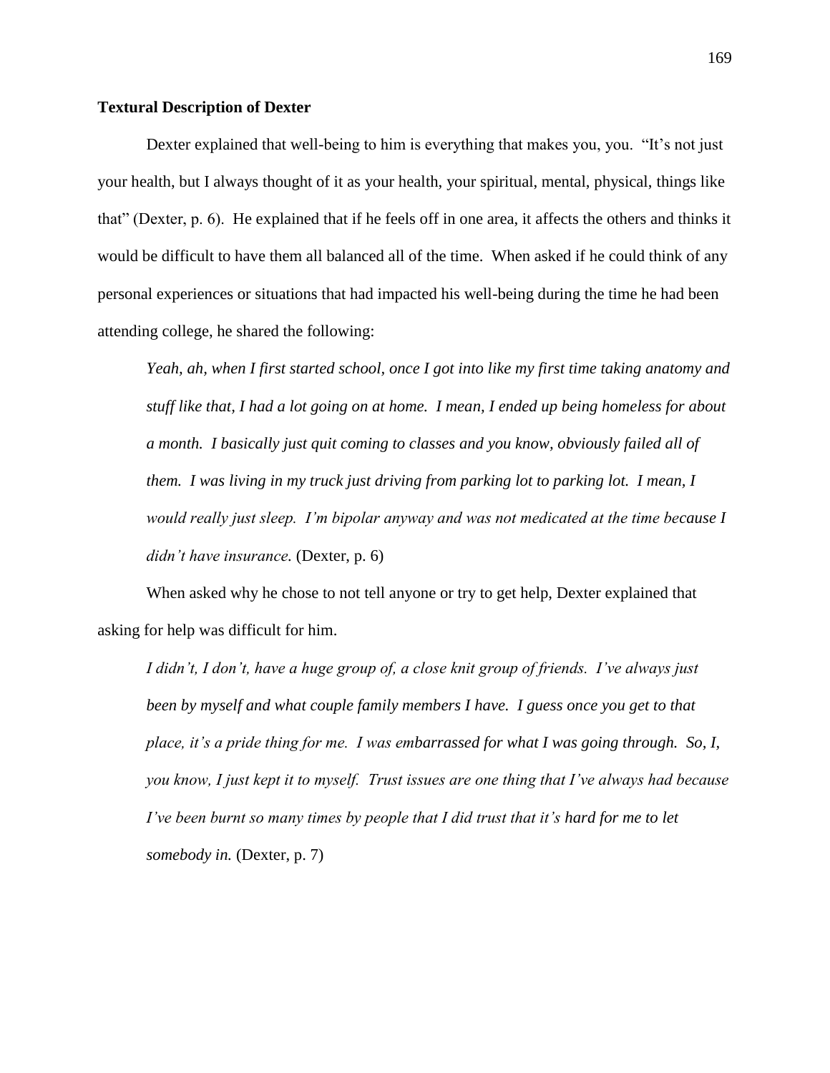#### **Textural Description of Dexter**

Dexter explained that well-being to him is everything that makes you, you. "It's not just your health, but I always thought of it as your health, your spiritual, mental, physical, things like that" (Dexter, p. 6). He explained that if he feels off in one area, it affects the others and thinks it would be difficult to have them all balanced all of the time. When asked if he could think of any personal experiences or situations that had impacted his well-being during the time he had been attending college, he shared the following:

*Yeah, ah, when I first started school, once I got into like my first time taking anatomy and stuff like that, I had a lot going on at home. I mean, I ended up being homeless for about a month. I basically just quit coming to classes and you know, obviously failed all of them. I was living in my truck just driving from parking lot to parking lot. I mean, I would really just sleep. I'm bipolar anyway and was not medicated at the time because I didn't have insurance.* (Dexter, p. 6)

When asked why he chose to not tell anyone or try to get help, Dexter explained that asking for help was difficult for him.

*I didn't, I don't, have a huge group of, a close knit group of friends. I've always just been by myself and what couple family members I have. I guess once you get to that place, it's a pride thing for me. I was embarrassed for what I was going through. So, I, you know, I just kept it to myself. Trust issues are one thing that I've always had because I've been burnt so many times by people that I did trust that it's hard for me to let somebody in.* (Dexter, p. 7)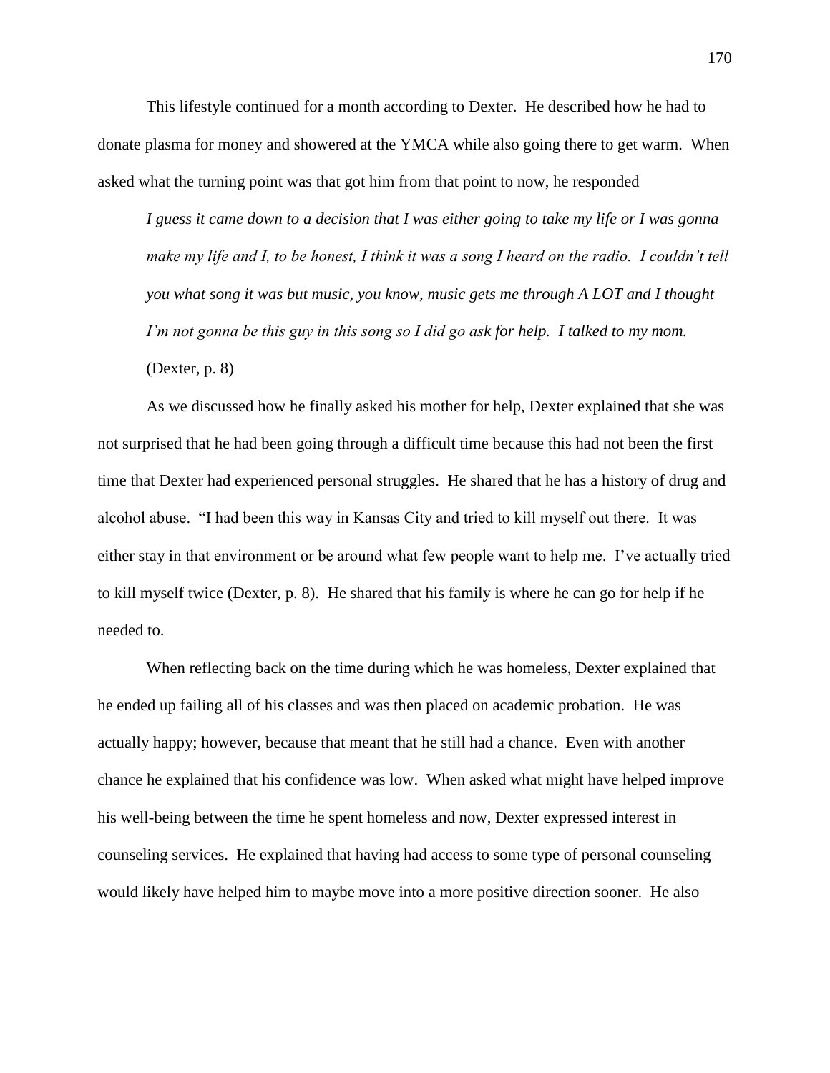This lifestyle continued for a month according to Dexter. He described how he had to donate plasma for money and showered at the YMCA while also going there to get warm. When asked what the turning point was that got him from that point to now, he responded

*I guess it came down to a decision that I was either going to take my life or I was gonna make my life and I, to be honest, I think it was a song I heard on the radio. I couldn't tell you what song it was but music, you know, music gets me through A LOT and I thought I'm not gonna be this guy in this song so I did go ask for help. I talked to my mom.*

(Dexter, p. 8)

As we discussed how he finally asked his mother for help, Dexter explained that she was not surprised that he had been going through a difficult time because this had not been the first time that Dexter had experienced personal struggles. He shared that he has a history of drug and alcohol abuse. "I had been this way in Kansas City and tried to kill myself out there. It was either stay in that environment or be around what few people want to help me. I've actually tried to kill myself twice (Dexter, p. 8). He shared that his family is where he can go for help if he needed to.

When reflecting back on the time during which he was homeless, Dexter explained that he ended up failing all of his classes and was then placed on academic probation. He was actually happy; however, because that meant that he still had a chance. Even with another chance he explained that his confidence was low. When asked what might have helped improve his well-being between the time he spent homeless and now, Dexter expressed interest in counseling services. He explained that having had access to some type of personal counseling would likely have helped him to maybe move into a more positive direction sooner. He also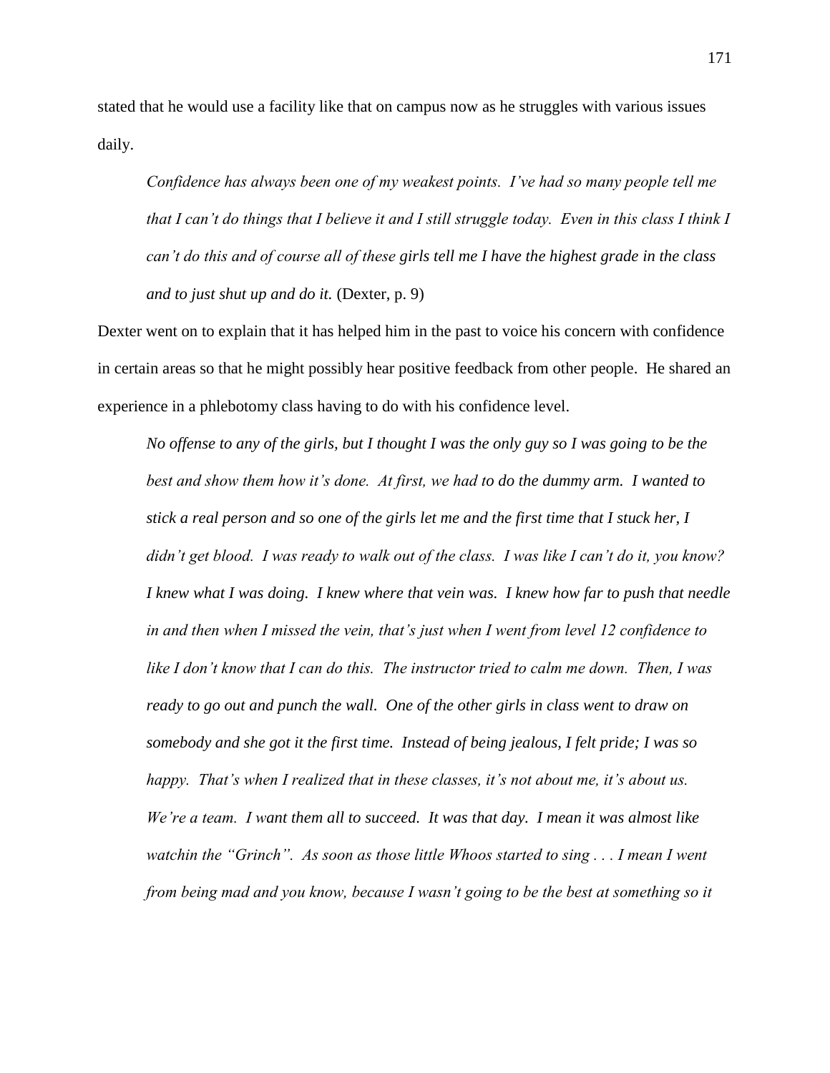stated that he would use a facility like that on campus now as he struggles with various issues daily.

*Confidence has always been one of my weakest points. I've had so many people tell me that I can't do things that I believe it and I still struggle today. Even in this class I think I can't do this and of course all of these girls tell me I have the highest grade in the class and to just shut up and do it.* (Dexter, p. 9)

Dexter went on to explain that it has helped him in the past to voice his concern with confidence in certain areas so that he might possibly hear positive feedback from other people. He shared an experience in a phlebotomy class having to do with his confidence level.

*No offense to any of the girls, but I thought I was the only guy so I was going to be the best and show them how it's done. At first, we had to do the dummy arm. I wanted to stick a real person and so one of the girls let me and the first time that I stuck her, I didn't get blood. I was ready to walk out of the class. I was like I can't do it, you know? I knew what I was doing. I knew where that vein was. I knew how far to push that needle in and then when I missed the vein, that's just when I went from level 12 confidence to like I don't know that I can do this. The instructor tried to calm me down. Then, I was ready to go out and punch the wall. One of the other girls in class went to draw on somebody and she got it the first time. Instead of being jealous, I felt pride; I was so happy. That's when I realized that in these classes, it's not about me, it's about us. We're a team. I want them all to succeed. It was that day. I mean it was almost like watchin the "Grinch". As soon as those little Whoos started to sing . . . I mean I went from being mad and you know, because I wasn't going to be the best at something so it*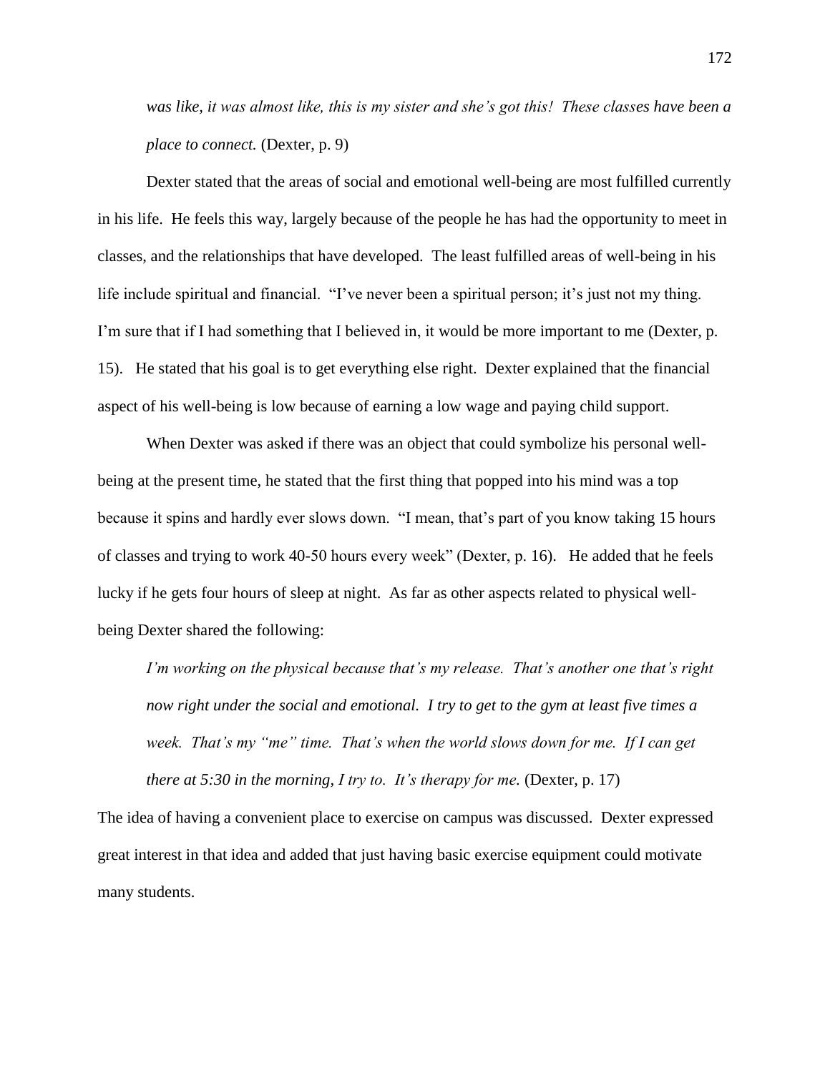*was like, it was almost like, this is my sister and she's got this! These classes have been a place to connect.* (Dexter, p. 9)

Dexter stated that the areas of social and emotional well-being are most fulfilled currently in his life. He feels this way, largely because of the people he has had the opportunity to meet in classes, and the relationships that have developed. The least fulfilled areas of well-being in his life include spiritual and financial. "I've never been a spiritual person; it's just not my thing. I'm sure that if I had something that I believed in, it would be more important to me (Dexter, p. 15). He stated that his goal is to get everything else right. Dexter explained that the financial aspect of his well-being is low because of earning a low wage and paying child support.

When Dexter was asked if there was an object that could symbolize his personal wellbeing at the present time, he stated that the first thing that popped into his mind was a top because it spins and hardly ever slows down. "I mean, that's part of you know taking 15 hours of classes and trying to work 40-50 hours every week" (Dexter, p. 16). He added that he feels lucky if he gets four hours of sleep at night. As far as other aspects related to physical wellbeing Dexter shared the following:

*I'm working on the physical because that's my release. That's another one that's right now right under the social and emotional. I try to get to the gym at least five times a week. That's my "me" time. That's when the world slows down for me. If I can get there at 5:30 in the morning, I try to. It's therapy for me.* (Dexter, p. 17)

The idea of having a convenient place to exercise on campus was discussed. Dexter expressed great interest in that idea and added that just having basic exercise equipment could motivate many students.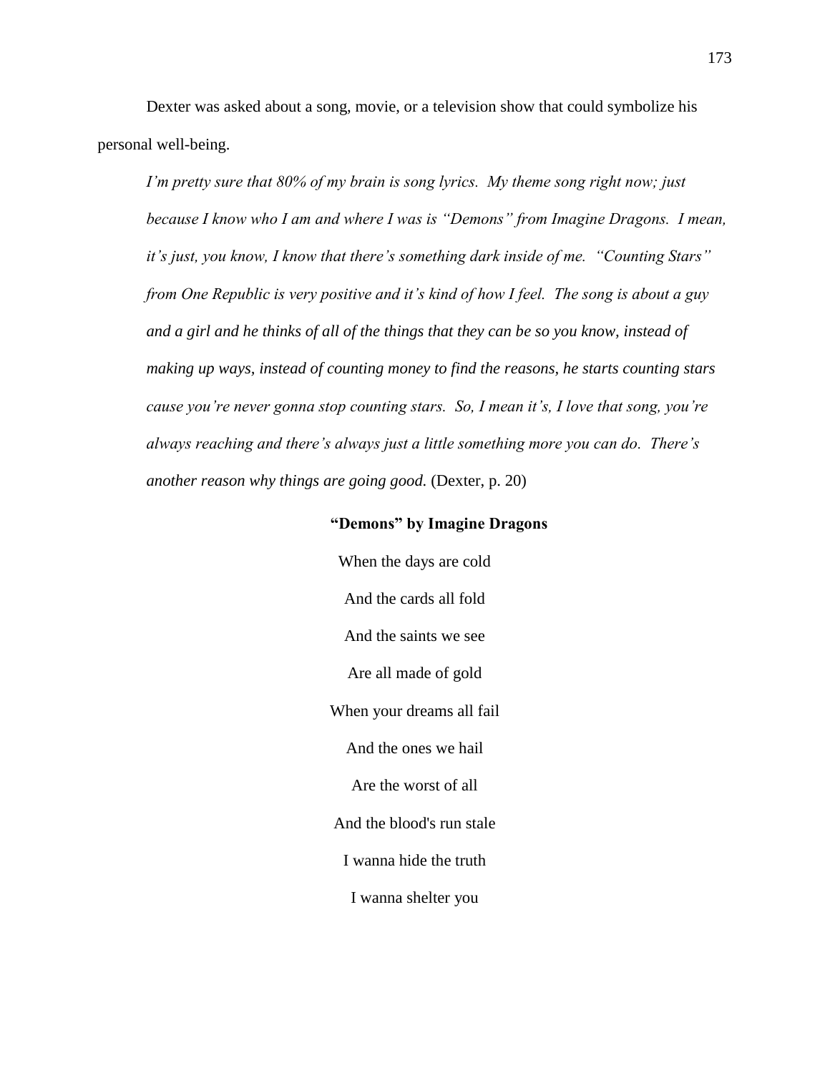Dexter was asked about a song, movie, or a television show that could symbolize his personal well-being.

*I'm pretty sure that 80% of my brain is song lyrics. My theme song right now; just because I know who I am and where I was is "Demons" from Imagine Dragons. I mean, it's just, you know, I know that there's something dark inside of me. "Counting Stars" from One Republic is very positive and it's kind of how I feel. The song is about a guy and a girl and he thinks of all of the things that they can be so you know, instead of making up ways, instead of counting money to find the reasons, he starts counting stars cause you're never gonna stop counting stars. So, I mean it's, I love that song, you're always reaching and there's always just a little something more you can do. There's another reason why things are going good.* (Dexter, p. 20)

#### **"Demons" by Imagine Dragons**

When the days are cold And the cards all fold And the saints we see Are all made of gold When your dreams all fail And the ones we hail Are the worst of all And the blood's run stale I wanna hide the truth I wanna shelter you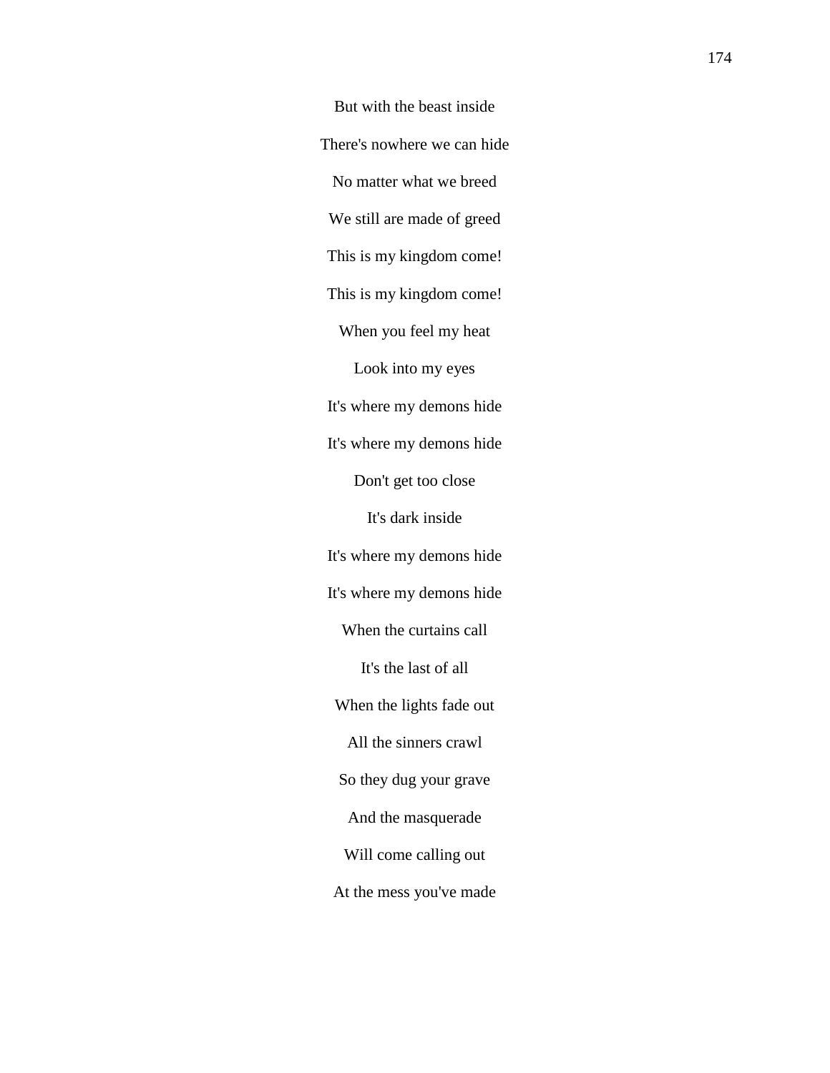But with the beast inside There's nowhere we can hide No matter what we breed We still are made of greed This is my kingdom come! This is my kingdom come! When you feel my heat Look into my eyes It's where my demons hide It's where my demons hide Don't get too close It's dark inside It's where my demons hide It's where my demons hide When the curtains call It's the last of all When the lights fade out All the sinners crawl So they dug your grave And the masquerade Will come calling out At the mess you've made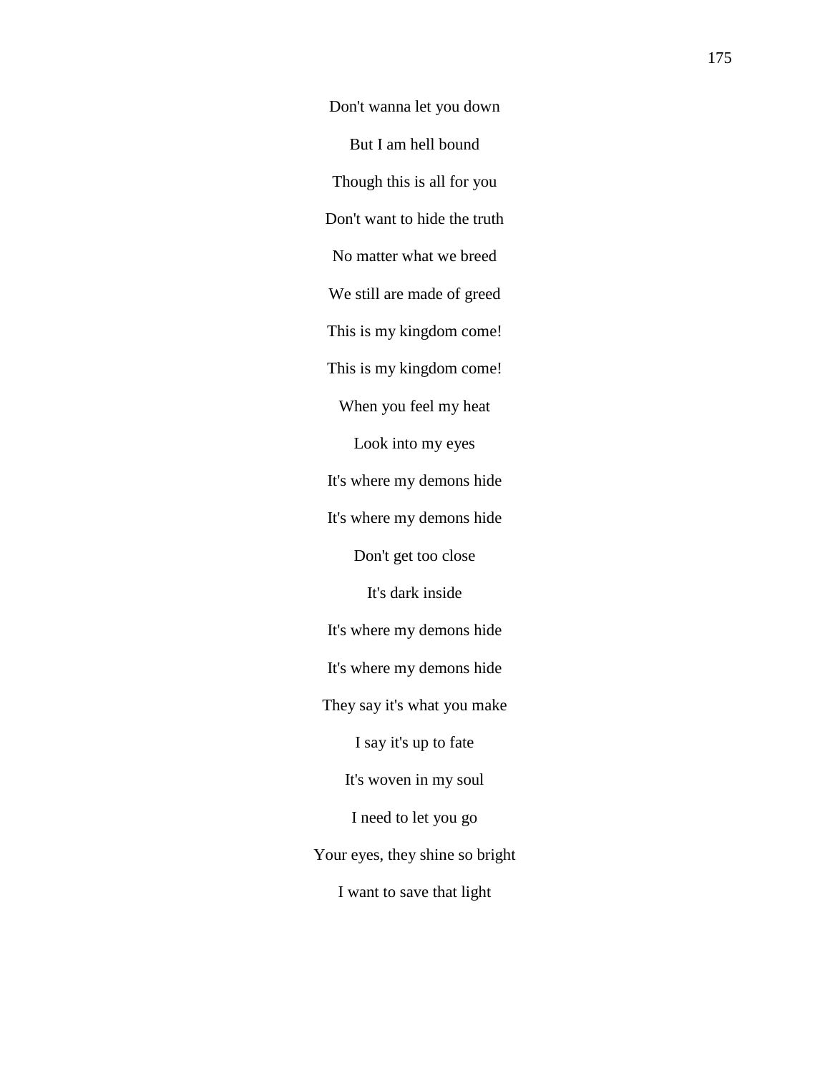Don't wanna let you down But I am hell bound Though this is all for you Don't want to hide the truth No matter what we breed We still are made of greed This is my kingdom come! This is my kingdom come! When you feel my heat Look into my eyes It's where my demons hide It's where my demons hide Don't get too close It's dark inside It's where my demons hide It's where my demons hide They say it's what you make I say it's up to fate It's woven in my soul I need to let you go Your eyes, they shine so bright I want to save that light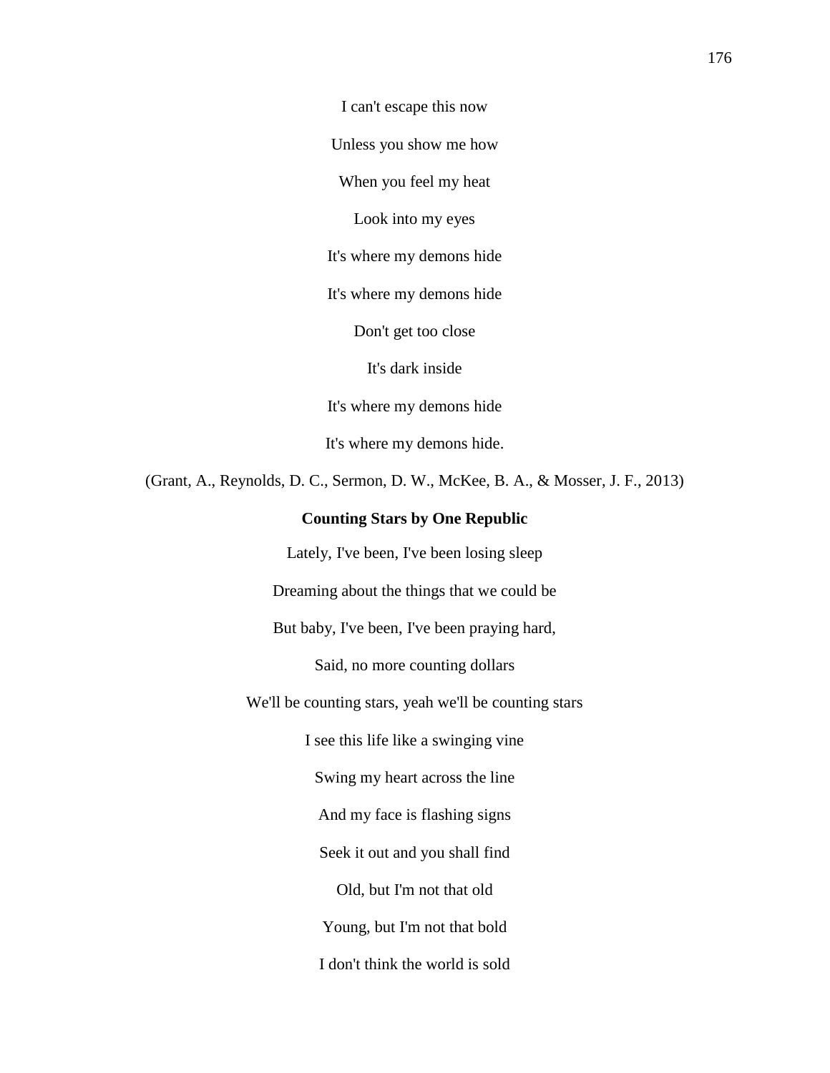I can't escape this now

Unless you show me how

When you feel my heat

Look into my eyes

It's where my demons hide

It's where my demons hide

Don't get too close

It's dark inside

It's where my demons hide

It's where my demons hide.

(Grant, A., Reynolds, D. C., Sermon, D. W., McKee, B. A., & Mosser, J. F., 2013)

## **Counting Stars by One Republic**

Lately, I've been, I've been losing sleep Dreaming about the things that we could be But baby, I've been, I've been praying hard, Said, no more counting dollars We'll be counting stars, yeah we'll be counting stars I see this life like a swinging vine Swing my heart across the line And my face is flashing signs Seek it out and you shall find Old, but I'm not that old Young, but I'm not that bold

I don't think the world is sold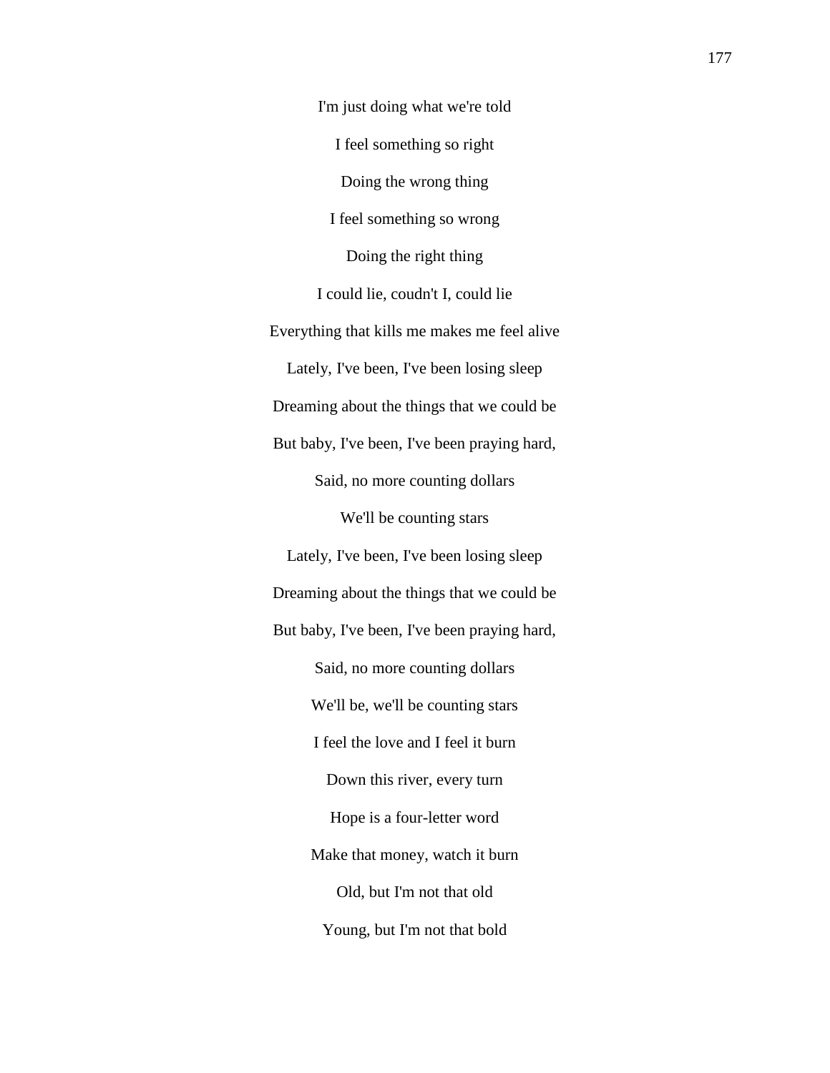I'm just doing what we're told I feel something so right Doing the wrong thing I feel something so wrong Doing the right thing I could lie, coudn't I, could lie Everything that kills me makes me feel alive Lately, I've been, I've been losing sleep Dreaming about the things that we could be But baby, I've been, I've been praying hard, Said, no more counting dollars We'll be counting stars Lately, I've been, I've been losing sleep Dreaming about the things that we could be But baby, I've been, I've been praying hard, Said, no more counting dollars We'll be, we'll be counting stars I feel the love and I feel it burn Down this river, every turn Hope is a four-letter word Make that money, watch it burn Old, but I'm not that old Young, but I'm not that bold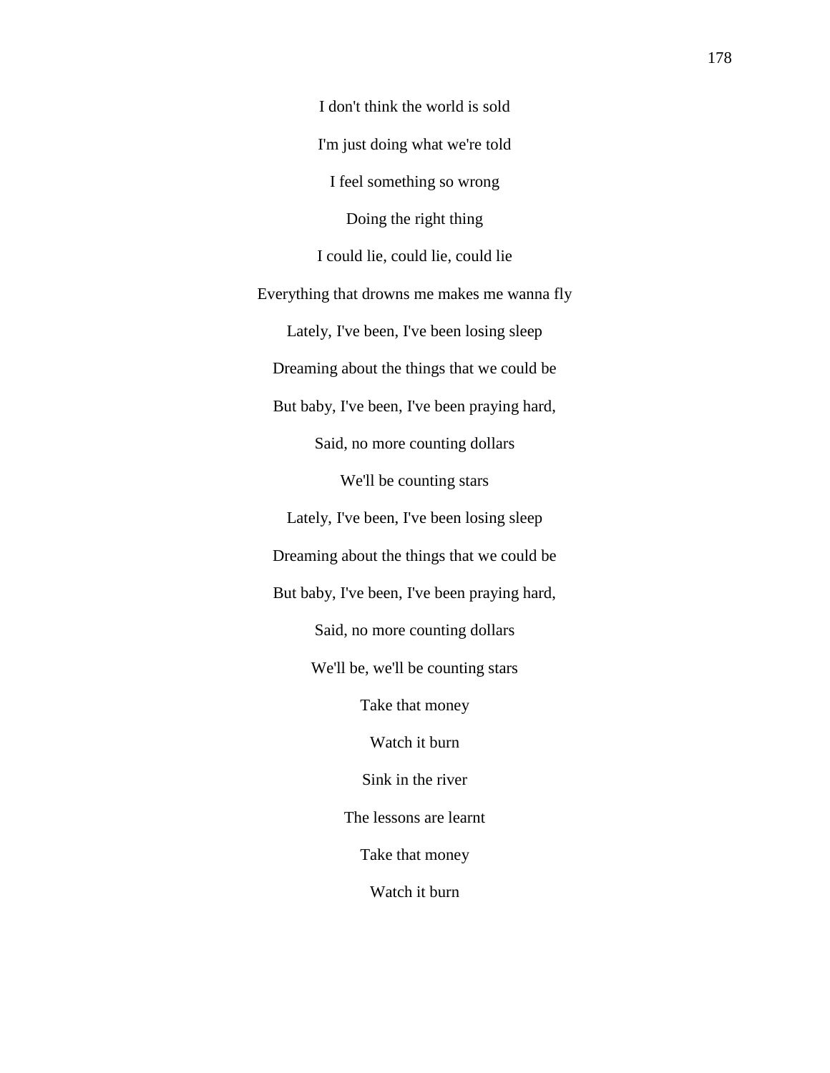I don't think the world is sold I'm just doing what we're told I feel something so wrong Doing the right thing I could lie, could lie, could lie Everything that drowns me makes me wanna fly Lately, I've been, I've been losing sleep Dreaming about the things that we could be But baby, I've been, I've been praying hard, Said, no more counting dollars We'll be counting stars Lately, I've been, I've been losing sleep Dreaming about the things that we could be But baby, I've been, I've been praying hard, Said, no more counting dollars We'll be, we'll be counting stars Take that money Watch it burn Sink in the river The lessons are learnt Take that money Watch it burn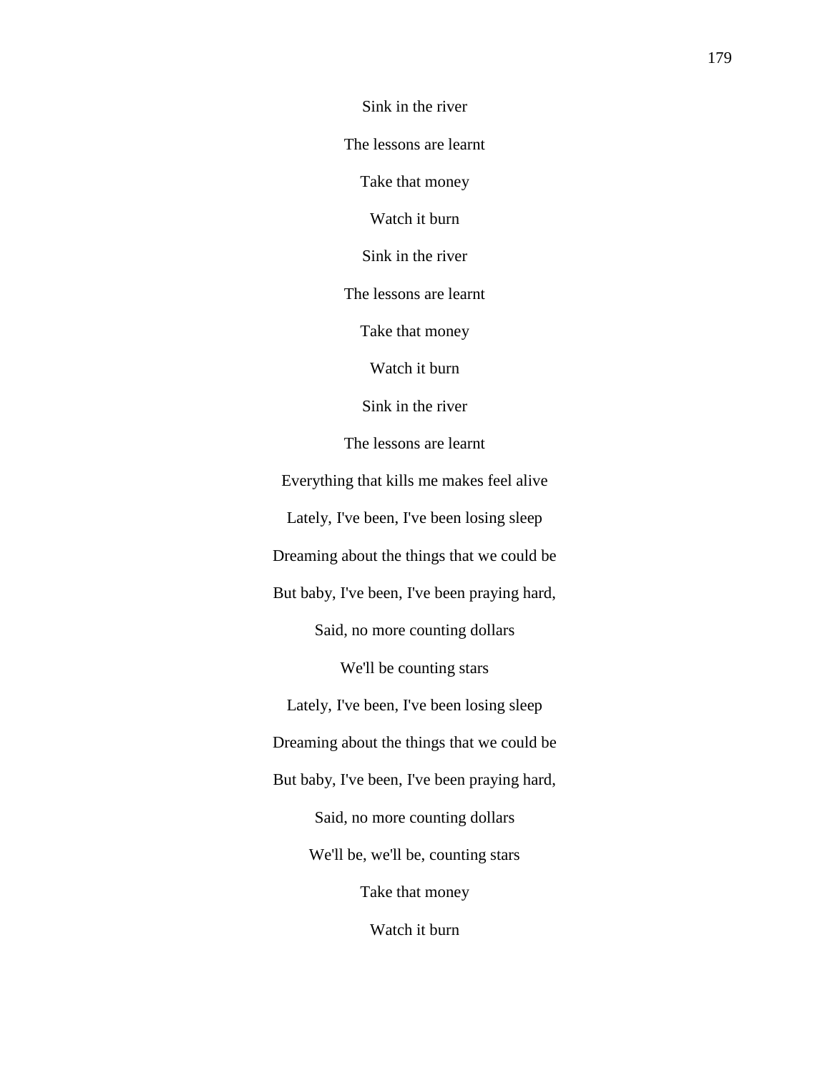Sink in the river The lessons are learnt Take that money Watch it burn Sink in the river The lessons are learnt Take that money Watch it burn Sink in the river The lessons are learnt Everything that kills me makes feel alive Lately, I've been, I've been losing sleep Dreaming about the things that we could be But baby, I've been, I've been praying hard, Said, no more counting dollars We'll be counting stars Lately, I've been, I've been losing sleep Dreaming about the things that we could be But baby, I've been, I've been praying hard, Said, no more counting dollars We'll be, we'll be, counting stars Take that money Watch it burn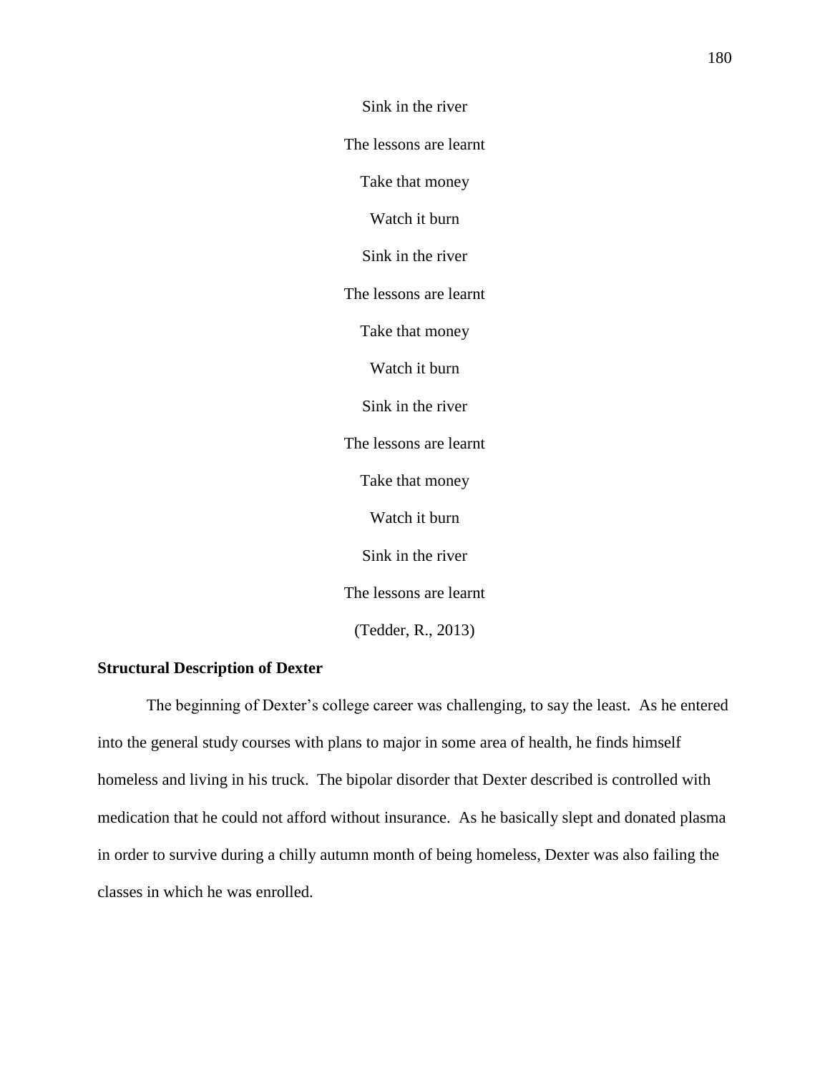Sink in the river The lessons are learnt Take that money Watch it burn Sink in the river The lessons are learnt Take that money Watch it burn Sink in the river The lessons are learnt Take that money Watch it burn Sink in the river The lessons are learnt (Tedder, R., 2013)

# **Structural Description of Dexter**

The beginning of Dexter's college career was challenging, to say the least. As he entered into the general study courses with plans to major in some area of health, he finds himself homeless and living in his truck. The bipolar disorder that Dexter described is controlled with medication that he could not afford without insurance. As he basically slept and donated plasma in order to survive during a chilly autumn month of being homeless, Dexter was also failing the classes in which he was enrolled.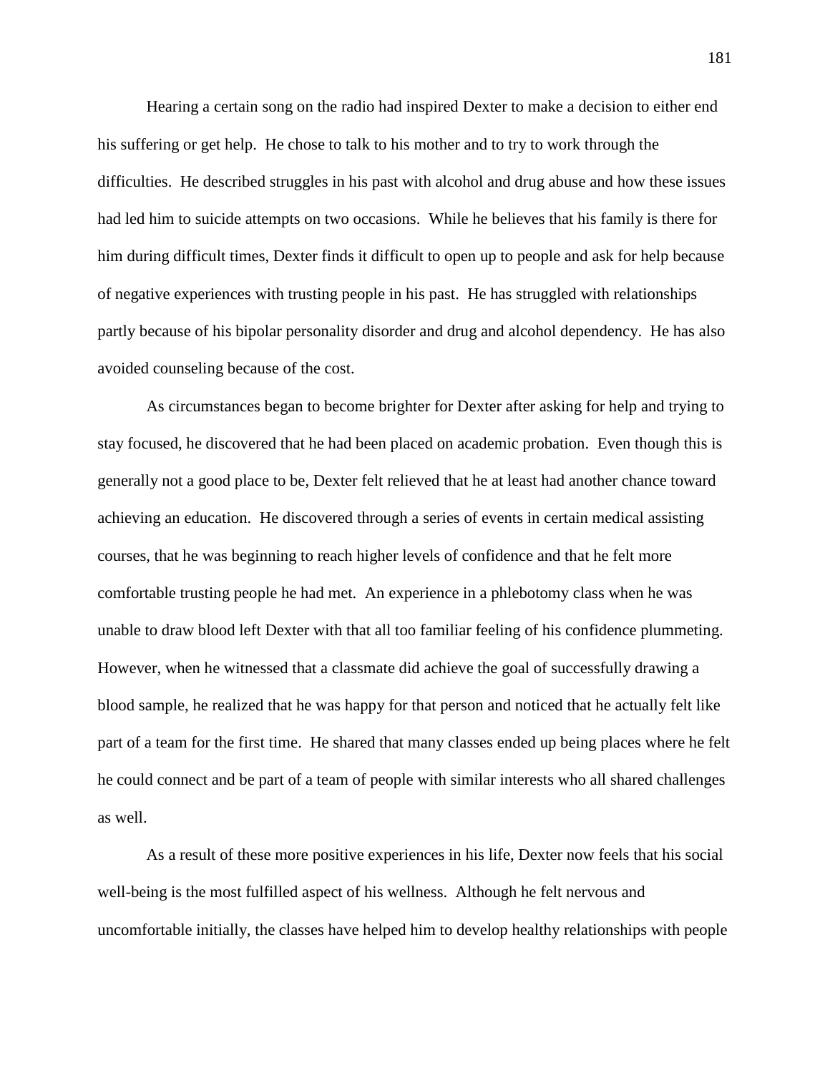Hearing a certain song on the radio had inspired Dexter to make a decision to either end his suffering or get help. He chose to talk to his mother and to try to work through the difficulties. He described struggles in his past with alcohol and drug abuse and how these issues had led him to suicide attempts on two occasions. While he believes that his family is there for him during difficult times, Dexter finds it difficult to open up to people and ask for help because of negative experiences with trusting people in his past. He has struggled with relationships partly because of his bipolar personality disorder and drug and alcohol dependency. He has also avoided counseling because of the cost.

As circumstances began to become brighter for Dexter after asking for help and trying to stay focused, he discovered that he had been placed on academic probation. Even though this is generally not a good place to be, Dexter felt relieved that he at least had another chance toward achieving an education. He discovered through a series of events in certain medical assisting courses, that he was beginning to reach higher levels of confidence and that he felt more comfortable trusting people he had met. An experience in a phlebotomy class when he was unable to draw blood left Dexter with that all too familiar feeling of his confidence plummeting. However, when he witnessed that a classmate did achieve the goal of successfully drawing a blood sample, he realized that he was happy for that person and noticed that he actually felt like part of a team for the first time. He shared that many classes ended up being places where he felt he could connect and be part of a team of people with similar interests who all shared challenges as well.

As a result of these more positive experiences in his life, Dexter now feels that his social well-being is the most fulfilled aspect of his wellness. Although he felt nervous and uncomfortable initially, the classes have helped him to develop healthy relationships with people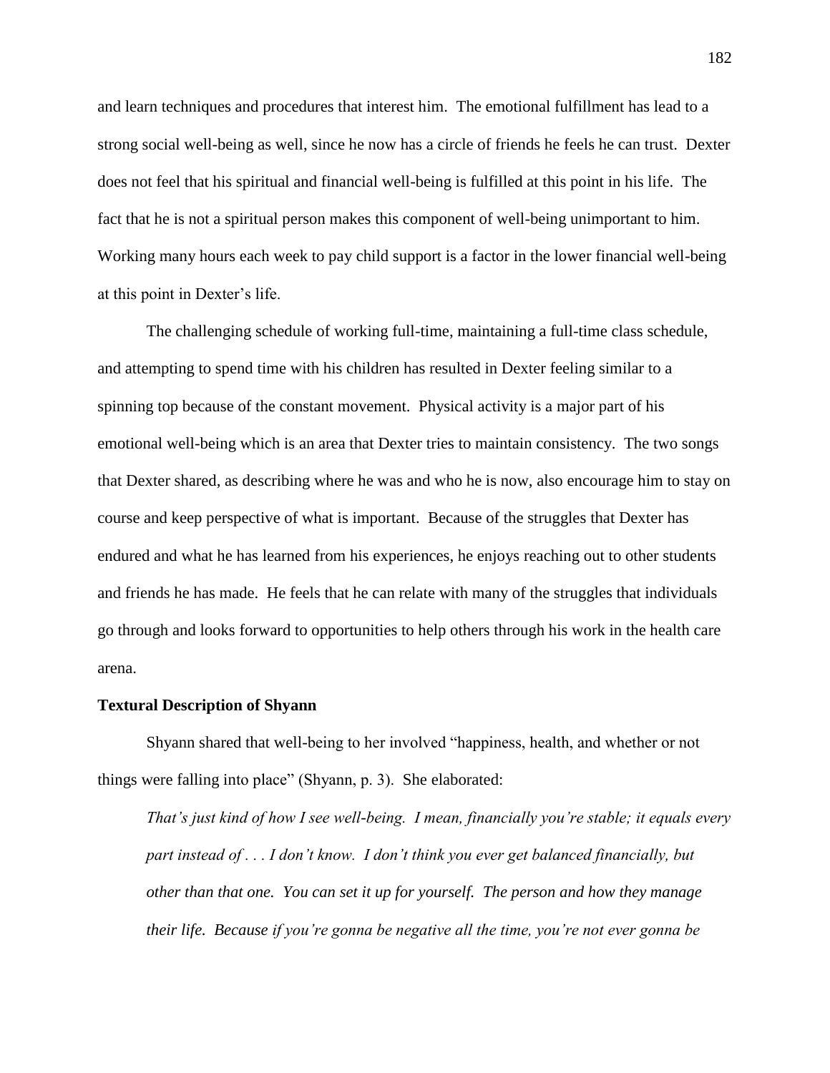and learn techniques and procedures that interest him. The emotional fulfillment has lead to a strong social well-being as well, since he now has a circle of friends he feels he can trust. Dexter does not feel that his spiritual and financial well-being is fulfilled at this point in his life. The fact that he is not a spiritual person makes this component of well-being unimportant to him. Working many hours each week to pay child support is a factor in the lower financial well-being at this point in Dexter's life.

The challenging schedule of working full-time, maintaining a full-time class schedule, and attempting to spend time with his children has resulted in Dexter feeling similar to a spinning top because of the constant movement. Physical activity is a major part of his emotional well-being which is an area that Dexter tries to maintain consistency. The two songs that Dexter shared, as describing where he was and who he is now, also encourage him to stay on course and keep perspective of what is important. Because of the struggles that Dexter has endured and what he has learned from his experiences, he enjoys reaching out to other students and friends he has made. He feels that he can relate with many of the struggles that individuals go through and looks forward to opportunities to help others through his work in the health care arena.

### **Textural Description of Shyann**

Shyann shared that well-being to her involved "happiness, health, and whether or not things were falling into place" (Shyann, p. 3). She elaborated:

*That's just kind of how I see well-being. I mean, financially you're stable; it equals every part instead of . . . I don't know. I don't think you ever get balanced financially, but other than that one. You can set it up for yourself. The person and how they manage their life. Because if you're gonna be negative all the time, you're not ever gonna be*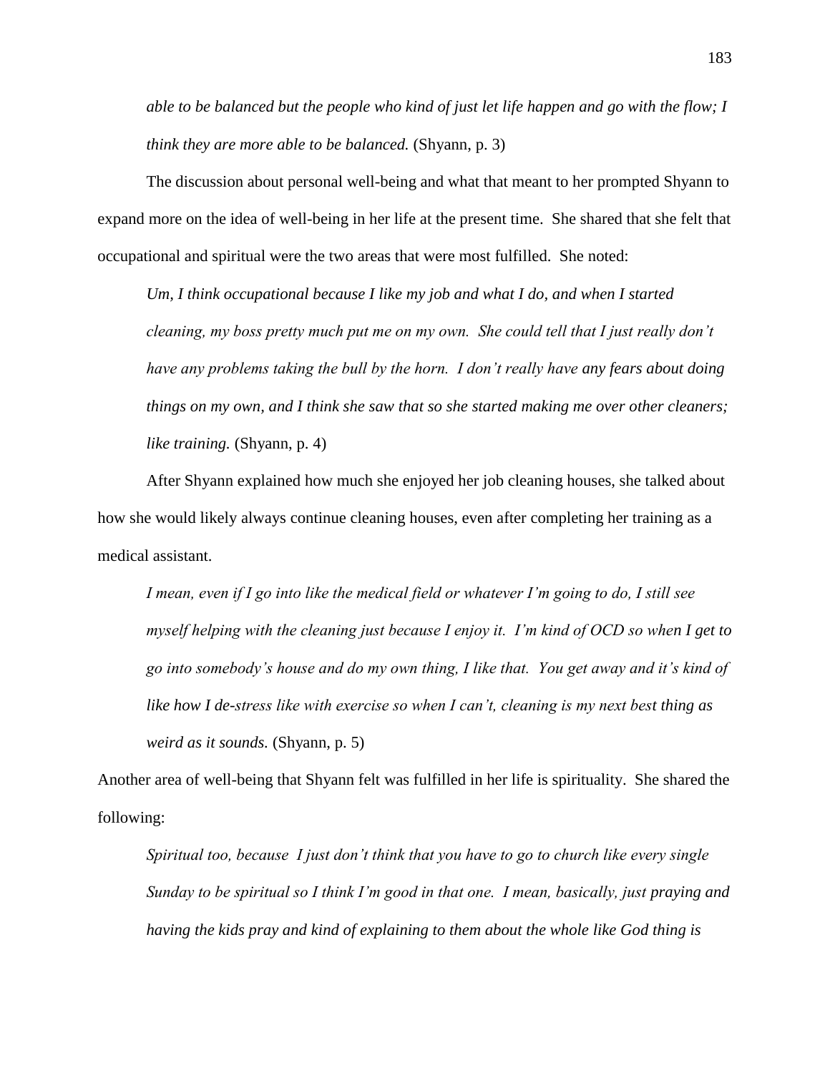*able to be balanced but the people who kind of just let life happen and go with the flow; I think they are more able to be balanced.* (Shyann, p. 3)

The discussion about personal well-being and what that meant to her prompted Shyann to expand more on the idea of well-being in her life at the present time. She shared that she felt that occupational and spiritual were the two areas that were most fulfilled. She noted:

*Um, I think occupational because I like my job and what I do, and when I started cleaning, my boss pretty much put me on my own. She could tell that I just really don't have any problems taking the bull by the horn. I don't really have any fears about doing things on my own, and I think she saw that so she started making me over other cleaners; like training.* (Shyann, p. 4)

After Shyann explained how much she enjoyed her job cleaning houses, she talked about how she would likely always continue cleaning houses, even after completing her training as a medical assistant.

*I mean, even if I go into like the medical field or whatever I'm going to do, I still see myself helping with the cleaning just because I enjoy it. I'm kind of OCD so when I get to go into somebody's house and do my own thing, I like that. You get away and it's kind of like how I de-stress like with exercise so when I can't, cleaning is my next best thing as weird as it sounds.* (Shyann, p. 5)

Another area of well-being that Shyann felt was fulfilled in her life is spirituality. She shared the following:

*Spiritual too, because I just don't think that you have to go to church like every single Sunday to be spiritual so I think I'm good in that one. I mean, basically, just praying and having the kids pray and kind of explaining to them about the whole like God thing is*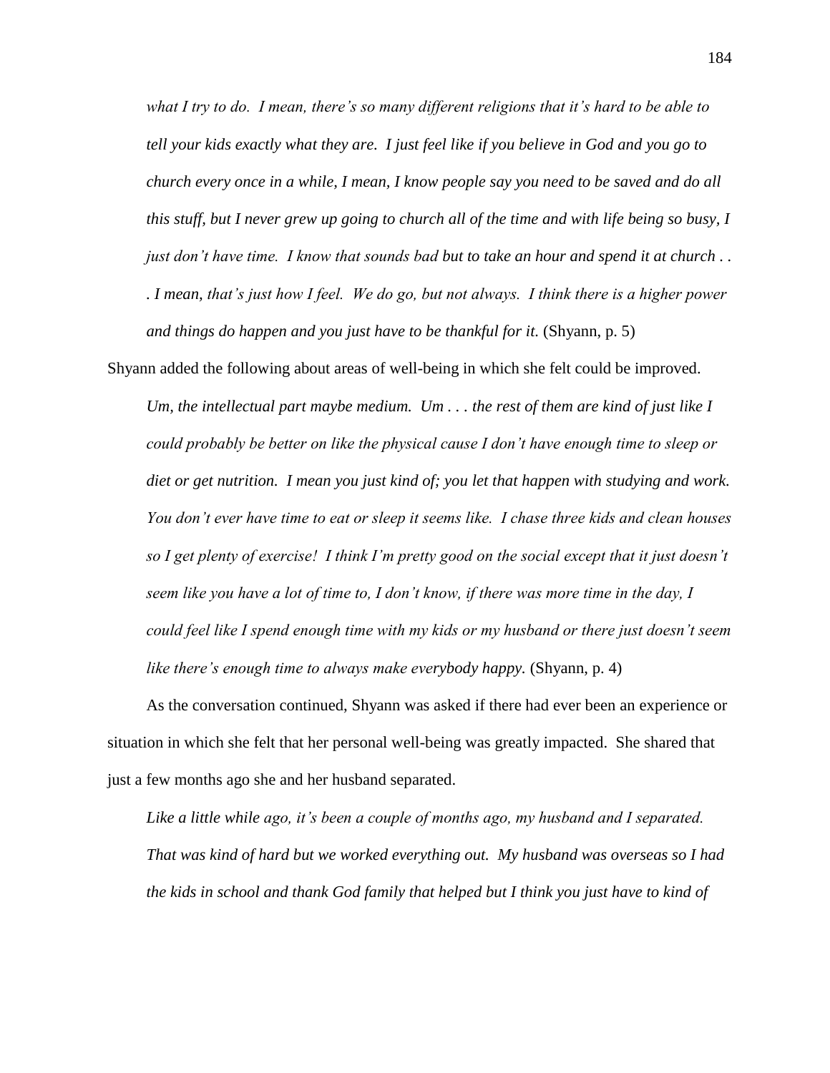*what I try to do. I mean, there's so many different religions that it's hard to be able to tell your kids exactly what they are. I just feel like if you believe in God and you go to church every once in a while, I mean, I know people say you need to be saved and do all this stuff, but I never grew up going to church all of the time and with life being so busy, I just don't have time. I know that sounds bad but to take an hour and spend it at church . . . I mean, that's just how I feel. We do go, but not always. I think there is a higher power and things do happen and you just have to be thankful for it.* (Shyann, p. 5)

Shyann added the following about areas of well-being in which she felt could be improved. *Um, the intellectual part maybe medium. Um . . . the rest of them are kind of just like I could probably be better on like the physical cause I don't have enough time to sleep or diet or get nutrition. I mean you just kind of; you let that happen with studying and work. You don't ever have time to eat or sleep it seems like. I chase three kids and clean houses so I get plenty of exercise! I think I'm pretty good on the social except that it just doesn't seem like you have a lot of time to, I don't know, if there was more time in the day, I could feel like I spend enough time with my kids or my husband or there just doesn't seem like there's enough time to always make everybody happy.* (Shyann, p. 4)

As the conversation continued, Shyann was asked if there had ever been an experience or situation in which she felt that her personal well-being was greatly impacted. She shared that just a few months ago she and her husband separated.

*Like a little while ago, it's been a couple of months ago, my husband and I separated. That was kind of hard but we worked everything out. My husband was overseas so I had the kids in school and thank God family that helped but I think you just have to kind of*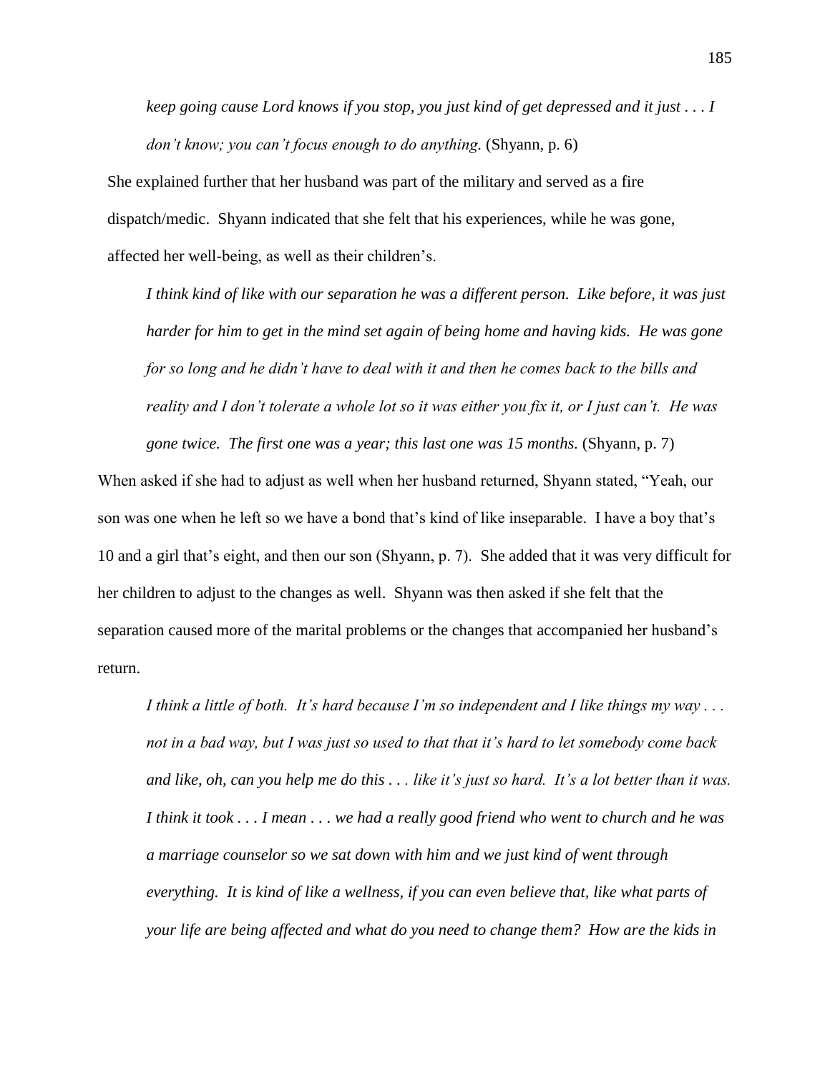*keep going cause Lord knows if you stop, you just kind of get depressed and it just . . . I don't know; you can't focus enough to do anything.* (Shyann, p. 6)

She explained further that her husband was part of the military and served as a fire dispatch/medic. Shyann indicated that she felt that his experiences, while he was gone, affected her well-being, as well as their children's.

*I think kind of like with our separation he was a different person. Like before, it was just harder for him to get in the mind set again of being home and having kids. He was gone for so long and he didn't have to deal with it and then he comes back to the bills and reality and I don't tolerate a whole lot so it was either you fix it, or I just can't. He was gone twice. The first one was a year; this last one was 15 months.* (Shyann, p. 7)

When asked if she had to adjust as well when her husband returned, Shyann stated, "Yeah, our son was one when he left so we have a bond that's kind of like inseparable. I have a boy that's 10 and a girl that's eight, and then our son (Shyann, p. 7). She added that it was very difficult for her children to adjust to the changes as well. Shyann was then asked if she felt that the separation caused more of the marital problems or the changes that accompanied her husband's return.

*I think a little of both. It's hard because I'm so independent and I like things my way . . . not in a bad way, but I was just so used to that that it's hard to let somebody come back and like, oh, can you help me do this . . . like it's just so hard. It's a lot better than it was. I think it took . . . I mean . . . we had a really good friend who went to church and he was a marriage counselor so we sat down with him and we just kind of went through everything. It is kind of like a wellness, if you can even believe that, like what parts of your life are being affected and what do you need to change them? How are the kids in*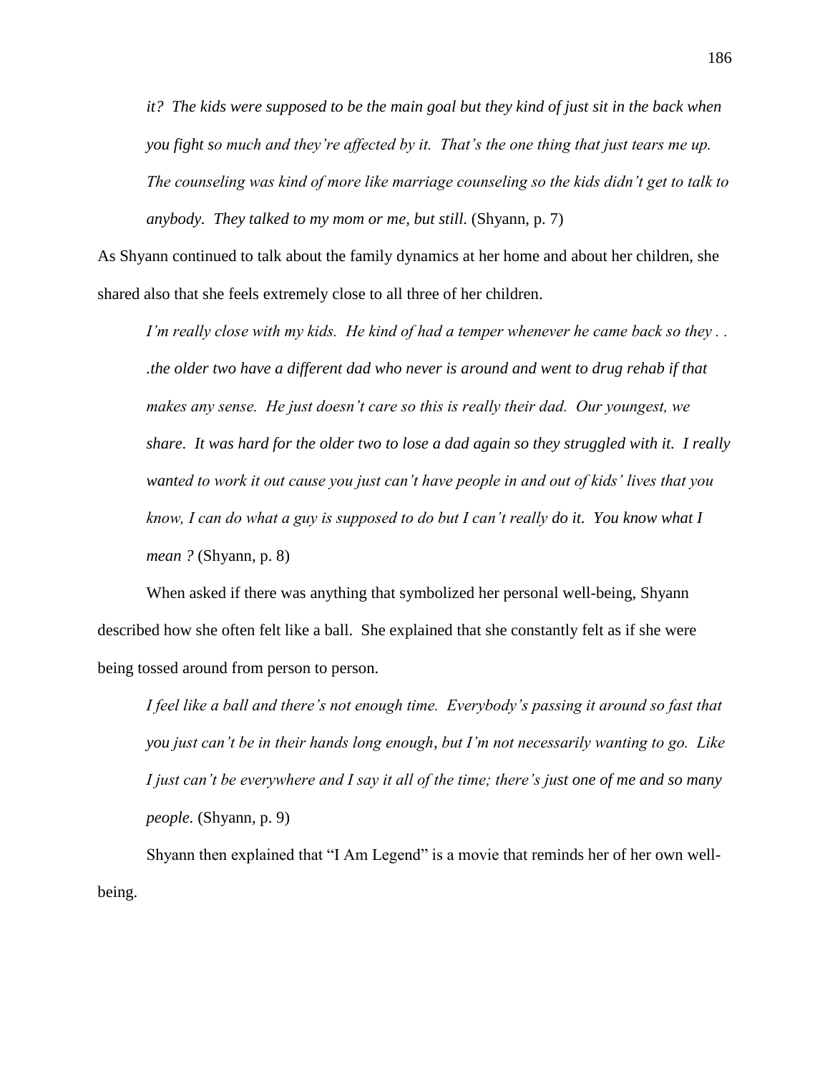*it? The kids were supposed to be the main goal but they kind of just sit in the back when you fight so much and they're affected by it. That's the one thing that just tears me up. The counseling was kind of more like marriage counseling so the kids didn't get to talk to anybody. They talked to my mom or me, but still.* (Shyann, p. 7)

As Shyann continued to talk about the family dynamics at her home and about her children, she shared also that she feels extremely close to all three of her children.

*I'm really close with my kids. He kind of had a temper whenever he came back so they . . .the older two have a different dad who never is around and went to drug rehab if that makes any sense. He just doesn't care so this is really their dad. Our youngest, we share. It was hard for the older two to lose a dad again so they struggled with it. I really wanted to work it out cause you just can't have people in and out of kids' lives that you know, I can do what a guy is supposed to do but I can't really do it. You know what I mean ?* (Shyann, p. 8)

When asked if there was anything that symbolized her personal well-being, Shyann described how she often felt like a ball. She explained that she constantly felt as if she were being tossed around from person to person.

*I feel like a ball and there's not enough time. Everybody's passing it around so fast that you just can't be in their hands long enough, but I'm not necessarily wanting to go. Like I just can't be everywhere and I say it all of the time; there's just one of me and so many people.* (Shyann, p. 9)

Shyann then explained that "I Am Legend" is a movie that reminds her of her own wellbeing.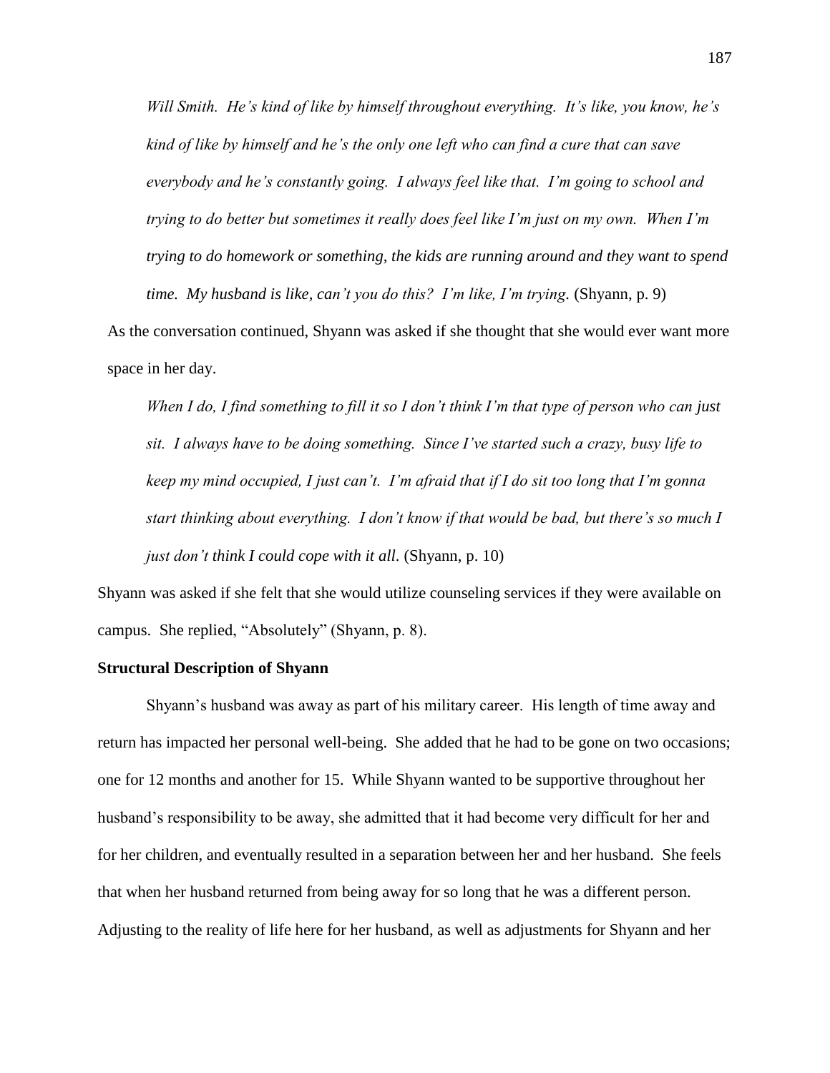*Will Smith. He's kind of like by himself throughout everything. It's like, you know, he's kind of like by himself and he's the only one left who can find a cure that can save everybody and he's constantly going. I always feel like that. I'm going to school and trying to do better but sometimes it really does feel like I'm just on my own. When I'm trying to do homework or something, the kids are running around and they want to spend time. My husband is like, can't you do this? I'm like, I'm trying.* (Shyann, p. 9)

As the conversation continued, Shyann was asked if she thought that she would ever want more space in her day.

*When I do, I find something to fill it so I don't think I'm that type of person who can just sit. I always have to be doing something. Since I've started such a crazy, busy life to keep my mind occupied, I just can't. I'm afraid that if I do sit too long that I'm gonna start thinking about everything. I don't know if that would be bad, but there's so much I just don't think I could cope with it all.* (Shyann, p. 10)

Shyann was asked if she felt that she would utilize counseling services if they were available on campus. She replied, "Absolutely" (Shyann, p. 8).

# **Structural Description of Shyann**

Shyann's husband was away as part of his military career. His length of time away and return has impacted her personal well-being. She added that he had to be gone on two occasions; one for 12 months and another for 15. While Shyann wanted to be supportive throughout her husband's responsibility to be away, she admitted that it had become very difficult for her and for her children, and eventually resulted in a separation between her and her husband. She feels that when her husband returned from being away for so long that he was a different person. Adjusting to the reality of life here for her husband, as well as adjustments for Shyann and her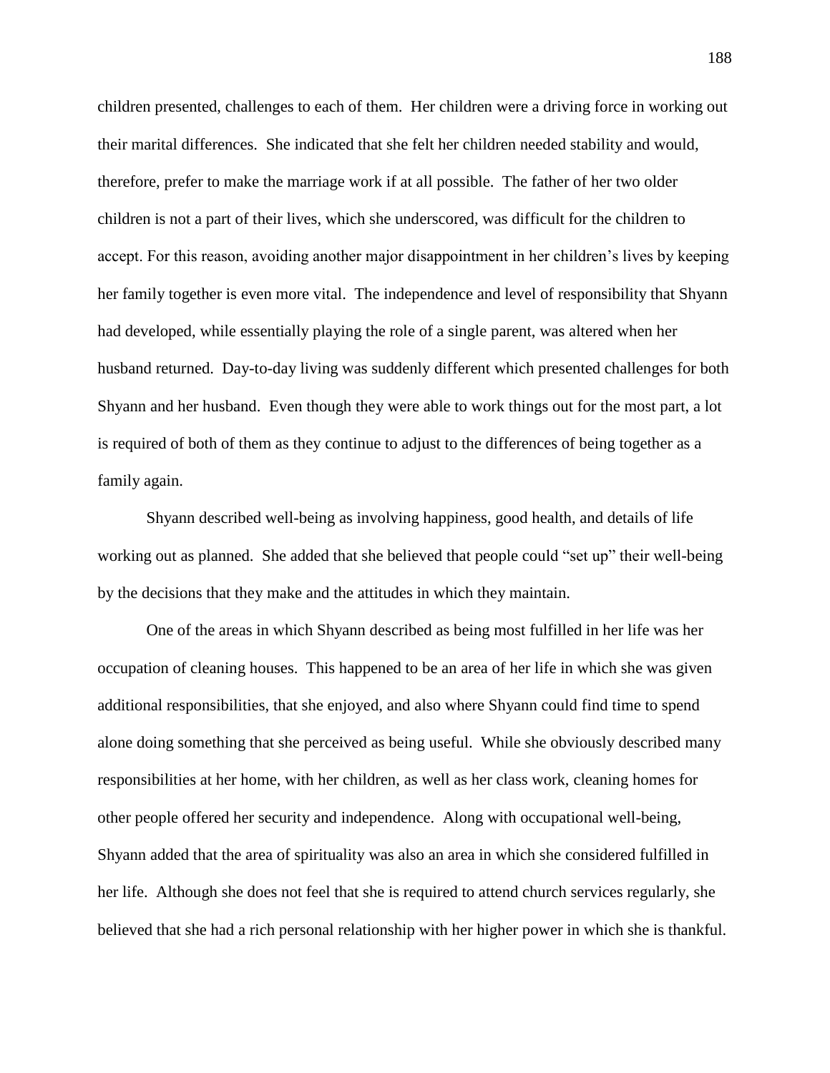children presented, challenges to each of them. Her children were a driving force in working out their marital differences. She indicated that she felt her children needed stability and would, therefore, prefer to make the marriage work if at all possible. The father of her two older children is not a part of their lives, which she underscored, was difficult for the children to accept. For this reason, avoiding another major disappointment in her children's lives by keeping her family together is even more vital. The independence and level of responsibility that Shyann had developed, while essentially playing the role of a single parent, was altered when her husband returned. Day-to-day living was suddenly different which presented challenges for both Shyann and her husband. Even though they were able to work things out for the most part, a lot is required of both of them as they continue to adjust to the differences of being together as a family again.

Shyann described well-being as involving happiness, good health, and details of life working out as planned. She added that she believed that people could "set up" their well-being by the decisions that they make and the attitudes in which they maintain.

One of the areas in which Shyann described as being most fulfilled in her life was her occupation of cleaning houses. This happened to be an area of her life in which she was given additional responsibilities, that she enjoyed, and also where Shyann could find time to spend alone doing something that she perceived as being useful. While she obviously described many responsibilities at her home, with her children, as well as her class work, cleaning homes for other people offered her security and independence. Along with occupational well-being, Shyann added that the area of spirituality was also an area in which she considered fulfilled in her life. Although she does not feel that she is required to attend church services regularly, she believed that she had a rich personal relationship with her higher power in which she is thankful.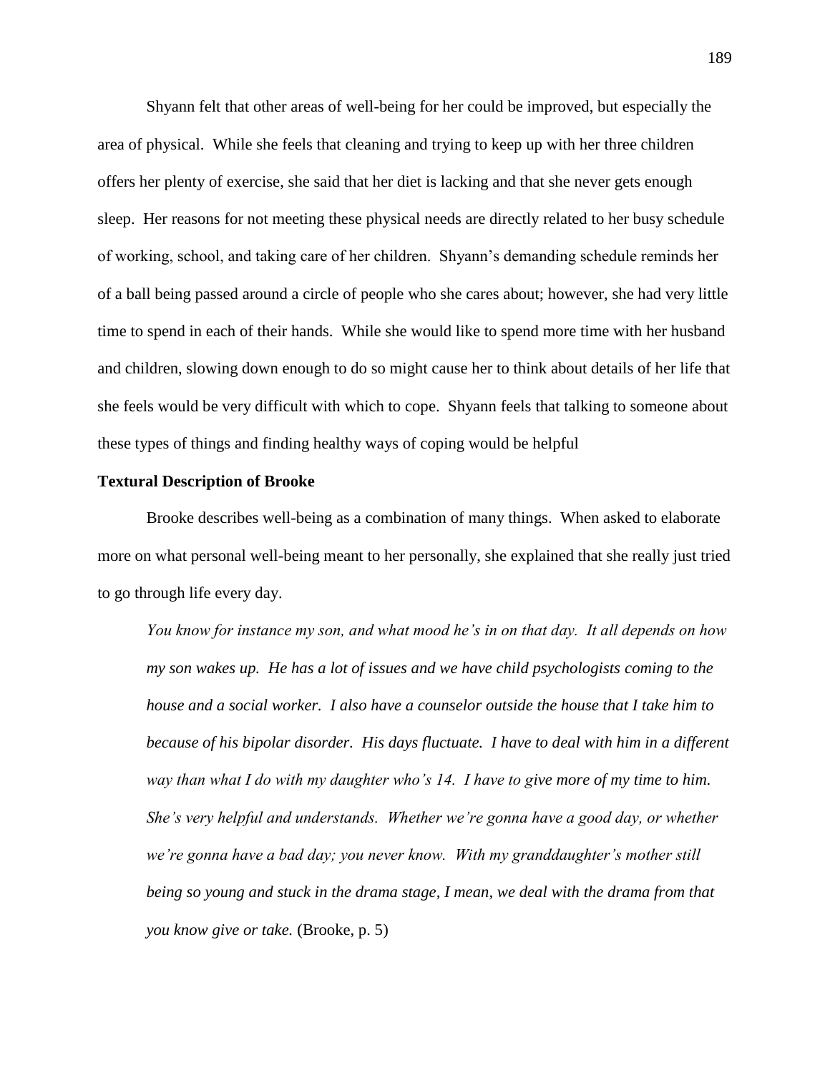Shyann felt that other areas of well-being for her could be improved, but especially the area of physical. While she feels that cleaning and trying to keep up with her three children offers her plenty of exercise, she said that her diet is lacking and that she never gets enough sleep. Her reasons for not meeting these physical needs are directly related to her busy schedule of working, school, and taking care of her children. Shyann's demanding schedule reminds her of a ball being passed around a circle of people who she cares about; however, she had very little time to spend in each of their hands. While she would like to spend more time with her husband and children, slowing down enough to do so might cause her to think about details of her life that she feels would be very difficult with which to cope. Shyann feels that talking to someone about these types of things and finding healthy ways of coping would be helpful

#### **Textural Description of Brooke**

Brooke describes well-being as a combination of many things. When asked to elaborate more on what personal well-being meant to her personally, she explained that she really just tried to go through life every day.

*You know for instance my son, and what mood he's in on that day. It all depends on how my son wakes up. He has a lot of issues and we have child psychologists coming to the house and a social worker. I also have a counselor outside the house that I take him to because of his bipolar disorder. His days fluctuate. I have to deal with him in a different way than what I do with my daughter who's 14. I have to give more of my time to him. She's very helpful and understands. Whether we're gonna have a good day, or whether we're gonna have a bad day; you never know. With my granddaughter's mother still being so young and stuck in the drama stage, I mean, we deal with the drama from that you know give or take.* (Brooke, p. 5)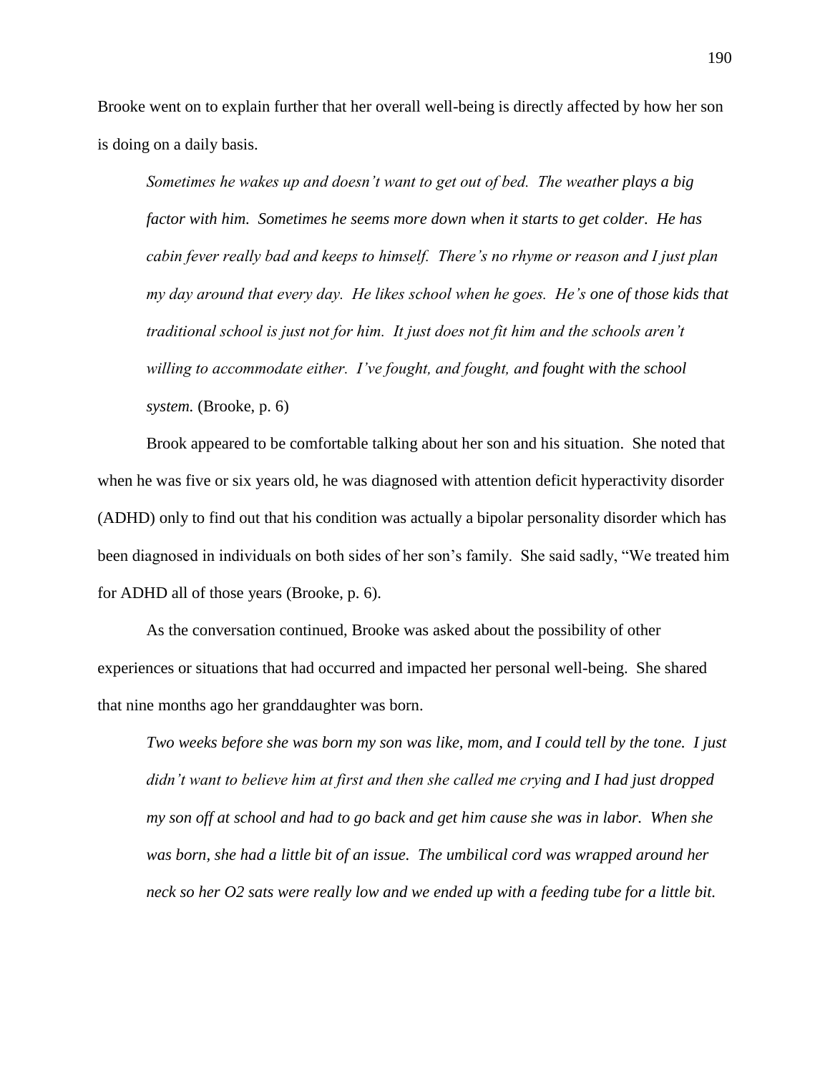Brooke went on to explain further that her overall well-being is directly affected by how her son is doing on a daily basis.

*Sometimes he wakes up and doesn't want to get out of bed. The weather plays a big factor with him. Sometimes he seems more down when it starts to get colder. He has cabin fever really bad and keeps to himself. There's no rhyme or reason and I just plan my day around that every day. He likes school when he goes. He's one of those kids that traditional school is just not for him. It just does not fit him and the schools aren't willing to accommodate either. I've fought, and fought, and fought with the school system.* (Brooke, p. 6)

Brook appeared to be comfortable talking about her son and his situation. She noted that when he was five or six years old, he was diagnosed with attention deficit hyperactivity disorder (ADHD) only to find out that his condition was actually a bipolar personality disorder which has been diagnosed in individuals on both sides of her son's family. She said sadly, "We treated him for ADHD all of those years (Brooke, p. 6).

As the conversation continued, Brooke was asked about the possibility of other experiences or situations that had occurred and impacted her personal well-being. She shared that nine months ago her granddaughter was born.

*Two weeks before she was born my son was like, mom, and I could tell by the tone. I just didn't want to believe him at first and then she called me crying and I had just dropped my son off at school and had to go back and get him cause she was in labor. When she was born, she had a little bit of an issue. The umbilical cord was wrapped around her neck so her O2 sats were really low and we ended up with a feeding tube for a little bit.*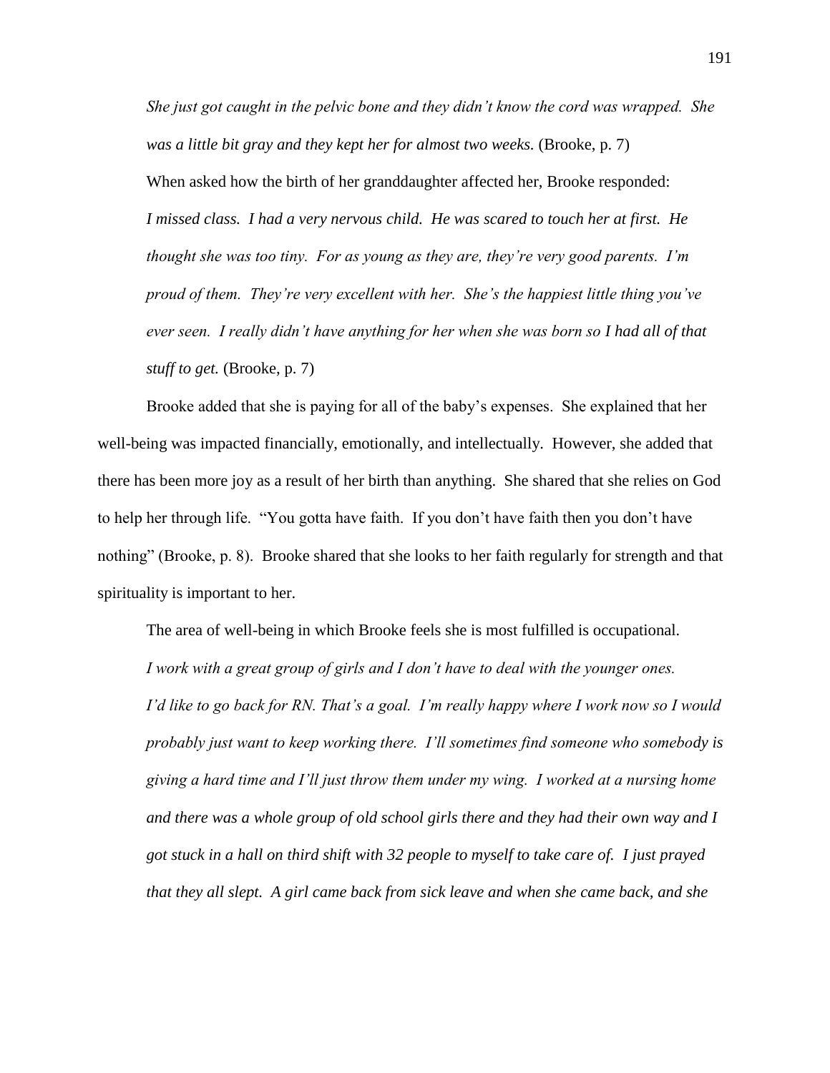*She just got caught in the pelvic bone and they didn't know the cord was wrapped. She was a little bit gray and they kept her for almost two weeks.* (Brooke, p. 7) When asked how the birth of her granddaughter affected her, Brooke responded: *I missed class. I had a very nervous child. He was scared to touch her at first. He thought she was too tiny. For as young as they are, they're very good parents. I'm proud of them. They're very excellent with her. She's the happiest little thing you've ever seen. I really didn't have anything for her when she was born so I had all of that stuff to get.* (Brooke, p. 7)

Brooke added that she is paying for all of the baby's expenses. She explained that her well-being was impacted financially, emotionally, and intellectually. However, she added that there has been more joy as a result of her birth than anything. She shared that she relies on God to help her through life. "You gotta have faith. If you don't have faith then you don't have nothing" (Brooke, p. 8). Brooke shared that she looks to her faith regularly for strength and that spirituality is important to her.

The area of well-being in which Brooke feels she is most fulfilled is occupational*. I work with a great group of girls and I don't have to deal with the younger ones. I'd like to go back for RN. That's a goal. I'm really happy where I work now so I would probably just want to keep working there. I'll sometimes find someone who somebody is giving a hard time and I'll just throw them under my wing. I worked at a nursing home and there was a whole group of old school girls there and they had their own way and I got stuck in a hall on third shift with 32 people to myself to take care of. I just prayed that they all slept. A girl came back from sick leave and when she came back, and she*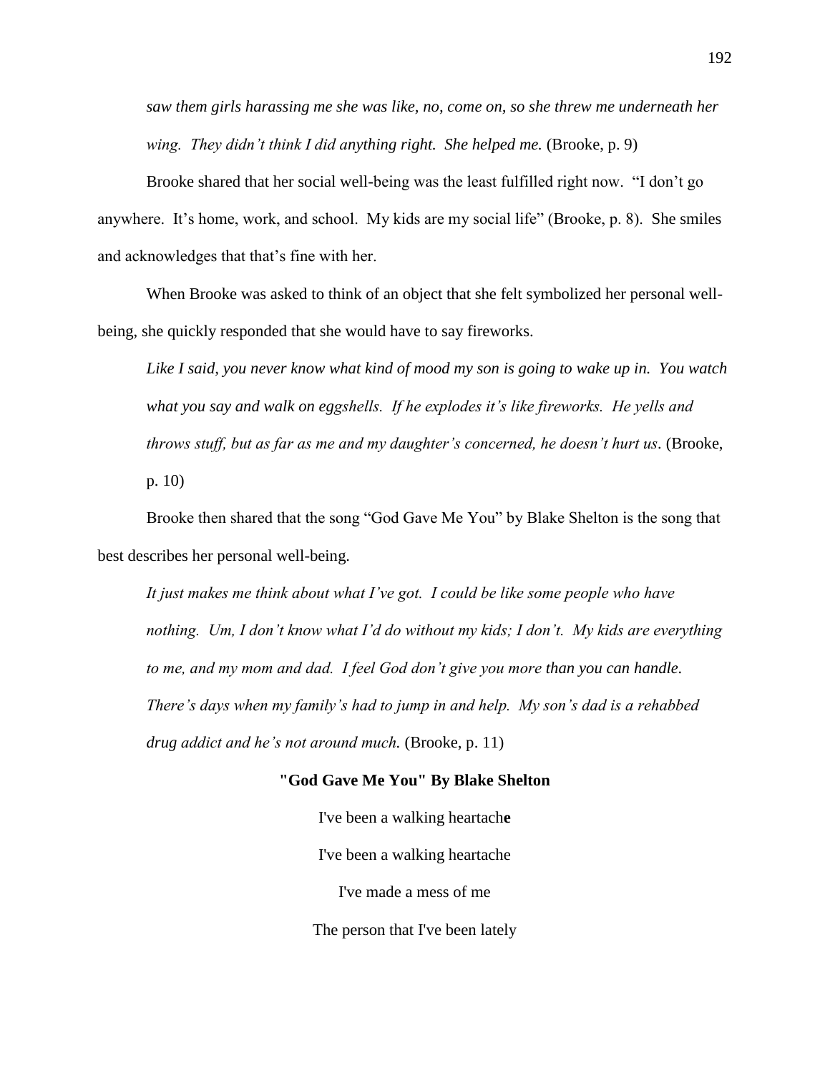*saw them girls harassing me she was like, no, come on, so she threw me underneath her wing. They didn't think I did anything right. She helped me.* (Brooke, p. 9)

Brooke shared that her social well-being was the least fulfilled right now. "I don't go anywhere. It's home, work, and school. My kids are my social life" (Brooke, p. 8). She smiles and acknowledges that that's fine with her.

When Brooke was asked to think of an object that she felt symbolized her personal wellbeing, she quickly responded that she would have to say fireworks.

*Like I said, you never know what kind of mood my son is going to wake up in. You watch what you say and walk on eggshells. If he explodes it's like fireworks. He yells and throws stuff, but as far as me and my daughter's concerned, he doesn't hurt us.* (Brooke, p. 10)

Brooke then shared that the song "God Gave Me You" by Blake Shelton is the song that best describes her personal well-being.

*It just makes me think about what I've got. I could be like some people who have nothing. Um, I don't know what I'd do without my kids; I don't. My kids are everything to me, and my mom and dad. I feel God don't give you more than you can handle. There's days when my family's had to jump in and help. My son's dad is a rehabbed drug addict and he's not around much.* (Brooke, p. 11)

## **"God Gave Me You" By Blake Shelton**

I've been a walking heartach**e** I've been a walking heartache I've made a mess of me The person that I've been lately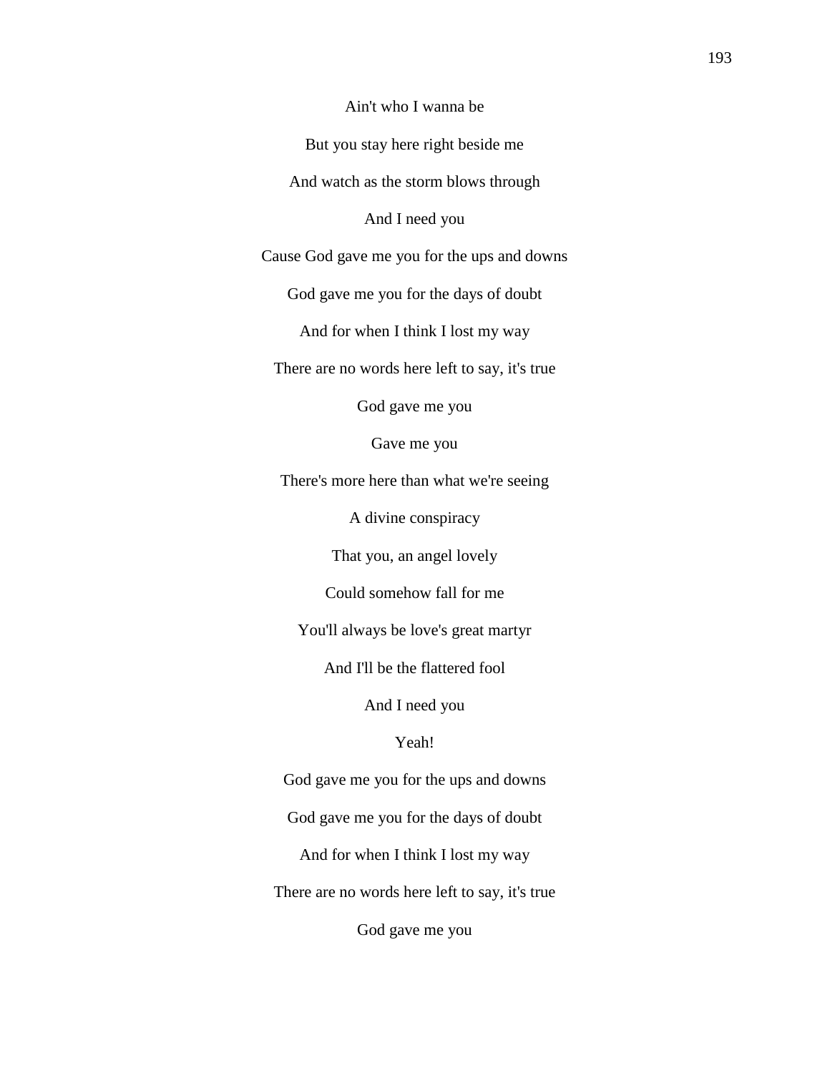Ain't who I wanna be

But you stay here right beside me

And watch as the storm blows through

And I need you

Cause God gave me you for the ups and downs

God gave me you for the days of doubt

And for when I think I lost my way

There are no words here left to say, it's true

God gave me you

Gave me you

There's more here than what we're seeing

A divine conspiracy

That you, an angel lovely

Could somehow fall for me

You'll always be love's great martyr

And I'll be the flattered fool

And I need you

Yeah!

God gave me you for the ups and downs God gave me you for the days of doubt And for when I think I lost my way There are no words here left to say, it's true God gave me you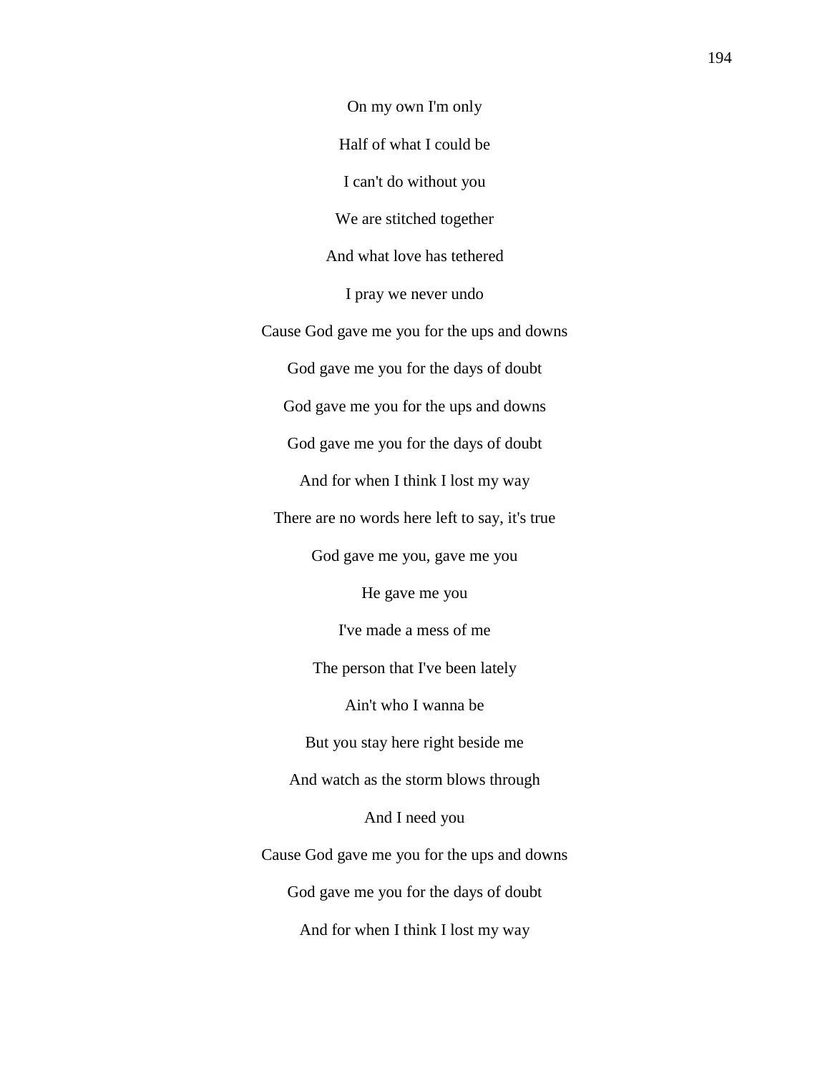On my own I'm only Half of what I could be I can't do without you We are stitched together And what love has tethered I pray we never undo Cause God gave me you for the ups and downs God gave me you for the days of doubt God gave me you for the ups and downs God gave me you for the days of doubt And for when I think I lost my way There are no words here left to say, it's true God gave me you, gave me you He gave me you I've made a mess of me The person that I've been lately Ain't who I wanna be But you stay here right beside me And watch as the storm blows through And I need you Cause God gave me you for the ups and downs God gave me you for the days of doubt And for when I think I lost my way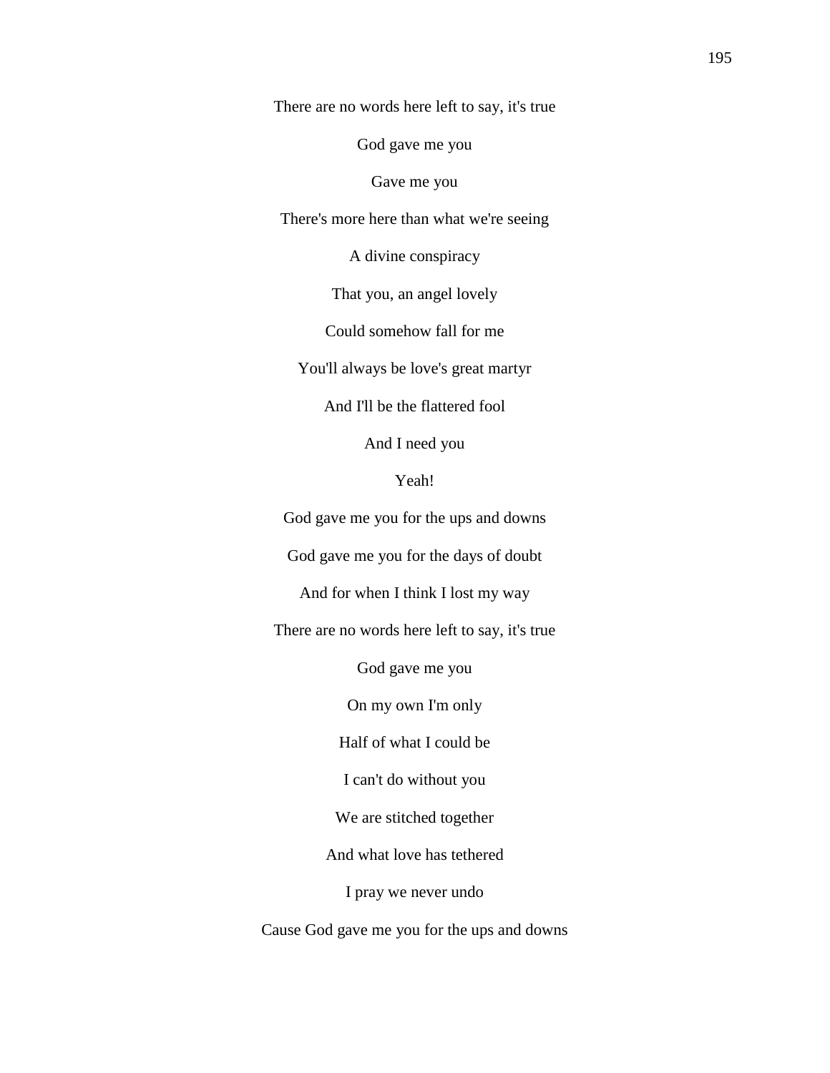There are no words here left to say, it's true

God gave me you

Gave me you

There's more here than what we're seeing

A divine conspiracy

That you, an angel lovely

Could somehow fall for me

You'll always be love's great martyr

And I'll be the flattered fool

And I need you

Yeah!

God gave me you for the ups and downs

God gave me you for the days of doubt

And for when I think I lost my way

There are no words here left to say, it's true

God gave me you

On my own I'm only

Half of what I could be

I can't do without you

We are stitched together

And what love has tethered

I pray we never undo

Cause God gave me you for the ups and downs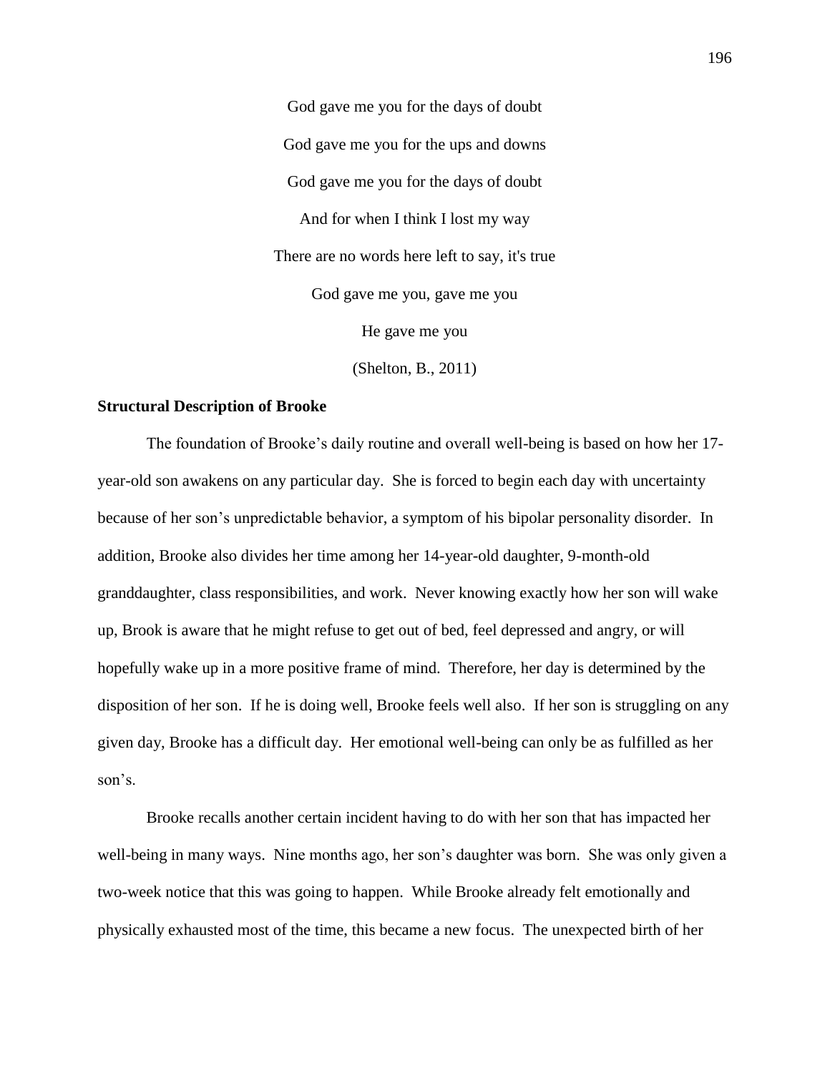God gave me you for the days of doubt God gave me you for the ups and downs God gave me you for the days of doubt And for when I think I lost my way There are no words here left to say, it's true God gave me you, gave me you He gave me you (Shelton, B., 2011)

#### **Structural Description of Brooke**

The foundation of Brooke's daily routine and overall well-being is based on how her 17 year-old son awakens on any particular day. She is forced to begin each day with uncertainty because of her son's unpredictable behavior, a symptom of his bipolar personality disorder. In addition, Brooke also divides her time among her 14-year-old daughter, 9-month-old granddaughter, class responsibilities, and work. Never knowing exactly how her son will wake up, Brook is aware that he might refuse to get out of bed, feel depressed and angry, or will hopefully wake up in a more positive frame of mind. Therefore, her day is determined by the disposition of her son. If he is doing well, Brooke feels well also. If her son is struggling on any given day, Brooke has a difficult day. Her emotional well-being can only be as fulfilled as her son's.

Brooke recalls another certain incident having to do with her son that has impacted her well-being in many ways. Nine months ago, her son's daughter was born. She was only given a two-week notice that this was going to happen. While Brooke already felt emotionally and physically exhausted most of the time, this became a new focus. The unexpected birth of her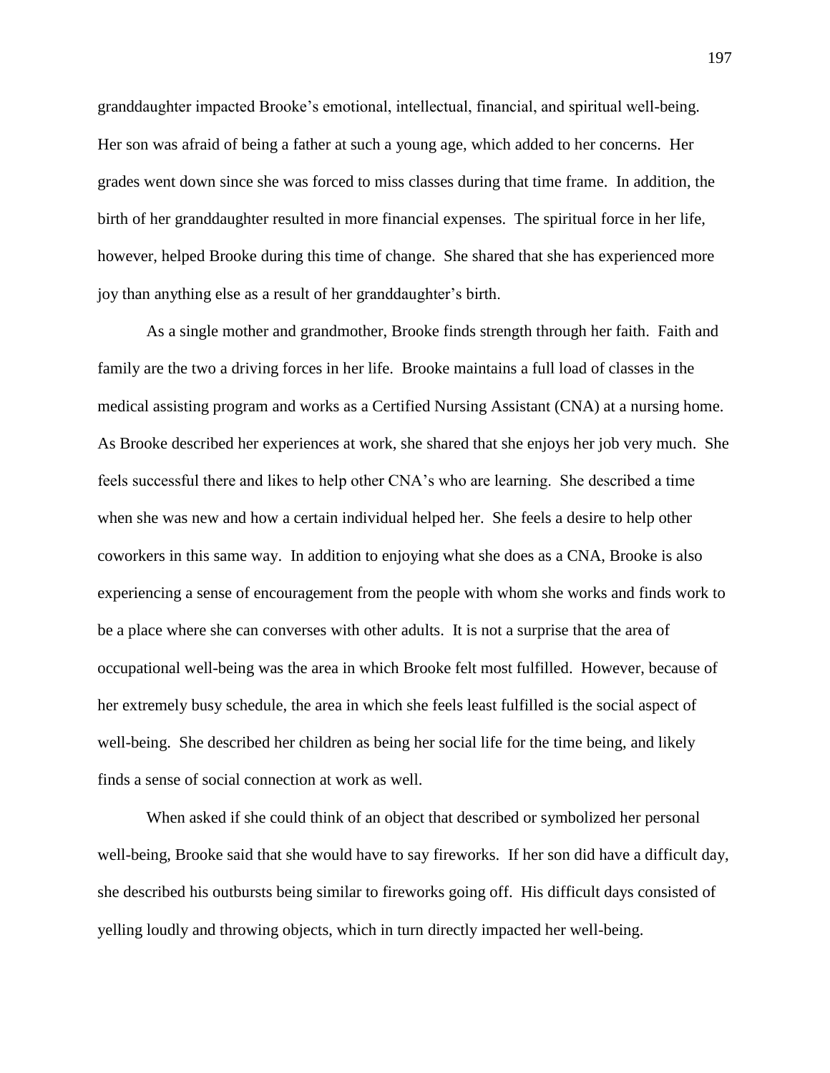granddaughter impacted Brooke's emotional, intellectual, financial, and spiritual well-being. Her son was afraid of being a father at such a young age, which added to her concerns. Her grades went down since she was forced to miss classes during that time frame. In addition, the birth of her granddaughter resulted in more financial expenses. The spiritual force in her life, however, helped Brooke during this time of change. She shared that she has experienced more joy than anything else as a result of her granddaughter's birth.

As a single mother and grandmother, Brooke finds strength through her faith. Faith and family are the two a driving forces in her life. Brooke maintains a full load of classes in the medical assisting program and works as a Certified Nursing Assistant (CNA) at a nursing home. As Brooke described her experiences at work, she shared that she enjoys her job very much. She feels successful there and likes to help other CNA's who are learning. She described a time when she was new and how a certain individual helped her. She feels a desire to help other coworkers in this same way. In addition to enjoying what she does as a CNA, Brooke is also experiencing a sense of encouragement from the people with whom she works and finds work to be a place where she can converses with other adults. It is not a surprise that the area of occupational well-being was the area in which Brooke felt most fulfilled. However, because of her extremely busy schedule, the area in which she feels least fulfilled is the social aspect of well-being. She described her children as being her social life for the time being, and likely finds a sense of social connection at work as well.

When asked if she could think of an object that described or symbolized her personal well-being, Brooke said that she would have to say fireworks. If her son did have a difficult day, she described his outbursts being similar to fireworks going off. His difficult days consisted of yelling loudly and throwing objects, which in turn directly impacted her well-being.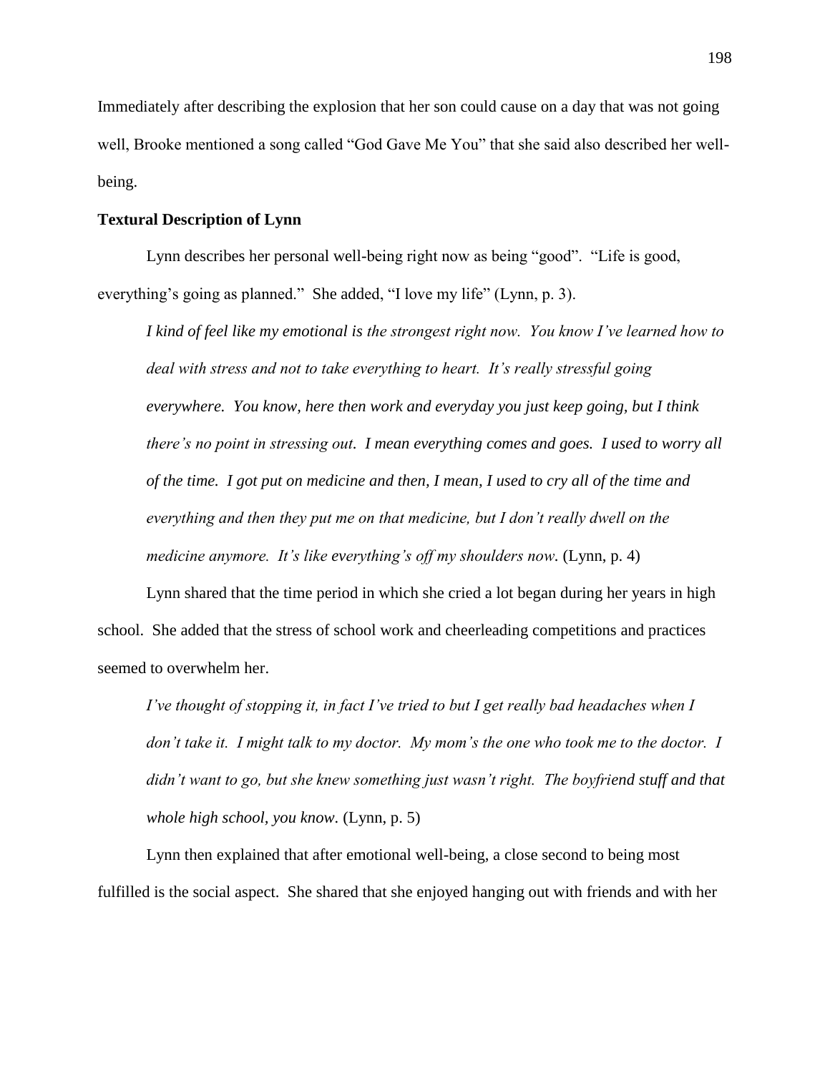Immediately after describing the explosion that her son could cause on a day that was not going well, Brooke mentioned a song called "God Gave Me You" that she said also described her wellbeing.

# **Textural Description of Lynn**

Lynn describes her personal well-being right now as being "good". "Life is good, everything's going as planned." She added, "I love my life" (Lynn, p. 3).

*I kind of feel like my emotional is the strongest right now. You know I've learned how to deal with stress and not to take everything to heart. It's really stressful going everywhere. You know, here then work and everyday you just keep going, but I think there's no point in stressing out. I mean everything comes and goes. I used to worry all of the time. I got put on medicine and then, I mean, I used to cry all of the time and everything and then they put me on that medicine, but I don't really dwell on the medicine anymore. It's like everything's off my shoulders now.* (Lynn, p. 4)

Lynn shared that the time period in which she cried a lot began during her years in high school. She added that the stress of school work and cheerleading competitions and practices seemed to overwhelm her.

*I've thought of stopping it, in fact I've tried to but I get really bad headaches when I don't take it. I might talk to my doctor. My mom's the one who took me to the doctor. I didn't want to go, but she knew something just wasn't right. The boyfriend stuff and that whole high school, you know.* (Lynn, p. 5)

Lynn then explained that after emotional well-being, a close second to being most fulfilled is the social aspect. She shared that she enjoyed hanging out with friends and with her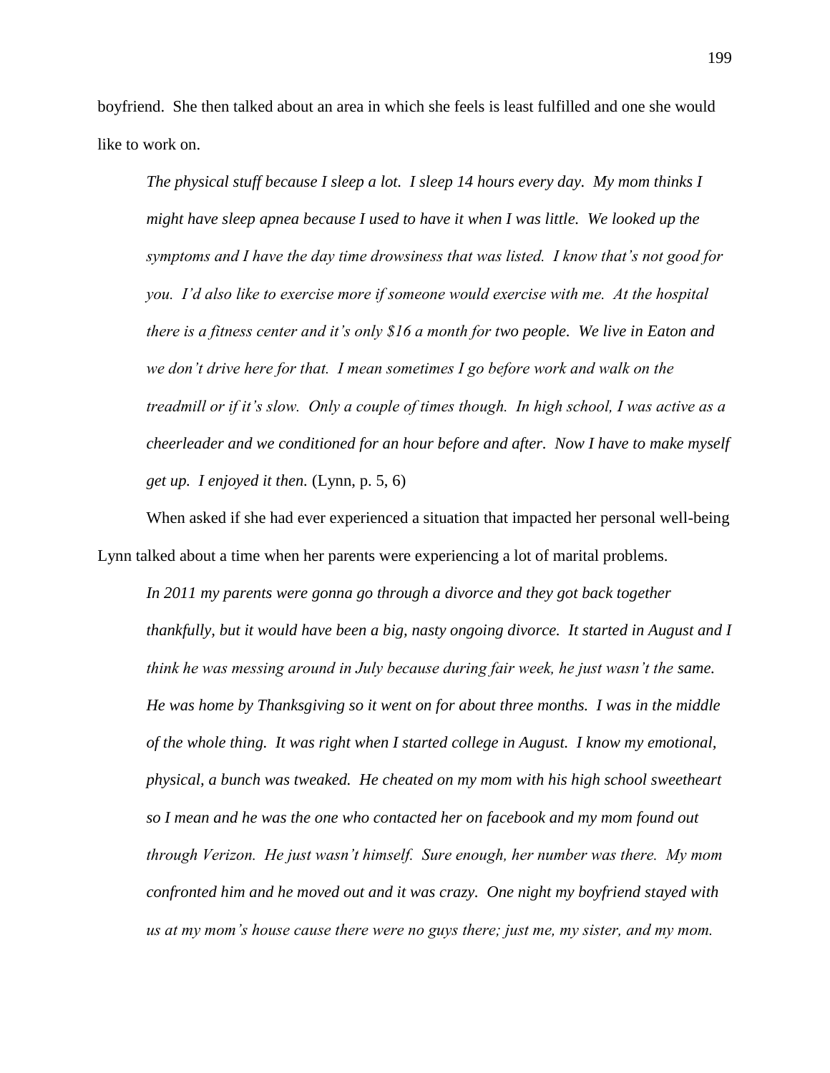boyfriend. She then talked about an area in which she feels is least fulfilled and one she would like to work on.

*The physical stuff because I sleep a lot. I sleep 14 hours every day. My mom thinks I might have sleep apnea because I used to have it when I was little. We looked up the symptoms and I have the day time drowsiness that was listed. I know that's not good for you. I'd also like to exercise more if someone would exercise with me. At the hospital there is a fitness center and it's only \$16 a month for two people. We live in Eaton and we don't drive here for that. I mean sometimes I go before work and walk on the treadmill or if it's slow. Only a couple of times though. In high school, I was active as a cheerleader and we conditioned for an hour before and after. Now I have to make myself get up. I enjoyed it then.* (Lynn, p. 5, 6)

When asked if she had ever experienced a situation that impacted her personal well-being Lynn talked about a time when her parents were experiencing a lot of marital problems.

In 2011 my parents were gonna go through a divorce and they got back together *thankfully, but it would have been a big, nasty ongoing divorce. It started in August and I think he was messing around in July because during fair week, he just wasn't the same. He was home by Thanksgiving so it went on for about three months. I was in the middle of the whole thing. It was right when I started college in August. I know my emotional, physical, a bunch was tweaked. He cheated on my mom with his high school sweetheart so I mean and he was the one who contacted her on facebook and my mom found out through Verizon. He just wasn't himself. Sure enough, her number was there. My mom confronted him and he moved out and it was crazy. One night my boyfriend stayed with us at my mom's house cause there were no guys there; just me, my sister, and my mom.*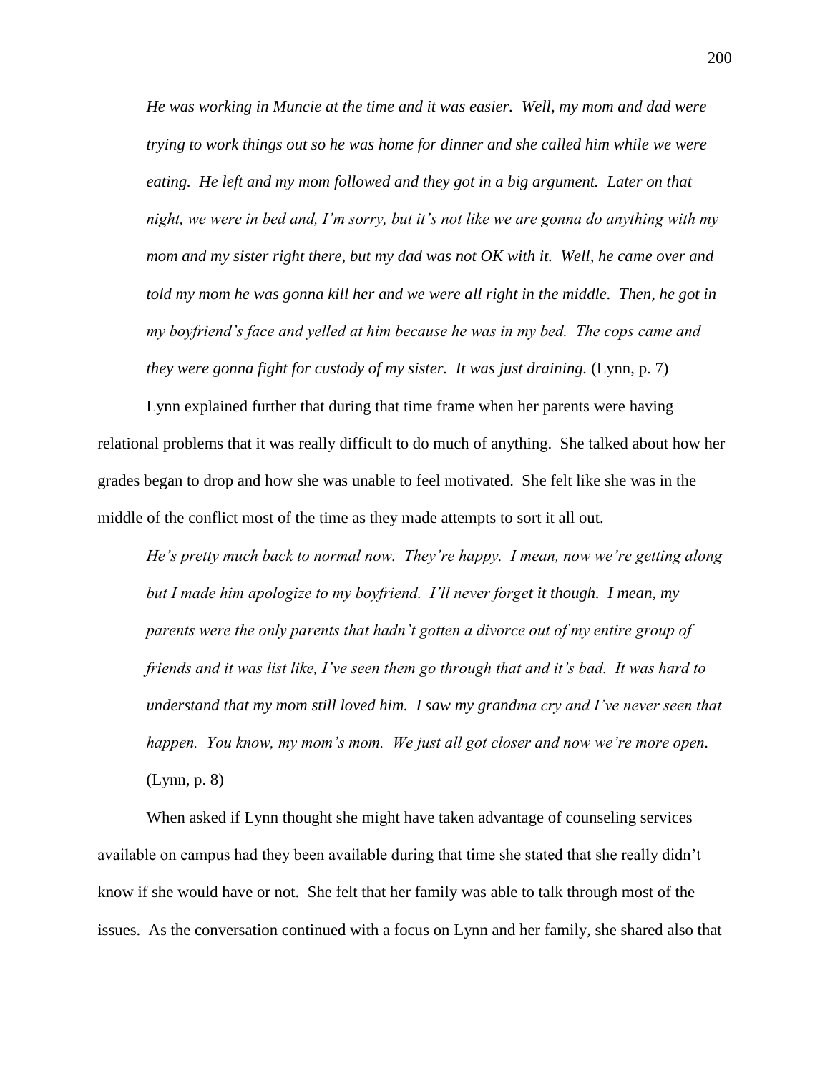*He was working in Muncie at the time and it was easier. Well, my mom and dad were trying to work things out so he was home for dinner and she called him while we were*  eating. He left and my mom followed and they got in a big argument. Later on that *night, we were in bed and, I'm sorry, but it's not like we are gonna do anything with my mom and my sister right there, but my dad was not OK with it. Well, he came over and told my mom he was gonna kill her and we were all right in the middle. Then, he got in my boyfriend's face and yelled at him because he was in my bed. The cops came and they were gonna fight for custody of my sister. It was just draining.* (Lynn, p. 7)

Lynn explained further that during that time frame when her parents were having relational problems that it was really difficult to do much of anything. She talked about how her grades began to drop and how she was unable to feel motivated. She felt like she was in the middle of the conflict most of the time as they made attempts to sort it all out.

*He's pretty much back to normal now. They're happy. I mean, now we're getting along but I made him apologize to my boyfriend. I'll never forget it though. I mean, my parents were the only parents that hadn't gotten a divorce out of my entire group of friends and it was list like, I've seen them go through that and it's bad. It was hard to understand that my mom still loved him. I saw my grandma cry and I've never seen that happen. You know, my mom's mom. We just all got closer and now we're more open.* (Lynn, p. 8)

When asked if Lynn thought she might have taken advantage of counseling services available on campus had they been available during that time she stated that she really didn't know if she would have or not. She felt that her family was able to talk through most of the issues. As the conversation continued with a focus on Lynn and her family, she shared also that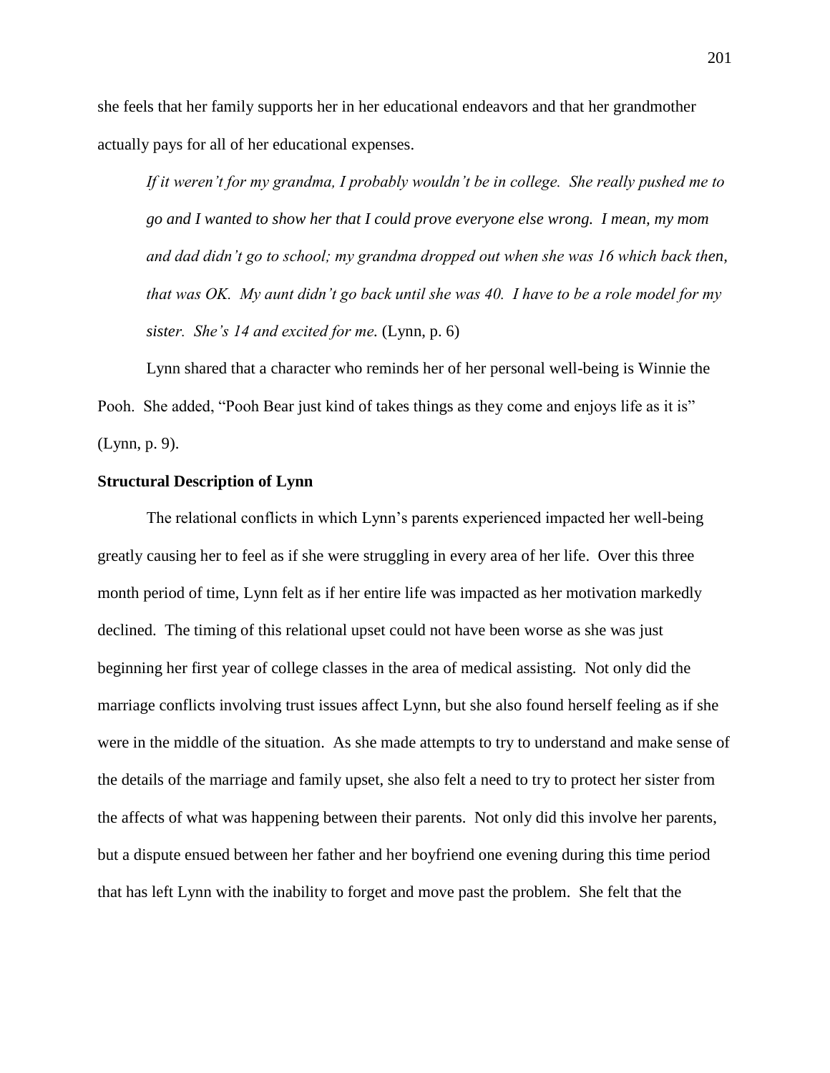she feels that her family supports her in her educational endeavors and that her grandmother actually pays for all of her educational expenses.

*If it weren't for my grandma, I probably wouldn't be in college. She really pushed me to go and I wanted to show her that I could prove everyone else wrong. I mean, my mom and dad didn't go to school; my grandma dropped out when she was 16 which back then, that was OK. My aunt didn't go back until she was 40. I have to be a role model for my sister. She's 14 and excited for me.* (Lynn, p. 6)

Lynn shared that a character who reminds her of her personal well-being is Winnie the Pooh. She added, "Pooh Bear just kind of takes things as they come and enjoys life as it is" (Lynn, p. 9).

# **Structural Description of Lynn**

The relational conflicts in which Lynn's parents experienced impacted her well-being greatly causing her to feel as if she were struggling in every area of her life. Over this three month period of time, Lynn felt as if her entire life was impacted as her motivation markedly declined. The timing of this relational upset could not have been worse as she was just beginning her first year of college classes in the area of medical assisting. Not only did the marriage conflicts involving trust issues affect Lynn, but she also found herself feeling as if she were in the middle of the situation. As she made attempts to try to understand and make sense of the details of the marriage and family upset, she also felt a need to try to protect her sister from the affects of what was happening between their parents. Not only did this involve her parents, but a dispute ensued between her father and her boyfriend one evening during this time period that has left Lynn with the inability to forget and move past the problem. She felt that the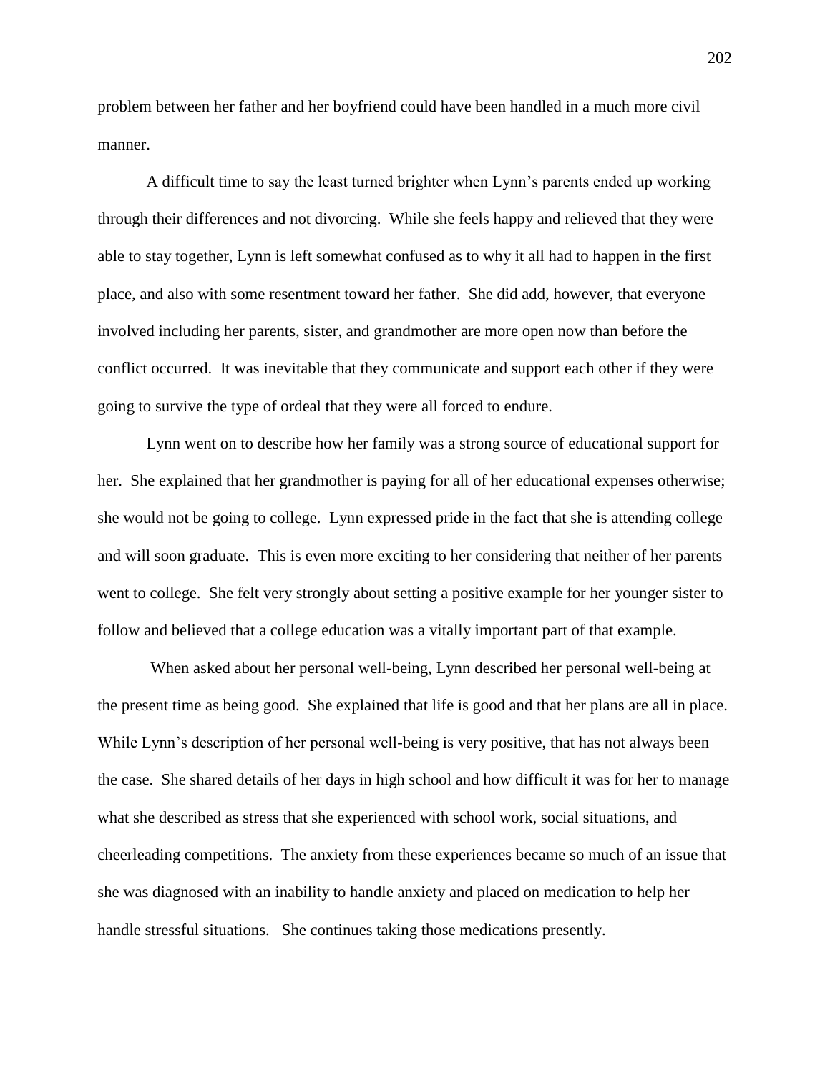problem between her father and her boyfriend could have been handled in a much more civil manner.

A difficult time to say the least turned brighter when Lynn's parents ended up working through their differences and not divorcing. While she feels happy and relieved that they were able to stay together, Lynn is left somewhat confused as to why it all had to happen in the first place, and also with some resentment toward her father. She did add, however, that everyone involved including her parents, sister, and grandmother are more open now than before the conflict occurred. It was inevitable that they communicate and support each other if they were going to survive the type of ordeal that they were all forced to endure.

Lynn went on to describe how her family was a strong source of educational support for her. She explained that her grandmother is paying for all of her educational expenses otherwise; she would not be going to college. Lynn expressed pride in the fact that she is attending college and will soon graduate. This is even more exciting to her considering that neither of her parents went to college. She felt very strongly about setting a positive example for her younger sister to follow and believed that a college education was a vitally important part of that example.

When asked about her personal well-being, Lynn described her personal well-being at the present time as being good. She explained that life is good and that her plans are all in place. While Lynn's description of her personal well-being is very positive, that has not always been the case. She shared details of her days in high school and how difficult it was for her to manage what she described as stress that she experienced with school work, social situations, and cheerleading competitions. The anxiety from these experiences became so much of an issue that she was diagnosed with an inability to handle anxiety and placed on medication to help her handle stressful situations. She continues taking those medications presently.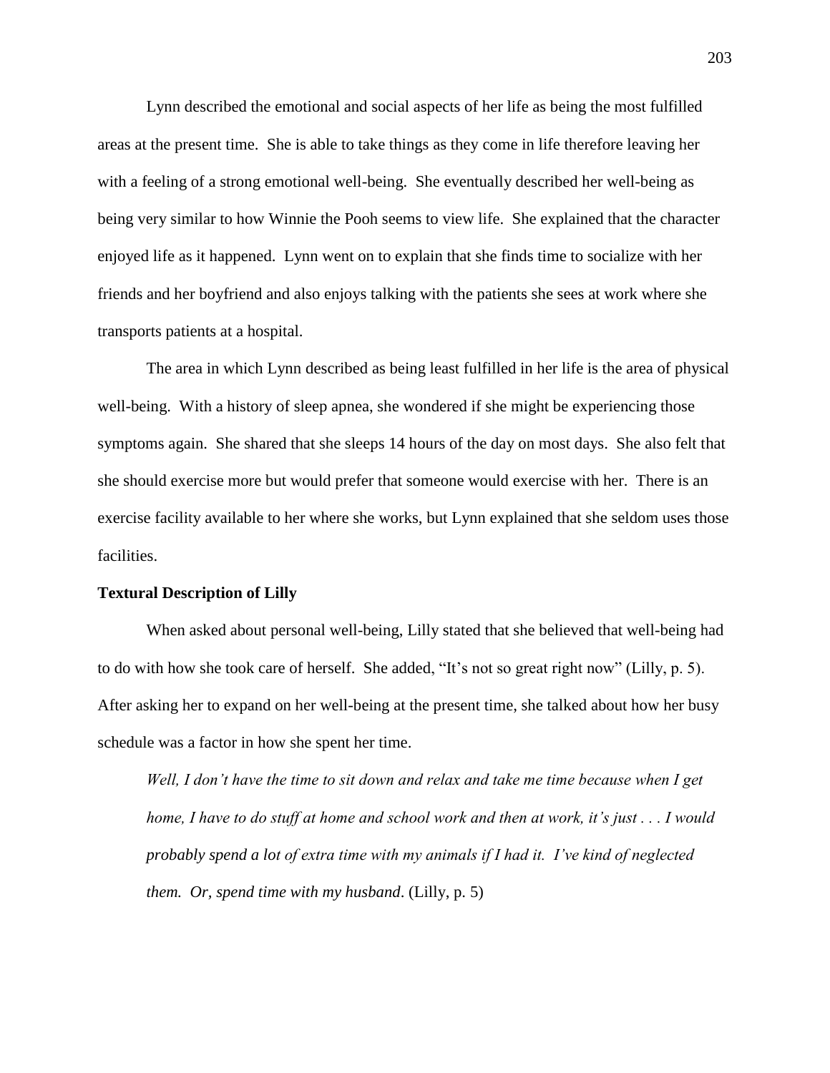Lynn described the emotional and social aspects of her life as being the most fulfilled areas at the present time. She is able to take things as they come in life therefore leaving her with a feeling of a strong emotional well-being. She eventually described her well-being as being very similar to how Winnie the Pooh seems to view life. She explained that the character enjoyed life as it happened. Lynn went on to explain that she finds time to socialize with her friends and her boyfriend and also enjoys talking with the patients she sees at work where she transports patients at a hospital.

The area in which Lynn described as being least fulfilled in her life is the area of physical well-being. With a history of sleep apnea, she wondered if she might be experiencing those symptoms again. She shared that she sleeps 14 hours of the day on most days. She also felt that she should exercise more but would prefer that someone would exercise with her. There is an exercise facility available to her where she works, but Lynn explained that she seldom uses those facilities.

### **Textural Description of Lilly**

When asked about personal well-being, Lilly stated that she believed that well-being had to do with how she took care of herself. She added, "It's not so great right now" (Lilly, p. 5). After asking her to expand on her well-being at the present time, she talked about how her busy schedule was a factor in how she spent her time.

*Well, I don't have the time to sit down and relax and take me time because when I get home, I have to do stuff at home and school work and then at work, it's just . . . I would probably spend a lot of extra time with my animals if I had it. I've kind of neglected them. Or, spend time with my husband*. (Lilly, p. 5)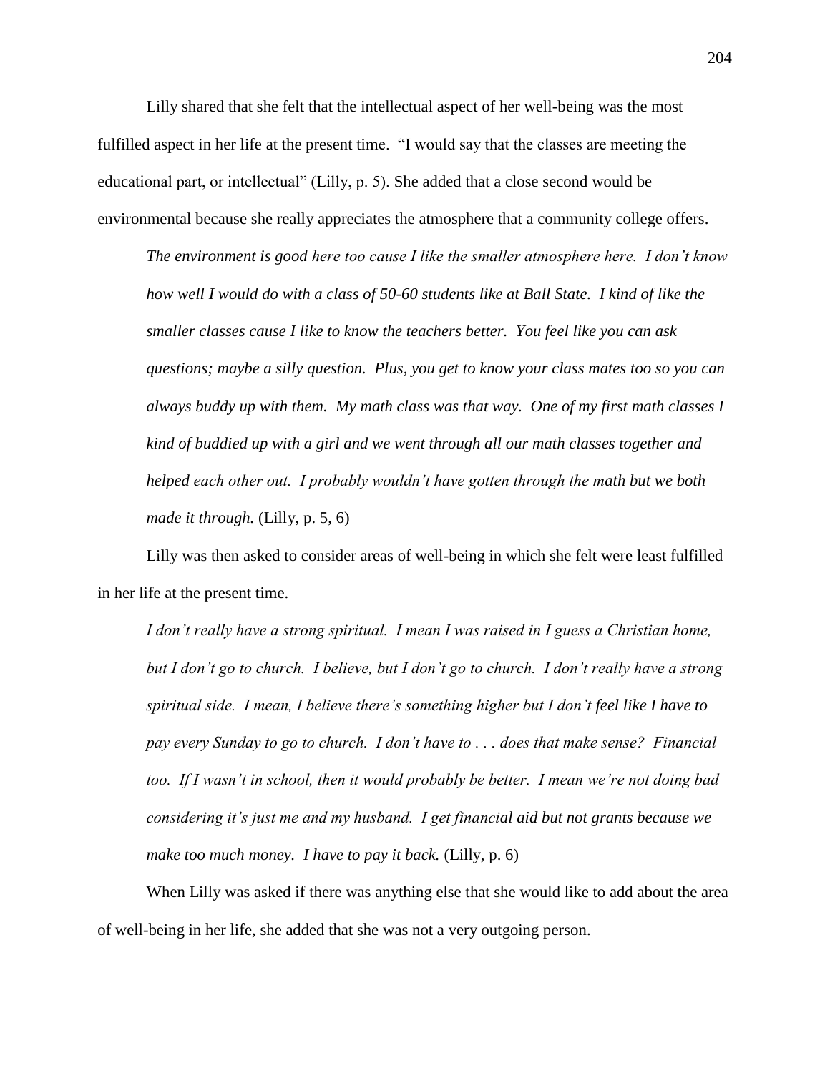Lilly shared that she felt that the intellectual aspect of her well-being was the most fulfilled aspect in her life at the present time. "I would say that the classes are meeting the educational part, or intellectual" (Lilly, p. 5). She added that a close second would be environmental because she really appreciates the atmosphere that a community college offers.

*The environment is good here too cause I like the smaller atmosphere here. I don't know how well I would do with a class of 50-60 students like at Ball State. I kind of like the smaller classes cause I like to know the teachers better. You feel like you can ask questions; maybe a silly question. Plus, you get to know your class mates too so you can always buddy up with them. My math class was that way. One of my first math classes I kind of buddied up with a girl and we went through all our math classes together and helped each other out. I probably wouldn't have gotten through the math but we both made it through.* (Lilly, p. 5, 6)

Lilly was then asked to consider areas of well-being in which she felt were least fulfilled in her life at the present time.

*I don't really have a strong spiritual. I mean I was raised in I guess a Christian home, but I don't go to church. I believe, but I don't go to church. I don't really have a strong spiritual side. I mean, I believe there's something higher but I don't feel like I have to pay every Sunday to go to church. I don't have to . . . does that make sense? Financial too. If I wasn't in school, then it would probably be better. I mean we're not doing bad considering it's just me and my husband. I get financial aid but not grants because we make too much money. I have to pay it back.* (Lilly, p. 6)

When Lilly was asked if there was anything else that she would like to add about the area of well-being in her life, she added that she was not a very outgoing person.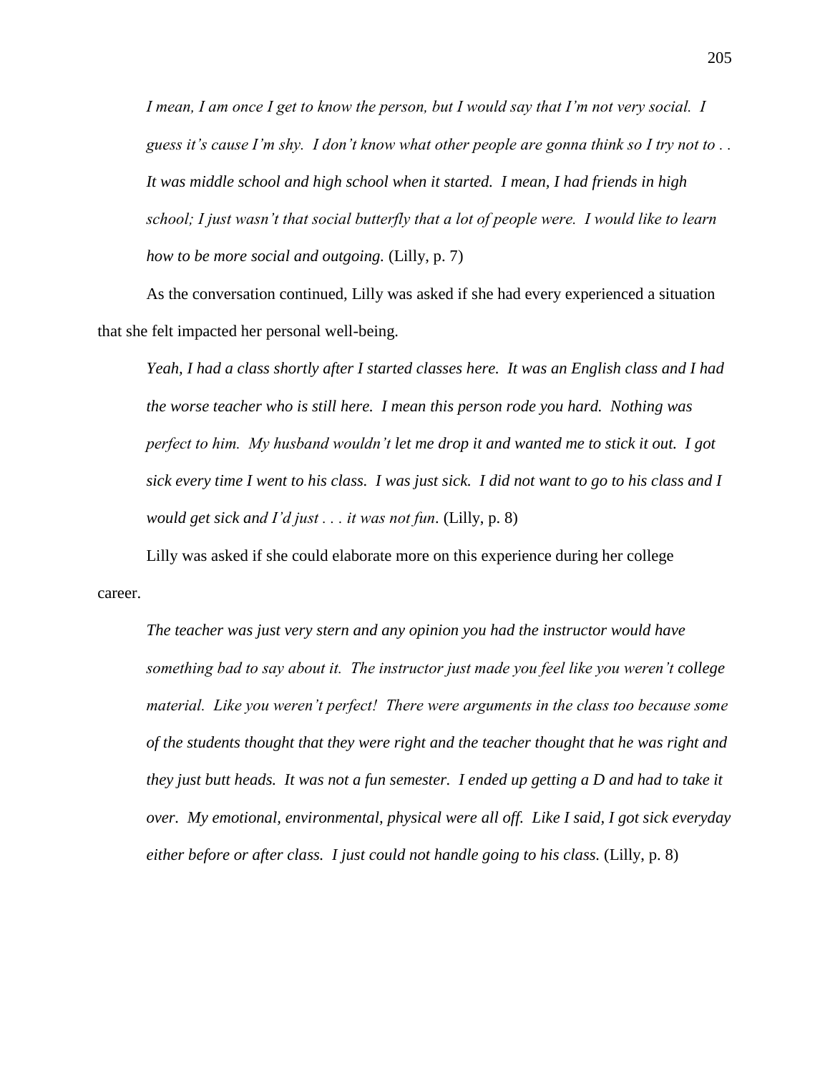*I mean, I am once I get to know the person, but I would say that I'm not very social. I guess it's cause I'm shy. I don't know what other people are gonna think so I try not to . . It was middle school and high school when it started. I mean, I had friends in high school; I just wasn't that social butterfly that a lot of people were. I would like to learn how to be more social and outgoing.* (Lilly, p. 7)

As the conversation continued, Lilly was asked if she had every experienced a situation that she felt impacted her personal well-being.

*Yeah, I had a class shortly after I started classes here. It was an English class and I had the worse teacher who is still here. I mean this person rode you hard. Nothing was perfect to him. My husband wouldn't let me drop it and wanted me to stick it out. I got sick every time I went to his class. I was just sick. I did not want to go to his class and I would get sick and I'd just . . . it was not fun.* (Lilly, p. 8)

Lilly was asked if she could elaborate more on this experience during her college career.

*The teacher was just very stern and any opinion you had the instructor would have something bad to say about it. The instructor just made you feel like you weren't college material. Like you weren't perfect! There were arguments in the class too because some of the students thought that they were right and the teacher thought that he was right and they just butt heads. It was not a fun semester. I ended up getting a D and had to take it over. My emotional, environmental, physical were all off. Like I said, I got sick everyday either before or after class. I just could not handle going to his class.* (Lilly, p. 8)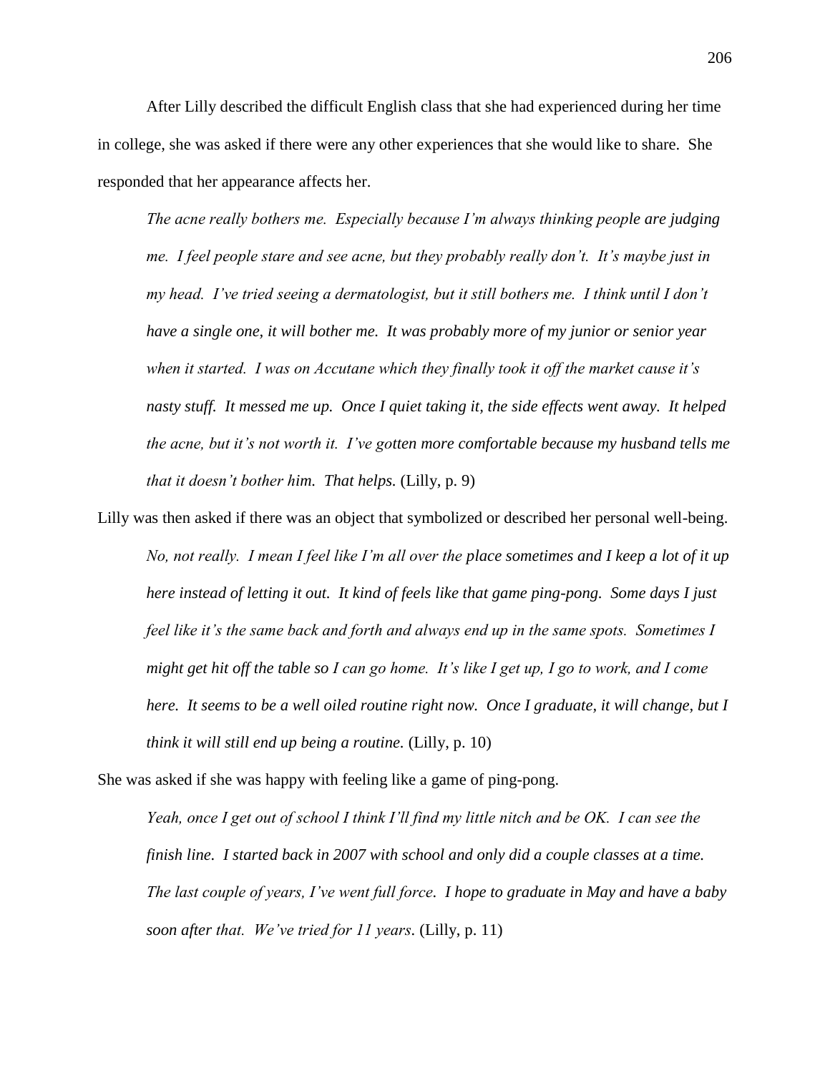After Lilly described the difficult English class that she had experienced during her time in college, she was asked if there were any other experiences that she would like to share. She responded that her appearance affects her.

*The acne really bothers me. Especially because I'm always thinking people are judging me. I feel people stare and see acne, but they probably really don't. It's maybe just in my head. I've tried seeing a dermatologist, but it still bothers me. I think until I don't have a single one, it will bother me. It was probably more of my junior or senior year when it started. I was on Accutane which they finally took it off the market cause it's nasty stuff. It messed me up. Once I quiet taking it, the side effects went away. It helped the acne, but it's not worth it. I've gotten more comfortable because my husband tells me that it doesn't bother him. That helps.* (Lilly, p. 9)

Lilly was then asked if there was an object that symbolized or described her personal well-being. *No, not really. I mean I feel like I'm all over the place sometimes and I keep a lot of it up here instead of letting it out. It kind of feels like that game ping-pong. Some days I just feel like it's the same back and forth and always end up in the same spots. Sometimes I might get hit off the table so I can go home. It's like I get up, I go to work, and I come here. It seems to be a well oiled routine right now. Once I graduate, it will change, but I think it will still end up being a routine.* (Lilly, p. 10)

She was asked if she was happy with feeling like a game of ping-pong.

*Yeah, once I get out of school I think I'll find my little nitch and be OK. I can see the finish line. I started back in 2007 with school and only did a couple classes at a time. The last couple of years, I've went full force. I hope to graduate in May and have a baby soon after that. We've tried for 11 years.* (Lilly, p. 11)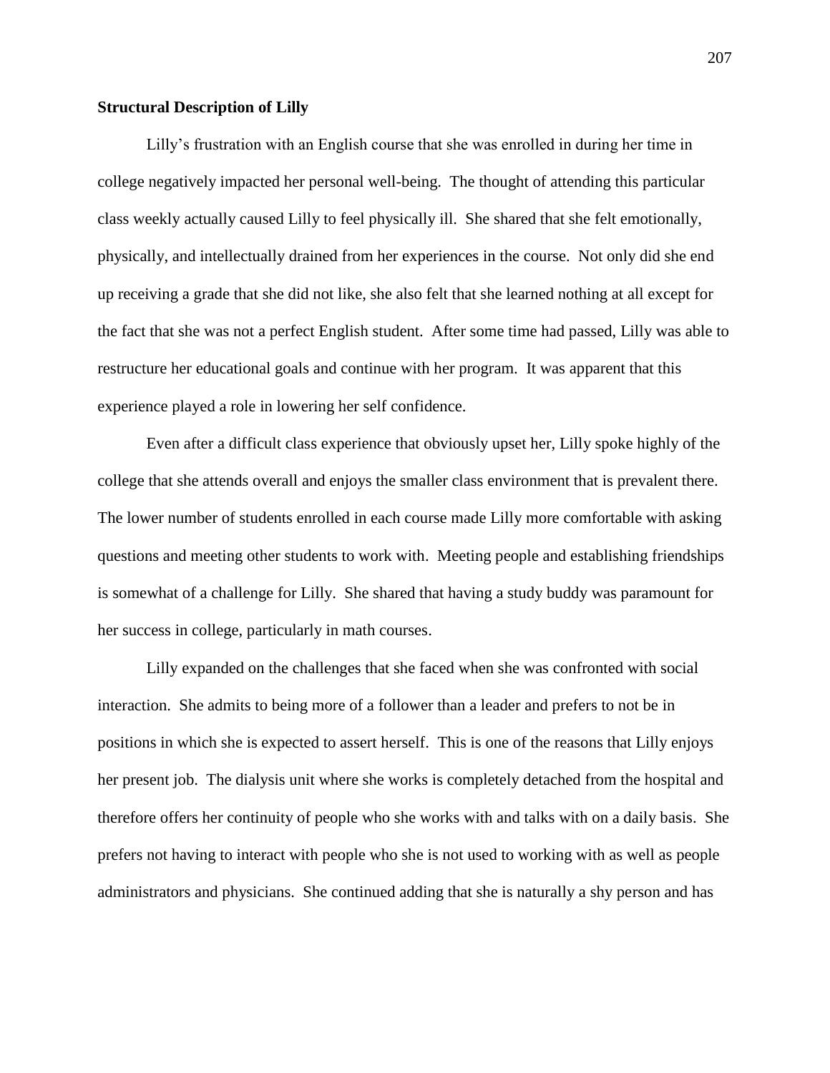# **Structural Description of Lilly**

Lilly's frustration with an English course that she was enrolled in during her time in college negatively impacted her personal well-being. The thought of attending this particular class weekly actually caused Lilly to feel physically ill. She shared that she felt emotionally, physically, and intellectually drained from her experiences in the course. Not only did she end up receiving a grade that she did not like, she also felt that she learned nothing at all except for the fact that she was not a perfect English student. After some time had passed, Lilly was able to restructure her educational goals and continue with her program. It was apparent that this experience played a role in lowering her self confidence.

Even after a difficult class experience that obviously upset her, Lilly spoke highly of the college that she attends overall and enjoys the smaller class environment that is prevalent there. The lower number of students enrolled in each course made Lilly more comfortable with asking questions and meeting other students to work with. Meeting people and establishing friendships is somewhat of a challenge for Lilly. She shared that having a study buddy was paramount for her success in college, particularly in math courses.

Lilly expanded on the challenges that she faced when she was confronted with social interaction. She admits to being more of a follower than a leader and prefers to not be in positions in which she is expected to assert herself. This is one of the reasons that Lilly enjoys her present job. The dialysis unit where she works is completely detached from the hospital and therefore offers her continuity of people who she works with and talks with on a daily basis. She prefers not having to interact with people who she is not used to working with as well as people administrators and physicians. She continued adding that she is naturally a shy person and has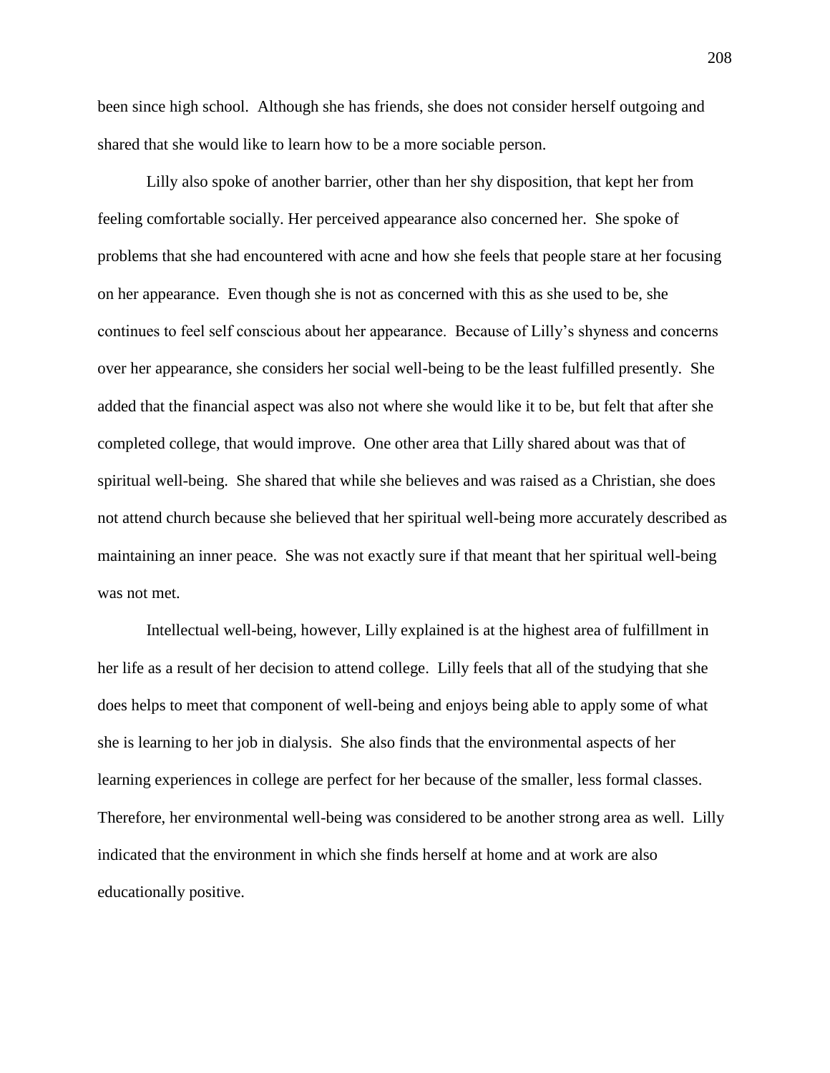been since high school. Although she has friends, she does not consider herself outgoing and shared that she would like to learn how to be a more sociable person.

Lilly also spoke of another barrier, other than her shy disposition, that kept her from feeling comfortable socially. Her perceived appearance also concerned her. She spoke of problems that she had encountered with acne and how she feels that people stare at her focusing on her appearance. Even though she is not as concerned with this as she used to be, she continues to feel self conscious about her appearance. Because of Lilly's shyness and concerns over her appearance, she considers her social well-being to be the least fulfilled presently. She added that the financial aspect was also not where she would like it to be, but felt that after she completed college, that would improve. One other area that Lilly shared about was that of spiritual well-being. She shared that while she believes and was raised as a Christian, she does not attend church because she believed that her spiritual well-being more accurately described as maintaining an inner peace. She was not exactly sure if that meant that her spiritual well-being was not met.

Intellectual well-being, however, Lilly explained is at the highest area of fulfillment in her life as a result of her decision to attend college. Lilly feels that all of the studying that she does helps to meet that component of well-being and enjoys being able to apply some of what she is learning to her job in dialysis. She also finds that the environmental aspects of her learning experiences in college are perfect for her because of the smaller, less formal classes. Therefore, her environmental well-being was considered to be another strong area as well. Lilly indicated that the environment in which she finds herself at home and at work are also educationally positive.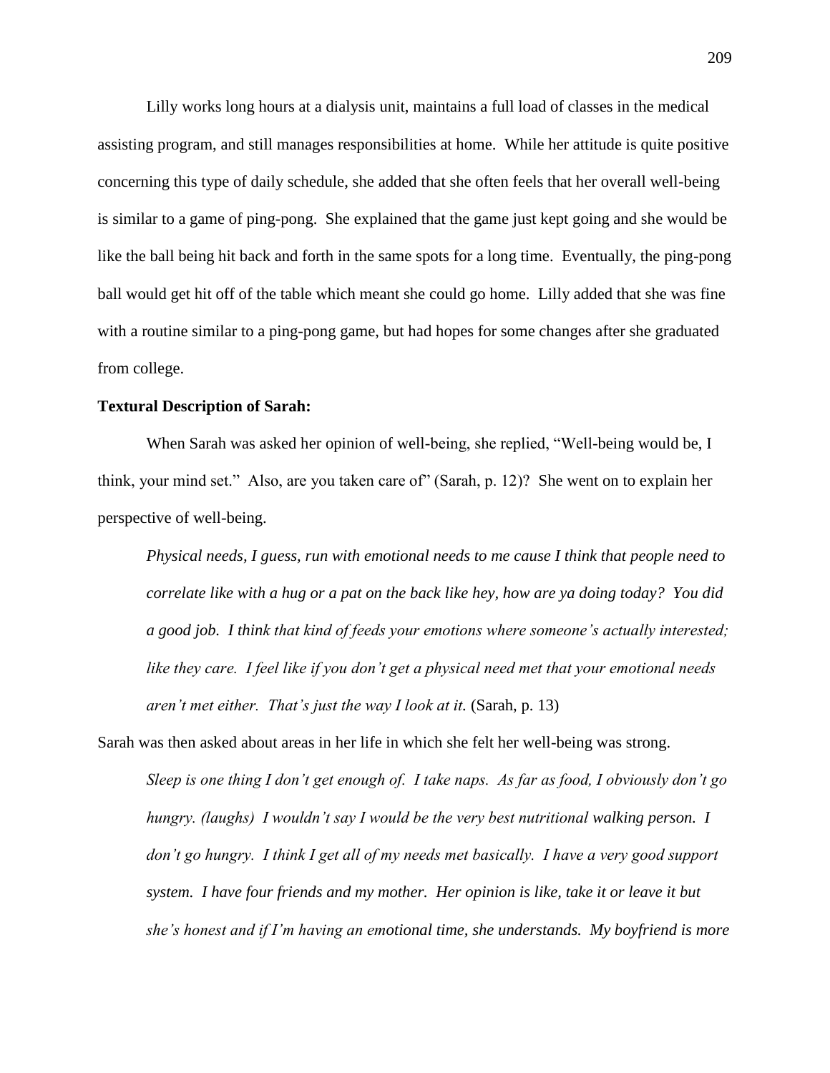Lilly works long hours at a dialysis unit, maintains a full load of classes in the medical assisting program, and still manages responsibilities at home. While her attitude is quite positive concerning this type of daily schedule, she added that she often feels that her overall well-being is similar to a game of ping-pong. She explained that the game just kept going and she would be like the ball being hit back and forth in the same spots for a long time. Eventually, the ping-pong ball would get hit off of the table which meant she could go home. Lilly added that she was fine with a routine similar to a ping-pong game, but had hopes for some changes after she graduated from college.

# **Textural Description of Sarah:**

When Sarah was asked her opinion of well-being, she replied, "Well-being would be, I think, your mind set." Also, are you taken care of" (Sarah, p. 12)? She went on to explain her perspective of well-being.

*Physical needs, I guess, run with emotional needs to me cause I think that people need to correlate like with a hug or a pat on the back like hey, how are ya doing today? You did a good job. I think that kind of feeds your emotions where someone's actually interested; like they care. I feel like if you don't get a physical need met that your emotional needs aren't met either. That's just the way I look at it.* (Sarah, p. 13)

Sarah was then asked about areas in her life in which she felt her well-being was strong. *Sleep is one thing I don't get enough of. I take naps. As far as food, I obviously don't go hungry. (laughs) I wouldn't say I would be the very best nutritional walking person. I don't go hungry. I think I get all of my needs met basically. I have a very good support system. I have four friends and my mother. Her opinion is like, take it or leave it but she's honest and if I'm having an emotional time, she understands. My boyfriend is more*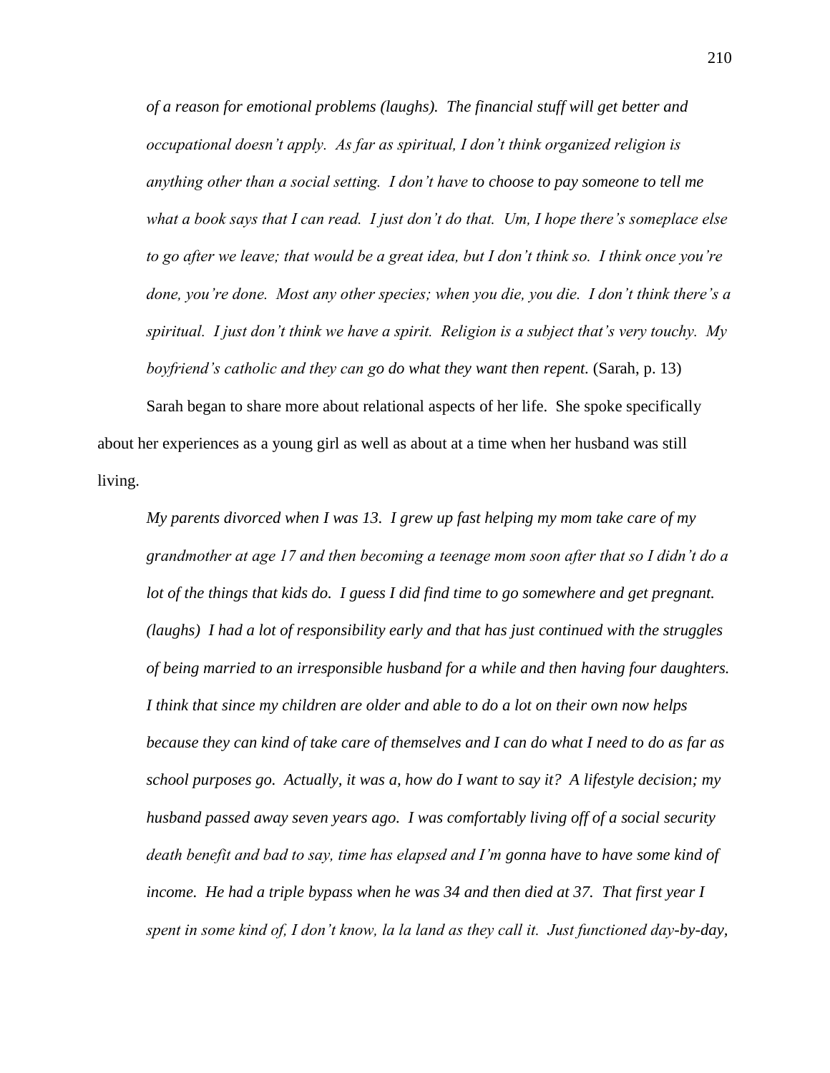*of a reason for emotional problems (laughs). The financial stuff will get better and occupational doesn't apply. As far as spiritual, I don't think organized religion is anything other than a social setting. I don't have to choose to pay someone to tell me what a book says that I can read. I just don't do that. Um, I hope there's someplace else to go after we leave; that would be a great idea, but I don't think so. I think once you're done, you're done. Most any other species; when you die, you die. I don't think there's a spiritual. I just don't think we have a spirit. Religion is a subject that's very touchy. My boyfriend's catholic and they can go do what they want then repent.* (Sarah, p. 13)

Sarah began to share more about relational aspects of her life. She spoke specifically about her experiences as a young girl as well as about at a time when her husband was still living.

*My parents divorced when I was 13. I grew up fast helping my mom take care of my grandmother at age 17 and then becoming a teenage mom soon after that so I didn't do a lot of the things that kids do. I guess I did find time to go somewhere and get pregnant. (laughs) I had a lot of responsibility early and that has just continued with the struggles of being married to an irresponsible husband for a while and then having four daughters. I think that since my children are older and able to do a lot on their own now helps because they can kind of take care of themselves and I can do what I need to do as far as school purposes go. Actually, it was a, how do I want to say it? A lifestyle decision; my husband passed away seven years ago. I was comfortably living off of a social security death benefit and bad to say, time has elapsed and I'm gonna have to have some kind of income. He had a triple bypass when he was 34 and then died at 37. That first year I spent in some kind of, I don't know, la la land as they call it. Just functioned day-by-day,*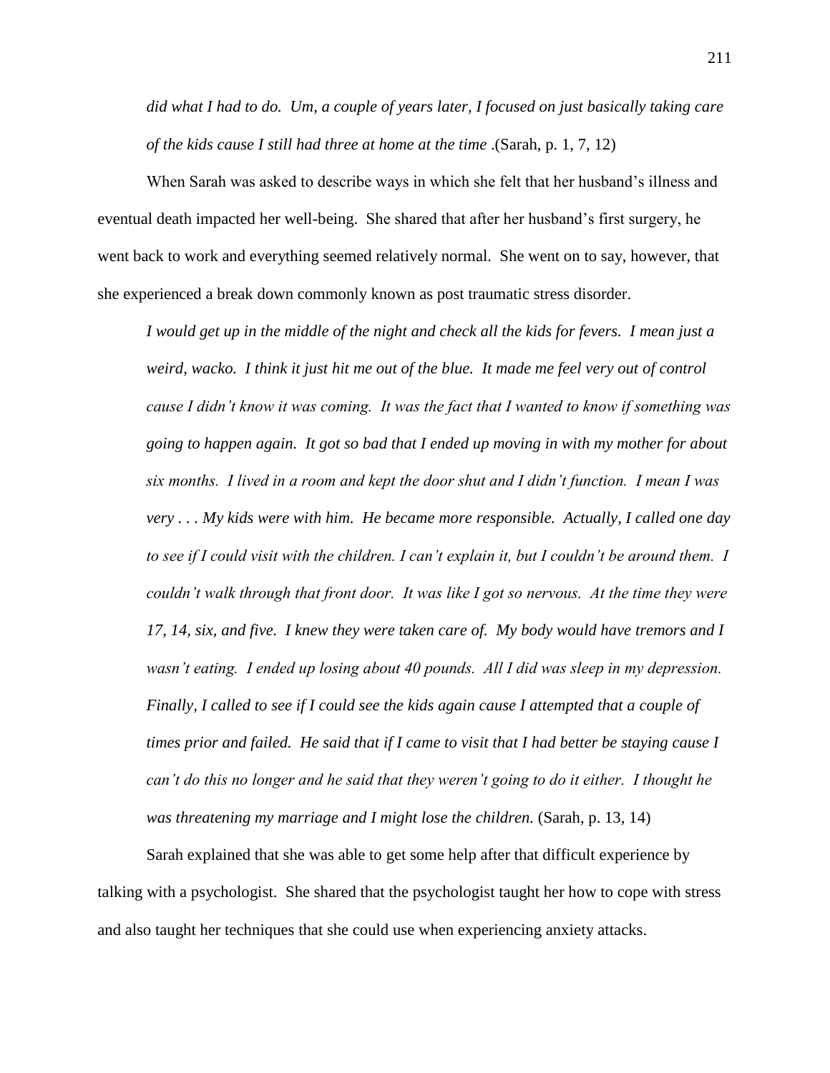*did what I had to do. Um, a couple of years later, I focused on just basically taking care of the kids cause I still had three at home at the time* .(Sarah, p. 1, 7, 12)

When Sarah was asked to describe ways in which she felt that her husband's illness and eventual death impacted her well-being. She shared that after her husband's first surgery, he went back to work and everything seemed relatively normal. She went on to say, however, that she experienced a break down commonly known as post traumatic stress disorder.

*I would get up in the middle of the night and check all the kids for fevers. I mean just a weird, wacko. I think it just hit me out of the blue. It made me feel very out of control cause I didn't know it was coming. It was the fact that I wanted to know if something was going to happen again. It got so bad that I ended up moving in with my mother for about six months. I lived in a room and kept the door shut and I didn't function. I mean I was very . . . My kids were with him. He became more responsible. Actually, I called one day to see if I could visit with the children. I can't explain it, but I couldn't be around them. I couldn't walk through that front door. It was like I got so nervous. At the time they were 17, 14, six, and five. I knew they were taken care of. My body would have tremors and I wasn't eating. I ended up losing about 40 pounds. All I did was sleep in my depression. Finally, I called to see if I could see the kids again cause I attempted that a couple of times prior and failed. He said that if I came to visit that I had better be staying cause I can't do this no longer and he said that they weren't going to do it either. I thought he was threatening my marriage and I might lose the children.* (Sarah, p. 13, 14)

Sarah explained that she was able to get some help after that difficult experience by talking with a psychologist. She shared that the psychologist taught her how to cope with stress and also taught her techniques that she could use when experiencing anxiety attacks.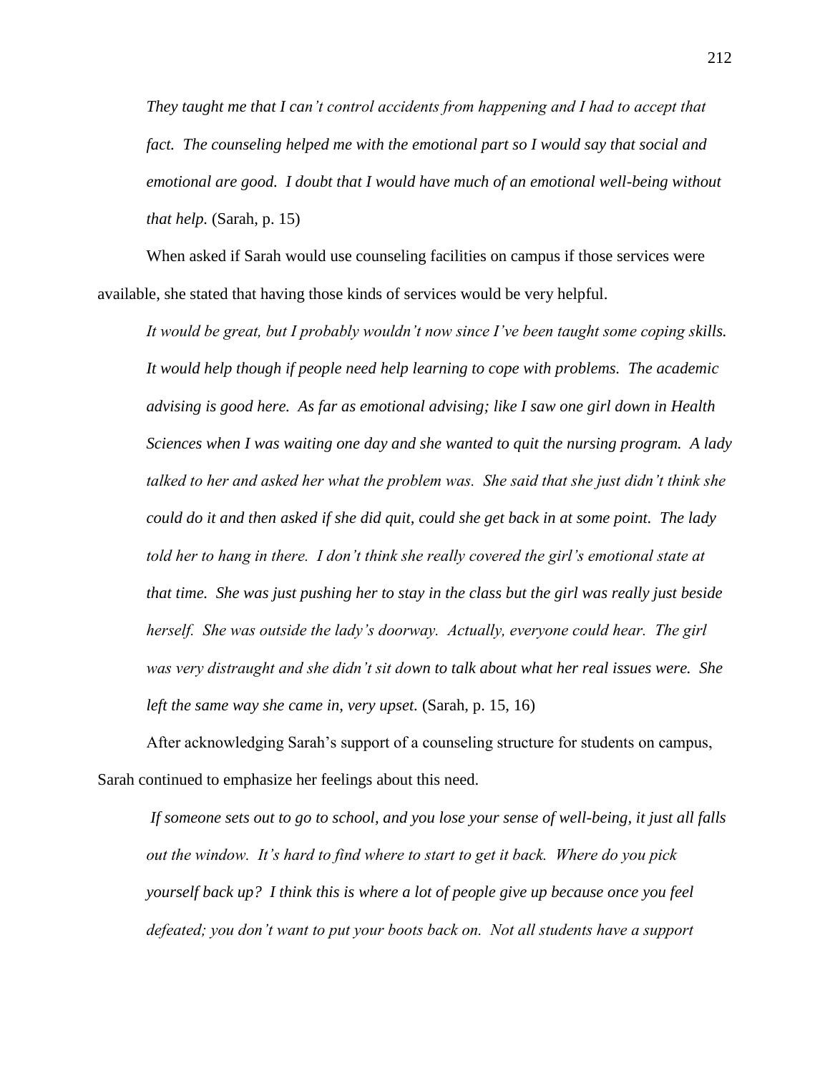*They taught me that I can't control accidents from happening and I had to accept that fact. The counseling helped me with the emotional part so I would say that social and emotional are good. I doubt that I would have much of an emotional well-being without that help.* (Sarah, p. 15)

When asked if Sarah would use counseling facilities on campus if those services were available, she stated that having those kinds of services would be very helpful.

*It would be great, but I probably wouldn't now since I've been taught some coping skills. It would help though if people need help learning to cope with problems. The academic advising is good here. As far as emotional advising; like I saw one girl down in Health Sciences when I was waiting one day and she wanted to quit the nursing program. A lady talked to her and asked her what the problem was. She said that she just didn't think she could do it and then asked if she did quit, could she get back in at some point. The lady told her to hang in there. I don't think she really covered the girl's emotional state at that time. She was just pushing her to stay in the class but the girl was really just beside herself. She was outside the lady's doorway. Actually, everyone could hear. The girl was very distraught and she didn't sit down to talk about what her real issues were. She left the same way she came in, very upset.* (Sarah, p. 15, 16)

After acknowledging Sarah's support of a counseling structure for students on campus, Sarah continued to emphasize her feelings about this need.

*If someone sets out to go to school, and you lose your sense of well-being, it just all falls out the window. It's hard to find where to start to get it back. Where do you pick yourself back up? I think this is where a lot of people give up because once you feel defeated; you don't want to put your boots back on. Not all students have a support*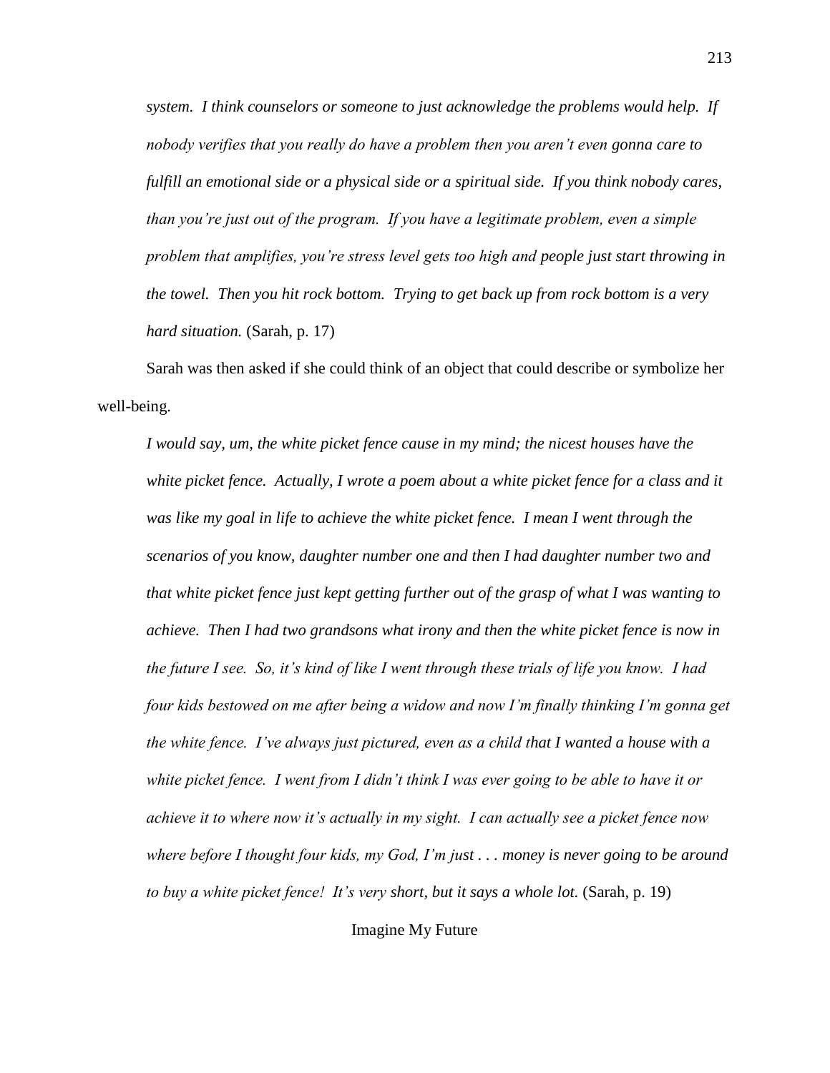*system. I think counselors or someone to just acknowledge the problems would help. If nobody verifies that you really do have a problem then you aren't even gonna care to fulfill an emotional side or a physical side or a spiritual side. If you think nobody cares, than you're just out of the program. If you have a legitimate problem, even a simple problem that amplifies, you're stress level gets too high and people just start throwing in the towel. Then you hit rock bottom. Trying to get back up from rock bottom is a very hard situation.* (Sarah, p. 17)

Sarah was then asked if she could think of an object that could describe or symbolize her well-being.

*I would say, um, the white picket fence cause in my mind; the nicest houses have the white picket fence. Actually, I wrote a poem about a white picket fence for a class and it*  was like my goal in life to achieve the white picket fence. I mean I went through the *scenarios of you know, daughter number one and then I had daughter number two and that white picket fence just kept getting further out of the grasp of what I was wanting to achieve. Then I had two grandsons what irony and then the white picket fence is now in the future I see. So, it's kind of like I went through these trials of life you know. I had four kids bestowed on me after being a widow and now I'm finally thinking I'm gonna get the white fence. I've always just pictured, even as a child that I wanted a house with a white picket fence. I went from I didn't think I was ever going to be able to have it or achieve it to where now it's actually in my sight. I can actually see a picket fence now where before I thought four kids, my God, I'm just . . . money is never going to be around to buy a white picket fence! It's very short, but it says a whole lot.* (Sarah, p. 19)

Imagine My Future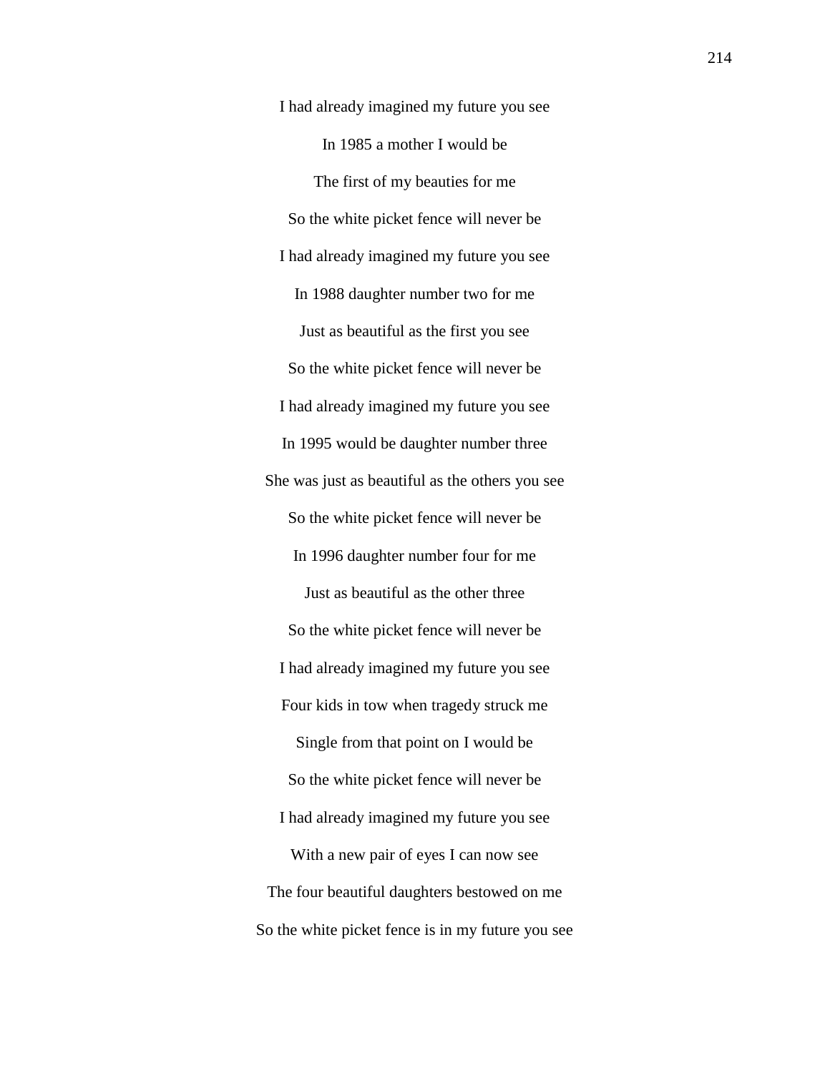I had already imagined my future you see In 1985 a mother I would be The first of my beauties for me So the white picket fence will never be I had already imagined my future you see In 1988 daughter number two for me Just as beautiful as the first you see So the white picket fence will never be I had already imagined my future you see In 1995 would be daughter number three She was just as beautiful as the others you see So the white picket fence will never be In 1996 daughter number four for me Just as beautiful as the other three So the white picket fence will never be I had already imagined my future you see Four kids in tow when tragedy struck me Single from that point on I would be So the white picket fence will never be I had already imagined my future you see With a new pair of eyes I can now see The four beautiful daughters bestowed on me So the white picket fence is in my future you see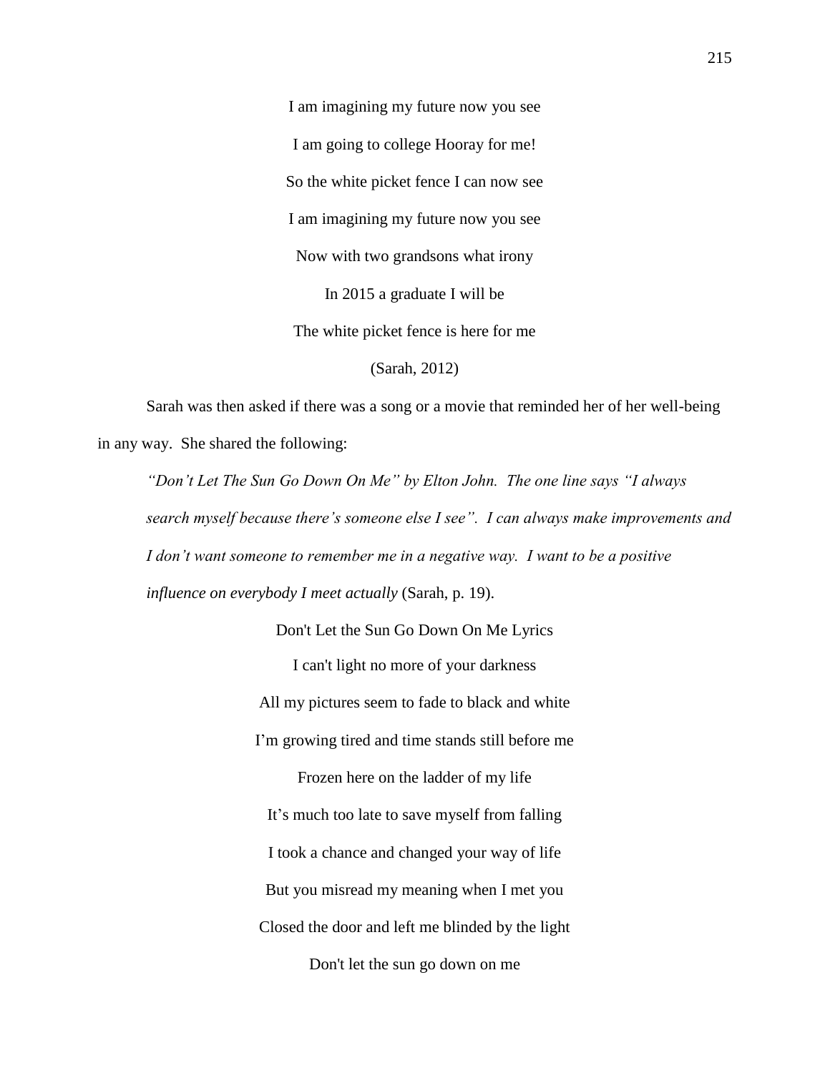I am imagining my future now you see I am going to college Hooray for me! So the white picket fence I can now see I am imagining my future now you see Now with two grandsons what irony In 2015 a graduate I will be The white picket fence is here for me

(Sarah, 2012)

Sarah was then asked if there was a song or a movie that reminded her of her well-being in any way. She shared the following:

*"Don't Let The Sun Go Down On Me" by Elton John. The one line says "I always search myself because there's someone else I see". I can always make improvements and I don't want someone to remember me in a negative way. I want to be a positive influence on everybody I meet actually* (Sarah, p. 19).

> Don't Let the Sun Go Down On Me Lyrics I can't light no more of your darkness All my pictures seem to fade to black and white I'm growing tired and time stands still before me Frozen here on the ladder of my life It's much too late to save myself from falling I took a chance and changed your way of life But you misread my meaning when I met you Closed the door and left me blinded by the light Don't let the sun go down on me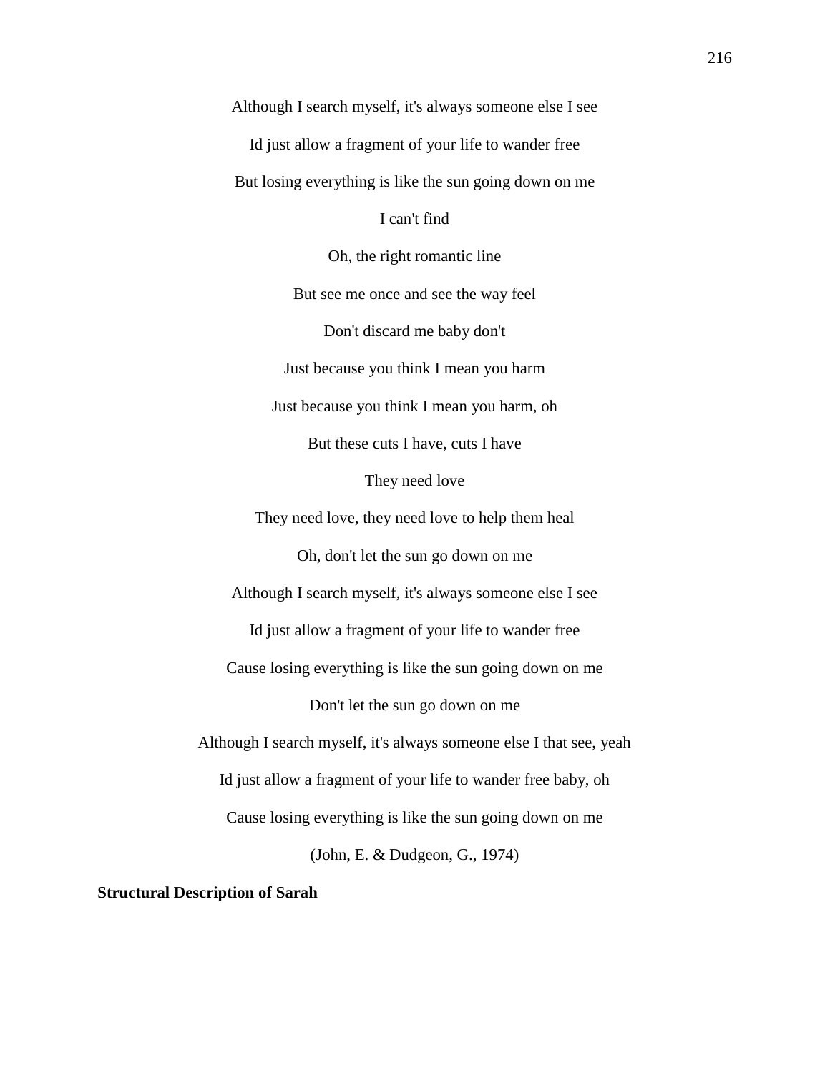Although I search myself, it's always someone else I see Id just allow a fragment of your life to wander free But losing everything is like the sun going down on me I can't find Oh, the right romantic line But see me once and see the way feel Don't discard me baby don't Just because you think I mean you harm Just because you think I mean you harm, oh But these cuts I have, cuts I have They need love They need love, they need love to help them heal Oh, don't let the sun go down on me Although I search myself, it's always someone else I see Id just allow a fragment of your life to wander free Cause losing everything is like the sun going down on me Don't let the sun go down on me Although I search myself, it's always someone else I that see, yeah Id just allow a fragment of your life to wander free baby, oh Cause losing everything is like the sun going down on me (John, E. & Dudgeon, G., 1974)

**Structural Description of Sarah**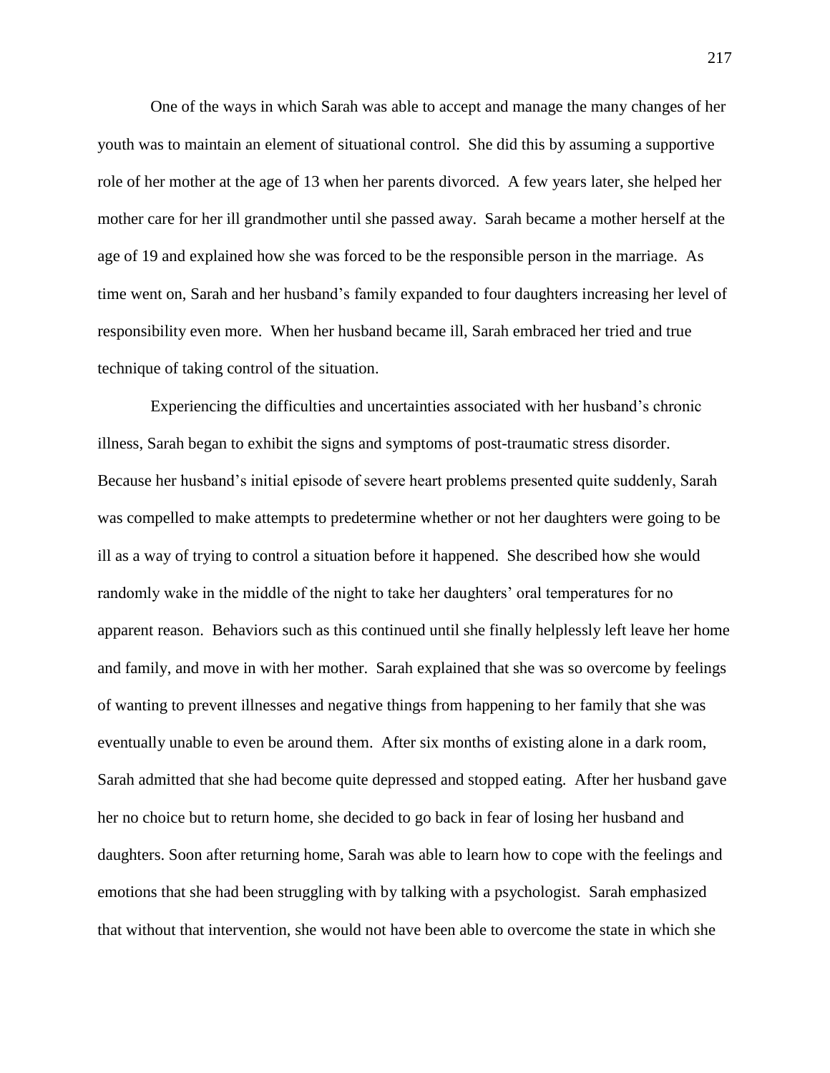One of the ways in which Sarah was able to accept and manage the many changes of her youth was to maintain an element of situational control. She did this by assuming a supportive role of her mother at the age of 13 when her parents divorced. A few years later, she helped her mother care for her ill grandmother until she passed away. Sarah became a mother herself at the age of 19 and explained how she was forced to be the responsible person in the marriage. As time went on, Sarah and her husband's family expanded to four daughters increasing her level of responsibility even more. When her husband became ill, Sarah embraced her tried and true technique of taking control of the situation.

Experiencing the difficulties and uncertainties associated with her husband's chronic illness, Sarah began to exhibit the signs and symptoms of post-traumatic stress disorder. Because her husband's initial episode of severe heart problems presented quite suddenly, Sarah was compelled to make attempts to predetermine whether or not her daughters were going to be ill as a way of trying to control a situation before it happened. She described how she would randomly wake in the middle of the night to take her daughters' oral temperatures for no apparent reason. Behaviors such as this continued until she finally helplessly left leave her home and family, and move in with her mother. Sarah explained that she was so overcome by feelings of wanting to prevent illnesses and negative things from happening to her family that she was eventually unable to even be around them. After six months of existing alone in a dark room, Sarah admitted that she had become quite depressed and stopped eating. After her husband gave her no choice but to return home, she decided to go back in fear of losing her husband and daughters. Soon after returning home, Sarah was able to learn how to cope with the feelings and emotions that she had been struggling with by talking with a psychologist. Sarah emphasized that without that intervention, she would not have been able to overcome the state in which she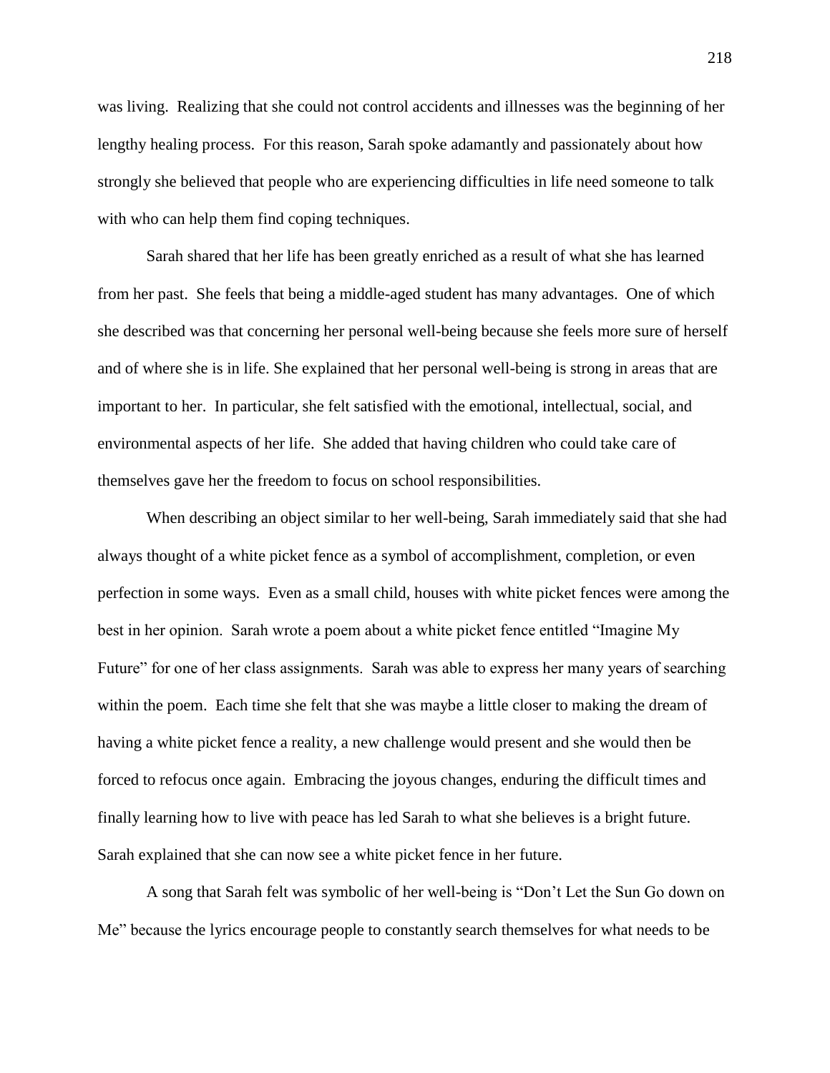was living. Realizing that she could not control accidents and illnesses was the beginning of her lengthy healing process. For this reason, Sarah spoke adamantly and passionately about how strongly she believed that people who are experiencing difficulties in life need someone to talk with who can help them find coping techniques.

Sarah shared that her life has been greatly enriched as a result of what she has learned from her past. She feels that being a middle-aged student has many advantages. One of which she described was that concerning her personal well-being because she feels more sure of herself and of where she is in life. She explained that her personal well-being is strong in areas that are important to her. In particular, she felt satisfied with the emotional, intellectual, social, and environmental aspects of her life. She added that having children who could take care of themselves gave her the freedom to focus on school responsibilities.

When describing an object similar to her well-being, Sarah immediately said that she had always thought of a white picket fence as a symbol of accomplishment, completion, or even perfection in some ways. Even as a small child, houses with white picket fences were among the best in her opinion. Sarah wrote a poem about a white picket fence entitled "Imagine My Future" for one of her class assignments. Sarah was able to express her many years of searching within the poem. Each time she felt that she was maybe a little closer to making the dream of having a white picket fence a reality, a new challenge would present and she would then be forced to refocus once again. Embracing the joyous changes, enduring the difficult times and finally learning how to live with peace has led Sarah to what she believes is a bright future. Sarah explained that she can now see a white picket fence in her future.

A song that Sarah felt was symbolic of her well-being is "Don't Let the Sun Go down on Me" because the lyrics encourage people to constantly search themselves for what needs to be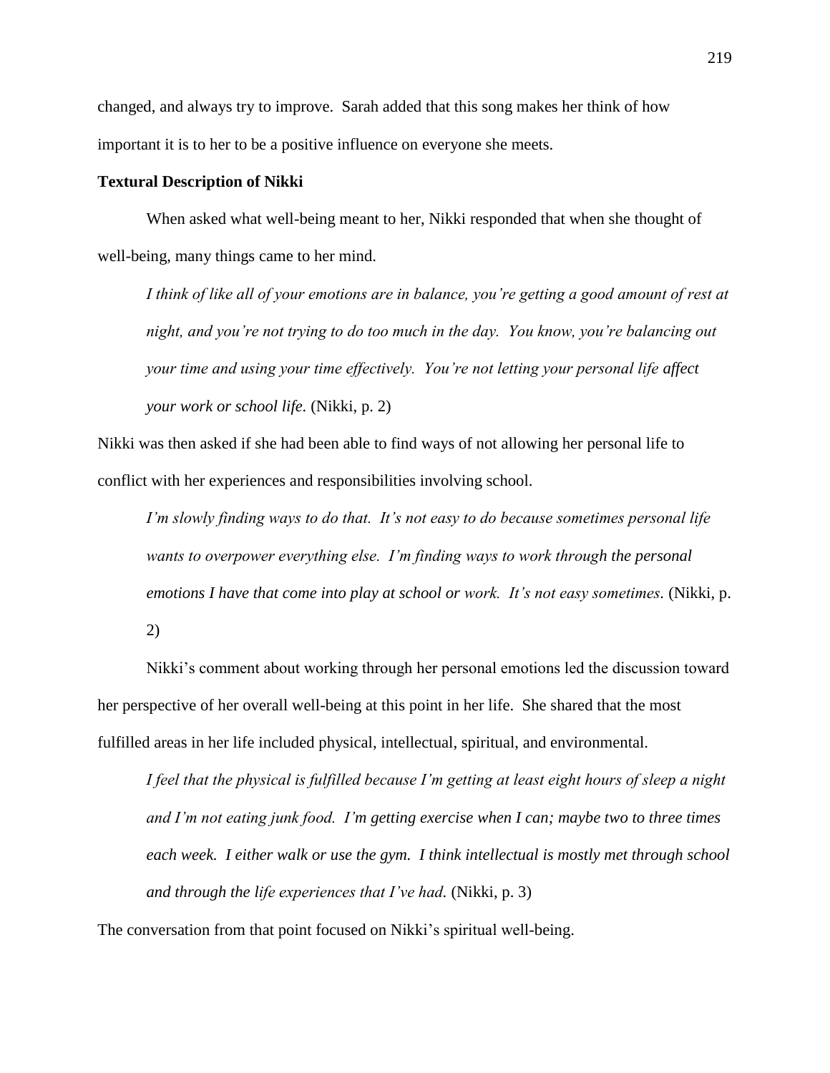changed, and always try to improve. Sarah added that this song makes her think of how important it is to her to be a positive influence on everyone she meets.

## **Textural Description of Nikki**

When asked what well-being meant to her, Nikki responded that when she thought of well-being, many things came to her mind.

*I think of like all of your emotions are in balance, you're getting a good amount of rest at night, and you're not trying to do too much in the day. You know, you're balancing out your time and using your time effectively. You're not letting your personal life affect your work or school life.* (Nikki, p. 2)

Nikki was then asked if she had been able to find ways of not allowing her personal life to conflict with her experiences and responsibilities involving school.

*I'm slowly finding ways to do that. It's not easy to do because sometimes personal life wants to overpower everything else. I'm finding ways to work through the personal emotions I have that come into play at school or work. It's not easy sometimes.* (Nikki, p.

2)

Nikki's comment about working through her personal emotions led the discussion toward her perspective of her overall well-being at this point in her life. She shared that the most fulfilled areas in her life included physical, intellectual, spiritual, and environmental.

*I feel that the physical is fulfilled because I'm getting at least eight hours of sleep a night and I'm not eating junk food. I'm getting exercise when I can; maybe two to three times*  each week. I either walk or use the gym. I think intellectual is mostly met through school *and through the life experiences that I've had.* (Nikki, p. 3)

The conversation from that point focused on Nikki's spiritual well-being.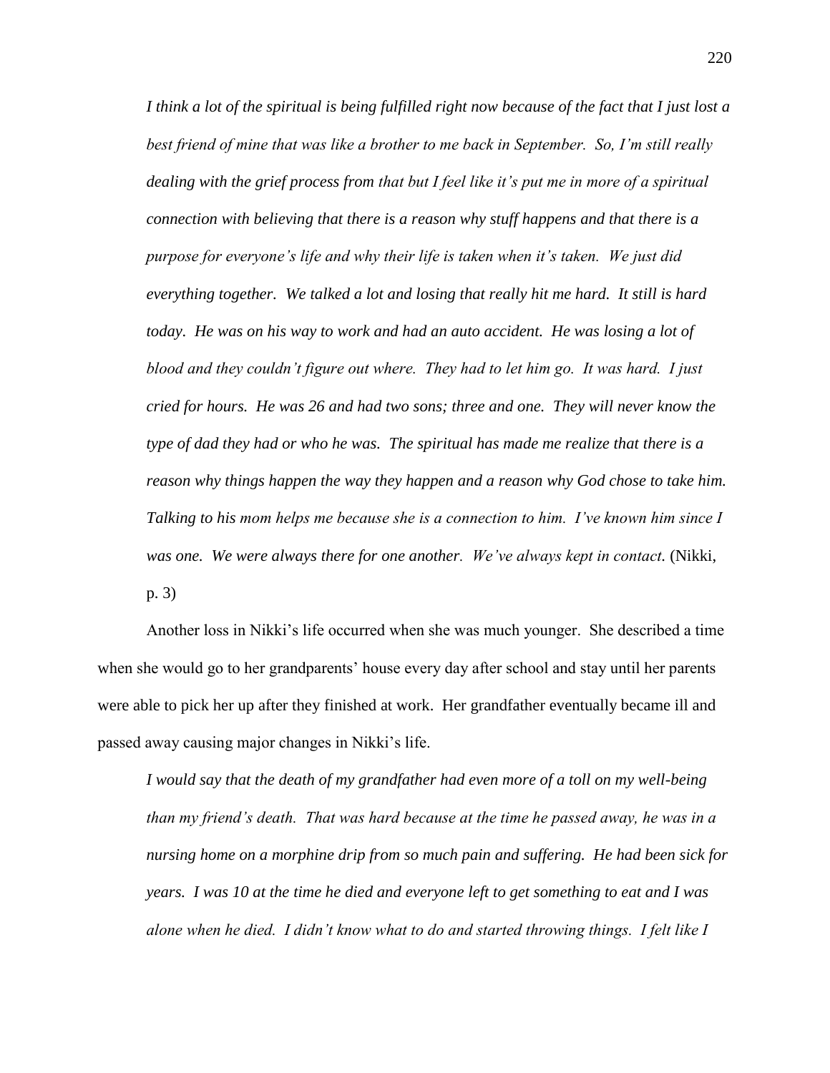*I think a lot of the spiritual is being fulfilled right now because of the fact that I just lost a best friend of mine that was like a brother to me back in September. So, I'm still really dealing with the grief process from that but I feel like it's put me in more of a spiritual connection with believing that there is a reason why stuff happens and that there is a purpose for everyone's life and why their life is taken when it's taken. We just did everything together. We talked a lot and losing that really hit me hard. It still is hard today. He was on his way to work and had an auto accident. He was losing a lot of blood and they couldn't figure out where. They had to let him go. It was hard. I just cried for hours. He was 26 and had two sons; three and one. They will never know the type of dad they had or who he was. The spiritual has made me realize that there is a reason why things happen the way they happen and a reason why God chose to take him. Talking to his mom helps me because she is a connection to him. I've known him since I was one. We were always there for one another. We've always kept in contact.* (Nikki, p. 3)

Another loss in Nikki's life occurred when she was much younger. She described a time when she would go to her grandparents' house every day after school and stay until her parents were able to pick her up after they finished at work. Her grandfather eventually became ill and passed away causing major changes in Nikki's life.

*I would say that the death of my grandfather had even more of a toll on my well-being than my friend's death. That was hard because at the time he passed away, he was in a nursing home on a morphine drip from so much pain and suffering. He had been sick for years. I was 10 at the time he died and everyone left to get something to eat and I was alone when he died. I didn't know what to do and started throwing things. I felt like I*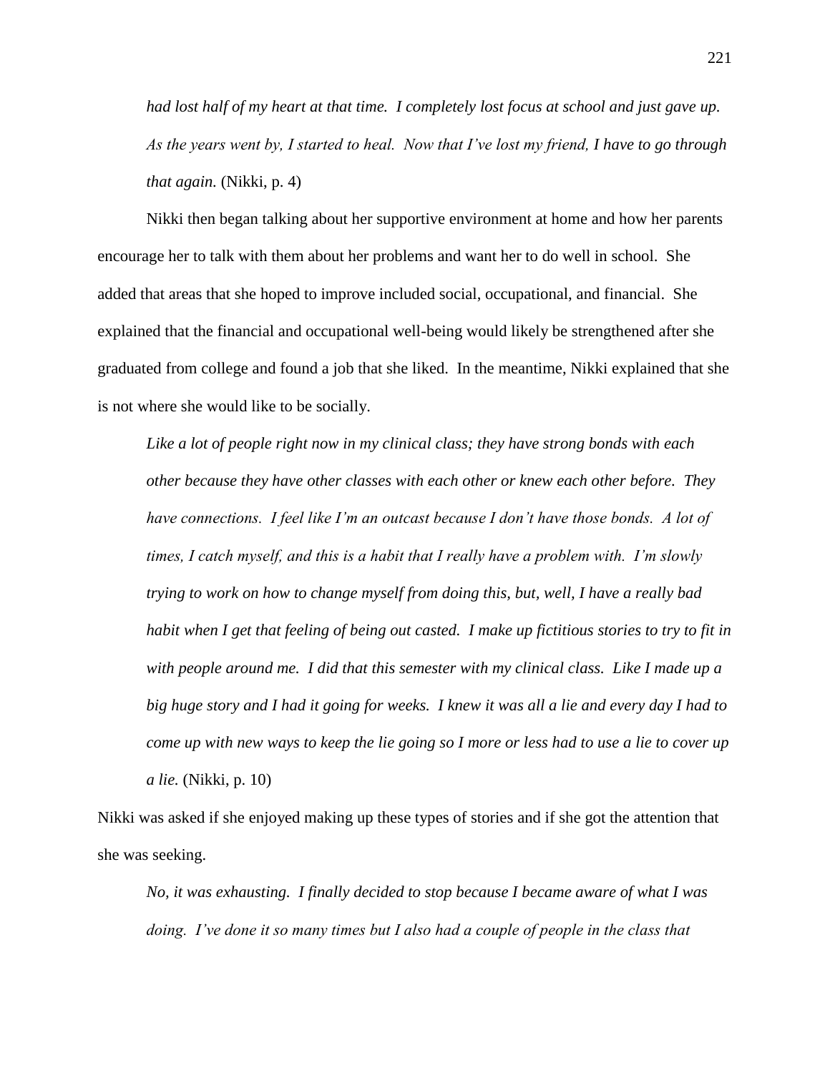*had lost half of my heart at that time. I completely lost focus at school and just gave up. As the years went by, I started to heal. Now that I've lost my friend, I have to go through that again.* (Nikki, p. 4)

Nikki then began talking about her supportive environment at home and how her parents encourage her to talk with them about her problems and want her to do well in school. She added that areas that she hoped to improve included social, occupational, and financial. She explained that the financial and occupational well-being would likely be strengthened after she graduated from college and found a job that she liked. In the meantime, Nikki explained that she is not where she would like to be socially.

*Like a lot of people right now in my clinical class; they have strong bonds with each other because they have other classes with each other or knew each other before. They have connections. I feel like I'm an outcast because I don't have those bonds. A lot of times, I catch myself, and this is a habit that I really have a problem with. I'm slowly trying to work on how to change myself from doing this, but, well, I have a really bad habit when I get that feeling of being out casted. I make up fictitious stories to try to fit in with people around me. I did that this semester with my clinical class. Like I made up a big huge story and I had it going for weeks. I knew it was all a lie and every day I had to come up with new ways to keep the lie going so I more or less had to use a lie to cover up a lie.* (Nikki, p. 10)

Nikki was asked if she enjoyed making up these types of stories and if she got the attention that she was seeking.

*No, it was exhausting. I finally decided to stop because I became aware of what I was doing. I've done it so many times but I also had a couple of people in the class that*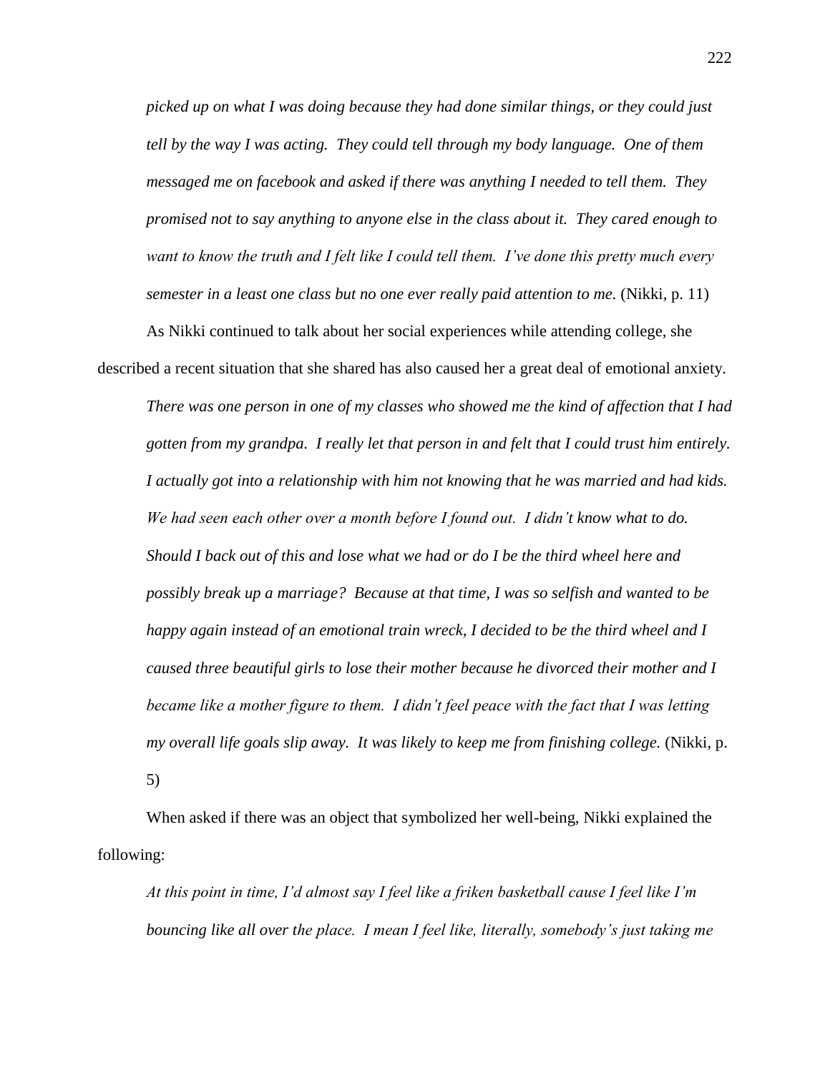*picked up on what I was doing because they had done similar things, or they could just tell by the way I was acting. They could tell through my body language. One of them messaged me on facebook and asked if there was anything I needed to tell them. They promised not to say anything to anyone else in the class about it. They cared enough to want to know the truth and I felt like I could tell them. I've done this pretty much every semester in a least one class but no one ever really paid attention to me.* (Nikki, p. 11)

As Nikki continued to talk about her social experiences while attending college, she described a recent situation that she shared has also caused her a great deal of emotional anxiety.

*There was one person in one of my classes who showed me the kind of affection that I had gotten from my grandpa. I really let that person in and felt that I could trust him entirely. I actually got into a relationship with him not knowing that he was married and had kids. We had seen each other over a month before I found out. I didn't know what to do. Should I back out of this and lose what we had or do I be the third wheel here and possibly break up a marriage? Because at that time, I was so selfish and wanted to be happy again instead of an emotional train wreck, I decided to be the third wheel and I caused three beautiful girls to lose their mother because he divorced their mother and I became like a mother figure to them. I didn't feel peace with the fact that I was letting my overall life goals slip away. It was likely to keep me from finishing college.* (Nikki, p. 5)

When asked if there was an object that symbolized her well-being, Nikki explained the following:

*At this point in time, I'd almost say I feel like a friken basketball cause I feel like I'm bouncing like all over the place. I mean I feel like, literally, somebody's just taking me*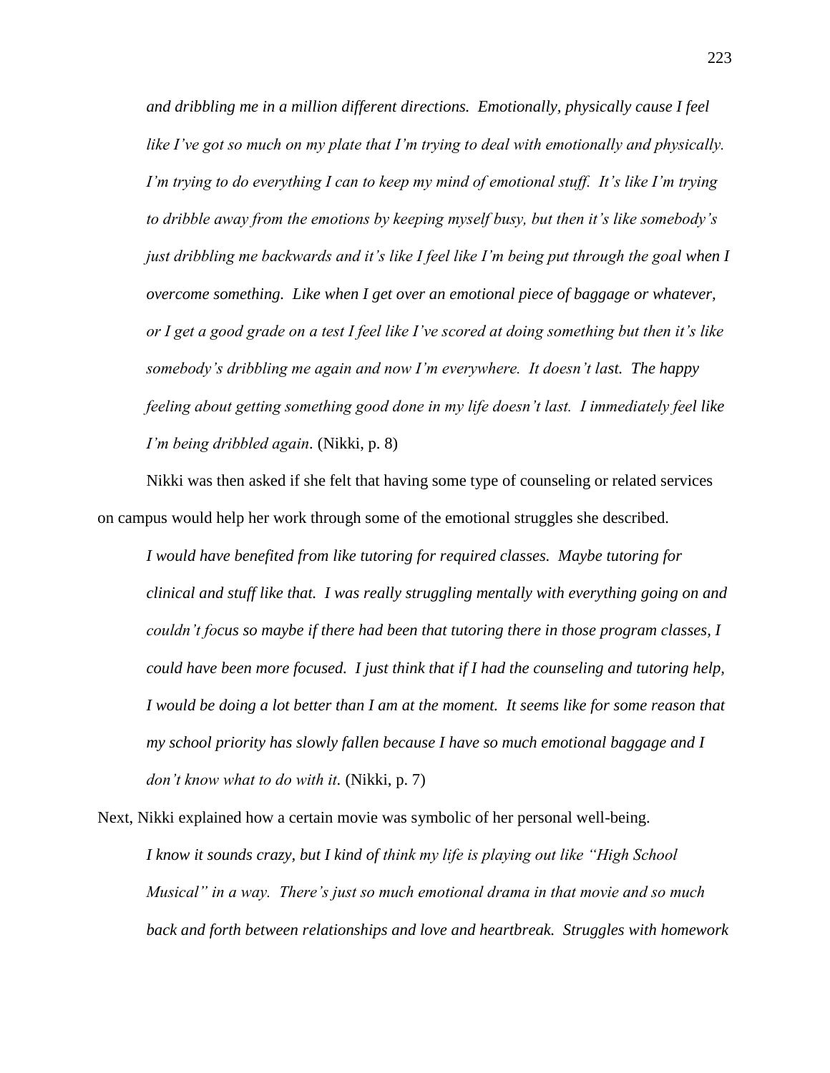*and dribbling me in a million different directions. Emotionally, physically cause I feel like I've got so much on my plate that I'm trying to deal with emotionally and physically. I'm trying to do everything I can to keep my mind of emotional stuff. It's like I'm trying to dribble away from the emotions by keeping myself busy, but then it's like somebody's just dribbling me backwards and it's like I feel like I'm being put through the goal when I overcome something. Like when I get over an emotional piece of baggage or whatever, or I get a good grade on a test I feel like I've scored at doing something but then it's like somebody's dribbling me again and now I'm everywhere. It doesn't last. The happy feeling about getting something good done in my life doesn't last. I immediately feel like I'm being dribbled again.* (Nikki, p. 8)

Nikki was then asked if she felt that having some type of counseling or related services on campus would help her work through some of the emotional struggles she described.

*I would have benefited from like tutoring for required classes. Maybe tutoring for clinical and stuff like that. I was really struggling mentally with everything going on and couldn't focus so maybe if there had been that tutoring there in those program classes, I could have been more focused. I just think that if I had the counseling and tutoring help, I would be doing a lot better than I am at the moment. It seems like for some reason that my school priority has slowly fallen because I have so much emotional baggage and I don't know what to do with it.* (Nikki, p. 7)

Next, Nikki explained how a certain movie was symbolic of her personal well-being. *I know it sounds crazy, but I kind of think my life is playing out like "High School Musical" in a way. There's just so much emotional drama in that movie and so much back and forth between relationships and love and heartbreak. Struggles with homework*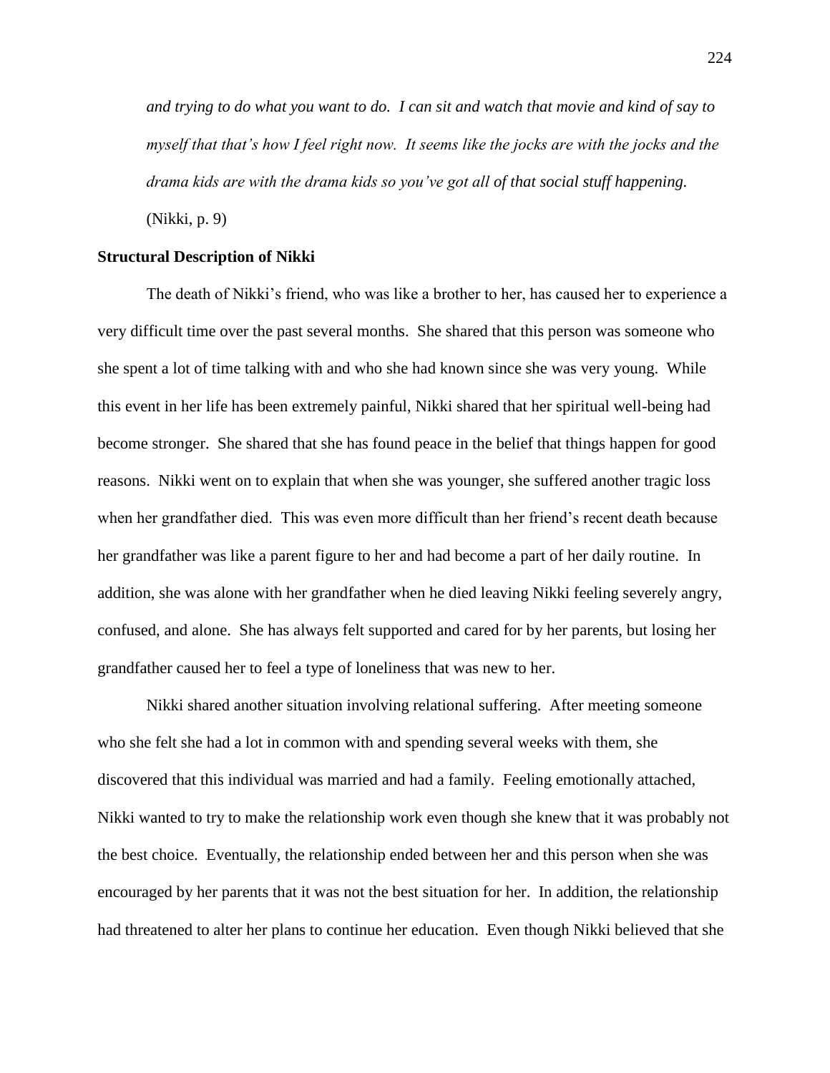*and trying to do what you want to do. I can sit and watch that movie and kind of say to myself that that's how I feel right now. It seems like the jocks are with the jocks and the drama kids are with the drama kids so you've got all of that social stuff happening.* (Nikki, p. 9)

### **Structural Description of Nikki**

The death of Nikki's friend, who was like a brother to her, has caused her to experience a very difficult time over the past several months. She shared that this person was someone who she spent a lot of time talking with and who she had known since she was very young. While this event in her life has been extremely painful, Nikki shared that her spiritual well-being had become stronger. She shared that she has found peace in the belief that things happen for good reasons. Nikki went on to explain that when she was younger, she suffered another tragic loss when her grandfather died. This was even more difficult than her friend's recent death because her grandfather was like a parent figure to her and had become a part of her daily routine. In addition, she was alone with her grandfather when he died leaving Nikki feeling severely angry, confused, and alone. She has always felt supported and cared for by her parents, but losing her grandfather caused her to feel a type of loneliness that was new to her.

Nikki shared another situation involving relational suffering. After meeting someone who she felt she had a lot in common with and spending several weeks with them, she discovered that this individual was married and had a family. Feeling emotionally attached, Nikki wanted to try to make the relationship work even though she knew that it was probably not the best choice. Eventually, the relationship ended between her and this person when she was encouraged by her parents that it was not the best situation for her. In addition, the relationship had threatened to alter her plans to continue her education. Even though Nikki believed that she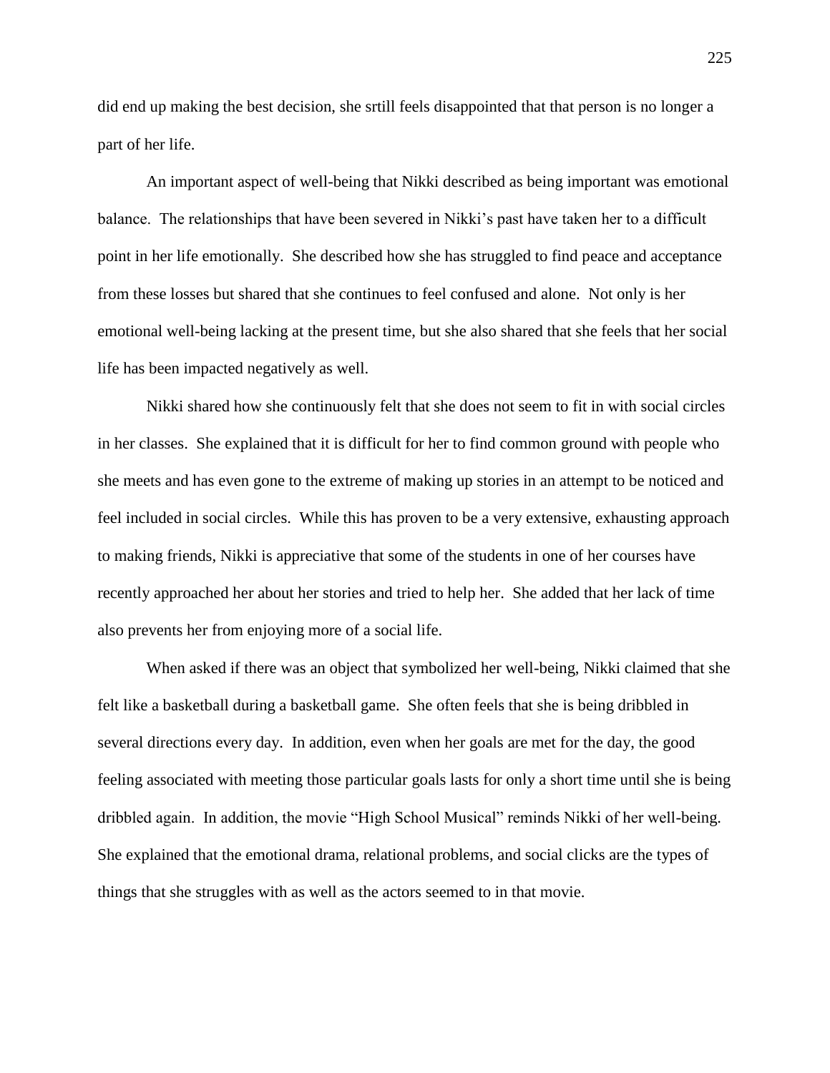did end up making the best decision, she srtill feels disappointed that that person is no longer a part of her life.

An important aspect of well-being that Nikki described as being important was emotional balance. The relationships that have been severed in Nikki's past have taken her to a difficult point in her life emotionally. She described how she has struggled to find peace and acceptance from these losses but shared that she continues to feel confused and alone. Not only is her emotional well-being lacking at the present time, but she also shared that she feels that her social life has been impacted negatively as well.

Nikki shared how she continuously felt that she does not seem to fit in with social circles in her classes. She explained that it is difficult for her to find common ground with people who she meets and has even gone to the extreme of making up stories in an attempt to be noticed and feel included in social circles. While this has proven to be a very extensive, exhausting approach to making friends, Nikki is appreciative that some of the students in one of her courses have recently approached her about her stories and tried to help her. She added that her lack of time also prevents her from enjoying more of a social life.

When asked if there was an object that symbolized her well-being, Nikki claimed that she felt like a basketball during a basketball game. She often feels that she is being dribbled in several directions every day. In addition, even when her goals are met for the day, the good feeling associated with meeting those particular goals lasts for only a short time until she is being dribbled again. In addition, the movie "High School Musical" reminds Nikki of her well-being. She explained that the emotional drama, relational problems, and social clicks are the types of things that she struggles with as well as the actors seemed to in that movie.

225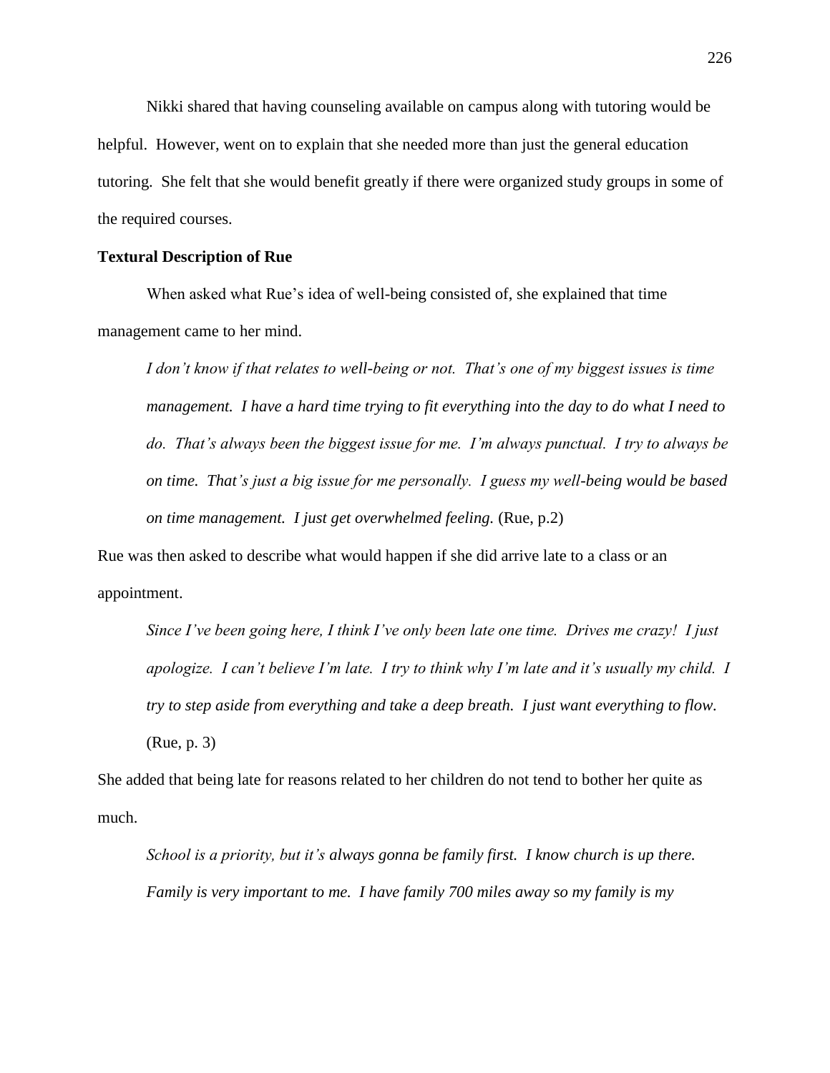Nikki shared that having counseling available on campus along with tutoring would be helpful. However, went on to explain that she needed more than just the general education tutoring. She felt that she would benefit greatly if there were organized study groups in some of the required courses.

## **Textural Description of Rue**

When asked what Rue's idea of well-being consisted of, she explained that time management came to her mind.

*I don't know if that relates to well-being or not. That's one of my biggest issues is time management. I have a hard time trying to fit everything into the day to do what I need to do. That's always been the biggest issue for me. I'm always punctual. I try to always be on time. That's just a big issue for me personally. I guess my well-being would be based on time management. I just get overwhelmed feeling.* (Rue, p.2)

Rue was then asked to describe what would happen if she did arrive late to a class or an appointment.

*Since I've been going here, I think I've only been late one time. Drives me crazy! I just apologize. I can't believe I'm late. I try to think why I'm late and it's usually my child. I try to step aside from everything and take a deep breath. I just want everything to flow.* (Rue, p. 3)

She added that being late for reasons related to her children do not tend to bother her quite as much.

*School is a priority, but it's always gonna be family first. I know church is up there. Family is very important to me. I have family 700 miles away so my family is my*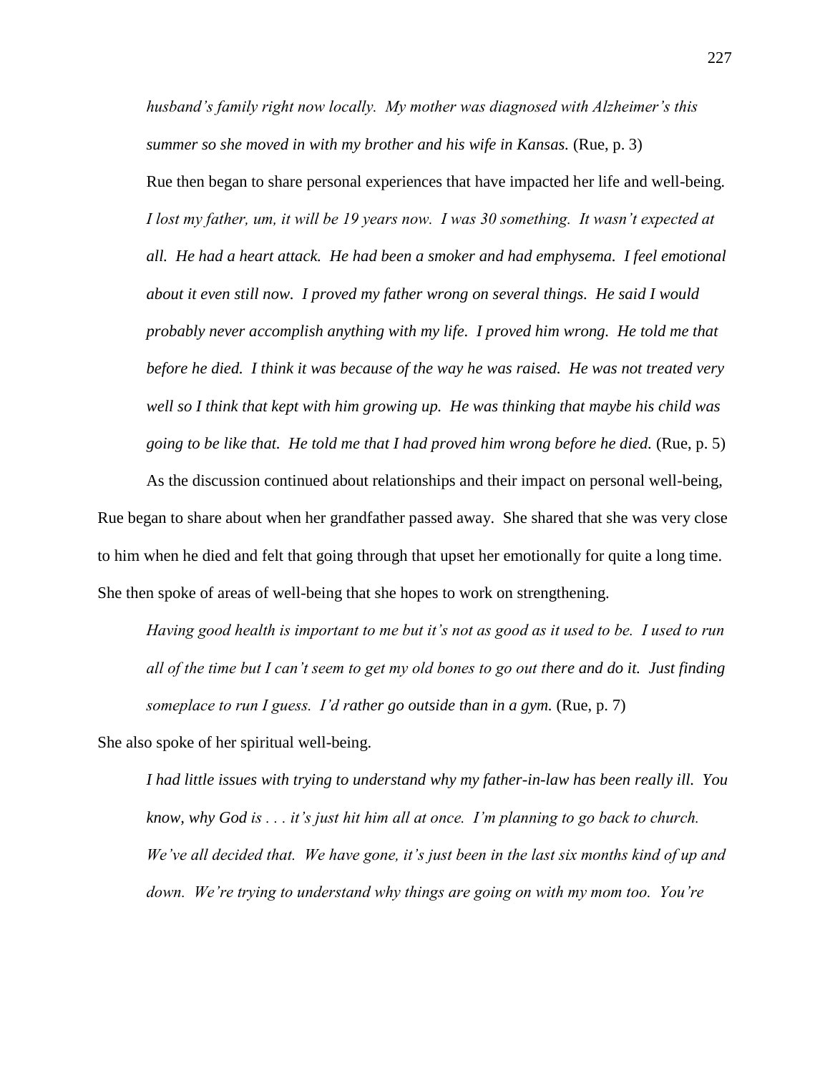*husband's family right now locally. My mother was diagnosed with Alzheimer's this summer so she moved in with my brother and his wife in Kansas.* (Rue, p. 3) Rue then began to share personal experiences that have impacted her life and well-being*. I lost my father, um, it will be 19 years now. I was 30 something. It wasn't expected at all. He had a heart attack. He had been a smoker and had emphysema. I feel emotional about it even still now. I proved my father wrong on several things. He said I would probably never accomplish anything with my life. I proved him wrong. He told me that before he died. I think it was because of the way he was raised. He was not treated very well so I think that kept with him growing up. He was thinking that maybe his child was going to be like that. He told me that I had proved him wrong before he died.* (Rue, p. 5)

As the discussion continued about relationships and their impact on personal well-being, Rue began to share about when her grandfather passed away. She shared that she was very close to him when he died and felt that going through that upset her emotionally for quite a long time. She then spoke of areas of well-being that she hopes to work on strengthening.

*Having good health is important to me but it's not as good as it used to be. I used to run all of the time but I can't seem to get my old bones to go out there and do it. Just finding someplace to run I guess. I'd rather go outside than in a gym.* (Rue, p. 7)

She also spoke of her spiritual well-being.

*I had little issues with trying to understand why my father-in-law has been really ill. You know, why God is . . . it's just hit him all at once. I'm planning to go back to church. We've all decided that. We have gone, it's just been in the last six months kind of up and down. We're trying to understand why things are going on with my mom too. You're*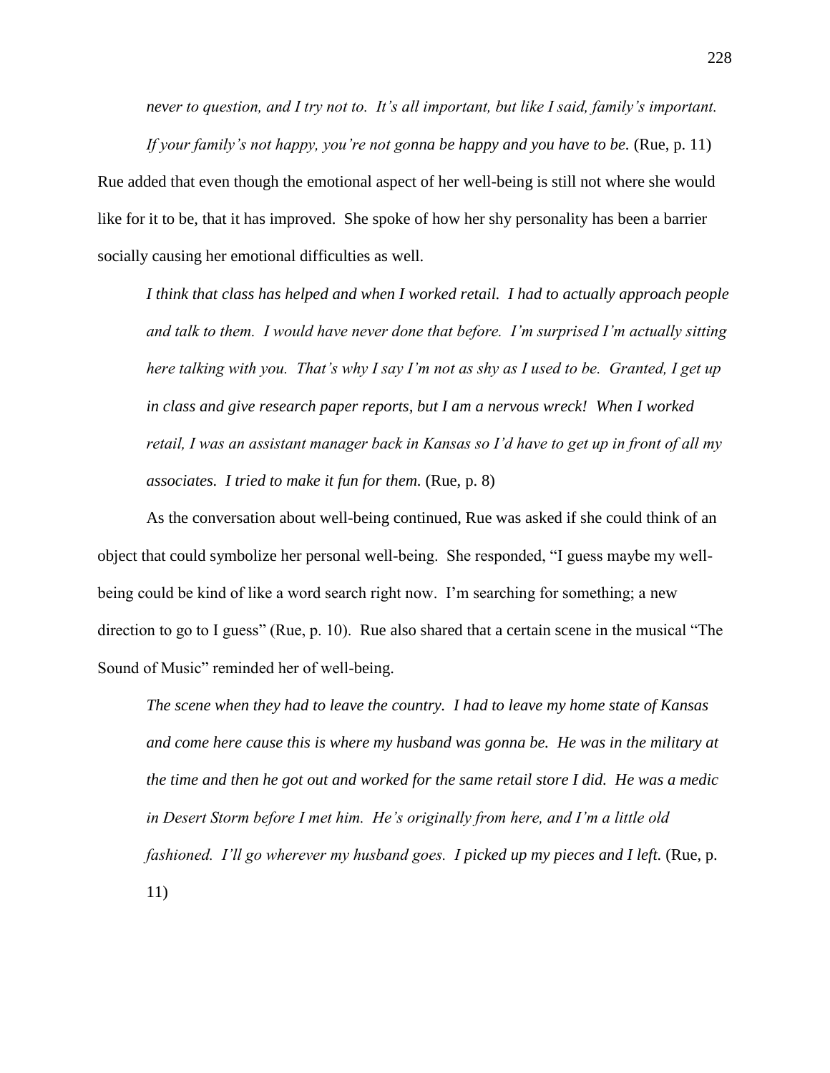*never to question, and I try not to. It's all important, but like I said, family's important.* 

*If your family's not happy, you're not gonna be happy and you have to be.* (Rue, p. 11) Rue added that even though the emotional aspect of her well-being is still not where she would like for it to be, that it has improved. She spoke of how her shy personality has been a barrier socially causing her emotional difficulties as well.

*I think that class has helped and when I worked retail. I had to actually approach people and talk to them. I would have never done that before. I'm surprised I'm actually sitting here talking with you. That's why I say I'm not as shy as I used to be. Granted, I get up in class and give research paper reports, but I am a nervous wreck! When I worked retail, I was an assistant manager back in Kansas so I'd have to get up in front of all my associates. I tried to make it fun for them.* (Rue, p. 8)

As the conversation about well-being continued, Rue was asked if she could think of an object that could symbolize her personal well-being. She responded, "I guess maybe my wellbeing could be kind of like a word search right now. I'm searching for something; a new direction to go to I guess" (Rue, p. 10). Rue also shared that a certain scene in the musical "The Sound of Music" reminded her of well-being.

*The scene when they had to leave the country. I had to leave my home state of Kansas and come here cause this is where my husband was gonna be. He was in the military at the time and then he got out and worked for the same retail store I did. He was a medic in Desert Storm before I met him. He's originally from here, and I'm a little old fashioned. I'll go wherever my husband goes. I picked up my pieces and I left.* (Rue, p. 11)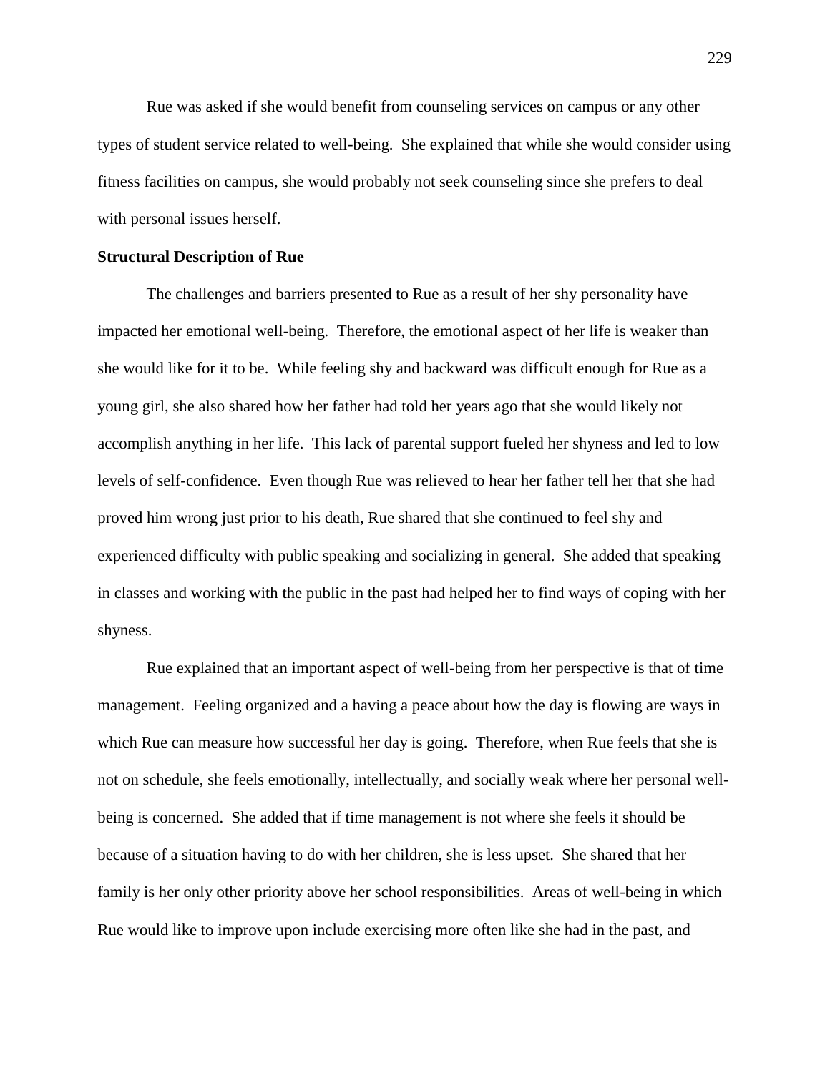Rue was asked if she would benefit from counseling services on campus or any other types of student service related to well-being. She explained that while she would consider using fitness facilities on campus, she would probably not seek counseling since she prefers to deal with personal issues herself.

## **Structural Description of Rue**

The challenges and barriers presented to Rue as a result of her shy personality have impacted her emotional well-being. Therefore, the emotional aspect of her life is weaker than she would like for it to be. While feeling shy and backward was difficult enough for Rue as a young girl, she also shared how her father had told her years ago that she would likely not accomplish anything in her life. This lack of parental support fueled her shyness and led to low levels of self-confidence. Even though Rue was relieved to hear her father tell her that she had proved him wrong just prior to his death, Rue shared that she continued to feel shy and experienced difficulty with public speaking and socializing in general. She added that speaking in classes and working with the public in the past had helped her to find ways of coping with her shyness.

Rue explained that an important aspect of well-being from her perspective is that of time management. Feeling organized and a having a peace about how the day is flowing are ways in which Rue can measure how successful her day is going. Therefore, when Rue feels that she is not on schedule, she feels emotionally, intellectually, and socially weak where her personal wellbeing is concerned. She added that if time management is not where she feels it should be because of a situation having to do with her children, she is less upset. She shared that her family is her only other priority above her school responsibilities. Areas of well-being in which Rue would like to improve upon include exercising more often like she had in the past, and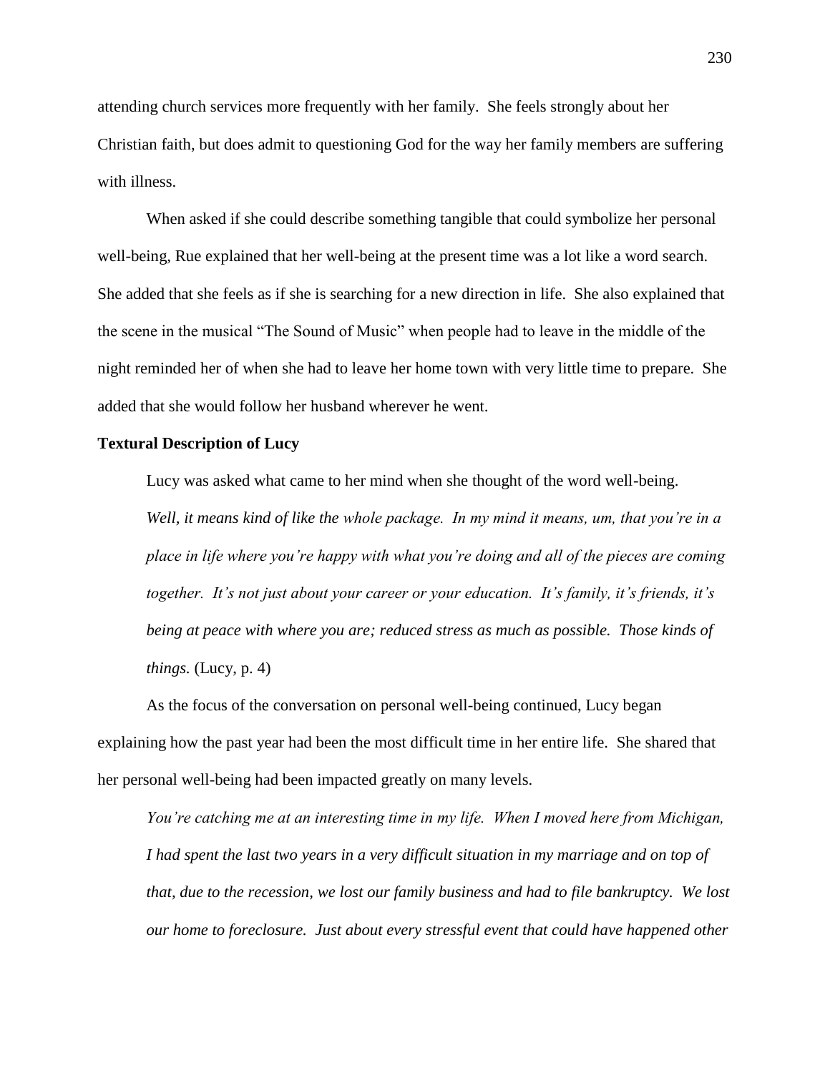attending church services more frequently with her family. She feels strongly about her Christian faith, but does admit to questioning God for the way her family members are suffering with illness.

When asked if she could describe something tangible that could symbolize her personal well-being, Rue explained that her well-being at the present time was a lot like a word search. She added that she feels as if she is searching for a new direction in life. She also explained that the scene in the musical "The Sound of Music" when people had to leave in the middle of the night reminded her of when she had to leave her home town with very little time to prepare. She added that she would follow her husband wherever he went.

# **Textural Description of Lucy**

Lucy was asked what came to her mind when she thought of the word well-being.

*Well, it means kind of like the whole package. In my mind it means, um, that you're in a place in life where you're happy with what you're doing and all of the pieces are coming together. It's not just about your career or your education. It's family, it's friends, it's being at peace with where you are; reduced stress as much as possible. Those kinds of things.* (Lucy, p. 4)

As the focus of the conversation on personal well-being continued, Lucy began explaining how the past year had been the most difficult time in her entire life. She shared that her personal well-being had been impacted greatly on many levels.

*You're catching me at an interesting time in my life. When I moved here from Michigan, I had spent the last two years in a very difficult situation in my marriage and on top of that, due to the recession, we lost our family business and had to file bankruptcy. We lost our home to foreclosure. Just about every stressful event that could have happened other*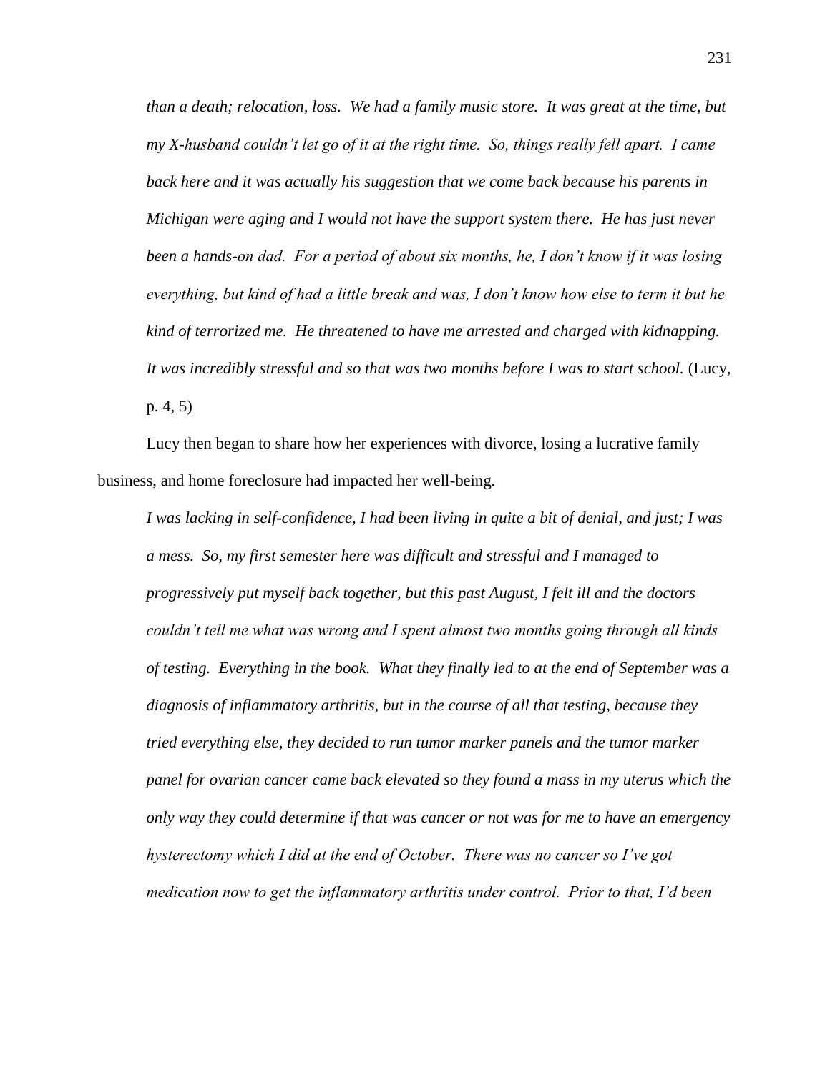*than a death; relocation, loss. We had a family music store. It was great at the time, but my X-husband couldn't let go of it at the right time. So, things really fell apart. I came back here and it was actually his suggestion that we come back because his parents in Michigan were aging and I would not have the support system there. He has just never been a hands-on dad. For a period of about six months, he, I don't know if it was losing everything, but kind of had a little break and was, I don't know how else to term it but he kind of terrorized me. He threatened to have me arrested and charged with kidnapping. It was incredibly stressful and so that was two months before I was to start school.* (Lucy, p. 4, 5)

Lucy then began to share how her experiences with divorce, losing a lucrative family business, and home foreclosure had impacted her well-being.

*I was lacking in self-confidence, I had been living in quite a bit of denial, and just; I was a mess. So, my first semester here was difficult and stressful and I managed to progressively put myself back together, but this past August, I felt ill and the doctors couldn't tell me what was wrong and I spent almost two months going through all kinds of testing. Everything in the book. What they finally led to at the end of September was a diagnosis of inflammatory arthritis, but in the course of all that testing, because they tried everything else, they decided to run tumor marker panels and the tumor marker panel for ovarian cancer came back elevated so they found a mass in my uterus which the only way they could determine if that was cancer or not was for me to have an emergency hysterectomy which I did at the end of October. There was no cancer so I've got medication now to get the inflammatory arthritis under control. Prior to that, I'd been*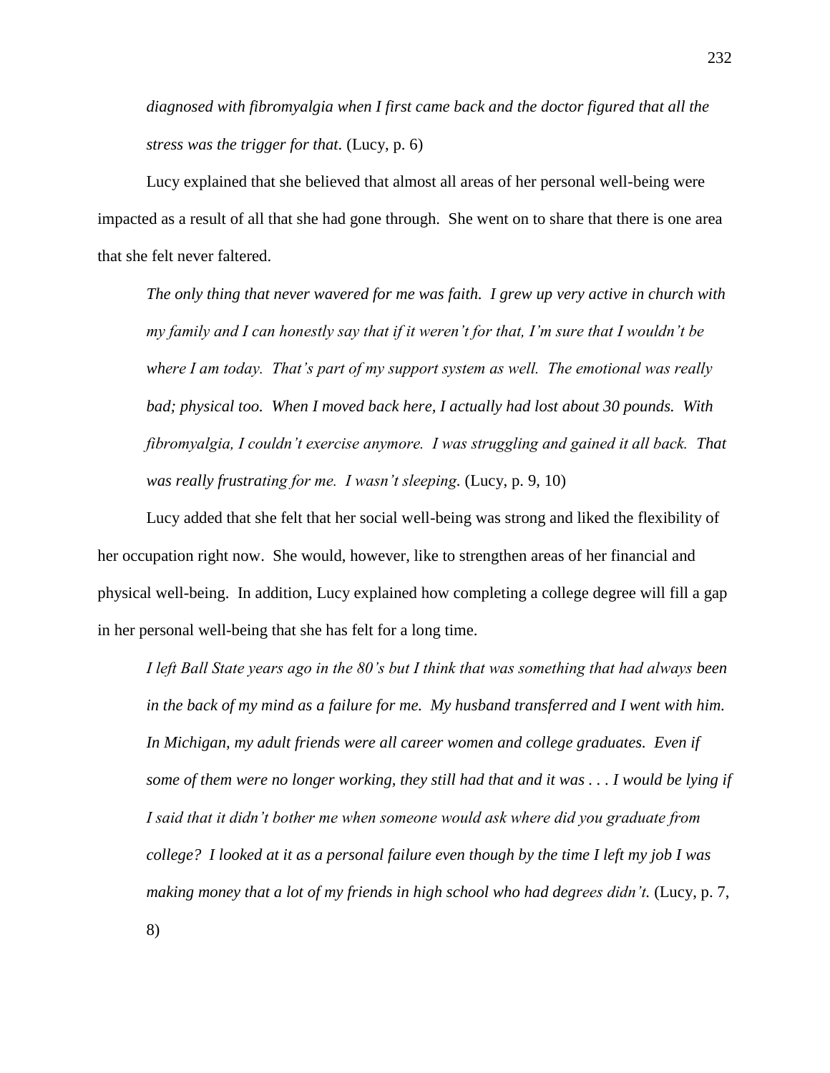*diagnosed with fibromyalgia when I first came back and the doctor figured that all the stress was the trigger for that.* (Lucy, p. 6)

Lucy explained that she believed that almost all areas of her personal well-being were impacted as a result of all that she had gone through. She went on to share that there is one area that she felt never faltered.

*The only thing that never wavered for me was faith. I grew up very active in church with my family and I can honestly say that if it weren't for that, I'm sure that I wouldn't be where I am today. That's part of my support system as well. The emotional was really bad; physical too. When I moved back here, I actually had lost about 30 pounds. With fibromyalgia, I couldn't exercise anymore. I was struggling and gained it all back. That was really frustrating for me. I wasn't sleeping.* (Lucy, p. 9, 10)

Lucy added that she felt that her social well-being was strong and liked the flexibility of her occupation right now. She would, however, like to strengthen areas of her financial and physical well-being. In addition, Lucy explained how completing a college degree will fill a gap in her personal well-being that she has felt for a long time.

*I left Ball State years ago in the 80's but I think that was something that had always been in the back of my mind as a failure for me. My husband transferred and I went with him.*  In Michigan, my adult friends were all career women and college graduates. Even if *some of them were no longer working, they still had that and it was . . . I would be lying if I said that it didn't bother me when someone would ask where did you graduate from college? I looked at it as a personal failure even though by the time I left my job I was making money that a lot of my friends in high school who had degrees didn't.* (Lucy, p. 7,

8)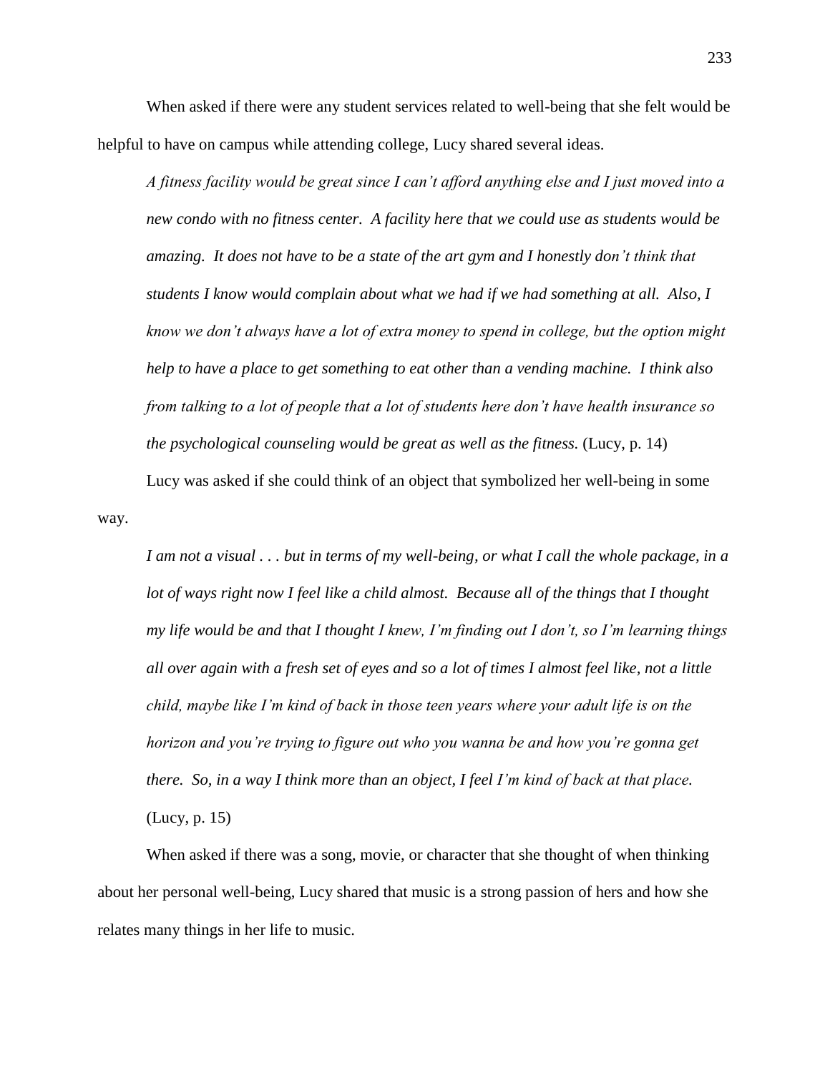When asked if there were any student services related to well-being that she felt would be helpful to have on campus while attending college, Lucy shared several ideas.

*A fitness facility would be great since I can't afford anything else and I just moved into a new condo with no fitness center. A facility here that we could use as students would be amazing. It does not have to be a state of the art gym and I honestly don't think that students I know would complain about what we had if we had something at all. Also, I know we don't always have a lot of extra money to spend in college, but the option might help to have a place to get something to eat other than a vending machine. I think also from talking to a lot of people that a lot of students here don't have health insurance so the psychological counseling would be great as well as the fitness.* (Lucy, p. 14) Lucy was asked if she could think of an object that symbolized her well-being in some

way.

*I am not a visual . . . but in terms of my well-being, or what I call the whole package, in a*  lot of ways right now I feel like a child almost. Because all of the things that I thought *my life would be and that I thought I knew, I'm finding out I don't, so I'm learning things all over again with a fresh set of eyes and so a lot of times I almost feel like, not a little child, maybe like I'm kind of back in those teen years where your adult life is on the horizon and you're trying to figure out who you wanna be and how you're gonna get there. So, in a way I think more than an object, I feel I'm kind of back at that place.* (Lucy, p. 15)

When asked if there was a song, movie, or character that she thought of when thinking about her personal well-being, Lucy shared that music is a strong passion of hers and how she relates many things in her life to music.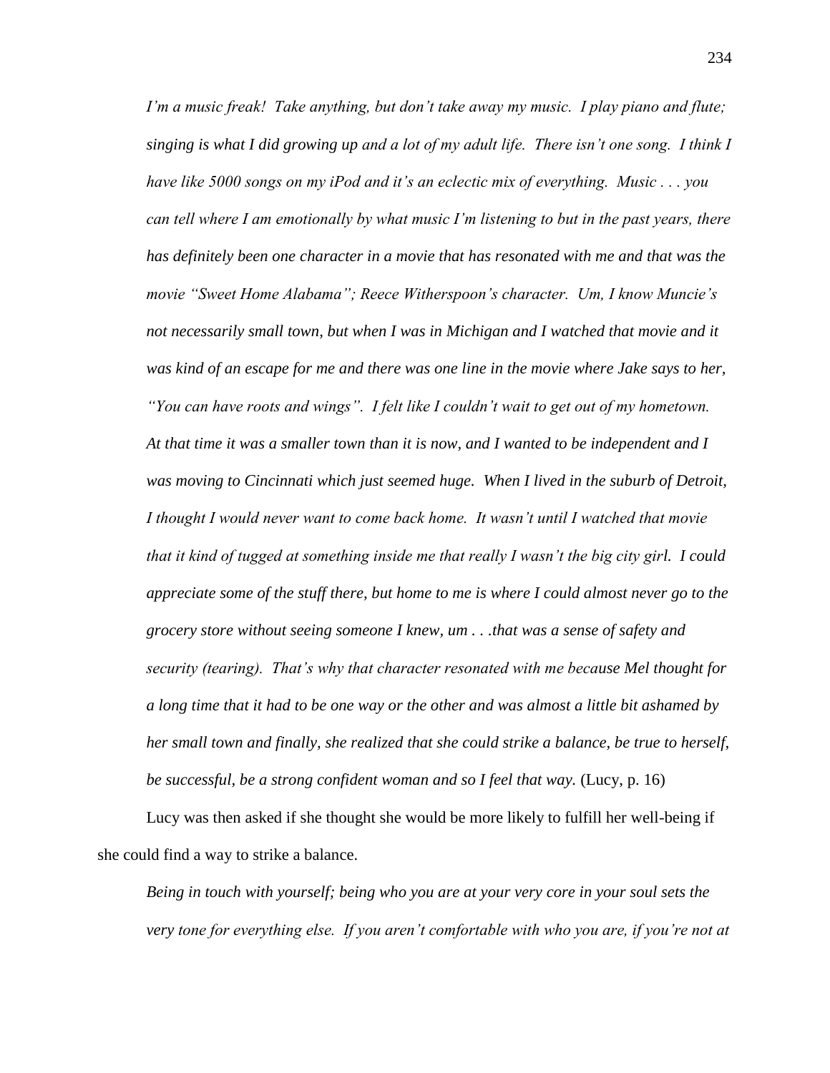*I'm a music freak! Take anything, but don't take away my music. I play piano and flute; singing is what I did growing up and a lot of my adult life. There isn't one song. I think I have like 5000 songs on my iPod and it's an eclectic mix of everything. Music . . . you can tell where I am emotionally by what music I'm listening to but in the past years, there has definitely been one character in a movie that has resonated with me and that was the movie "Sweet Home Alabama"; Reece Witherspoon's character. Um, I know Muncie's not necessarily small town, but when I was in Michigan and I watched that movie and it was kind of an escape for me and there was one line in the movie where Jake says to her, "You can have roots and wings". I felt like I couldn't wait to get out of my hometown. At that time it was a smaller town than it is now, and I wanted to be independent and I was moving to Cincinnati which just seemed huge. When I lived in the suburb of Detroit, I thought I would never want to come back home. It wasn't until I watched that movie that it kind of tugged at something inside me that really I wasn't the big city girl. I could appreciate some of the stuff there, but home to me is where I could almost never go to the grocery store without seeing someone I knew, um . . .that was a sense of safety and security (tearing). That's why that character resonated with me because Mel thought for a long time that it had to be one way or the other and was almost a little bit ashamed by her small town and finally, she realized that she could strike a balance, be true to herself, be successful, be a strong confident woman and so I feel that way.* (Lucy, p. 16)

Lucy was then asked if she thought she would be more likely to fulfill her well-being if she could find a way to strike a balance.

*Being in touch with yourself; being who you are at your very core in your soul sets the very tone for everything else. If you aren't comfortable with who you are, if you're not at*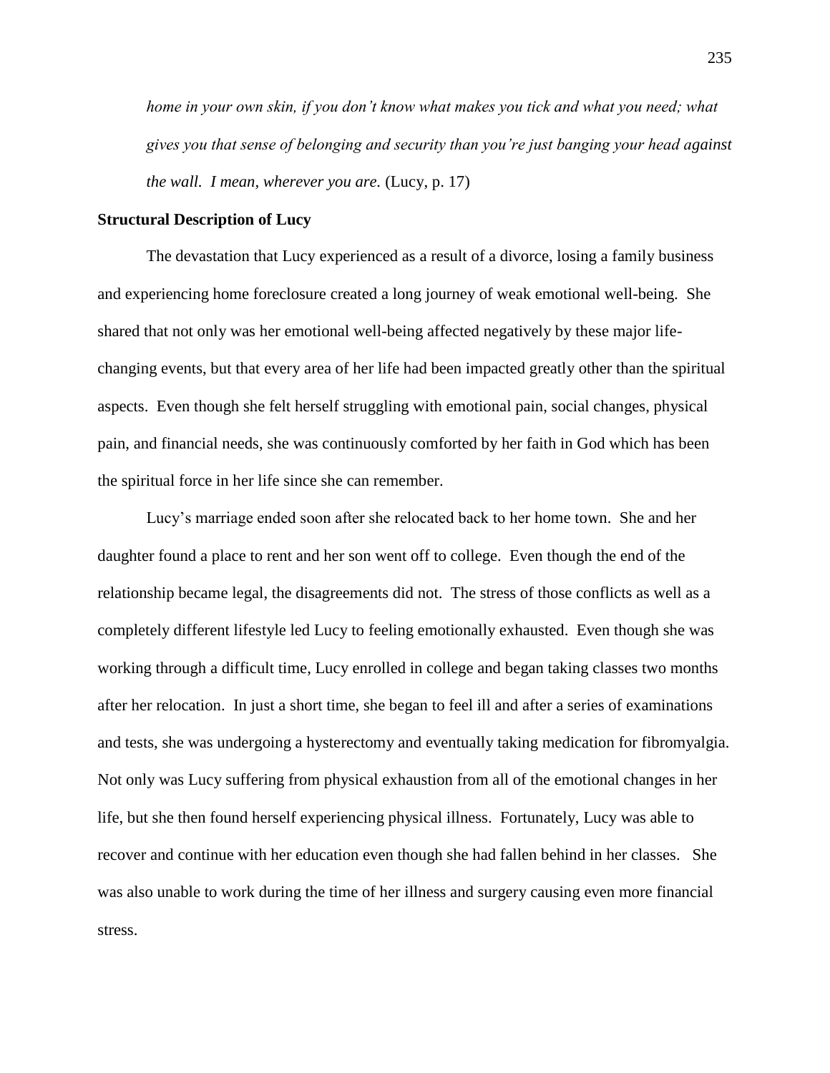*home in your own skin, if you don't know what makes you tick and what you need; what gives you that sense of belonging and security than you're just banging your head against the wall. I mean, wherever you are.* (Lucy, p. 17)

## **Structural Description of Lucy**

The devastation that Lucy experienced as a result of a divorce, losing a family business and experiencing home foreclosure created a long journey of weak emotional well-being. She shared that not only was her emotional well-being affected negatively by these major lifechanging events, but that every area of her life had been impacted greatly other than the spiritual aspects. Even though she felt herself struggling with emotional pain, social changes, physical pain, and financial needs, she was continuously comforted by her faith in God which has been the spiritual force in her life since she can remember.

Lucy's marriage ended soon after she relocated back to her home town. She and her daughter found a place to rent and her son went off to college. Even though the end of the relationship became legal, the disagreements did not. The stress of those conflicts as well as a completely different lifestyle led Lucy to feeling emotionally exhausted. Even though she was working through a difficult time, Lucy enrolled in college and began taking classes two months after her relocation. In just a short time, she began to feel ill and after a series of examinations and tests, she was undergoing a hysterectomy and eventually taking medication for fibromyalgia. Not only was Lucy suffering from physical exhaustion from all of the emotional changes in her life, but she then found herself experiencing physical illness. Fortunately, Lucy was able to recover and continue with her education even though she had fallen behind in her classes. She was also unable to work during the time of her illness and surgery causing even more financial stress.